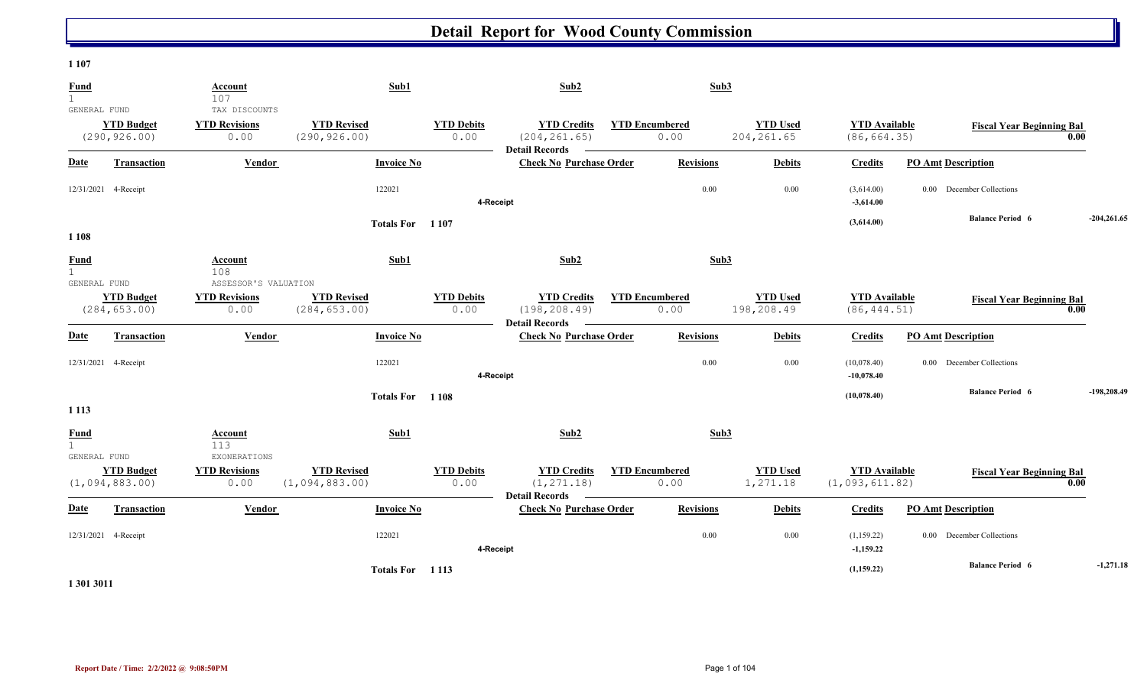#### **1 107**

| Fund<br>$\mathbf{1}$                        |                                       | Account<br>107                                       | Sub1                                 |                           | Sub2                                                         |                               | Sub3             |                                |                                        |                                  |      |               |
|---------------------------------------------|---------------------------------------|------------------------------------------------------|--------------------------------------|---------------------------|--------------------------------------------------------------|-------------------------------|------------------|--------------------------------|----------------------------------------|----------------------------------|------|---------------|
| GENERAL FUND                                | <b>YTD Budget</b><br>(290, 926.00)    | TAX DISCOUNTS<br><b>YTD Revisions</b><br>0.00        | <b>YTD Revised</b><br>(290, 926.00)  | <b>YTD Debits</b><br>0.00 | <b>YTD Credits</b><br>(204, 261.65)<br><b>Detail Records</b> | <b>YTD Encumbered</b><br>0.00 |                  | <b>YTD Used</b><br>204, 261.65 | <b>YTD</b> Available<br>(86, 664.35)   | <b>Fiscal Year Beginning Bal</b> | 0.00 |               |
| Date                                        | <b>Transaction</b>                    | Vendor                                               | <b>Invoice No</b>                    |                           | <b>Check No Purchase Order</b>                               |                               | <b>Revisions</b> | <b>Debits</b>                  | <b>Credits</b>                         | <b>PO Amt Description</b>        |      |               |
|                                             | 12/31/2021 4-Receipt                  |                                                      | 122021                               | 4-Receipt                 |                                                              |                               | 0.00             | $0.00\,$                       | (3,614.00)<br>$-3,614.00$              | 0.00 December Collections        |      |               |
| 1 1 0 8                                     |                                       |                                                      | Totals For 1107                      |                           |                                                              |                               |                  |                                | (3,614.00)                             | <b>Balance Period 6</b>          |      | $-204,261.65$ |
| Fund<br>$\mathbf{1}$                        |                                       | Account<br>108                                       | Sub1                                 |                           | Sub2                                                         |                               | Sub3             |                                |                                        |                                  |      |               |
| GENERAL FUND                                | <b>YTD Budget</b><br>(284, 653.00)    | ASSESSOR'S VALUATION<br><b>YTD Revisions</b><br>0.00 | <b>YTD Revised</b><br>(284, 653.00)  | <b>YTD Debits</b><br>0.00 | <b>YTD Credits</b><br>(198, 208.49)<br><b>Detail Records</b> | <b>YTD Encumbered</b><br>0.00 |                  | <b>YTD Used</b><br>198,208.49  | <b>YTD Available</b><br>(86, 444.51)   | <b>Fiscal Year Beginning Bal</b> | 0.00 |               |
| <b>Date</b>                                 | Transaction                           | Vendor                                               | <b>Invoice No</b>                    |                           | <b>Check No Purchase Order</b>                               |                               | <b>Revisions</b> | <b>Debits</b>                  | <b>Credits</b>                         | <b>PO Amt Description</b>        |      |               |
|                                             | 12/31/2021 4-Receipt                  |                                                      | 122021                               |                           | 4-Receipt                                                    |                               | 0.00             | $0.00\,$                       | (10,078.40)<br>$-10,078.40$            | 0.00 December Collections        |      |               |
| 1 1 1 3                                     |                                       |                                                      | Totals For 1108                      |                           |                                                              |                               |                  |                                | (10,078.40)                            | <b>Balance Period 6</b>          |      | $-198,208,49$ |
| <b>Fund</b><br>$\mathbf{1}$<br>GENERAL FUND |                                       | Account<br>113<br>EXONERATIONS                       | Sub1                                 |                           | Sub2                                                         |                               | Sub3             |                                |                                        |                                  |      |               |
|                                             | <b>YTD Budget</b><br>(1, 094, 883.00) | <b>YTD Revisions</b><br>0.00                         | <b>YTD Revised</b><br>(1,094,883.00) | <b>YTD Debits</b><br>0.00 | <b>YTD Credits</b><br>(1, 271.18)                            | <b>YTD</b> Encumbered<br>0.00 |                  | <b>YTD Used</b><br>1,271.18    | <b>YTD Available</b><br>(1,093,611.82) | <b>Fiscal Year Beginning Bal</b> | 0.00 |               |
| Date                                        | <b>Transaction</b>                    | Vendor                                               | <b>Invoice No</b>                    |                           | <b>Detail Records</b><br><b>Check No Purchase Order</b>      |                               | <b>Revisions</b> | <b>Debits</b>                  | <b>Credits</b>                         | <b>PO Amt Description</b>        |      |               |
|                                             | 12/31/2021 4-Receipt                  |                                                      | 122021                               |                           | 4-Receipt                                                    |                               | 0.00             | $0.00\,$                       | (1, 159.22)<br>$-1,159.22$             | 0.00 December Collections        |      |               |
|                                             |                                       |                                                      | Totals For 1113                      |                           |                                                              |                               |                  |                                | (1, 159.22)                            | <b>Balance Period 6</b>          |      | $-1,271.18$   |

**1 301 3011**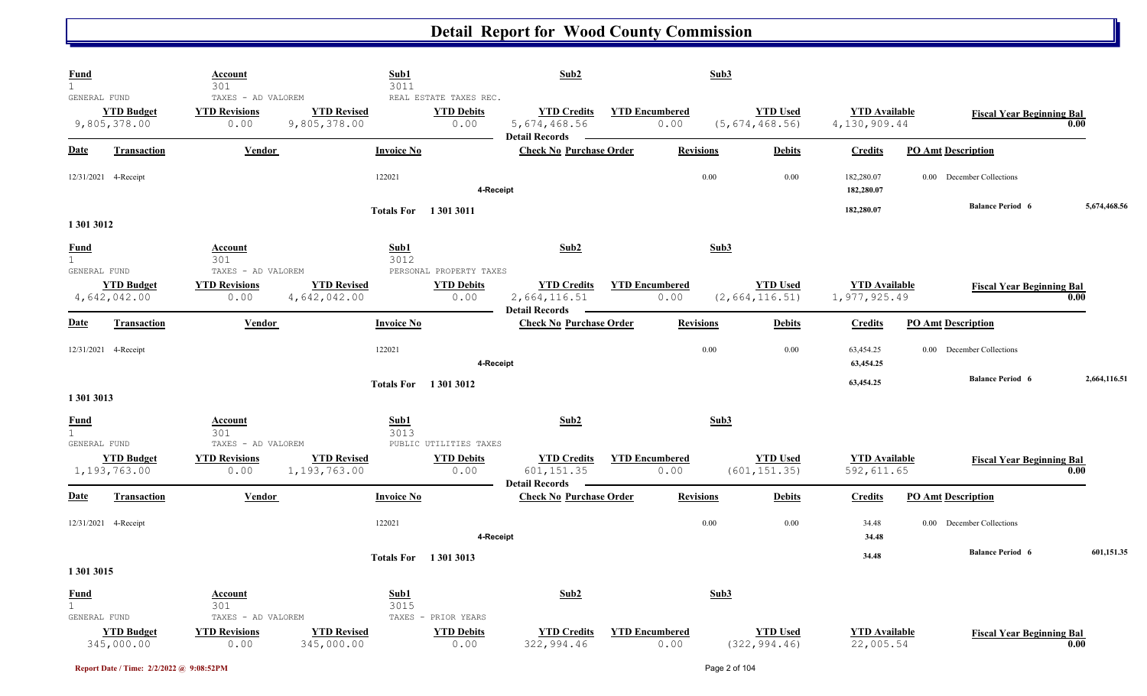| <b>Fund</b><br>$\mathbf{1}$                 |                                   | Account<br>301                                     |                                    | Sub1<br>3011                                        | Sub2                                                          |                               | Sub3             |                                     |                                      |                                  |              |
|---------------------------------------------|-----------------------------------|----------------------------------------------------|------------------------------------|-----------------------------------------------------|---------------------------------------------------------------|-------------------------------|------------------|-------------------------------------|--------------------------------------|----------------------------------|--------------|
| GENERAL FUND                                | <b>YTD Budget</b><br>9,805,378.00 | TAXES - AD VALOREM<br><b>YTD Revisions</b><br>0.00 | <b>YTD Revised</b><br>9,805,378.00 | REAL ESTATE TAXES REC.<br><b>YTD Debits</b><br>0.00 | <b>YTD Credits</b><br>5, 674, 468.56<br><b>Detail Records</b> | <b>YTD Encumbered</b><br>0.00 |                  | <b>YTD Used</b><br>(5, 674, 468.56) | <b>YTD</b> Available<br>4,130,909.44 | <b>Fiscal Year Beginning Bal</b> | 0.00         |
| Date                                        | <b>Transaction</b>                | Vendor                                             | <b>Invoice No</b>                  |                                                     | <b>Check No Purchase Order</b>                                |                               | <b>Revisions</b> | <b>Debits</b>                       | <b>Credits</b>                       | <b>PO Amt Description</b>        |              |
|                                             | 12/31/2021 4-Receipt              |                                                    | 122021                             |                                                     | 4-Receipt                                                     |                               | 0.00             | 0.00                                | 182,280.07<br>182,280.07             | 0.00 December Collections        |              |
| 1 301 3012                                  |                                   |                                                    |                                    | <b>Totals For</b> 13013011                          |                                                               |                               |                  |                                     | 182,280.07                           | <b>Balance Period 6</b>          | 5,674,468.56 |
| <b>Fund</b><br>$\mathbf{1}$<br>GENERAL FUND |                                   | Account<br>301<br>TAXES - AD VALOREM               |                                    | Sub1<br>3012<br>PERSONAL PROPERTY TAXES             | Sub2                                                          |                               | Sub3             |                                     |                                      |                                  |              |
|                                             | <b>YTD Budget</b><br>4,642,042.00 | <b>YTD Revisions</b><br>0.00                       | <b>YTD Revised</b><br>4,642,042.00 | <b>YTD Debits</b><br>0.00                           | <b>YTD Credits</b><br>2,664,116.51<br><b>Detail Records</b>   | <b>YTD Encumbered</b><br>0.00 |                  | <b>YTD Used</b><br>(2,664,116.51)   | <b>YTD Available</b><br>1,977,925.49 | <b>Fiscal Year Beginning Bal</b> | 0.00         |
| Date                                        | <b>Transaction</b>                | Vendor                                             | <b>Invoice No</b>                  |                                                     | <b>Check No Purchase Order</b>                                |                               | <b>Revisions</b> | <b>Debits</b>                       | <b>Credits</b>                       | <b>PO Amt Description</b>        |              |
|                                             | 12/31/2021 4-Receipt              |                                                    | 122021                             |                                                     | 4-Receipt                                                     |                               | 0.00             | 0.00                                | 63,454.25<br>63,454.25               | 0.00 December Collections        |              |
| 1 301 3013                                  |                                   |                                                    |                                    | <b>Totals For</b> 13013012                          |                                                               |                               |                  |                                     | 63,454.25                            | <b>Balance Period 6</b>          | 2,664,116.51 |
| <b>Fund</b><br>$\mathbf{1}$<br>GENERAL FUND |                                   | Account<br>301<br>TAXES - AD VALOREM               |                                    | Sub1<br>3013<br>PUBLIC UTILITIES TAXES              | Sub2                                                          |                               | Sub3             |                                     |                                      |                                  |              |
|                                             | <b>YTD Budget</b><br>1,193,763.00 | <b>YTD Revisions</b><br>0.00                       | <b>YTD Revised</b><br>1,193,763.00 | <b>YTD Debits</b><br>0.00                           | <b>YTD Credits</b><br>601, 151.35<br><b>Detail Records</b>    | <b>YTD Encumbered</b><br>0.00 |                  | <b>YTD Used</b><br>(601, 151.35)    | <b>YTD Available</b><br>592,611.65   | <b>Fiscal Year Beginning Bal</b> | 0.00         |
| <b>Date</b>                                 | <b>Transaction</b>                | Vendor                                             | <b>Invoice No</b>                  |                                                     | <b>Check No Purchase Order</b>                                |                               | <b>Revisions</b> | <b>Debits</b>                       | <b>Credits</b>                       | <b>PO Amt Description</b>        |              |
|                                             | 12/31/2021 4-Receipt              |                                                    | 122021                             |                                                     | 4-Receipt                                                     |                               | 0.00             | 0.00                                | 34.48<br>34.48                       | 0.00 December Collections        |              |
| 1 301 3015                                  |                                   |                                                    |                                    | <b>Totals For</b> 13013013                          |                                                               |                               |                  |                                     | 34.48                                | <b>Balance Period 6</b>          | 601,151.35   |
| <b>Fund</b><br>$\mathbf{1}$<br>GENERAL FUND |                                   | Account<br>301<br>TAXES - AD VALOREM               |                                    | Sub1<br>3015<br>TAXES - PRIOR YEARS                 | Sub2                                                          |                               | Sub3             |                                     |                                      |                                  |              |
|                                             | <b>YTD Budget</b><br>345,000.00   | <b>YTD Revisions</b><br>0.00                       | <b>YTD Revised</b><br>345,000.00   | <b>YTD Debits</b><br>0.00                           | <b>YTD Credits</b><br>322,994.46                              | <b>YTD Encumbered</b><br>0.00 |                  | <b>YTD Used</b><br>(322, 994.46)    | <b>YTD</b> Available<br>22,005.54    | <b>Fiscal Year Beginning Bal</b> | 0.00         |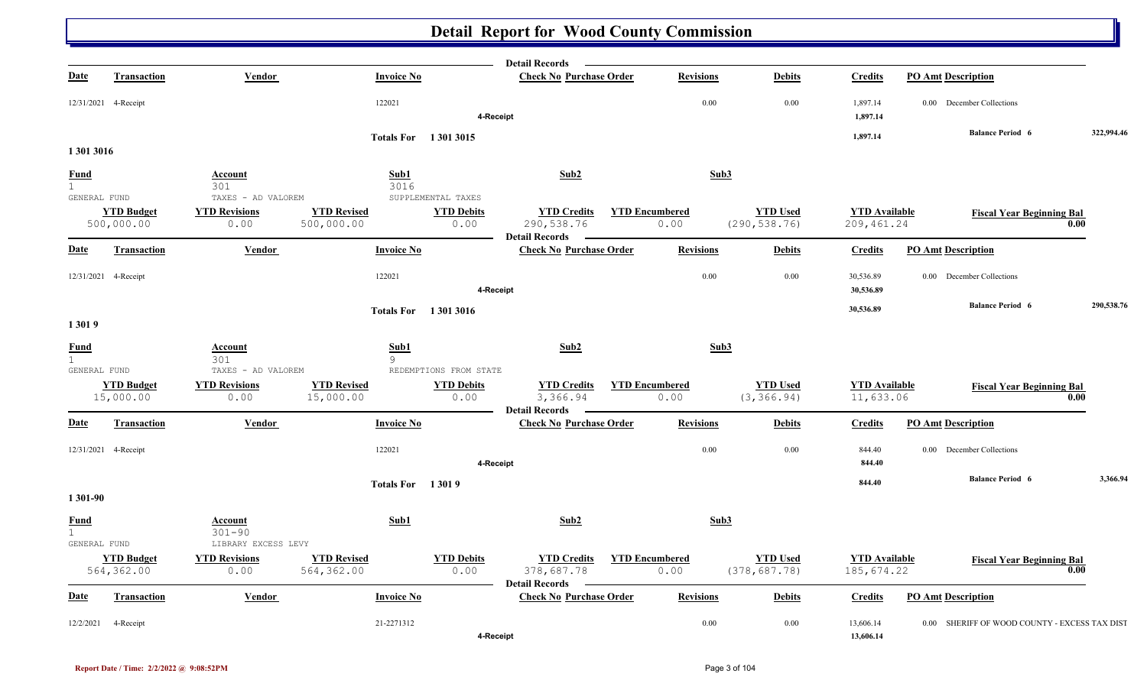|                                  |                                 |                                                     |                                  |                           | <b>Detail Records</b>                                     |                               |                  |                                  |                                     |                                               |            |
|----------------------------------|---------------------------------|-----------------------------------------------------|----------------------------------|---------------------------|-----------------------------------------------------------|-------------------------------|------------------|----------------------------------|-------------------------------------|-----------------------------------------------|------------|
| <b>Date</b>                      | <b>Transaction</b>              | Vendor                                              | <b>Invoice No</b>                |                           | <b>Check No Purchase Order</b>                            |                               | <b>Revisions</b> | <b>Debits</b>                    | <b>Credits</b>                      | <b>PO Amt Description</b>                     |            |
|                                  | 12/31/2021 4-Receipt            |                                                     | 122021                           | 4-Receipt                 |                                                           |                               | 0.00             | 0.00                             | 1,897.14<br>1,897.14                | 0.00 December Collections                     |            |
|                                  |                                 |                                                     | <b>Totals For</b> 1 301 3015     |                           |                                                           |                               |                  |                                  | 1,897.14                            | <b>Balance Period 6</b>                       | 322,994.46 |
| 1 301 3016                       |                                 |                                                     |                                  |                           |                                                           |                               |                  |                                  |                                     |                                               |            |
| <u>Fund</u><br>1<br>GENERAL FUND |                                 | Account<br>301<br>TAXES - AD VALOREM                | Sub1<br>3016                     | SUPPLEMENTAL TAXES        | Sub <sub>2</sub>                                          |                               | Sub3             |                                  |                                     |                                               |            |
|                                  | <b>YTD Budget</b><br>500,000.00 | <b>YTD Revisions</b><br>0.00                        | <b>YTD Revised</b><br>500,000.00 | <b>YTD Debits</b><br>0.00 | <b>YTD Credits</b><br>290, 538.76<br>Detail Records -     | <b>YTD Encumbered</b><br>0.00 |                  | <b>YTD Used</b><br>(290, 538.76) | <b>YTD Available</b><br>209, 461.24 | <b>Fiscal Year Beginning Bal</b>              | 0.00       |
| <b>Date</b>                      | <b>Transaction</b>              | Vendor                                              | <b>Invoice No</b>                |                           | <b>Check No Purchase Order</b>                            |                               | <b>Revisions</b> | <b>Debits</b>                    | <b>Credits</b>                      | <b>PO Amt Description</b>                     |            |
|                                  | 12/31/2021 4-Receipt            |                                                     | 122021                           | 4-Receipt                 |                                                           |                               | 0.00             | 0.00                             | 30,536.89<br>30,536.89              | 0.00 December Collections                     |            |
| 13019                            |                                 |                                                     | <b>Totals For</b> 13013016       |                           |                                                           |                               |                  |                                  | 30,536.89                           | <b>Balance Period 6</b>                       | 290,538.76 |
| <b>Fund</b>                      |                                 | Account                                             | Sub1                             |                           | Sub2                                                      |                               | Sub3             |                                  |                                     |                                               |            |
| $\overline{1}$<br>GENERAL FUND   |                                 | 301<br>TAXES - AD VALOREM                           | 9                                | REDEMPTIONS FROM STATE    |                                                           |                               |                  |                                  |                                     |                                               |            |
|                                  | <b>YTD Budget</b><br>15,000.00  | <b>YTD Revisions</b><br>0.00                        | <b>YTD Revised</b><br>15,000.00  | <b>YTD Debits</b><br>0.00 | <b>YTD Credits</b><br>3,366.94<br>Detail Records –        | <b>YTD Encumbered</b><br>0.00 |                  | <b>YTD Used</b><br>(3, 366.94)   | <b>YTD</b> Available<br>11,633.06   | <b>Fiscal Year Beginning Bal</b>              | 0.00       |
| Date                             | Transaction                     | Vendor                                              | <b>Invoice No</b>                |                           | <b>Check No Purchase Order</b>                            |                               | <b>Revisions</b> | <b>Debits</b>                    | <b>Credits</b>                      | <b>PO Amt Description</b>                     |            |
|                                  | 12/31/2021 4-Receipt            |                                                     | 122021                           | 4-Receipt                 |                                                           |                               | 0.00             | 0.00                             | 844.40<br>844.40                    | 0.00 December Collections                     |            |
| 1 301-90                         |                                 |                                                     | <b>Totals For</b> 13019          |                           |                                                           |                               |                  |                                  | 844.40                              | <b>Balance Period 6</b>                       | 3,366.94   |
| <b>Fund</b><br>1<br>GENERAL FUND |                                 | <b>Account</b><br>$301 - 90$<br>LIBRARY EXCESS LEVY | Sub1                             |                           | Sub2                                                      |                               | Sub3             |                                  |                                     |                                               |            |
|                                  | <b>YTD Budget</b><br>564,362.00 | <b>YTD Revisions</b><br>0.00                        | <b>YTD Revised</b><br>564,362.00 | <b>YTD Debits</b><br>0.00 | <b>YTD Credits</b><br>378,687.78<br><b>Detail Records</b> | <b>YTD Encumbered</b><br>0.00 |                  | <b>YTD Used</b><br>(378, 687.78) | <b>YTD</b> Available<br>185,674.22  | <b>Fiscal Year Beginning Bal</b>              | 0.00       |
| <b>Date</b>                      | <b>Transaction</b>              | <b>Vendor</b>                                       | <b>Invoice No</b>                |                           | <b>Check No Purchase Order</b>                            |                               | <b>Revisions</b> | <b>Debits</b>                    | <b>Credits</b>                      | <b>PO Amt Description</b>                     |            |
| 12/2/2021                        | 4-Receipt                       |                                                     | 21-2271312                       | 4-Receipt                 |                                                           |                               | 0.00             | 0.00                             | 13,606.14<br>13,606.14              | 0.00 SHERIFF OF WOOD COUNTY - EXCESS TAX DIST |            |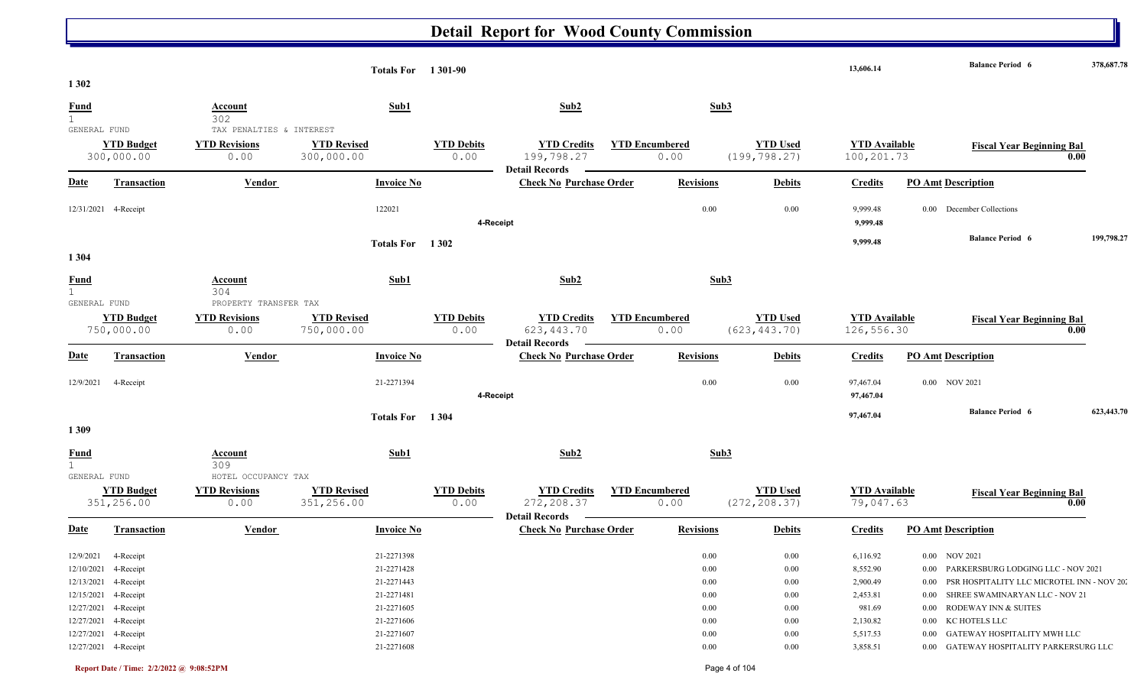|                   |                                 |                                                     | <b>Totals For</b> 1301-90        |                           |                                                            |                               |                  |                                  | 13,606.14                          | <b>Balance Period 6</b><br>378,687.78           |
|-------------------|---------------------------------|-----------------------------------------------------|----------------------------------|---------------------------|------------------------------------------------------------|-------------------------------|------------------|----------------------------------|------------------------------------|-------------------------------------------------|
| 1 3 0 2           |                                 |                                                     |                                  |                           |                                                            |                               |                  |                                  |                                    |                                                 |
| <b>Fund</b>       |                                 | <b>Account</b><br>302                               | Sub1                             |                           | Sub2                                                       |                               | Sub3             |                                  |                                    |                                                 |
| 1<br>GENERAL FUND |                                 | TAX PENALTIES & INTEREST                            |                                  |                           |                                                            |                               |                  |                                  |                                    |                                                 |
|                   | <b>YTD Budget</b><br>300,000.00 | <b>YTD Revisions</b><br>0.00                        | <b>YTD Revised</b><br>300,000.00 | <b>YTD Debits</b><br>0.00 | <b>YTD Credits</b><br>199,798.27                           | <b>YTD Encumbered</b><br>0.00 |                  | <b>YTD Used</b><br>(199, 798.27) | <b>YTD Available</b><br>100,201.73 | <b>Fiscal Year Beginning Bal</b><br>0.00        |
| <b>Date</b>       | <b>Transaction</b>              | <b>Vendor</b>                                       | <b>Invoice No</b>                |                           | <b>Detail Records</b><br><b>Check No Purchase Order</b>    |                               | <b>Revisions</b> | <b>Debits</b>                    | <b>Credits</b>                     | <b>PO Amt Description</b>                       |
|                   | 12/31/2021 4-Receipt            |                                                     | 122021                           | 4-Receipt                 |                                                            |                               | $0.00\,$         | 0.00                             | 9,999.48<br>9,999.48               | 0.00 December Collections                       |
|                   |                                 |                                                     | Totals For 1302                  |                           |                                                            |                               |                  |                                  | 9,999.48                           | <b>Balance Period 6</b><br>199,798.27           |
| 1 3 0 4           |                                 |                                                     |                                  |                           |                                                            |                               |                  |                                  |                                    |                                                 |
| <b>Fund</b><br>1  |                                 | Account<br>304                                      | Sub1                             |                           | Sub2                                                       |                               | Sub3             |                                  |                                    |                                                 |
| GENERAL FUND      |                                 | PROPERTY TRANSFER TAX                               |                                  |                           |                                                            |                               |                  |                                  |                                    |                                                 |
|                   | <b>YTD Budget</b><br>750,000.00 | <b>YTD Revisions</b><br>0.00                        | <b>YTD Revised</b><br>750,000.00 | <b>YTD Debits</b><br>0.00 | <b>YTD Credits</b><br>623, 443.70<br><b>Detail Records</b> | <b>YTD Encumbered</b><br>0.00 |                  | <b>YTD Used</b><br>(623, 443.70) | <b>YTD</b> Available<br>126,556.30 | <b>Fiscal Year Beginning Bal</b><br>0.00        |
| <b>Date</b>       | <b>Transaction</b>              | <b>Vendor</b>                                       | <b>Invoice No</b>                |                           | <b>Check No Purchase Order</b>                             |                               | <b>Revisions</b> | <b>Debits</b>                    | <b>Credits</b>                     | <b>PO Amt Description</b>                       |
| 12/9/2021         | 4-Receipt                       |                                                     | 21-2271394                       | 4-Receipt                 |                                                            |                               | 0.00             | 0.00                             | 97,467.04<br>97,467.04             | 0.00 NOV 2021                                   |
| 1309              |                                 |                                                     | Totals For 1304                  |                           |                                                            |                               |                  |                                  | 97,467.04                          | 623,443.70<br><b>Balance Period 6</b>           |
| <b>Fund</b><br>1  |                                 | <b>Account</b><br>309                               | Sub1                             |                           | Sub2                                                       |                               | Sub3             |                                  |                                    |                                                 |
| GENERAL FUND      | <b>YTD Budget</b><br>351,256.00 | HOTEL OCCUPANCY TAX<br><b>YTD Revisions</b><br>0.00 | <b>YTD Revised</b><br>351,256.00 | <b>YTD Debits</b><br>0.00 | <b>YTD Credits</b><br>272, 208.37<br><b>Detail Records</b> | <b>YTD</b> Encumbered<br>0.00 |                  | <b>YTD Used</b><br>(272, 208.37) | <b>YTD Available</b><br>79,047.63  | <b>Fiscal Year Beginning Bal</b><br>0.00        |
| Date              | Transaction                     | <b>Vendor</b>                                       | <b>Invoice No</b>                |                           | <b>Check No Purchase Order</b>                             |                               | <b>Revisions</b> | <b>Debits</b>                    | <b>Credits</b>                     | <b>PO Amt Description</b>                       |
|                   | 12/9/2021 4-Receipt             |                                                     | 21-2271398                       |                           |                                                            |                               | $0.00\,$         | $0.00\,$                         | 6,116.92                           | 0.00 NOV 2021                                   |
|                   | 12/10/2021 4-Receipt            |                                                     | 21-2271428                       |                           |                                                            |                               | $0.00\,$         | $0.00\,$                         | 8,552.90                           | 0.00 PARKERSBURG LODGING LLC - NOV 2021         |
|                   | 12/13/2021 4-Receipt            |                                                     | 21-2271443                       |                           |                                                            |                               | $0.00\,$         | 0.00                             | 2,900.49                           | 0.00 PSR HOSPITALITY LLC MICROTEL INN - NOV 20. |
|                   | 12/15/2021 4-Receipt            |                                                     | 21-2271481                       |                           |                                                            |                               | $0.00\,$         | 0.00                             | 2,453.81                           | 0.00 SHREE SWAMINARYAN LLC - NOV 21             |
|                   | 12/27/2021 4-Receipt            |                                                     | 21-2271605                       |                           |                                                            |                               | $0.00\,$         | $0.00\,$                         | 981.69                             | 0.00 RODEWAY INN & SUITES                       |
|                   | 12/27/2021 4-Receipt            |                                                     | 21-2271606                       |                           |                                                            |                               | $0.00\,$         | $0.00\,$                         | 2,130.82                           | 0.00 KC HOTELS LLC                              |
|                   | 12/27/2021 4-Receipt            |                                                     | 21-2271607                       |                           |                                                            |                               | 0.00             | 0.00                             | 5,517.53                           | 0.00 GATEWAY HOSPITALITY MWH LLC                |
|                   | 12/27/2021 4-Receipt            |                                                     | 21-2271608                       |                           |                                                            |                               | $0.00\,$         | $0.00\,$                         | 3,858.51                           | 0.00 GATEWAY HOSPITALITY PARKERSURG LLC         |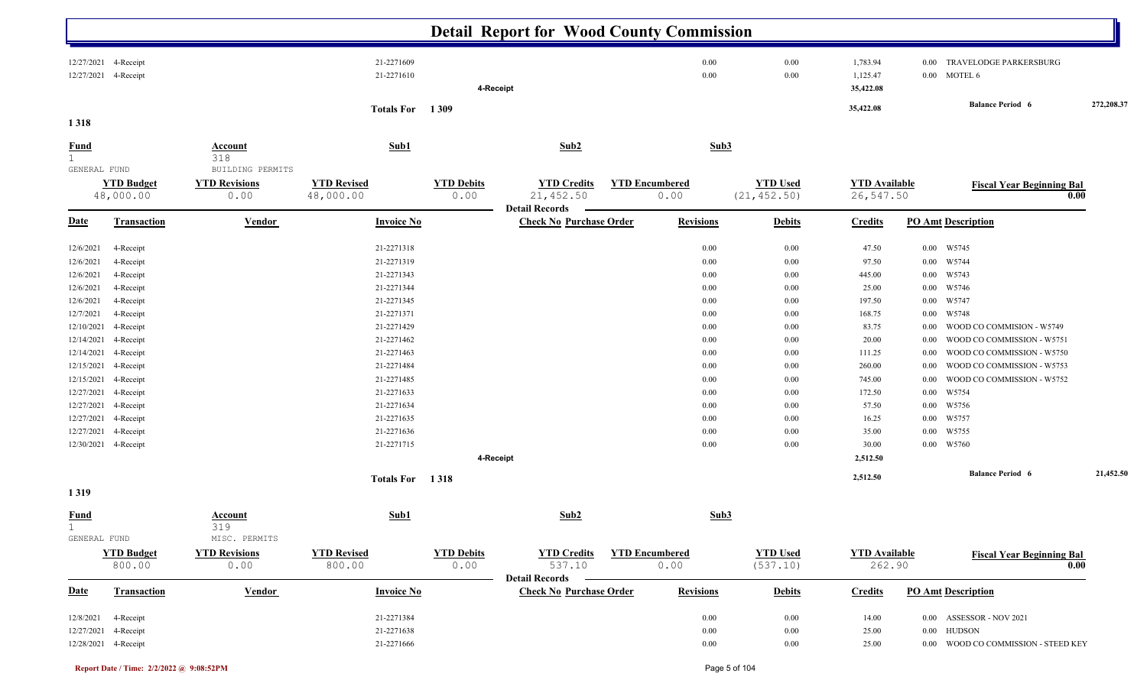|                                                                                                                                                                                                          |                                                                                                                                                                                                                         |                                                  |                                                                                                                                                                                                                              |                           | <b>Detail Report for Wood County Commission</b>         |                               |                                                                                                                              |                                                                                                                                  |                                                                                                                                                                             |                                                                                                                                              |                                                                                                                                                                                                                                                                                      |            |
|----------------------------------------------------------------------------------------------------------------------------------------------------------------------------------------------------------|-------------------------------------------------------------------------------------------------------------------------------------------------------------------------------------------------------------------------|--------------------------------------------------|------------------------------------------------------------------------------------------------------------------------------------------------------------------------------------------------------------------------------|---------------------------|---------------------------------------------------------|-------------------------------|------------------------------------------------------------------------------------------------------------------------------|----------------------------------------------------------------------------------------------------------------------------------|-----------------------------------------------------------------------------------------------------------------------------------------------------------------------------|----------------------------------------------------------------------------------------------------------------------------------------------|--------------------------------------------------------------------------------------------------------------------------------------------------------------------------------------------------------------------------------------------------------------------------------------|------------|
|                                                                                                                                                                                                          | 12/27/2021 4-Receipt<br>12/27/2021 4-Receipt                                                                                                                                                                            |                                                  | 21-2271609<br>21-2271610                                                                                                                                                                                                     |                           | 4-Receipt                                               |                               | 0.00<br>0.00                                                                                                                 | 0.00<br>0.00                                                                                                                     | 1,783.94<br>1,125.47<br>35,422.08                                                                                                                                           | 0.00<br>0.00                                                                                                                                 | TRAVELODGE PARKERSBURG<br><b>MOTEL 6</b>                                                                                                                                                                                                                                             |            |
| 1318                                                                                                                                                                                                     |                                                                                                                                                                                                                         |                                                  | Totals For 1309                                                                                                                                                                                                              |                           |                                                         |                               |                                                                                                                              |                                                                                                                                  | 35,422.08                                                                                                                                                                   |                                                                                                                                              | <b>Balance Period 6</b>                                                                                                                                                                                                                                                              | 272,208.37 |
| <b>Fund</b><br>$\mathbf 1$                                                                                                                                                                               |                                                                                                                                                                                                                         | <b>Account</b><br>318                            | Sub1                                                                                                                                                                                                                         |                           | Sub2                                                    |                               | Sub3                                                                                                                         |                                                                                                                                  |                                                                                                                                                                             |                                                                                                                                              |                                                                                                                                                                                                                                                                                      |            |
| GENERAL FUND                                                                                                                                                                                             | <b>YTD Budget</b><br>48,000.00                                                                                                                                                                                          | BUILDING PERMITS<br><b>YTD Revisions</b><br>0.00 | <b>YTD Revised</b><br>48,000.00                                                                                                                                                                                              | <b>YTD Debits</b><br>0.00 | <b>YTD Credits</b><br>21,452.50                         | <b>YTD Encumbered</b><br>0.00 |                                                                                                                              | <b>YTD Used</b><br>(21, 452.50)                                                                                                  | <b>YTD</b> Available<br>26,547.50                                                                                                                                           |                                                                                                                                              | <b>Fiscal Year Beginning Bal</b><br>0.00                                                                                                                                                                                                                                             |            |
| <b>Date</b>                                                                                                                                                                                              | <b>Transaction</b>                                                                                                                                                                                                      | Vendor                                           | <b>Invoice No</b>                                                                                                                                                                                                            |                           | <b>Detail Records</b><br><b>Check No Purchase Order</b> |                               | <b>Revisions</b>                                                                                                             | <b>Debits</b>                                                                                                                    | <b>Credits</b>                                                                                                                                                              |                                                                                                                                              | <b>PO Amt Description</b>                                                                                                                                                                                                                                                            |            |
| 12/6/2021<br>12/6/2021<br>12/6/2021<br>12/6/2021<br>12/6/2021<br>12/7/2021<br>12/10/2021<br>12/14/2021<br>12/14/2021<br>12/15/2021<br>12/15/2021<br>12/27/2021<br>12/27/2021<br>12/27/2021<br>12/27/2021 | 4-Receipt<br>4-Receipt<br>4-Receipt<br>4-Receipt<br>4-Receipt<br>4-Receipt<br>4-Receipt<br>4-Receipt<br>4-Receipt<br>4-Receipt<br>4-Receipt<br>4-Receipt<br>4-Receipt<br>4-Receipt<br>4-Receipt<br>12/30/2021 4-Receipt |                                                  | 21-2271318<br>21-2271319<br>21-2271343<br>21-2271344<br>21-2271345<br>21-2271371<br>21-2271429<br>21-2271462<br>21-2271463<br>21-2271484<br>21-2271485<br>21-2271633<br>21-2271634<br>21-2271635<br>21-2271636<br>21-2271715 |                           | 4-Receipt                                               |                               | 0.00<br>0.00<br>0.00<br>0.00<br>0.00<br>0.00<br>0.00<br>0.00<br>0.00<br>0.00<br>0.00<br>0.00<br>0.00<br>0.00<br>0.00<br>0.00 | 0.00<br>0.00<br>0.00<br>0.00<br>0.00<br>0.00<br>0.00<br>$0.00\,$<br>0.00<br>0.00<br>0.00<br>0.00<br>0.00<br>0.00<br>0.00<br>0.00 | 47.50<br>97.50<br>445.00<br>25.00<br>197.50<br>168.75<br>83.75<br>20.00<br>111.25<br>260.00<br>745.00<br>172.50<br>57.50<br>16.25<br>35.00<br>30.00<br>2,512.50<br>2,512.50 | 0.00<br>$0.00\,$<br>$0.00\,$<br>$0.00\,$<br>0.00<br>0.00<br>0.00<br>0.00<br>0.00<br>0.00<br>0.00<br>0.00<br>$0.00\,$<br>$0.00\,$<br>$0.00\,$ | W5745<br>W5744<br>W5743<br>W5746<br>W5747<br>W5748<br>WOOD CO COMMISION - W5749<br>WOOD CO COMMISSION - W5751<br>WOOD CO COMMISSION - W5750<br>WOOD CO COMMISSION - W5753<br>WOOD CO COMMISSION - W5752<br>W5754<br>W5756<br>W5757<br>W5755<br>0.00 W5760<br><b>Balance Period 6</b> | 21,452.50  |
| 1319                                                                                                                                                                                                     |                                                                                                                                                                                                                         |                                                  | Totals For 1318                                                                                                                                                                                                              |                           |                                                         |                               |                                                                                                                              |                                                                                                                                  |                                                                                                                                                                             |                                                                                                                                              |                                                                                                                                                                                                                                                                                      |            |
| Fund<br>1.<br>GENERAL FUND                                                                                                                                                                               |                                                                                                                                                                                                                         | Account<br>319<br>MISC. PERMITS                  | Sub1                                                                                                                                                                                                                         |                           | Sub2                                                    |                               | Sub3                                                                                                                         |                                                                                                                                  |                                                                                                                                                                             |                                                                                                                                              |                                                                                                                                                                                                                                                                                      |            |
|                                                                                                                                                                                                          | <b>YTD Budget</b><br>800.00                                                                                                                                                                                             | <b>YTD Revisions</b><br>0.00                     | <b>YTD Revised</b><br>800.00                                                                                                                                                                                                 | <b>YTD Debits</b><br>0.00 | <b>YTD Credits</b><br>537.10                            | <b>YTD Encumbered</b><br>0.00 |                                                                                                                              | <b>YTD Used</b><br>(537.10)                                                                                                      | <b>YTD</b> Available<br>262.90                                                                                                                                              |                                                                                                                                              | <b>Fiscal Year Beginning Bal</b><br>0.00                                                                                                                                                                                                                                             |            |
| <b>Date</b>                                                                                                                                                                                              | <b>Transaction</b>                                                                                                                                                                                                      | <b>Vendor</b>                                    | <b>Invoice No</b>                                                                                                                                                                                                            |                           | <b>Detail Records</b><br><b>Check No Purchase Order</b> |                               | <b>Revisions</b>                                                                                                             | <b>Debits</b>                                                                                                                    | <b>Credits</b>                                                                                                                                                              |                                                                                                                                              | <b>PO Amt Description</b>                                                                                                                                                                                                                                                            |            |
|                                                                                                                                                                                                          | 12/8/2021 4-Receipt<br>12/27/2021 4-Receipt<br>12/28/2021 4-Receipt                                                                                                                                                     |                                                  | 21-2271384<br>21-2271638<br>21-2271666                                                                                                                                                                                       |                           |                                                         |                               | 0.00<br>0.00<br>0.00                                                                                                         | 0.00<br>0.00<br>$0.00\,$                                                                                                         | 14.00<br>25.00<br>25.00                                                                                                                                                     | 0.00                                                                                                                                         | 0.00 ASSESSOR - NOV 2021<br><b>HUDSON</b><br>0.00 WOOD CO COMMISSION - STEED KEY                                                                                                                                                                                                     |            |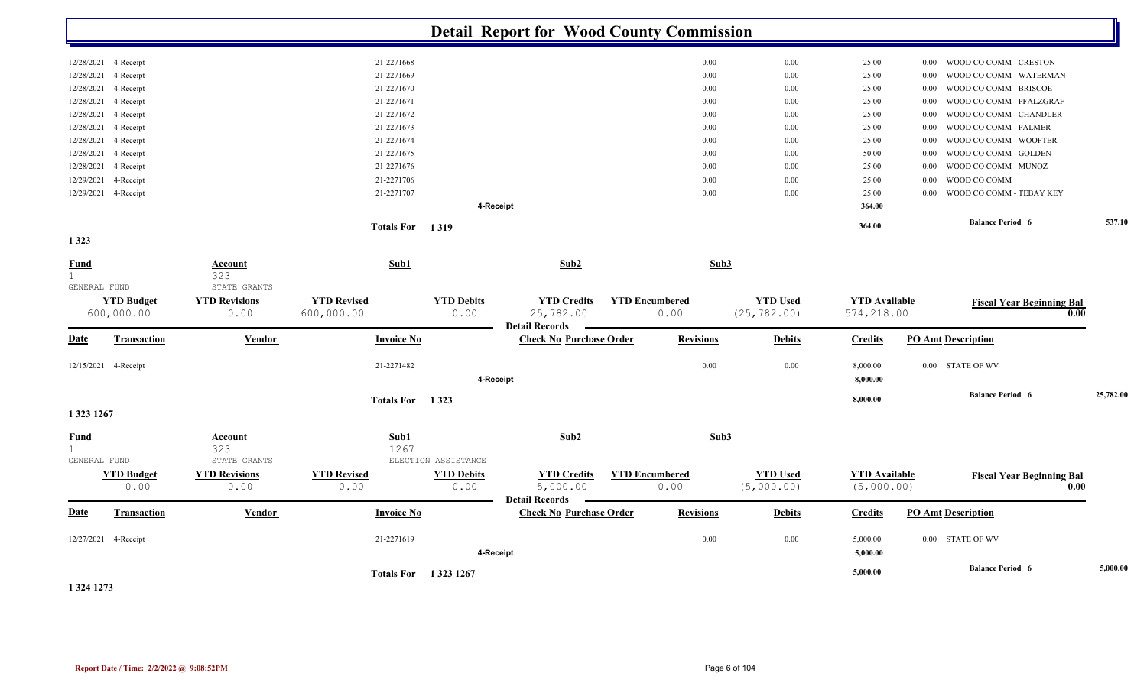|                             |                                 |                              |                                  |                           | <b>Detail Report for Wood County Commission</b>         |                               |                                 |                                    |      |                                          |           |
|-----------------------------|---------------------------------|------------------------------|----------------------------------|---------------------------|---------------------------------------------------------|-------------------------------|---------------------------------|------------------------------------|------|------------------------------------------|-----------|
| 12/28/2021                  | 4-Receipt                       |                              | 21-2271668                       |                           |                                                         | 0.00                          | $0.00\,$                        | 25.00                              | 0.00 | WOOD CO COMM - CRESTON                   |           |
| 12/28/2021                  | 4-Receipt                       |                              | 21-2271669                       |                           |                                                         | 0.00                          | 0.00                            | 25.00                              | 0.00 | WOOD CO COMM - WATERMAN                  |           |
| 12/28/2021                  | 4-Receipt                       |                              | 21-2271670                       |                           |                                                         | 0.00                          | 0.00                            | 25.00                              | 0.00 | WOOD CO COMM - BRISCOE                   |           |
| 12/28/2021                  | 4-Receipt                       |                              | 21-2271671                       |                           |                                                         | 0.00                          | 0.00                            | 25.00                              | 0.00 | WOOD CO COMM - PFALZGRAF                 |           |
| 12/28/2021                  | 4-Receipt                       |                              | 21-2271672                       |                           |                                                         | 0.00                          | 0.00                            | 25.00                              | 0.00 | WOOD CO COMM - CHANDLER                  |           |
| 12/28/2021                  | 4-Receipt                       |                              | 21-2271673                       |                           |                                                         | 0.00                          | 0.00                            | 25.00                              | 0.00 | WOOD CO COMM - PALMER                    |           |
| 12/28/2021                  | 4-Receipt                       |                              | 21-2271674                       |                           |                                                         | 0.00                          | 0.00                            | 25.00                              | 0.00 | WOOD CO COMM - WOOFTER                   |           |
| 12/28/2021                  | 4-Receipt                       |                              | 21-2271675                       |                           |                                                         | 0.00                          | 0.00                            | 50.00                              | 0.00 | WOOD CO COMM - GOLDEN                    |           |
| 12/28/2021                  | 4-Receipt                       |                              | 21-2271676                       |                           |                                                         | 0.00                          | 0.00                            | 25.00                              | 0.00 | WOOD CO COMM - MUNOZ                     |           |
| 12/29/2021                  | 4-Receipt                       |                              | 21-2271706                       |                           |                                                         | 0.00                          | 0.00                            | 25.00                              | 0.00 | WOOD CO COMM                             |           |
|                             | 12/29/2021 4-Receipt            |                              | 21-2271707                       |                           |                                                         | 0.00                          | 0.00                            | 25.00                              | 0.00 | WOOD CO COMM - TEBAY KEY                 |           |
|                             |                                 |                              |                                  |                           | 4-Receipt                                               |                               |                                 | 364.00                             |      |                                          |           |
|                             |                                 |                              | Totals For 1319                  |                           |                                                         |                               |                                 | 364.00                             |      | <b>Balance Period 6</b>                  | 537.10    |
| 1323                        |                                 |                              |                                  |                           |                                                         |                               |                                 |                                    |      |                                          |           |
| <b>Fund</b><br>$\mathbf{1}$ |                                 | <b>Account</b><br>323        | Sub1                             |                           | Sub2                                                    | Sub3                          |                                 |                                    |      |                                          |           |
| GENERAL FUND                |                                 | STATE GRANTS                 |                                  |                           |                                                         |                               |                                 |                                    |      |                                          |           |
|                             | <b>YTD Budget</b><br>600,000.00 | <b>YTD Revisions</b><br>0.00 | <b>YTD Revised</b><br>600,000.00 | <b>YTD Debits</b><br>0.00 | <b>YTD Credits</b><br>25,782.00                         | <b>YTD Encumbered</b><br>0.00 | <b>YTD Used</b><br>(25, 782.00) | <b>YTD</b> Available<br>574,218.00 |      | <b>Fiscal Year Beginning Bal</b><br>0.00 |           |
|                             |                                 |                              |                                  |                           | <b>Detail Records</b>                                   |                               |                                 |                                    |      |                                          |           |
| <b>Date</b>                 | <b>Transaction</b>              | Vendor                       | <b>Invoice No</b>                |                           | <b>Check No Purchase Order</b>                          | <b>Revisions</b>              | <b>Debits</b>                   | <b>Credits</b>                     |      | <b>PO Amt Description</b>                |           |
|                             | 12/15/2021 4-Receipt            |                              | 21-2271482                       |                           |                                                         | 0.00                          | $0.00\,$                        | 8,000.00                           |      | 0.00 STATE OF WV                         |           |
|                             |                                 |                              |                                  |                           | 4-Receipt                                               |                               |                                 | 8,000.00                           |      |                                          |           |
|                             |                                 |                              | Totals For 1323                  |                           |                                                         |                               |                                 | 8,000.00                           |      | <b>Balance Period 6</b>                  | 25,782.00 |
| 1 323 1267                  |                                 |                              |                                  |                           |                                                         |                               |                                 |                                    |      |                                          |           |
| <b>Fund</b>                 |                                 | Account                      | Sub1                             |                           | Sub2                                                    | Sub3                          |                                 |                                    |      |                                          |           |
| $\mathbf{1}$                |                                 | 323                          | 1267                             |                           |                                                         |                               |                                 |                                    |      |                                          |           |
| GENERAL FUND                |                                 | STATE GRANTS                 |                                  | ELECTION ASSISTANCE       |                                                         |                               |                                 |                                    |      |                                          |           |
|                             | <b>YTD Budget</b><br>0.00       | <b>YTD Revisions</b><br>0.00 | <b>YTD Revised</b><br>0.00       | <b>YTD Debits</b><br>0.00 | <b>YTD Credits</b><br>5,000.00                          | <b>YTD Encumbered</b><br>0.00 | <b>YTD Used</b><br>(5,000.00)   | <b>YTD Available</b><br>(5,000.00) |      | <b>Fiscal Year Beginning Bal</b><br>0.00 |           |
| <b>Date</b>                 | Transaction                     | Vendor                       | <b>Invoice No</b>                |                           | <b>Detail Records</b><br><b>Check No Purchase Order</b> | <b>Revisions</b>              | <b>Debits</b>                   | <b>Credits</b>                     |      | <b>PO Amt Description</b>                |           |
|                             |                                 |                              |                                  |                           |                                                         |                               |                                 |                                    |      |                                          |           |
|                             | 12/27/2021 4-Receipt            |                              | 21-2271619                       |                           |                                                         | 0.00                          | 0.00                            | 5,000.00                           |      | 0.00 STATE OF WV                         |           |
|                             |                                 |                              |                                  |                           | 4-Receipt                                               |                               |                                 | 5,000.00                           |      |                                          |           |
|                             |                                 |                              |                                  | Totals For 1323 1267      |                                                         |                               |                                 | 5,000.00                           |      | <b>Balance Period 6</b>                  | 5,000.00  |
|                             |                                 |                              |                                  |                           |                                                         |                               |                                 |                                    |      |                                          |           |

**1 324 1273**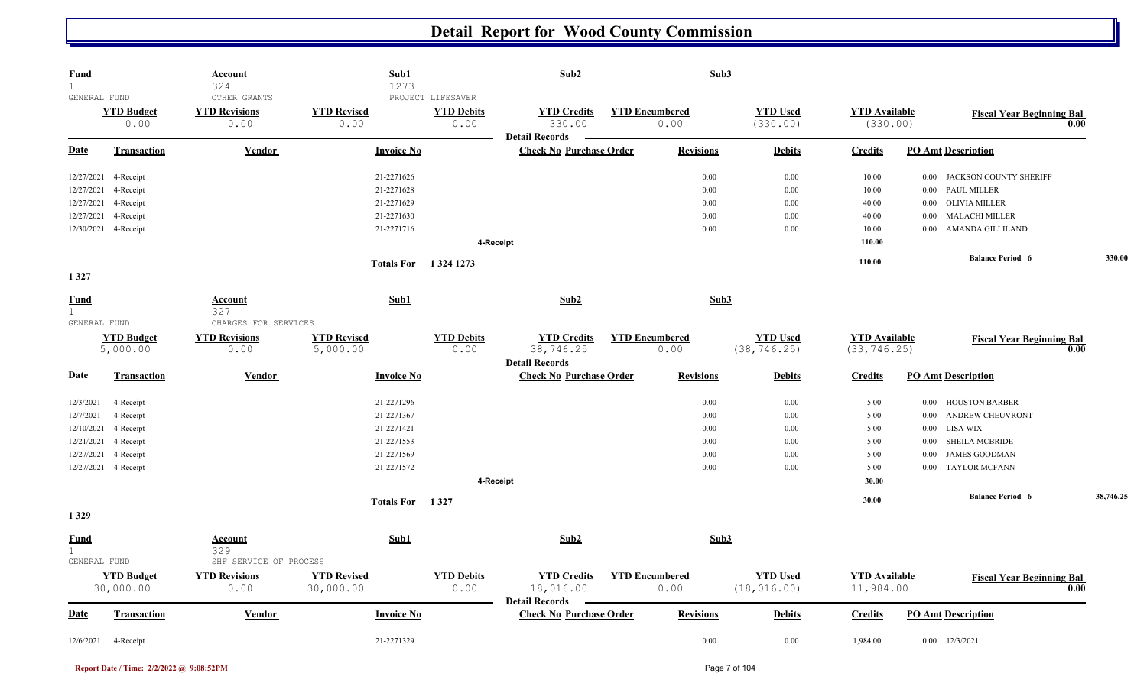| <b>Fund</b><br>$\mathbf{1}$      |                                | <b>Account</b><br>324                         | Sub1<br>1273                    |                                                | Sub2                                                    |                               | Sub3             |                                 |                                   |                                  |           |  |
|----------------------------------|--------------------------------|-----------------------------------------------|---------------------------------|------------------------------------------------|---------------------------------------------------------|-------------------------------|------------------|---------------------------------|-----------------------------------|----------------------------------|-----------|--|
| GENERAL FUND                     | <b>YTD Budget</b><br>0.00      | OTHER GRANTS<br><b>YTD Revisions</b><br>0.00  | <b>YTD Revised</b><br>0.00      | PROJECT LIFESAVER<br><b>YTD Debits</b><br>0.00 | <b>YTD Credits</b><br>330.00                            | <b>YTD Encumbered</b><br>0.00 |                  | <b>YTD Used</b><br>(330.00)     | <b>YTD Available</b><br>(330.00)  | <b>Fiscal Year Beginning Bal</b> | 0.00      |  |
| Date                             | <b>Transaction</b>             | <b>Vendor</b>                                 | <b>Invoice No</b>               |                                                | <b>Detail Records</b><br><b>Check No Purchase Order</b> |                               | <b>Revisions</b> | <b>Debits</b>                   | <b>Credits</b>                    | <b>PO Amt Description</b>        |           |  |
| 12/27/2021                       | 4-Receipt                      |                                               | 21-2271626                      |                                                |                                                         |                               | 0.00             | 0.00                            | 10.00                             | 0.00 JACKSON COUNTY SHERIFF      |           |  |
| 12/27/2021                       | 4-Receipt                      |                                               | 21-2271628                      |                                                |                                                         |                               | 0.00             | 0.00                            | 10.00                             | <b>PAUL MILLER</b><br>$0.00\,$   |           |  |
| 12/27/2021                       | 4-Receipt                      |                                               | 21-2271629                      |                                                |                                                         |                               | 0.00             | 0.00                            | 40.00                             | OLIVIA MILLER<br>$0.00\,$        |           |  |
| 12/27/2021                       | 4-Receipt                      |                                               | 21-2271630                      |                                                |                                                         |                               | 0.00             | 0.00                            | 40.00                             | MALACHI MILLER<br>$0.00\,$       |           |  |
|                                  | 12/30/2021 4-Receipt           |                                               | 21-2271716                      |                                                |                                                         |                               | 0.00             | 0.00                            | 10.00                             | 0.00 AMANDA GILLILAND            |           |  |
|                                  |                                |                                               |                                 | 4-Receipt                                      |                                                         |                               |                  |                                 | 110.00                            |                                  |           |  |
|                                  |                                |                                               | Totals For 1324 1273            |                                                |                                                         |                               |                  |                                 | 110.00                            | <b>Balance Period 6</b>          | 330.00    |  |
| 1327                             |                                |                                               |                                 |                                                |                                                         |                               |                  |                                 |                                   |                                  |           |  |
| <b>Fund</b><br>1<br>GENERAL FUND |                                | <b>Account</b><br>327<br>CHARGES FOR SERVICES | Sub1                            |                                                | Sub2                                                    |                               | Sub3             |                                 |                                   |                                  |           |  |
|                                  | <b>YTD Budget</b>              | <b>YTD Revisions</b>                          | <b>YTD Revised</b>              | <b>YTD Debits</b>                              | <b>YTD Credits</b>                                      | <b>YTD Encumbered</b>         |                  | <b>YTD Used</b>                 | <b>YTD</b> Available              |                                  |           |  |
|                                  | 5,000.00                       | 0.00                                          | 5,000.00                        | 0.00                                           | 38,746.25<br><b>Detail Records</b>                      | 0.00                          |                  | (38, 746.25)                    | (33, 746.25)                      | <b>Fiscal Year Beginning Bal</b> | 0.00      |  |
| Date                             | <b>Transaction</b>             | Vendor                                        | <b>Invoice No</b>               |                                                | <b>Check No Purchase Order</b>                          |                               | <b>Revisions</b> | <b>Debits</b>                   | <b>Credits</b>                    | <b>PO Amt Description</b>        |           |  |
| 12/3/2021                        | 4-Receipt                      |                                               | 21-2271296                      |                                                |                                                         |                               | 0.00             | 0.00                            | 5.00                              | 0.00 HOUSTON BARBER              |           |  |
| 12/7/2021                        | 4-Receipt                      |                                               | 21-2271367                      |                                                |                                                         |                               | 0.00             | 0.00                            | 5.00                              | <b>ANDREW CHEUVRONT</b><br>0.00  |           |  |
| 12/10/2021                       | 4-Receipt                      |                                               | 21-2271421                      |                                                |                                                         |                               | 0.00             | 0.00                            | 5.00                              | LISA WIX<br>0.00                 |           |  |
| 12/21/2021                       | 4-Receipt                      |                                               | 21-2271553                      |                                                |                                                         |                               | 0.00             | 0.00                            | 5.00                              | SHEILA MCBRIDE<br>$0.00\,$       |           |  |
| 12/27/2021                       | 4-Receipt                      |                                               | 21-2271569                      |                                                |                                                         |                               | 0.00             | 0.00                            | 5.00                              | <b>JAMES GOODMAN</b><br>0.00     |           |  |
|                                  | 12/27/2021 4-Receipt           |                                               | 21-2271572                      |                                                |                                                         |                               | 0.00             | 0.00                            | 5.00                              | <b>TAYLOR MCFANN</b><br>0.00     |           |  |
|                                  |                                |                                               |                                 |                                                | 4-Receipt                                               |                               |                  |                                 | 30.00                             |                                  |           |  |
|                                  |                                |                                               | Totals For 1327                 |                                                |                                                         |                               |                  |                                 | 30.00                             | <b>Balance Period 6</b>          | 38,746.25 |  |
| 1329                             |                                |                                               |                                 |                                                |                                                         |                               |                  |                                 |                                   |                                  |           |  |
| <b>Fund</b><br>$\mathbf{1}$      |                                | Account<br>329                                | Sub1                            |                                                | Sub2                                                    |                               | Sub3             |                                 |                                   |                                  |           |  |
| GENERAL FUND                     |                                | SHF SERVICE OF PROCESS                        |                                 |                                                |                                                         |                               |                  |                                 |                                   |                                  |           |  |
|                                  | <b>YTD Budget</b><br>30,000.00 | <b>YTD Revisions</b><br>0.00                  | <b>YTD Revised</b><br>30,000.00 | <b>YTD Debits</b><br>0.00                      | <b>YTD Credits</b><br>18,016.00                         | <b>YTD Encumbered</b><br>0.00 |                  | <b>YTD Used</b><br>(18, 016.00) | <b>YTD</b> Available<br>11,984.00 | <b>Fiscal Year Beginning Bal</b> | 0.00      |  |
| <b>Date</b>                      | <b>Transaction</b>             | Vendor                                        | <b>Invoice No</b>               |                                                | <b>Detail Records</b><br><b>Check No Purchase Order</b> |                               | <b>Revisions</b> | <b>Debits</b>                   | <b>Credits</b>                    | <b>PO Amt Description</b>        |           |  |
|                                  | 12/6/2021 4-Receipt            |                                               | 21-2271329                      |                                                |                                                         |                               | 0.00             | 0.00                            | 1,984.00                          | $0.00$ $12/3/2021$               |           |  |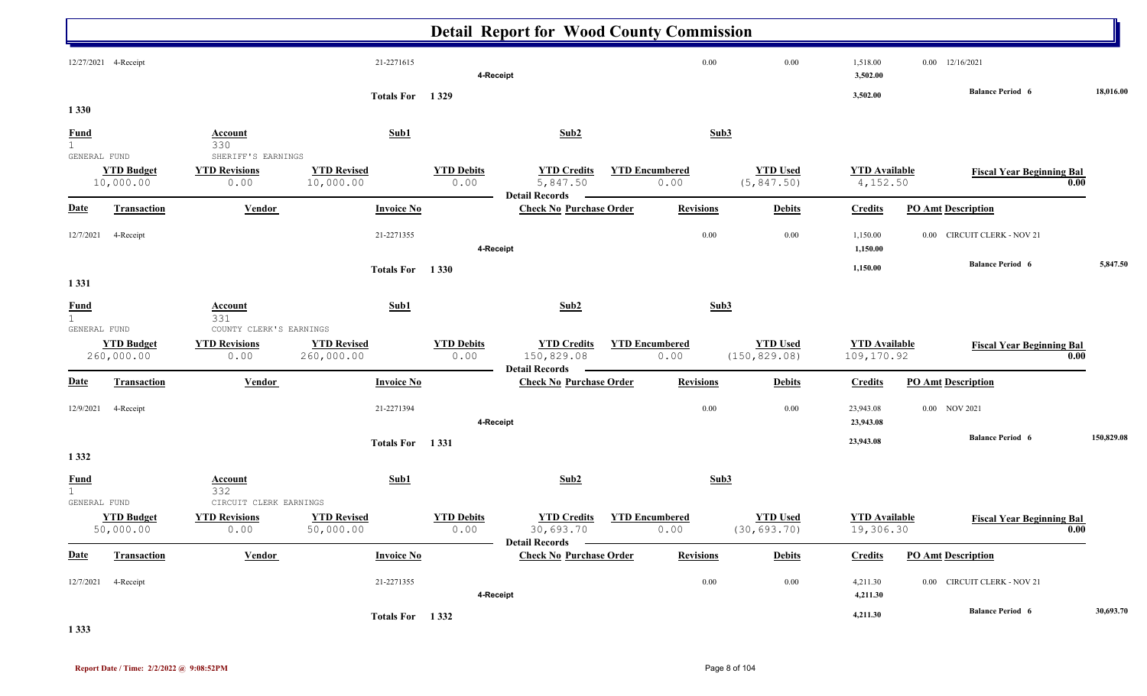|                                             |                                 |                                                                |                                  |                           | <b>Detail Report for Wood County Commission</b>           |                               |                  |                                  |                                    |                                       |            |
|---------------------------------------------|---------------------------------|----------------------------------------------------------------|----------------------------------|---------------------------|-----------------------------------------------------------|-------------------------------|------------------|----------------------------------|------------------------------------|---------------------------------------|------------|
|                                             | 12/27/2021 4-Receipt            |                                                                | 21-2271615                       |                           | 4-Receipt                                                 |                               | 0.00             | 0.00                             | 1,518.00<br>3,502.00               | 12/16/2021<br>0.00                    |            |
| 1 3 3 0                                     |                                 |                                                                | Totals For 1329                  |                           |                                                           |                               |                  |                                  | 3,502.00                           | <b>Balance Period 6</b>               | 18,016.00  |
| $rac{\text{Fund}}{1}$                       |                                 | <b>Account</b><br>330                                          | Sub1                             |                           | Sub2                                                      |                               | Sub <sub>3</sub> |                                  |                                    |                                       |            |
| GENERAL FUND                                | <b>YTD Budget</b><br>10,000.00  | SHERIFF'S EARNINGS<br><b>YTD Revisions</b><br>0.00             | <b>YTD Revised</b><br>10,000.00  | <b>YTD Debits</b><br>0.00 | <b>YTD Credits</b><br>5,847.50                            | <b>YTD Encumbered</b><br>0.00 |                  | <b>YTD Used</b><br>(5, 847.50)   | <b>YTD</b> Available<br>4,152.50   | <b>Fiscal Year Beginning Bal</b>      | 0.00       |
| <b>Date</b>                                 | <b>Transaction</b>              | <b>Vendor</b>                                                  | <b>Invoice No</b>                |                           | <b>Detail Records</b><br><b>Check No Purchase Order</b>   |                               | <b>Revisions</b> | <b>Debits</b>                    | <b>Credits</b>                     | <b>PO Amt Description</b>             |            |
| 12/7/2021                                   | 4-Receipt                       |                                                                | 21-2271355                       | 4-Receipt                 |                                                           |                               | $0.00\,$         | 0.00                             | 1,150.00<br>1,150.00               | <b>CIRCUIT CLERK - NOV 21</b><br>0.00 |            |
| 1 3 3 1                                     |                                 |                                                                | Totals For 1330                  |                           |                                                           |                               |                  |                                  | 1,150.00                           | <b>Balance Period 6</b>               | 5,847.50   |
| <b>Fund</b>                                 |                                 | <b>Account</b>                                                 | Sub1                             |                           | Sub2                                                      |                               | Sub3             |                                  |                                    |                                       |            |
| 1<br>GENERAL FUND                           | <b>YTD Budget</b><br>260,000.00 | 331<br>COUNTY CLERK'S EARNINGS<br><b>YTD Revisions</b><br>0.00 | <b>YTD Revised</b><br>260,000.00 | <b>YTD Debits</b><br>0.00 | <b>YTD Credits</b><br>150,829.08<br><b>Detail Records</b> | <b>YTD Encumbered</b><br>0.00 |                  | <b>YTD Used</b><br>(150, 829.08) | <b>YTD</b> Available<br>109,170.92 | <b>Fiscal Year Beginning Bal</b>      | 0.00       |
| <b>Date</b>                                 | <b>Transaction</b>              | <b>Vendor</b>                                                  | <b>Invoice No</b>                |                           | <b>Check No Purchase Order</b>                            |                               | <b>Revisions</b> | <b>Debits</b>                    | <b>Credits</b>                     | <b>PO Amt Description</b>             |            |
| 12/9/2021                                   | 4-Receipt                       |                                                                | 21-2271394                       |                           | 4-Receipt                                                 |                               | 0.00             | 0.00                             | 23,943.08<br>23,943.08             | 0.00 NOV 2021                         |            |
| 1 3 3 2                                     |                                 |                                                                | Totals For 1331                  |                           |                                                           |                               |                  |                                  | 23,943.08                          | <b>Balance Period 6</b>               | 150,829.08 |
| <b>Fund</b><br>$\mathbf{1}$<br>GENERAL FUND |                                 | <b>Account</b><br>332<br>CIRCUIT CLERK EARNINGS                | Sub1                             |                           | Sub2                                                      |                               | Sub3             |                                  |                                    |                                       |            |
|                                             | <b>YTD Budget</b><br>50,000.00  | <b>YTD Revisions</b><br>0.00                                   | <b>YTD Revised</b><br>50,000.00  | <b>YTD Debits</b><br>0.00 | <b>YTD Credits</b><br>30,693.70                           | <b>YTD Encumbered</b><br>0.00 |                  | <b>YTD Used</b><br>(30, 693.70)  | <b>YTD</b> Available<br>19,306.30  | <b>Fiscal Year Beginning Bal</b>      | 0.00       |
| <b>Date</b>                                 | <b>Transaction</b>              | <b>Vendor</b>                                                  | <b>Invoice No</b>                |                           | <b>Detail Records</b><br><b>Check No Purchase Order</b>   |                               | <b>Revisions</b> | <b>Debits</b>                    | <b>Credits</b>                     | <b>PO Amt Description</b>             |            |
|                                             | 12/7/2021 4-Receipt             |                                                                | 21-2271355                       | 4-Receipt                 |                                                           |                               | $0.00\,$         | 0.00                             | 4,211.30<br>4,211.30               | 0.00 CIRCUIT CLERK - NOV 21           |            |
|                                             |                                 |                                                                | Totals For 1332                  |                           |                                                           |                               |                  |                                  | 4,211.30                           | <b>Balance Period 6</b>               | 30,693.70  |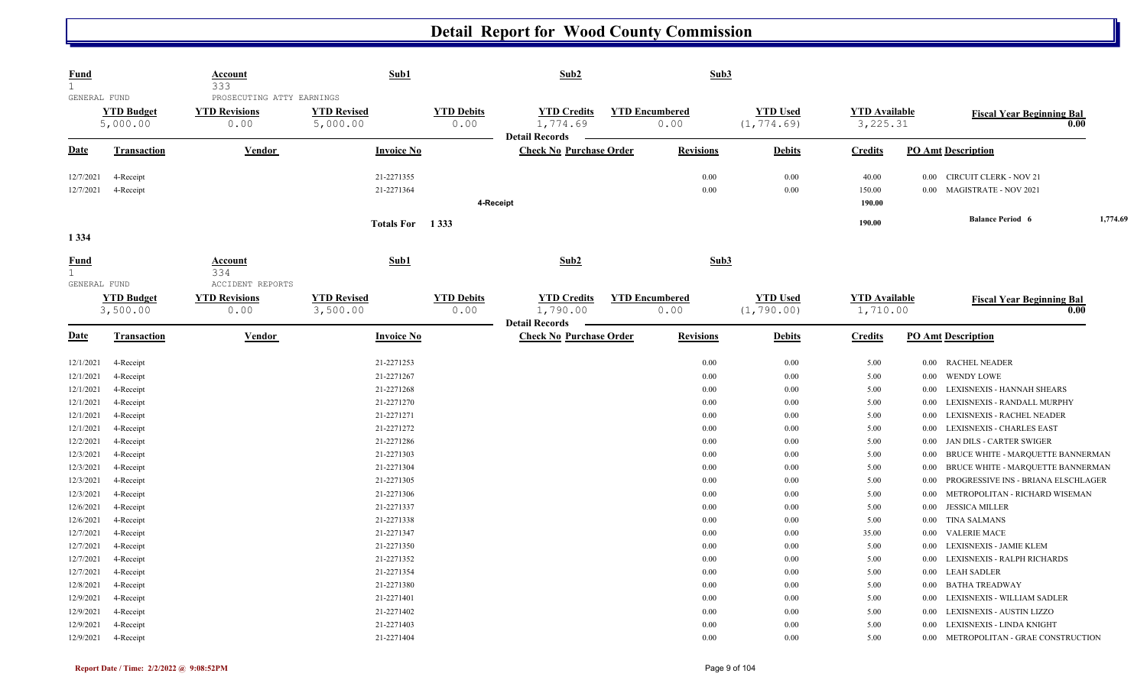| <u>Fund</u><br>$\mathbf{1}$          |                                     | <b>Account</b><br>333                                     | Sub1                                   |                           | Sub2                                                    |                       | Sub3                 |                                |                                  |                      |                                                                                                    |          |
|--------------------------------------|-------------------------------------|-----------------------------------------------------------|----------------------------------------|---------------------------|---------------------------------------------------------|-----------------------|----------------------|--------------------------------|----------------------------------|----------------------|----------------------------------------------------------------------------------------------------|----------|
| GENERAL FUND                         | <b>YTD Budget</b><br>5,000.00       | PROSECUTING ATTY EARNINGS<br><b>YTD Revisions</b><br>0.00 | <b>YTD Revised</b><br>5,000.00         | <b>YTD Debits</b><br>0.00 | <b>YTD Credits</b><br>1,774.69                          | <b>YTD Encumbered</b> | 0.00                 | <b>YTD Used</b><br>(1, 774.69) | <b>YTD Available</b><br>3,225.31 |                      | <b>Fiscal Year Beginning Bal</b>                                                                   | 0.00     |
| Date                                 | Transaction                         | Vendor                                                    | <b>Invoice No</b>                      |                           | <b>Detail Records</b><br><b>Check No Purchase Order</b> |                       | <b>Revisions</b>     | <b>Debits</b>                  | <b>Credits</b>                   |                      | <b>PO Amt Description</b>                                                                          |          |
| 12/7/2021<br>12/7/2021               | 4-Receipt<br>4-Receipt              |                                                           | 21-2271355<br>21-2271364               | 4-Receipt                 |                                                         |                       | 0.00<br>0.00         | $0.00\,$<br>0.00               | 40.00<br>150.00<br>190.00        | 0.00<br>0.00         | <b>CIRCUIT CLERK - NOV 21</b><br><b>MAGISTRATE - NOV 2021</b>                                      |          |
| 1 3 3 4                              |                                     |                                                           | Totals For 1333                        |                           |                                                         |                       |                      |                                | 190.00                           |                      | <b>Balance Period 6</b>                                                                            | 1,774.69 |
| Fund<br>$\mathbf{1}$<br>GENERAL FUND |                                     | Account<br>334<br>ACCIDENT REPORTS                        | Sub1                                   |                           | Sub2                                                    |                       | Sub3                 |                                |                                  |                      |                                                                                                    |          |
|                                      | <b>YTD Budget</b><br>3,500.00       | <b>YTD Revisions</b><br>0.00                              | <b>YTD Revised</b><br>3,500.00         | <b>YTD Debits</b><br>0.00 | <b>YTD Credits</b><br>1,790.00<br><b>Detail Records</b> | <b>YTD Encumbered</b> | 0.00                 | <b>YTD Used</b><br>(1, 790.00) | <b>YTD</b> Available<br>1,710.00 |                      | <b>Fiscal Year Beginning Bal</b>                                                                   | 0.00     |
| <b>Date</b>                          | <b>Transaction</b>                  | <b>Vendor</b>                                             | <b>Invoice No</b>                      |                           | <b>Check No Purchase Order</b>                          |                       | <b>Revisions</b>     | <b>Debits</b>                  | <b>Credits</b>                   |                      | <b>PO Amt Description</b>                                                                          |          |
| 12/1/2021<br>12/1/2021               | 4-Receipt<br>4-Receipt              |                                                           | 21-2271253<br>21-2271267               |                           |                                                         |                       | 0.00<br>0.00         | 0.00<br>$0.00\,$               | 5.00<br>5.00                     | $0.00\,$<br>$0.00\,$ | <b>RACHEL NEADER</b><br><b>WENDY LOWE</b>                                                          |          |
| 12/1/2021<br>12/1/2021               | 4-Receipt<br>4-Receipt              |                                                           | 21-2271268<br>21-2271270               |                           |                                                         |                       | 0.00<br>0.00         | 0.00<br>0.00                   | 5.00<br>5.00                     | 0.00<br>0.00         | LEXISNEXIS - HANNAH SHEARS<br>LEXISNEXIS - RANDALL MURPHY                                          |          |
| 12/1/2021<br>12/1/2021               | 4-Receipt<br>4-Receipt              |                                                           | 21-2271271<br>21-2271272               |                           |                                                         |                       | 0.00<br>0.00         | $0.00\,$<br>0.00               | 5.00<br>5.00                     | 0.00<br>0.00         | LEXISNEXIS - RACHEL NEADER<br><b>LEXISNEXIS - CHARLES EAST</b>                                     |          |
| 12/2/2021<br>12/3/2021<br>12/3/2021  | 4-Receipt<br>4-Receipt<br>4-Receipt |                                                           | 21-2271286<br>21-2271303<br>21-2271304 |                           |                                                         |                       | 0.00<br>0.00<br>0.00 | 0.00<br>0.00<br>0.00           | 5.00<br>5.00<br>5.00             | 0.00<br>0.00<br>0.00 | JAN DILS - CARTER SWIGER<br>BRUCE WHITE - MARQUETTE BANNERMAN<br>BRUCE WHITE - MARQUETTE BANNERMAN |          |
| 12/3/2021<br>12/3/2021               | 4-Receipt<br>4-Receipt              |                                                           | 21-2271305<br>21-2271306               |                           |                                                         |                       | 0.00<br>0.00         | 0.00<br>0.00                   | 5.00<br>5.00                     | 0.00<br>0.00         | PROGRESSIVE INS - BRIANA ELSCHLAGER<br>METROPOLITAN - RICHARD WISEMAN                              |          |
| 12/6/2021<br>12/6/2021               | 4-Receipt<br>4-Receipt              |                                                           | 21-2271337<br>21-2271338               |                           |                                                         |                       | 0.00<br>0.00         | 0.00<br>0.00                   | 5.00<br>5.00                     | $0.00\,$<br>$0.00\,$ | <b>JESSICA MILLER</b><br><b>TINA SALMANS</b>                                                       |          |
| 12/7/2021<br>12/7/2021<br>12/7/2021  | 4-Receipt<br>4-Receipt<br>4-Receipt |                                                           | 21-2271347<br>21-2271350<br>21-2271352 |                           |                                                         |                       | 0.00<br>0.00<br>0.00 | 0.00<br>0.00<br>0.00           | 35.00<br>5.00<br>5.00            | 0.00<br>0.00<br>0.00 | <b>VALERIE MACE</b><br>LEXISNEXIS - JAMIE KLEM<br>LEXISNEXIS - RALPH RICHARDS                      |          |
| 12/7/2021<br>12/8/2021               | 4-Receipt<br>4-Receipt              |                                                           | 21-2271354<br>21-2271380               |                           |                                                         |                       | 0.00<br>0.00         | 0.00<br>0.00                   | 5.00<br>5.00                     | $0.00\,$<br>$0.00\,$ | <b>LEAH SADLER</b><br><b>BATHA TREADWAY</b>                                                        |          |
| 12/9/2021<br>12/9/2021               | 4-Receipt<br>4-Receipt              |                                                           | 21-2271401<br>21-2271402               |                           |                                                         |                       | 0.00<br>0.00         | 0.00<br>0.00                   | 5.00<br>5.00                     | 0.00<br>0.00         | LEXISNEXIS - WILLIAM SADLER<br>LEXISNEXIS - AUSTIN LIZZO                                           |          |
| 12/9/2021<br>12/9/2021               | 4-Receipt<br>4-Receipt              |                                                           | 21-2271403<br>21-2271404               |                           |                                                         |                       | 0.00<br>0.00         | 0.00<br>$0.00\,$               | 5.00<br>5.00                     | 0.00<br>$0.00\,$     | LEXISNEXIS - LINDA KNIGHT<br>METROPOLITAN - GRAE CONSTRUCTION                                      |          |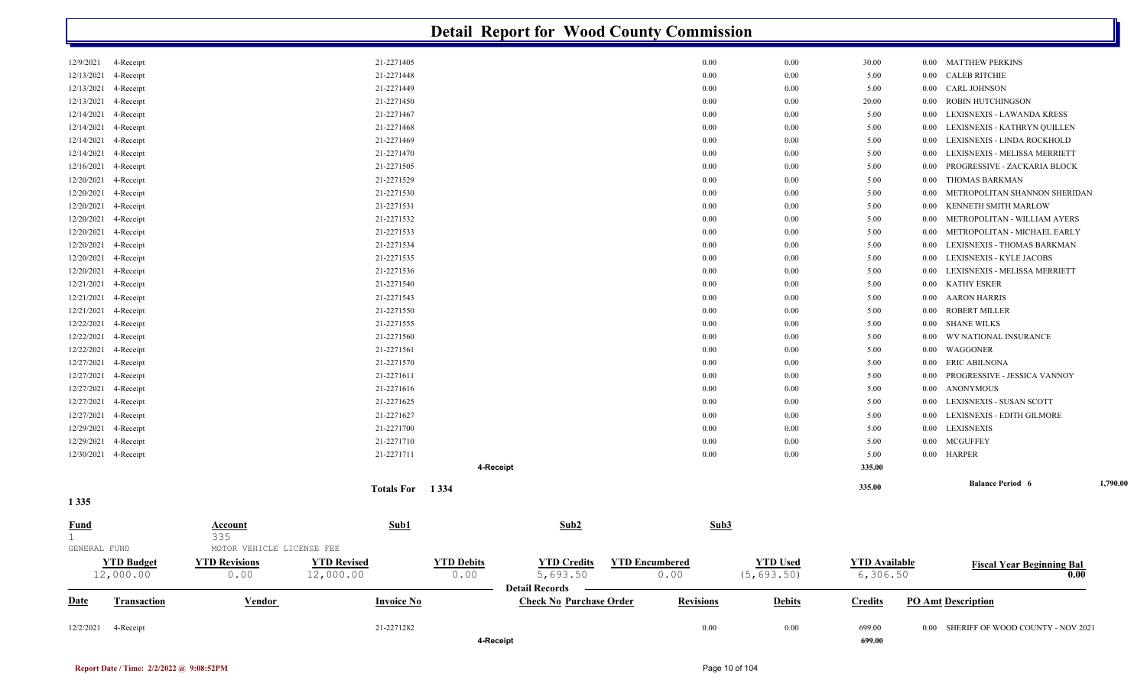|                         | <b>Detail Report for Wood County Commission</b> |                           |                    |                   |                                   |  |                       |                 |                      |          |                                        |          |  |  |
|-------------------------|-------------------------------------------------|---------------------------|--------------------|-------------------|-----------------------------------|--|-----------------------|-----------------|----------------------|----------|----------------------------------------|----------|--|--|
| 12/9/2021               | 4-Receipt                                       |                           | 21-2271405         |                   |                                   |  | 0.00                  | 0.00            | 30.00                | $0.00\,$ | <b>MATTHEW PERKINS</b>                 |          |  |  |
| 12/13/2021              | 4-Receipt                                       |                           | 21-2271448         |                   |                                   |  | 0.00                  | 0.00            | 5.00                 | 0.00     | <b>CALEB RITCHIE</b>                   |          |  |  |
| 12/13/2021              | 4-Receipt                                       |                           | 21-2271449         |                   |                                   |  | 0.00                  | 0.00            | 5.00                 | 0.00     | CARL JOHNSON                           |          |  |  |
| 12/13/2021              | 4-Receipt                                       |                           | 21-2271450         |                   |                                   |  | 0.00                  | 0.00            | 20.00                | 0.00     | ROBIN HUTCHINGSON                      |          |  |  |
| 12/14/2021              | 4-Receipt                                       |                           | 21-2271467         |                   |                                   |  | 0.00                  | 0.00            | 5.00                 | 0.00     | LEXISNEXIS - LAWANDA KRESS             |          |  |  |
| 12/14/2021              | 4-Receipt                                       |                           | 21-2271468         |                   |                                   |  | 0.00                  | 0.00            | 5.00                 | 0.00     | LEXISNEXIS - KATHRYN QUILLEN           |          |  |  |
| 12/14/2021              | 4-Receipt                                       |                           | 21-2271469         |                   |                                   |  | 0.00                  | 0.00            | 5.00                 | 0.00     | LEXISNEXIS - LINDA ROCKHOLD            |          |  |  |
| 12/14/2021              | 4-Receipt                                       |                           | 21-2271470         |                   |                                   |  | 0.00                  | 0.00            | 5.00                 | 0.00     | LEXISNEXIS - MELISSA MERRIETT          |          |  |  |
| 12/16/2021              | 4-Receipt                                       |                           | 21-2271505         |                   |                                   |  | 0.00                  | 0.00            | 5.00                 | 0.00     | PROGRESSIVE - ZACKARIA BLOCK           |          |  |  |
| 12/20/2021              | 4-Receipt                                       |                           | 21-2271529         |                   |                                   |  | 0.00                  | 0.00            | 5.00                 | 0.00     | THOMAS BARKMAN                         |          |  |  |
| 12/20/2021              | 4-Receipt                                       |                           | 21-2271530         |                   |                                   |  | 0.00                  | 0.00            | 5.00                 | 0.00     | METROPOLITAN SHANNON SHERIDAN          |          |  |  |
| 12/20/2021              | 4-Receipt                                       |                           | 21-2271531         |                   |                                   |  | 0.00                  | 0.00            | 5.00                 | 0.00     | KENNETH SMITH MARLOW                   |          |  |  |
| 12/20/2021              | 4-Receipt                                       |                           | 21-2271532         |                   |                                   |  | 0.00                  | 0.00            | 5.00                 | 0.00     | METROPOLITAN - WILLIAM AYERS           |          |  |  |
| 12/20/2021              | 4-Receipt                                       |                           | 21-2271533         |                   |                                   |  | 0.00                  | 0.00            | 5.00                 | 0.00     | METROPOLITAN - MICHAEL EARLY           |          |  |  |
| 12/20/2021              | 4-Receipt                                       |                           | 21-2271534         |                   |                                   |  | 0.00                  | 0.00            | 5.00                 | 0.00     | LEXISNEXIS - THOMAS BARKMAN            |          |  |  |
| 12/20/2021              | 4-Receipt                                       |                           | 21-2271535         |                   |                                   |  | 0.00                  | 0.00            | 5.00                 | 0.00     | LEXISNEXIS - KYLE JACOBS               |          |  |  |
| 12/20/2021              | 4-Receipt                                       |                           | 21-2271536         |                   |                                   |  | 0.00                  | 0.00            | 5.00                 | 0.00     | LEXISNEXIS - MELISSA MERRIETT          |          |  |  |
| 12/21/2021              | 4-Receipt                                       |                           | 21-2271540         |                   |                                   |  | 0.00                  | 0.00            | 5.00                 | 0.00     | <b>KATHY ESKER</b>                     |          |  |  |
| 12/21/2021              | 4-Receipt                                       |                           | 21-2271543         |                   |                                   |  | 0.00                  | 0.00            | 5.00                 | 0.00     | AARON HARRIS                           |          |  |  |
| 12/21/2021              | 4-Receipt                                       |                           | 21-2271550         |                   |                                   |  | 0.00                  | 0.00            | 5.00                 | 0.00     | ROBERT MILLER                          |          |  |  |
| 12/22/2021              | 4-Receipt                                       |                           | 21-2271555         |                   |                                   |  | 0.00                  | 0.00            | 5.00                 | 0.00     | <b>SHANE WILKS</b>                     |          |  |  |
| 12/22/2021              | 4-Receipt                                       |                           | 21-2271560         |                   |                                   |  | 0.00                  | 0.00            | 5.00                 | 0.00     | WV NATIONAL INSURANCE                  |          |  |  |
| 12/22/2021              | 4-Receipt                                       |                           | 21-2271561         |                   |                                   |  | 0.00                  | 0.00            | 5.00                 | 0.00     | WAGGONER                               |          |  |  |
| 12/27/2021              | 4-Receipt                                       |                           | 21-2271570         |                   |                                   |  | 0.00                  | 0.00            | 5.00                 | 0.00     | ERIC ABILNONA                          |          |  |  |
| 12/27/2021              | 4-Receipt                                       |                           | 21-2271611         |                   |                                   |  | 0.00                  | 0.00            | 5.00                 | 0.00     | PROGRESSIVE - JESSICA VANNOY           |          |  |  |
| 12/27/2021              | 4-Receipt                                       |                           | 21-2271616         |                   |                                   |  | 0.00                  | 0.00            | 5.00                 | 0.00     | <b>ANONYMOUS</b>                       |          |  |  |
| 12/27/2021              | 4-Receipt                                       |                           | 21-2271625         |                   |                                   |  | 0.00                  | 0.00            | 5.00                 | 0.00     | LEXISNEXIS - SUSAN SCOTT               |          |  |  |
| 12/27/2021              | 4-Receipt                                       |                           | 21-2271627         |                   |                                   |  | 0.00                  | 0.00            | 5.00                 | 0.00     | LEXISNEXIS - EDITH GILMORE             |          |  |  |
| 12/29/2021              | 4-Receipt                                       |                           | 21-2271700         |                   |                                   |  | 0.00                  | 0.00            | 5.00                 | 0.00     | <b>LEXISNEXIS</b>                      |          |  |  |
| 12/29/2021              | 4-Receipt                                       |                           | 21-2271710         |                   |                                   |  | 0.00                  | 0.00            | 5.00                 | $0.00\,$ | <b>MCGUFFEY</b>                        |          |  |  |
| 12/30/2021<br>4-Receipt |                                                 |                           | 21-2271711         |                   |                                   |  | 0.00                  | 0.00            | 5.00                 |          | 0.00 HARPER                            |          |  |  |
|                         |                                                 |                           |                    | 4-Receipt         |                                   |  |                       |                 | 335.00               |          |                                        |          |  |  |
|                         |                                                 |                           |                    |                   |                                   |  |                       |                 | 335.00               |          | <b>Balance Period 6</b>                | 1,790.00 |  |  |
| 1 3 3 5                 |                                                 |                           | Totals For 1334    |                   |                                   |  |                       |                 |                      |          |                                        |          |  |  |
| <b>Fund</b><br>1        |                                                 | Account<br>335            | Sub1               |                   | Sub2                              |  | Sub3                  |                 |                      |          |                                        |          |  |  |
| GENERAL FUND            |                                                 | MOTOR VEHICLE LICENSE FEE |                    |                   |                                   |  |                       |                 |                      |          |                                        |          |  |  |
|                         | <b>YTD Budget</b>                               | <b>YTD Revisions</b>      | <b>YTD Revised</b> | <b>YTD Debits</b> | <b>YTD Credits</b>                |  | <b>YTD Encumbered</b> | <b>YTD Used</b> | <b>YTD</b> Available |          | <b>Fiscal Year Beginning Bal</b>       |          |  |  |
| 12,000.00               |                                                 | 0.00                      | 12,000.00          | 0.00              | 5,693.50<br><b>Detail Records</b> |  | 0.00                  | (5, 693.50)     | 6,306.50             |          | 0.00                                   |          |  |  |
| <b>Date</b>             | <b>Transaction</b>                              | <b>Vendor</b>             | <b>Invoice No</b>  |                   | <b>Check No Purchase Order</b>    |  | <b>Revisions</b>      | <b>Debits</b>   | <b>Credits</b>       |          | <b>PO Amt Description</b>              |          |  |  |
| 12/2/2021               | 4-Receipt                                       |                           | 21-2271282         |                   |                                   |  | 0.00                  | 0.00            | 699.00               |          | 0.00 SHERIFF OF WOOD COUNTY - NOV 2021 |          |  |  |
|                         |                                                 |                           |                    | 4-Receipt         |                                   |  |                       |                 | 699.00               |          |                                        |          |  |  |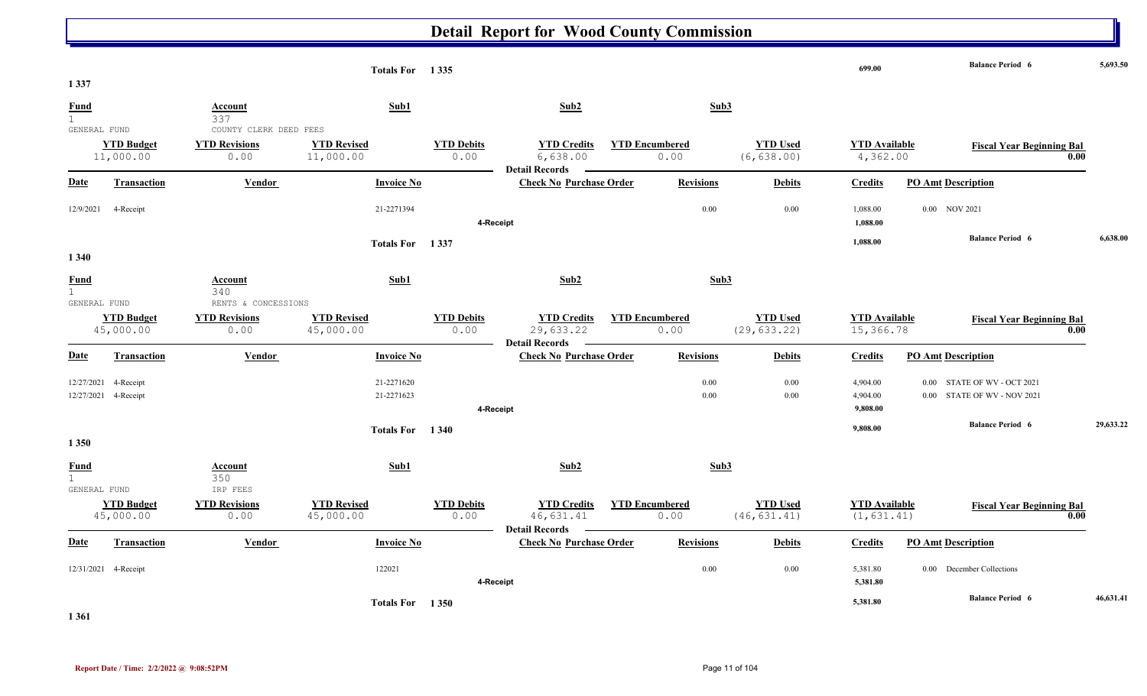| 1 3 3 7                                     |                                |                                                        | Totals For 1335                 |                           |                                                          |                               |                  |                                 | 699.00                              |                                     | <b>Balance Period 6</b>                  | 5,693.50  |
|---------------------------------------------|--------------------------------|--------------------------------------------------------|---------------------------------|---------------------------|----------------------------------------------------------|-------------------------------|------------------|---------------------------------|-------------------------------------|-------------------------------------|------------------------------------------|-----------|
| <b>Fund</b><br>$\mathbf{1}$                 |                                | <b>Account</b><br>337                                  | Sub1                            |                           | Sub2                                                     |                               | Sub3             |                                 |                                     |                                     |                                          |           |
| GENERAL FUND                                | <b>YTD Budget</b><br>11,000.00 | COUNTY CLERK DEED FEES<br><b>YTD Revisions</b><br>0.00 | <b>YTD Revised</b><br>11,000.00 | <b>YTD Debits</b><br>0.00 | <b>YTD Credits</b><br>6,638.00                           | <b>YTD Encumbered</b><br>0.00 |                  | <b>YTD Used</b><br>(6, 638.00)  | <b>YTD</b> Available<br>4,362.00    |                                     | <b>Fiscal Year Beginning Bal</b><br>0.00 |           |
| <b>Date</b>                                 | Transaction                    | <b>Vendor</b>                                          | <b>Invoice No</b>               |                           | <b>Detail Records</b><br><b>Check No Purchase Order</b>  |                               | <b>Revisions</b> | <b>Debits</b>                   | <b>Credits</b>                      | <b>PO Amt Description</b>           |                                          |           |
| 12/9/2021                                   | 4-Receipt                      |                                                        | 21-2271394                      | 4-Receipt                 |                                                          |                               | 0.00             | $0.00\,$                        | 1,088.00<br>1,088.00                | 0.00 NOV 2021                       |                                          |           |
|                                             |                                |                                                        | Totals For 1337                 |                           |                                                          |                               |                  |                                 | 1,088.00                            |                                     | <b>Balance Period 6</b>                  | 6.638.00  |
| 1 3 4 0<br><b>Fund</b><br>$\mathbf{1}$      |                                | Account<br>340                                         | Sub1                            |                           | Sub2                                                     |                               | Sub3             |                                 |                                     |                                     |                                          |           |
| GENERAL FUND                                | <b>YTD Budget</b><br>45,000.00 | RENTS & CONCESSIONS<br><b>YTD Revisions</b><br>0.00    | <b>YTD Revised</b><br>45,000.00 | <b>YTD Debits</b><br>0.00 | <b>YTD Credits</b><br>29,633.22<br><b>Detail Records</b> | <b>YTD Encumbered</b><br>0.00 |                  | <b>YTD Used</b><br>(29, 633.22) | <b>YTD Available</b><br>15,366.78   |                                     | <b>Fiscal Year Beginning Bal</b><br>0.00 |           |
| <b>Date</b>                                 | <b>Transaction</b>             | <b>Vendor</b>                                          | <b>Invoice No</b>               |                           | <b>Check No Purchase Order</b>                           |                               | <b>Revisions</b> | <b>Debits</b>                   | <b>Credits</b>                      | <b>PO Amt Description</b>           |                                          |           |
| 12/27/2021<br>12/27/2021                    | 4-Receipt<br>4-Receipt         |                                                        | 21-2271620<br>21-2271623        | 4-Receipt                 |                                                          |                               | 0.00<br>0.00     | 0.00<br>$0.00\,$                | 4,904.00<br>4,904.00<br>9,808.00    | 0.00<br>0.00 STATE OF WV - NOV 2021 | STATE OF WV - OCT 2021                   |           |
| 1 3 5 0                                     |                                |                                                        | Totals For 1340                 |                           |                                                          |                               |                  |                                 | 9,808.00                            |                                     | <b>Balance Period 6</b>                  | 29,633.22 |
| <b>Fund</b><br>$\mathbf{1}$<br>GENERAL FUND |                                | Account<br>350<br>IRP FEES                             | Sub1                            |                           | Sub2                                                     |                               | Sub3             |                                 |                                     |                                     |                                          |           |
|                                             | <b>YTD Budget</b><br>45,000.00 | <b>YTD Revisions</b><br>0.00                           | <b>YTD Revised</b><br>45,000.00 | <b>YTD Debits</b><br>0.00 | <b>YTD Credits</b><br>46,631.41<br><b>Detail Records</b> | <b>YTD Encumbered</b><br>0.00 |                  | <b>YTD Used</b><br>(46, 631.41) | <b>YTD Available</b><br>(1, 631.41) |                                     | <b>Fiscal Year Beginning Bal</b><br>0.00 |           |
| Date                                        | Transaction                    | Vendor                                                 | <b>Invoice No</b>               |                           | <b>Check No Purchase Order</b>                           |                               | <b>Revisions</b> | <b>Debits</b>                   | <b>Credits</b>                      | <b>PO Amt Description</b>           |                                          |           |
|                                             | 12/31/2021 4-Receipt           |                                                        | 122021                          | 4-Receipt                 |                                                          |                               | 0.00             | 0.00                            | 5,381.80<br>5,381.80                | 0.00 December Collections           |                                          |           |
|                                             |                                |                                                        | <b>Totals For</b>               | 1 3 5 0                   |                                                          |                               |                  |                                 | 5,381.80                            |                                     | <b>Balance Period 6</b>                  | 46,631.41 |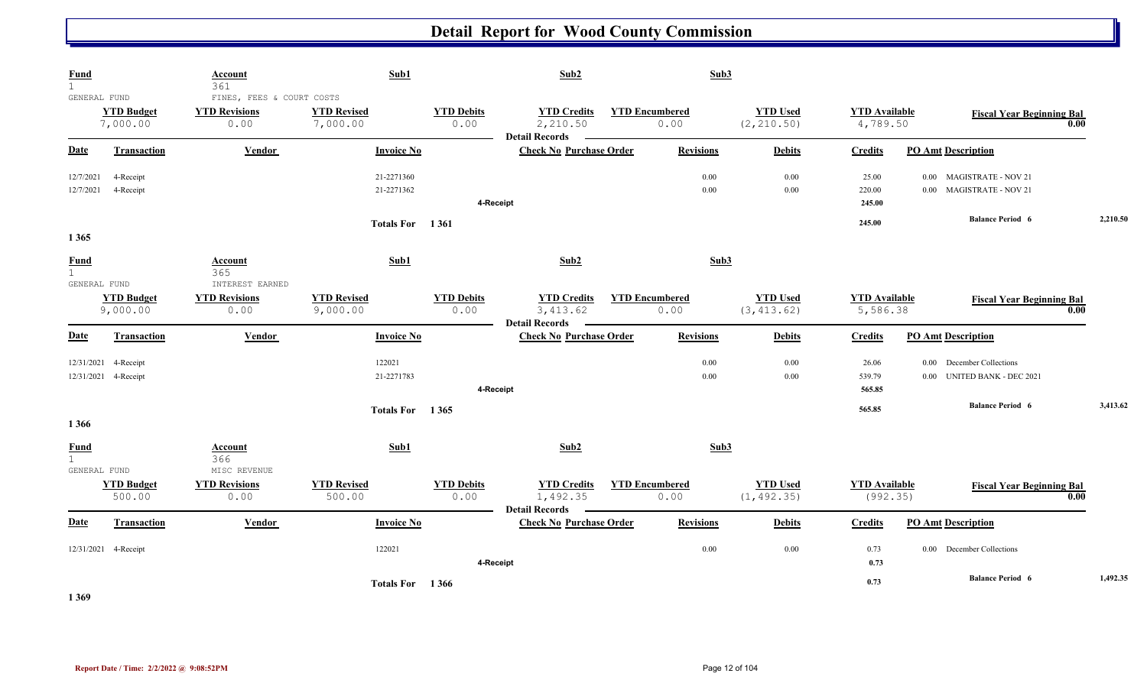| <b>Fund</b><br>$\mathbf{1}$<br>GENERAL FUND |                                   | Account<br>361<br>FINES, FEES & COURT COSTS | Sub1                           |                           | Sub2                                                    | Sub3                          |                                |                                  |                                                             |      |          |
|---------------------------------------------|-----------------------------------|---------------------------------------------|--------------------------------|---------------------------|---------------------------------------------------------|-------------------------------|--------------------------------|----------------------------------|-------------------------------------------------------------|------|----------|
|                                             | <b>YTD Budget</b><br>7,000.00     | <b>YTD Revisions</b><br>0.00                | <b>YTD Revised</b><br>7,000.00 | <b>YTD Debits</b><br>0.00 | <b>YTD Credits</b><br>2,210.50<br><b>Detail Records</b> | <b>YTD Encumbered</b><br>0.00 | <b>YTD Used</b><br>(2, 210.50) | <b>YTD Available</b><br>4,789.50 | <b>Fiscal Year Beginning Bal</b>                            | 0.00 |          |
| <b>Date</b>                                 | <b>Transaction</b>                | <b>Vendor</b>                               | <b>Invoice No</b>              |                           | <b>Check No Purchase Order</b>                          | <b>Revisions</b>              | <b>Debits</b>                  | <b>Credits</b>                   | <b>PO Amt Description</b>                                   |      |          |
| 12/7/2021<br>12/7/2021                      | 4-Receipt<br>4-Receipt            |                                             | 21-2271360<br>21-2271362       |                           | 4-Receipt                                               | $0.00\,$<br>$0.00\,$          | 0.00<br>0.00                   | 25.00<br>220.00<br>245.00        | 0.00 MAGISTRATE - NOV 21<br>0.00 MAGISTRATE - NOV 21        |      |          |
| 1365                                        |                                   |                                             | Totals For 1361                |                           |                                                         |                               |                                | 245.00                           | <b>Balance Period 6</b>                                     |      | 2,210.50 |
| <b>Fund</b><br>1<br>GENERAL FUND            |                                   | Account<br>365<br>INTEREST EARNED           | Sub1                           |                           | Sub2                                                    | Sub3                          |                                |                                  |                                                             |      |          |
|                                             | <b>YTD Budget</b><br>9,000.00     | <b>YTD Revisions</b><br>0.00                | <b>YTD Revised</b><br>9,000.00 | <b>YTD Debits</b><br>0.00 | <b>YTD Credits</b><br>3,413.62<br><b>Detail Records</b> | <b>YTD Encumbered</b><br>0.00 | <b>YTD Used</b><br>(3, 413.62) | <b>YTD</b> Available<br>5,586.38 | <b>Fiscal Year Beginning Bal</b>                            | 0.00 |          |
| <b>Date</b>                                 | <b>Transaction</b>                | Vendor                                      | <b>Invoice No</b>              |                           | <b>Check No Purchase Order</b>                          | <b>Revisions</b>              | <b>Debits</b>                  | <b>Credits</b>                   | <b>PO Amt Description</b>                                   |      |          |
| 12/31/2021                                  | 4-Receipt<br>12/31/2021 4-Receipt |                                             | 122021<br>21-2271783           |                           | 4-Receipt                                               | $0.00\,$<br>$0.00\,$          | 0.00<br>0.00                   | 26.06<br>539.79<br>565.85        | December Collections<br>0.00<br>0.00 UNITED BANK - DEC 2021 |      |          |
| 1366                                        |                                   |                                             | Totals For 1365                |                           |                                                         |                               |                                | 565.85                           | <b>Balance Period 6</b>                                     |      | 3,413.62 |
| <b>Fund</b><br>$\mathbf{1}$<br>GENERAL FUND |                                   | <b>Account</b><br>366<br>MISC REVENUE       | Sub1                           |                           | Sub2                                                    | Sub3                          |                                |                                  |                                                             |      |          |
|                                             | <b>YTD Budget</b><br>500.00       | <b>YTD Revisions</b><br>0.00                | <b>YTD Revised</b><br>500.00   | <b>YTD Debits</b><br>0.00 | <b>YTD Credits</b><br>1,492.35<br><b>Detail Records</b> | <b>YTD Encumbered</b><br>0.00 | <b>YTD Used</b><br>(1, 492.35) | <b>YTD</b> Available<br>(992.35) | <b>Fiscal Year Beginning Bal</b>                            | 0.00 |          |
| Date                                        | <b>Transaction</b>                | Vendor                                      | <b>Invoice No</b>              |                           | <b>Check No Purchase Order</b>                          | <b>Revisions</b>              | <b>Debits</b>                  | <b>Credits</b>                   | <b>PO Amt Description</b>                                   |      |          |
|                                             | 12/31/2021 4-Receipt              |                                             | 122021                         |                           | 4-Receipt                                               | 0.00                          | 0.00                           | 0.73<br>0.73                     | 0.00 December Collections                                   |      |          |
| 1.200                                       |                                   |                                             | Totals For 1366                |                           |                                                         |                               |                                | 0.73                             | <b>Balance Period 6</b>                                     |      | 1,492.35 |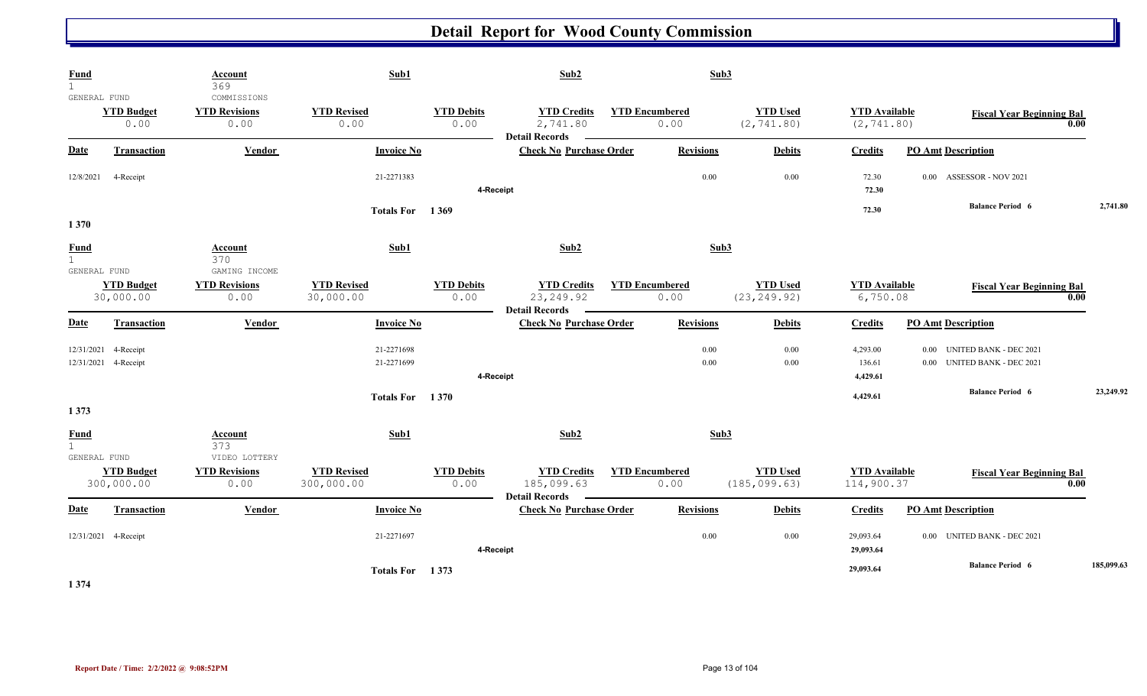| <b>Fund</b><br>$\mathbf{1}$<br>GENERAL FUND   |                                   | Account<br>369<br>COMMISSIONS                 | Sub1                             |                           | Sub2                                                      |                               | Sub3             |                                  |                                     |                                                                                |            |
|-----------------------------------------------|-----------------------------------|-----------------------------------------------|----------------------------------|---------------------------|-----------------------------------------------------------|-------------------------------|------------------|----------------------------------|-------------------------------------|--------------------------------------------------------------------------------|------------|
|                                               | <b>YTD Budget</b><br>0.00         | <b>YTD Revisions</b><br>0.00                  | <b>YTD Revised</b><br>0.00       | <b>YTD Debits</b><br>0.00 | <b>YTD Credits</b><br>2,741.80<br><b>Detail Records</b>   | <b>YTD Encumbered</b><br>0.00 |                  | <b>YTD Used</b><br>(2, 741.80)   | <b>YTD</b> Available<br>(2, 741.80) | <b>Fiscal Year Beginning Bal</b>                                               | 0.00       |
| Date                                          | <b>Transaction</b>                | <b>Vendor</b>                                 | <b>Invoice No</b>                |                           | <b>Check No Purchase Order</b>                            |                               | <b>Revisions</b> | <b>Debits</b>                    | <b>Credits</b>                      | <b>PO Amt Description</b>                                                      |            |
| 12/8/2021                                     | 4-Receipt                         |                                               | 21-2271383                       | 4-Receipt                 |                                                           |                               | 0.00             | $0.00\,$                         | 72.30<br>72.30                      | 0.00 ASSESSOR - NOV 2021                                                       |            |
| 1370                                          |                                   |                                               | Totals For 1369                  |                           |                                                           |                               |                  |                                  | 72.30                               | <b>Balance Period 6</b>                                                        | 2,741.80   |
| <b>Fund</b><br>$\overline{1}$<br>GENERAL FUND |                                   | <b>Account</b><br>370<br>GAMING INCOME        | Sub1                             |                           | Sub2                                                      |                               | Sub <sub>3</sub> |                                  |                                     |                                                                                |            |
|                                               | <b>YTD Budget</b><br>30,000.00    | <b>YTD Revisions</b><br>0.00                  | <b>YTD Revised</b><br>30,000.00  | <b>YTD Debits</b><br>0.00 | <b>YTD Credits</b><br>23, 249.92<br><b>Detail Records</b> | <b>YTD Encumbered</b><br>0.00 |                  | <b>YTD Used</b><br>(23, 249.92)  | <b>YTD</b> Available<br>6,750.08    | <b>Fiscal Year Beginning Bal</b>                                               | 0.00       |
| <b>Date</b>                                   | <b>Transaction</b>                | <b>Vendor</b>                                 | <b>Invoice No</b>                |                           | <b>Check No Purchase Order</b>                            |                               | <b>Revisions</b> | <b>Debits</b>                    | <b>Credits</b>                      | <b>PO Amt Description</b>                                                      |            |
| 12/31/2021                                    | 4-Receipt<br>12/31/2021 4-Receipt |                                               | 21-2271698<br>21-2271699         |                           | 4-Receipt                                                 |                               | $0.00\,$<br>0.00 | 0.00<br>$0.00\,$                 | 4,293.00<br>136.61<br>4,429.61      | <b>UNITED BANK - DEC 2021</b><br>0.00<br><b>UNITED BANK - DEC 2021</b><br>0.00 |            |
| 1373                                          |                                   |                                               | Totals For 1370                  |                           |                                                           |                               |                  |                                  | 4,429.61                            | <b>Balance Period 6</b>                                                        | 23,249.92  |
| <b>Fund</b><br>$\mathbf{1}$                   |                                   | Account<br>373                                | Sub1                             |                           | Sub2                                                      |                               | Sub3             |                                  |                                     |                                                                                |            |
| GENERAL FUND                                  | <b>YTD Budget</b><br>300,000.00   | VIDEO LOTTERY<br><b>YTD Revisions</b><br>0.00 | <b>YTD Revised</b><br>300,000.00 | <b>YTD Debits</b><br>0.00 | <b>YTD Credits</b><br>185,099.63<br><b>Detail Records</b> | <b>YTD Encumbered</b><br>0.00 |                  | <b>YTD Used</b><br>(185, 099.63) | <b>YTD</b> Available<br>114,900.37  | <b>Fiscal Year Beginning Bal</b>                                               | 0.00       |
| <b>Date</b>                                   | <b>Transaction</b>                | Vendor                                        | <b>Invoice No</b>                |                           | <b>Check No Purchase Order</b>                            |                               | <b>Revisions</b> | <b>Debits</b>                    | <b>Credits</b>                      | <b>PO Amt Description</b>                                                      |            |
|                                               | 12/31/2021 4-Receipt              |                                               | 21-2271697                       |                           | 4-Receipt                                                 |                               | 0.00             | 0.00                             | 29,093.64<br>29,093.64              | 0.00 UNITED BANK - DEC 2021                                                    |            |
|                                               |                                   |                                               | Totals For 1373                  |                           |                                                           |                               |                  |                                  | 29,093.64                           | <b>Balance Period 6</b>                                                        | 185,099.63 |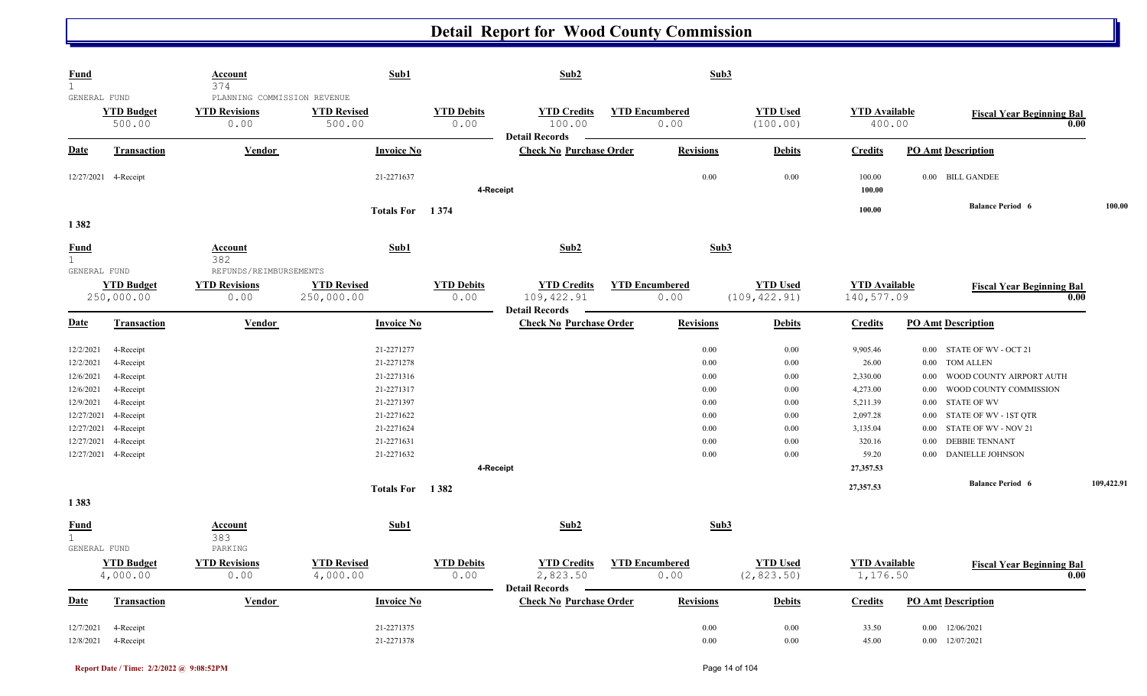| <b>Fund</b><br>$\mathbf{1}$                                                                             |                                                                                                      | <b>Account</b><br>374                                       | Sub1                                                                                                         |                           | Sub2                                                      |                               | Sub3                                                                                                                             |                                                                                         |                                                                                                                                                                                                                                                                                |            |
|---------------------------------------------------------------------------------------------------------|------------------------------------------------------------------------------------------------------|-------------------------------------------------------------|--------------------------------------------------------------------------------------------------------------|---------------------------|-----------------------------------------------------------|-------------------------------|----------------------------------------------------------------------------------------------------------------------------------|-----------------------------------------------------------------------------------------|--------------------------------------------------------------------------------------------------------------------------------------------------------------------------------------------------------------------------------------------------------------------------------|------------|
| GENERAL FUND                                                                                            | <b>YTD Budget</b><br>500.00                                                                          | PLANNING COMMISSION REVENUE<br><b>YTD Revisions</b><br>0.00 | <b>YTD Revised</b><br>500.00                                                                                 | <b>YTD Debits</b><br>0.00 | <b>YTD Credits</b><br>100.00<br><b>Detail Records</b>     | <b>YTD Encumbered</b><br>0.00 | <b>YTD</b> Used<br>(100.00)                                                                                                      | <b>YTD</b> Available<br>400.00                                                          | <b>Fiscal Year Beginning Bal</b>                                                                                                                                                                                                                                               | 0.00       |
| Date                                                                                                    | Transaction                                                                                          | Vendor                                                      | <b>Invoice No</b>                                                                                            |                           | <b>Check No Purchase Order</b>                            | <b>Revisions</b>              | <b>Debits</b>                                                                                                                    | <b>Credits</b>                                                                          | <b>PO Amt Description</b>                                                                                                                                                                                                                                                      |            |
|                                                                                                         | 12/27/2021 4-Receipt                                                                                 |                                                             | 21-2271637                                                                                                   | 4-Receipt                 |                                                           |                               | 0.00<br>$0.00\,$                                                                                                                 | 100.00<br>100.00                                                                        | 0.00 BILL GANDEE                                                                                                                                                                                                                                                               |            |
| 1382                                                                                                    |                                                                                                      |                                                             | <b>Totals For</b>                                                                                            | 1 3 7 4                   |                                                           |                               |                                                                                                                                  | 100.00                                                                                  | <b>Balance Period 6</b>                                                                                                                                                                                                                                                        | 100.00     |
| <b>Fund</b><br>$\mathbf{1}$<br>GENERAL FUND                                                             |                                                                                                      | <b>Account</b><br>382<br>REFUNDS/REIMBURSEMENTS             | Sub1                                                                                                         |                           | Sub2                                                      |                               | Sub <sub>3</sub>                                                                                                                 |                                                                                         |                                                                                                                                                                                                                                                                                |            |
|                                                                                                         | <b>YTD Budget</b><br>250,000.00                                                                      | <b>YTD Revisions</b><br>0.00                                | <b>YTD Revised</b><br>250,000.00                                                                             | <b>YTD Debits</b><br>0.00 | <b>YTD Credits</b><br>109,422.91<br><b>Detail Records</b> | <b>YTD Encumbered</b><br>0.00 | <b>YTD</b> Used<br>(109, 422.91)                                                                                                 | <b>YTD</b> Available<br>140,577.09                                                      | <b>Fiscal Year Beginning Bal</b>                                                                                                                                                                                                                                               | 0.00       |
| <b>Date</b>                                                                                             | Transaction                                                                                          | Vendor                                                      | <b>Invoice No</b>                                                                                            |                           | <b>Check No Purchase Order</b>                            | <b>Revisions</b>              | <b>Debits</b>                                                                                                                    | <b>Credits</b>                                                                          | <b>PO Amt Description</b>                                                                                                                                                                                                                                                      |            |
| 12/2/2021<br>12/2/2021<br>12/6/2021<br>12/6/2021<br>12/9/2021<br>12/27/2021<br>12/27/2021<br>12/27/2021 | 4-Receipt<br>4-Receipt<br>4-Receipt<br>4-Receipt<br>4-Receipt<br>4-Receipt<br>4-Receipt<br>4-Receipt |                                                             | 21-2271277<br>21-2271278<br>21-2271316<br>21-2271317<br>21-2271397<br>21-2271622<br>21-2271624<br>21-2271631 |                           |                                                           |                               | 0.00<br>$0.00\,$<br>0.00<br>0.00<br>0.00<br>0.00<br>0.00<br>0.00<br>0.00<br>0.00<br>0.00<br>0.00<br>0.00<br>0.00<br>0.00<br>0.00 | 9,905.46<br>26.00<br>2,330.00<br>4,273.00<br>5,211.39<br>2,097.28<br>3,135.04<br>320.16 | STATE OF WV - OCT 21<br>$0.00\,$<br><b>TOM ALLEN</b><br>$0.00\,$<br>WOOD COUNTY AIRPORT AUTH<br>0.00<br>WOOD COUNTY COMMISSION<br>0.00<br><b>STATE OF WV</b><br>$0.00\,$<br>STATE OF WV - 1ST QTR<br>$0.00\,$<br>STATE OF WV - NOV 21<br>0.00<br><b>DEBBIE TENNANT</b><br>0.00 |            |
| 12/27/2021                                                                                              | 4-Receipt                                                                                            |                                                             | 21-2271632                                                                                                   | 4-Receipt                 |                                                           |                               | 0.00<br>0.00                                                                                                                     | 59.20<br>27,357.53                                                                      | <b>DANIELLE JOHNSON</b><br>$0.00\,$                                                                                                                                                                                                                                            |            |
| 1383                                                                                                    |                                                                                                      |                                                             | Totals For 1382                                                                                              |                           |                                                           |                               |                                                                                                                                  | 27,357.53                                                                               | <b>Balance Period 6</b>                                                                                                                                                                                                                                                        | 109,422.91 |
| <b>Fund</b><br>$\mathbf{1}$                                                                             |                                                                                                      | Account<br>383                                              | Sub1                                                                                                         |                           | Sub2                                                      |                               | Sub3                                                                                                                             |                                                                                         |                                                                                                                                                                                                                                                                                |            |
| GENERAL FUND                                                                                            | <b>YTD Budget</b><br>4,000.00                                                                        | PARKING<br><b>YTD Revisions</b><br>0.00                     | <b>YTD Revised</b><br>4,000.00                                                                               | <b>YTD Debits</b><br>0.00 | <b>YTD Credits</b><br>2,823.50<br><b>Detail Records</b>   | <b>YTD</b> Encumbered<br>0.00 | <b>YTD Used</b><br>(2, 823.50)                                                                                                   | <b>YTD</b> Available<br>1,176.50                                                        | <b>Fiscal Year Beginning Bal</b>                                                                                                                                                                                                                                               | 0.00       |
| Date                                                                                                    | <b>Transaction</b>                                                                                   | <b>Vendor</b>                                               | <b>Invoice No</b>                                                                                            |                           | <b>Check No Purchase Order</b>                            | <b>Revisions</b>              | <b>Debits</b>                                                                                                                    | <b>Credits</b>                                                                          | <b>PO Amt Description</b>                                                                                                                                                                                                                                                      |            |
| 12/7/2021<br>12/8/2021                                                                                  | 4-Receipt<br>4-Receipt                                                                               |                                                             | 21-2271375<br>21-2271378                                                                                     |                           |                                                           |                               | 0.00<br>0.00<br>0.00<br>0.00                                                                                                     | 33.50<br>45.00                                                                          | 12/06/2021<br>0.00<br>$0.00$ $12/07/2021$                                                                                                                                                                                                                                      |            |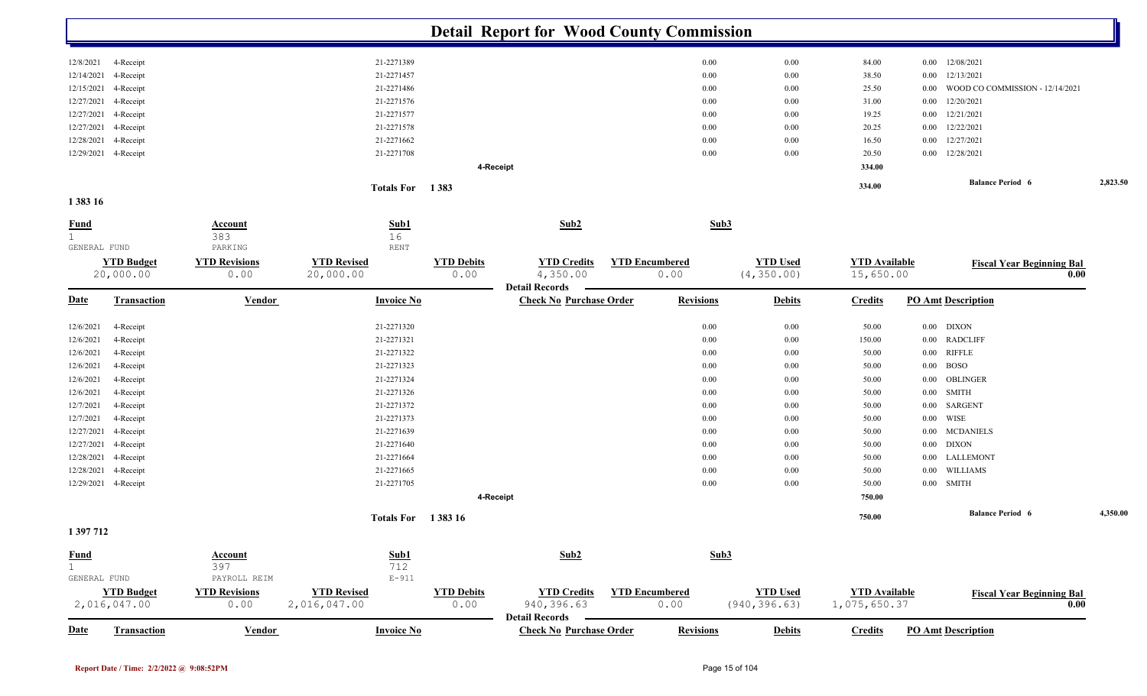|                             |                                   |                              |                                    |                           | <b>Detail Report for Wood County Commission</b>         |                               |               |                 |                                      |                                             |          |
|-----------------------------|-----------------------------------|------------------------------|------------------------------------|---------------------------|---------------------------------------------------------|-------------------------------|---------------|-----------------|--------------------------------------|---------------------------------------------|----------|
| 12/8/2021                   | 4-Receipt                         |                              | 21-2271389                         |                           |                                                         |                               | 0.00          | 0.00            | 84.00                                | 12/08/2021<br>0.00                          |          |
| 12/14/2021                  | 4-Receipt                         |                              | 21-2271457                         |                           |                                                         |                               | 0.00          | 0.00            | 38.50                                | 12/13/2021<br>0.00                          |          |
| 12/15/2021                  | 4-Receipt                         |                              | 21-2271486                         |                           |                                                         |                               | 0.00          | $0.00\,$        | 25.50                                | WOOD CO COMMISSION - 12/14/2021<br>$0.00\,$ |          |
| 12/27/2021                  | 4-Receipt                         |                              | 21-2271576                         |                           |                                                         |                               | 0.00          | 0.00            | 31.00                                | 12/20/2021<br>0.00                          |          |
| 12/27/2021                  | 4-Receipt                         |                              | 21-2271577                         |                           |                                                         |                               | 0.00          | $0.00\,$        | 19.25                                | 12/21/2021<br>$0.00\,$                      |          |
| 12/27/2021                  | 4-Receipt                         |                              | 21-2271578                         |                           |                                                         |                               | 0.00          | $0.00\,$        | 20.25                                | 12/22/2021<br>$0.00\,$                      |          |
| 12/28/2021                  | 4-Receipt                         |                              | 21-2271662                         |                           |                                                         |                               | 0.00          | 0.00            | 16.50                                | 12/27/2021<br>0.00                          |          |
|                             | 12/29/2021 4-Receipt              |                              | 21-2271708                         |                           |                                                         |                               | 0.00          | 0.00            | 20.50                                | $0.00$ $12/28/2021$                         |          |
|                             |                                   |                              |                                    |                           | 4-Receipt                                               |                               |               |                 | 334.00                               |                                             |          |
|                             |                                   |                              |                                    |                           |                                                         |                               |               |                 | 334.00                               | <b>Balance Period 6</b>                     | 2,823.50 |
| 1 3 8 3 1 6                 |                                   |                              | Totals For 1383                    |                           |                                                         |                               |               |                 |                                      |                                             |          |
| <b>Fund</b><br>$\mathbf{1}$ |                                   | <u>Account</u><br>383        | Sub1<br>16                         |                           | Sub2                                                    |                               | Sub3          |                 |                                      |                                             |          |
| GENERAL FUND                |                                   | PARKING                      | <b>RENT</b>                        |                           |                                                         |                               |               |                 |                                      |                                             |          |
|                             | <b>YTD Budget</b><br>20,000.00    | <b>YTD Revisions</b><br>0.00 | <b>YTD Revised</b><br>20,000.00    | <b>YTD Debits</b><br>0.00 | <b>YTD Credits</b><br>4,350.00<br><b>Detail Records</b> | <b>YTD Encumbered</b><br>0.00 | (4, 350.00)   | <b>YTD Used</b> | <b>YTD Available</b><br>15,650.00    | <b>Fiscal Year Beginning Bal</b>            | 0.00     |
| <b>Date</b>                 | <b>Transaction</b>                | <b>Vendor</b>                | <b>Invoice No</b>                  |                           | <b>Check No Purchase Order</b>                          | <b>Revisions</b>              |               | <b>Debits</b>   | <b>Credits</b>                       | <b>PO Amt Description</b>                   |          |
| 12/6/2021                   | 4-Receipt                         |                              | 21-2271320                         |                           |                                                         |                               | 0.00          | $0.00\,$        | 50.00                                | $0.00$ DIXON                                |          |
| 12/6/2021                   | 4-Receipt                         |                              | 21-2271321                         |                           |                                                         |                               | 0.00          | $0.00\,$        | 150.00                               | 0.00 RADCLIFF                               |          |
| 12/6/2021                   | 4-Receipt                         |                              | 21-2271322                         |                           |                                                         |                               | 0.00          | $0.00\,$        | 50.00                                | 0.00 RIFFLE                                 |          |
| 12/6/2021                   | 4-Receipt                         |                              | 21-2271323                         |                           |                                                         |                               | 0.00          | $0.00\,$        | 50.00                                | <b>BOSO</b><br>$0.00\,$                     |          |
| 12/6/2021                   | 4-Receipt                         |                              | 21-2271324                         |                           |                                                         |                               | 0.00          | $0.00\,$        | 50.00                                | OBLINGER<br>0.00                            |          |
| 12/6/2021                   | 4-Receipt                         |                              | 21-2271326                         |                           |                                                         |                               | 0.00          | $0.00\,$        | 50.00                                | SMITH<br>$0.00\,$                           |          |
| 12/7/2021                   | 4-Receipt                         |                              | 21-2271372                         |                           |                                                         |                               | 0.00          | $0.00\,$        | 50.00                                | SARGENT<br>$0.00\,$                         |          |
| 12/7/2021                   | 4-Receipt                         |                              | 21-2271373                         |                           |                                                         |                               | 0.00          | 0.00            | 50.00                                | WISE<br>$0.00\,$                            |          |
| 12/27/2021                  | 4-Receipt                         |                              | 21-2271639                         |                           |                                                         |                               | 0.00          | $0.00\,$        | 50.00                                | $0.00\,$<br><b>MCDANIELS</b>                |          |
| 12/27/2021                  | 4-Receipt                         |                              | 21-2271640                         |                           |                                                         |                               | 0.00          | $0.00\,$        | 50.00                                | <b>DIXON</b><br>0.00                        |          |
| 12/28/2021                  | 4-Receipt                         |                              | 21-2271664                         |                           |                                                         |                               | 0.00          | $0.00\,$        | 50.00                                | LALLEMONT<br>$0.00\,$                       |          |
| 12/28/2021                  | 4-Receipt                         |                              | 21-2271665                         |                           |                                                         |                               | 0.00          | $0.00\,$        | 50.00                                | WILLIAMS<br>0.00                            |          |
|                             | 12/29/2021 4-Receipt              |                              | 21-2271705                         |                           |                                                         |                               | 0.00          | $0.00\,$        | 50.00                                | $0.00$ SMITH                                |          |
|                             |                                   |                              |                                    |                           | 4-Receipt                                               |                               |               |                 | 750.00                               |                                             |          |
|                             |                                   |                              | <b>Totals For</b> 1383 16          |                           |                                                         |                               |               |                 | 750.00                               | <b>Balance Period 6</b>                     | 4,350.00 |
| 1 397 712                   |                                   |                              |                                    |                           |                                                         |                               |               |                 |                                      |                                             |          |
| $rac{\text{Fund}}{1}$       |                                   | <b>Account</b>               | Sub1                               |                           | Sub2                                                    |                               | Sub3          |                 |                                      |                                             |          |
|                             |                                   | 397                          | 712                                |                           |                                                         |                               |               |                 |                                      |                                             |          |
| GENERAL FUND                |                                   | PAYROLL REIM                 | $E - 911$                          |                           |                                                         |                               |               |                 |                                      |                                             |          |
|                             | <b>YTD Budget</b><br>2,016,047.00 | <b>YTD Revisions</b><br>0.00 | <b>YTD Revised</b><br>2,016,047.00 | <b>YTD Debits</b><br>0.00 | <b>YTD Credits</b><br>940, 396.63                       | <b>YTD Encumbered</b><br>0.00 | (940, 396.63) | <b>YTD Used</b> | <b>YTD</b> Available<br>1,075,650.37 | <b>Fiscal Year Beginning Bal</b>            | 0.00     |
| <b>Date</b>                 | <b>Transaction</b>                | <b>Vendor</b>                | <b>Invoice No</b>                  |                           | <b>Detail Records</b><br><b>Check No Purchase Order</b> | <b>Revisions</b>              |               | <b>Debits</b>   | <b>Credits</b>                       | <b>PO Amt Description</b>                   |          |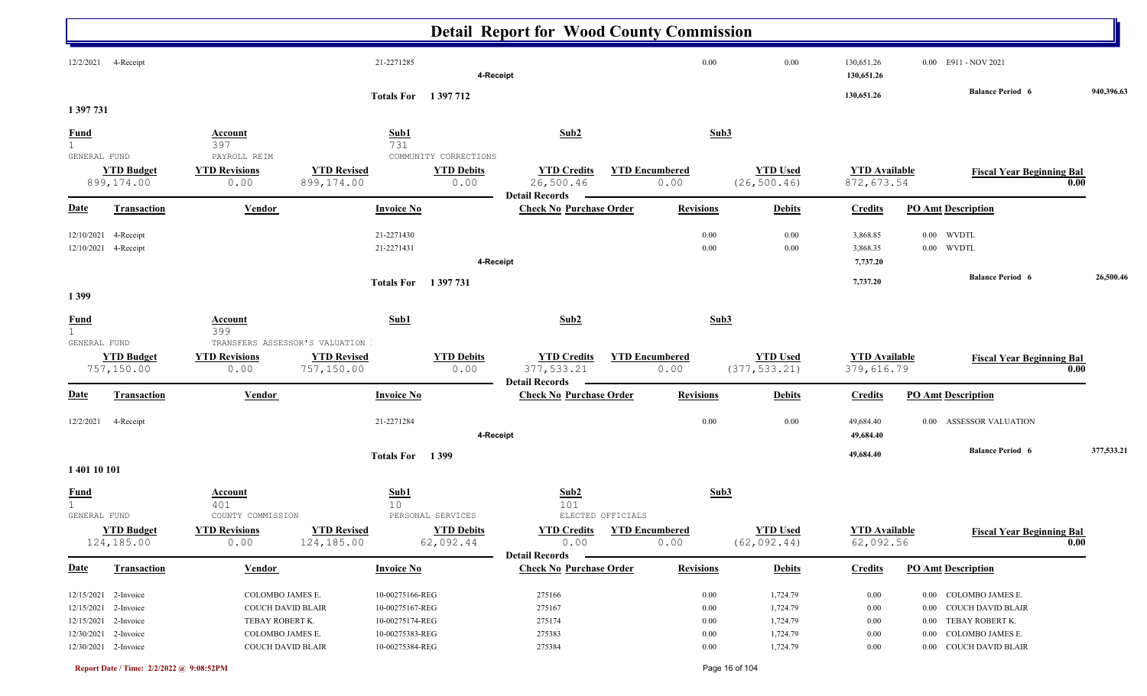|                             |                                                                                   |                                                                              |                                  |                                                                          | <b>Detail Report for Wood County Commission</b>           |                               |                                          |                                              |                                              |                                                                                                         |                                          |            |
|-----------------------------|-----------------------------------------------------------------------------------|------------------------------------------------------------------------------|----------------------------------|--------------------------------------------------------------------------|-----------------------------------------------------------|-------------------------------|------------------------------------------|----------------------------------------------|----------------------------------------------|---------------------------------------------------------------------------------------------------------|------------------------------------------|------------|
| 12/2/2021                   | 4-Receipt                                                                         |                                                                              |                                  | 21-2271285                                                               | 4-Receipt                                                 |                               | 0.00                                     | 0.00                                         | 130,651.26<br>130,651.26                     | 0.00 E911 - NOV 2021                                                                                    |                                          |            |
|                             |                                                                                   |                                                                              |                                  | <b>Totals For</b> 1397712                                                |                                                           |                               |                                          |                                              | 130,651.26                                   | <b>Balance Period 6</b>                                                                                 |                                          | 940,396.63 |
| 1 397 731                   |                                                                                   |                                                                              |                                  |                                                                          |                                                           |                               |                                          |                                              |                                              |                                                                                                         |                                          |            |
| <u>Fund</u><br>1            |                                                                                   | <b>Account</b><br>397                                                        |                                  | Sub1<br>731                                                              | Sub2                                                      |                               | Sub <sub>3</sub>                         |                                              |                                              |                                                                                                         |                                          |            |
| GENERAL FUND                | <b>YTD Budget</b><br>899,174.00                                                   | PAYROLL REIM<br><b>YTD Revisions</b><br>0.00                                 | <b>YTD Revised</b><br>899,174.00 | COMMUNITY CORRECTIONS<br><b>YTD Debits</b><br>0.00                       | <b>YTD Credits</b><br>26,500.46<br><b>Detail Records</b>  | <b>YTD Encumbered</b><br>0.00 |                                          | <b>YTD Used</b><br>(26, 500.46)              | <b>YTD</b> Available<br>872,673.54           |                                                                                                         | <b>Fiscal Year Beginning Bal</b><br>0.00 |            |
| <u>Date</u>                 | <b>Transaction</b>                                                                | <b>Vendor</b>                                                                |                                  | <b>Invoice No</b>                                                        | <b>Check No Purchase Order</b>                            |                               | <b>Revisions</b>                         | <b>Debits</b>                                | <b>Credits</b>                               | <b>PO Amt Description</b>                                                                               |                                          |            |
| 12/10/2021<br>12/10/2021    | 4-Receipt<br>4-Receipt                                                            |                                                                              |                                  | 21-2271430<br>21-2271431                                                 | 4-Receipt                                                 |                               | 0.00<br>0.00                             | 0.00<br>0.00                                 | 3,868.85<br>3,868.35<br>7,737.20             | $0.00\,$<br>WVDTL<br>$0.00$ WVDTL<br><b>Balance Period 6</b>                                            |                                          | 26,500.46  |
| 1399                        |                                                                                   |                                                                              |                                  | <b>Totals For</b> 1397 731                                               |                                                           |                               |                                          |                                              | 7,737.20                                     |                                                                                                         |                                          |            |
| <b>Fund</b><br>$\mathbf{1}$ |                                                                                   | Account<br>399                                                               |                                  | Sub1                                                                     | Sub2                                                      |                               | Sub3                                     |                                              |                                              |                                                                                                         |                                          |            |
| GENERAL FUND                |                                                                                   |                                                                              | TRANSFERS ASSESSOR'S VALUATION   |                                                                          |                                                           |                               |                                          |                                              |                                              |                                                                                                         |                                          |            |
|                             | <b>YTD Budget</b><br>757,150.00                                                   | <b>YTD Revisions</b><br>0.00                                                 | <b>YTD Revised</b><br>757,150.00 | <b>YTD Debits</b><br>0.00                                                | <b>YTD Credits</b><br>377,533.21<br><b>Detail Records</b> | <b>YTD Encumbered</b><br>0.00 |                                          | <b>YTD Used</b><br>(377, 533.21)             | <b>YTD</b> Available<br>379,616.79           |                                                                                                         | <b>Fiscal Year Beginning Bal</b><br>0.00 |            |
| <u>Date</u>                 | <b>Transaction</b>                                                                | Vendor                                                                       |                                  | <b>Invoice No</b>                                                        | <b>Check No Purchase Order</b>                            |                               | <b>Revisions</b>                         | <b>Debits</b>                                | <b>Credits</b>                               | <b>PO Amt Description</b>                                                                               |                                          |            |
| 12/2/2021                   | 4-Receipt                                                                         |                                                                              |                                  | 21-2271284                                                               | 4-Receipt                                                 |                               | 0.00                                     | 0.00                                         | 49,684.40<br>49,684.40                       | 0.00 ASSESSOR VALUATION                                                                                 |                                          |            |
| 1 401 10 101                |                                                                                   |                                                                              |                                  | Totals For 1399                                                          |                                                           |                               |                                          |                                              | 49,684.40                                    | <b>Balance Period 6</b>                                                                                 |                                          | 377,533.21 |
| <b>Fund</b><br>GENERAL FUND |                                                                                   | <u>Account</u><br>401<br>COUNTY COMMISSION                                   |                                  | Sub1<br>10<br>PERSONAL SERVICES                                          | Sub2<br>101                                               | ELECTED OFFICIALS             | Sub3                                     |                                              |                                              |                                                                                                         |                                          |            |
|                             | <b>YTD Budget</b><br>124,185.00                                                   | <b>YTD Revisions</b><br>0.00                                                 | <b>YTD Revised</b><br>124,185.00 | <b>YTD Debits</b><br>62,092.44                                           | <b>YTD Credits</b><br>0.00<br><b>Detail Records</b>       | <b>YTD Encumbered</b><br>0.00 |                                          | <b>YTD Used</b><br>(62, 092.44)              | <b>YTD</b> Available<br>62,092.56            |                                                                                                         | <b>Fiscal Year Beginning Bal</b><br>0.00 |            |
| <b>Date</b>                 | <b>Transaction</b>                                                                | <b>Vendor</b>                                                                |                                  | <b>Invoice No</b>                                                        | <b>Check No Purchase Order</b>                            |                               | <b>Revisions</b>                         | <b>Debits</b>                                | <b>Credits</b>                               | <b>PO Amt Description</b>                                                                               |                                          |            |
| 12/15/2021                  | 12/15/2021 2-Invoice<br>2-Invoice<br>12/15/2021 2-Invoice<br>12/30/2021 2-Invoice | COLOMBO JAMES E.<br>COUCH DAVID BLAIR<br>TEBAY ROBERT K.<br>COLOMBO JAMES E. |                                  | 10-00275166-REG<br>10-00275167-REG<br>10-00275174-REG<br>10-00275383-REG | 275166<br>275167<br>275174<br>275383                      |                               | 0.00<br>$0.00\,$<br>$0.00\,$<br>$0.00\,$ | 1,724.79<br>1,724.79<br>1,724.79<br>1,724.79 | $0.00\,$<br>$0.00\,$<br>$0.00\,$<br>$0.00\,$ | 0.00 COLOMBO JAMES E.<br>0.00 COUCH DAVID BLAIR<br>TEBAY ROBERT K.<br>$0.00\,$<br>0.00 COLOMBO JAMES E. |                                          |            |
|                             | 12/30/2021 2-Invoice                                                              | <b>COUCH DAVID BLAIR</b>                                                     |                                  | 10-00275384-REG                                                          | 275384                                                    |                               | $0.00\,$                                 | 1,724.79                                     | $0.00\,$                                     | 0.00 COUCH DAVID BLAIR                                                                                  |                                          |            |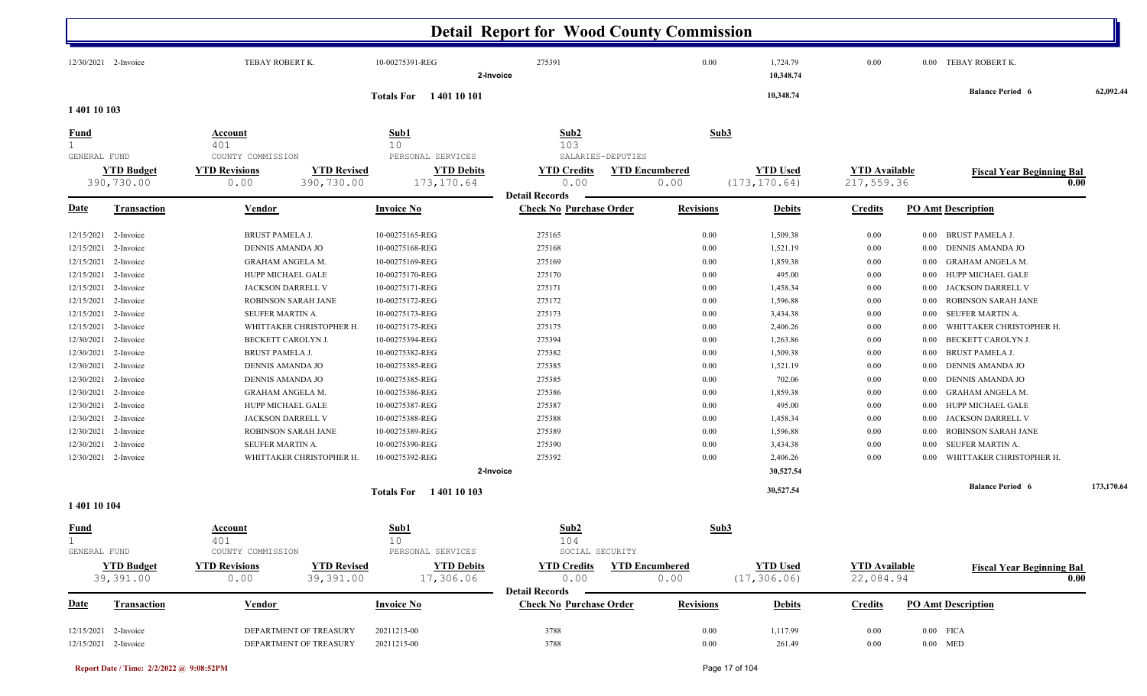|                             |                                 |                                            |                             | <b>Detail Report for Wood County Commission</b> |                       |                       |                      |          |                                  |            |
|-----------------------------|---------------------------------|--------------------------------------------|-----------------------------|-------------------------------------------------|-----------------------|-----------------------|----------------------|----------|----------------------------------|------------|
|                             | 12/30/2021 2-Invoice            | TEBAY ROBERT K.                            | 10-00275391-REG             | 275391<br>2-Invoice                             | 0.00                  | 1,724.79<br>10,348.74 | 0.00                 |          | 0.00 TEBAY ROBERT K.             |            |
| 1 401 10 103                |                                 |                                            | <b>Totals For</b> 140110101 |                                                 |                       | 10,348.74             |                      |          | <b>Balance Period 6</b>          | 62,092.44  |
| <u>Fund</u>                 |                                 | <b>Account</b>                             | Sub1                        | Sub2                                            | Sub3                  |                       |                      |          |                                  |            |
| 1                           |                                 | 401                                        | 10                          | 103                                             |                       |                       |                      |          |                                  |            |
| GENERAL FUND                |                                 | COUNTY COMMISSION                          | PERSONAL SERVICES           | SALARIES-DEPUTIES                               |                       |                       |                      |          |                                  |            |
|                             | <b>YTD Budget</b><br>390,730.00 | <b>YTD Revisions</b><br><b>YTD Revised</b> | <b>YTD Debits</b>           | <b>YTD Credits</b><br>0.00                      | <b>YTD Encumbered</b> | <b>YTD Used</b>       | <b>YTD</b> Available |          | <b>Fiscal Year Beginning Bal</b> |            |
|                             |                                 | 390,730.00<br>0.00                         | 173, 170.64                 | <b>Detail Records</b>                           | 0.00                  | (173, 170.64)         | 217,559.36           |          |                                  | 0.00       |
| <u>Date</u>                 | Transaction                     | Vendor                                     | <b>Invoice No</b>           | <b>Check No Purchase Order</b>                  | <b>Revisions</b>      | <b>Debits</b>         | <b>Credits</b>       |          | <b>PO Amt Description</b>        |            |
| 12/15/2021                  | 2-Invoice                       | <b>BRUST PAMELA J.</b>                     | 10-00275165-REG             | 275165                                          | 0.00                  | 1,509.38              | $0.00\,$             | $0.00\,$ | BRUST PAMELA J.                  |            |
| 12/15/2021                  | 2-Invoice                       | DENNIS AMANDA JO                           | 10-00275168-REG             | 275168                                          | 0.00                  | 1,521.19              | $0.00\,$             | $0.00\,$ | DENNIS AMANDA JO                 |            |
| 12/15/2021                  | 2-Invoice                       | <b>GRAHAM ANGELA M.</b>                    | 10-00275169-REG             | 275169                                          | 0.00                  | 1,859.38              | $0.00\,$             | 0.00     | <b>GRAHAM ANGELA M.</b>          |            |
| 12/15/2021                  | 2-Invoice                       | HUPP MICHAEL GALE                          | 10-00275170-REG             | 275170                                          | 0.00                  | 495.00                | $0.00\,$             | 0.00     | HUPP MICHAEL GALE                |            |
| 12/15/2021                  | 2-Invoice                       | JACKSON DARRELL V                          | 10-00275171-REG             | 275171                                          | 0.00                  | 1,458.34              | $0.00\,$             | 0.00     | JACKSON DARRELL V                |            |
| 12/15/2021                  | 2-Invoice                       | ROBINSON SARAH JANE                        | 10-00275172-REG             | 275172                                          | 0.00                  | 1,596.88              | $0.00\,$             | 0.00     | ROBINSON SARAH JANE              |            |
| 12/15/2021                  | 2-Invoice                       | SEUFER MARTIN A.                           | 10-00275173-REG             | 275173                                          | 0.00                  | 3,434.38              | $0.00\,$             | 0.00     | SEUFER MARTIN A.                 |            |
| 12/15/2021                  | 2-Invoice                       | WHITTAKER CHRISTOPHER H.                   | 10-00275175-REG             | 275175                                          | 0.00                  | 2,406.26              | $0.00\,$             | 0.00     | WHITTAKER CHRISTOPHER H.         |            |
| 12/30/2021                  | 2-Invoice                       | BECKETT CAROLYN J.                         | 10-00275394-REG             | 275394                                          | 0.00                  | 1,263.86              | $0.00\,$             | 0.00     | BECKETT CAROLYN J.               |            |
| 12/30/2021                  | 2-Invoice                       | <b>BRUST PAMELA J.</b>                     | 10-00275382-REG             | 275382                                          | 0.00                  | 1,509.38              | $0.00\,$             | 0.00     | <b>BRUST PAMELA J.</b>           |            |
| 12/30/2021                  | 2-Invoice                       | DENNIS AMANDA JO                           | 10-00275385-REG             | 275385                                          | 0.00                  | 1,521.19              | $0.00\,$             | 0.00     | DENNIS AMANDA JO                 |            |
| 12/30/2021                  | 2-Invoice                       | DENNIS AMANDA JO                           | 10-00275385-REG             | 275385                                          | 0.00                  | 702.06                | $0.00\,$             | $0.00\,$ | DENNIS AMANDA JO                 |            |
| 12/30/2021                  | 2-Invoice                       | <b>GRAHAM ANGELA M.</b>                    | 10-00275386-REG             | 275386                                          | 0.00                  | 1,859.38              | $0.00\,$             | $0.00\,$ | <b>GRAHAM ANGELA M.</b>          |            |
| 12/30/2021                  | 2-Invoice                       | HUPP MICHAEL GALE                          | 10-00275387-REG             | 275387                                          | 0.00                  | 495.00                | $0.00\,$             | 0.00     | HUPP MICHAEL GALE                |            |
| 12/30/2021                  | 2-Invoice                       | JACKSON DARRELL V                          | 10-00275388-REG             | 275388                                          | 0.00                  | 1,458.34              | $0.00\,$             | 0.00     | JACKSON DARRELL V                |            |
| 12/30/2021                  | 2-Invoice                       | ROBINSON SARAH JANE                        | 10-00275389-REG             | 275389                                          | 0.00                  | 1,596.88              | $0.00\,$             | 0.00     | ROBINSON SARAH JANE              |            |
| 12/30/2021                  | 2-Invoice                       | SEUFER MARTIN A.                           | 10-00275390-REG             | 275390                                          | 0.00                  | 3,434.38              | $0.00\,$             | 0.00     | SEUFER MARTIN A.                 |            |
|                             | 12/30/2021 2-Invoice            | WHITTAKER CHRISTOPHER H.                   | 10-00275392-REG             | 275392                                          | 0.00                  | 2,406.26              | $0.00\,$             | 0.00     | WHITTAKER CHRISTOPHER H.         |            |
|                             |                                 |                                            |                             | 2-Invoice                                       |                       | 30,527.54             |                      |          |                                  |            |
|                             |                                 |                                            | <b>Totals For</b> 140110103 |                                                 |                       | 30,527.54             |                      |          | <b>Balance Period 6</b>          | 173,170.64 |
| 1 401 10 104                |                                 |                                            |                             |                                                 |                       |                       |                      |          |                                  |            |
| <b>Fund</b><br>$\mathbf{1}$ |                                 | <b>Account</b><br>401                      | Sub1<br>10                  | Sub <sub>2</sub><br>104                         | Sub3                  |                       |                      |          |                                  |            |
| GENERAL FUND                |                                 | COUNTY COMMISSION                          | PERSONAL SERVICES           | SOCIAL SECURITY                                 |                       |                       |                      |          |                                  |            |
|                             | <b>YTD Budget</b>               | <b>YTD Revised</b><br><b>YTD Revisions</b> | <b>YTD Debits</b>           | <b>YTD Credits</b>                              | <b>YTD Encumbered</b> | <b>YTD Used</b>       | <b>YTD</b> Available |          | <b>Fiscal Year Beginning Bal</b> |            |
|                             | 39,391.00                       | 0.00<br>39,391.00                          | 17,306.06                   | 0.00<br><b>Detail Records</b>                   | 0.00                  | (17, 306.06)          | 22,084.94            |          |                                  | 0.00       |
| <b>Date</b>                 | <b>Transaction</b>              | Vendor                                     | <b>Invoice No</b>           | <b>Check No Purchase Order</b>                  | <b>Revisions</b>      | <b>Debits</b>         | <b>Credits</b>       |          | <b>PO Amt Description</b>        |            |
|                             | 12/15/2021 2-Invoice            | DEPARTMENT OF TREASURY                     |                             | 3788                                            |                       | 1,117.99              | 0.00                 |          | $0.00$ FICA                      |            |
|                             | 12/15/2021 2-Invoice            | DEPARTMENT OF TREASURY                     | 20211215-00<br>20211215-00  | 3788                                            | 0.00<br>0.00          | 261.49                | $0.00\,$             |          | $0.00$ MED                       |            |
|                             |                                 |                                            |                             |                                                 |                       |                       |                      |          |                                  |            |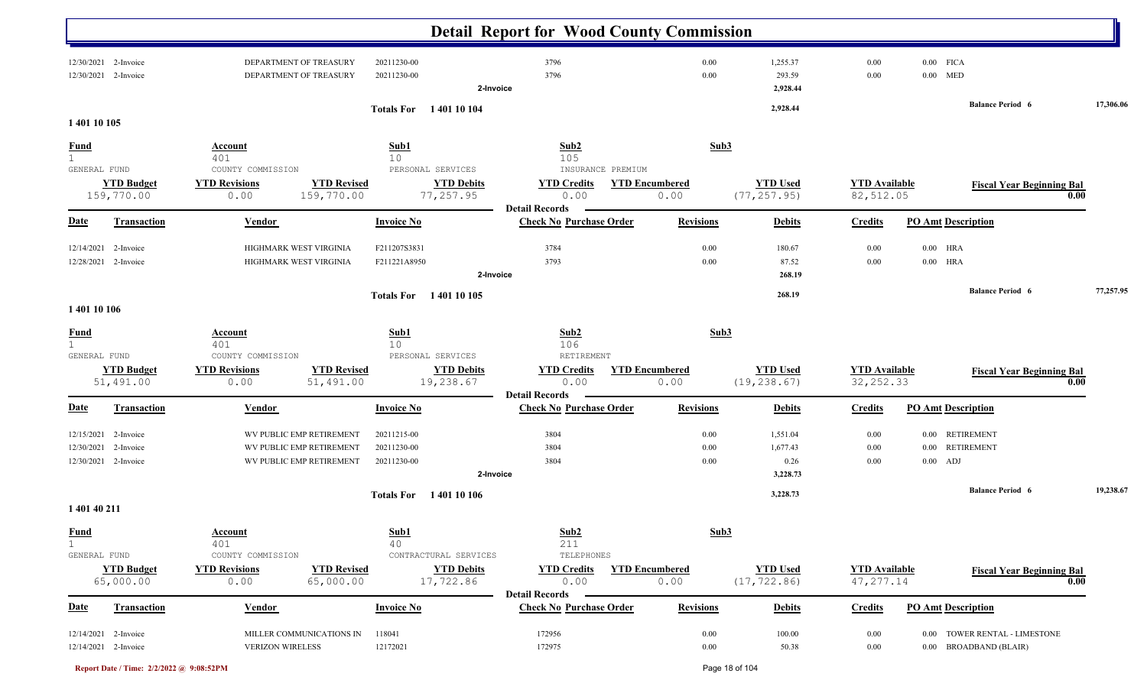|                             |                                                           |                                            |                                                                                  |                                                        | <b>Detail Report for Wood County Commission</b>     |                               |                                          |                                    |                           |                                                         |           |
|-----------------------------|-----------------------------------------------------------|--------------------------------------------|----------------------------------------------------------------------------------|--------------------------------------------------------|-----------------------------------------------------|-------------------------------|------------------------------------------|------------------------------------|---------------------------|---------------------------------------------------------|-----------|
| 12/30/2021<br>12/30/2021    | 2-Invoice<br>2-Invoice                                    |                                            | DEPARTMENT OF TREASURY<br>DEPARTMENT OF TREASURY                                 | 20211230-00<br>20211230-00<br>2-Invoice                | 3796<br>3796                                        | 0.00<br>0.00                  | 1,255.37<br>293.59<br>2,928.44           | 0.00<br>0.00                       | $0.00$ FICA<br>$0.00$ MED |                                                         |           |
|                             |                                                           |                                            |                                                                                  | 1 401 10 104<br><b>Totals For</b>                      |                                                     |                               | 2,928.44                                 |                                    |                           | <b>Balance Period 6</b>                                 | 17,306.06 |
| 1 401 10 105                |                                                           |                                            |                                                                                  |                                                        |                                                     |                               |                                          |                                    |                           |                                                         |           |
| <b>Fund</b><br>$\mathbf{1}$ | GENERAL FUND                                              | <b>Account</b><br>401<br>COUNTY COMMISSION |                                                                                  | Sub1<br>10<br>PERSONAL SERVICES                        | Sub2<br>105<br>INSURANCE PREMIUM                    | Sub3                          |                                          |                                    |                           |                                                         |           |
|                             | <b>YTD Budget</b><br>159,770.00                           | <b>YTD Revisions</b><br>0.00               | <b>YTD Revised</b><br>159,770.00                                                 | <b>YTD Debits</b><br>77,257.95                         | <b>YTD Credits</b><br>0.00<br><b>Detail Records</b> | <b>YTD Encumbered</b><br>0.00 | <b>YTD Used</b><br>(77, 257.95)          | <b>YTD</b> Available<br>82,512.05  |                           | <b>Fiscal Year Beginning Bal</b><br>0.00                |           |
| <b>Date</b>                 | <b>Transaction</b>                                        | <b>Vendor</b>                              |                                                                                  | <b>Invoice No</b>                                      | <b>Check No Purchase Order</b>                      | <b>Revisions</b>              | <b>Debits</b>                            | <b>Credits</b>                     | <b>PO Amt Description</b> |                                                         |           |
| 12/14/2021<br>12/28/2021    | 2-Invoice<br>2-Invoice                                    |                                            | HIGHMARK WEST VIRGINIA<br>HIGHMARK WEST VIRGINIA                                 | F211207S3831<br>F211221A8950<br>2-Invoice              | 3784<br>3793                                        | 0.00<br>0.00                  | 180.67<br>87.52<br>268.19                | 0.00<br>0.00                       | $0.00$ HRA<br>$0.00$ HRA  |                                                         |           |
| 1 401 10 106                |                                                           |                                            |                                                                                  | Totals For 1401 10 105                                 |                                                     |                               | 268.19                                   |                                    |                           | <b>Balance Period 6</b>                                 | 77,257.95 |
| <b>Fund</b><br>1            | GENERAL FUND                                              | <b>Account</b><br>401<br>COUNTY COMMISSION |                                                                                  | Sub1<br>10<br>PERSONAL SERVICES                        | Sub2<br>106<br>RETIREMENT                           | Sub3                          |                                          |                                    |                           |                                                         |           |
|                             | <b>YTD Budget</b><br>51,491.00                            | <b>YTD Revisions</b><br>0.00               | <b>YTD Revised</b><br>51,491.00                                                  | <b>YTD Debits</b><br>19,238.67                         | <b>YTD</b> Credits<br>0.00<br><b>Detail Records</b> | <b>YTD</b> Encumbered<br>0.00 | <b>YTD Used</b><br>(19, 238.67)          | <b>YTD</b> Available<br>32, 252.33 |                           | <b>Fiscal Year Beginning Bal</b><br>0.00                |           |
| <u>Date</u>                 | <b>Transaction</b>                                        | Vendor                                     |                                                                                  | <b>Invoice No</b>                                      | <b>Check No Purchase Order</b>                      | <b>Revisions</b>              | <b>Debits</b>                            | <b>Credits</b>                     | <b>PO Amt Description</b> |                                                         |           |
| 12/30/2021                  | 12/15/2021 2-Invoice<br>2-Invoice<br>12/30/2021 2-Invoice |                                            | WV PUBLIC EMP RETIREMENT<br>WV PUBLIC EMP RETIREMENT<br>WV PUBLIC EMP RETIREMENT | 20211215-00<br>20211230-00<br>20211230-00<br>2-Invoice | 3804<br>3804<br>3804                                | 0.00<br>0.00<br>0.00          | 1,551.04<br>1,677.43<br>0.26<br>3,228.73 | $0.00\,$<br>$0.00\,$<br>0.00       | $0.00\,$<br>$0.00$ ADJ    | 0.00 RETIREMENT<br><b>RETIREMENT</b>                    |           |
| 1 401 40 211                |                                                           |                                            |                                                                                  | Totals For 1401 10 106                                 |                                                     |                               | 3,228.73                                 |                                    |                           | <b>Balance Period 6</b>                                 | 19,238.67 |
| <b>Fund</b><br>$\mathbf{1}$ | GENERAL FUND                                              | <b>Account</b><br>401<br>COUNTY COMMISSION |                                                                                  | Sub1<br>40<br>CONTRACTURAL SERVICES                    | Sub2<br>211<br>TELEPHONES                           | Sub <sub>3</sub>              |                                          |                                    |                           |                                                         |           |
|                             | <b>YTD Budget</b><br>65,000.00                            | <b>YTD Revisions</b><br>0.00               | <b>YTD Revised</b><br>65,000.00                                                  | <b>YTD Debits</b><br>17,722.86                         | <b>YTD Credits</b><br>0.00<br><b>Detail Records</b> | <b>YTD Encumbered</b><br>0.00 | <b>YTD Used</b><br>(17, 722.86)          | <b>YTD</b> Available<br>47, 277.14 |                           | <b>Fiscal Year Beginning Bal</b><br>0.00                |           |
| <b>Date</b>                 | <b>Transaction</b>                                        | <b>Vendor</b>                              |                                                                                  | <b>Invoice No</b>                                      | <b>Check No Purchase Order</b>                      | <b>Revisions</b>              | <b>Debits</b>                            | <b>Credits</b>                     | <b>PO Amt Description</b> |                                                         |           |
|                             | 12/14/2021 2-Invoice<br>12/14/2021 2-Invoice              |                                            | MILLER COMMUNICATIONS IN<br><b>VERIZON WIRELESS</b>                              | 118041<br>12172021                                     | 172956<br>172975                                    | 0.00<br>0.00                  | 100.00<br>50.38                          | 0.00<br>$0.00\,$                   |                           | 0.00 TOWER RENTAL - LIMESTONE<br>0.00 BROADBAND (BLAIR) |           |

**Report Date / Time: 2/2/2022 @ 9:08:52PM** Page 18 of 104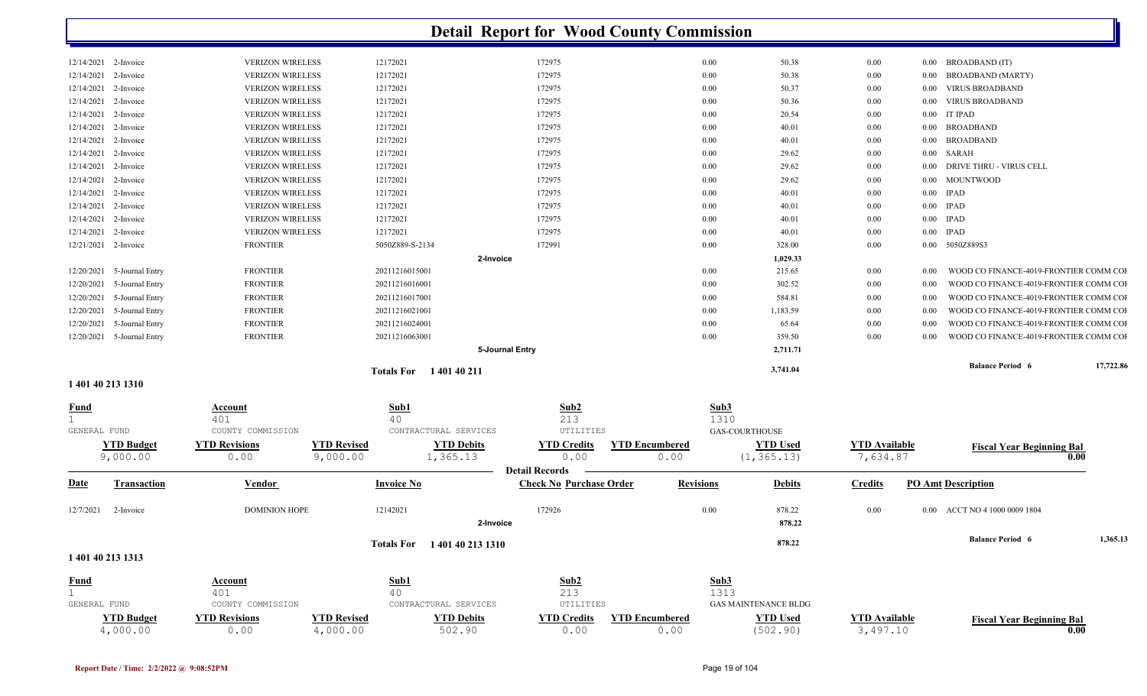|                                   |                              |                                |                               | <b>Detail Report for Wood County Commission</b>         |                               |                                |                                  |                                                    |           |
|-----------------------------------|------------------------------|--------------------------------|-------------------------------|---------------------------------------------------------|-------------------------------|--------------------------------|----------------------------------|----------------------------------------------------|-----------|
| 12/14/2021<br>2-Invoice           |                              | <b>VERIZON WIRELESS</b>        | 12172021                      | 172975                                                  | 0.00                          | 50.38                          | 0.00                             | <b>BROADBAND</b> (IT)<br>$0.00\,$                  |           |
| 12/14/2021<br>2-Invoice           |                              | <b>VERIZON WIRELESS</b>        | 12172021                      | 172975                                                  | 0.00                          | 50.38                          | 0.00                             | <b>BROADBAND (MARTY)</b><br>0.00                   |           |
| 12/14/2021<br>2-Invoice           |                              | <b>VERIZON WIRELESS</b>        | 12172021                      | 172975                                                  | 0.00                          | 50.37                          | 0.00                             | <b>VIRUS BROADBAND</b><br>$0.00\,$                 |           |
| 12/14/2021<br>2-Invoice           |                              | <b>VERIZON WIRELESS</b>        | 12172021                      | 172975                                                  | 0.00                          | 50.36                          | 0.00                             | <b>VIRUS BROADBAND</b><br>$0.00\,$                 |           |
| 12/14/2021<br>2-Invoice           |                              | <b>VERIZON WIRELESS</b>        | 12172021                      | 172975                                                  | 0.00                          | 20.54                          | 0.00                             | IT IPAD<br>$0.00\,$                                |           |
| 12/14/2021<br>2-Invoice           |                              | <b>VERIZON WIRELESS</b>        | 12172021                      | 172975                                                  | 0.00                          | 40.01                          | 0.00                             | $0.00\,$<br><b>BROADBAND</b>                       |           |
| 12/14/2021<br>2-Invoice           |                              | <b>VERIZON WIRELESS</b>        | 12172021                      | 172975                                                  | 0.00                          | 40.01                          | 0.00                             | BROADBAND<br>$0.00\,$                              |           |
| 12/14/2021<br>2-Invoice           |                              | <b>VERIZON WIRELESS</b>        | 12172021                      | 172975                                                  | 0.00                          | 29.62                          | 0.00                             | SARAH<br>$0.00\,$                                  |           |
| 12/14/2021<br>2-Invoice           |                              | <b>VERIZON WIRELESS</b>        | 12172021                      | 172975                                                  | 0.00                          | 29.62                          | 0.00                             | DRIVE THRU - VIRUS CELL<br>$0.00\,$                |           |
| 12/14/2021<br>2-Invoice           |                              | <b>VERIZON WIRELESS</b>        | 12172021                      | 172975                                                  | 0.00                          | 29.62                          | 0.00                             | <b>MOUNTWOOD</b><br>0.00                           |           |
| 12/14/2021<br>2-Invoice           |                              | <b>VERIZON WIRELESS</b>        | 12172021                      | 172975                                                  | 0.00                          | 40.01                          | 0.00                             | <b>IPAD</b><br>$0.00\,$                            |           |
| 12/14/2021<br>2-Invoice           |                              | <b>VERIZON WIRELESS</b>        | 12172021                      | 172975                                                  | 0.00                          | 40.01                          | 0.00                             | <b>IPAD</b><br>$0.00\,$                            |           |
| 12/14/2021<br>2-Invoice           |                              | <b>VERIZON WIRELESS</b>        | 12172021                      | 172975                                                  | 0.00                          | 40.01                          | 0.00                             | <b>IPAD</b><br>$0.00\,$                            |           |
| 12/14/2021<br>2-Invoice           |                              | <b>VERIZON WIRELESS</b>        | 12172021                      | 172975                                                  | 0.00                          | 40.01                          | 0.00                             | <b>IPAD</b><br>$0.00\,$                            |           |
| 12/21/2021<br>2-Invoice           |                              | <b>FRONTIER</b>                | 5050Z889-S-2134               | 172991                                                  | 0.00                          | 328.00                         | 0.00                             | 5050Z889S3<br>$0.00\,$                             |           |
|                                   |                              |                                |                               | 2-Invoice                                               |                               | 1,029.33                       |                                  |                                                    |           |
| 12/20/2021<br>5-Journal Entry     |                              | <b>FRONTIER</b>                | 20211216015001                |                                                         | 0.00                          | 215.65                         | 0.00                             | WOOD CO FINANCE-4019-FRONTIER COMM COI<br>$0.00\,$ |           |
| 12/20/2021<br>5-Journal Entry     |                              | <b>FRONTIER</b>                | 20211216016001                |                                                         | 0.00                          | 302.52                         | 0.00                             | WOOD CO FINANCE-4019-FRONTIER COMM COF<br>0.00     |           |
| 5-Journal Entry<br>12/20/2021     |                              | <b>FRONTIER</b>                | 20211216017001                |                                                         | 0.00                          | 584.81                         | 0.00                             | WOOD CO FINANCE-4019-FRONTIER COMM COI<br>0.00     |           |
| 5-Journal Entry<br>12/20/2021     |                              | <b>FRONTIER</b>                | 20211216021001                |                                                         | 0.00                          | 1,183.59                       | 0.00                             | WOOD CO FINANCE-4019-FRONTIER COMM COI<br>0.00     |           |
| 5-Journal Entry<br>12/20/2021     |                              | <b>FRONTIER</b>                | 20211216024001                |                                                         | 0.00                          | 65.64                          | 0.00                             | WOOD CO FINANCE-4019-FRONTIER COMM COI<br>0.00     |           |
| 12/20/2021<br>5-Journal Entry     |                              | <b>FRONTIER</b>                | 20211216063001                |                                                         | 0.00                          | 359.50                         | 0.00                             | WOOD CO FINANCE-4019-FRONTIER COMM COI<br>0.00     |           |
|                                   |                              |                                |                               | 5-Journal Entry                                         |                               | 2,711.71                       |                                  |                                                    |           |
|                                   |                              |                                | <b>Totals For</b> 140140211   |                                                         |                               | 3,741.04                       |                                  | <b>Balance Period 6</b>                            | 17,722.86 |
| 1 401 40 213 1310                 |                              |                                |                               |                                                         |                               |                                |                                  |                                                    |           |
| <u>Fund</u>                       | Account<br>401               |                                | Sub1<br>40                    | Sub2<br>213                                             | Sub3<br>1310                  |                                |                                  |                                                    |           |
| GENERAL FUND                      | COUNTY COMMISSION            |                                | CONTRACTURAL SERVICES         | UTILITIES                                               |                               | GAS-COURTHOUSE                 |                                  |                                                    |           |
| <b>YTD Budget</b><br>9,000.00     | <b>YTD Revisions</b><br>0.00 | <b>YTD Revised</b><br>9,000.00 | <b>YTD Debits</b><br>1,365.13 | <b>YTD Credits</b><br>0.00                              | <b>YTD Encumbered</b><br>0.00 | <b>YTD</b> Used<br>(1, 365.13) | <b>YTD Available</b><br>7,634.87 | <b>Fiscal Year Beginning Bal</b>                   | 0.00      |
| <u>Date</u><br><b>Transaction</b> |                              | Vendor                         | <b>Invoice No</b>             | <b>Detail Records</b><br><b>Check No Purchase Order</b> | <b>Revisions</b>              | <b>Debits</b>                  | <b>Credits</b>                   | <b>PO Amt Description</b>                          |           |
| 12/7/2021<br>2-Invoice            |                              | <b>DOMINION HOPE</b>           | 12142021                      | 172926                                                  | 0.00                          | 878.22                         | 0.00                             | ACCT NO 4 1000 0009 1804<br>$0.00\,$               |           |
|                                   |                              |                                |                               | 2-Invoice                                               |                               | 878.22                         |                                  |                                                    |           |
|                                   |                              |                                | Totals For 140140 213 1310    |                                                         |                               | 878.22                         |                                  | <b>Balance Period 6</b>                            | 1,365.13  |
| 1 401 40 213 1313                 |                              |                                |                               |                                                         |                               |                                |                                  |                                                    |           |
| <b>Fund</b>                       | <b>Account</b>               |                                | Sub1                          | Sub2                                                    | Sub <sub>3</sub>              |                                |                                  |                                                    |           |
| $\mathbf{1}$                      | 401                          |                                | 40                            | 213                                                     | 1313                          |                                |                                  |                                                    |           |
| GENERAL FUND                      | COUNTY COMMISSION            |                                | CONTRACTURAL SERVICES         | UTILITIES                                               |                               | <b>GAS MAINTENANCE BLDG</b>    |                                  |                                                    |           |
| <b>YTD Budget</b>                 | <b>YTD Revisions</b>         | <b>YTD Revised</b>             | <b>YTD Debits</b>             | <b>YTD Credits</b>                                      | <b>YTD Encumbered</b>         | <b>YTD Used</b>                | <b>YTD</b> Available             | <b>Fiscal Year Beginning Bal</b>                   |           |
| 4,000.00                          | 0.00                         | 4,000.00                       | 502.90                        | 0.00                                                    | 0.00                          | (502.90)                       | 3,497.10                         |                                                    | 0.00      |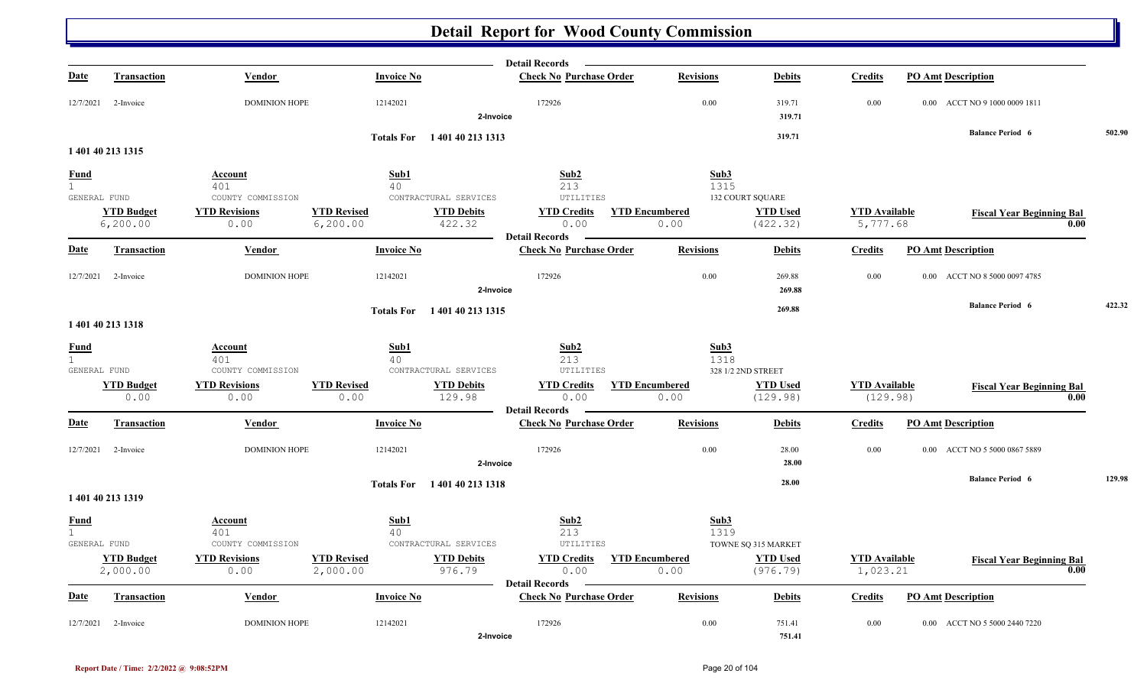|                   |                               |                                           |                                                                  | <b>Detail Records</b>           |                       |                                       |                                  |                                          |        |
|-------------------|-------------------------------|-------------------------------------------|------------------------------------------------------------------|---------------------------------|-----------------------|---------------------------------------|----------------------------------|------------------------------------------|--------|
| <b>Date</b>       | <b>Transaction</b>            | Vendor                                    | <b>Invoice No</b>                                                | <b>Check No Purchase Order</b>  | <b>Revisions</b>      | <b>Debits</b>                         | <b>Credits</b>                   | <b>PO Amt Description</b>                |        |
| 12/7/2021         | 2-Invoice                     | <b>DOMINION HOPE</b>                      | 12142021                                                         | 172926<br>2-Invoice             | 0.00                  | 319.71<br>319.71                      | 0.00                             | 0.00 ACCT NO 9 1000 0009 1811            |        |
|                   |                               |                                           | Totals For 140140 213 1313                                       |                                 |                       | 319.71                                |                                  | <b>Balance Period 6</b>                  | 502.90 |
|                   | 1 401 40 213 1315             |                                           |                                                                  |                                 |                       |                                       |                                  |                                          |        |
| <u>Fund</u>       |                               | Account                                   | Sub1                                                             | Sub2                            | Sub3                  |                                       |                                  |                                          |        |
| 1<br>GENERAL FUND |                               | 401<br>COUNTY COMMISSION                  | 40<br>CONTRACTURAL SERVICES                                      | 213<br>UTILITIES                | 1315                  | <b>132 COURT SQUARE</b>               |                                  |                                          |        |
|                   | <b>YTD Budget</b>             | <b>YTD Revisions</b>                      | <b>YTD Revised</b><br><b>YTD Debits</b>                          | <b>YTD Credits</b>              | <b>YTD Encumbered</b> | <b>YTD Used</b>                       | <b>YTD</b> Available             |                                          |        |
|                   | 6, 200.00                     | 0.00                                      | 6, 200.00<br>422.32                                              | 0.00                            | 0.00                  | (422.32)                              | 5,777.68                         | <b>Fiscal Year Beginning Bal</b><br>0.00 |        |
|                   |                               |                                           |                                                                  | <b>Detail Records</b>           |                       |                                       |                                  |                                          |        |
| <b>Date</b>       | <b>Transaction</b>            | Vendor                                    | <b>Invoice No</b>                                                | <b>Check No Purchase Order</b>  | <b>Revisions</b>      | <b>Debits</b>                         | <b>Credits</b>                   | <b>PO Amt Description</b>                |        |
| 12/7/2021         | 2-Invoice                     | <b>DOMINION HOPE</b>                      | 12142021                                                         | 172926                          | 0.00                  | 269.88                                | 0.00                             | 0.00 ACCT NO 8 5000 0097 4785            |        |
|                   |                               |                                           |                                                                  | 2-Invoice                       |                       | 269.88                                |                                  |                                          |        |
|                   |                               |                                           | Totals For 140140 213 1315                                       |                                 |                       | 269.88                                |                                  | <b>Balance Period 6</b>                  | 422.32 |
|                   | 1 401 40 213 1318             |                                           |                                                                  |                                 |                       |                                       |                                  |                                          |        |
| <b>Fund</b>       |                               | Account                                   | Sub1                                                             | Sub2                            | Sub3                  |                                       |                                  |                                          |        |
| 1                 |                               | 401                                       | 40                                                               | 213                             | 1318                  |                                       |                                  |                                          |        |
| GENERAL FUND      | <b>YTD Budget</b>             | COUNTY COMMISSION<br><b>YTD Revisions</b> | CONTRACTURAL SERVICES<br><b>YTD Revised</b><br><b>YTD Debits</b> | UTILITIES<br><b>YTD Credits</b> | <b>YTD Encumbered</b> | 328 1/2 2ND STREET<br><b>YTD Used</b> | <b>YTD</b> Available             |                                          |        |
|                   | 0.00                          | 0.00                                      | 0.00<br>129.98                                                   | 0.00                            | 0.00                  | (129.98)                              | (129.98)                         | <b>Fiscal Year Beginning Bal</b><br>0.00 |        |
|                   |                               |                                           |                                                                  | <b>Detail Records</b>           |                       |                                       |                                  |                                          |        |
| <b>Date</b>       | <b>Transaction</b>            | Vendor                                    | <b>Invoice No</b>                                                | <b>Check No Purchase Order</b>  | <b>Revisions</b>      | <b>Debits</b>                         | <b>Credits</b>                   | <b>PO Amt Description</b>                |        |
| 12/7/2021         | 2-Invoice                     | <b>DOMINION HOPE</b>                      | 12142021                                                         | 172926                          | 0.00                  | 28.00                                 | 0.00                             | 0.00 ACCT NO 5 5000 0867 5889            |        |
|                   |                               |                                           |                                                                  | 2-Invoice                       |                       | 28.00                                 |                                  |                                          |        |
|                   |                               |                                           | Totals For 1401 40 213 1318                                      |                                 |                       | 28.00                                 |                                  | <b>Balance Period 6</b>                  | 129.98 |
|                   | 1 401 40 213 1319             |                                           |                                                                  |                                 |                       |                                       |                                  |                                          |        |
| <b>Fund</b>       |                               | Account                                   | Sub1                                                             | Sub2                            | Sub3                  |                                       |                                  |                                          |        |
| $\mathbf{1}$      |                               | 401                                       | 40                                                               | 213                             | 1319                  |                                       |                                  |                                          |        |
|                   | GENERAL FUND                  | COUNTY COMMISSION                         | CONTRACTURAL SERVICES                                            | UTILITIES                       | <b>YTD Encumbered</b> | TOWNE SQ 315 MARKET                   |                                  |                                          |        |
|                   | <b>YTD Budget</b><br>2,000.00 | <b>YTD Revisions</b><br>0.00              | <b>YTD Revised</b><br><b>YTD Debits</b><br>976.79<br>2,000.00    | <b>YTD Credits</b><br>0.00      | 0.00                  | <b>YTD Used</b><br>(976.79)           | <b>YTD Available</b><br>1,023.21 | <b>Fiscal Year Beginning Bal</b><br>0.00 |        |
|                   |                               |                                           |                                                                  | <b>Detail Records</b>           |                       |                                       |                                  |                                          |        |
| Date              | <b>Transaction</b>            | Vendor                                    | <b>Invoice No</b>                                                | <b>Check No Purchase Order</b>  | <b>Revisions</b>      | <b>Debits</b>                         | <b>Credits</b>                   | <b>PO Amt Description</b>                |        |
| 12/7/2021         | 2-Invoice                     | <b>DOMINION HOPE</b>                      | 12142021                                                         | 172926                          | 0.00                  | 751.41                                | 0.00                             | 0.00 ACCT NO 5 5000 2440 7220            |        |
|                   |                               |                                           |                                                                  | 2-Invoice                       |                       | 751.41                                |                                  |                                          |        |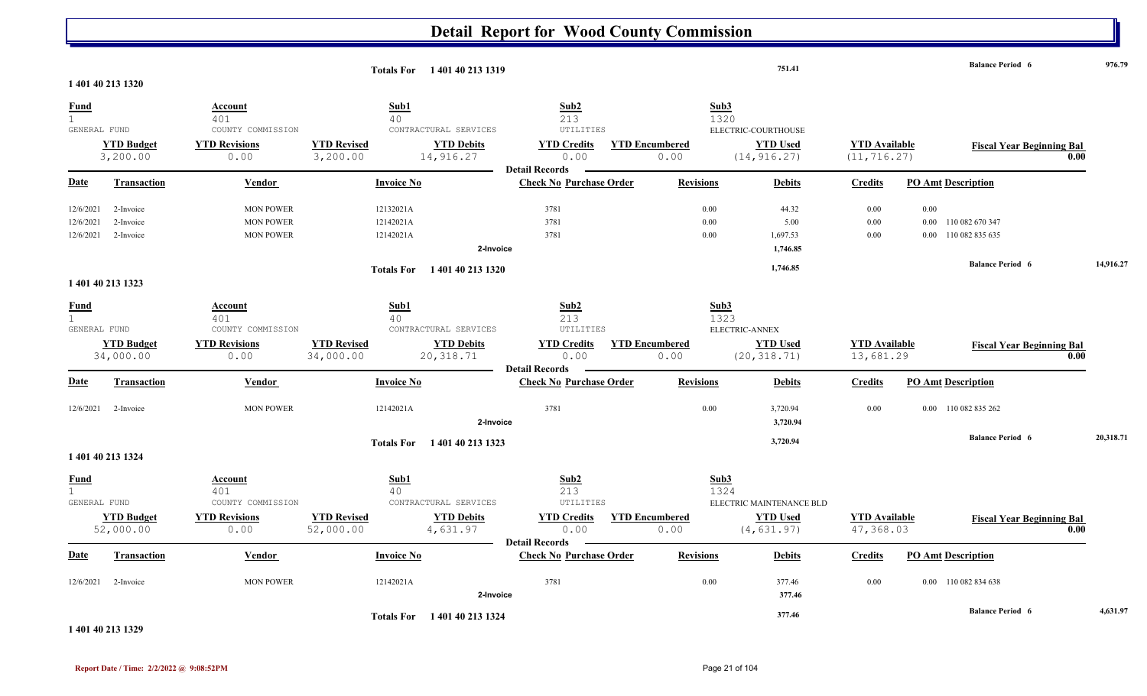|                                             | 1 401 40 213 1320                                                       |                                                                            |                                               | Totals For 140140 213 1319                              |                                                                  |                                               | 751.41                                                     |                                      |                           | <b>Balance Period 6</b>                 | 976.79    |
|---------------------------------------------|-------------------------------------------------------------------------|----------------------------------------------------------------------------|-----------------------------------------------|---------------------------------------------------------|------------------------------------------------------------------|-----------------------------------------------|------------------------------------------------------------|--------------------------------------|---------------------------|-----------------------------------------|-----------|
| <b>Fund</b><br>$\mathbf{1}$                 |                                                                         | Account<br>401                                                             | Sub1<br>40                                    |                                                         | Sub2<br>213                                                      | Sub3<br>1320                                  |                                                            |                                      |                           |                                         |           |
| GENERAL FUND                                | <b>YTD Budget</b><br>3,200.00                                           | COUNTY COMMISSION<br><b>YTD Revisions</b><br>0.00                          | <b>YTD Revised</b><br>3,200.00                | CONTRACTURAL SERVICES<br><b>YTD Debits</b><br>14,916.27 | UTILITIES<br><b>YTD Credits</b><br>0.00<br><b>Detail Records</b> | <b>YTD Encumbered</b><br>0.00                 | ELECTRIC-COURTHOUSE<br><b>YTD Used</b><br>(14, 916.27)     | <b>YTD Available</b><br>(11, 716.27) |                           | <b>Fiscal Year Beginning Bal</b>        | 0.00      |
| <u>Date</u>                                 | <b>Transaction</b>                                                      | Vendor                                                                     | <b>Invoice No</b>                             |                                                         | <b>Check No Purchase Order</b>                                   | <b>Revisions</b>                              | <b>Debits</b>                                              | <b>Credits</b>                       | <b>PO Amt Description</b> |                                         |           |
| 12/6/2021<br>12/6/2021<br>12/6/2021         | 2-Invoice<br>2-Invoice<br>2-Invoice                                     | <b>MON POWER</b><br><b>MON POWER</b><br><b>MON POWER</b>                   | 12132021A<br>12142021A<br>12142021A           | 2-Invoice                                               | 3781<br>3781<br>3781                                             | 0.00<br>0.00<br>0.00                          | 44.32<br>5.00<br>1,697.53<br>1,746.85                      | 0.00<br>0.00<br>0.00                 | 0.00<br>$0.00\,$          | 0.00 110 082 670 347<br>110 082 835 635 |           |
|                                             | 1 401 40 213 1323                                                       |                                                                            | <b>Totals For</b>                             | 1 401 40 213 1320                                       |                                                                  |                                               | 1,746.85                                                   |                                      |                           | <b>Balance Period 6</b>                 | 14,916.27 |
| <b>Fund</b><br>$\mathbf{1}$<br>GENERAL FUND |                                                                         | Account<br>401<br>COUNTY COMMISSION                                        | Sub1<br>40                                    | CONTRACTURAL SERVICES                                   | Sub2<br>213<br>UTILITIES                                         | Sub3<br>1323                                  | ELECTRIC-ANNEX                                             |                                      |                           |                                         |           |
|                                             | <b>YTD Budget</b><br>34,000.00                                          | <b>YTD Revisions</b><br>0.00                                               | <b>YTD Revised</b><br>34,000.00               | <b>YTD Debits</b><br>20, 318.71                         | <b>YTD Credits</b><br>0.00<br><b>Detail Records</b>              | <b>YTD Encumbered</b><br>0.00                 | <b>YTD Used</b><br>(20, 318.71)                            | <b>YTD Available</b><br>13,681.29    |                           | <b>Fiscal Year Beginning Bal</b>        | 0.00      |
| Date                                        | <b>Transaction</b>                                                      | Vendor                                                                     | <b>Invoice No</b>                             |                                                         | <b>Check No Purchase Order</b>                                   | <b>Revisions</b>                              | <b>Debits</b>                                              | <b>Credits</b>                       | <b>PO Amt Description</b> |                                         |           |
| 12/6/2021                                   | 2-Invoice                                                               | <b>MON POWER</b>                                                           | 12142021A                                     | 2-Invoice                                               | 3781                                                             | 0.00                                          | 3,720.94<br>3,720.94                                       | 0.00                                 |                           | 0.00 110 082 835 262                    |           |
|                                             | 1 401 40 213 1324                                                       |                                                                            |                                               | Totals For 1401 40 213 1323                             |                                                                  |                                               | 3,720.94                                                   |                                      |                           | <b>Balance Period 6</b>                 | 20,318.71 |
| <u>Fund</u><br>$\mathbf{1}$<br>GENERAL FUND | <b>YTD Budget</b><br>52,000.00                                          | <b>Account</b><br>401<br>COUNTY COMMISSION<br><b>YTD Revisions</b><br>0.00 | Sub1<br>40<br><b>YTD Revised</b><br>52,000.00 | CONTRACTURAL SERVICES<br><b>YTD Debits</b><br>4,631.97  | Sub2<br>213<br>UTILITIES<br><b>YTD Credits</b><br>0.00           | Sub3<br>1324<br><b>YTD Encumbered</b><br>0.00 | ELECTRIC MAINTENANCE BLD<br><b>YTD Used</b><br>(4, 631.97) | <b>YTD Available</b><br>47,368.03    |                           | <b>Fiscal Year Beginning Bal</b>        | 0.00      |
| Date                                        | <b>Transaction</b>                                                      | Vendor                                                                     | <b>Invoice No</b>                             |                                                         | <b>Detail Records</b><br><b>Check No Purchase Order</b>          | <b>Revisions</b>                              | <b>Debits</b>                                              | <b>Credits</b>                       | <b>PO Amt Description</b> |                                         |           |
| 12/6/2021                                   | 2-Invoice                                                               | <b>MON POWER</b>                                                           | 12142021A                                     | 2-Invoice                                               | 3781                                                             | 0.00                                          | 377.46<br>377.46                                           | 0.00                                 |                           | 0.00 110 082 834 638                    |           |
|                                             | $\overline{a}$ and $\overline{a}$ and $\overline{a}$ and $\overline{a}$ |                                                                            |                                               | Totals For 1401 40 213 1324                             |                                                                  |                                               | 377.46                                                     |                                      |                           | <b>Balance Period 6</b>                 | 4,631.97  |

**1 401 40 213 1329**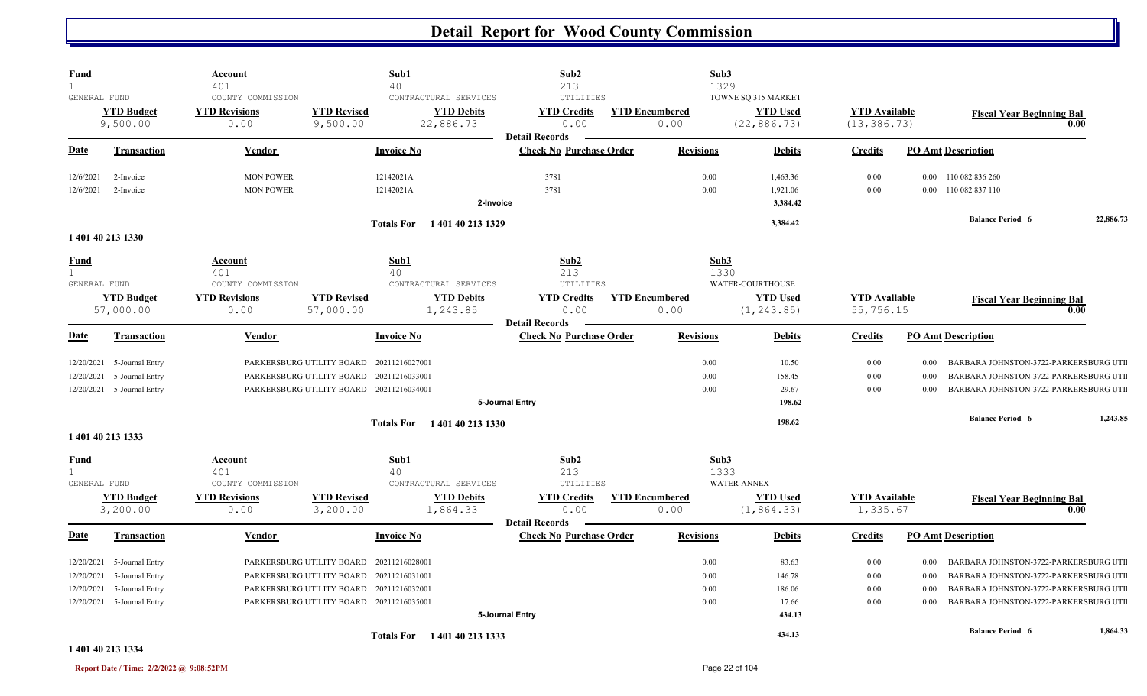| <b>Fund</b><br>$\mathbf{1}$  |                            | Account<br>401           |                                          | Sub1<br>40                             | Sub2<br>213                    |                       | Sub3<br>1329               |                                  |                                                   |           |
|------------------------------|----------------------------|--------------------------|------------------------------------------|----------------------------------------|--------------------------------|-----------------------|----------------------------|----------------------------------|---------------------------------------------------|-----------|
| GENERAL FUND                 |                            | COUNTY COMMISSION        |                                          | CONTRACTURAL SERVICES                  | UTILITIES                      |                       | TOWNE SQ 315 MARKET        |                                  |                                                   |           |
|                              | <b>YTD Budget</b>          | <b>YTD Revisions</b>     | <b>YTD Revised</b>                       | <b>YTD Debits</b>                      | <b>YTD Credits</b>             | <b>YTD Encumbered</b> | <b>YTD Used</b>            | <b>YTD Available</b>             | <b>Fiscal Year Beginning Bal</b>                  |           |
|                              | 9,500.00                   | 0.00                     | 9,500.00                                 | 22,886.73                              | 0.00                           | 0.00                  | (22, 886.73)               | (13, 386.73)                     |                                                   | 0.00      |
|                              |                            |                          |                                          |                                        | <b>Detail Records</b>          |                       |                            |                                  |                                                   |           |
| Date                         | <b>Transaction</b>         | Vendor                   |                                          | <b>Invoice No</b>                      | <b>Check No Purchase Order</b> | <b>Revisions</b>      | <b>Debits</b>              | <b>Credits</b>                   | <b>PO Amt Description</b>                         |           |
| 12/6/2021                    | 2-Invoice                  | <b>MON POWER</b>         |                                          | 12142021A                              | 3781                           | 0.00                  | 1,463.36                   | 0.00                             | 0.00 110 082 836 260                              |           |
| 12/6/2021                    | 2-Invoice                  | <b>MON POWER</b>         |                                          | 12142021A                              | 3781                           | 0.00                  | 1,921.06                   | 0.00                             | 110 082 837 110<br>0.00                           |           |
|                              |                            |                          |                                          | 2-Invoice                              |                                |                       | 3,384.42                   |                                  |                                                   |           |
|                              |                            |                          |                                          | 1401402131329<br><b>Totals For</b>     |                                |                       | 3,384.42                   |                                  | <b>Balance Period 6</b>                           | 22,886.73 |
|                              | 1 401 40 213 1330          |                          |                                          |                                        |                                |                       |                            |                                  |                                                   |           |
| <b>Fund</b>                  |                            | <b>Account</b>           |                                          | Sub1                                   | Sub2                           |                       | Sub3                       |                                  |                                                   |           |
| 1                            |                            | 401                      |                                          | 40                                     | 213                            |                       | 1330                       |                                  |                                                   |           |
| GENERAL FUND                 |                            | COUNTY COMMISSION        |                                          | CONTRACTURAL SERVICES                  | UTILITIES                      |                       | WATER-COURTHOUSE           |                                  |                                                   |           |
|                              | <b>YTD Budget</b>          | <b>YTD Revisions</b>     | <b>YTD Revised</b>                       | <b>YTD Debits</b>                      | <b>YTD Credits</b>             | <b>YTD Encumbered</b> | <b>YTD Used</b>            | <b>YTD Available</b>             | <b>Fiscal Year Beginning Bal</b>                  |           |
|                              | 57,000.00                  | 0.00                     | 57,000.00                                | 1,243.85                               | 0.00<br><b>Detail Records</b>  | 0.00                  | (1, 243.85)                | 55,756.15                        |                                                   | 0.00      |
| Date                         | <b>Transaction</b>         | Vendor                   |                                          | <b>Invoice No</b>                      | <b>Check No Purchase Order</b> | <b>Revisions</b>      | <b>Debits</b>              | <b>Credits</b>                   | <b>PO Amt Description</b>                         |           |
| 12/20/2021                   | 5-Journal Entry            |                          | PARKERSBURG UTILITY BOARD 20211216027001 |                                        |                                | 0.00                  | 10.50                      | 0.00                             | $0.00\,$<br>BARBARA JOHNSTON-3722-PARKERSBURG UTI |           |
| 12/20/2021                   | 5-Journal Entry            |                          | PARKERSBURG UTILITY BOARD                | 20211216033001                         |                                | 0.00                  | 158.45                     | 0.00                             | BARBARA JOHNSTON-3722-PARKERSBURG UTI<br>0.00     |           |
|                              | 12/20/2021 5-Journal Entry |                          | PARKERSBURG UTILITY BOARD 20211216034001 |                                        |                                | 0.00                  | 29.67                      | 0.00                             | BARBARA JOHNSTON-3722-PARKERSBURG UTI<br>0.00     |           |
|                              |                            |                          |                                          |                                        | 5-Journal Entry                |                       | 198.62                     |                                  |                                                   |           |
|                              |                            |                          |                                          | <b>Totals For</b><br>1 401 40 213 1330 |                                |                       | 198.62                     |                                  | <b>Balance Period 6</b>                           | 1,243.85  |
|                              | 1 401 40 213 1333          |                          |                                          |                                        |                                |                       |                            |                                  |                                                   |           |
| <b>Fund</b>                  |                            | Account                  |                                          | Sub1                                   | Sub2                           |                       | Sub3                       |                                  |                                                   |           |
| $\mathbf{1}$<br>GENERAL FUND |                            | 401<br>COUNTY COMMISSION |                                          | 40<br>CONTRACTURAL SERVICES            | 213<br>UTILITIES               |                       | 1333<br><b>WATER-ANNEX</b> |                                  |                                                   |           |
|                              | <b>YTD Budget</b>          | <b>YTD Revisions</b>     | <b>YTD Revised</b>                       | <b>YTD Debits</b>                      | <b>YTD Credits</b>             | <b>YTD Encumbered</b> | <b>YTD Used</b>            |                                  |                                                   |           |
|                              | 3,200.00                   | 0.00                     | 3,200.00                                 | 1,864.33                               | 0.00                           | 0.00                  | (1, 864.33)                | <b>YTD Available</b><br>1,335.67 | <b>Fiscal Year Beginning Bal</b>                  | 0.00      |
|                              |                            |                          |                                          |                                        | <b>Detail Records</b>          |                       |                            |                                  |                                                   |           |
| Date                         | <b>Transaction</b>         | Vendor                   |                                          | <b>Invoice No</b>                      | <b>Check No Purchase Order</b> | <b>Revisions</b>      | <b>Debits</b>              | <b>Credits</b>                   | <b>PO Amt Description</b>                         |           |
| 12/20/2021                   | 5-Journal Entry            |                          | PARKERSBURG UTILITY BOARD                | 20211216028001                         |                                | 0.00                  | 83.63                      | 0.00                             | $0.00\,$<br>BARBARA JOHNSTON-3722-PARKERSBURG UTI |           |
| 12/20/2021                   | 5-Journal Entry            |                          | PARKERSBURG UTILITY BOARD                | 20211216031001                         |                                | 0.00                  | 146.78                     | 0.00                             | BARBARA JOHNSTON-3722-PARKERSBURG UTI<br>0.00     |           |
| 12/20/2021                   | 5-Journal Entry            |                          | PARKERSBURG UTILITY BOARD                | 20211216032001                         |                                | 0.00                  | 186.06                     | 0.00                             | BARBARA JOHNSTON-3722-PARKERSBURG UTI<br>0.00     |           |
|                              | 12/20/2021 5-Journal Entry |                          | PARKERSBURG UTILITY BOARD 20211216035001 |                                        |                                | 0.00                  | 17.66                      | 0.00                             | BARBARA JOHNSTON-3722-PARKERSBURG UTI<br>$0.00\,$ |           |
|                              |                            |                          |                                          |                                        | 5-Journal Entry                |                       | 434.13                     |                                  |                                                   |           |
|                              |                            |                          |                                          | Totals For 140140 213 1333             |                                |                       | 434.13                     |                                  | <b>Balance Period 6</b>                           | 1,864.33  |

#### **1 401 40 213 1334**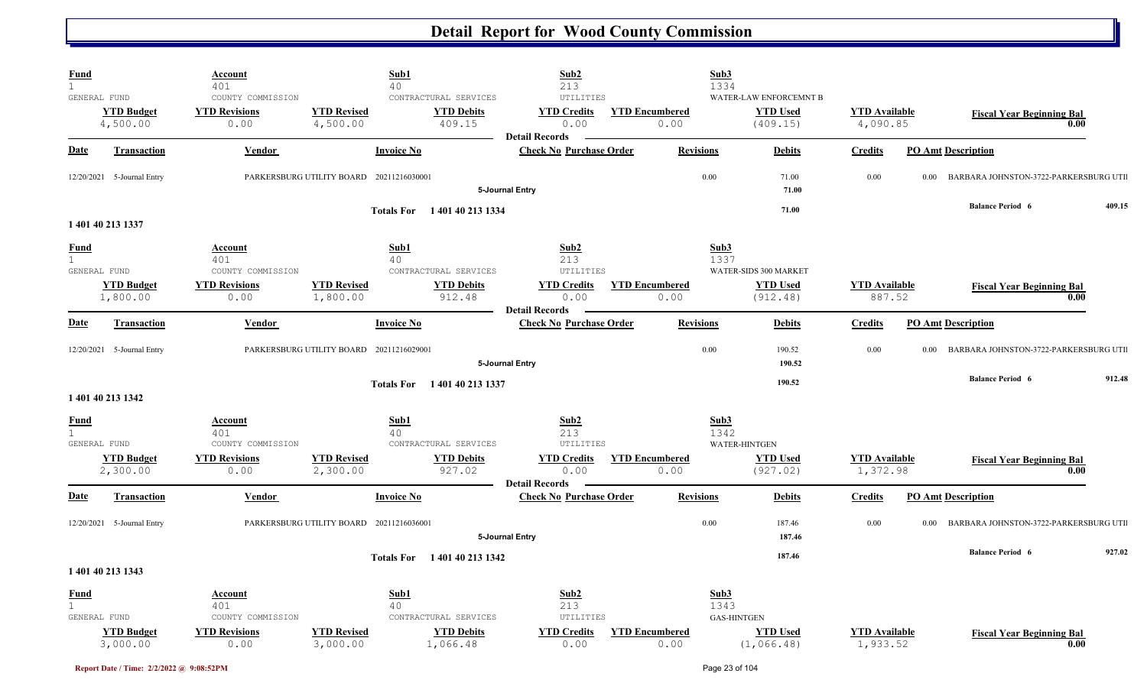| <b>Fund</b><br>$\mathbf{1}$ |                                               | <b>Account</b><br>401                             | Sub1<br>40                                                                             | Sub2<br>213                                                      | Sub3<br>1334                       |                                                       |                                  |                                          |
|-----------------------------|-----------------------------------------------|---------------------------------------------------|----------------------------------------------------------------------------------------|------------------------------------------------------------------|------------------------------------|-------------------------------------------------------|----------------------------------|------------------------------------------|
|                             | GENERAL FUND<br><b>YTD Budget</b>             | COUNTY COMMISSION<br><b>YTD Revisions</b><br>0.00 | CONTRACTURAL SERVICES<br><b>YTD Revised</b><br><b>YTD Debits</b><br>409.15             | UTILITIES<br><b>YTD Credits</b><br>0.00                          | <b>YTD Encumbered</b><br>0.00      | WATER-LAW ENFORCEMNT B<br><b>YTD Used</b><br>(409.15) | <b>YTD Available</b><br>4,090.85 | <b>Fiscal Year Beginning Bal</b><br>0.00 |
| <b>Date</b>                 | 4,500.00<br><b>Transaction</b>                | Vendor                                            | 4,500.00<br><b>Invoice No</b>                                                          | <b>Detail Records</b><br><b>Check No Purchase Order</b>          | <b>Revisions</b>                   | <b>Debits</b>                                         | <b>Credits</b>                   | <b>PO Amt Description</b>                |
|                             |                                               |                                                   |                                                                                        |                                                                  |                                    |                                                       |                                  |                                          |
|                             | 12/20/2021 5-Journal Entry                    |                                                   | PARKERSBURG UTILITY BOARD 20211216030001                                               | 5-Journal Entry                                                  | 0.00                               | 71.00<br>71.00                                        | 0.00<br>0.00                     | BARBARA JOHNSTON-3722-PARKERSBURG UTI    |
|                             | 1 401 40 213 1337                             |                                                   | 1 401 40 213 1334<br><b>Totals For</b>                                                 |                                                                  |                                    | 71.00                                                 |                                  | <b>Balance Period 6</b><br>409.15        |
| <b>Fund</b><br>1            |                                               | <b>Account</b><br>401                             | Sub1<br>40                                                                             | Sub2<br>213                                                      | Sub3<br>1337                       |                                                       |                                  |                                          |
|                             | GENERAL FUND<br><b>YTD Budget</b><br>1,800.00 | COUNTY COMMISSION<br><b>YTD Revisions</b><br>0.00 | CONTRACTURAL SERVICES<br><b>YTD Revised</b><br><b>YTD Debits</b><br>1,800.00<br>912.48 | UTILITIES<br><b>YTD Credits</b><br>0.00<br><b>Detail Records</b> | <b>YTD Encumbered</b><br>0.00      | WATER-SIDS 300 MARKET<br><b>YTD Used</b><br>(912.48)  | <b>YTD Available</b><br>887.52   | <b>Fiscal Year Beginning Bal</b><br>0.00 |
| <b>Date</b>                 | <b>Transaction</b>                            | Vendor                                            | <b>Invoice No</b>                                                                      | <b>Check No Purchase Order</b>                                   | <b>Revisions</b>                   | <b>Debits</b>                                         | <b>Credits</b>                   | <b>PO Amt Description</b>                |
|                             | 12/20/2021 5-Journal Entry                    |                                                   | PARKERSBURG UTILITY BOARD 20211216029001                                               | 5-Journal Entry                                                  | 0.00                               | 190.52<br>190.52                                      | 0.00<br>$0.00\,$                 | BARBARA JOHNSTON-3722-PARKERSBURG UTI    |
|                             | 1 401 40 213 1342                             |                                                   | <b>Totals For</b><br>1 401 40 213 1337                                                 |                                                                  |                                    | 190.52                                                |                                  | <b>Balance Period 6</b><br>912.48        |
| <b>Fund</b><br>$\mathbf{1}$ | GENERAL FUND                                  | <b>Account</b><br>401<br>COUNTY COMMISSION        | Sub1<br>40<br>CONTRACTURAL SERVICES                                                    | Sub2<br>213<br>UTILITIES                                         | Sub3<br>1342                       | <b>WATER-HINTGEN</b>                                  |                                  |                                          |
|                             | <b>YTD Budget</b><br>2,300.00                 | <b>YTD Revisions</b><br>0.00                      | <b>YTD Revised</b><br><b>YTD Debits</b><br>927.02<br>2,300.00                          | <b>YTD Credits</b><br>0.00<br><b>Detail Records</b>              | <b>YTD Encumbered</b><br>0.00      | <b>YTD Used</b><br>(927.02)                           | <b>YTD Available</b><br>1,372.98 | <b>Fiscal Year Beginning Bal</b><br>0.00 |
| <b>Date</b>                 | <b>Transaction</b>                            | <b>Vendor</b>                                     | <b>Invoice No</b>                                                                      | <b>Check No Purchase Order</b>                                   | <b>Revisions</b>                   | <b>Debits</b>                                         | <b>Credits</b>                   | <b>PO Amt Description</b>                |
|                             | 12/20/2021 5-Journal Entry                    |                                                   | PARKERSBURG UTILITY BOARD 20211216036001                                               | 5-Journal Entry                                                  | 0.00                               | 187.46<br>187.46                                      | 0.00<br>0.00                     | BARBARA JOHNSTON-3722-PARKERSBURG UTI    |
|                             | 1 401 40 213 1343                             |                                                   | 1 401 40 213 1342<br><b>Totals For</b>                                                 |                                                                  |                                    | 187.46                                                |                                  | <b>Balance Period 6</b><br>927.02        |
| <b>Fund</b><br>$\mathbf{1}$ | GENERAL FUND                                  | <b>Account</b><br>401<br>COUNTY COMMISSION        | Sub1<br>40<br>CONTRACTURAL SERVICES                                                    | Sub2<br>213<br>UTILITIES                                         | Sub3<br>1343<br><b>GAS-HINTGEN</b> |                                                       |                                  |                                          |
|                             | <b>YTD Budget</b><br>3,000.00                 | <b>YTD Revisions</b><br>0.00                      | <b>YTD Revised</b><br><b>YTD Debits</b><br>3,000.00<br>1,066.48                        | <b>YTD Credits</b><br>0.00                                       | <b>YTD Encumbered</b><br>0.00      | <b>YTD</b> Used<br>(1,066.48)                         | <b>YTD Available</b><br>1,933.52 | <b>Fiscal Year Beginning Bal</b><br>0.00 |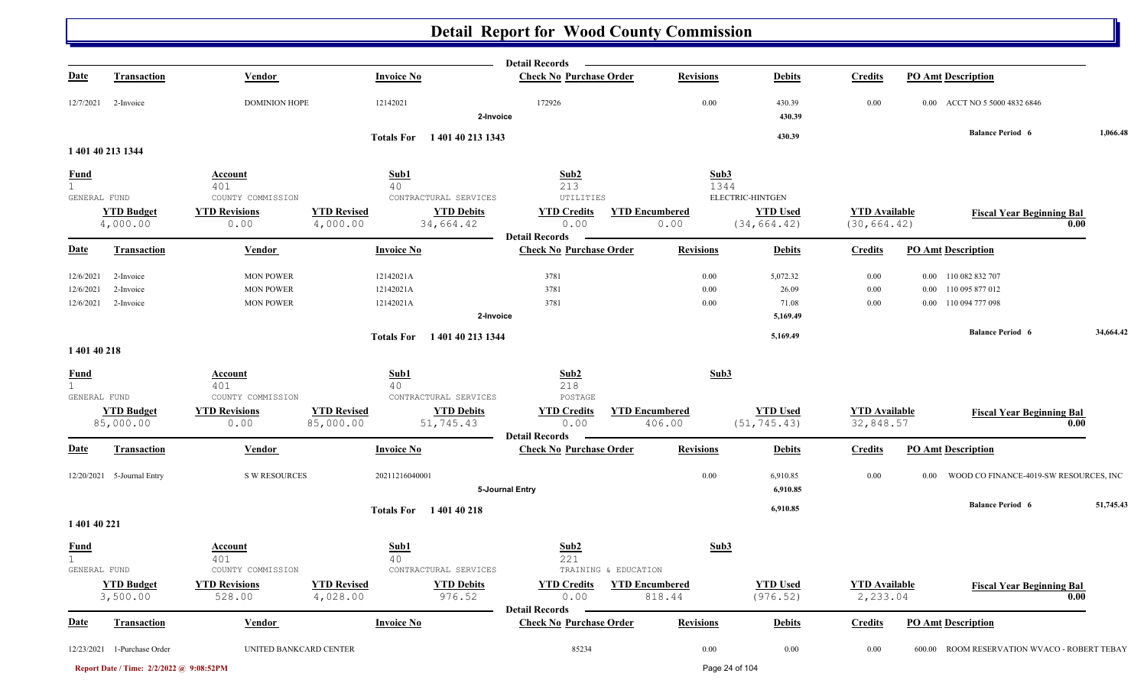|                                             |                                          |                                                     |                                 |                                                         | <b>Detail Records</b>                                   |                                 |                                                     |                                      |                                                 |           |
|---------------------------------------------|------------------------------------------|-----------------------------------------------------|---------------------------------|---------------------------------------------------------|---------------------------------------------------------|---------------------------------|-----------------------------------------------------|--------------------------------------|-------------------------------------------------|-----------|
| <b>Date</b>                                 | <b>Transaction</b>                       | Vendor                                              |                                 | <b>Invoice No</b>                                       | <b>Check No Purchase Order</b>                          | <b>Revisions</b>                | <b>Debits</b>                                       | <b>Credits</b>                       | <b>PO Amt Description</b>                       |           |
| 12/7/2021                                   | 2-Invoice                                | <b>DOMINION HOPE</b>                                |                                 | 12142021                                                | 172926<br>2-Invoice                                     | 0.00                            | 430.39<br>430.39                                    | 0.00                                 | ACCT NO 5 5000 4832 6846<br>$0.00\,$            |           |
|                                             |                                          |                                                     |                                 | Totals For 140140 213 1343                              |                                                         |                                 | 430.39                                              |                                      | <b>Balance Period 6</b>                         | 1,066.48  |
|                                             | 1 401 40 213 1344                        |                                                     |                                 |                                                         |                                                         |                                 |                                                     |                                      |                                                 |           |
| <b>Fund</b><br>$\mathbf{1}$                 |                                          | <b>Account</b><br>401                               |                                 | Sub1<br>40                                              | Sub2<br>213                                             | Sub3<br>1344                    |                                                     |                                      |                                                 |           |
| GENERAL FUND                                | <b>YTD Budget</b><br>4,000.00            | COUNTY COMMISSION<br><b>YTD Revisions</b><br>0.00   | <b>YTD Revised</b><br>4,000.00  | CONTRACTURAL SERVICES<br><b>YTD Debits</b><br>34,664.42 | UTILITIES<br><b>YTD Credits</b><br>0.00                 | <b>YTD Encumbered</b><br>0.00   | ELECTRIC-HINTGEN<br><b>YTD Used</b><br>(34, 664.42) | <b>YTD</b> Available<br>(30, 664.42) | <b>Fiscal Year Beginning Bal</b>                | 0.00      |
| <b>Date</b>                                 | Transaction                              | Vendor                                              |                                 | <b>Invoice No</b>                                       | <b>Detail Records</b><br><b>Check No Purchase Order</b> | <b>Revisions</b>                | <b>Debits</b>                                       | <b>Credits</b>                       | <b>PO Amt Description</b>                       |           |
| 12/6/2021<br>12/6/2021                      | 2-Invoice<br>2-Invoice                   | <b>MON POWER</b><br><b>MON POWER</b>                |                                 | 12142021A<br>12142021A                                  | 3781<br>3781                                            | 0.00<br>0.00                    | 5,072.32<br>26.09                                   | 0.00<br>0.00                         | 0.00 110 082 832 707<br>0.00 110 095 877 012    |           |
| 12/6/2021                                   | 2-Invoice                                | <b>MON POWER</b>                                    |                                 | 12142021A                                               | 3781<br>2-Invoice                                       | 0.00                            | 71.08<br>5,169.49                                   | 0.00                                 | 0.00 110 094 777 098                            |           |
| 1 401 40 218                                |                                          |                                                     |                                 | Totals For 140140 213 1344                              |                                                         |                                 | 5,169.49                                            |                                      | <b>Balance Period 6</b>                         | 34,664.42 |
| <b>Fund</b><br>$\mathbf{1}$<br>GENERAL FUND |                                          | Account<br>401<br>COUNTY COMMISSION                 |                                 | Sub1<br>40<br>CONTRACTURAL SERVICES                     | Sub2<br>218<br>POSTAGE                                  | Sub3                            |                                                     |                                      |                                                 |           |
|                                             | <b>YTD Budget</b><br>85,000.00           | <b>YTD Revisions</b><br>0.00                        | <b>YTD Revised</b><br>85,000.00 | <b>YTD Debits</b><br>51,745.43                          | <b>YTD Credits</b><br>0.00<br><b>Detail Records</b>     | <b>YTD Encumbered</b><br>406.00 | <b>YTD Used</b><br>(51, 745.43)                     | <b>YTD Available</b><br>32,848.57    | <b>Fiscal Year Beginning Bal</b>                | 0.00      |
| <b>Date</b>                                 | Transaction                              | <b>Vendor</b>                                       |                                 | <b>Invoice No</b>                                       | <b>Check No Purchase Order</b>                          | <b>Revisions</b>                | <b>Debits</b>                                       | <b>Credits</b>                       | <b>PO Amt Description</b>                       |           |
|                                             | 12/20/2021 5-Journal Entry               | <b>S W RESOURCES</b>                                |                                 | 20211216040001                                          | 5-Journal Entry                                         | 0.00                            | 6,910.85<br>6,910.85                                | 0.00                                 | WOOD CO FINANCE-4019-SW RESOURCES, INC<br>0.00  |           |
| 1 401 40 221                                |                                          |                                                     |                                 | Totals For 140140218                                    |                                                         |                                 | 6,910.85                                            |                                      | <b>Balance Period 6</b>                         | 51,745.43 |
| <b>Fund</b><br>1                            |                                          | Account<br>401                                      |                                 | Sub1<br>40                                              | Sub2<br>221                                             | Sub3                            |                                                     |                                      |                                                 |           |
| GENERAL FUND                                | <b>YTD Budget</b><br>3,500.00            | COUNTY COMMISSION<br><b>YTD Revisions</b><br>528.00 | <b>YTD Revised</b><br>4,028.00  | CONTRACTURAL SERVICES<br><b>YTD Debits</b><br>976.52    | TRAINING & EDUCATION<br><b>YTD Credits</b><br>0.00      | <b>YTD Encumbered</b><br>818.44 | <b>YTD Used</b><br>(976.52)                         | <b>YTD Available</b><br>2,233.04     | <b>Fiscal Year Beginning Bal</b>                | 0.00      |
| <b>Date</b>                                 | <b>Transaction</b>                       | <b>Vendor</b>                                       |                                 | <b>Invoice No</b>                                       | <b>Detail Records</b><br><b>Check No Purchase Order</b> | <b>Revisions</b>                | <b>Debits</b>                                       | <b>Credits</b>                       | <b>PO Amt Description</b>                       |           |
|                                             | 12/23/2021 1-Purchase Order              | UNITED BANKCARD CENTER                              |                                 |                                                         | 85234                                                   | $0.00\,$                        | 0.00                                                | 0.00                                 | ROOM RESERVATION WVACO - ROBERT TEBAY<br>600.00 |           |
|                                             | Report Date / Time: 2/2/2022 @ 9:08:52PM |                                                     |                                 |                                                         |                                                         |                                 | Page 24 of 104                                      |                                      |                                                 |           |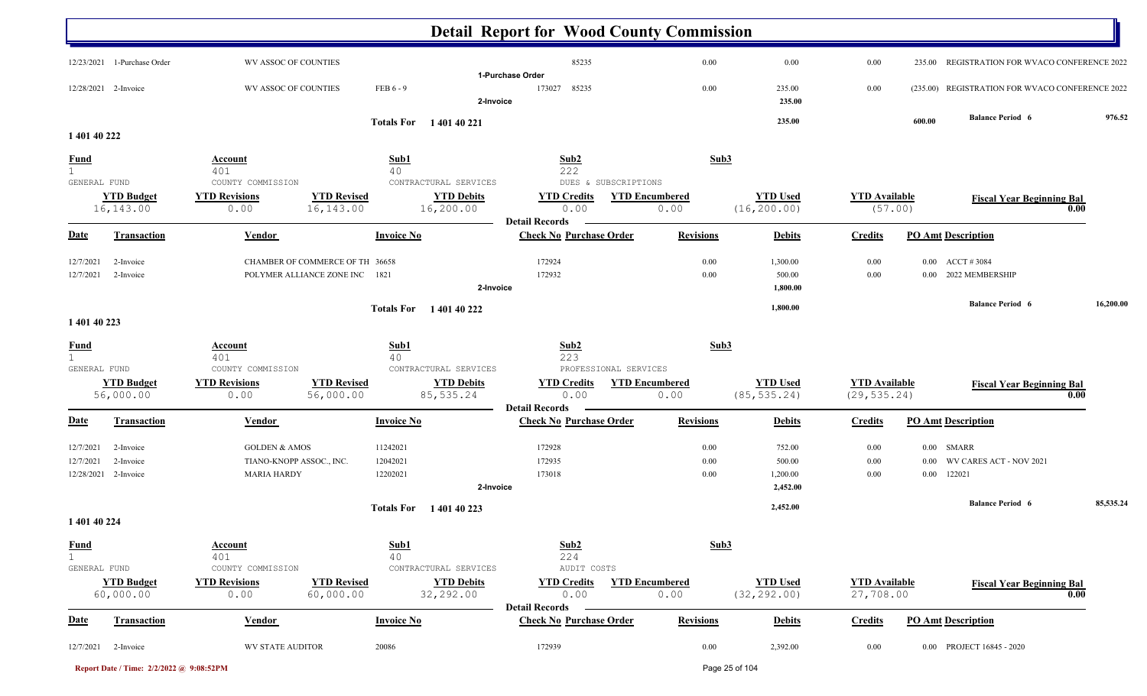| 85235<br>12/23/2021 1-Purchase Order<br>WV ASSOC OF COUNTIES<br>0.00<br>0.00<br>0.00<br>REGISTRATION FOR WVACO CONFERENCE 2022<br>235.00<br>1-Purchase Order<br>FEB 6 - 9<br>85235<br>0.00<br>(235.00) REGISTRATION FOR WVACO CONFERENCE 2022<br>12/28/2021 2-Invoice<br>WV ASSOC OF COUNTIES<br>173027<br>0.00<br>235.00<br>235.00<br>2-Invoice<br><b>Balance Period 6</b><br>235.00<br>600.00<br>Totals For 140140221<br>1 401 40 222<br>Sub3<br>Sub1<br>Sub2<br>Account<br>222<br>401<br>40<br>GENERAL FUND<br>COUNTY COMMISSION<br>CONTRACTURAL SERVICES<br>DUES & SUBSCRIPTIONS<br><b>YTD Revisions</b><br><b>YTD Revised</b><br><b>YTD Debits</b><br><b>YTD Used</b><br><b>YTD Budget</b><br><b>YTD Credits</b><br><b>YTD Encumbered</b><br><b>YTD Available</b><br><b>Fiscal Year Beginning Bal</b><br>(16, 200.00)<br>16,143.00<br>16,143.00<br>16,200.00<br>0.00<br>0.00<br>(57.00)<br>0.00<br>0.00<br><b>Detail Records</b><br><b>Invoice No</b><br><b>Check No Purchase Order</b><br><b>PO Amt Description</b><br><b>Transaction</b><br>Vendor<br><b>Revisions</b><br><b>Debits</b><br>Credits<br>CHAMBER OF COMMERCE OF TH 36658<br>172924<br>0.00<br><b>ACCT #3084</b><br>0.00<br>1,300.00<br>0.00<br>2-Invoice<br>POLYMER ALLIANCE ZONE INC<br>172932<br>2022 MEMBERSHIP<br>1821<br>$0.00\,$<br>500.00<br>0.00<br>0.00<br>2-Invoice<br>2-Invoice<br>1,800.00<br><b>Balance Period 6</b><br>1,800.00<br><b>Totals For</b> 140140222<br>1 401 40 223<br>Sub1<br>Sub <sub>2</sub><br>Sub3<br><b>Account</b><br>401<br>223<br>40<br>GENERAL FUND<br>CONTRACTURAL SERVICES<br>PROFESSIONAL SERVICES<br>COUNTY COMMISSION<br><b>YTD Budget</b><br><b>YTD Revisions</b><br><b>YTD Revised</b><br><b>YTD Debits</b><br><b>YTD Credits</b><br><b>YTD Encumbered</b><br><b>YTD Used</b><br><b>YTD</b> Available<br><b>Fiscal Year Beginning Bal</b><br>56,000.00<br>85, 535.24<br>(85, 535.24)<br>(29, 535.24)<br>56,000.00<br>0.00<br>0.00<br>0.00<br>0.00<br><b>Detail Records</b><br><b>Check No Purchase Order</b><br><b>Vendor</b><br><b>Invoice No</b><br><b>Revisions</b><br><b>PO Amt Description</b><br>Transaction<br><b>Debits</b><br><b>Credits</b><br>172928<br>SMARR<br>2-Invoice<br><b>GOLDEN &amp; AMOS</b><br>11242021<br>$0.00\,$<br>752.00<br>0.00<br>$0.00\,$<br>TIANO-KNOPP ASSOC., INC.<br>172935<br>500.00<br>WV CARES ACT - NOV 2021<br>12042021<br>0.00<br>0.00<br>2-Invoice<br>$0.00\,$<br>173018<br>122021<br>12/28/2021 2-Invoice<br><b>MARIA HARDY</b><br>12202021<br>0.00<br>1,200.00<br>0.00<br>0.00<br>2-Invoice<br>2,452.00<br><b>Balance Period 6</b><br>2,452.00<br><b>Totals For</b><br>1 401 40 223<br>1 401 40 224<br>Sub1<br>Sub2<br>Sub3<br>Account<br>224<br>40<br>401<br>COUNTY COMMISSION<br>CONTRACTURAL SERVICES<br>AUDIT COSTS<br>GENERAL FUND<br><b>YTD Revised</b><br><b>YTD Used</b><br><b>YTD Budget</b><br><b>YTD Revisions</b><br><b>YTD Debits</b><br><b>YTD Credits</b><br><b>YTD Encumbered</b><br><b>YTD</b> Available<br><b>Fiscal Year Beginning Bal</b><br>32,292.00<br>(32, 292.00)<br>0.00<br>60,000.00<br>60,000.00<br>0.00<br>0.00<br>27,708.00<br>0.00<br><b>Detail Records</b><br><b>Check No Purchase Order</b><br><b>Revisions</b><br><b>PO Amt Description</b><br><b>Transaction</b><br><b>Vendor</b><br><b>Invoice No</b><br><b>Debits</b><br><b>Credits</b><br>0.00 PROJECT 16845 - 2020<br>12/7/2021 2-Invoice<br><b>WV STATE AUDITOR</b><br>20086<br>172939<br>0.00<br>2,392.00<br>0.00 |                               |  | <b>Detail Report for Wood County Commission</b> |  |  |           |
|---------------------------------------------------------------------------------------------------------------------------------------------------------------------------------------------------------------------------------------------------------------------------------------------------------------------------------------------------------------------------------------------------------------------------------------------------------------------------------------------------------------------------------------------------------------------------------------------------------------------------------------------------------------------------------------------------------------------------------------------------------------------------------------------------------------------------------------------------------------------------------------------------------------------------------------------------------------------------------------------------------------------------------------------------------------------------------------------------------------------------------------------------------------------------------------------------------------------------------------------------------------------------------------------------------------------------------------------------------------------------------------------------------------------------------------------------------------------------------------------------------------------------------------------------------------------------------------------------------------------------------------------------------------------------------------------------------------------------------------------------------------------------------------------------------------------------------------------------------------------------------------------------------------------------------------------------------------------------------------------------------------------------------------------------------------------------------------------------------------------------------------------------------------------------------------------------------------------------------------------------------------------------------------------------------------------------------------------------------------------------------------------------------------------------------------------------------------------------------------------------------------------------------------------------------------------------------------------------------------------------------------------------------------------------------------------------------------------------------------------------------------------------------------------------------------------------------------------------------------------------------------------------------------------------------------------------------------------------------------------------------------------------------------------------------------------------------------------------------------------------------------------------------------------------------------------------------------------------------------------------------------------------------------------------------------------------------------------------------------------------------------------------------------------------------------------------------------------|-------------------------------|--|-------------------------------------------------|--|--|-----------|
|                                                                                                                                                                                                                                                                                                                                                                                                                                                                                                                                                                                                                                                                                                                                                                                                                                                                                                                                                                                                                                                                                                                                                                                                                                                                                                                                                                                                                                                                                                                                                                                                                                                                                                                                                                                                                                                                                                                                                                                                                                                                                                                                                                                                                                                                                                                                                                                                                                                                                                                                                                                                                                                                                                                                                                                                                                                                                                                                                                                                                                                                                                                                                                                                                                                                                                                                                                                                                                                                     |                               |  |                                                 |  |  |           |
|                                                                                                                                                                                                                                                                                                                                                                                                                                                                                                                                                                                                                                                                                                                                                                                                                                                                                                                                                                                                                                                                                                                                                                                                                                                                                                                                                                                                                                                                                                                                                                                                                                                                                                                                                                                                                                                                                                                                                                                                                                                                                                                                                                                                                                                                                                                                                                                                                                                                                                                                                                                                                                                                                                                                                                                                                                                                                                                                                                                                                                                                                                                                                                                                                                                                                                                                                                                                                                                                     |                               |  |                                                 |  |  |           |
|                                                                                                                                                                                                                                                                                                                                                                                                                                                                                                                                                                                                                                                                                                                                                                                                                                                                                                                                                                                                                                                                                                                                                                                                                                                                                                                                                                                                                                                                                                                                                                                                                                                                                                                                                                                                                                                                                                                                                                                                                                                                                                                                                                                                                                                                                                                                                                                                                                                                                                                                                                                                                                                                                                                                                                                                                                                                                                                                                                                                                                                                                                                                                                                                                                                                                                                                                                                                                                                                     |                               |  |                                                 |  |  | 976.52    |
|                                                                                                                                                                                                                                                                                                                                                                                                                                                                                                                                                                                                                                                                                                                                                                                                                                                                                                                                                                                                                                                                                                                                                                                                                                                                                                                                                                                                                                                                                                                                                                                                                                                                                                                                                                                                                                                                                                                                                                                                                                                                                                                                                                                                                                                                                                                                                                                                                                                                                                                                                                                                                                                                                                                                                                                                                                                                                                                                                                                                                                                                                                                                                                                                                                                                                                                                                                                                                                                                     |                               |  |                                                 |  |  |           |
|                                                                                                                                                                                                                                                                                                                                                                                                                                                                                                                                                                                                                                                                                                                                                                                                                                                                                                                                                                                                                                                                                                                                                                                                                                                                                                                                                                                                                                                                                                                                                                                                                                                                                                                                                                                                                                                                                                                                                                                                                                                                                                                                                                                                                                                                                                                                                                                                                                                                                                                                                                                                                                                                                                                                                                                                                                                                                                                                                                                                                                                                                                                                                                                                                                                                                                                                                                                                                                                                     | <b>Fund</b>                   |  |                                                 |  |  |           |
|                                                                                                                                                                                                                                                                                                                                                                                                                                                                                                                                                                                                                                                                                                                                                                                                                                                                                                                                                                                                                                                                                                                                                                                                                                                                                                                                                                                                                                                                                                                                                                                                                                                                                                                                                                                                                                                                                                                                                                                                                                                                                                                                                                                                                                                                                                                                                                                                                                                                                                                                                                                                                                                                                                                                                                                                                                                                                                                                                                                                                                                                                                                                                                                                                                                                                                                                                                                                                                                                     |                               |  |                                                 |  |  |           |
|                                                                                                                                                                                                                                                                                                                                                                                                                                                                                                                                                                                                                                                                                                                                                                                                                                                                                                                                                                                                                                                                                                                                                                                                                                                                                                                                                                                                                                                                                                                                                                                                                                                                                                                                                                                                                                                                                                                                                                                                                                                                                                                                                                                                                                                                                                                                                                                                                                                                                                                                                                                                                                                                                                                                                                                                                                                                                                                                                                                                                                                                                                                                                                                                                                                                                                                                                                                                                                                                     |                               |  |                                                 |  |  |           |
|                                                                                                                                                                                                                                                                                                                                                                                                                                                                                                                                                                                                                                                                                                                                                                                                                                                                                                                                                                                                                                                                                                                                                                                                                                                                                                                                                                                                                                                                                                                                                                                                                                                                                                                                                                                                                                                                                                                                                                                                                                                                                                                                                                                                                                                                                                                                                                                                                                                                                                                                                                                                                                                                                                                                                                                                                                                                                                                                                                                                                                                                                                                                                                                                                                                                                                                                                                                                                                                                     | <b>Date</b>                   |  |                                                 |  |  |           |
|                                                                                                                                                                                                                                                                                                                                                                                                                                                                                                                                                                                                                                                                                                                                                                                                                                                                                                                                                                                                                                                                                                                                                                                                                                                                                                                                                                                                                                                                                                                                                                                                                                                                                                                                                                                                                                                                                                                                                                                                                                                                                                                                                                                                                                                                                                                                                                                                                                                                                                                                                                                                                                                                                                                                                                                                                                                                                                                                                                                                                                                                                                                                                                                                                                                                                                                                                                                                                                                                     | 12/7/2021                     |  |                                                 |  |  |           |
|                                                                                                                                                                                                                                                                                                                                                                                                                                                                                                                                                                                                                                                                                                                                                                                                                                                                                                                                                                                                                                                                                                                                                                                                                                                                                                                                                                                                                                                                                                                                                                                                                                                                                                                                                                                                                                                                                                                                                                                                                                                                                                                                                                                                                                                                                                                                                                                                                                                                                                                                                                                                                                                                                                                                                                                                                                                                                                                                                                                                                                                                                                                                                                                                                                                                                                                                                                                                                                                                     | 12/7/2021                     |  |                                                 |  |  |           |
|                                                                                                                                                                                                                                                                                                                                                                                                                                                                                                                                                                                                                                                                                                                                                                                                                                                                                                                                                                                                                                                                                                                                                                                                                                                                                                                                                                                                                                                                                                                                                                                                                                                                                                                                                                                                                                                                                                                                                                                                                                                                                                                                                                                                                                                                                                                                                                                                                                                                                                                                                                                                                                                                                                                                                                                                                                                                                                                                                                                                                                                                                                                                                                                                                                                                                                                                                                                                                                                                     |                               |  |                                                 |  |  |           |
|                                                                                                                                                                                                                                                                                                                                                                                                                                                                                                                                                                                                                                                                                                                                                                                                                                                                                                                                                                                                                                                                                                                                                                                                                                                                                                                                                                                                                                                                                                                                                                                                                                                                                                                                                                                                                                                                                                                                                                                                                                                                                                                                                                                                                                                                                                                                                                                                                                                                                                                                                                                                                                                                                                                                                                                                                                                                                                                                                                                                                                                                                                                                                                                                                                                                                                                                                                                                                                                                     |                               |  |                                                 |  |  | 16,200.00 |
|                                                                                                                                                                                                                                                                                                                                                                                                                                                                                                                                                                                                                                                                                                                                                                                                                                                                                                                                                                                                                                                                                                                                                                                                                                                                                                                                                                                                                                                                                                                                                                                                                                                                                                                                                                                                                                                                                                                                                                                                                                                                                                                                                                                                                                                                                                                                                                                                                                                                                                                                                                                                                                                                                                                                                                                                                                                                                                                                                                                                                                                                                                                                                                                                                                                                                                                                                                                                                                                                     | <u>Fund</u><br>$\overline{1}$ |  |                                                 |  |  |           |
|                                                                                                                                                                                                                                                                                                                                                                                                                                                                                                                                                                                                                                                                                                                                                                                                                                                                                                                                                                                                                                                                                                                                                                                                                                                                                                                                                                                                                                                                                                                                                                                                                                                                                                                                                                                                                                                                                                                                                                                                                                                                                                                                                                                                                                                                                                                                                                                                                                                                                                                                                                                                                                                                                                                                                                                                                                                                                                                                                                                                                                                                                                                                                                                                                                                                                                                                                                                                                                                                     |                               |  |                                                 |  |  |           |
|                                                                                                                                                                                                                                                                                                                                                                                                                                                                                                                                                                                                                                                                                                                                                                                                                                                                                                                                                                                                                                                                                                                                                                                                                                                                                                                                                                                                                                                                                                                                                                                                                                                                                                                                                                                                                                                                                                                                                                                                                                                                                                                                                                                                                                                                                                                                                                                                                                                                                                                                                                                                                                                                                                                                                                                                                                                                                                                                                                                                                                                                                                                                                                                                                                                                                                                                                                                                                                                                     | <b>Date</b>                   |  |                                                 |  |  |           |
|                                                                                                                                                                                                                                                                                                                                                                                                                                                                                                                                                                                                                                                                                                                                                                                                                                                                                                                                                                                                                                                                                                                                                                                                                                                                                                                                                                                                                                                                                                                                                                                                                                                                                                                                                                                                                                                                                                                                                                                                                                                                                                                                                                                                                                                                                                                                                                                                                                                                                                                                                                                                                                                                                                                                                                                                                                                                                                                                                                                                                                                                                                                                                                                                                                                                                                                                                                                                                                                                     | 12/7/2021                     |  |                                                 |  |  |           |
|                                                                                                                                                                                                                                                                                                                                                                                                                                                                                                                                                                                                                                                                                                                                                                                                                                                                                                                                                                                                                                                                                                                                                                                                                                                                                                                                                                                                                                                                                                                                                                                                                                                                                                                                                                                                                                                                                                                                                                                                                                                                                                                                                                                                                                                                                                                                                                                                                                                                                                                                                                                                                                                                                                                                                                                                                                                                                                                                                                                                                                                                                                                                                                                                                                                                                                                                                                                                                                                                     | 12/7/2021                     |  |                                                 |  |  |           |
|                                                                                                                                                                                                                                                                                                                                                                                                                                                                                                                                                                                                                                                                                                                                                                                                                                                                                                                                                                                                                                                                                                                                                                                                                                                                                                                                                                                                                                                                                                                                                                                                                                                                                                                                                                                                                                                                                                                                                                                                                                                                                                                                                                                                                                                                                                                                                                                                                                                                                                                                                                                                                                                                                                                                                                                                                                                                                                                                                                                                                                                                                                                                                                                                                                                                                                                                                                                                                                                                     |                               |  |                                                 |  |  |           |
|                                                                                                                                                                                                                                                                                                                                                                                                                                                                                                                                                                                                                                                                                                                                                                                                                                                                                                                                                                                                                                                                                                                                                                                                                                                                                                                                                                                                                                                                                                                                                                                                                                                                                                                                                                                                                                                                                                                                                                                                                                                                                                                                                                                                                                                                                                                                                                                                                                                                                                                                                                                                                                                                                                                                                                                                                                                                                                                                                                                                                                                                                                                                                                                                                                                                                                                                                                                                                                                                     |                               |  |                                                 |  |  | 85,535.24 |
|                                                                                                                                                                                                                                                                                                                                                                                                                                                                                                                                                                                                                                                                                                                                                                                                                                                                                                                                                                                                                                                                                                                                                                                                                                                                                                                                                                                                                                                                                                                                                                                                                                                                                                                                                                                                                                                                                                                                                                                                                                                                                                                                                                                                                                                                                                                                                                                                                                                                                                                                                                                                                                                                                                                                                                                                                                                                                                                                                                                                                                                                                                                                                                                                                                                                                                                                                                                                                                                                     |                               |  |                                                 |  |  |           |
|                                                                                                                                                                                                                                                                                                                                                                                                                                                                                                                                                                                                                                                                                                                                                                                                                                                                                                                                                                                                                                                                                                                                                                                                                                                                                                                                                                                                                                                                                                                                                                                                                                                                                                                                                                                                                                                                                                                                                                                                                                                                                                                                                                                                                                                                                                                                                                                                                                                                                                                                                                                                                                                                                                                                                                                                                                                                                                                                                                                                                                                                                                                                                                                                                                                                                                                                                                                                                                                                     | <b>Fund</b>                   |  |                                                 |  |  |           |
|                                                                                                                                                                                                                                                                                                                                                                                                                                                                                                                                                                                                                                                                                                                                                                                                                                                                                                                                                                                                                                                                                                                                                                                                                                                                                                                                                                                                                                                                                                                                                                                                                                                                                                                                                                                                                                                                                                                                                                                                                                                                                                                                                                                                                                                                                                                                                                                                                                                                                                                                                                                                                                                                                                                                                                                                                                                                                                                                                                                                                                                                                                                                                                                                                                                                                                                                                                                                                                                                     |                               |  |                                                 |  |  |           |
|                                                                                                                                                                                                                                                                                                                                                                                                                                                                                                                                                                                                                                                                                                                                                                                                                                                                                                                                                                                                                                                                                                                                                                                                                                                                                                                                                                                                                                                                                                                                                                                                                                                                                                                                                                                                                                                                                                                                                                                                                                                                                                                                                                                                                                                                                                                                                                                                                                                                                                                                                                                                                                                                                                                                                                                                                                                                                                                                                                                                                                                                                                                                                                                                                                                                                                                                                                                                                                                                     | <u>Date</u>                   |  |                                                 |  |  |           |
|                                                                                                                                                                                                                                                                                                                                                                                                                                                                                                                                                                                                                                                                                                                                                                                                                                                                                                                                                                                                                                                                                                                                                                                                                                                                                                                                                                                                                                                                                                                                                                                                                                                                                                                                                                                                                                                                                                                                                                                                                                                                                                                                                                                                                                                                                                                                                                                                                                                                                                                                                                                                                                                                                                                                                                                                                                                                                                                                                                                                                                                                                                                                                                                                                                                                                                                                                                                                                                                                     |                               |  |                                                 |  |  |           |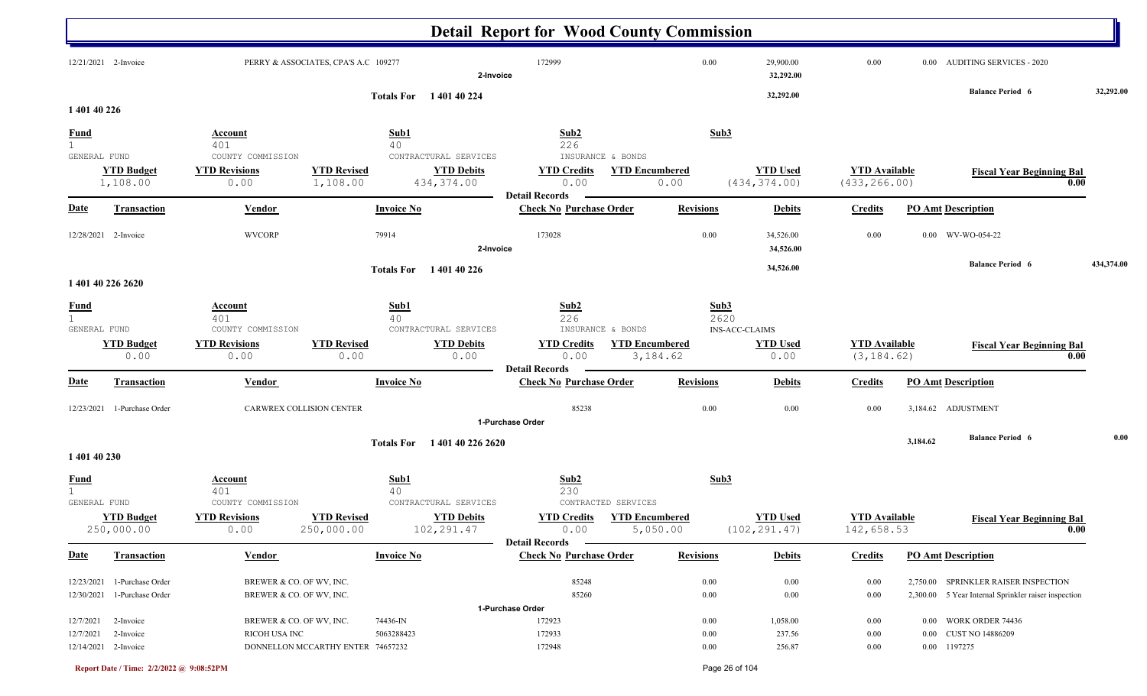|                                             |                                                            |                                                      |                                      |                                                          | <b>Detail Report for Wood County Commission</b>                            |                                   |                  |                                  |                                       |          |                                                                                              |            |
|---------------------------------------------|------------------------------------------------------------|------------------------------------------------------|--------------------------------------|----------------------------------------------------------|----------------------------------------------------------------------------|-----------------------------------|------------------|----------------------------------|---------------------------------------|----------|----------------------------------------------------------------------------------------------|------------|
|                                             | 12/21/2021 2-Invoice                                       |                                                      | PERRY & ASSOCIATES, CPA'S A.C 109277 | 2-Invoice                                                | 172999                                                                     |                                   | 0.00             | 29,900.00<br>32,292.00           | 0.00                                  |          | 0.00 AUDITING SERVICES - 2020                                                                |            |
|                                             |                                                            |                                                      |                                      | Totals For 140140224                                     |                                                                            |                                   |                  | 32,292.00                        |                                       |          | <b>Balance Period 6</b>                                                                      | 32,292.00  |
| 1 401 40 226                                |                                                            |                                                      |                                      |                                                          |                                                                            |                                   |                  |                                  |                                       |          |                                                                                              |            |
| <b>Fund</b><br>$\mathbf{1}$<br>GENERAL FUND |                                                            | <u>Account</u><br>401<br>COUNTY COMMISSION           |                                      | Sub1<br>40<br>CONTRACTURAL SERVICES                      | Sub2<br>226<br>INSURANCE & BONDS                                           |                                   | Sub3             |                                  |                                       |          |                                                                                              |            |
|                                             | <b>YTD Budget</b><br>1,108.00                              | <b>YTD Revisions</b><br>0.00                         | <b>YTD Revised</b><br>1,108.00       | <b>YTD Debits</b><br>434,374.00                          | <b>YTD Credits</b><br>0.00<br><b>Detail Records</b>                        | <b>YTD Encumbered</b><br>0.00     |                  | <b>YTD Used</b><br>(434, 374.00) | <b>YTD Available</b><br>(433, 266.00) |          | <b>Fiscal Year Beginning Bal</b><br>0.00                                                     |            |
| <u>Date</u>                                 | <b>Transaction</b>                                         | Vendor                                               |                                      | <b>Invoice No</b>                                        | <b>Check No Purchase Order</b>                                             |                                   | <b>Revisions</b> | <b>Debits</b>                    | <b>Credits</b>                        |          | <b>PO Amt Description</b>                                                                    |            |
|                                             | 12/28/2021 2-Invoice                                       | <b>WVCORP</b>                                        |                                      | 79914<br>2-Invoice                                       | 173028                                                                     |                                   | 0.00             | 34,526.00<br>34,526.00           | 0.00                                  |          | 0.00 WV-WO-054-22                                                                            |            |
|                                             | 1 401 40 226 2620                                          |                                                      |                                      | Totals For 140140226                                     |                                                                            |                                   |                  | 34,526.00                        |                                       |          | <b>Balance Period 6</b>                                                                      | 434,374.00 |
| <b>Fund</b><br>1<br>GENERAL FUND            |                                                            | <u>Account</u><br>401<br>COUNTY COMMISSION           |                                      | Sub1<br>40<br>CONTRACTURAL SERVICES                      | Sub2<br>226<br>INSURANCE & BONDS                                           |                                   | Sub3<br>2620     | <b>INS-ACC-CLAIMS</b>            |                                       |          |                                                                                              |            |
|                                             | <b>YTD Budget</b><br>0.00                                  | <b>YTD Revisions</b><br>0.00                         | <b>YTD Revised</b><br>0.00           | <b>YTD Debits</b><br>0.00                                | <b>YTD Credits</b><br>0.00<br><b>Detail Records</b>                        | <b>YTD Encumbered</b><br>3,184.62 |                  | <b>YTD Used</b><br>0.00          | <b>YTD</b> Available<br>(3, 184.62)   |          | <b>Fiscal Year Beginning Bal</b><br>0.00                                                     |            |
| Date                                        | <b>Transaction</b>                                         | Vendor                                               |                                      | <b>Invoice No</b>                                        | <b>Check No Purchase Order</b>                                             |                                   | <b>Revisions</b> | <b>Debits</b>                    | <b>Credits</b>                        |          | <b>PO Amt Description</b>                                                                    |            |
|                                             | 12/23/2021 1-Purchase Order                                | CARWREX COLLISION CENTER                             |                                      |                                                          | 85238<br>1-Purchase Order                                                  |                                   | 0.00             | 0.00                             | 0.00                                  |          | 3,184.62 ADJUSTMENT                                                                          |            |
| 1 401 40 230                                |                                                            |                                                      |                                      | <b>Totals For</b><br>1 401 40 226 2620                   |                                                                            |                                   |                  |                                  |                                       | 3,184.62 | <b>Balance Period 6</b>                                                                      | 0.00       |
| <u>Fund</u><br>$\mathbf{1}$                 |                                                            | <u>Account</u><br>401                                |                                      | Sub1<br>40                                               | Sub <sub>2</sub><br>230                                                    |                                   | Sub3             |                                  |                                       |          |                                                                                              |            |
| GENERAL FUND                                | <b>YTD Budget</b><br>250,000.00                            | COUNTY COMMISSION<br><b>YTD Revisions</b><br>0.00    | <b>YTD Revised</b><br>250,000.00     | CONTRACTURAL SERVICES<br><b>YTD Debits</b><br>102,291.47 | CONTRACTED SERVICES<br><b>YTD Credits</b><br>0.00<br><b>Detail Records</b> | <b>YTD Encumbered</b><br>5,050.00 |                  | <b>YTD Used</b><br>(102, 291.47) | <b>YTD Available</b><br>142,658.53    |          | <b>Fiscal Year Beginning Bal</b><br>0.00                                                     |            |
| <b>Date</b>                                 | Transaction                                                | Vendor                                               |                                      | <b>Invoice No</b>                                        | <b>Check No Purchase Order</b>                                             |                                   | <b>Revisions</b> | <b>Debits</b>                    | <b>Credits</b>                        |          | <b>PO Amt Description</b>                                                                    |            |
|                                             | 12/23/2021 1-Purchase Order<br>12/30/2021 1-Purchase Order | BREWER & CO. OF WV, INC.<br>BREWER & CO. OF WV, INC. |                                      |                                                          | 85248<br>85260                                                             |                                   | 0.00<br>0.00     | 0.00<br>$0.00\,$                 | 0.00<br>0.00                          |          | 2,750.00 SPRINKLER RAISER INSPECTION<br>2,300.00 5 Year Internal Sprinkler raiser inspection |            |
|                                             | 12/7/2021 2-Invoice                                        | BREWER & CO. OF WV, INC.                             |                                      | 74436-IN                                                 | 1-Purchase Order<br>172923                                                 |                                   | 0.00             | 1,058.00                         | 0.00                                  |          | 0.00 WORK ORDER 74436                                                                        |            |
| 12/7/2021                                   | 2-Invoice<br>12/14/2021 2-Invoice                          | RICOH USA INC                                        | DONNELLON MCCARTHY ENTER 74657232    | 5063288423                                               | 172933<br>172948                                                           |                                   | $0.00\,$<br>0.00 | 237.56<br>256.87                 | 0.00<br>0.00                          |          | 0.00 CUST NO 14886209<br>0.00 1197275                                                        |            |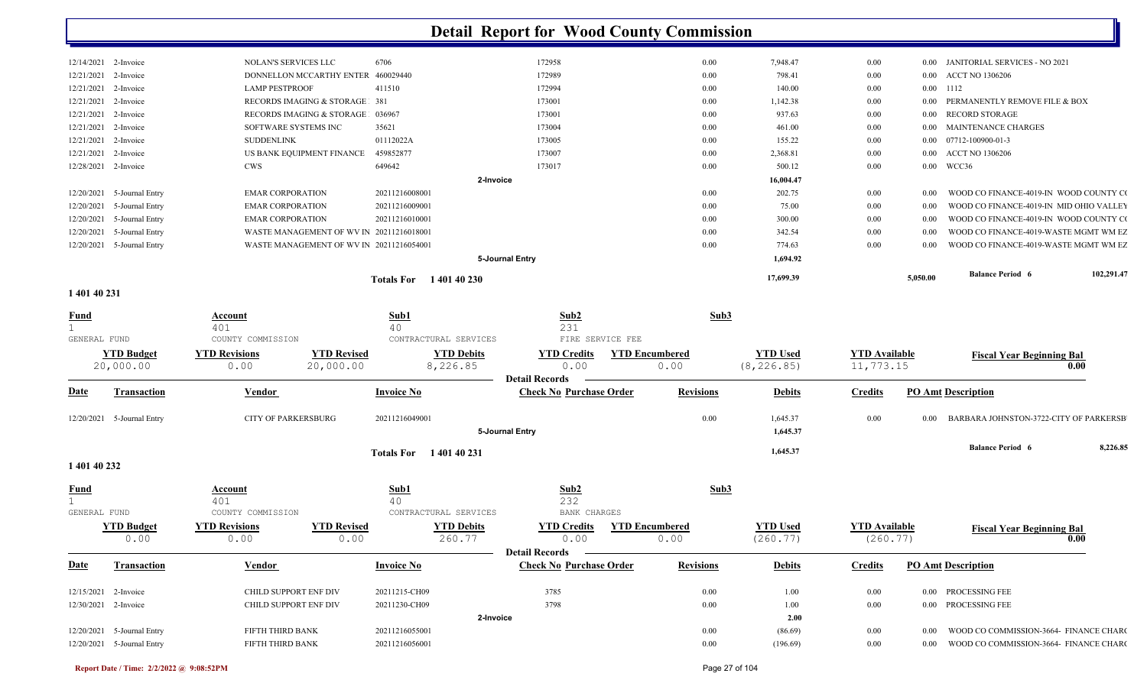|            | 12/21/2021 2-Invoice<br>12/21/2021 2-Invoice | DONNELLON MCCARTHY ENTER<br><b>LAMP PESTPROOF</b> | 460029440<br>411510               | 172989<br>172994 | 0.00<br>0.00 | 798.41<br>140.00 | $0.00\,$<br>$0.00\,$ | 0.00 1112 | 0.00 ACCT NO 1306206                    |            |
|------------|----------------------------------------------|---------------------------------------------------|-----------------------------------|------------------|--------------|------------------|----------------------|-----------|-----------------------------------------|------------|
|            | 12/21/2021 2-Invoice                         | RECORDS IMAGING & STORAGE 381                     |                                   | 173001           | 0.00         | 1,142.38         | $0.00\,$             |           | 0.00 PERMANENTLY REMOVE FILE & BOX      |            |
|            | 12/21/2021 2-Invoice                         | <b>RECORDS IMAGING &amp; STORAGE</b>              | 036967                            | 173001           | 0.00         | 937.63           | $0.00\,$             |           | 0.00 RECORD STORAGE                     |            |
|            | 12/21/2021 2-Invoice                         | SOFTWARE SYSTEMS INC                              | 35621                             | 173004           | 0.00         | 461.00           | 0.00                 |           | 0.00 MAINTENANCE CHARGES                |            |
|            | 12/21/2021 2-Invoice                         | SUDDENLINK                                        | 01112022A                         | 173005           | 0.00         | 155.22           | 0.00                 |           | $0.00$ $07712 - 100900 - 01 - 3$        |            |
|            | 12/21/2021 2-Invoice                         | US BANK EQUIPMENT FINANCE                         | 459852877                         | 173007           | 0.00         | 2,368.81         | 0.00                 |           | 0.00 ACCT NO 1306206                    |            |
|            | 12/28/2021 2-Invoice                         | <b>CWS</b>                                        | 649642                            | 173017           | 0.00         | 500.12           | 0.00                 |           | 0.00 WCC36                              |            |
|            |                                              |                                                   |                                   | 2-Invoice        |              | 16,004.47        |                      |           |                                         |            |
|            | 12/20/2021 5-Journal Entry                   | <b>EMAR CORPORATION</b>                           | 20211216008001                    |                  | 0.00         | 202.75           | $0.00\,$             | 0.00      | WOOD CO FINANCE-4019-IN WOOD COUNTY CO  |            |
| 12/20/2021 | 5-Journal Entry                              | <b>EMAR CORPORATION</b>                           | 20211216009001                    |                  | 0.00         | 75.00            | $0.00\,$             | 0.00      | WOOD CO FINANCE-4019-IN MID OHIO VALLEY |            |
| 12/20/2021 | 5-Journal Entry                              | <b>EMAR CORPORATION</b>                           | 20211216010001                    |                  | 0.00         | 300.00           | $0.00\,$             | $0.00\,$  | WOOD CO FINANCE-4019-IN WOOD COUNTY CO  |            |
| 12/20/2021 | 5-Journal Entry                              | WASTE MANAGEMENT OF WV IN 20211216018001          |                                   |                  | 0.00         | 342.54           | $0.00\,$             | $0.00\,$  | WOOD CO FINANCE-4019-WASTE MGMT WM EZ   |            |
| 12/20/2021 | 5-Journal Entry                              | WASTE MANAGEMENT OF WV IN 20211216054001          |                                   |                  | 0.00         | 774.63           | 0.00                 | 0.00      | WOOD CO FINANCE-4019-WASTE MGMT WM EZ   |            |
|            |                                              |                                                   |                                   | 5-Journal Entry  |              | 1,694.92         |                      |           |                                         |            |
|            |                                              |                                                   | <b>Totals For</b><br>1 401 40 230 |                  |              | 17,699.39        |                      | 5,050.00  | <b>Balance Period 6</b>                 | 102,291.47 |
|            |                                              |                                                   |                                   |                  |              |                  |                      |           |                                         |            |

#### **1 401 40 231**

| <b>Fund</b>                |                                | Account                      | Sub1                            |                               | Sub2                                                    |                               | Sub3             |                                |                                   |                           |                                        |                                        |
|----------------------------|--------------------------------|------------------------------|---------------------------------|-------------------------------|---------------------------------------------------------|-------------------------------|------------------|--------------------------------|-----------------------------------|---------------------------|----------------------------------------|----------------------------------------|
|                            |                                | 401                          | 40                              |                               | 231                                                     |                               |                  |                                |                                   |                           |                                        |                                        |
| GENERAL FUND               |                                | COUNTY COMMISSION            |                                 | CONTRACTURAL SERVICES         | FIRE SERVICE FEE                                        |                               |                  |                                |                                   |                           |                                        |                                        |
|                            | <b>YTD Budget</b><br>20,000.00 | <b>YTD Revisions</b><br>0.00 | <b>YTD Revised</b><br>20,000.00 | <b>YTD Debits</b><br>8,226.85 | <b>YTD Credits</b><br>0.00                              | <b>YTD Encumbered</b><br>0.00 |                  | <b>YTD Used</b><br>(8, 226.85) | <b>YTD</b> Available<br>11,773.15 |                           | <b>Fiscal Year Beginning Bal</b>       | 0.00                                   |
|                            |                                |                              |                                 |                               | <b>Detail Records</b>                                   |                               |                  |                                |                                   |                           |                                        |                                        |
| <b>Date</b>                | <b>Transaction</b>             | <b>Vendor</b>                | <b>Invoice No</b>               |                               | <b>Check No Purchase Order</b>                          |                               | <b>Revisions</b> | <b>Debits</b>                  | <b>Credits</b>                    | <b>PO Amt Description</b> |                                        |                                        |
| 12/20/2021                 | 5-Journal Entry                | <b>CITY OF PARKERSBURG</b>   | 20211216049001                  |                               | 5-Journal Entry                                         |                               | 0.00             | 1,645.37<br>1,645.37           | 0.00                              | 0.00                      | BARBARA JOHNSTON-3722-CITY OF PARKERSB |                                        |
|                            |                                |                              |                                 |                               |                                                         |                               |                  |                                |                                   |                           | <b>Balance Period 6</b>                | 8,226.85                               |
|                            |                                |                              | <b>Totals For</b>               | 140140231                     |                                                         |                               |                  | 1,645.37                       |                                   |                           |                                        |                                        |
| 1 401 40 232               |                                |                              |                                 |                               |                                                         |                               |                  |                                |                                   |                           |                                        |                                        |
| <b>Fund</b>                |                                | Account<br>401               | Sub1<br>40                      |                               | Sub2<br>232                                             |                               | Sub3             |                                |                                   |                           |                                        |                                        |
| GENERAL FUND               |                                | COUNTY COMMISSION            |                                 | CONTRACTURAL SERVICES         | <b>BANK CHARGES</b>                                     |                               |                  |                                |                                   |                           |                                        |                                        |
|                            | <b>YTD Budget</b><br>0.00      | <b>YTD Revisions</b><br>0.00 | <b>YTD Revised</b><br>0.00      | <b>YTD Debits</b><br>260.77   | <b>YTD Credits</b><br>0.00                              | <b>YTD Encumbered</b><br>0.00 |                  | <b>YTD Used</b><br>(260.77)    | <b>YTD Available</b><br>(260.77)  |                           | <b>Fiscal Year Beginning Bal</b>       | 0.00                                   |
| <b>Date</b>                | <b>Transaction</b>             | <b>Vendor</b>                | <b>Invoice No</b>               |                               | <b>Detail Records</b><br><b>Check No Purchase Order</b> |                               | <b>Revisions</b> | <b>Debits</b>                  | <b>Credits</b>                    | <b>PO Amt Description</b> |                                        |                                        |
| 12/15/2021                 | 2-Invoice                      | CHILD SUPPORT ENF DIV        | 20211215-CH09                   |                               | 3785                                                    |                               | 0.00             | 1.00                           | 0.00                              | 0.00 PROCESSING FEE       |                                        |                                        |
| 12/30/2021                 | 2-Invoice                      | CHILD SUPPORT ENF DIV        | 20211230-CH09                   |                               | 3798                                                    |                               | 0.00             | 1.00                           | 0.00                              | 0.00 PROCESSING FEE       |                                        |                                        |
|                            |                                |                              |                                 | 2-Invoice                     |                                                         |                               |                  | 2.00                           |                                   |                           |                                        |                                        |
| 12/20/2021                 | 5-Journal Entry                | <b>FIFTH THIRD BANK</b>      | 20211216055001                  |                               |                                                         |                               | 0.00             | (86.69)                        | 0.00                              | 0.00                      | WOOD CO COMMISSION-3664- FINANCE CHARC |                                        |
| 12/20/2021 5-Journal Entry |                                | FIFTH THIRD BANK             | 20211216056001                  |                               |                                                         |                               |                  | (196.69)                       |                                   |                           |                                        | WOOD CO COMMISSION-3664- FINANCE CHARC |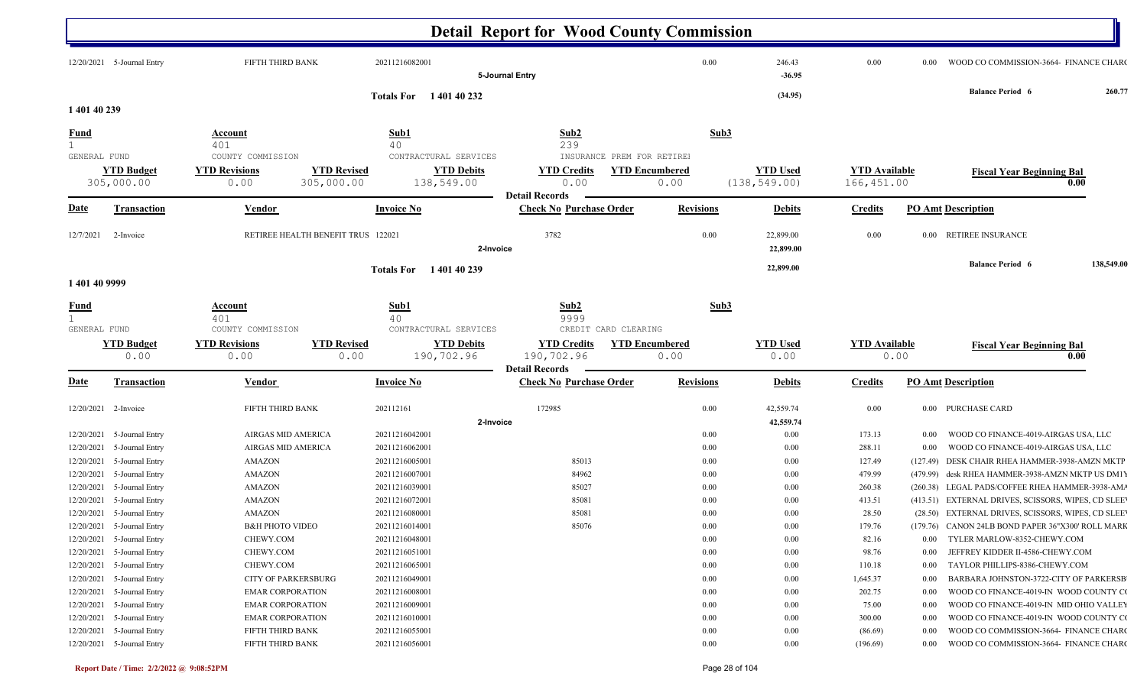|                   |                                                          |                                                   |                                    |                                                          | <b>Detail Report for Wood County Commission</b>                                   |                               |                                  |                                    |                                                                                                      |            |
|-------------------|----------------------------------------------------------|---------------------------------------------------|------------------------------------|----------------------------------------------------------|-----------------------------------------------------------------------------------|-------------------------------|----------------------------------|------------------------------------|------------------------------------------------------------------------------------------------------|------------|
|                   | 12/20/2021 5-Journal Entry                               | FIFTH THIRD BANK                                  |                                    | 20211216082001                                           | 5-Journal Entry                                                                   | 0.00                          | 246.43<br>$-36.95$               | 0.00                               | WOOD CO COMMISSION-3664- FINANCE CHARC<br>$0.00\,$                                                   |            |
| 1 401 40 239      |                                                          |                                                   |                                    | Totals For 140140232                                     |                                                                                   |                               | (34.95)                          |                                    | <b>Balance Period 6</b>                                                                              | 260.77     |
| <u>Fund</u>       |                                                          | <b>Account</b>                                    |                                    | Sub1                                                     | Sub <sub>2</sub>                                                                  |                               | Sub3                             |                                    |                                                                                                      |            |
|                   |                                                          | 401                                               |                                    | 40                                                       | 239                                                                               |                               |                                  |                                    |                                                                                                      |            |
| GENERAL FUND      | <b>YTD Budget</b><br>305,000.00                          | COUNTY COMMISSION<br><b>YTD Revisions</b><br>0.00 | <b>YTD Revised</b><br>305,000.00   | CONTRACTURAL SERVICES<br><b>YTD Debits</b><br>138,549.00 | INSURANCE PREM FOR RETIRE!<br><b>YTD Credits</b><br>0.00<br><b>Detail Records</b> | <b>YTD Encumbered</b><br>0.00 | <b>YTD Used</b><br>(138, 549.00) | <b>YTD</b> Available<br>166,451.00 | <b>Fiscal Year Beginning Bal</b><br>0.00                                                             |            |
| <u>Date</u>       | <b>Transaction</b>                                       | <b>Vendor</b>                                     |                                    | <b>Invoice No</b>                                        | <b>Check No Purchase Order</b>                                                    | <b>Revisions</b>              | <b>Debits</b>                    | <b>Credits</b>                     | <b>PO Amt Description</b>                                                                            |            |
| 12/7/2021         | 2-Invoice                                                |                                                   | RETIREE HEALTH BENEFIT TRUS 122021 | 2-Invoice                                                | 3782                                                                              | 0.00                          | 22,899.00<br>22,899.00           | 0.00                               | 0.00 RETIREE INSURANCE                                                                               |            |
|                   |                                                          |                                                   |                                    | Totals For 140140239                                     |                                                                                   |                               | 22,899.00                        |                                    | <b>Balance Period 6</b>                                                                              | 138,549.00 |
| 1 401 40 9999     |                                                          |                                                   |                                    |                                                          |                                                                                   |                               |                                  |                                    |                                                                                                      |            |
| <u>Fund</u>       |                                                          | <u>Account</u>                                    |                                    | Sub1                                                     | Sub2                                                                              |                               | Sub3                             |                                    |                                                                                                      |            |
| 1<br>GENERAL FUND |                                                          | 401<br>COUNTY COMMISSION                          |                                    | 40<br>CONTRACTURAL SERVICES                              | 9999<br>CREDIT CARD CLEARING                                                      |                               |                                  |                                    |                                                                                                      |            |
|                   | <b>YTD Budget</b><br>0.00                                | <b>YTD Revisions</b><br>0.00                      | <b>YTD Revised</b><br>0.00         | <b>YTD Debits</b><br>190,702.96                          | <b>YTD Credits</b><br>190,702.96                                                  | <b>YTD Encumbered</b><br>0.00 | <b>YTD Used</b><br>0.00          | <b>YTD Available</b>               | <b>Fiscal Year Beginning Bal</b><br>0.00<br>0.00                                                     |            |
| <u>Date</u>       | Transaction                                              | Vendor                                            |                                    | <b>Invoice No</b>                                        | <b>Detail Records</b><br><b>Check No Purchase Order</b>                           | <b>Revisions</b>              | <b>Debits</b>                    | <b>Credits</b>                     | <b>PO Amt Description</b>                                                                            |            |
|                   | 12/20/2021 2-Invoice                                     | FIFTH THIRD BANK                                  |                                    | 202112161                                                | 172985                                                                            | 0.00                          | 42,559.74                        | 0.00                               | 0.00 PURCHASE CARD                                                                                   |            |
|                   |                                                          |                                                   |                                    | 2-Invoice                                                |                                                                                   |                               | 42,559.74                        |                                    |                                                                                                      |            |
|                   | 12/20/2021 5-Journal Entry<br>12/20/2021 5-Journal Entry | AIRGAS MID AMERICA<br>AIRGAS MID AMERICA          |                                    | 20211216042001<br>20211216062001                         |                                                                                   | 0.00<br>0.00                  | $0.00\,$<br>0.00                 | 173.13<br>288.11                   | WOOD CO FINANCE-4019-AIRGAS USA, LLC<br>$0.00\,$<br>WOOD CO FINANCE-4019-AIRGAS USA, LLC<br>$0.00\,$ |            |
|                   | 12/20/2021 5-Journal Entry                               | <b>AMAZON</b>                                     |                                    | 20211216005001                                           | 85013                                                                             | 0.00                          | 0.00                             | 127.49                             | (127.49) DESK CHAIR RHEA HAMMER-3938-AMZN MKTP                                                       |            |
| 12/20/2021        | 5-Journal Entry                                          | <b>AMAZON</b>                                     |                                    | 20211216007001                                           | 84962                                                                             | 0.00                          | 0.00                             | 479.99                             | (479.99) desk RHEA HAMMER-3938-AMZN MKTP US DM1)                                                     |            |
| 12/20/2021        | 5-Journal Entry                                          | <b>AMAZON</b>                                     |                                    | 20211216039001                                           | 85027                                                                             | 0.00                          | 0.00                             | 260.38                             | (260.38) LEGAL PADS/COFFEE RHEA HAMMER-3938-AM/                                                      |            |
| 12/20/2021        | 5-Journal Entry                                          | <b>AMAZON</b>                                     |                                    | 20211216072001                                           | 85081                                                                             | 0.00                          | 0.00                             | 413.51                             | (413.51) EXTERNAL DRIVES, SCISSORS, WIPES, CD SLEE                                                   |            |
|                   | 12/20/2021 5-Journal Entry                               | <b>AMAZON</b>                                     |                                    | 20211216080001                                           | 85081                                                                             | 0.00                          | 0.00                             | 28.50                              | (28.50) EXTERNAL DRIVES, SCISSORS, WIPES, CD SLEE                                                    |            |
|                   | 12/20/2021 5-Journal Entry                               | <b>B&amp;H PHOTO VIDEO</b>                        |                                    | 20211216014001                                           | 85076                                                                             | 0.00                          | 0.00                             | 179.76                             | (179.76) CANON 24LB BOND PAPER 36"X300' ROLL MARK                                                    |            |
|                   | 12/20/2021 5-Journal Entry                               | CHEWY.COM                                         |                                    | 20211216048001                                           |                                                                                   | 0.00                          | $0.00\,$                         | 82.16                              | 0.00 TYLER MARLOW-8352-CHEWY.COM                                                                     |            |
|                   | 12/20/2021 5-Journal Entry                               | CHEWY.COM                                         |                                    | 20211216051001                                           |                                                                                   | 0.00                          | $0.00\,$                         | 98.76                              | JEFFREY KIDDER II-4586-CHEWY.COM<br>$0.00\,$                                                         |            |
|                   | 12/20/2021 5-Journal Entry                               | CHEWY.COM                                         |                                    | 20211216065001                                           |                                                                                   | 0.00                          | $0.00\,$                         | 110.18                             | TAYLOR PHILLIPS-8386-CHEWY.COM<br>$0.00\,$                                                           |            |
|                   | 12/20/2021 5-Journal Entry                               | <b>CITY OF PARKERSBURG</b>                        |                                    | 20211216049001                                           |                                                                                   | 0.00                          | $0.00\,$                         | 1,645.37                           | BARBARA JOHNSTON-3722-CITY OF PARKERSB<br>$0.00\,$                                                   |            |
|                   | 12/20/2021 5-Journal Entry                               | <b>EMAR CORPORATION</b>                           |                                    | 20211216008001                                           |                                                                                   | 0.00                          | $0.00\,$                         | 202.75                             | WOOD CO FINANCE-4019-IN WOOD COUNTY CO<br>$0.00\,$                                                   |            |
|                   | 12/20/2021 5-Journal Entry                               | <b>EMAR CORPORATION</b>                           |                                    | 20211216009001                                           |                                                                                   | 0.00                          | $0.00\,$                         | 75.00                              | WOOD CO FINANCE-4019-IN MID OHIO VALLEY<br>$0.00\,$                                                  |            |
|                   | 12/20/2021 5-Journal Entry                               | <b>EMAR CORPORATION</b>                           |                                    | 20211216010001                                           |                                                                                   | 0.00                          | $0.00\,$                         | 300.00                             | WOOD CO FINANCE-4019-IN WOOD COUNTY CO<br>$0.00\,$                                                   |            |
|                   | 12/20/2021 5-Journal Entry                               | FIFTH THIRD BANK                                  |                                    | 20211216055001                                           |                                                                                   | 0.00                          | $0.00\,$                         | (86.69)                            | WOOD CO COMMISSION-3664- FINANCE CHARC<br>$0.00\,$                                                   |            |
|                   | 12/20/2021 5-Journal Entry                               | FIFTH THIRD BANK                                  |                                    | 20211216056001                                           |                                                                                   | 0.00                          | $0.00\,$                         | (196.69)                           | 0.00 WOOD CO COMMISSION-3664- FINANCE CHARC                                                          |            |
|                   |                                                          |                                                   |                                    |                                                          |                                                                                   |                               |                                  |                                    |                                                                                                      |            |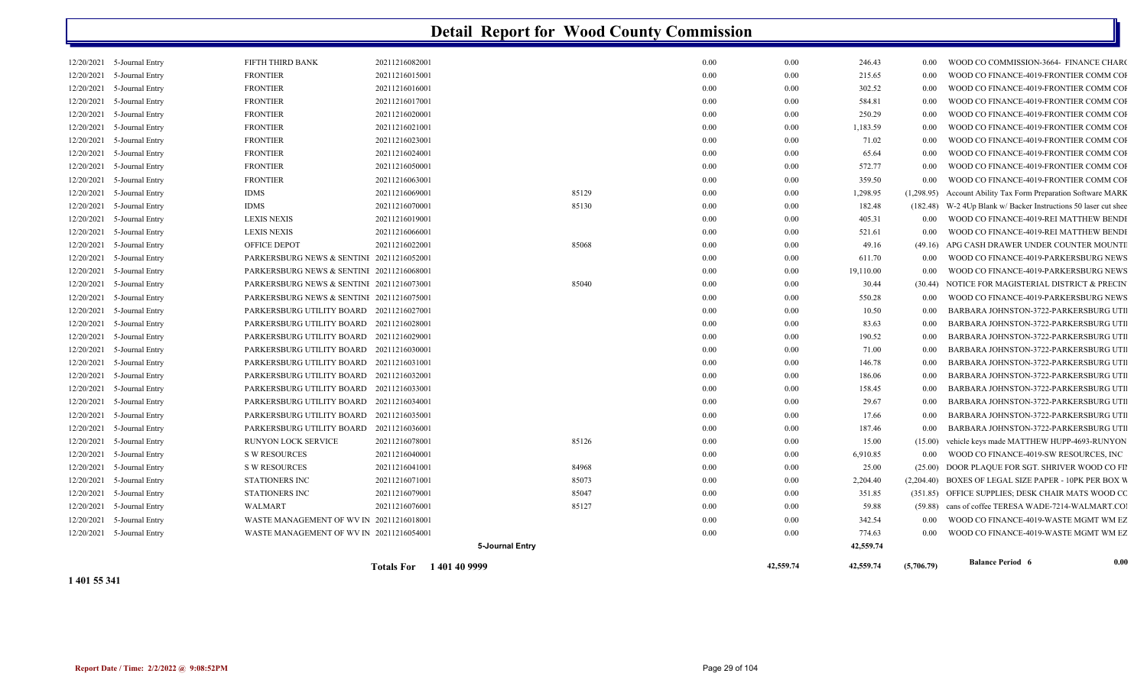|                          |                                    |                                                                                      | <b>Totals For</b> 1401409999 |                 |               | 42,559.74 | 42,559.74             | (5,706.79)                     | <b>Balance Period 6</b>                                                        | 0.00 |
|--------------------------|------------------------------------|--------------------------------------------------------------------------------------|------------------------------|-----------------|---------------|-----------|-----------------------|--------------------------------|--------------------------------------------------------------------------------|------|
|                          |                                    |                                                                                      |                              | 5-Journal Entry |               |           | 42,559.74             |                                |                                                                                |      |
|                          | 12/20/2021 5-Journal Entry         | WASTE MANAGEMENT OF WV IN 20211216054001                                             |                              |                 | 0.00          |           | 0.00<br>774.63        | $0.00\,$                       | WOOD CO FINANCE-4019-WASTE MGMT WM EZ                                          |      |
| 12/20/2021               | 5-Journal Entry                    | WASTE MANAGEMENT OF WV IN 20211216018001                                             |                              |                 | 0.00          |           | $0.00\,$<br>342.54    | $0.00\,$                       | WOOD CO FINANCE-4019-WASTE MGMT WM EZ                                          |      |
| 12/20/2021               | 5-Journal Entry                    | WALMART                                                                              | 20211216076001               |                 | 85127<br>0.00 |           | 0.00                  | 59.88                          | (59.88) cans of coffee TERESA WADE-7214-WALMART.CO.                            |      |
| 12/20/2021               | 5-Journal Entry                    | <b>STATIONERS INC</b>                                                                | 20211216079001               |                 | 85047<br>0.00 |           | $0.00\,$<br>351.85    |                                | (351.85) OFFICE SUPPLIES; DESK CHAIR MATS WOOD CO                              |      |
| 12/20/2021               | 5-Journal Entry                    | <b>STATIONERS INC</b>                                                                | 20211216071001               |                 | 85073<br>0.00 |           | 2,204.40<br>$0.00\,$  |                                | (2,204.40) BOXES OF LEGAL SIZE PAPER - 10PK PER BOX W                          |      |
| 12/20/2021               | 5-Journal Entry                    | <b>S W RESOURCES</b>                                                                 | 20211216041001               |                 | 84968<br>0.00 |           | $0.00\,$              | 25.00                          | (25.00) DOOR PLAQUE FOR SGT. SHRIVER WOOD CO FII                               |      |
| 12/20/2021               | 5-Journal Entry                    | <b>S W RESOURCES</b>                                                                 | 20211216040001               |                 | 0.00          |           | 0.00<br>6,910.85      | $0.00\,$                       | WOOD CO FINANCE-4019-SW RESOURCES, INC                                         |      |
| 12/20/2021               | 5-Journal Entry                    | RUNYON LOCK SERVICE                                                                  | 20211216078001               |                 | 85126<br>0.00 |           | $0.00\,$              | 15.00<br>(15.00)               | vehicle keys made MATTHEW HUPP-4693-RUNYON                                     |      |
| 12/20/2021               | 5-Journal Entry                    | PARKERSBURG UTILITY BOARD 20211216036001                                             |                              |                 | 0.00          |           | 0.00                  | 187.46<br>0.00                 | BARBARA JOHNSTON-3722-PARKERSBURG UTI                                          |      |
| 12/20/2021               | 5-Journal Entry                    | PARKERSBURG UTILITY BOARD 20211216035001                                             |                              |                 | 0.00          |           | $0.00\,$              | 17.66<br>0.00                  | BARBARA JOHNSTON-3722-PARKERSBURG UTI                                          |      |
| 12/20/2021               | 5-Journal Entry                    | PARKERSBURG UTILITY BOARD 20211216034001                                             |                              |                 | 0.00          |           | 0.00                  | 29.67<br>0.00                  | BARBARA JOHNSTON-3722-PARKERSBURG UTI                                          |      |
| 12/20/2021               | 5-Journal Entry                    | PARKERSBURG UTILITY BOARD 20211216033001                                             |                              |                 | 0.00          |           | 0.00<br>158.45        | $0.00\,$                       | BARBARA JOHNSTON-3722-PARKERSBURG UTI                                          |      |
| 12/20/2021<br>12/20/2021 | 5-Journal Entry                    | PARKERSBURG UTILITY BOARD 20211216031001<br>PARKERSBURG UTILITY BOARD 20211216032001 |                              |                 | 0.00          |           | $0.00\,$<br>0.00      | $0.00\,$<br>186.06<br>$0.00\,$ | BARBARA JOHNSTON-3722-PARKERSBURG UTI<br>BARBARA JOHNSTON-3722-PARKERSBURG UTI |      |
| 12/20/2021               | 5-Journal Entry                    |                                                                                      |                              |                 | 0.00          |           | 146.78                | 0.00                           |                                                                                |      |
| 12/20/2021               | 5-Journal Entry<br>5-Journal Entry | PARKERSBURG UTILITY BOARD 20211216029001<br>PARKERSBURG UTILITY BOARD 20211216030001 |                              |                 | 0.00<br>0.00  |           | $0.00\,$<br>0.00      | 190.52<br>$0.00\,$<br>71.00    | BARBARA JOHNSTON-3722-PARKERSBURG UTI<br>BARBARA JOHNSTON-3722-PARKERSBURG UTI |      |
| 12/20/2021               | 5-Journal Entry                    | PARKERSBURG UTILITY BOARD 20211216028001                                             |                              |                 | 0.00          |           | 0.00                  | 83.63<br>0.00                  | BARBARA JOHNSTON-3722-PARKERSBURG UTI                                          |      |
| 12/20/2021               | 5-Journal Entry                    | PARKERSBURG UTILITY BOARD 20211216027001                                             |                              |                 | 0.00          |           | $0.00\,$              | 10.50<br>$0.00\,$              | BARBARA JOHNSTON-3722-PARKERSBURG UTI                                          |      |
| 12/20/2021               | 5-Journal Entry                    | PARKERSBURG NEWS & SENTINI 20211216075001                                            |                              |                 | 0.00          |           | $0.00\,$<br>550.28    | 0.00                           | WOOD CO FINANCE-4019-PARKERSBURG NEWS                                          |      |
| 12/20/2021               | 5-Journal Entry                    | PARKERSBURG NEWS & SENTINI 20211216073001                                            |                              |                 | 85040<br>0.00 |           | $0.00\,$              | 30.44                          | (30.44) NOTICE FOR MAGISTERIAL DISTRICT & PRECIN                               |      |
| 12/20/2021               | 5-Journal Entry                    | PARKERSBURG NEWS & SENTINI 20211216068001                                            |                              |                 | 0.00          |           | $0.00\,$<br>19,110.00 | $0.00\,$                       | WOOD CO FINANCE-4019-PARKERSBURG NEWS                                          |      |
| 12/20/2021               | 5-Journal Entry                    | PARKERSBURG NEWS & SENTINI 20211216052001                                            |                              |                 | 0.00          |           | $0.00\,$<br>611.70    | $0.00\,$                       | WOOD CO FINANCE-4019-PARKERSBURG NEWS                                          |      |
| 12/20/2021               | 5-Journal Entry                    | OFFICE DEPOT                                                                         | 20211216022001               |                 | 85068<br>0.00 |           | $0.00\,$              | 49.16<br>(49.16)               | APG CASH DRAWER UNDER COUNTER MOUNTI                                           |      |
| 12/20/2021               | 5-Journal Entry                    | <b>LEXIS NEXIS</b>                                                                   | 20211216066001               |                 | 0.00          |           | 521.61<br>$0.00\,$    | 0.00                           | WOOD CO FINANCE-4019-REI MATTHEW BENDI                                         |      |
| 12/20/2021               | 5-Journal Entry                    | <b>LEXIS NEXIS</b>                                                                   | 20211216019001               |                 | 0.00          |           | $0.00\,$<br>405.31    | $0.00\,$                       | WOOD CO FINANCE-4019-REI MATTHEW BENDI                                         |      |
| 12/20/2021               | 5-Journal Entry                    | <b>IDMS</b>                                                                          | 20211216070001               |                 | 85130<br>0.00 |           | 182.48<br>0.00        | (182.48)                       | W-2 4Up Blank w/ Backer Instructions 50 laser cut shee                         |      |
| 12/20/2021               | 5-Journal Entry                    | <b>IDMS</b>                                                                          | 20211216069001               |                 | 85129<br>0.00 |           | 1,298.95<br>$0.00\,$  | (1,298.95)                     | Account Ability Tax Form Preparation Software MARK                             |      |
| 12/20/2021               | 5-Journal Entry                    | <b>FRONTIER</b>                                                                      | 20211216063001               |                 | 0.00          |           | 359.50<br>$0.00\,$    | $0.00\,$                       | WOOD CO FINANCE-4019-FRONTIER COMM COI                                         |      |
| 12/20/2021               | 5-Journal Entry                    | <b>FRONTIER</b>                                                                      | 20211216050001               |                 | 0.00          |           | 572.77<br>$0.00\,$    | $0.00\,$                       | WOOD CO FINANCE-4019-FRONTIER COMM COI                                         |      |
| 12/20/2021               | 5-Journal Entry                    | <b>FRONTIER</b>                                                                      | 20211216024001               |                 | 0.00          |           | 0.00                  | 65.64<br>$0.00\,$              | WOOD CO FINANCE-4019-FRONTIER COMM COI                                         |      |
| 12/20/2021               | 5-Journal Entry                    | <b>FRONTIER</b>                                                                      | 20211216023001               |                 | 0.00          |           | $0.00\,$              | 71.02<br>$0.00\,$              | WOOD CO FINANCE-4019-FRONTIER COMM COI                                         |      |
| 12/20/2021               | 5-Journal Entry                    | <b>FRONTIER</b>                                                                      | 20211216021001               |                 | 0.00          |           | 1,183.59<br>0.00      | $0.00\,$                       | WOOD CO FINANCE-4019-FRONTIER COMM COI                                         |      |
| 12/20/2021               | 5-Journal Entry                    | <b>FRONTIER</b>                                                                      | 20211216020001               |                 | 0.00          |           | 250.29<br>$0.00\,$    | $0.00\,$                       | WOOD CO FINANCE-4019-FRONTIER COMM COI                                         |      |
| 12/20/2021               | 5-Journal Entry                    | <b>FRONTIER</b>                                                                      | 20211216017001               |                 | 0.00          |           | 0.00<br>584.81        | 0.00                           | WOOD CO FINANCE-4019-FRONTIER COMM COI                                         |      |
| 12/20/2021               | 5-Journal Entry                    | <b>FRONTIER</b>                                                                      | 20211216016001               |                 | 0.00          |           | $0.00\,$<br>302.52    | 0.00                           | WOOD CO FINANCE-4019-FRONTIER COMM COI                                         |      |
| 12/20/2021               | 5-Journal Entry                    | <b>FRONTIER</b>                                                                      | 20211216015001               |                 | 0.00          |           | 215.65<br>0.00        | 0.00                           | WOOD CO FINANCE-4019-FRONTIER COMM COI                                         |      |
| 12/20/2021               | 5-Journal Entry                    | FIFTH THIRD BANK                                                                     | 20211216082001               |                 | 0.00          |           | $0.00\,$<br>246.43    | 0.00                           | WOOD CO COMMISSION-3664- FINANCE CHARG                                         |      |
|                          |                                    |                                                                                      |                              |                 |               |           |                       |                                |                                                                                |      |

**1 401 55 341**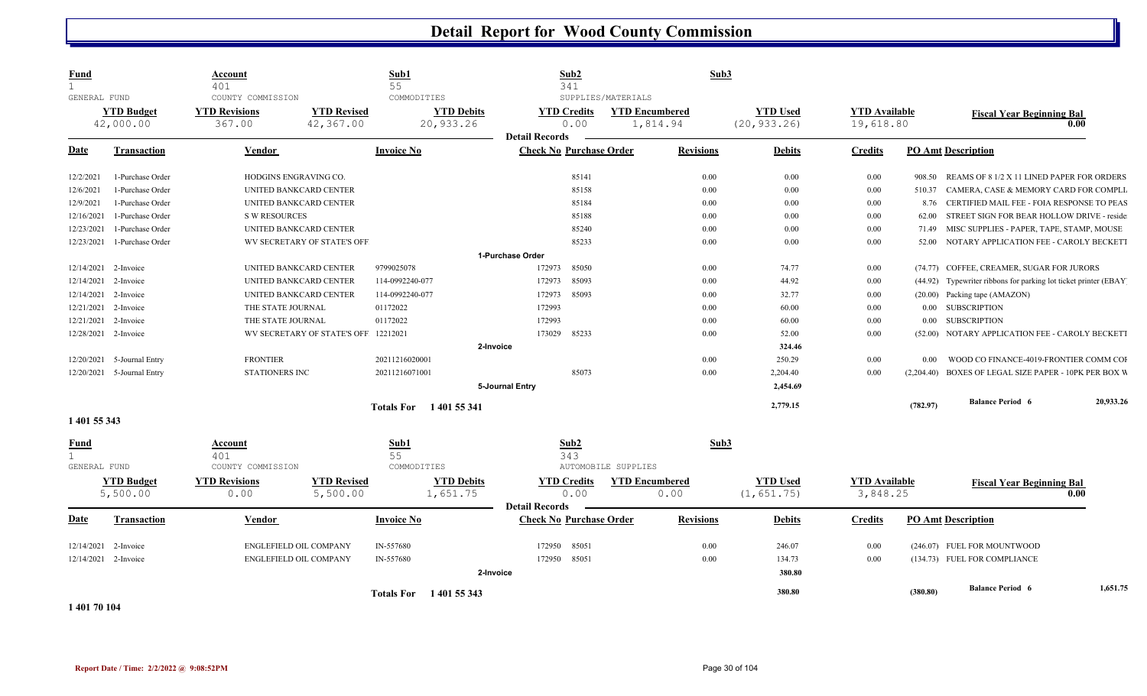| <b>Fund</b><br>$\mathbf{1}$<br>GENERAL FUND |                                | Account<br>401<br>COUNTY COMMISSION |                                      | Sub1<br>55<br>COMMODITIES      | Sub2<br>341                                             | SUPPLIES/MATERIALS                | Sub3             |                                 |                                   |          |                                                                 |           |
|---------------------------------------------|--------------------------------|-------------------------------------|--------------------------------------|--------------------------------|---------------------------------------------------------|-----------------------------------|------------------|---------------------------------|-----------------------------------|----------|-----------------------------------------------------------------|-----------|
|                                             | <b>YTD Budget</b><br>42,000.00 | <b>YTD Revisions</b><br>367.00      | <b>YTD Revised</b><br>42,367.00      | <b>YTD Debits</b><br>20,933.26 | <b>YTD Credits</b><br>0.00<br><b>Detail Records</b>     | <b>YTD Encumbered</b><br>1,814.94 |                  | <b>YTD Used</b><br>(20, 933.26) | <b>YTD</b> Available<br>19,618.80 |          | <b>Fiscal Year Beginning Bal</b><br>0.00                        |           |
| Date                                        | <b>Transaction</b>             | Vendor                              |                                      | <b>Invoice No</b>              | <b>Check No Purchase Order</b>                          |                                   | <b>Revisions</b> | <b>Debits</b>                   | <b>Credits</b>                    |          | <b>PO Amt Description</b>                                       |           |
| 12/2/2021                                   | 1-Purchase Order               | HODGINS ENGRAVING CO.               |                                      |                                | 85141                                                   |                                   | 0.00             | 0.00                            | $0.00\,$                          | 908.50   | REAMS OF 8 1/2 X 11 LINED PAPER FOR ORDERS                      |           |
| 12/6/2021                                   | 1-Purchase Order               |                                     | UNITED BANKCARD CENTER               |                                | 85158                                                   |                                   | 0.00             | 0.00                            | 0.00                              | 510.37   | CAMERA, CASE & MEMORY CARD FOR COMPLI                           |           |
| 12/9/2021                                   | 1-Purchase Order               |                                     | UNITED BANKCARD CENTER               |                                | 85184                                                   |                                   | 0.00             | 0.00                            | $0.00\,$                          |          | 8.76 CERTIFIED MAIL FEE - FOIA RESPONSE TO PEAS                 |           |
| 12/16/2021                                  | 1-Purchase Order               | <b>S W RESOURCES</b>                |                                      |                                | 85188                                                   |                                   | 0.00             | 0.00                            | $0.00\,$                          | 62.00    | STREET SIGN FOR BEAR HOLLOW DRIVE - reside                      |           |
| 12/23/2021                                  | 1-Purchase Order               |                                     | UNITED BANKCARD CENTER               |                                | 85240                                                   |                                   | 0.00             | 0.00                            | $0.00\,$                          |          | 71.49 MISC SUPPLIES - PAPER, TAPE, STAMP, MOUSE                 |           |
| 12/23/2021                                  | 1-Purchase Order               |                                     | WV SECRETARY OF STATE'S OFF          |                                | 85233                                                   |                                   | 0.00             | 0.00                            | $0.00\,$                          | 52.00    | NOTARY APPLICATION FEE - CAROLY BECKETT                         |           |
|                                             |                                |                                     |                                      |                                | 1-Purchase Order                                        |                                   |                  |                                 |                                   |          |                                                                 |           |
| 12/14/2021 2-Invoice                        |                                |                                     | UNITED BANKCARD CENTER               | 9799025078                     | 85050<br>172973                                         |                                   | 0.00             | 74.77                           | $0.00\,$                          |          | (74.77) COFFEE, CREAMER, SUGAR FOR JURORS                       |           |
| 12/14/2021 2-Invoice                        |                                |                                     | UNITED BANKCARD CENTER               | 114-0992240-077                | 85093<br>172973                                         |                                   | 0.00             | 44.92                           | 0.00                              |          | (44.92) Typewriter ribbons for parking lot ticket printer (EBAY |           |
| 12/14/2021 2-Invoice                        |                                |                                     | UNITED BANKCARD CENTER               | 114-0992240-077                | 172973<br>85093                                         |                                   | 0.00             | 32.77                           | 0.00                              |          | (20.00) Packing tape (AMAZON)                                   |           |
| 12/21/2021 2-Invoice                        |                                | THE STATE JOURNAL                   |                                      | 01172022                       | 172993                                                  |                                   | 0.00             | 60.00                           | $0.00\,$                          |          | 0.00 SUBSCRIPTION                                               |           |
| 12/21/2021                                  | 2-Invoice                      | THE STATE JOURNAL                   |                                      | 01172022                       | 172993                                                  |                                   | 0.00             | 60.00                           | 0.00                              |          | 0.00 SUBSCRIPTION                                               |           |
| 12/28/2021 2-Invoice                        |                                |                                     | WV SECRETARY OF STATE'S OFF 12212021 |                                | 173029<br>85233                                         |                                   | 0.00             | 52.00                           | 0.00                              |          | (52.00) NOTARY APPLICATION FEE - CAROLY BECKETT                 |           |
|                                             |                                |                                     |                                      |                                | 2-Invoice                                               |                                   |                  | 324.46                          |                                   |          |                                                                 |           |
|                                             | 12/20/2021 5-Journal Entry     | <b>FRONTIER</b>                     |                                      | 20211216020001                 |                                                         |                                   | 0.00             | 250.29                          | 0.00                              | 0.00     | WOOD CO FINANCE-4019-FRONTIER COMM COI                          |           |
|                                             | 12/20/2021 5-Journal Entry     | <b>STATIONERS INC</b>               |                                      | 20211216071001                 | 85073                                                   |                                   | 0.00             | 2,204.40                        | 0.00                              |          | (2,204.40) BOXES OF LEGAL SIZE PAPER - 10PK PER BOX W           |           |
|                                             |                                |                                     |                                      |                                | 5-Journal Entry                                         |                                   |                  | 2,454.69                        |                                   |          |                                                                 |           |
|                                             |                                |                                     |                                      | Totals For 1401 55 341         |                                                         |                                   |                  | 2,779.15                        |                                   | (782.97) | <b>Balance Period 6</b>                                         | 20,933.26 |
| 1 401 55 343                                |                                |                                     |                                      |                                |                                                         |                                   |                  |                                 |                                   |          |                                                                 |           |
| <b>Fund</b><br>1<br>GENERAL FUND            |                                | Account<br>401<br>COUNTY COMMISSION |                                      | Sub1<br>55<br>COMMODITIES      | Sub2<br>343                                             | AUTOMOBILE SUPPLIES               | Sub3             |                                 |                                   |          |                                                                 |           |
|                                             | <b>YTD Budget</b><br>5,500.00  | <b>YTD Revisions</b><br>0.00        | <b>YTD Revised</b><br>5,500.00       | <b>YTD Debits</b><br>1,651.75  | <b>YTD Credits</b><br>0.00                              | <b>YTD Encumbered</b><br>0.00     |                  | <b>YTD Used</b><br>(1, 651.75)  | <b>YTD</b> Available<br>3,848.25  |          | <b>Fiscal Year Beginning Bal</b><br>0.00                        |           |
| <b>Date</b>                                 | <b>Transaction</b>             | <b>Vendor</b>                       |                                      | <b>Invoice No</b>              | <b>Detail Records</b><br><b>Check No Purchase Order</b> |                                   | <b>Revisions</b> | <b>Debits</b>                   | <b>Credits</b>                    |          | <b>PO Amt Description</b>                                       |           |
| 12/14/2021                                  | 2-Invoice                      | ENGLEFIELD OIL COMPANY              |                                      | IN-557680                      | 172950<br>85051                                         |                                   | 0.00             | 246.07                          | 0.00                              |          | (246.07) FUEL FOR MOUNTWOOD                                     |           |
| 12/14/2021 2-Invoice                        |                                | ENGLEFIELD OIL COMPANY              |                                      | IN-557680                      | 172950<br>85051                                         |                                   | 0.00             | 134.73                          | 0.00                              |          | (134.73) FUEL FOR COMPLIANCE                                    |           |
|                                             |                                |                                     |                                      |                                | 2-Invoice                                               |                                   |                  | 380.80                          |                                   |          |                                                                 |           |
| 1 401 70 104                                |                                |                                     |                                      | Totals For 1401 55 343         |                                                         |                                   |                  | 380.80                          |                                   | (380.80) | <b>Balance Period 6</b>                                         | 1,651.75  |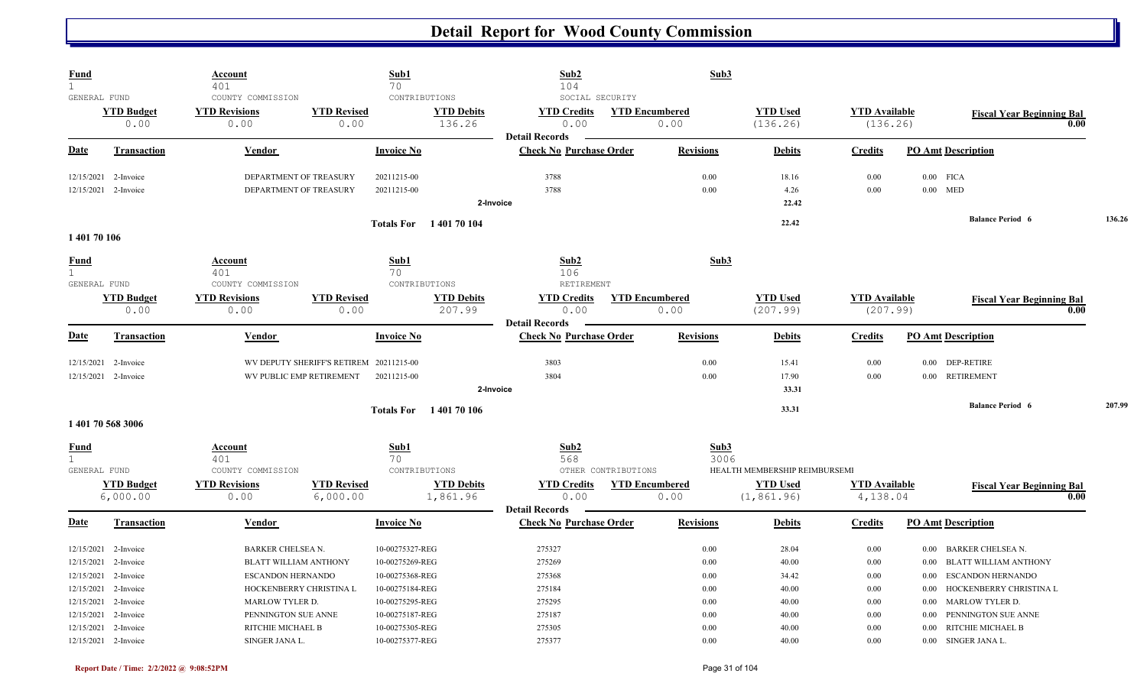| <b>Fund</b><br>$\mathbf{1}$                 |                                     | <u>Account</u><br>401                                                                |                                                                     | Sub1<br>70                                            | Sub2<br>104                                                                          | Sub3                          |                                       |                                  |                                                                                                              |        |
|---------------------------------------------|-------------------------------------|--------------------------------------------------------------------------------------|---------------------------------------------------------------------|-------------------------------------------------------|--------------------------------------------------------------------------------------|-------------------------------|---------------------------------------|----------------------------------|--------------------------------------------------------------------------------------------------------------|--------|
| GENERAL FUND                                | <b>YTD Budget</b><br>0.00           | COUNTY COMMISSION<br><b>YTD Revisions</b><br>0.00                                    | <b>YTD Revised</b><br>0.00                                          | CONTRIBUTIONS                                         | SOCIAL SECURITY<br><b>YTD Debits</b><br><b>YTD Credits</b><br>136.26<br>0.00         | <b>YTD Encumbered</b><br>0.00 | <b>YTD Used</b><br>(136.26)           | <b>YTD</b> Available<br>(136.26) | <b>Fiscal Year Beginning Bal</b><br>0.00                                                                     |        |
| Date                                        | <b>Transaction</b>                  | <b>Vendor</b>                                                                        |                                                                     | <b>Invoice No</b>                                     | <b>Detail Records</b><br><b>Check No Purchase Order</b>                              | <b>Revisions</b>              | <b>Debits</b>                         | <b>Credits</b>                   | <b>PO Amt Description</b>                                                                                    |        |
| 12/15/2021                                  | 2-Invoice                           |                                                                                      | DEPARTMENT OF TREASURY                                              | 20211215-00                                           | 3788                                                                                 | 0.00                          | 18.16                                 | 0.00                             | $0.00$ FICA                                                                                                  |        |
|                                             | 12/15/2021 2-Invoice                |                                                                                      | DEPARTMENT OF TREASURY                                              | 20211215-00                                           | 3788<br>2-Invoice                                                                    | 0.00                          | 4.26<br>22.42                         | 0.00                             | $0.00$ MED                                                                                                   |        |
| 140170106                                   |                                     |                                                                                      |                                                                     | <b>Totals For</b> 140170104                           |                                                                                      |                               | 22.42                                 |                                  | <b>Balance Period 6</b>                                                                                      | 136.26 |
| Fund<br>$\mathbf{1}$<br>GENERAL FUND        |                                     | <b>Account</b><br>401<br>COUNTY COMMISSION                                           |                                                                     | Sub1<br>70<br>CONTRIBUTIONS                           | Sub2<br>106<br>RETIREMENT                                                            | Sub3                          |                                       |                                  |                                                                                                              |        |
|                                             | <b>YTD Budget</b><br>0.00           | <b>YTD Revisions</b><br>0.00                                                         | <b>YTD Revised</b><br>0.00                                          |                                                       | <b>YTD Debits</b><br><b>YTD Credits</b><br>207.99<br>0.00                            | <b>YTD Encumbered</b><br>0.00 | <b>YTD Used</b><br>(207.99)           | <b>YTD Available</b><br>(207.99) | <b>Fiscal Year Beginning Bal</b><br>0.00                                                                     |        |
| Date                                        | <b>Transaction</b>                  | Vendor                                                                               |                                                                     | <b>Invoice No</b>                                     | <b>Detail Records</b><br><b>Check No Purchase Order</b>                              | <b>Revisions</b>              | <b>Debits</b>                         | <b>Credits</b>                   | <b>PO Amt Description</b>                                                                                    |        |
| 12/15/2021                                  | 2-Invoice<br>12/15/2021 2-Invoice   |                                                                                      | WV DEPUTY SHERIFF'S RETIREM 20211215-00<br>WV PUBLIC EMP RETIREMENT | 20211215-00                                           | 3803<br>3804<br>2-Invoice                                                            | 0.00<br>0.00                  | 15.41<br>17.90<br>33.31               | 0.00<br>0.00                     | <b>DEP-RETIRE</b><br>$0.00\,$<br><b>RETIREMENT</b><br>$0.00\,$                                               |        |
|                                             | 1 401 70 568 3006                   |                                                                                      |                                                                     | <b>Totals For</b>                                     | 140170106                                                                            |                               | 33.31                                 |                                  | <b>Balance Period 6</b>                                                                                      | 207.99 |
| <u>Fund</u><br>$\mathbf{1}$<br>GENERAL FUND |                                     | <b>Account</b><br>401<br>COUNTY COMMISSION                                           |                                                                     | Sub1<br>70<br>CONTRIBUTIONS                           | Sub2<br>568                                                                          | Sub3<br>OTHER CONTRIBUTIONS   | 3006<br>HEALTH MEMBERSHIP REIMBURSEMI |                                  |                                                                                                              |        |
|                                             | <b>YTD Budget</b><br>6,000.00       | <b>YTD Revisions</b><br>0.00                                                         | <b>YTD Revised</b><br>6,000.00                                      |                                                       | <b>YTD Debits</b><br><b>YTD Credits</b><br>1,861.96<br>0.00<br><b>Detail Records</b> | <b>YTD</b> Encumbered<br>0.00 | <b>YTD Used</b><br>(1, 861.96)        | <b>YTD Available</b><br>4,138.04 | <b>Fiscal Year Beginning Bal</b><br>0.00                                                                     |        |
| Date                                        | <b>Transaction</b>                  | Vendor                                                                               |                                                                     | <b>Invoice No</b>                                     | <b>Check No Purchase Order</b>                                                       | <b>Revisions</b>              | <b>Debits</b>                         | <b>Credits</b>                   | <b>PO Amt Description</b>                                                                                    |        |
| 12/15/2021<br>12/15/2021<br>12/15/2021      | 2-Invoice<br>2-Invoice<br>2-Invoice | <b>BARKER CHELSEA N.</b><br><b>BLATT WILLIAM ANTHONY</b><br><b>ESCANDON HERNANDO</b> |                                                                     | 10-00275327-REG<br>10-00275269-REG<br>10-00275368-REG | 275327<br>275269<br>275368                                                           | 0.00<br>0.00<br>0.00          | 28.04<br>40.00<br>34.42               | 0.00<br>0.00<br>0.00             | <b>BARKER CHELSEA N.</b><br>0.00<br><b>BLATT WILLIAM ANTHONY</b><br>0.00<br><b>ESCANDON HERNANDO</b><br>0.00 |        |
| 12/15/2021<br>12/15/2021<br>12/15/2021      | 2-Invoice<br>2-Invoice<br>2-Invoice | <b>MARLOW TYLER D.</b><br>PENNINGTON SUE ANNE                                        | HOCKENBERRY CHRISTINA L                                             | 10-00275184-REG<br>10-00275295-REG<br>10-00275187-REG | 275184<br>275295<br>275187                                                           | 0.00<br>0.00<br>0.00          | 40.00<br>40.00<br>40.00               | 0.00<br>0.00<br>0.00             | HOCKENBERRY CHRISTINA L<br>0.00<br>MARLOW TYLER D.<br>$0.00\,$<br>PENNINGTON SUE ANNE<br>$0.00\,$            |        |
| 12/15/2021                                  | 2-Invoice<br>12/15/2021 2-Invoice   | RITCHIE MICHAEL B<br>SINGER JANA L.                                                  |                                                                     | 10-00275305-REG<br>10-00275377-REG                    | 275305<br>275377                                                                     | 0.00<br>0.00                  | 40.00<br>40.00                        | 0.00<br>0.00                     | RITCHIE MICHAEL B<br>0.00<br>0.00 SINGER JANA L.                                                             |        |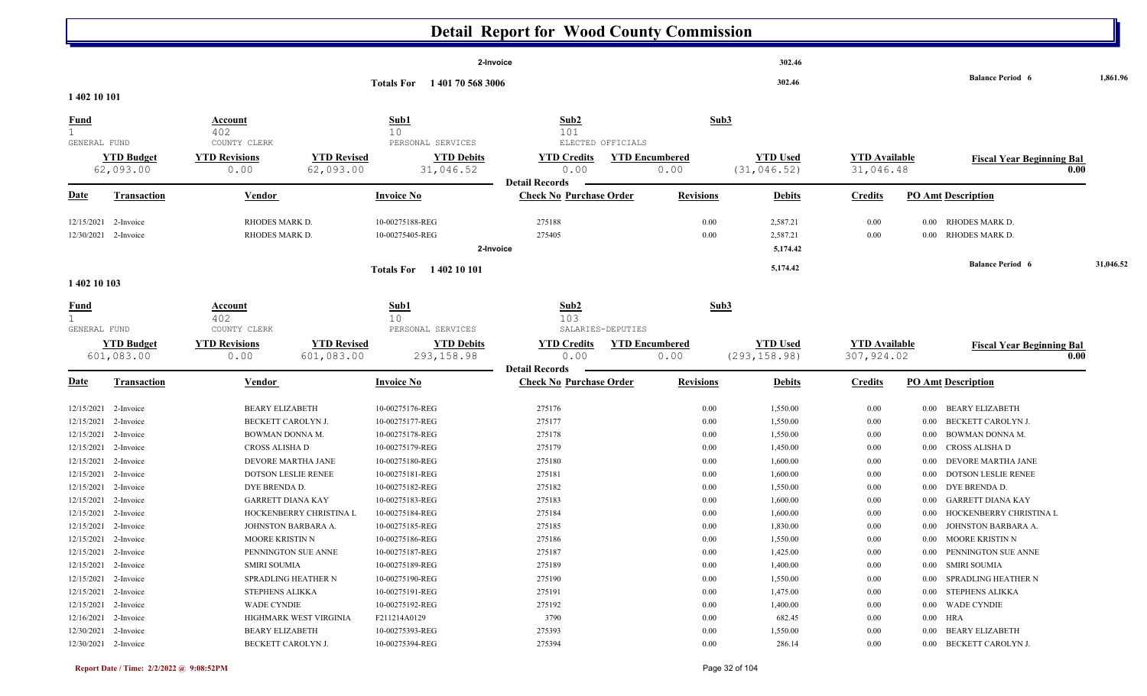|                                              |                                 |                                              |                                  |                                                       | <b>Detail Report for Wood County Commission</b>         |                               |                                  |                                     |                                                   |           |
|----------------------------------------------|---------------------------------|----------------------------------------------|----------------------------------|-------------------------------------------------------|---------------------------------------------------------|-------------------------------|----------------------------------|-------------------------------------|---------------------------------------------------|-----------|
|                                              |                                 |                                              |                                  |                                                       | 2-Invoice                                               |                               | 302.46                           |                                     | <b>Balance Period 6</b>                           | 1,861.96  |
| 1 402 10 101                                 |                                 |                                              |                                  | <b>Totals For</b><br>1401705683006                    |                                                         |                               | 302.46                           |                                     |                                                   |           |
| <u>Fund</u>                                  |                                 | <b>Account</b>                               |                                  | Sub1                                                  | Sub2                                                    | Sub <sub>3</sub>              |                                  |                                     |                                                   |           |
| $\mathbf{1}$                                 |                                 | 402                                          |                                  | 10                                                    | 101                                                     |                               |                                  |                                     |                                                   |           |
| GENERAL FUND                                 | <b>YTD Budget</b><br>62,093.00  | COUNTY CLERK<br><b>YTD Revisions</b><br>0.00 | <b>YTD Revised</b><br>62,093.00  | PERSONAL SERVICES<br><b>YTD Debits</b><br>31,046.52   | ELECTED OFFICIALS<br><b>YTD Credits</b><br>0.00         | <b>YTD Encumbered</b><br>0.00 | <b>YTD Used</b><br>(31, 046.52)  | <b>YTD Available</b><br>31,046.48   | <b>Fiscal Year Beginning Bal</b><br>0.00          |           |
| <b>Date</b>                                  | <b>Transaction</b>              | <b>Vendor</b>                                |                                  | <b>Invoice No</b>                                     | <b>Detail Records</b><br><b>Check No Purchase Order</b> | <b>Revisions</b>              | <b>Debits</b>                    | <b>Credits</b>                      | <b>PO Amt Description</b>                         |           |
| 12/15/2021<br>12/30/2021 2-Invoice           | 2-Invoice                       | RHODES MARK D.<br>RHODES MARK D.             |                                  | 10-00275188-REG<br>10-00275405-REG                    | 275188<br>275405<br>2-Invoice                           | 0.00<br>0.00                  | 2,587.21<br>2,587.21<br>5,174.42 | 0.00<br>0.00                        | RHODES MARK D.<br>$0.00\,$<br>0.00 RHODES MARK D. |           |
| 1 402 10 103                                 |                                 |                                              |                                  | Totals For 1402 10 101                                |                                                         |                               | 5,174.42                         |                                     | <b>Balance Period 6</b>                           | 31,046.52 |
|                                              |                                 |                                              |                                  |                                                       |                                                         |                               |                                  |                                     |                                                   |           |
| <u>Fund</u>                                  |                                 | Account<br>402                               |                                  | Sub1<br>10                                            | Sub2<br>103                                             | Sub3                          |                                  |                                     |                                                   |           |
| GENERAL FUND                                 | <b>YTD Budget</b><br>601,083.00 | COUNTY CLERK<br><b>YTD Revisions</b><br>0.00 | <b>YTD Revised</b><br>601,083.00 | PERSONAL SERVICES<br><b>YTD Debits</b><br>293, 158.98 | SALARIES-DEPUTIES<br><b>YTD Credits</b><br>0.00         | <b>YTD Encumbered</b><br>0.00 | <b>YTD Used</b><br>(293, 158.98) | <b>YTD</b> Available<br>307, 924.02 | <b>Fiscal Year Beginning Bal</b><br>0.00          |           |
| <b>Date</b>                                  | <b>Transaction</b>              | Vendor                                       |                                  | <b>Invoice No</b>                                     | <b>Detail Records</b><br><b>Check No Purchase Order</b> | <b>Revisions</b>              | <b>Debits</b>                    | <b>Credits</b>                      | <b>PO Amt Description</b>                         |           |
| 12/15/2021 2-Invoice                         |                                 | <b>BEARY ELIZABETH</b>                       |                                  | 10-00275176-REG                                       | 275176                                                  | 0.00                          | 1,550.00                         | 0.00                                | 0.00 BEARY ELIZABETH                              |           |
| 12/15/2021 2-Invoice                         |                                 | BECKETT CAROLYN J.                           |                                  | 10-00275177-REG                                       | 275177                                                  | 0.00                          | 1,550.00                         | 0.00                                | BECKETT CAROLYN J.<br>$0.00\,$                    |           |
| 12/15/2021 2-Invoice                         |                                 | BOWMAN DONNA M.                              |                                  | 10-00275178-REG                                       | 275178                                                  | 0.00                          | 1,550.00                         | 0.00                                | BOWMAN DONNA M.<br>$0.00\,$                       |           |
| 12/15/2021 2-Invoice                         |                                 | CROSS ALISHA D                               |                                  | 10-00275179-REG                                       | 275179                                                  | 0.00                          | 1,450.00                         | 0.00                                | CROSS ALISHA D<br>$0.00\,$                        |           |
| 12/15/2021                                   | 2-Invoice                       | DEVORE MARTHA JANE                           |                                  | 10-00275180-REG                                       | 275180                                                  | 0.00                          | 1,600.00                         | 0.00                                | DEVORE MARTHA JANE<br>0.00                        |           |
| 12/15/2021                                   | 2-Invoice                       | DOTSON LESLIE RENEE                          |                                  | 10-00275181-REG                                       | 275181                                                  | 0.00                          | 1,600.00                         | 0.00                                | DOTSON LESLIE RENEE<br>$0.00\,$                   |           |
| 12/15/2021                                   | 2-Invoice                       | DYE BRENDA D.                                |                                  | 10-00275182-REG                                       | 275182                                                  | 0.00                          | 1,550.00                         | 0.00                                | DYE BRENDA D.<br>0.00                             |           |
| 12/15/2021                                   | 2-Invoice                       | <b>GARRETT DIANA KAY</b>                     |                                  | 10-00275183-REG                                       | 275183                                                  | 0.00                          | 1,600.00                         | 0.00                                | <b>GARRETT DIANA KAY</b><br>$0.00\,$              |           |
| 12/15/2021 2-Invoice                         |                                 |                                              | HOCKENBERRY CHRISTINA L          | 10-00275184-REG                                       | 275184                                                  | 0.00                          | 1,600.00                         | 0.00                                | HOCKENBERRY CHRISTINA L<br>$0.00\,$               |           |
| 12/15/2021 2-Invoice                         |                                 |                                              | JOHNSTON BARBARA A.              | 10-00275185-REG                                       | 275185                                                  | $0.00\,$                      | 1,830.00                         | 0.00                                | 0.00 JOHNSTON BARBARA A.                          |           |
| 12/15/2021 2-Invoice                         |                                 | MOORE KRISTIN N                              |                                  | 10-00275186-REG                                       | 275186                                                  | $0.00\,$                      | 1,550.00                         | 0.00                                | 0.00 MOORE KRISTIN N                              |           |
| 12/15/2021 2-Invoice                         |                                 |                                              | PENNINGTON SUE ANNE              | 10-00275187-REG                                       | 275187                                                  | 0.00                          | 1,425.00                         | 0.00                                | 0.00 PENNINGTON SUE ANNE                          |           |
| 12/15/2021 2-Invoice                         |                                 | <b>SMIRI SOUMIA</b>                          |                                  | 10-00275189-REG                                       | 275189                                                  | 0.00                          | 1,400.00                         | 0.00                                | 0.00 SMIRI SOUMIA                                 |           |
| 12/15/2021 2-Invoice                         |                                 |                                              | SPRADLING HEATHER N              | 10-00275190-REG                                       | 275190                                                  | $0.00\,$                      | 1,550.00                         | 0.00                                | 0.00 SPRADLING HEATHER N                          |           |
| 12/15/2021 2-Invoice<br>12/15/2021 2-Invoice |                                 | STEPHENS ALIKKA<br><b>WADE CYNDIE</b>        |                                  | 10-00275191-REG<br>10-00275192-REG                    | 275191<br>275192                                        | $0.00\,$<br>0.00              | 1,475.00<br>1,400.00             | 0.00<br>0.00                        | 0.00 STEPHENS ALIKKA<br>0.00 WADE CYNDIE          |           |
| 12/16/2021 2-Invoice                         |                                 |                                              | HIGHMARK WEST VIRGINIA           | F211214A0129                                          | 3790                                                    | 0.00                          | 682.45                           | 0.00                                | $0.00$ HRA                                        |           |
| 12/30/2021 2-Invoice                         |                                 | <b>BEARY ELIZABETH</b>                       |                                  | 10-00275393-REG                                       | 275393                                                  | $0.00\,$                      | 1,550.00                         | 0.00                                | 0.00 BEARY ELIZABETH                              |           |
| 12/30/2021 2-Invoice                         |                                 | BECKETT CAROLYN J.                           |                                  | 10-00275394-REG                                       | 275394                                                  | 0.00                          | 286.14                           | 0.00                                | 0.00 BECKETT CAROLYN J.                           |           |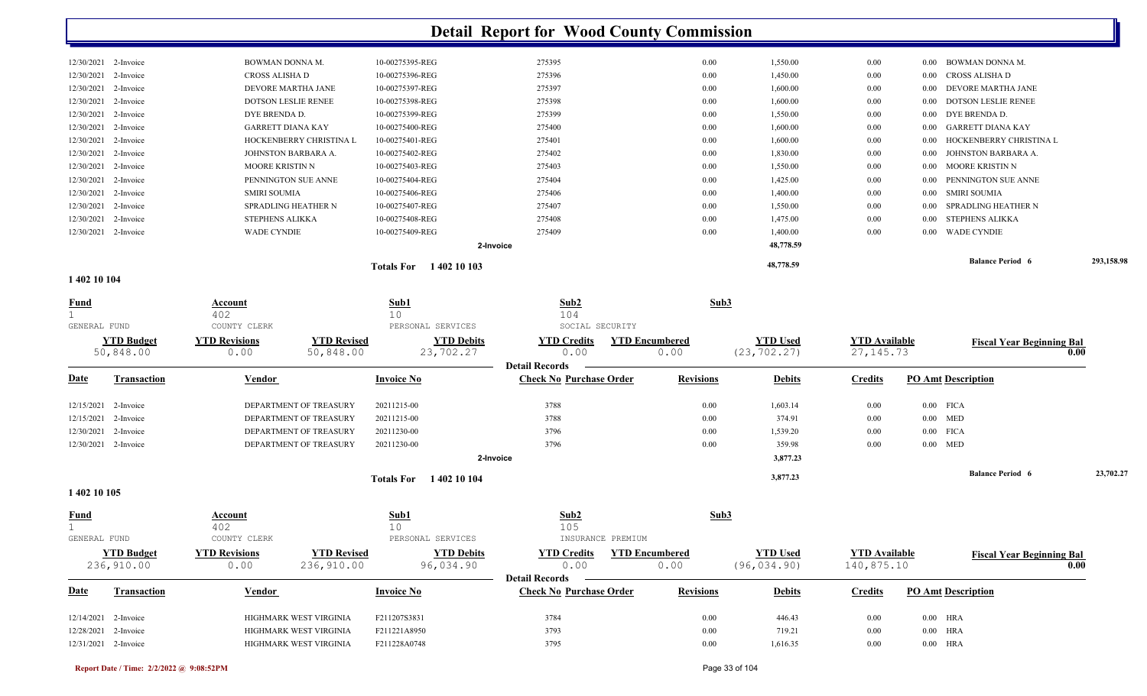| 1 402 10 104 |                      |                            |                                   |           |      |           |          |                                 |            |
|--------------|----------------------|----------------------------|-----------------------------------|-----------|------|-----------|----------|---------------------------------|------------|
|              |                      |                            | 1 402 10 103<br><b>Totals For</b> |           |      | 48,778.59 |          | <b>Balance Period 6</b>         | 293,158.98 |
|              |                      |                            |                                   | 2-Invoice |      | 48,778.59 |          |                                 |            |
|              | 12/30/2021 2-Invoice | <b>WADE CYNDIE</b>         | 10-00275409-REG                   | 275409    | 0.00 | 1,400.00  | 0.00     | 0.00 WADE CYNDIE                |            |
|              | 12/30/2021 2-Invoice | STEPHENS ALIKKA            | 10-00275408-REG                   | 275408    | 0.00 | 1,475.00  | $0.00\,$ | 0.00 STEPHENS ALIKKA            |            |
| 12/30/2021   | 2-Invoice            | SPRADLING HEATHER N        | 10-00275407-REG                   | 275407    | 0.00 | 1,550.00  | $0.00\,$ | SPRADLING HEATHER N<br>0.00     |            |
| 12/30/2021   | 2-Invoice            | <b>SMIRI SOUMIA</b>        | 10-00275406-REG                   | 275406    | 0.00 | 1,400.00  | $0.00\,$ | 0.00 SMIRI SOUMIA               |            |
|              | 12/30/2021 2-Invoice | PENNINGTON SUE ANNE        | 10-00275404-REG                   | 275404    | 0.00 | 1,425.00  | $0.00\,$ | 0.00 PENNINGTON SUE ANNE        |            |
|              | 12/30/2021 2-Invoice | MOORE KRISTIN N            | 10-00275403-REG                   | 275403    | 0.00 | 1,550.00  | $0.00\,$ | 0.00 MOORE KRISTIN N            |            |
| 12/30/2021   | 2-Invoice            | JOHNSTON BARBARA A.        | 10-00275402-REG                   | 275402    | 0.00 | 1,830.00  | $0.00\,$ | JOHNSTON BARBARA A.<br>$0.00\,$ |            |
|              | 12/30/2021 2-Invoice | HOCKENBERRY CHRISTINA L    | 10-00275401-REG                   | 275401    | 0.00 | 1,600.00  | $0.00\,$ | 0.00 HOCKENBERRY CHRISTINA L    |            |
| 12/30/2021   | 2-Invoice            | <b>GARRETT DIANA KAY</b>   | 10-00275400-REG                   | 275400    | 0.00 | 1,600.00  | $0.00\,$ | 0.00 GARRETT DIANA KAY          |            |
| 12/30/2021   | 2-Invoice            | DYE BRENDA D.              | 10-00275399-REG                   | 275399    | 0.00 | 1,550.00  | $0.00\,$ | 0.00 DYE BRENDA D.              |            |
| 12/30/2021   | 2-Invoice            | <b>DOTSON LESLIE RENEE</b> | 10-00275398-REG                   | 275398    | 0.00 | 1,600.00  | $0.00\,$ | 0.00 DOTSON LESLIE RENEE        |            |
|              | 12/30/2021 2-Invoice | DEVORE MARTHA JANE         | 10-00275397-REG                   | 275397    | 0.00 | 1,600.00  | $0.00\,$ | 0.00 DEVORE MARTHA JANE         |            |
|              | 12/30/2021 2-Invoice | CROSS ALISHA D             | 10-00275396-REG                   | 275396    | 0.00 | 1,450.00  | $0.00\,$ | 0.00 CROSS ALISHA D             |            |
|              | 12/30/2021 2-Invoice | BOWMAN DONNA M.            | 10-00275395-REG                   | 275395    | 0.00 | 1,550.00  | $0.00\,$ | 0.00 BOWMAN DONNA M.            |            |

| <b>Fund</b>          |                                 | <b>Account</b><br>402        |                                  | Sub1<br>10                                   | Sub2<br>104                                             |                               | Sub3                            |                                     |                           |                                          |           |
|----------------------|---------------------------------|------------------------------|----------------------------------|----------------------------------------------|---------------------------------------------------------|-------------------------------|---------------------------------|-------------------------------------|---------------------------|------------------------------------------|-----------|
| GENERAL FUND         |                                 | COUNTY CLERK                 |                                  | PERSONAL SERVICES                            | SOCIAL SECURITY                                         |                               |                                 |                                     |                           |                                          |           |
|                      | <b>YTD Budget</b><br>50,848.00  | <b>YTD Revisions</b><br>0.00 | <b>YTD Revised</b><br>50,848.00  | <b>YTD Debits</b><br>23,702.27               | <b>YTD Credits</b><br>0.00                              | <b>YTD Encumbered</b><br>0.00 | <b>YTD Used</b><br>(23, 702.27) | <b>YTD</b> Available<br>27, 145. 73 |                           | <b>Fiscal Year Beginning Bal</b><br>0.00 |           |
| <b>Date</b>          | <b>Transaction</b>              | Vendor                       |                                  | <b>Invoice No</b>                            | <b>Detail Records</b><br><b>Check No Purchase Order</b> | <b>Revisions</b>              | <b>Debits</b>                   | <b>Credits</b>                      | <b>PO Amt Description</b> |                                          |           |
| 12/15/2021           | 2-Invoice                       |                              | DEPARTMENT OF TREASURY           | 20211215-00                                  | 3788                                                    | 0.00                          | 1,603.14                        | 0.00                                | $0.00$ FICA               |                                          |           |
| 12/15/2021 2-Invoice |                                 |                              | DEPARTMENT OF TREASURY           | 20211215-00                                  | 3788                                                    | 0.00                          | 374.91                          | 0.00                                | $0.00$ MED                |                                          |           |
| 12/30/2021 2-Invoice |                                 |                              | DEPARTMENT OF TREASURY           | 20211230-00                                  | 3796                                                    | 0.00                          | 1,539.20                        | 0.00                                | $0.00$ FICA               |                                          |           |
| 12/30/2021 2-Invoice |                                 |                              | DEPARTMENT OF TREASURY           | 20211230-00                                  | 3796                                                    | 0.00                          | 359.98                          | 0.00                                | $0.00$ MED                |                                          |           |
|                      |                                 |                              |                                  |                                              | 2-Invoice                                               |                               | 3,877.23                        |                                     |                           |                                          |           |
|                      |                                 |                              |                                  | <b>Totals For</b><br>1402 10 104             |                                                         |                               | 3,877.23                        |                                     |                           | <b>Balance Period 6</b>                  | 23,702.27 |
| 1 402 10 105         |                                 |                              |                                  |                                              |                                                         |                               |                                 |                                     |                           |                                          |           |
| <b>Fund</b>          |                                 | Account<br>402               |                                  | $\underline{\text{Sub1}}$<br>10 <sup>1</sup> | Sub2<br>105                                             |                               | Sub3                            |                                     |                           |                                          |           |
| GENERAL FUND         |                                 | COUNTY CLERK                 |                                  | PERSONAL SERVICES                            |                                                         | INSURANCE PREMIUM             |                                 |                                     |                           |                                          |           |
|                      | <b>YTD Budget</b><br>236,910.00 | <b>YTD Revisions</b><br>0.00 | <b>YTD Revised</b><br>236,910.00 | <b>YTD Debits</b><br>96,034.90               | <b>YTD Credits</b><br>0.00                              | <b>YTD Encumbered</b><br>0.00 | <b>YTD Used</b><br>(96, 034.90) | <b>YTD</b> Available<br>140,875.10  |                           | <b>Fiscal Year Beginning Bal</b><br>0.00 |           |
| <b>Date</b>          | <b>Transaction</b>              | Vendor                       |                                  | <b>Invoice No</b>                            | <b>Detail Records</b><br><b>Check No Purchase Order</b> | <b>Revisions</b>              | <b>Debits</b>                   | <b>Credits</b>                      | <b>PO Amt Description</b> |                                          |           |
| 12/14/2021 2-Invoice |                                 |                              | HIGHMARK WEST VIRGINIA           | F211207S3831                                 | 3784                                                    | 0.00                          | 446.43                          | 0.00                                | $0.00$ HRA                |                                          |           |
| 12/28/2021 2-Invoice |                                 |                              | HIGHMARK WEST VIRGINIA           | F211221A8950                                 | 3793                                                    | 0.00                          | 719.21                          | 0.00                                | $0.00$ HRA                |                                          |           |
| 12/31/2021 2-Invoice |                                 |                              | HIGHMARK WEST VIRGINIA           | F211228A0748                                 | 3795                                                    | 0.00                          | 1,616.35                        | 0.00                                | $0.00$ HRA                |                                          |           |

**Report Date / Time: 2/2/2022 @ 9:08:52PM** Page 33 of 104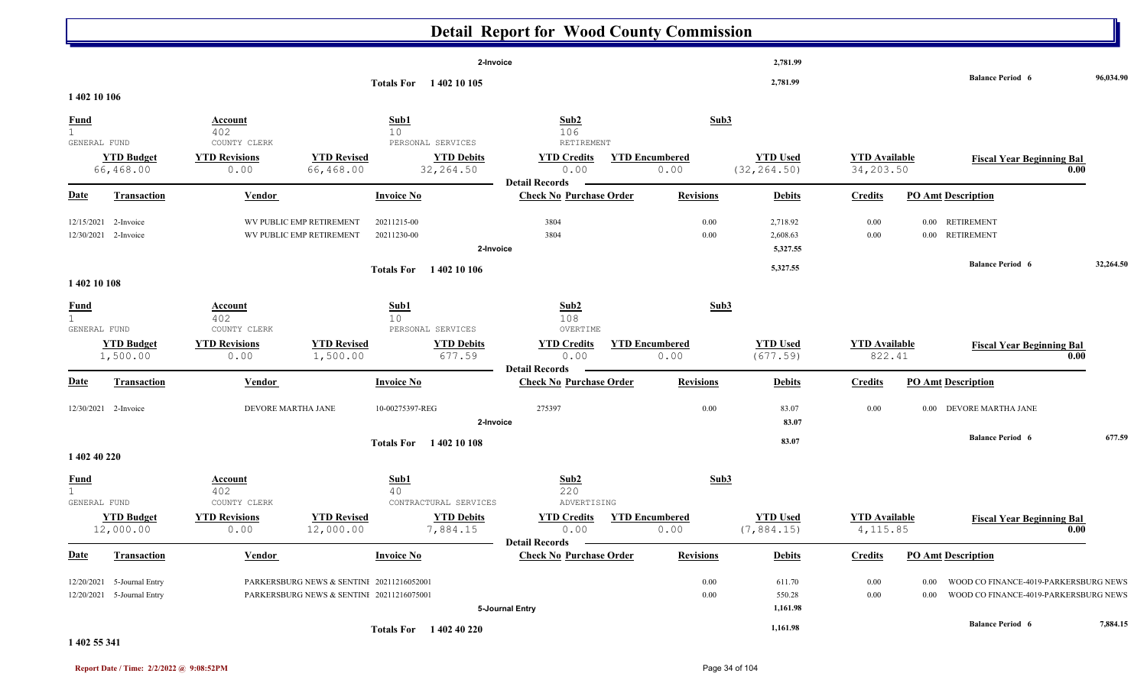|                                             |                                                          |                                                                       |                                                                                                      | <b>Detail Report for Wood County Commission</b>                                  |                                       |                                  |                                   |                                                                                                        |           |
|---------------------------------------------|----------------------------------------------------------|-----------------------------------------------------------------------|------------------------------------------------------------------------------------------------------|----------------------------------------------------------------------------------|---------------------------------------|----------------------------------|-----------------------------------|--------------------------------------------------------------------------------------------------------|-----------|
| 1 402 10 106                                |                                                          |                                                                       | Totals For 1402 10 105                                                                               | 2-Invoice                                                                        |                                       | 2,781.99<br>2,781.99             |                                   | <b>Balance Period 6</b>                                                                                | 96,034.90 |
| <u>Fund</u><br>$\mathbf{1}$<br>GENERAL FUND | <b>YTD Budget</b><br>66,468.00                           | <b>Account</b><br>402<br>COUNTY CLERK<br><b>YTD Revisions</b><br>0.00 | Sub1<br>10<br>PERSONAL SERVICES<br><b>YTD Revised</b><br><b>YTD Debits</b><br>66,468.00<br>32,264.50 | Sub2<br>106<br>RETIREMENT<br><b>YTD Credits</b><br>0.00<br><b>Detail Records</b> | Sub3<br><b>YTD Encumbered</b><br>0.00 | <b>YTD Used</b><br>(32, 264.50)  | <b>YTD Available</b><br>34,203.50 | <b>Fiscal Year Beginning Bal</b>                                                                       | 0.00      |
| <b>Date</b>                                 | <b>Transaction</b>                                       | <b>Vendor</b>                                                         | <b>Invoice No</b>                                                                                    | <b>Check No Purchase Order</b>                                                   | <b>Revisions</b>                      | <b>Debits</b>                    | <b>Credits</b>                    | <b>PO Amt Description</b>                                                                              |           |
| 12/15/2021                                  | 2-Invoice<br>12/30/2021 2-Invoice                        |                                                                       | WV PUBLIC EMP RETIREMENT<br>20211215-00<br>WV PUBLIC EMP RETIREMENT<br>20211230-00                   | 3804<br>3804<br>2-Invoice                                                        | 0.00<br>0.00                          | 2,718.92<br>2,608.63<br>5,327.55 | 0.00<br>0.00                      | 0.00 RETIREMENT<br>0.00 RETIREMENT                                                                     |           |
| 1402 10 108                                 |                                                          |                                                                       | Totals For 1402 10 106                                                                               |                                                                                  |                                       | 5,327.55                         |                                   | <b>Balance Period 6</b>                                                                                | 32,264.50 |
| <b>Fund</b><br>1<br>GENERAL FUND            |                                                          | <u>Account</u><br>402<br>COUNTY CLERK                                 | Sub1<br>10<br>PERSONAL SERVICES                                                                      | Sub <sub>2</sub><br>108<br>OVERTIME                                              | Sub3                                  |                                  |                                   |                                                                                                        |           |
|                                             | <b>YTD Budget</b><br>1,500.00                            | <b>YTD Revisions</b><br>0.00                                          | <b>YTD Revised</b><br><b>YTD Debits</b><br>677.59<br>1,500.00                                        | <b>YTD Credits</b><br>0.00<br><b>Detail Records</b>                              | <b>YTD Encumbered</b><br>0.00         | <b>YTD Used</b><br>(677.59)      | <b>YTD Available</b><br>822.41    | <b>Fiscal Year Beginning Bal</b>                                                                       | 0.00      |
| <b>Date</b>                                 | <b>Transaction</b>                                       | <b>Vendor</b>                                                         | <b>Invoice No</b>                                                                                    | <b>Check No Purchase Order</b>                                                   | <b>Revisions</b>                      | <b>Debits</b>                    | <b>Credits</b>                    | <b>PO Amt Description</b>                                                                              |           |
|                                             | 12/30/2021 2-Invoice                                     | DEVORE MARTHA JANE                                                    | 10-00275397-REG                                                                                      | 275397<br>2-Invoice                                                              | 0.00                                  | 83.07<br>83.07                   | 0.00                              | 0.00 DEVORE MARTHA JANE                                                                                |           |
| 1 402 40 220                                |                                                          |                                                                       | Totals For 1402 10 108                                                                               |                                                                                  |                                       | 83.07                            |                                   | <b>Balance Period 6</b>                                                                                | 677.59    |
| <b>Fund</b><br>$\mathbf{1}$<br>GENERAL FUND |                                                          | <u>Account</u><br>402<br>COUNTY CLERK                                 | Sub1<br>40<br>CONTRACTURAL SERVICES                                                                  | Sub2<br>220<br>ADVERTISING                                                       | Sub3                                  |                                  |                                   |                                                                                                        |           |
|                                             | <b>YTD Budget</b><br>12,000.00                           | <b>YTD Revisions</b><br>0.00                                          | <b>YTD Revised</b><br><b>YTD Debits</b><br>12,000.00<br>7,884.15                                     | <b>YTD Credits</b><br>0.00<br>Detail Records –                                   | <b>YTD Encumbered</b><br>0.00         | <b>YTD Used</b><br>(7, 884.15)   | <b>YTD</b> Available<br>4,115.85  | <b>Fiscal Year Beginning Bal</b>                                                                       | 0.00      |
| <b>Date</b>                                 | <b>Transaction</b>                                       | <b>Vendor</b>                                                         | <b>Invoice No</b>                                                                                    | <b>Check No Purchase Order</b>                                                   | <b>Revisions</b>                      | <b>Debits</b>                    | <b>Credits</b>                    | <b>PO Amt Description</b>                                                                              |           |
|                                             | 12/20/2021 5-Journal Entry<br>12/20/2021 5-Journal Entry |                                                                       | PARKERSBURG NEWS & SENTINI 20211216052001<br>PARKERSBURG NEWS & SENTINI 20211216075001               | 5-Journal Entry                                                                  | 0.00<br>0.00                          | 611.70<br>550.28<br>1,161.98     | $0.00\,$<br>$0.00\,$              | WOOD CO FINANCE-4019-PARKERSBURG NEWS<br>$0.00\,$<br>WOOD CO FINANCE-4019-PARKERSBURG NEWS<br>$0.00\,$ |           |
|                                             |                                                          |                                                                       | Totals For 1402 40 220                                                                               |                                                                                  |                                       | 1,161.98                         |                                   | <b>Balance Period 6</b>                                                                                | 7,884.15  |

**1 402 55 341**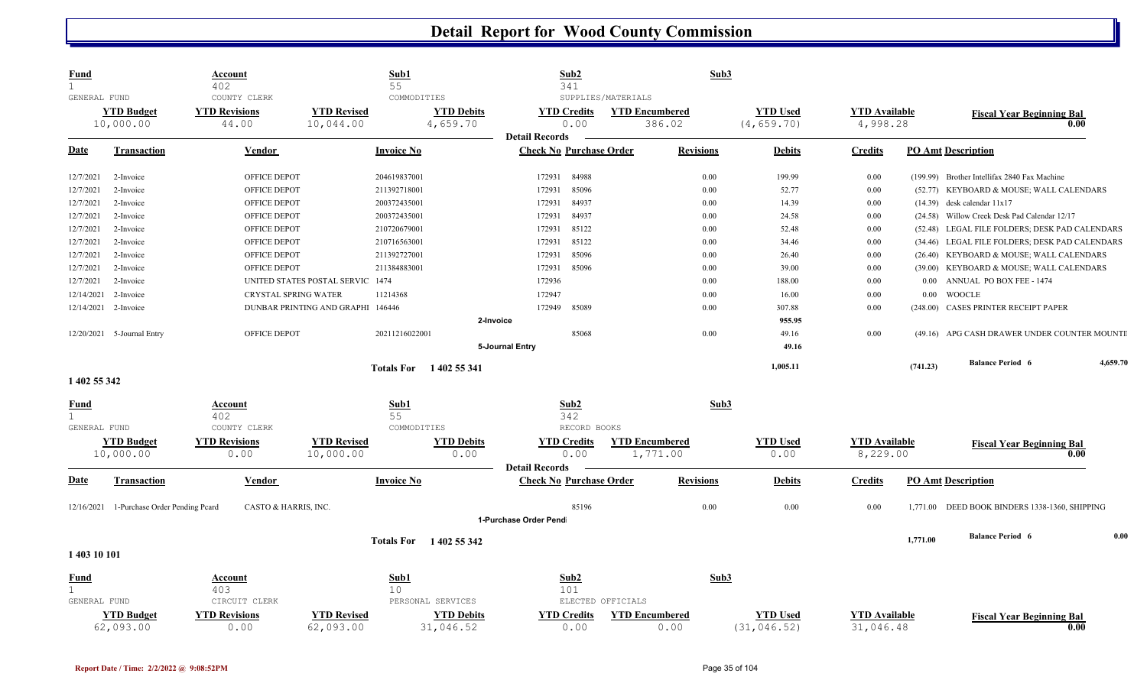| <b>Fund</b>                                    | <u>Account</u><br>402                         | Sub1<br>55                        |                                              | Sub2<br>341                                             |                                                       | Sub3             |                                |                                  |          |                                                |          |
|------------------------------------------------|-----------------------------------------------|-----------------------------------|----------------------------------------------|---------------------------------------------------------|-------------------------------------------------------|------------------|--------------------------------|----------------------------------|----------|------------------------------------------------|----------|
| GENERAL FUND<br><b>YTD Budget</b><br>10,000.00 | COUNTY CLERK<br><b>YTD Revisions</b><br>44.00 | <b>YTD Revised</b><br>10,044.00   | COMMODITIES<br><b>YTD Debits</b><br>4,659.70 | <b>YTD Credits</b><br>0.00                              | SUPPLIES/MATERIALS<br><b>YTD Encumbered</b><br>386.02 |                  | <b>YTD Used</b><br>(4, 659.70) | <b>YTD</b> Available<br>4,998.28 |          | <b>Fiscal Year Beginning Bal</b><br>0.00       |          |
| <b>Date</b><br><b>Transaction</b>              | <b>Vendor</b>                                 | <b>Invoice No</b>                 |                                              | <b>Detail Records</b><br><b>Check No Purchase Order</b> |                                                       | <b>Revisions</b> | <b>Debits</b>                  | <b>Credits</b>                   |          | <b>PO Amt Description</b>                      |          |
|                                                |                                               |                                   |                                              |                                                         |                                                       |                  |                                |                                  |          |                                                |          |
| 12/7/2021<br>2-Invoice                         | OFFICE DEPOT                                  | 204619837001                      |                                              | 84988<br>172931                                         |                                                       | 0.00             | 199.99                         | 0.00                             |          | (199.99) Brother Intellifax 2840 Fax Machine   |          |
| 12/7/2021<br>2-Invoice                         | OFFICE DEPOT                                  | 211392718001                      |                                              | 172931<br>85096                                         |                                                       | 0.00             | 52.77                          | 0.00                             |          | (52.77) KEYBOARD & MOUSE; WALL CALENDARS       |          |
| 12/7/2021<br>2-Invoice                         | OFFICE DEPOT                                  | 200372435001                      |                                              | 84937<br>172931                                         |                                                       | 0.00             | 14.39                          | $0.00\,$                         |          | $(14.39)$ desk calendar $11x17$                |          |
| 12/7/2021<br>2-Invoice                         | OFFICE DEPOT                                  | 200372435001                      |                                              | 84937<br>172931                                         |                                                       | 0.00             | 24.58                          | 0.00                             |          | (24.58) Willow Creek Desk Pad Calendar 12/17   |          |
| 12/7/2021<br>2-Invoice                         | OFFICE DEPOT                                  | 210720679001                      |                                              | 85122<br>172931                                         |                                                       | 0.00             | 52.48                          | 0.00                             |          | (52.48) LEGAL FILE FOLDERS; DESK PAD CALENDARS |          |
| 12/7/2021<br>2-Invoice                         | OFFICE DEPOT                                  | 210716563001                      |                                              | 85122<br>172931                                         |                                                       | 0.00             | 34.46                          | 0.00                             |          | (34.46) LEGAL FILE FOLDERS; DESK PAD CALENDARS |          |
| 12/7/2021<br>2-Invoice                         | OFFICE DEPOT                                  | 211392727001                      |                                              | 85096<br>172931                                         |                                                       | 0.00             | 26.40                          | 0.00                             |          | (26.40) KEYBOARD & MOUSE; WALL CALENDARS       |          |
| 12/7/2021<br>2-Invoice                         | OFFICE DEPOT                                  | 211384883001                      |                                              | 85096<br>172931                                         |                                                       | 0.00             | 39.00                          | 0.00                             |          | (39.00) KEYBOARD & MOUSE; WALL CALENDARS       |          |
| 12/7/2021<br>2-Invoice                         |                                               | UNITED STATES POSTAL SERVIC 1474  |                                              | 172936                                                  |                                                       | 0.00             | 188.00                         | 0.00                             |          | 0.00 ANNUAL PO BOX FEE - 1474                  |          |
| 12/14/2021<br>2-Invoice                        | CRYSTAL SPRING WATER                          | 11214368                          |                                              | 172947                                                  |                                                       | 0.00             | 16.00                          | 0.00                             | $0.00\,$ | <b>WOOCLE</b>                                  |          |
| 12/14/2021<br>2-Invoice                        |                                               | DUNBAR PRINTING AND GRAPHI 146446 |                                              | 172949<br>85089                                         |                                                       | 0.00             | 307.88                         | 0.00                             |          | (248.00) CASES PRINTER RECEIPT PAPER           |          |
|                                                |                                               |                                   | 2-Invoice                                    |                                                         |                                                       |                  | 955.95                         |                                  |          |                                                |          |
| 12/20/2021 5-Journal Entry                     | OFFICE DEPOT                                  | 20211216022001                    |                                              | 85068                                                   |                                                       | 0.00             | 49.16                          | 0.00                             |          | (49.16) APG CASH DRAWER UNDER COUNTER MOUNTI   |          |
|                                                |                                               |                                   |                                              | 5-Journal Entry                                         |                                                       |                  | 49.16                          |                                  |          |                                                |          |
|                                                |                                               |                                   | Totals For 1402 55 341                       |                                                         |                                                       |                  | 1,005.11                       |                                  | (741.23) | <b>Balance Period 6</b>                        | 4,659.70 |
| 1 402 55 342                                   |                                               |                                   |                                              |                                                         |                                                       |                  |                                |                                  |          |                                                |          |
| <b>Fund</b>                                    | Account                                       | Sub1                              |                                              | Sub <sub>2</sub>                                        |                                                       | Sub3             |                                |                                  |          |                                                |          |
| $\mathbf{1}$                                   | 402                                           | 55                                |                                              | 342                                                     |                                                       |                  |                                |                                  |          |                                                |          |
| GENERAL FUND                                   | COUNTY CLERK                                  |                                   | COMMODITIES                                  | RECORD BOOKS                                            |                                                       |                  |                                |                                  |          |                                                |          |
| <b>YTD Budget</b>                              | <b>YTD Revisions</b>                          | <b>YTD Revised</b>                | <b>YTD Debits</b>                            | <b>YTD Credits</b>                                      | <b>YTD Encumbered</b>                                 |                  | <b>YTD Used</b>                | <b>YTD Available</b>             |          | <b>Fiscal Year Beginning Bal</b>               |          |
| 10,000.00                                      | 0.00                                          | 10,000.00                         | 0.00                                         | 0.00                                                    | 1,771.00                                              |                  | 0.00                           | 8,229.00                         |          | 0.00                                           |          |
| <b>Date</b><br><b>Transaction</b>              | Vendor                                        | <b>Invoice No</b>                 |                                              | <b>Detail Records</b><br><b>Check No Purchase Order</b> |                                                       | <b>Revisions</b> | <b>Debits</b>                  | <b>Credits</b>                   |          | <b>PO Amt Description</b>                      |          |
|                                                |                                               |                                   |                                              |                                                         |                                                       |                  |                                |                                  |          |                                                |          |
| 12/16/2021 1-Purchase Order Pending Pcard      | CASTO & HARRIS, INC.                          |                                   |                                              | 85196                                                   |                                                       | 0.00             | $0.00\,$                       | 0.00                             |          | 1,771.00 DEED BOOK BINDERS 1338-1360, SHIPPING |          |
|                                                |                                               |                                   |                                              | 1-Purchase Order Pend                                   |                                                       |                  |                                |                                  |          |                                                |          |
|                                                |                                               |                                   | Totals For 1402 55 342                       |                                                         |                                                       |                  |                                |                                  | 1,771.00 | <b>Balance Period 6</b>                        | 0.00     |
| 1 403 10 101                                   |                                               |                                   |                                              |                                                         |                                                       |                  |                                |                                  |          |                                                |          |
|                                                |                                               |                                   |                                              |                                                         |                                                       |                  |                                |                                  |          |                                                |          |
| <b>Fund</b>                                    | Account                                       | Sub1                              |                                              | Sub2                                                    |                                                       | Sub3             |                                |                                  |          |                                                |          |
|                                                | 403                                           | 10                                |                                              | 101                                                     |                                                       |                  |                                |                                  |          |                                                |          |
| GENERAL FUND                                   | CIRCUIT CLERK                                 |                                   | PERSONAL SERVICES                            |                                                         | ELECTED OFFICIALS                                     |                  |                                |                                  |          |                                                |          |
| <b>YTD Budget</b>                              | <b>YTD Revisions</b>                          | <b>YTD Revised</b>                | <b>YTD Debits</b>                            | <b>YTD Credits</b>                                      | <b>YTD Encumbered</b>                                 |                  | <b>YTD Used</b>                | <b>YTD Available</b>             |          | <b>Fiscal Year Beginning Bal</b>               |          |
| 62,093.00                                      | 0.00                                          | 62,093.00                         | 31,046.52                                    | 0.00                                                    |                                                       | 0.00             | (31, 046.52)                   | 31,046.48                        |          | 0.00                                           |          |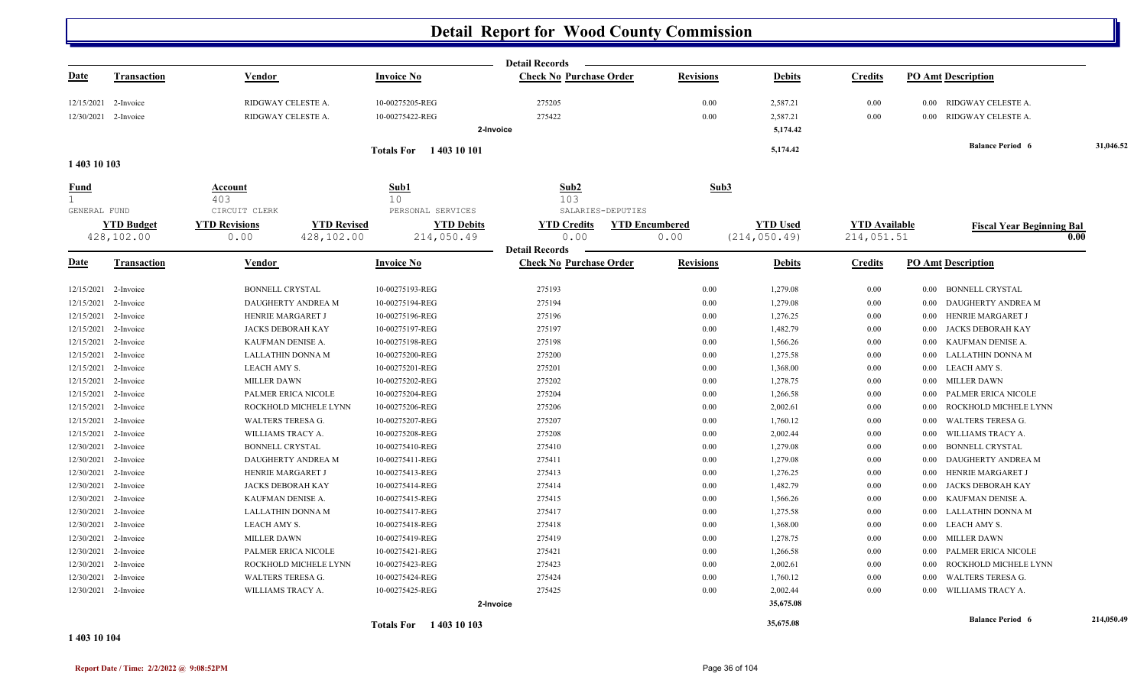|                              |                      |                                            |                                      | <b>Detail Records</b>                       |                  |                 |                      |                                    |            |
|------------------------------|----------------------|--------------------------------------------|--------------------------------------|---------------------------------------------|------------------|-----------------|----------------------|------------------------------------|------------|
| <u>Date</u>                  | <b>Transaction</b>   | Vendor                                     | <b>Invoice No</b>                    | <b>Check No Purchase Order</b>              | <b>Revisions</b> | <b>Debits</b>   | <b>Credits</b>       | <b>PO Amt Description</b>          |            |
| 12/15/2021                   | 2-Invoice            | RIDGWAY CELESTE A.                         | 10-00275205-REG                      | 275205                                      | 0.00             | 2,587.21        | 0.00                 | 0.00 RIDGWAY CELESTE A.            |            |
|                              | 12/30/2021 2-Invoice | RIDGWAY CELESTE A.                         | 10-00275422-REG                      | 275422                                      | 0.00             | 2,587.21        | $0.00\,$             | RIDGWAY CELESTE A.<br>$0.00\,$     |            |
|                              |                      |                                            |                                      | 2-Invoice                                   |                  | 5,174.42        |                      |                                    |            |
|                              |                      |                                            | Totals For 1403 10 101               |                                             |                  | 5,174.42        |                      | <b>Balance Period 6</b>            | 31,046.52  |
| 1 403 10 103                 |                      |                                            |                                      |                                             |                  |                 |                      |                                    |            |
| <u>Fund</u>                  |                      | Account                                    | Sub1                                 | Sub2                                        | Sub3             |                 |                      |                                    |            |
| $\mathbf{1}$<br>GENERAL FUND |                      | 403<br>CIRCUIT CLERK                       | 10 <sup>°</sup><br>PERSONAL SERVICES | 103<br>SALARIES-DEPUTIES                    |                  |                 |                      |                                    |            |
|                              | <b>YTD Budget</b>    | <b>YTD Revisions</b><br><b>YTD Revised</b> | <b>YTD Debits</b>                    | <b>YTD Credits</b><br><b>YTD Encumbered</b> |                  | <b>YTD Used</b> | <b>YTD Available</b> |                                    |            |
|                              | 428,102.00           | 0.00<br>428,102.00                         | 214,050.49                           | 0.00                                        | 0.00             | (214, 050.49)   | 214,051.51           | <b>Fiscal Year Beginning Bal</b>   | 0.00       |
|                              |                      |                                            |                                      | <b>Detail Records</b>                       |                  |                 |                      |                                    |            |
| Date                         | <b>Transaction</b>   | Vendor                                     | <b>Invoice No</b>                    | <b>Check No Purchase Order</b>              | <b>Revisions</b> | <b>Debits</b>   | <b>Credits</b>       | <b>PO Amt Description</b>          |            |
| 12/15/2021                   | 2-Invoice            | <b>BONNELL CRYSTAL</b>                     | 10-00275193-REG                      | 275193                                      | 0.00             | 1,279.08        | 0.00                 | <b>BONNELL CRYSTAL</b><br>$0.00\,$ |            |
| 12/15/2021                   | 2-Invoice            | DAUGHERTY ANDREA M                         | 10-00275194-REG                      | 275194                                      | 0.00             | 1,279.08        | 0.00                 | DAUGHERTY ANDREA M<br>0.00         |            |
|                              | 12/15/2021 2-Invoice | HENRIE MARGARET J                          | 10-00275196-REG                      | 275196                                      | 0.00             | 1,276.25        | $0.00\,$             | HENRIE MARGARET J<br>0.00          |            |
| 12/15/2021                   | 2-Invoice            | JACKS DEBORAH KAY                          | 10-00275197-REG                      | 275197                                      | 0.00             | 1,482.79        | $0.00\,$             | JACKS DEBORAH KAY<br>$0.00\,$      |            |
| 12/15/2021                   | 2-Invoice            | KAUFMAN DENISE A.                          | 10-00275198-REG                      | 275198                                      | 0.00             | 1,566.26        | $0.00\,$             | KAUFMAN DENISE A.<br>0.00          |            |
| 12/15/2021                   | 2-Invoice            | <b>LALLATHIN DONNA M</b>                   | 10-00275200-REG                      | 275200                                      | 0.00             | 1,275.58        | 0.00                 | LALLATHIN DONNA M<br>0.00          |            |
| 12/15/2021                   | 2-Invoice            | LEACH AMY S.                               | 10-00275201-REG                      | 275201                                      | 0.00             | 1,368.00        | $0.00\,$             | 0.00 LEACH AMY S.                  |            |
| 12/15/2021                   | 2-Invoice            | <b>MILLER DAWN</b>                         | 10-00275202-REG                      | 275202                                      | 0.00             | 1,278.75        | $0.00\,$             | <b>MILLER DAWN</b><br>0.00         |            |
| 12/15/2021                   | 2-Invoice            | PALMER ERICA NICOLE                        | 10-00275204-REG                      | 275204                                      | 0.00             | 1,266.58        | $0.00\,$             | PALMER ERICA NICOLE<br>0.00        |            |
|                              | 12/15/2021 2-Invoice | ROCKHOLD MICHELE LYNN                      | 10-00275206-REG                      | 275206                                      | 0.00             | 2,002.61        | $0.00\,$             | ROCKHOLD MICHELE LYNN<br>0.00      |            |
| 12/15/2021                   | 2-Invoice            | WALTERS TERESA G.                          | 10-00275207-REG                      | 275207                                      | 0.00             | 1,760.12        | 0.00                 | <b>WALTERS TERESA G.</b><br>0.00   |            |
| 12/15/2021                   | 2-Invoice            | WILLIAMS TRACY A.                          | 10-00275208-REG                      | 275208                                      | 0.00             | 2,002.44        | 0.00                 | WILLIAMS TRACY A.<br>0.00          |            |
|                              | 12/30/2021 2-Invoice | <b>BONNELL CRYSTAL</b>                     | 10-00275410-REG                      | 275410                                      | 0.00             | 1,279.08        | $0.00\,$             | <b>BONNELL CRYSTAL</b><br>0.00     |            |
| 12/30/2021                   | 2-Invoice            | DAUGHERTY ANDREA M                         | 10-00275411-REG                      | 275411                                      | 0.00             | 1,279.08        | 0.00                 | DAUGHERTY ANDREA M<br>0.00         |            |
| 12/30/2021                   | 2-Invoice            | HENRIE MARGARET J                          | 10-00275413-REG                      | 275413                                      | 0.00             | 1,276.25        | $0.00\,$             | HENRIE MARGARET J<br>0.00          |            |
| 12/30/2021                   | 2-Invoice            | <b>JACKS DEBORAH KAY</b>                   | 10-00275414-REG                      | 275414                                      | 0.00             | 1,482.79        | $0.00\,$             | JACKS DEBORAH KAY<br>0.00          |            |
|                              | 12/30/2021 2-Invoice | KAUFMAN DENISE A.                          | 10-00275415-REG                      | 275415                                      | 0.00             | 1,566.26        | 0.00                 | KAUFMAN DENISE A.<br>0.00          |            |
|                              | 12/30/2021 2-Invoice | <b>LALLATHIN DONNA M</b>                   | 10-00275417-REG                      | 275417                                      | 0.00             | 1,275.58        | $0.00\,$             | LALLATHIN DONNA M<br>0.00          |            |
| 12/30/2021                   | 2-Invoice            | LEACH AMY S.                               | 10-00275418-REG                      | 275418                                      | 0.00             | 1,368.00        | 0.00                 | LEACH AMY S.<br>0.00               |            |
| 12/30/2021                   | 2-Invoice            | <b>MILLER DAWN</b>                         | 10-00275419-REG                      | 275419                                      | 0.00             | 1,278.75        | $0.00\,$             | <b>MILLER DAWN</b><br>$0.00\,$     |            |
| 12/30/2021                   | 2-Invoice            | PALMER ERICA NICOLE                        | 10-00275421-REG                      | 275421                                      | 0.00             | 1,266.58        | $0.00\,$             | PALMER ERICA NICOLE<br>$0.00\,$    |            |
| 12/30/2021                   | 2-Invoice            | ROCKHOLD MICHELE LYNN                      | 10-00275423-REG                      | 275423                                      | 0.00             | 2,002.61        | 0.00                 | ROCKHOLD MICHELE LYNN<br>0.00      |            |
| 12/30/2021                   | 2-Invoice            | <b>WALTERS TERESA G.</b>                   | 10-00275424-REG                      | 275424                                      | 0.00             | 1,760.12        | 0.00                 | <b>WALTERS TERESA G.</b><br>0.00   |            |
|                              | 12/30/2021 2-Invoice | WILLIAMS TRACY A.                          | 10-00275425-REG                      | 275425                                      | 0.00             | 2,002.44        | 0.00                 | WILLIAMS TRACY A.<br>0.00          |            |
|                              |                      |                                            |                                      | 2-Invoice                                   |                  | 35,675.08       |                      |                                    |            |
|                              |                      |                                            | Totals For 1403 10 103               |                                             |                  | 35,675.08       |                      | <b>Balance Period 6</b>            | 214,050.49 |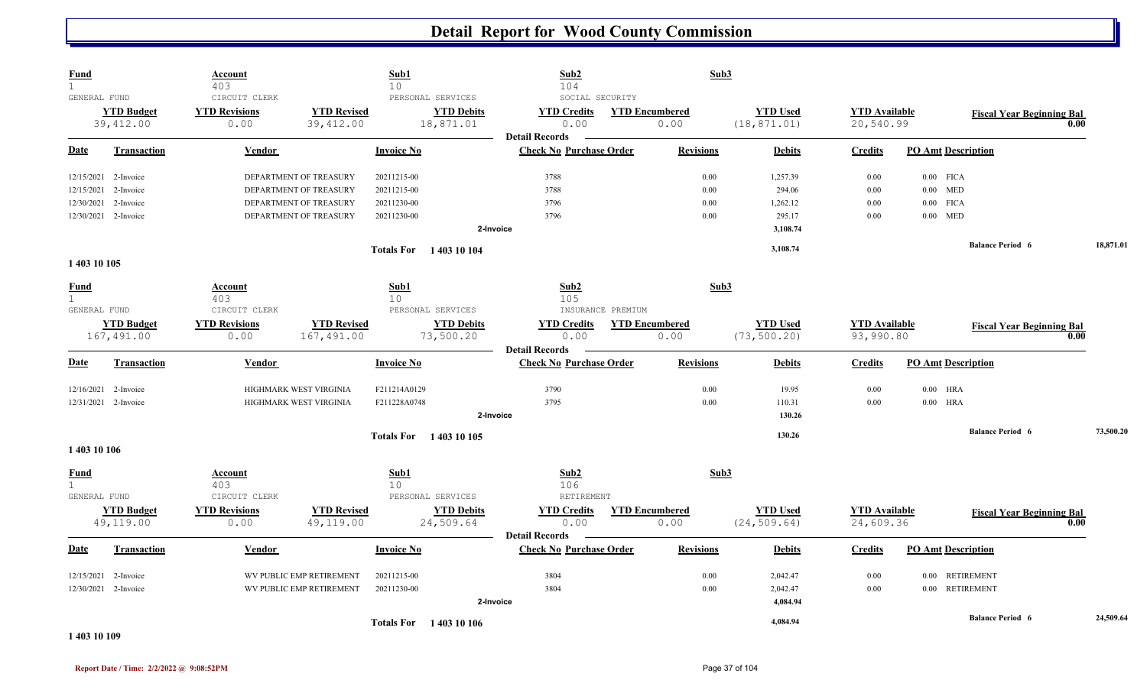| <b>Fund</b><br>$\mathbf{1}$ |                                | <b>Account</b><br>403                         |                                 | Sub1<br>10              |                                                     | Sub2<br>104                                             |                   | Sub3                          |                                 |                                   |                           |                                  |      |           |
|-----------------------------|--------------------------------|-----------------------------------------------|---------------------------------|-------------------------|-----------------------------------------------------|---------------------------------------------------------|-------------------|-------------------------------|---------------------------------|-----------------------------------|---------------------------|----------------------------------|------|-----------|
| GENERAL FUND                | <b>YTD Budget</b><br>39,412.00 | CIRCUIT CLERK<br><b>YTD Revisions</b><br>0.00 | <b>YTD Revised</b><br>39,412.00 |                         | PERSONAL SERVICES<br><b>YTD Debits</b><br>18,871.01 | SOCIAL SECURITY<br><b>YTD Credits</b><br>0.00           |                   | <b>YTD Encumbered</b><br>0.00 | <b>YTD Used</b><br>(18, 871.01) | <b>YTD</b> Available<br>20,540.99 |                           | <b>Fiscal Year Beginning Bal</b> | 0.00 |           |
| <b>Date</b>                 | <b>Transaction</b>             | Vendor                                        |                                 | <b>Invoice No</b>       |                                                     | <b>Detail Records</b><br><b>Check No Purchase Order</b> |                   | <b>Revisions</b>              | <b>Debits</b>                   | <b>Credits</b>                    | <b>PO Amt Description</b> |                                  |      |           |
|                             | 12/15/2021 2-Invoice           |                                               | DEPARTMENT OF TREASURY          | 20211215-00             |                                                     | 3788                                                    |                   | 0.00                          | 1,257.39                        | 0.00                              | $0.00$ FICA               |                                  |      |           |
|                             | 12/15/2021 2-Invoice           |                                               | DEPARTMENT OF TREASURY          | 20211215-00             |                                                     | 3788                                                    |                   | 0.00                          | 294.06                          | 0.00                              | $0.00$ MED                |                                  |      |           |
| 12/30/2021                  | 2-Invoice                      |                                               | DEPARTMENT OF TREASURY          | 20211230-00             |                                                     | 3796                                                    |                   | 0.00                          | 1,262.12                        | 0.00                              | $0.00$ FICA               |                                  |      |           |
|                             | 12/30/2021 2-Invoice           |                                               | DEPARTMENT OF TREASURY          | 20211230-00             |                                                     | 3796                                                    |                   | 0.00                          | 295.17                          | $0.00\,$                          | $0.00$ MED                |                                  |      |           |
|                             |                                |                                               |                                 |                         | 2-Invoice                                           |                                                         |                   |                               | 3,108.74                        |                                   |                           |                                  |      |           |
|                             |                                |                                               |                                 |                         | <b>Totals For</b> 1403 10 104                       |                                                         |                   |                               | 3,108.74                        |                                   |                           | <b>Balance Period 6</b>          |      | 18,871.01 |
| 1 403 10 105                |                                |                                               |                                 |                         |                                                     |                                                         |                   |                               |                                 |                                   |                           |                                  |      |           |
| <b>Fund</b><br>1            |                                | Account<br>403                                |                                 | Sub1<br>10 <sup>°</sup> |                                                     | Sub2<br>105                                             |                   | Sub3                          |                                 |                                   |                           |                                  |      |           |
| GENERAL FUND                |                                | CIRCUIT CLERK                                 |                                 |                         | PERSONAL SERVICES                                   |                                                         | INSURANCE PREMIUM |                               |                                 |                                   |                           |                                  |      |           |
|                             | <b>YTD Budget</b>              | <b>YTD Revisions</b>                          | <b>YTD Revised</b>              |                         | <b>YTD Debits</b>                                   | <b>YTD Credits</b>                                      |                   | <b>YTD Encumbered</b>         | <b>YTD Used</b>                 | <b>YTD</b> Available              |                           | <b>Fiscal Year Beginning Bal</b> |      |           |
|                             | 167,491.00                     | 0.00                                          | 167,491.00                      |                         | 73,500.20                                           | 0.00<br><b>Detail Records</b>                           |                   | 0.00                          | (73, 500.20)                    | 93,990.80                         |                           |                                  | 0.00 |           |
| <b>Date</b>                 | <b>Transaction</b>             | Vendor                                        |                                 | <b>Invoice No</b>       |                                                     | <b>Check No Purchase Order</b>                          |                   | <b>Revisions</b>              | <b>Debits</b>                   | <b>Credits</b>                    | <b>PO Amt Description</b> |                                  |      |           |
|                             | 12/16/2021 2-Invoice           |                                               | HIGHMARK WEST VIRGINIA          | F211214A0129            |                                                     | 3790                                                    |                   | 0.00                          | 19.95                           | 0.00                              | $0.00$ HRA                |                                  |      |           |
|                             | 12/31/2021 2-Invoice           |                                               | HIGHMARK WEST VIRGINIA          | F211228A0748            |                                                     | 3795                                                    |                   | 0.00                          | 110.31                          | 0.00                              | $0.00$ HRA                |                                  |      |           |
|                             |                                |                                               |                                 |                         | 2-Invoice                                           |                                                         |                   |                               | 130.26                          |                                   |                           |                                  |      |           |
|                             |                                |                                               |                                 |                         | <b>Totals For</b> 1403 10 105                       |                                                         |                   |                               | 130.26                          |                                   |                           | <b>Balance Period 6</b>          |      | 73,500.20 |
| 1 403 10 106                |                                |                                               |                                 |                         |                                                     |                                                         |                   |                               |                                 |                                   |                           |                                  |      |           |
| <b>Fund</b><br>$\mathbf{1}$ |                                | Account<br>403                                |                                 | Sub1<br>10              |                                                     | Sub2<br>106                                             |                   | Sub3                          |                                 |                                   |                           |                                  |      |           |
| GENERAL FUND                |                                | CIRCUIT CLERK                                 |                                 |                         | PERSONAL SERVICES                                   | RETIREMENT                                              |                   |                               |                                 |                                   |                           |                                  |      |           |
|                             | <b>YTD Budget</b><br>49,119.00 | <b>YTD Revisions</b><br>0.00                  | <b>YTD Revised</b><br>49,119.00 |                         | <b>YTD Debits</b><br>24,509.64                      | <b>YTD Credits</b><br>0.00                              |                   | <b>YTD Encumbered</b><br>0.00 | <b>YTD Used</b><br>(24, 509.64) | <b>YTD</b> Available<br>24,609.36 |                           | <b>Fiscal Year Beginning Bal</b> | 0.00 |           |
|                             |                                |                                               |                                 |                         |                                                     | <b>Detail Records</b>                                   |                   |                               |                                 |                                   |                           |                                  |      |           |
| Date                        | <b>Transaction</b>             | Vendor                                        |                                 | <b>Invoice No</b>       |                                                     | <b>Check No Purchase Order</b>                          |                   | <b>Revisions</b>              | <b>Debits</b>                   | <b>Credits</b>                    | <b>PO Amt Description</b> |                                  |      |           |
| 12/15/2021                  | 2-Invoice                      |                                               | WV PUBLIC EMP RETIREMENT        | 20211215-00             |                                                     | 3804                                                    |                   | 0.00                          | 2,042.47                        | $0.00\,$                          |                           | 0.00 RETIREMENT                  |      |           |
|                             | 12/30/2021 2-Invoice           |                                               | WV PUBLIC EMP RETIREMENT        | 20211230-00             |                                                     | 3804                                                    |                   | 0.00                          | 2,042.47                        | 0.00                              |                           | 0.00 RETIREMENT                  |      |           |
|                             |                                |                                               |                                 |                         | 2-Invoice                                           |                                                         |                   |                               | 4,084.94                        |                                   |                           |                                  |      |           |
|                             |                                |                                               |                                 |                         | <b>Totals For</b> 1403 10 106                       |                                                         |                   |                               | 4,084.94                        |                                   |                           | <b>Balance Period 6</b>          |      | 24,509.64 |
|                             |                                |                                               |                                 |                         |                                                     |                                                         |                   |                               |                                 |                                   |                           |                                  |      |           |

**1 403 10 109**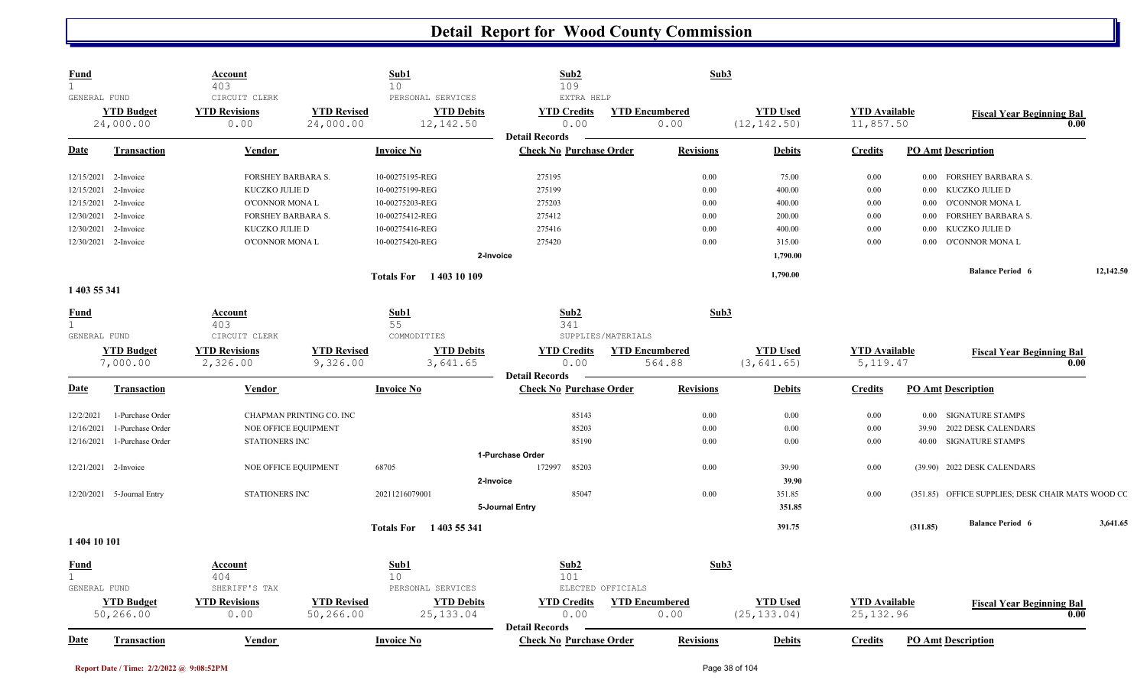| <b>Fund</b>          |                                | <b>Account</b><br>403                         |                                 | Sub1<br>10                                           | Sub2<br>109                                             |                               | Sub3             |                                 |                                   |          |                                                   |           |
|----------------------|--------------------------------|-----------------------------------------------|---------------------------------|------------------------------------------------------|---------------------------------------------------------|-------------------------------|------------------|---------------------------------|-----------------------------------|----------|---------------------------------------------------|-----------|
| GENERAL FUND         | <b>YTD Budget</b><br>24,000.00 | CIRCUIT CLERK<br><b>YTD Revisions</b><br>0.00 | <b>YTD Revised</b><br>24,000.00 | PERSONAL SERVICES<br><b>YTD Debits</b><br>12, 142.50 | EXTRA HELP<br><b>YTD Credits</b><br>0.00                | <b>YTD Encumbered</b><br>0.00 |                  | <b>YTD Used</b><br>(12, 142.50) | <b>YTD Available</b><br>11,857.50 |          | <b>Fiscal Year Beginning Bal</b><br>0.00          |           |
| <b>Date</b>          | <b>Transaction</b>             | <b>Vendor</b>                                 |                                 | <b>Invoice No</b>                                    | <b>Detail Records</b><br><b>Check No Purchase Order</b> |                               | <b>Revisions</b> | <b>Debits</b>                   | <b>Credits</b>                    |          | <b>PO Amt Description</b>                         |           |
| 12/15/2021           | 2-Invoice                      | FORSHEY BARBARA S.                            |                                 | 10-00275195-REG                                      | 275195                                                  |                               | 0.00             | 75.00                           | 0.00                              |          | 0.00 FORSHEY BARBARA S.                           |           |
| 12/15/2021           | 2-Invoice                      | KUCZKO JULIE D                                |                                 | 10-00275199-REG                                      | 275199                                                  |                               | 0.00             | 400.00                          | 0.00                              | 0.00     | KUCZKO JULIE D                                    |           |
| 12/15/2021           | 2-Invoice                      | O'CONNOR MONA L                               |                                 | 10-00275203-REG                                      | 275203                                                  |                               | 0.00             | 400.00                          | 0.00                              |          | 0.00 O'CONNOR MONAL                               |           |
| 12/30/2021           | 2-Invoice                      | FORSHEY BARBARA S.                            |                                 | 10-00275412-REG                                      | 275412                                                  |                               | 0.00             | 200.00                          | 0.00                              | 0.00     | <b>FORSHEY BARBARA S.</b>                         |           |
| 12/30/2021           | 2-Invoice                      | KUCZKO JULIE D                                |                                 | 10-00275416-REG                                      | 275416                                                  |                               | 0.00             | 400.00                          | 0.00                              | 0.00     | KUCZKO JULIE D                                    |           |
| 12/30/2021 2-Invoice |                                | O'CONNOR MONA L                               |                                 | 10-00275420-REG                                      | 275420                                                  |                               | 0.00             | 315.00                          | 0.00                              |          | 0.00 O'CONNOR MONAL                               |           |
|                      |                                |                                               |                                 |                                                      | 2-Invoice                                               |                               |                  | 1,790.00                        |                                   |          |                                                   |           |
|                      |                                |                                               |                                 | <b>Totals For</b><br>1403 10 109                     |                                                         |                               |                  | 1,790.00                        |                                   |          | <b>Balance Period 6</b>                           | 12,142.50 |
| 1 403 55 341         |                                |                                               |                                 |                                                      |                                                         |                               |                  |                                 |                                   |          |                                                   |           |
| <b>Fund</b>          |                                | <b>Account</b>                                |                                 | Sub1                                                 | Sub2                                                    |                               | Sub3             |                                 |                                   |          |                                                   |           |
| $\mathbf{1}$         |                                | 403                                           |                                 | 55                                                   | 341                                                     |                               |                  |                                 |                                   |          |                                                   |           |
| GENERAL FUND         |                                | CIRCUIT CLERK                                 |                                 | COMMODITIES                                          |                                                         | SUPPLIES/MATERIALS            |                  |                                 |                                   |          |                                                   |           |
|                      | <b>YTD Budget</b>              | <b>YTD Revisions</b>                          | <b>YTD Revised</b>              | <b>YTD Debits</b>                                    | <b>YTD Credits</b>                                      | <b>YTD Encumbered</b>         |                  | <b>YTD Used</b>                 | <b>YTD</b> Available              |          | <b>Fiscal Year Beginning Bal</b>                  |           |
|                      | 7,000.00                       | 2,326.00                                      | 9,326.00                        | 3,641.65                                             | 0.00                                                    | 564.88                        |                  | (3, 641.65)                     | 5, 119.47                         |          | 0.00                                              |           |
|                      |                                |                                               |                                 |                                                      | <b>Detail Records</b>                                   |                               |                  |                                 |                                   |          |                                                   |           |
| <b>Date</b>          | <b>Transaction</b>             | <b>Vendor</b>                                 |                                 | <b>Invoice No</b>                                    | <b>Check No Purchase Order</b>                          |                               | <b>Revisions</b> | <b>Debits</b>                   | <b>Credits</b>                    |          | <b>PO Amt Description</b>                         |           |
| 12/2/2021            | 1-Purchase Order               |                                               | CHAPMAN PRINTING CO. INC        |                                                      | 85143                                                   |                               | 0.00             | $0.00\,$                        | 0.00                              |          | 0.00 SIGNATURE STAMPS                             |           |
| 12/16/2021           | 1-Purchase Order               | NOE OFFICE EQUIPMENT                          |                                 |                                                      | 85203                                                   |                               | 0.00             | 0.00                            | 0.00                              |          | 39.90 2022 DESK CALENDARS                         |           |
| 12/16/2021           | 1-Purchase Order               | STATIONERS INC                                |                                 |                                                      | 85190                                                   |                               | 0.00             | 0.00                            | 0.00                              |          | 40.00 SIGNATURE STAMPS                            |           |
|                      |                                |                                               |                                 |                                                      | 1-Purchase Order                                        |                               |                  |                                 |                                   |          |                                                   |           |
| 12/21/2021 2-Invoice |                                | NOE OFFICE EQUIPMENT                          |                                 | 68705                                                | 172997<br>85203                                         |                               | 0.00             | 39.90                           | 0.00                              |          | (39.90) 2022 DESK CALENDARS                       |           |
|                      |                                |                                               |                                 |                                                      | 2-Invoice                                               |                               |                  | 39.90                           |                                   |          |                                                   |           |
|                      | 12/20/2021 5-Journal Entry     | STATIONERS INC                                |                                 | 20211216079001                                       | 85047                                                   |                               | 0.00             | 351.85                          | 0.00                              |          | (351.85) OFFICE SUPPLIES; DESK CHAIR MATS WOOD CC |           |
|                      |                                |                                               |                                 |                                                      | 5-Journal Entry                                         |                               |                  | 351.85                          |                                   |          |                                                   |           |
|                      |                                |                                               |                                 | <b>Totals For</b><br>1 403 55 341                    |                                                         |                               |                  | 391.75                          |                                   | (311.85) | <b>Balance Period 6</b>                           | 3,641.65  |
| 1404 10 101          |                                |                                               |                                 |                                                      |                                                         |                               |                  |                                 |                                   |          |                                                   |           |
| <b>Fund</b>          |                                | <b>Account</b>                                |                                 | Sub1                                                 | Sub2                                                    |                               | Sub3             |                                 |                                   |          |                                                   |           |
| $\mathbf{1}$         |                                | 404                                           |                                 | 10 <sup>°</sup>                                      | 101                                                     |                               |                  |                                 |                                   |          |                                                   |           |
| GENERAL FUND         |                                | SHERIFF'S TAX                                 |                                 | PERSONAL SERVICES                                    |                                                         | ELECTED OFFICIALS             |                  |                                 |                                   |          |                                                   |           |
|                      | <b>YTD Budget</b>              | <b>YTD Revisions</b>                          | <b>YTD Revised</b>              | <b>YTD Debits</b>                                    | <b>YTD Credits</b>                                      | <b>YTD Encumbered</b>         |                  | <b>YTD Used</b>                 | <b>YTD Available</b>              |          | <b>Fiscal Year Beginning Bal</b>                  |           |
|                      | 50,266.00                      | 0.00                                          | 50, 266.00                      | 25, 133.04                                           | 0.00<br><b>Detail Records</b>                           | 0.00                          |                  | (25, 133.04)                    | 25, 132.96                        |          | 0.00                                              |           |
| <b>Date</b>          | <b>Transaction</b>             | Vendor                                        |                                 | <b>Invoice No</b>                                    | <b>Check No Purchase Order</b>                          |                               | <b>Revisions</b> | <b>Debits</b>                   | <b>Credits</b>                    |          | <b>PO Amt Description</b>                         |           |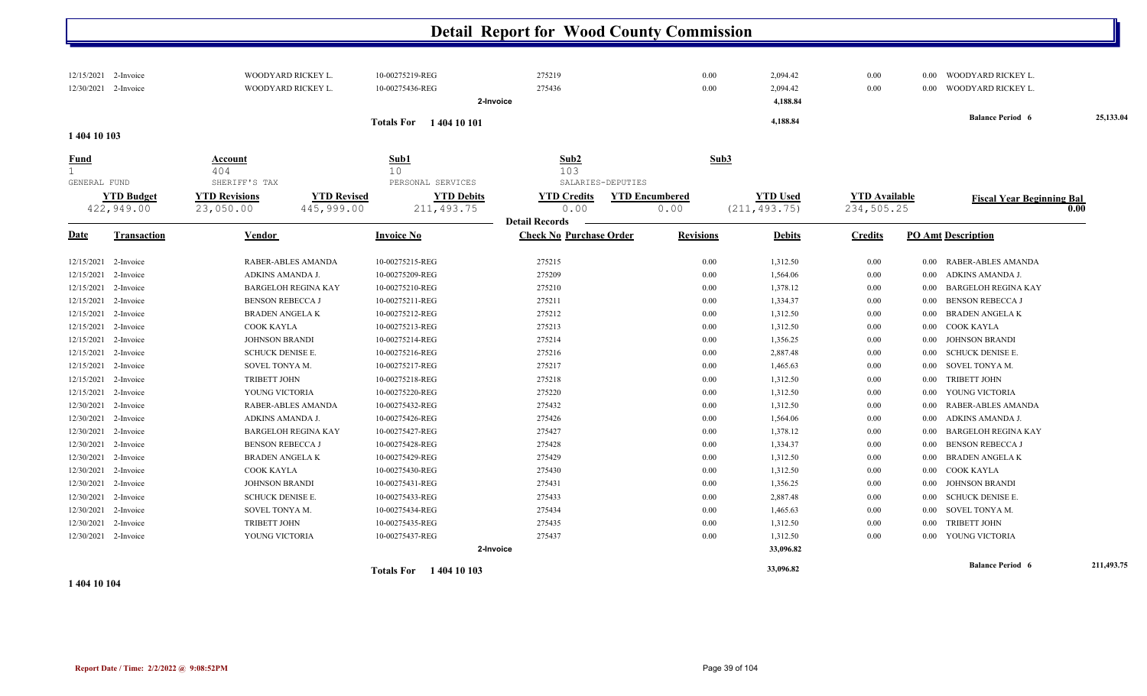|                                             | 12/15/2021 2-Invoice<br>12/30/2021 2-Invoice |                                 | WOODYARD RICKEY L.<br>WOODYARD RICKEY L. | 10-00275219-REG<br>10-00275436-REG | 275219<br>275436               |                       | 0.00<br>0.00     | 2,094.42<br>2,094.42 | 0.00<br>0.00         | 0.00     | 0.00 WOODYARD RICKEY L.<br>WOODYARD RICKEY L. |            |
|---------------------------------------------|----------------------------------------------|---------------------------------|------------------------------------------|------------------------------------|--------------------------------|-----------------------|------------------|----------------------|----------------------|----------|-----------------------------------------------|------------|
|                                             |                                              |                                 |                                          |                                    | 2-Invoice                      |                       |                  | 4,188.84             |                      |          |                                               |            |
|                                             |                                              |                                 |                                          | <b>Totals For</b> 1404 10 101      |                                |                       |                  | 4,188.84             |                      |          | <b>Balance Period 6</b>                       | 25,133.04  |
| 1 404 10 103                                |                                              |                                 |                                          |                                    |                                |                       |                  |                      |                      |          |                                               |            |
| <b>Fund</b><br>$\mathbf{1}$<br>GENERAL FUND |                                              | Account<br>404<br>SHERIFF'S TAX |                                          | Sub1<br>10<br>PERSONAL SERVICES    | Sub2<br>103                    | SALARIES-DEPUTIES     | Sub3             |                      |                      |          |                                               |            |
|                                             | <b>YTD Budget</b>                            | <b>YTD Revisions</b>            | <b>YTD Revised</b>                       | <b>YTD Debits</b>                  | <b>YTD Credits</b>             | <b>YTD Encumbered</b> |                  | <b>YTD Used</b>      | <b>YTD Available</b> |          | <b>Fiscal Year Beginning Bal</b>              |            |
|                                             | 422,949.00                                   | 23,050.00                       | 445,999.00                               | 211, 493.75                        | 0.00                           | 0.00                  |                  | (211, 493.75)        | 234,505.25           |          |                                               | 0.00       |
|                                             |                                              |                                 |                                          |                                    | <b>Detail Records</b>          |                       |                  |                      |                      |          |                                               |            |
| Date                                        | <b>Transaction</b>                           | Vendor                          |                                          | <b>Invoice No</b>                  | <b>Check No Purchase Order</b> |                       | <b>Revisions</b> | <b>Debits</b>        | <b>Credits</b>       |          | <b>PO Amt Description</b>                     |            |
|                                             | 12/15/2021 2-Invoice                         |                                 | RABER-ABLES AMANDA                       | 10-00275215-REG                    | 275215                         |                       | 0.00             | 1,312.50             | $0.00\,$             | $0.00\,$ | RABER-ABLES AMANDA                            |            |
|                                             | 12/15/2021 2-Invoice                         | ADKINS AMANDA J.                |                                          | 10-00275209-REG                    | 275209                         |                       | 0.00             | 1,564.06             | 0.00                 | 0.00     | ADKINS AMANDA J.                              |            |
|                                             | 12/15/2021 2-Invoice                         |                                 | <b>BARGELOH REGINA KAY</b>               | 10-00275210-REG                    | 275210                         |                       | 0.00             | 1,378.12             | $0.00\,$             | $0.00\,$ | <b>BARGELOH REGINA KAY</b>                    |            |
|                                             | 12/15/2021 2-Invoice                         | <b>BENSON REBECCA J</b>         |                                          | 10-00275211-REG                    | 275211                         |                       | 0.00             | 1,334.37             | 0.00                 | $0.00\,$ | <b>BENSON REBECCA J</b>                       |            |
|                                             | 12/15/2021 2-Invoice                         | <b>BRADEN ANGELAK</b>           |                                          | 10-00275212-REG                    | 275212                         |                       | 0.00             | 1,312.50             | 0.00                 | 0.00     | <b>BRADEN ANGELA K</b>                        |            |
|                                             | 12/15/2021 2-Invoice                         | COOK KAYLA                      |                                          | 10-00275213-REG                    | 275213                         |                       | $0.00\,$         | 1,312.50             | 0.00                 |          | 0.00 COOK KAYLA                               |            |
|                                             | 12/15/2021 2-Invoice                         | <b>JOHNSON BRANDI</b>           |                                          | 10-00275214-REG                    | 275214                         |                       | 0.00             | 1,356.25             | 0.00                 | $0.00\,$ | <b>JOHNSON BRANDI</b>                         |            |
|                                             | 12/15/2021 2-Invoice                         | <b>SCHUCK DENISE E.</b>         |                                          | 10-00275216-REG                    | 275216                         |                       | 0.00             | 2,887.48             | 0.00                 | $0.00\,$ | <b>SCHUCK DENISE E.</b>                       |            |
|                                             | 12/15/2021 2-Invoice                         | SOVEL TONYA M.                  |                                          | 10-00275217-REG                    | 275217                         |                       | 0.00             | 1,465.63             | 0.00                 | $0.00\,$ | SOVEL TONYA M.                                |            |
|                                             | 12/15/2021 2-Invoice                         | <b>TRIBETT JOHN</b>             |                                          | 10-00275218-REG                    | 275218                         |                       | 0.00             | 1,312.50             | 0.00                 |          | 0.00 TRIBETT JOHN                             |            |
|                                             | 12/15/2021 2-Invoice                         | YOUNG VICTORIA                  |                                          | 10-00275220-REG                    | 275220                         |                       | 0.00             | 1,312.50             | 0.00                 | $0.00\,$ | YOUNG VICTORIA                                |            |
|                                             | 12/30/2021 2-Invoice                         |                                 | RABER-ABLES AMANDA                       | 10-00275432-REG                    | 275432                         |                       | 0.00             | 1,312.50             | $0.00\,$             | $0.00\,$ | RABER-ABLES AMANDA                            |            |
|                                             | 12/30/2021 2-Invoice                         | ADKINS AMANDA J.                |                                          | 10-00275426-REG                    | 275426                         |                       | 0.00             | 1,564.06             | 0.00                 | $0.00\,$ | ADKINS AMANDA J.                              |            |
|                                             | 12/30/2021 2-Invoice                         |                                 | <b>BARGELOH REGINA KAY</b>               | 10-00275427-REG                    | 275427                         |                       | 0.00             | 1,378.12             | $0.00\,$             | $0.00\,$ | <b>BARGELOH REGINA KAY</b>                    |            |
|                                             | 12/30/2021 2-Invoice                         | <b>BENSON REBECCA J</b>         |                                          | 10-00275428-REG                    | 275428                         |                       | 0.00             | 1,334.37             | $0.00\,$             | $0.00\,$ | <b>BENSON REBECCA J</b>                       |            |
|                                             | 12/30/2021 2-Invoice                         | <b>BRADEN ANGELAK</b>           |                                          | 10-00275429-REG                    | 275429                         |                       | 0.00             | 1,312.50             | $0.00\,$             | $0.00\,$ | <b>BRADEN ANGELAK</b>                         |            |
|                                             | 12/30/2021 2-Invoice                         | COOK KAYLA                      |                                          | 10-00275430-REG                    | 275430                         |                       | 0.00             | 1,312.50             | $0.00\,$             | $0.00\,$ | COOK KAYLA                                    |            |
|                                             | 12/30/2021 2-Invoice                         | <b>JOHNSON BRANDI</b>           |                                          | 10-00275431-REG                    | 275431                         |                       | 0.00             | 1,356.25             | 0.00                 | $0.00\,$ | <b>JOHNSON BRANDI</b>                         |            |
|                                             | 12/30/2021 2-Invoice                         | <b>SCHUCK DENISE E.</b>         |                                          | 10-00275433-REG                    | 275433                         |                       | 0.00             | 2,887.48             | 0.00                 | $0.00\,$ | SCHUCK DENISE E.                              |            |
|                                             | 12/30/2021 2-Invoice                         | SOVEL TONYA M.                  |                                          | 10-00275434-REG                    | 275434                         |                       | 0.00             | 1,465.63             | 0.00                 | 0.00     | SOVEL TONYA M.                                |            |
|                                             | 12/30/2021 2-Invoice                         | TRIBETT JOHN                    |                                          | 10-00275435-REG                    | 275435                         |                       | 0.00             | 1,312.50             | $0.00\,$             | $0.00\,$ | TRIBETT JOHN                                  |            |
|                                             | 12/30/2021 2-Invoice                         | YOUNG VICTORIA                  |                                          | 10-00275437-REG                    | 275437                         |                       | 0.00             | 1,312.50             | $0.00\,$             |          | 0.00 YOUNG VICTORIA                           |            |
|                                             |                                              |                                 |                                          |                                    | 2-Invoice                      |                       |                  | 33,096.82            |                      |          |                                               |            |
|                                             |                                              |                                 |                                          | <b>Totals For</b> 1404 10 103      |                                |                       |                  | 33,096.82            |                      |          | <b>Balance Period 6</b>                       | 211,493.75 |

**1 404 10 104**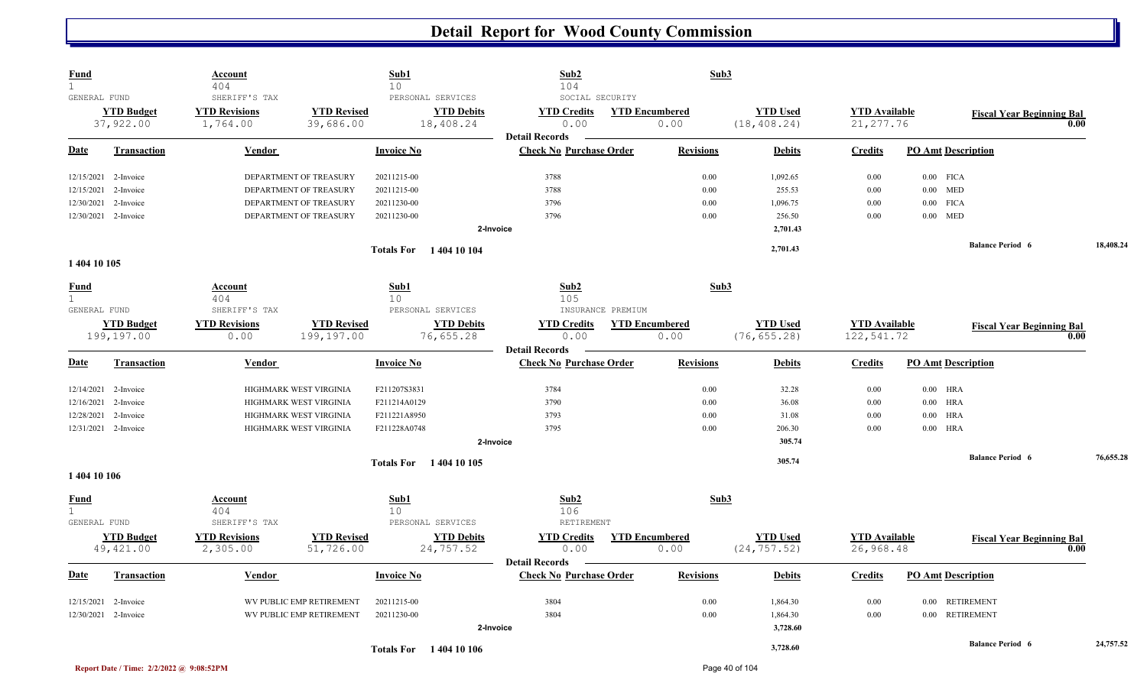| <b>Fund</b><br>$\mathbf{1}$ |                                 | <b>Account</b><br>404                             |                                  | Sub1<br>10        |                                                     | Sub2<br>104                                             |                   | Sub3                          |                                  |                                    |                           |                                  |           |
|-----------------------------|---------------------------------|---------------------------------------------------|----------------------------------|-------------------|-----------------------------------------------------|---------------------------------------------------------|-------------------|-------------------------------|----------------------------------|------------------------------------|---------------------------|----------------------------------|-----------|
| GENERAL FUND                | <b>YTD Budget</b><br>37,922.00  | SHERIFF'S TAX<br><b>YTD Revisions</b><br>1,764.00 | <b>YTD Revised</b><br>39,686.00  |                   | PERSONAL SERVICES<br><b>YTD Debits</b><br>18,408.24 | SOCIAL SECURITY<br><b>YTD Credits</b><br>0.00           |                   | <b>YTD Encumbered</b><br>0.00 | <b>YTD Used</b><br>(18, 408, 24) | <b>YTD</b> Available<br>21, 277.76 |                           | <b>Fiscal Year Beginning Bal</b> | 0.00      |
| <b>Date</b>                 | <b>Transaction</b>              | Vendor                                            |                                  | <b>Invoice No</b> |                                                     | <b>Detail Records</b><br><b>Check No Purchase Order</b> |                   | <b>Revisions</b>              | <b>Debits</b>                    | <b>Credits</b>                     | <b>PO Amt Description</b> |                                  |           |
|                             | 12/15/2021 2-Invoice            |                                                   | DEPARTMENT OF TREASURY           | 20211215-00       |                                                     | 3788                                                    |                   | 0.00                          | 1,092.65                         | 0.00                               | $0.00$ FICA               |                                  |           |
| 12/15/2021                  | 2-Invoice                       |                                                   | DEPARTMENT OF TREASURY           | 20211215-00       |                                                     | 3788                                                    |                   | 0.00                          | 255.53                           | 0.00                               | $0.00$ MED                |                                  |           |
| 12/30/2021                  | 2-Invoice                       |                                                   | DEPARTMENT OF TREASURY           | 20211230-00       |                                                     | 3796                                                    |                   | 0.00                          | 1,096.75                         | 0.00                               | <b>FICA</b><br>$0.00\,$   |                                  |           |
|                             | 12/30/2021 2-Invoice            |                                                   | DEPARTMENT OF TREASURY           | 20211230-00       |                                                     | 3796                                                    |                   | 0.00                          | 256.50                           | 0.00                               | $0.00$ MED                |                                  |           |
|                             |                                 |                                                   |                                  |                   | 2-Invoice                                           |                                                         |                   |                               | 2,701.43                         |                                    |                           |                                  |           |
| 1 404 10 105                |                                 |                                                   |                                  |                   | <b>Totals For</b> 1404 10 104                       |                                                         |                   |                               | 2,701.43                         |                                    |                           | <b>Balance Period 6</b>          | 18,408.24 |
| <u>Fund</u>                 |                                 | Account                                           |                                  | Sub1              |                                                     | Sub2                                                    |                   | Sub3                          |                                  |                                    |                           |                                  |           |
| $\mathbf{1}$                |                                 | 404                                               |                                  | 10 <sup>°</sup>   |                                                     | 105                                                     |                   |                               |                                  |                                    |                           |                                  |           |
| GENERAL FUND                |                                 | SHERIFF'S TAX                                     |                                  |                   | PERSONAL SERVICES                                   |                                                         | INSURANCE PREMIUM |                               |                                  |                                    |                           |                                  |           |
|                             | <b>YTD Budget</b><br>199,197.00 | <b>YTD Revisions</b><br>0.00                      | <b>YTD Revised</b><br>199,197.00 |                   | <b>YTD Debits</b><br>76,655.28                      | <b>YTD Credits</b><br>0.00                              |                   | <b>YTD Encumbered</b><br>0.00 | <b>YTD Used</b><br>(76, 655.28)  | <b>YTD</b> Available<br>122,541.72 |                           | <b>Fiscal Year Beginning Bal</b> | 0.00      |
| <u>Date</u>                 | <b>Transaction</b>              | Vendor                                            |                                  | <b>Invoice No</b> |                                                     | <b>Detail Records</b><br><b>Check No Purchase Order</b> |                   | <b>Revisions</b>              | <b>Debits</b>                    | <b>Credits</b>                     | <b>PO Amt Description</b> |                                  |           |
|                             |                                 |                                                   |                                  |                   |                                                     |                                                         |                   |                               |                                  |                                    |                           |                                  |           |
|                             | 12/14/2021 2-Invoice            |                                                   | HIGHMARK WEST VIRGINIA           | F211207S3831      |                                                     | 3784                                                    |                   | 0.00                          | 32.28                            | 0.00                               | $0.00$ HRA                |                                  |           |
| 12/16/2021                  | 2-Invoice                       |                                                   | HIGHMARK WEST VIRGINIA           | F211214A0129      |                                                     | 3790                                                    |                   | 0.00                          | 36.08                            | 0.00                               | $0.00$ HRA                |                                  |           |
|                             | 12/28/2021 2-Invoice            |                                                   | HIGHMARK WEST VIRGINIA           | F211221A8950      |                                                     | 3793                                                    |                   | 0.00                          | 31.08                            | 0.00                               | $0.00$ HRA                |                                  |           |
|                             | 12/31/2021 2-Invoice            |                                                   | HIGHMARK WEST VIRGINIA           | F211228A0748      |                                                     | 3795                                                    |                   | 0.00                          | 206.30                           | 0.00                               | $0.00$ HRA                |                                  |           |
|                             |                                 |                                                   |                                  |                   |                                                     | 2-Invoice                                               |                   |                               | 305.74                           |                                    |                           |                                  |           |
|                             |                                 |                                                   |                                  |                   | <b>Totals For</b> 1404 10 105                       |                                                         |                   |                               | 305.74                           |                                    |                           | <b>Balance Period 6</b>          | 76,655.28 |
| 1 404 10 106                |                                 |                                                   |                                  |                   |                                                     |                                                         |                   |                               |                                  |                                    |                           |                                  |           |
| <b>Fund</b>                 |                                 | <b>Account</b>                                    |                                  | Sub1              |                                                     | Sub2                                                    |                   | Sub3                          |                                  |                                    |                           |                                  |           |
| 1                           |                                 | 404                                               |                                  | 10                |                                                     | 106                                                     |                   |                               |                                  |                                    |                           |                                  |           |
| GENERAL FUND                |                                 | SHERIFF'S TAX                                     |                                  |                   | PERSONAL SERVICES                                   | RETIREMENT                                              |                   |                               |                                  |                                    |                           |                                  |           |
|                             | <b>YTD Budget</b>               | <b>YTD Revisions</b>                              | <b>YTD Revised</b>               |                   | <b>YTD Debits</b>                                   | <b>YTD Credits</b>                                      |                   | <b>YTD Encumbered</b>         | <b>YTD Used</b>                  | <b>YTD Available</b>               |                           | <b>Fiscal Year Beginning Bal</b> |           |
|                             | 49,421.00                       | 2,305.00                                          | 51,726.00                        |                   | 24,757.52                                           | 0.00<br><b>Detail Records</b>                           |                   | 0.00                          | (24, 757.52)                     | 26,968.48                          |                           |                                  | 0.00      |
| <b>Date</b>                 | <b>Transaction</b>              | Vendor                                            |                                  | <b>Invoice No</b> |                                                     | <b>Check No Purchase Order</b>                          |                   | <b>Revisions</b>              | <b>Debits</b>                    | <b>Credits</b>                     | <b>PO Amt Description</b> |                                  |           |
| 12/15/2021                  | 2-Invoice                       |                                                   | WV PUBLIC EMP RETIREMENT         | 20211215-00       |                                                     | 3804                                                    |                   | 0.00                          | 1,864.30                         | 0.00                               | $0.00\,$                  | <b>RETIREMENT</b>                |           |
|                             | 12/30/2021 2-Invoice            |                                                   | WV PUBLIC EMP RETIREMENT         | 20211230-00       |                                                     | 3804                                                    |                   | 0.00                          | 1,864.30                         | 0.00                               | 0.00 RETIREMENT           |                                  |           |
|                             |                                 |                                                   |                                  |                   |                                                     | 2-Invoice                                               |                   |                               | 3,728.60                         |                                    |                           |                                  |           |
|                             |                                 |                                                   |                                  |                   | <b>Totals For</b> 1404 10 106                       |                                                         |                   |                               | 3,728.60                         |                                    |                           | <b>Balance Period 6</b>          | 24,757.52 |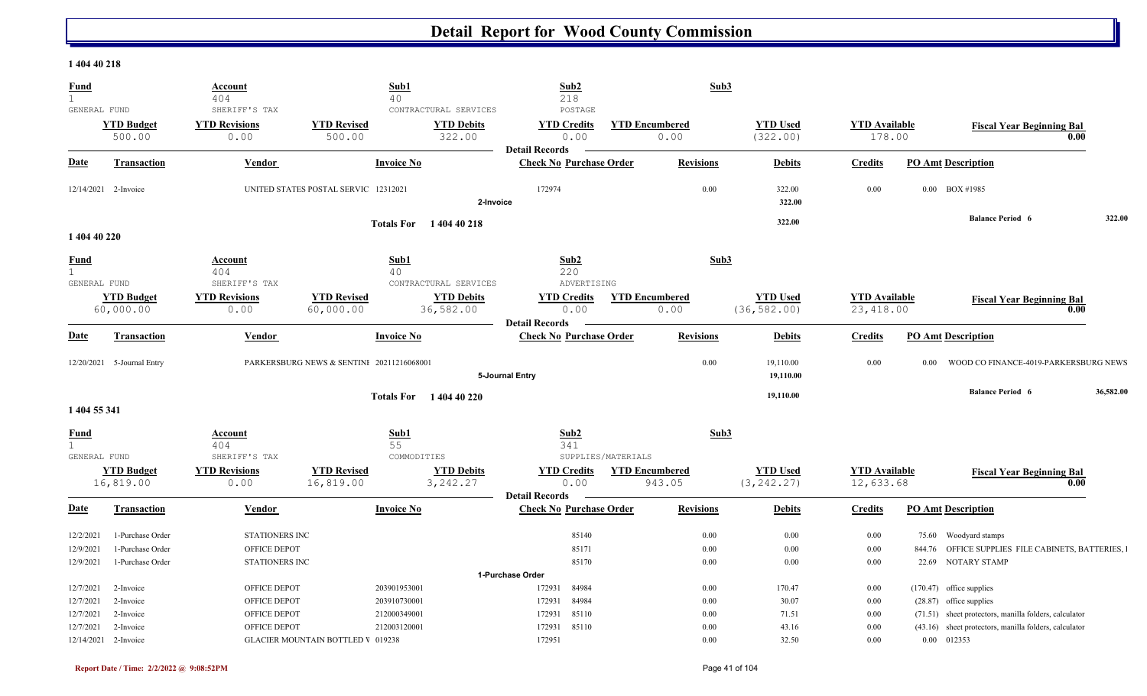#### **1 404 40 218**

| <b>Fund</b><br>$\mathbf{1}$                 |                                                          | Account<br>404                                                 | 40                                        | Sub1                                                    | Sub2<br>218                                             |                       | Sub3                 |                                 |                                   |       |                                                                                                                |           |
|---------------------------------------------|----------------------------------------------------------|----------------------------------------------------------------|-------------------------------------------|---------------------------------------------------------|---------------------------------------------------------|-----------------------|----------------------|---------------------------------|-----------------------------------|-------|----------------------------------------------------------------------------------------------------------------|-----------|
| GENERAL FUND                                | <b>YTD Budget</b>                                        | SHERIFF'S TAX<br><b>YTD Revisions</b>                          | <b>YTD Revised</b>                        | CONTRACTURAL SERVICES<br><b>YTD Debits</b>              | POSTAGE<br><b>YTD Credits</b>                           | <b>YTD Encumbered</b> |                      | <b>YTD Used</b>                 | <b>YTD</b> Available              |       |                                                                                                                |           |
|                                             | 500.00                                                   | 0.00                                                           | 500.00                                    | 322.00                                                  | 0.00<br><b>Detail Records</b>                           |                       | 0.00                 | (322.00)                        | 178.00                            |       | <b>Fiscal Year Beginning Bal</b><br>0.00                                                                       |           |
| <b>Date</b>                                 | <b>Transaction</b>                                       | Vendor                                                         |                                           | <b>Invoice No</b>                                       | <b>Check No Purchase Order</b>                          |                       | <b>Revisions</b>     | <b>Debits</b>                   | <b>Credits</b>                    |       | <b>PO Amt Description</b>                                                                                      |           |
|                                             | 12/14/2021 2-Invoice                                     |                                                                | UNITED STATES POSTAL SERVIC 12312021      | 2-Invoice                                               | 172974                                                  |                       | 0.00                 | 322.00<br>322.00                | 0.00                              |       | $0.00$ BOX #1985                                                                                               |           |
| 1 404 40 220                                |                                                          |                                                                | <b>Totals For</b>                         | 1 404 40 218                                            |                                                         |                       |                      | 322.00                          |                                   |       | <b>Balance Period 6</b>                                                                                        | 322.00    |
| Fund<br>$\mathbf{1}$                        |                                                          | Account<br>404                                                 | 40                                        | Sub1                                                    | Sub2<br>220                                             |                       | Sub3                 |                                 |                                   |       |                                                                                                                |           |
| GENERAL FUND                                | <b>YTD Budget</b><br>60,000.00                           | SHERIFF'S TAX<br><b>YTD Revisions</b><br>0.00                  | <b>YTD Revised</b><br>60,000.00           | CONTRACTURAL SERVICES<br><b>YTD Debits</b><br>36,582.00 | ADVERTISING<br><b>YTD Credits</b><br>0.00               | <b>YTD Encumbered</b> | 0.00                 | <b>YTD Used</b><br>(36, 582.00) | <b>YTD Available</b><br>23,418.00 |       | <b>Fiscal Year Beginning Bal</b><br>0.00                                                                       |           |
| <b>Date</b>                                 | <b>Transaction</b>                                       | Vendor                                                         |                                           | <b>Invoice No</b>                                       | <b>Detail Records</b><br><b>Check No Purchase Order</b> |                       | <b>Revisions</b>     | <b>Debits</b>                   | <b>Credits</b>                    |       | <b>PO Amt Description</b>                                                                                      |           |
|                                             | 12/20/2021 5-Journal Entry                               |                                                                | PARKERSBURG NEWS & SENTINI 20211216068001 |                                                         | 5-Journal Entry                                         |                       | 0.00                 | 19,110.00<br>19,110.00          | $0.00\,$                          | 0.00  | WOOD CO FINANCE-4019-PARKERSBURG NEWS                                                                          |           |
| 1 404 55 341                                |                                                          |                                                                |                                           | <b>Totals For</b> 1404 40 220                           |                                                         |                       |                      | 19,110.00                       |                                   |       | <b>Balance Period 6</b>                                                                                        | 36,582.00 |
| <b>Fund</b><br>$\mathbf{1}$<br>GENERAL FUND |                                                          | Account<br>404<br>SHERIFF'S TAX                                | 55                                        | Sub1<br>COMMODITIES                                     | Sub2<br>341                                             | SUPPLIES/MATERIALS    | Sub3                 |                                 |                                   |       |                                                                                                                |           |
|                                             | <b>YTD Budget</b><br>16,819.00                           | <b>YTD Revisions</b><br>0.00                                   | <b>YTD Revised</b><br>16,819.00           | <b>YTD Debits</b><br>3, 242.27                          | <b>YTD Credits</b><br>0.00<br><b>Detail Records</b>     | <b>YTD Encumbered</b> | 943.05               | <b>YTD Used</b><br>(3, 242.27)  | <b>YTD Available</b><br>12,633.68 |       | <b>Fiscal Year Beginning Bal</b><br>0.00                                                                       |           |
| <b>Date</b>                                 | <b>Transaction</b>                                       | Vendor                                                         |                                           | <b>Invoice No</b>                                       | <b>Check No Purchase Order</b>                          |                       | <b>Revisions</b>     | <b>Debits</b>                   | <b>Credits</b>                    |       | <b>PO Amt Description</b>                                                                                      |           |
| 12/2/2021<br>12/9/2021<br>12/9/2021         | 1-Purchase Order<br>1-Purchase Order<br>1-Purchase Order | <b>STATIONERS INC</b><br>OFFICE DEPOT<br><b>STATIONERS INC</b> |                                           |                                                         | 85140<br>85171<br>85170                                 |                       | 0.00<br>0.00<br>0.00 | 0.00<br>0.00<br>0.00            | $0.00\,$<br>0.00<br>$0.00\,$      | 75.60 | Woodyard stamps<br>844.76 OFFICE SUPPLIES FILE CABINETS, BATTERIES, 1<br>22.69 NOTARY STAMP                    |           |
|                                             |                                                          |                                                                |                                           |                                                         | 1-Purchase Order                                        |                       |                      |                                 |                                   |       |                                                                                                                |           |
| 12/7/2021<br>12/7/2021<br>12/7/2021         | 2-Invoice<br>2-Invoice<br>2-Invoice                      | OFFICE DEPOT<br>OFFICE DEPOT<br>OFFICE DEPOT                   |                                           | 203901953001<br>203910730001<br>212000349001            | 84984<br>172931<br>84984<br>172931<br>172931<br>85110   |                       | 0.00<br>0.00<br>0.00 | 170.47<br>30.07<br>71.51        | 0.00<br>0.00<br>0.00              |       | $(170.47)$ office supplies<br>(28.87) office supplies<br>(71.51) sheet protectors, manilla folders, calculator |           |
| 12/7/2021                                   | 2-Invoice<br>12/14/2021 2-Invoice                        | OFFICE DEPOT                                                   | <b>GLACIER MOUNTAIN BOTTLED V 019238</b>  | 212003120001                                            | 172931<br>85110<br>172951                               |                       | 0.00<br>0.00         | 43.16<br>32.50                  | 0.00<br>0.00                      |       | (43.16) sheet protectors, manilla folders, calculator<br>$0.00$ 012353                                         |           |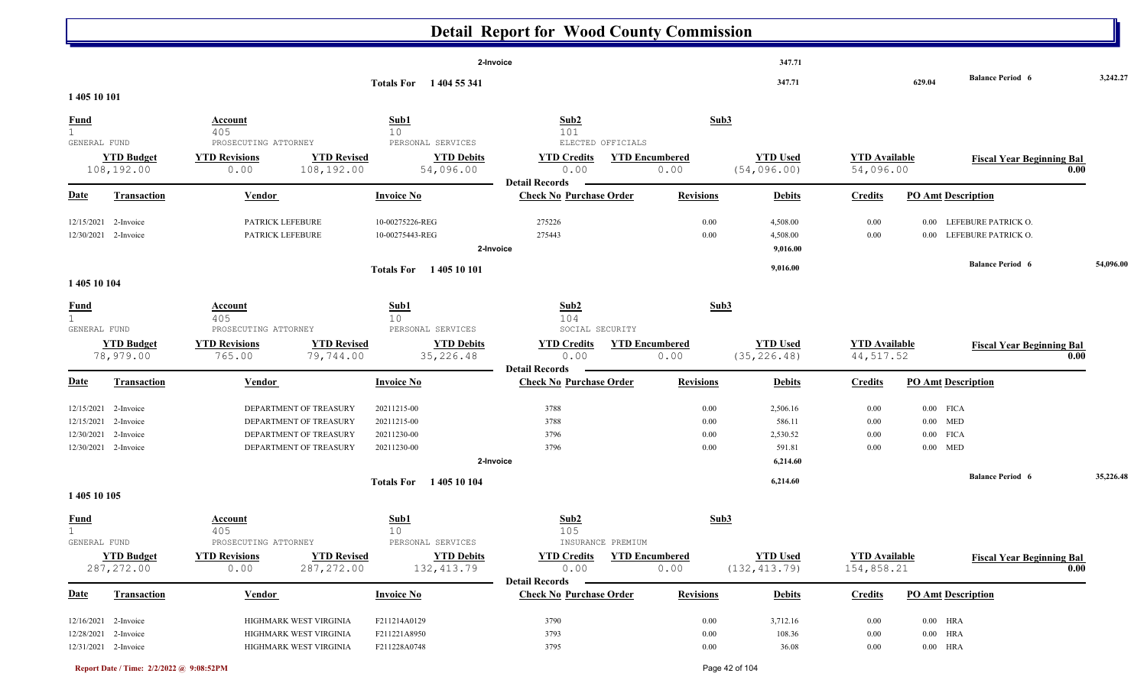|                                                                                                    |                                                                                                      |                                                          | <b>Detail Report for Wood County Commission</b>         |                               |                                                      |                                    |                                                        |                                            |           |
|----------------------------------------------------------------------------------------------------|------------------------------------------------------------------------------------------------------|----------------------------------------------------------|---------------------------------------------------------|-------------------------------|------------------------------------------------------|------------------------------------|--------------------------------------------------------|--------------------------------------------|-----------|
|                                                                                                    |                                                                                                      |                                                          | 2-Invoice                                               |                               | 347.71                                               |                                    |                                                        |                                            |           |
| 1 405 10 101                                                                                       |                                                                                                      | Totals For 1404 55 341                                   |                                                         |                               | 347.71                                               |                                    | 629.04                                                 | <b>Balance Period 6</b>                    | 3,242.27  |
| <u>Fund</u><br>$\mathbf{1}$                                                                        | Account<br>405                                                                                       | Sub1<br>10<br>PERSONAL SERVICES                          | Sub2<br>101<br>ELECTED OFFICIALS                        | Sub3                          |                                                      |                                    |                                                        |                                            |           |
| GENERAL FUND<br><b>YTD Budget</b><br>108,192.00                                                    | PROSECUTING ATTORNEY<br><b>YTD Revised</b><br><b>YTD Revisions</b><br>108,192.00<br>0.00             | <b>YTD Debits</b><br>54,096.00                           | <b>YTD Credits</b><br>0.00<br><b>Detail Records</b>     | <b>YTD Encumbered</b><br>0.00 | <b>YTD</b> Used<br>(54, 096.00)                      | <b>YTD Available</b><br>54,096.00  |                                                        | <b>Fiscal Year Beginning Bal</b><br>0.00   |           |
| <b>Date</b><br><b>Transaction</b>                                                                  | <b>Vendor</b>                                                                                        | <b>Invoice No</b>                                        | <b>Check No Purchase Order</b>                          | <b>Revisions</b>              | <b>Debits</b>                                        | <b>Credits</b>                     | <b>PO Amt Description</b>                              |                                            |           |
| 12/15/2021<br>2-Invoice<br>12/30/2021 2-Invoice                                                    | PATRICK LEFEBURE<br>PATRICK LEFEBURE                                                                 | 10-00275226-REG<br>10-00275443-REG                       | 275226<br>275443<br>2-Invoice                           | 0.00<br>0.00                  | 4,508.00<br>4,508.00<br>9,016.00                     | 0.00<br>0.00                       | $0.00\,$<br>0.00                                       | LEFEBURE PATRICK O.<br>LEFEBURE PATRICK O. |           |
| 1 405 10 104                                                                                       |                                                                                                      | Totals For 1405 10 101                                   |                                                         |                               | 9,016.00                                             |                                    |                                                        | <b>Balance Period 6</b>                    | 54,096.00 |
| <b>Fund</b><br>GENERAL FUND                                                                        | <b>Account</b><br>405<br>PROSECUTING ATTORNEY                                                        | Sub1<br>10 <sup>°</sup><br>PERSONAL SERVICES             | Sub2<br>104<br>SOCIAL SECURITY                          | Sub3                          |                                                      |                                    |                                                        |                                            |           |
| <b>YTD Budget</b><br>78,979.00                                                                     | <b>YTD Revised</b><br><b>YTD Revisions</b><br>79,744.00<br>765.00                                    | <b>YTD Debits</b><br>35,226.48                           | <b>YTD Credits</b><br>0.00                              | <b>YTD Encumbered</b><br>0.00 | <b>YTD Used</b><br>(35, 226.48)                      | <b>YTD Available</b><br>44, 517.52 |                                                        | <b>Fiscal Year Beginning Bal</b><br>0.00   |           |
| <b>Date</b><br><b>Transaction</b>                                                                  | Vendor                                                                                               | <b>Invoice No</b>                                        | <b>Detail Records</b><br><b>Check No Purchase Order</b> | <b>Revisions</b>              | <b>Debits</b>                                        | <b>Credits</b>                     | <b>PO Amt Description</b>                              |                                            |           |
| 12/15/2021 2-Invoice<br>2-Invoice<br>12/15/2021<br>12/30/2021<br>2-Invoice<br>12/30/2021 2-Invoice | DEPARTMENT OF TREASURY<br>DEPARTMENT OF TREASURY<br>DEPARTMENT OF TREASURY<br>DEPARTMENT OF TREASURY | 20211215-00<br>20211215-00<br>20211230-00<br>20211230-00 | 3788<br>3788<br>3796<br>3796<br>2-Invoice               | 0.00<br>0.00<br>0.00<br>0.00  | 2,506.16<br>586.11<br>2,530.52<br>591.81<br>6,214.60 | 0.00<br>0.00<br>0.00<br>0.00       | $0.00$ FICA<br>$0.00$ MED<br>$0.00$ FICA<br>$0.00$ MED | <b>Balance Period 6</b>                    | 35,226.48 |
| 1 405 10 105                                                                                       |                                                                                                      | <b>Totals For</b> 1405 10 104                            |                                                         |                               | 6,214.60                                             |                                    |                                                        |                                            |           |
| <u>Fund</u><br>ı.<br>GENERAL FUND<br><b>YTD Budget</b>                                             | <b>Account</b><br>405<br>PROSECUTING ATTORNEY<br><b>YTD Revisions</b><br><b>YTD Revised</b>          | Sub1<br>$10$<br>PERSONAL SERVICES<br><b>YTD Debits</b>   | Sub2<br>105<br>INSURANCE PREMIUM<br><b>YTD Credits</b>  | Sub <sub>3</sub>              | <b>YTD Used</b>                                      | <b>YTD</b> Available               |                                                        |                                            |           |
| 287, 272.00                                                                                        | 287, 272.00<br>0.00                                                                                  | 132, 413.79                                              | 0.00<br><b>Detail Records</b>                           | <b>YTD Encumbered</b><br>0.00 | (132, 413.79)                                        | 154,858.21                         |                                                        | <b>Fiscal Year Beginning Bal</b><br>0.00   |           |
| <u>Date</u><br><b>Transaction</b>                                                                  | <b>Vendor</b>                                                                                        | <b>Invoice No</b>                                        | <b>Check No Purchase Order</b>                          | <b>Revisions</b>              | <b>Debits</b>                                        | <b>Credits</b>                     | <b>PO Amt Description</b>                              |                                            |           |
| 12/16/2021 2-Invoice<br>12/28/2021 2-Invoice<br>12/31/2021 2-Invoice                               | HIGHMARK WEST VIRGINIA<br>HIGHMARK WEST VIRGINIA<br>HIGHMARK WEST VIRGINIA                           | F211214A0129<br>F211221A8950<br>F211228A0748             | 3790<br>3793<br>3795                                    | 0.00<br>0.00<br>$0.00\,$      | 3,712.16<br>108.36<br>36.08                          | 0.00<br>0.00<br>0.00               | $0.00$ HRA<br>$0.00$ HRA<br>$0.00$ HRA                 |                                            |           |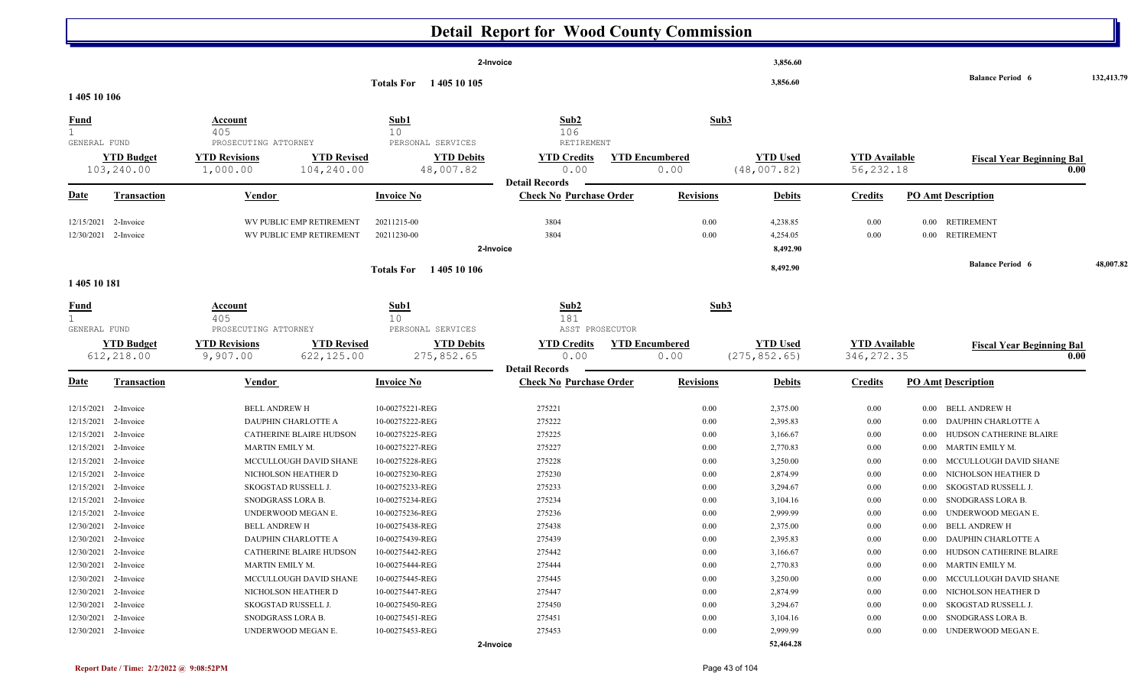|                      | <b>Detail Report for Wood County Commission</b> |                                              |                                                              |                                       |                       |                 |                      |                                          |            |  |  |  |  |  |
|----------------------|-------------------------------------------------|----------------------------------------------|--------------------------------------------------------------|---------------------------------------|-----------------------|-----------------|----------------------|------------------------------------------|------------|--|--|--|--|--|
|                      |                                                 |                                              |                                                              | 2-Invoice                             |                       | 3,856.60        |                      |                                          |            |  |  |  |  |  |
| 1 405 10 106         |                                                 |                                              | Totals For 1405 10 105                                       |                                       |                       | 3,856.60        |                      | <b>Balance Period 6</b>                  | 132,413.79 |  |  |  |  |  |
|                      |                                                 |                                              |                                                              |                                       |                       |                 |                      |                                          |            |  |  |  |  |  |
| <b>Fund</b>          |                                                 | <b>Account</b><br>405                        | Sub1<br>10                                                   | Sub2<br>106                           | Sub3                  |                 |                      |                                          |            |  |  |  |  |  |
| GENERAL FUND         |                                                 | PROSECUTING ATTORNEY                         | PERSONAL SERVICES                                            | RETIREMENT                            |                       |                 |                      |                                          |            |  |  |  |  |  |
|                      | <b>YTD Budget</b>                               | <b>YTD Revisions</b>                         | <b>YTD Revised</b><br><b>YTD Debits</b>                      | <b>YTD Credits</b>                    | <b>YTD Encumbered</b> | <b>YTD Used</b> | <b>YTD Available</b> | <b>Fiscal Year Beginning Bal</b><br>0.00 |            |  |  |  |  |  |
|                      | 103,240.00                                      | 104,240.00<br>1,000.00                       | 48,007.82                                                    | 0.00<br><b>Detail Records</b>         | 0.00                  | (48,007.82)     | 56, 232.18           |                                          |            |  |  |  |  |  |
| <u>Date</u>          | <b>Transaction</b>                              | Vendor                                       | <b>Invoice No</b>                                            | <b>Check No Purchase Order</b>        | <b>Revisions</b>      | <b>Debits</b>   | <b>Credits</b>       | <b>PO Amt Description</b>                |            |  |  |  |  |  |
| 12/15/2021           | 2-Invoice                                       | WV PUBLIC EMP RETIREMENT                     | 20211215-00                                                  | 3804                                  | 0.00                  | 4,238.85        | 0.00                 | <b>RETIREMENT</b><br>$0.00\,$            |            |  |  |  |  |  |
| 12/30/2021 2-Invoice |                                                 | WV PUBLIC EMP RETIREMENT                     | 20211230-00                                                  | 3804                                  | 0.00                  | 4,254.05        | 0.00                 | <b>RETIREMENT</b><br>$0.00\,$            |            |  |  |  |  |  |
|                      |                                                 |                                              |                                                              | 2-Invoice                             |                       | 8,492.90        |                      |                                          |            |  |  |  |  |  |
|                      |                                                 |                                              | <b>Totals For</b> 1405 10 106                                |                                       |                       | 8,492.90        |                      | <b>Balance Period 6</b>                  | 48,007.82  |  |  |  |  |  |
| 1 405 10 181         |                                                 |                                              |                                                              |                                       |                       |                 |                      |                                          |            |  |  |  |  |  |
| <b>Fund</b>          |                                                 | <b>Account</b>                               | Sub1                                                         | Sub2                                  | Sub3                  |                 |                      |                                          |            |  |  |  |  |  |
|                      |                                                 | 405                                          | 10                                                           | 181                                   |                       |                 |                      |                                          |            |  |  |  |  |  |
| GENERAL FUND         | <b>YTD Budget</b>                               | PROSECUTING ATTORNEY<br><b>YTD Revisions</b> | PERSONAL SERVICES<br><b>YTD Revised</b><br><b>YTD Debits</b> | ASST PROSECUTOR<br><b>YTD Credits</b> | <b>YTD Encumbered</b> | <b>YTD Used</b> | <b>YTD Available</b> |                                          |            |  |  |  |  |  |
|                      | 612,218.00                                      | 9,907.00<br>622,125.00                       | 275,852.65                                                   | 0.00                                  | 0.00                  | (275, 852.65)   | 346, 272.35          | <b>Fiscal Year Beginning Bal</b><br>0.00 |            |  |  |  |  |  |
|                      |                                                 |                                              |                                                              | <b>Detail Records</b>                 |                       |                 |                      |                                          |            |  |  |  |  |  |
| <b>Date</b>          | <b>Transaction</b>                              | Vendor                                       | <b>Invoice No</b>                                            | <b>Check No Purchase Order</b>        | <b>Revisions</b>      | <b>Debits</b>   | <b>Credits</b>       | <b>PO Amt Description</b>                |            |  |  |  |  |  |
| 12/15/2021           | 2-Invoice                                       | <b>BELL ANDREW H</b>                         | 10-00275221-REG                                              | 275221                                | $0.00\,$              | 2,375.00        | 0.00                 | 0.00 BELL ANDREW H                       |            |  |  |  |  |  |
| 12/15/2021           | 2-Invoice                                       | DAUPHIN CHARLOTTE A                          | 10-00275222-REG                                              | 275222                                | 0.00                  | 2,395.83        | 0.00                 | DAUPHIN CHARLOTTE A<br>$0.00\,$          |            |  |  |  |  |  |
| 12/15/2021           | 2-Invoice                                       | <b>CATHERINE BLAIRE HUDSON</b>               | 10-00275225-REG                                              | 275225                                | 0.00                  | 3,166.67        | 0.00                 | HUDSON CATHERINE BLAIRE<br>$0.00\,$      |            |  |  |  |  |  |
| 12/15/2021           | 2-Invoice                                       | MARTIN EMILY M.                              | 10-00275227-REG                                              | 275227                                | 0.00                  | 2,770.83        | 0.00                 | MARTIN EMILY M.<br>$0.00\,$              |            |  |  |  |  |  |
| 12/15/2021           | 2-Invoice                                       | MCCULLOUGH DAVID SHANE                       | 10-00275228-REG                                              | 275228                                | 0.00                  | 3,250.00        | 0.00                 | MCCULLOUGH DAVID SHANE<br>0.00           |            |  |  |  |  |  |
| 12/15/2021           | 2-Invoice                                       | NICHOLSON HEATHER D                          | 10-00275230-REG                                              | 275230                                | 0.00                  | 2,874.99        | 0.00                 | 0.00<br>NICHOLSON HEATHER D              |            |  |  |  |  |  |
| 12/15/2021           | 2-Invoice                                       | SKOGSTAD RUSSELL J.                          | 10-00275233-REG                                              | 275233                                | 0.00                  | 3,294.67        | 0.00                 | SKOGSTAD RUSSELL J.<br>0.00              |            |  |  |  |  |  |
| 12/15/2021           | 2-Invoice                                       | SNODGRASS LORA B.                            | 10-00275234-REG                                              | 275234                                | 0.00                  | 3,104.16        | 0.00                 | SNODGRASS LORA B.<br>0.00                |            |  |  |  |  |  |
| 12/15/2021 2-Invoice |                                                 | UNDERWOOD MEGAN E.                           | 10-00275236-REG                                              | 275236                                | 0.00                  | 2,999.99        | 0.00                 | UNDERWOOD MEGAN E.<br>$0.00\,$           |            |  |  |  |  |  |
| 12/30/2021 2-Invoice |                                                 | BELL ANDREW H                                | 10-00275438-REG                                              | 275438                                | $0.00\,$              | 2,375.00        | 0.00                 | 0.00 BELL ANDREW H                       |            |  |  |  |  |  |
| 12/30/2021 2-Invoice |                                                 | DAUPHIN CHARLOTTE A                          | 10-00275439-REG                                              | 275439                                | 0.00                  | 2,395.83        | 0.00                 | 0.00 DAUPHIN CHARLOTTE A                 |            |  |  |  |  |  |
| 12/30/2021 2-Invoice |                                                 | CATHERINE BLAIRE HUDSON                      | 10-00275442-REG                                              | 275442                                | 0.00                  | 3,166.67        | 0.00                 | 0.00 HUDSON CATHERINE BLAIRE             |            |  |  |  |  |  |
| 12/30/2021 2-Invoice |                                                 | MARTIN EMILY M.                              | 10-00275444-REG                                              | 275444                                | $0.00\,$              | 2,770.83        | 0.00                 | 0.00 MARTIN EMILY M.                     |            |  |  |  |  |  |
| 12/30/2021 2-Invoice |                                                 | MCCULLOUGH DAVID SHANE                       | 10-00275445-REG                                              | 275445                                | 0.00                  | 3,250.00        | 0.00                 | 0.00 MCCULLOUGH DAVID SHANE              |            |  |  |  |  |  |
| 12/30/2021 2-Invoice |                                                 | NICHOLSON HEATHER D                          | 10-00275447-REG                                              | 275447                                | 0.00                  | 2,874.99        | 0.00                 | NICHOLSON HEATHER D<br>$0.00\,$          |            |  |  |  |  |  |
| 12/30/2021 2-Invoice |                                                 | SKOGSTAD RUSSELL J.                          | 10-00275450-REG                                              | 275450                                | $0.00\,$              | 3,294.67        | 0.00                 | SKOGSTAD RUSSELL J.<br>$0.00\,$          |            |  |  |  |  |  |
| 12/30/2021 2-Invoice |                                                 | SNODGRASS LORA B.                            | 10-00275451-REG                                              | 275451                                | 0.00                  | 3,104.16        | 0.00                 | SNODGRASS LORA B.<br>$0.00\,$            |            |  |  |  |  |  |
| 12/30/2021 2-Invoice |                                                 | UNDERWOOD MEGAN E.                           | 10-00275453-REG                                              | 275453                                | $0.00\,$              | 2,999.99        | 0.00                 | 0.00 UNDERWOOD MEGAN E.                  |            |  |  |  |  |  |
|                      |                                                 |                                              |                                                              | 2-Invoice                             |                       | 52,464.28       |                      |                                          |            |  |  |  |  |  |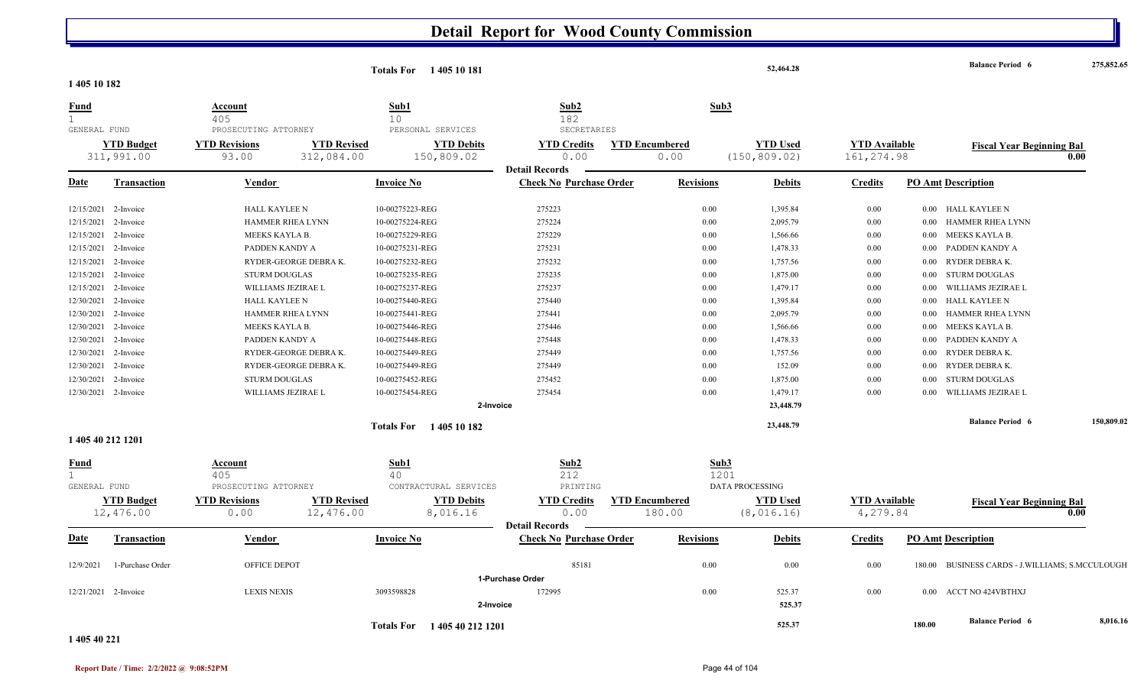|                             |                                 |                               |                                  | Totals For 1405 10 181          |                                                     |                                 |                  | 52,464.28                        |                                    |          | <b>Balance Period 6</b>                  | 275,852.65 |
|-----------------------------|---------------------------------|-------------------------------|----------------------------------|---------------------------------|-----------------------------------------------------|---------------------------------|------------------|----------------------------------|------------------------------------|----------|------------------------------------------|------------|
| 1405 10 182                 |                                 |                               |                                  |                                 |                                                     |                                 |                  |                                  |                                    |          |                                          |            |
| <b>Fund</b><br>$\mathbf{1}$ |                                 | Account<br>405                |                                  | Sub1<br>10                      | Sub2<br>182                                         |                                 | Sub3             |                                  |                                    |          |                                          |            |
| GENERAL FUND                |                                 | PROSECUTING ATTORNEY          |                                  | PERSONAL SERVICES               | SECRETARIES                                         |                                 |                  |                                  |                                    |          |                                          |            |
|                             | <b>YTD Budget</b><br>311,991.00 | <b>YTD Revisions</b><br>93.00 | <b>YTD Revised</b><br>312,084.00 | <b>YTD Debits</b><br>150,809.02 | <b>YTD Credits</b><br>0.00                          | <b>YTD Encumbered</b><br>0.00   |                  | <b>YTD Used</b><br>(150, 809.02) | <b>YTD</b> Available<br>161,274.98 |          | <b>Fiscal Year Beginning Bal</b>         | 0.00       |
|                             |                                 |                               |                                  |                                 | <b>Detail Records</b>                               |                                 |                  |                                  |                                    |          |                                          |            |
| <b>Date</b>                 | Transaction                     | Vendor                        |                                  | <b>Invoice No</b>               | <b>Check No Purchase Order</b>                      |                                 | <b>Revisions</b> | <b>Debits</b>                    | <b>Credits</b>                     |          | <b>PO Amt Description</b>                |            |
| 12/15/2021                  | 2-Invoice                       | HALL KAYLEE N                 |                                  | 10-00275223-REG                 | 275223                                              |                                 | 0.00             | 1,395.84                         | 0.00                               |          | 0.00 HALL KAYLEE N                       |            |
| 12/15/2021                  | 2-Invoice                       |                               | HAMMER RHEA LYNN                 | 10-00275224-REG                 | 275224                                              |                                 | 0.00             | 2,095.79                         | 0.00                               |          | 0.00 HAMMER RHEA LYNN                    |            |
| 12/15/2021                  | 2-Invoice                       | MEEKS KAYLA B.                |                                  | 10-00275229-REG                 | 275229                                              |                                 | 0.00             | 1,566.66                         | 0.00                               | 0.00     | MEEKS KAYLA B.                           |            |
| 12/15/2021                  | 2-Invoice                       | PADDEN KANDY A                |                                  | 10-00275231-REG                 | 275231                                              |                                 | 0.00             | 1,478.33                         | 0.00                               | $0.00\,$ | PADDEN KANDY A                           |            |
|                             | 12/15/2021 2-Invoice            |                               | RYDER-GEORGE DEBRAK.             | 10-00275232-REG                 | 275232                                              |                                 | 0.00             | 1,757.56                         | 0.00                               |          | 0.00 RYDER DEBRAK.                       |            |
| 12/15/2021                  | 2-Invoice                       | <b>STURM DOUGLAS</b>          |                                  | 10-00275235-REG                 | 275235                                              |                                 | 0.00             | 1,875.00                         | 0.00                               |          | 0.00 STURM DOUGLAS                       |            |
| 12/15/2021                  | 2-Invoice                       | WILLIAMS JEZIRAE L            |                                  | 10-00275237-REG                 | 275237                                              |                                 | 0.00             | 1,479.17                         | 0.00                               | 0.00     | WILLIAMS JEZIRAE L                       |            |
| 12/30/2021                  | 2-Invoice                       | <b>HALL KAYLEE N</b>          |                                  | 10-00275440-REG                 | 275440                                              |                                 | 0.00             | 1,395.84                         | 0.00                               | $0.00\,$ | HALL KAYLEE N                            |            |
| 12/30/2021                  | 2-Invoice                       |                               | HAMMER RHEA LYNN                 | 10-00275441-REG                 | 275441                                              |                                 | 0.00             | 2,095.79                         | 0.00                               | 0.00     | <b>HAMMER RHEA LYNN</b>                  |            |
| 12/30/2021                  | 2-Invoice                       | MEEKS KAYLA B.                |                                  | 10-00275446-REG                 | 275446                                              |                                 | 0.00             | 1,566.66                         | 0.00                               | 0.00     | MEEKS KAYLA B.                           |            |
| 12/30/2021                  | 2-Invoice                       | PADDEN KANDY A                |                                  | 10-00275448-REG                 | 275448                                              |                                 | 0.00             | 1,478.33                         | 0.00                               |          | 0.00 PADDEN KANDY A                      |            |
| 12/30/2021                  | 2-Invoice                       |                               | RYDER-GEORGE DEBRAK.             | 10-00275449-REG                 | 275449                                              |                                 | 0.00             | 1,757.56                         | 0.00                               | $0.00 -$ | RYDER DEBRA K.                           |            |
| 12/30/2021                  | 2-Invoice                       |                               | RYDER-GEORGE DEBRAK.             | 10-00275449-REG                 | 275449                                              |                                 | 0.00             | 152.09                           | 0.00                               | $0.00\,$ | RYDER DEBRA K.                           |            |
| 12/30/2021                  | 2-Invoice                       | <b>STURM DOUGLAS</b>          |                                  | 10-00275452-REG                 | 275452                                              |                                 | 0.00             | 1,875.00                         | 0.00                               | 0.00     | <b>STURM DOUGLAS</b>                     |            |
|                             | 12/30/2021 2-Invoice            | WILLIAMS JEZIRAE L            |                                  | 10-00275454-REG                 | 275454                                              |                                 | 0.00             | 1,479.17                         | 0.00                               | 0.00     | WILLIAMS JEZIRAE L                       |            |
|                             |                                 |                               |                                  |                                 | 2-Invoice                                           |                                 |                  | 23,448.79                        |                                    |          |                                          |            |
|                             |                                 |                               |                                  | Totals For 1405 10 182          |                                                     |                                 |                  | 23,448.79                        |                                    |          | <b>Balance Period 6</b>                  | 150,809.02 |
|                             | 1 405 40 212 1201               |                               |                                  |                                 |                                                     |                                 |                  |                                  |                                    |          |                                          |            |
| <b>Fund</b>                 |                                 | Account                       |                                  | Sub1                            | Sub2                                                |                                 | Sub3             |                                  |                                    |          |                                          |            |
|                             |                                 | 405                           |                                  | 40                              | 212                                                 |                                 | 1201             |                                  |                                    |          |                                          |            |
| GENERAL FUND                |                                 | PROSECUTING ATTORNEY          |                                  | CONTRACTURAL SERVICES           | PRINTING                                            |                                 |                  | <b>DATA PROCESSING</b>           |                                    |          |                                          |            |
|                             | <b>YTD Budget</b><br>12,476.00  | <b>YTD Revisions</b><br>0.00  | <b>YTD Revised</b><br>12,476.00  | <b>YTD Debits</b><br>8,016.16   | <b>YTD Credits</b><br>0.00<br><b>Detail Records</b> | <b>YTD Encumbered</b><br>180.00 |                  | <b>YTD Used</b><br>(8, 016.16)   | <b>YTD</b> Available<br>4,279.84   |          | <b>Fiscal Year Beginning Bal</b>         | 0.00       |
| Date                        | <b>Transaction</b>              | <b>Vendor</b>                 |                                  | <b>Invoice No</b>               | <b>Check No Purchase Order</b>                      |                                 | <b>Revisions</b> | <b>Debits</b>                    | <b>Credits</b>                     |          | <b>PO Amt Description</b>                |            |
| 12/9/2021                   | 1-Purchase Order                | OFFICE DEPOT                  |                                  |                                 | 85181                                               |                                 | 0.00             | 0.00                             | 0.00                               | 180.00   | BUSINESS CARDS - J.WILLIAMS; S.MCCULOUGH |            |
|                             |                                 |                               |                                  |                                 | 1-Purchase Order                                    |                                 |                  |                                  |                                    |          |                                          |            |
|                             | 12/21/2021 2-Invoice            | <b>LEXIS NEXIS</b>            |                                  | 3093598828                      | 172995                                              |                                 | 0.00             | 525.37                           | 0.00                               |          | 0.00 ACCT NO 424VBTHXJ                   |            |
|                             |                                 |                               |                                  |                                 | 2-Invoice                                           |                                 |                  | 525.37                           |                                    |          |                                          |            |
|                             |                                 |                               |                                  | Totals For 1405 40 212 1201     |                                                     |                                 |                  | 525.37                           |                                    | 180.00   | <b>Balance Period 6</b>                  | 8,016.16   |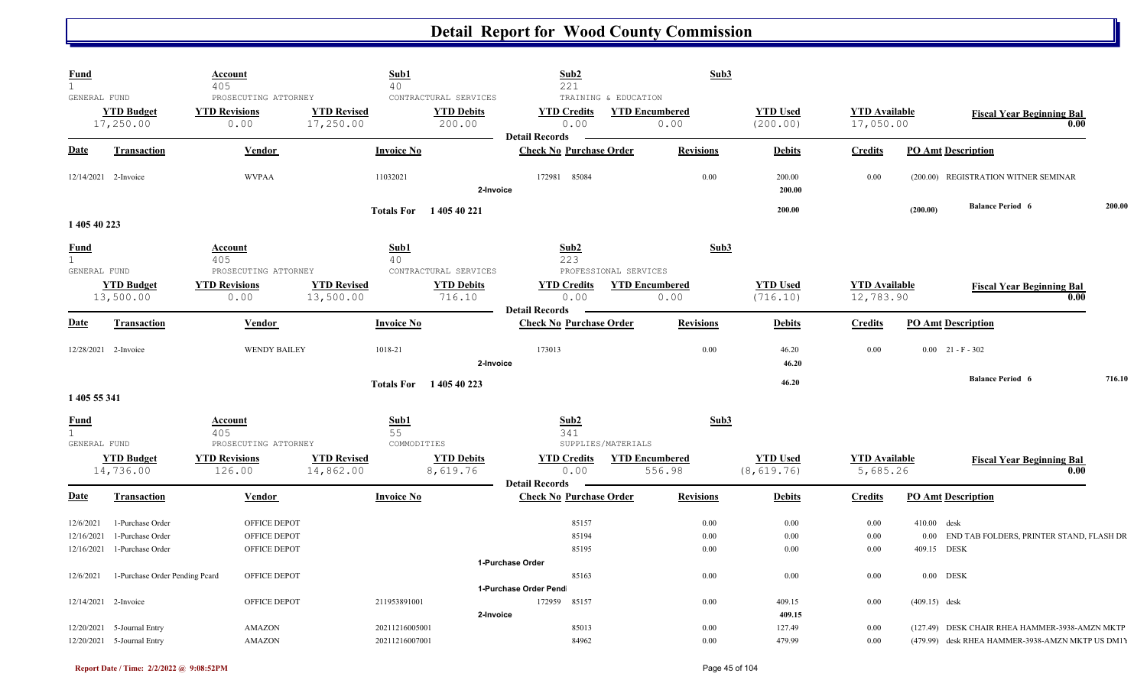| Fund<br>$\mathbf{1}$                  |                                                          | Account<br>405                                         |                                 | Sub1<br>40                                           | Sub2<br>221                                             | Sub3                                                   |                                |                                   |                                                                                    |        |
|---------------------------------------|----------------------------------------------------------|--------------------------------------------------------|---------------------------------|------------------------------------------------------|---------------------------------------------------------|--------------------------------------------------------|--------------------------------|-----------------------------------|------------------------------------------------------------------------------------|--------|
| GENERAL FUND                          | <b>YTD Budget</b><br>17,250.00                           | PROSECUTING ATTORNEY<br><b>YTD Revisions</b><br>0.00   | <b>YTD Revised</b><br>17,250.00 | CONTRACTURAL SERVICES<br><b>YTD Debits</b><br>200.00 | <b>YTD Credits</b><br>0.00                              | TRAINING & EDUCATION<br><b>YTD Encumbered</b><br>0.00  | <b>YTD Used</b><br>(200.00)    | <b>YTD Available</b><br>17,050.00 | <b>Fiscal Year Beginning Bal</b>                                                   | 0.00   |
| Date                                  | <b>Transaction</b>                                       | Vendor                                                 |                                 | <b>Invoice No</b>                                    | <b>Detail Records</b><br><b>Check No Purchase Order</b> | <b>Revisions</b>                                       | <b>Debits</b>                  | <b>Credits</b>                    | <b>PO Amt Description</b>                                                          |        |
|                                       | 12/14/2021 2-Invoice                                     | <b>WVPAA</b>                                           |                                 | 11032021<br>2-Invoice                                | 172981 85084                                            | 0.00                                                   | 200.00<br>200.00               | 0.00                              | (200.00) REGISTRATION WITNER SEMINAR                                               |        |
| 1 405 40 223                          |                                                          |                                                        |                                 | Totals For 140540221                                 |                                                         |                                                        | 200.00                         |                                   | <b>Balance Period 6</b><br>(200.00)                                                | 200.00 |
| <b>Fund</b><br>$\mathbf{1}$           |                                                          | <b>Account</b><br>405                                  |                                 | Sub1<br>40                                           | Sub2<br>223                                             | Sub3                                                   |                                |                                   |                                                                                    |        |
| GENERAL FUND                          | <b>YTD Budget</b><br>13,500.00                           | PROSECUTING ATTORNEY<br><b>YTD Revisions</b><br>0.00   | <b>YTD Revised</b><br>13,500.00 | CONTRACTURAL SERVICES<br><b>YTD Debits</b><br>716.10 | <b>YTD Credits</b><br>0.00                              | PROFESSIONAL SERVICES<br><b>YTD Encumbered</b><br>0.00 | <b>YTD Used</b><br>(716.10)    | <b>YTD Available</b><br>12,783.90 | <b>Fiscal Year Beginning Bal</b>                                                   | 0.00   |
| <b>Date</b>                           | <b>Transaction</b>                                       | <b>Vendor</b>                                          |                                 | <b>Invoice No</b>                                    | <b>Detail Records</b><br><b>Check No Purchase Order</b> | <b>Revisions</b>                                       | <b>Debits</b>                  | <b>Credits</b>                    | <b>PO Amt Description</b>                                                          |        |
|                                       | 12/28/2021 2-Invoice                                     | <b>WENDY BAILEY</b>                                    |                                 | 1018-21<br>2-Invoice                                 | 173013                                                  | 0.00                                                   | 46.20<br>46.20                 | 0.00                              | $0.00$ 21 - F - 302                                                                |        |
|                                       |                                                          |                                                        |                                 | Totals For 140540223                                 |                                                         |                                                        | 46.20                          |                                   | <b>Balance Period 6</b>                                                            | 716.10 |
| 1 405 55 341                          |                                                          |                                                        |                                 |                                                      |                                                         |                                                        |                                |                                   |                                                                                    |        |
| Fund<br>$\mathbf{1}$                  |                                                          | Account<br>405                                         |                                 | Sub1<br>55                                           | Sub2<br>341                                             | Sub3                                                   |                                |                                   |                                                                                    |        |
| GENERAL FUND                          | <b>YTD Budget</b><br>14,736.00                           | PROSECUTING ATTORNEY<br><b>YTD Revisions</b><br>126.00 | <b>YTD Revised</b><br>14,862.00 | COMMODITIES<br><b>YTD Debits</b><br>8,619.76         | SUPPLIES/MATERIALS<br><b>YTD Credits</b><br>0.00        | <b>YTD Encumbered</b><br>556.98                        | <b>YTD Used</b><br>(8, 619.76) | <b>YTD Available</b><br>5,685.26  | <b>Fiscal Year Beginning Bal</b>                                                   | 0.00   |
| <u>Date</u>                           | <b>Transaction</b>                                       | Vendor                                                 |                                 | <b>Invoice No</b>                                    | <b>Detail Records</b><br><b>Check No Purchase Order</b> | <b>Revisions</b>                                       | <b>Debits</b>                  | <b>Credits</b>                    | <b>PO Amt Description</b>                                                          |        |
| 12/6/2021<br>12/16/2021<br>12/16/2021 | 1-Purchase Order<br>1-Purchase Order<br>1-Purchase Order | OFFICE DEPOT<br>OFFICE DEPOT<br>OFFICE DEPOT           |                                 |                                                      | 85157<br>85194<br>85195                                 | $0.00\,$<br>0.00<br>0.00                               | 0.00<br>0.00<br>0.00           | 0.00<br>0.00<br>0.00              | 410.00 desk<br>END TAB FOLDERS, PRINTER STAND, FLASH DR<br>$0.00\,$<br>409.15 DESK |        |
| 12/6/2021                             | 1-Purchase Order Pending Pcard                           | OFFICE DEPOT                                           |                                 |                                                      | 1-Purchase Order<br>85163<br>1-Purchase Order Pend      | $0.00\,$                                               | 0.00                           | 0.00                              | $0.00$ DESK                                                                        |        |
| 12/20/2021                            | 12/14/2021 2-Invoice<br>5-Journal Entry                  | OFFICE DEPOT<br><b>AMAZON</b>                          |                                 | 211953891001<br>2-Invoice<br>20211216005001          | 172959<br>85157<br>85013                                | $0.00\,$<br>0.00                                       | 409.15<br>409.15<br>127.49     | 0.00<br>0.00                      | $(409.15)$ desk<br>(127.49) DESK CHAIR RHEA HAMMER-3938-AMZN MKTP                  |        |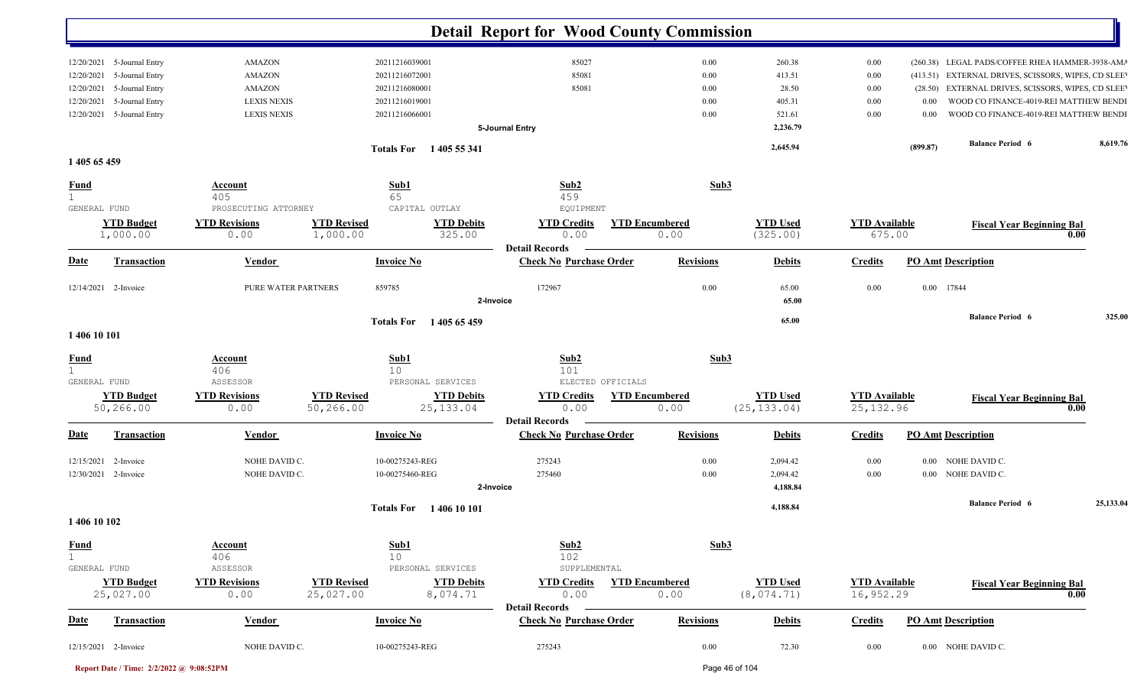|                                   |                      |                                         | <b>Detail Report for Wood County Commission</b> |                       |                      |                      |                           |                                                    |           |
|-----------------------------------|----------------------|-----------------------------------------|-------------------------------------------------|-----------------------|----------------------|----------------------|---------------------------|----------------------------------------------------|-----------|
| 5-Journal Entry                   | <b>AMAZON</b>        | 20211216039001                          | 85027                                           | 0.00                  | 260.38               | 0.00                 |                           | (260.38) LEGAL PADS/COFFEE RHEA HAMMER-3938-AM/    |           |
| 12/20/2021                        |                      |                                         |                                                 |                       | 413.51               |                      |                           |                                                    |           |
| 5-Journal Entry<br>12/20/2021     | <b>AMAZON</b>        | 20211216072001                          | 85081                                           | 0.00                  |                      | $0.00\,$             |                           | (413.51) EXTERNAL DRIVES, SCISSORS, WIPES, CD SLEE |           |
| 5-Journal Entry<br>12/20/2021     | <b>AMAZON</b>        | 20211216080001                          | 85081                                           | 0.00                  | 28.50                | $0.00\,$             |                           | (28.50) EXTERNAL DRIVES, SCISSORS, WIPES, CD SLEE  |           |
| 5-Journal Entry<br>12/20/2021     | <b>LEXIS NEXIS</b>   | 20211216019001                          |                                                 | 0.00                  | 405.31               | $0.00\,$             | 0.00                      | WOOD CO FINANCE-4019-REI MATTHEW BENDI             |           |
| 5-Journal Entry<br>12/20/2021     | <b>LEXIS NEXIS</b>   | 20211216066001                          |                                                 | 0.00                  | 521.61               | $0.00\,$             | 0.00                      | WOOD CO FINANCE-4019-REI MATTHEW BENDI             |           |
|                                   |                      |                                         | 5-Journal Entry                                 |                       | 2,236.79             |                      |                           |                                                    |           |
|                                   |                      | Totals For 1405 55 341                  |                                                 |                       | 2,645.94             |                      | (899.87)                  | <b>Balance Period 6</b>                            | 8,619.76  |
| 1 405 65 459                      |                      |                                         |                                                 |                       |                      |                      |                           |                                                    |           |
| <b>Fund</b>                       | <b>Account</b>       | Sub1                                    | Sub2                                            | Sub3                  |                      |                      |                           |                                                    |           |
| 1                                 | 405                  | 65                                      | 459                                             |                       |                      |                      |                           |                                                    |           |
| GENERAL FUND                      | PROSECUTING ATTORNEY | CAPITAL OUTLAY                          | EQUIPMENT                                       |                       |                      |                      |                           |                                                    |           |
| <b>YTD Budget</b>                 | <b>YTD Revisions</b> | <b>YTD Revised</b><br><b>YTD Debits</b> | <b>YTD Credits</b>                              | <b>YTD Encumbered</b> | <b>YTD Used</b>      | <b>YTD</b> Available |                           | <b>Fiscal Year Beginning Bal</b>                   |           |
| 1,000.00                          | 0.00                 | 325.00<br>1,000.00                      | 0.00                                            | 0.00                  | (325.00)             | 675.00               |                           | 0.00                                               |           |
|                                   |                      |                                         | <b>Detail Records</b>                           |                       |                      |                      |                           |                                                    |           |
| <u>Date</u><br><b>Transaction</b> | <b>Vendor</b>        | <b>Invoice No</b>                       | <b>Check No Purchase Order</b>                  | <b>Revisions</b>      | <b>Debits</b>        | <b>Credits</b>       | <b>PO Amt Description</b> |                                                    |           |
| 12/14/2021 2-Invoice              | PURE WATER PARTNERS  | 859785                                  | 172967                                          | 0.00                  | 65.00                | 0.00                 | 17844<br>$0.00\,$         |                                                    |           |
|                                   |                      |                                         | 2-Invoice                                       |                       | 65.00                |                      |                           |                                                    |           |
|                                   |                      | Totals For 1405 65 459                  |                                                 |                       | 65.00                |                      |                           | <b>Balance Period 6</b>                            | 325.00    |
| 1 406 10 101                      |                      |                                         |                                                 |                       |                      |                      |                           |                                                    |           |
|                                   | Account              |                                         |                                                 | Sub3                  |                      |                      |                           |                                                    |           |
| <b>Fund</b>                       | 406                  | $\frac{\text{Sub1}}{10}$                | $\frac{\text{Sub2}}{101}$                       |                       |                      |                      |                           |                                                    |           |
| GENERAL FUND                      | ASSESSOR             | PERSONAL SERVICES                       | ELECTED OFFICIALS                               |                       |                      |                      |                           |                                                    |           |
| <b>YTD Budget</b>                 | <b>YTD Revisions</b> | <b>YTD Revised</b><br><b>YTD Debits</b> | <b>YTD Credits</b>                              | <b>YTD Encumbered</b> | <b>YTD Used</b>      | <b>YTD</b> Available |                           |                                                    |           |
| 50,266.00                         | 0.00                 | 50,266.00<br>25, 133.04                 | 0.00                                            | 0.00                  | (25, 133.04)         | 25, 132.96           |                           | <b>Fiscal Year Beginning Bal</b><br>0.00           |           |
|                                   |                      |                                         | <b>Detail Records</b>                           |                       |                      |                      |                           |                                                    |           |
| <u>Date</u><br><b>Transaction</b> | <b>Vendor</b>        | <b>Invoice No</b>                       | <b>Check No Purchase Order</b>                  | <b>Revisions</b>      | <b>Debits</b>        | <b>Credits</b>       | <b>PO Amt Description</b> |                                                    |           |
| 12/15/2021<br>2-Invoice           | NOHE DAVID C.        | 10-00275243-REG                         | 275243                                          | 0.00                  | 2,094.42             | 0.00                 |                           | 0.00 NOHE DAVID C.                                 |           |
|                                   |                      |                                         | 275460                                          |                       |                      |                      |                           |                                                    |           |
| 12/30/2021 2-Invoice              | NOHE DAVID C.        | 10-00275460-REG                         | 2-Invoice                                       | 0.00                  | 2,094.42<br>4,188.84 | $0.00\,$             |                           | 0.00 NOHE DAVID C.                                 |           |
|                                   |                      | Totals For 1406 10 101                  |                                                 |                       | 4,188.84             |                      |                           | <b>Balance Period 6</b>                            | 25,133.04 |
| 1 406 10 102                      |                      |                                         |                                                 |                       |                      |                      |                           |                                                    |           |
|                                   | Account              | Sub1                                    | Sub2                                            | Sub3                  |                      |                      |                           |                                                    |           |
| $\frac{Fund}{1}$                  | 406                  | 10                                      | 102                                             |                       |                      |                      |                           |                                                    |           |
| GENERAL FUND                      | ASSESSOR             | PERSONAL SERVICES                       | SUPPLEMENTAL                                    |                       |                      |                      |                           |                                                    |           |
| <b>YTD Budget</b>                 | <b>YTD Revisions</b> | <b>YTD Revised</b><br><b>YTD Debits</b> | <b>YTD Credits</b>                              | <b>YTD Encumbered</b> | <b>YTD Used</b>      | <b>YTD Available</b> |                           | <b>Fiscal Year Beginning Bal</b>                   |           |
| 25,027.00                         | 0.00                 | 25,027.00<br>8,074.71                   | 0.00                                            | 0.00                  | (8, 074.71)          | 16,952.29            |                           | 0.00                                               |           |
|                                   |                      |                                         | <b>Detail Records</b>                           |                       |                      |                      |                           |                                                    |           |
| <b>Date</b><br><b>Transaction</b> | <b>Vendor</b>        | <b>Invoice No</b>                       | <b>Check No Purchase Order</b>                  | <b>Revisions</b>      | <b>Debits</b>        | <b>Credits</b>       | <b>PO Amt Description</b> |                                                    |           |
| 12/15/2021 2-Invoice              | NOHE DAVID C.        | 10-00275243-REG                         | 275243                                          | $0.00\,$              | 72.30                | $0.00\,$             |                           | 0.00 NOHE DAVID C.                                 |           |
|                                   |                      |                                         |                                                 |                       |                      |                      |                           |                                                    |           |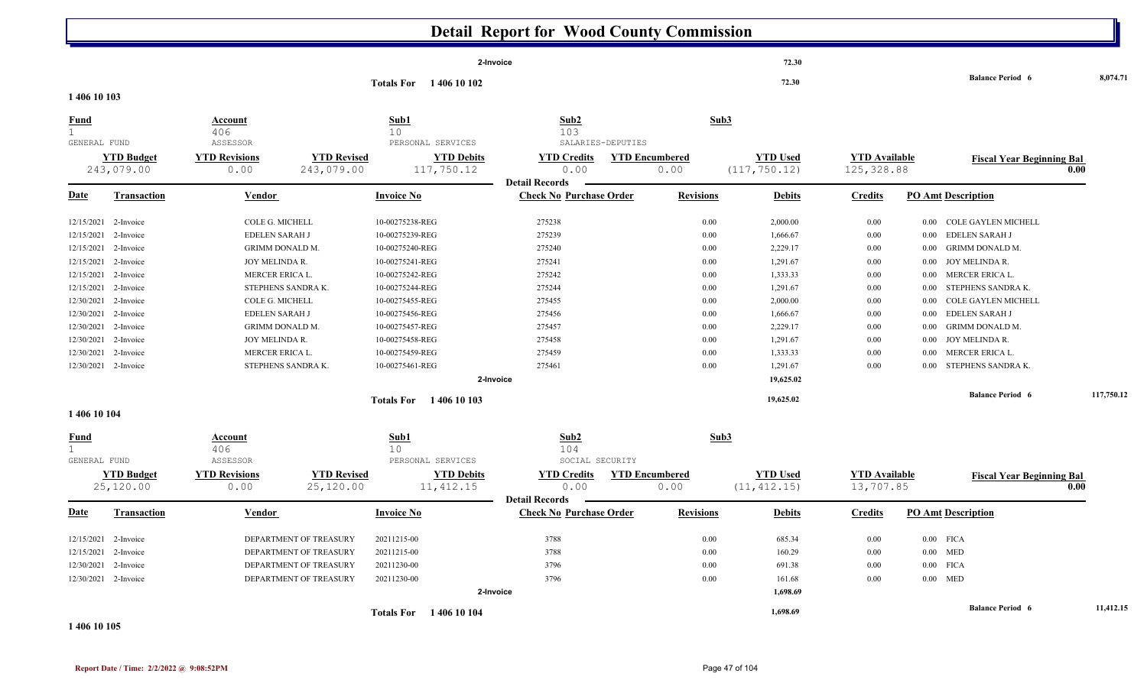|                                             | <b>Detail Report for Wood County Commission</b>                                                                                                                                                                                                                                                                                                                                                                                                                                                                                                                                                             |                                                            |                                                                                                      |                                                                                                                                                                                                                                                            |                                                                                                                                   |                       |                                                                                              |                                                                                                                                                                        |                                                                                              |                                                                                                                                              |                                                                                                                                                                                                                                                                      |            |  |
|---------------------------------------------|-------------------------------------------------------------------------------------------------------------------------------------------------------------------------------------------------------------------------------------------------------------------------------------------------------------------------------------------------------------------------------------------------------------------------------------------------------------------------------------------------------------------------------------------------------------------------------------------------------------|------------------------------------------------------------|------------------------------------------------------------------------------------------------------|------------------------------------------------------------------------------------------------------------------------------------------------------------------------------------------------------------------------------------------------------------|-----------------------------------------------------------------------------------------------------------------------------------|-----------------------|----------------------------------------------------------------------------------------------|------------------------------------------------------------------------------------------------------------------------------------------------------------------------|----------------------------------------------------------------------------------------------|----------------------------------------------------------------------------------------------------------------------------------------------|----------------------------------------------------------------------------------------------------------------------------------------------------------------------------------------------------------------------------------------------------------------------|------------|--|
|                                             |                                                                                                                                                                                                                                                                                                                                                                                                                                                                                                                                                                                                             |                                                            |                                                                                                      |                                                                                                                                                                                                                                                            | 2-Invoice                                                                                                                         |                       |                                                                                              | 72.30                                                                                                                                                                  |                                                                                              |                                                                                                                                              | <b>Balance Period 6</b>                                                                                                                                                                                                                                              | 8,074.71   |  |
| 1 406 10 103                                |                                                                                                                                                                                                                                                                                                                                                                                                                                                                                                                                                                                                             |                                                            |                                                                                                      | <b>Totals For</b><br>1 406 10 102                                                                                                                                                                                                                          |                                                                                                                                   |                       |                                                                                              | 72.30                                                                                                                                                                  |                                                                                              |                                                                                                                                              |                                                                                                                                                                                                                                                                      |            |  |
| <b>Fund</b><br>$\mathbf{1}$<br>GENERAL FUND |                                                                                                                                                                                                                                                                                                                                                                                                                                                                                                                                                                                                             | <b>Account</b><br>406<br>ASSESSOR                          |                                                                                                      | Sub1<br>10<br>PERSONAL SERVICES                                                                                                                                                                                                                            | Sub2<br>103                                                                                                                       | SALARIES-DEPUTIES     | Sub <sub>3</sub>                                                                             |                                                                                                                                                                        |                                                                                              |                                                                                                                                              |                                                                                                                                                                                                                                                                      |            |  |
|                                             | <b>YTD Budget</b><br>243,079.00                                                                                                                                                                                                                                                                                                                                                                                                                                                                                                                                                                             | <b>YTD Revisions</b><br>0.00                               | <b>YTD Revised</b><br>243,079.00                                                                     | <b>YTD Debits</b><br>117,750.12                                                                                                                                                                                                                            | <b>YTD Credits</b><br>0.00<br><b>Detail Records</b>                                                                               | <b>YTD Encumbered</b> | 0.00                                                                                         | <b>YTD Used</b><br>(117, 750.12)                                                                                                                                       | <b>YTD</b> Available<br>125, 328.88                                                          |                                                                                                                                              | <b>Fiscal Year Beginning Bal</b>                                                                                                                                                                                                                                     | 0.00       |  |
| <u>Date</u>                                 | <b>Transaction</b>                                                                                                                                                                                                                                                                                                                                                                                                                                                                                                                                                                                          | <b>Vendor</b>                                              |                                                                                                      | <b>Invoice No</b>                                                                                                                                                                                                                                          | <b>Check No Purchase Order</b>                                                                                                    |                       | <b>Revisions</b>                                                                             | <b>Debits</b>                                                                                                                                                          | <b>Credits</b>                                                                               | <b>PO Amt Description</b>                                                                                                                    |                                                                                                                                                                                                                                                                      |            |  |
|                                             | 2-Invoice<br>COLE G. MICHELL<br>12/15/2021<br>12/15/2021<br>2-Invoice<br>EDELEN SARAH J<br>12/15/2021<br><b>GRIMM DONALD M.</b><br>2-Invoice<br>12/15/2021<br>JOY MELINDA R.<br>2-Invoice<br>12/15/2021<br>2-Invoice<br>MERCER ERICA L.<br>12/15/2021<br>2-Invoice<br>STEPHENS SANDRA K.<br>COLE G. MICHELL<br>12/30/2021<br>2-Invoice<br>12/30/2021<br>2-Invoice<br><b>EDELEN SARAH J</b><br>12/30/2021<br><b>GRIMM DONALD M.</b><br>2-Invoice<br>12/30/2021<br>2-Invoice<br>JOY MELINDA R.<br>12/30/2021<br>2-Invoice<br>MERCER ERICA L.<br>12/30/2021<br>STEPHENS SANDRA K.<br>2-Invoice<br>1 406 10 104 |                                                            |                                                                                                      | 10-00275238-REG<br>10-00275239-REG<br>10-00275240-REG<br>10-00275241-REG<br>10-00275242-REG<br>10-00275244-REG<br>10-00275455-REG<br>10-00275456-REG<br>10-00275457-REG<br>10-00275458-REG<br>10-00275459-REG<br>10-00275461-REG<br>Totals For 1406 10 103 | 275238<br>275239<br>275240<br>275241<br>275242<br>275244<br>275455<br>275456<br>275457<br>275458<br>275459<br>275461<br>2-Invoice |                       | 0.00<br>0.00<br>0.00<br>0.00<br>0.00<br>0.00<br>0.00<br>0.00<br>0.00<br>0.00<br>0.00<br>0.00 | 2,000.00<br>1,666.67<br>2,229.17<br>1,291.67<br>1,333.33<br>1,291.67<br>2,000.00<br>1,666.67<br>2,229.17<br>1,291.67<br>1,333.33<br>1,291.67<br>19,625.02<br>19,625.02 | 0.00<br>0.00<br>0.00<br>0.00<br>0.00<br>0.00<br>0.00<br>0.00<br>0.00<br>0.00<br>0.00<br>0.00 | $0.00\,$<br>$0.00\,$<br>0.00<br>JOY MELINDA R.<br>0.00<br>$0.00\,$<br>0.00<br>0.00<br>0.00<br>0.00<br>0.00<br>JOY MELINDA R.<br>0.00<br>0.00 | <b>COLE GAYLEN MICHELL</b><br><b>EDELEN SARAH J</b><br><b>GRIMM DONALD M.</b><br>MERCER ERICA L.<br>STEPHENS SANDRA K.<br>COLE GAYLEN MICHELL<br><b>EDELEN SARAH J</b><br><b>GRIMM DONALD M.</b><br>MERCER ERICA L.<br>STEPHENS SANDRA K.<br><b>Balance Period 6</b> | 117,750.12 |  |
| <u>Fund</u><br>1<br>GENERAL FUND            | <b>YTD Budget</b><br>25,120.00                                                                                                                                                                                                                                                                                                                                                                                                                                                                                                                                                                              | Account<br>406<br>ASSESSOR<br><b>YTD Revisions</b><br>0.00 | <b>YTD Revised</b><br>25,120.00                                                                      | Sub1<br>10<br>PERSONAL SERVICES<br><b>YTD Debits</b><br>11, 412.15                                                                                                                                                                                         | Sub2<br>104<br>SOCIAL SECURITY<br><b>YTD Credits</b><br>0.00<br><b>Detail Records</b>                                             | <b>YTD Encumbered</b> | Sub3<br>0.00                                                                                 | <b>YTD Used</b><br>(11, 412.15)                                                                                                                                        | <b>YTD Available</b><br>13,707.85                                                            |                                                                                                                                              | <b>Fiscal Year Beginning Bal</b>                                                                                                                                                                                                                                     | 0.00       |  |
| <u>Date</u>                                 | <b>Transaction</b>                                                                                                                                                                                                                                                                                                                                                                                                                                                                                                                                                                                          | <b>Vendor</b>                                              |                                                                                                      | <b>Invoice No</b>                                                                                                                                                                                                                                          | <b>Check No Purchase Order</b>                                                                                                    |                       | <b>Revisions</b>                                                                             | <b>Debits</b>                                                                                                                                                          | <b>Credits</b>                                                                               | <b>PO Amt Description</b>                                                                                                                    |                                                                                                                                                                                                                                                                      |            |  |
|                                             | 12/15/2021 2-Invoice<br>12/15/2021 2-Invoice<br>12/30/2021 2-Invoice<br>12/30/2021 2-Invoice                                                                                                                                                                                                                                                                                                                                                                                                                                                                                                                |                                                            | DEPARTMENT OF TREASURY<br>DEPARTMENT OF TREASURY<br>DEPARTMENT OF TREASURY<br>DEPARTMENT OF TREASURY | 20211215-00<br>20211215-00<br>20211230-00<br>20211230-00                                                                                                                                                                                                   | 3788<br>3788<br>3796<br>3796<br>2-Invoice                                                                                         |                       | 0.00<br>0.00<br>0.00<br>0.00                                                                 | 685.34<br>160.29<br>691.38<br>161.68<br>1,698.69                                                                                                                       | 0.00<br>0.00<br>0.00<br>0.00                                                                 | $0.00$ FICA<br>$0.00$ MED<br>$0.00$ FICA<br>$0.00$ MED                                                                                       |                                                                                                                                                                                                                                                                      |            |  |
|                                             |                                                                                                                                                                                                                                                                                                                                                                                                                                                                                                                                                                                                             |                                                            |                                                                                                      | <b>Totals For</b> 1406 10 104                                                                                                                                                                                                                              |                                                                                                                                   |                       |                                                                                              | 1,698.69                                                                                                                                                               |                                                                                              |                                                                                                                                              | <b>Balance Period 6</b>                                                                                                                                                                                                                                              | 11,412.15  |  |

#### **1 406 10 105**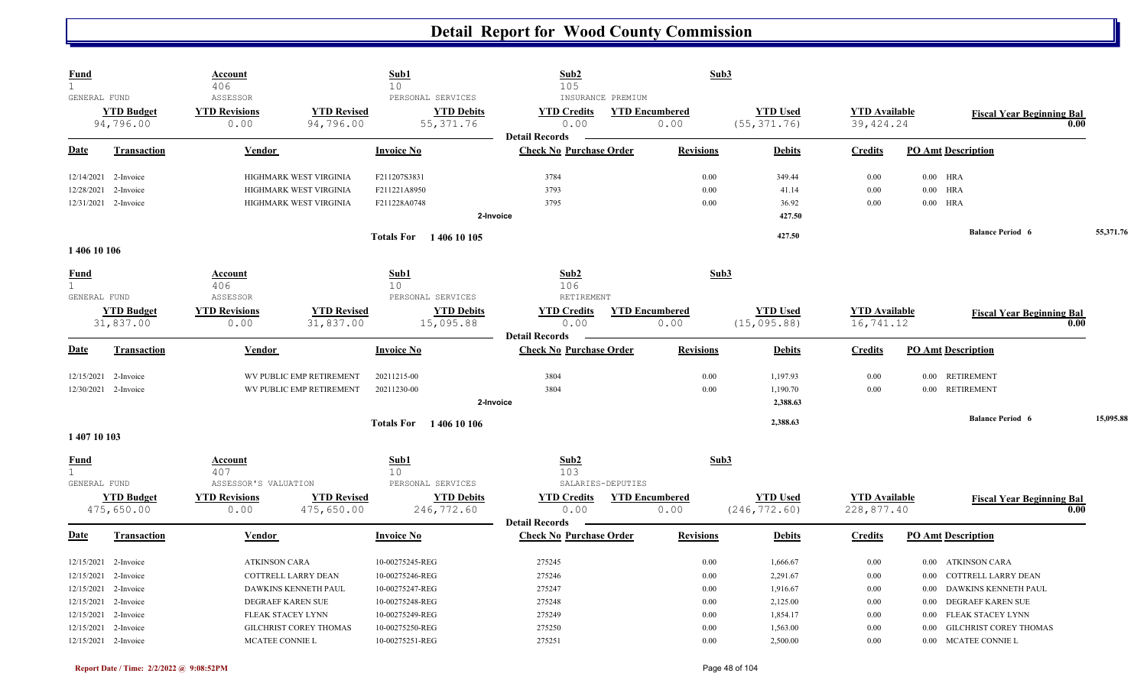| ASSESSOR<br>GENERAL FUND<br>PERSONAL SERVICES<br>INSURANCE PREMIUM<br><b>YTD Used</b><br><b>YTD Budget</b><br><b>YTD Revisions</b><br><b>YTD Revised</b><br><b>YTD Debits</b><br><b>YTD Encumbered</b><br><b>YTD</b> Available<br><b>YTD Credits</b><br><b>Fiscal Year Beginning Bal</b><br>55, 371.76<br>94,796.00<br>94,796.00<br>0.00<br>0.00<br>(55, 371.76)<br>39, 424.24<br>0.00<br>0.00<br><b>Detail Records</b><br>Date<br><b>Invoice No</b><br><b>Check No Purchase Order</b><br><b>Revisions</b><br><b>PO Amt Description</b><br><b>Transaction</b><br><b>Debits</b><br><b>Credits</b><br>Vendor<br>HIGHMARK WEST VIRGINIA<br>3784<br>0.00<br>349.44<br>0.00<br>$0.00$ HRA<br>12/14/2021<br>2-Invoice<br>F211207S3831<br>3793<br>0.00<br>41.14<br>0.00<br>$0.00$ HRA<br>12/28/2021<br>2-Invoice<br>HIGHMARK WEST VIRGINIA<br>F211221A8950<br>$0.00$ HRA<br>12/31/2021 2-Invoice<br>3795<br>0.00<br>36.92<br>HIGHMARK WEST VIRGINIA<br>F211228A0748<br>$0.00\,$<br>2-Invoice<br>427.50<br><b>Balance Period 6</b><br>55,371.76<br>427.50<br><b>Totals For</b> 1406 10 105<br>1 406 10 106<br>Sub2<br>Sub1<br>Sub3<br>Fund<br>Account<br>1<br>406<br>10<br>106<br>RETIREMENT<br>GENERAL FUND<br>ASSESSOR<br>PERSONAL SERVICES<br><b>YTD Budget</b><br><b>YTD Revised</b><br><b>YTD Debits</b><br><b>YTD Encumbered</b><br><b>YTD Revisions</b><br><b>YTD Credits</b><br><b>YTD</b> Used<br><b>YTD Available</b><br><b>Fiscal Year Beginning Bal</b><br>16,741.12<br>31,837.00<br>15,095.88<br>0.00<br>(15, 095.88)<br>31,837.00<br>0.00<br>0.00<br>0.00<br><b>Detail Records</b><br><b>Check No Purchase Order</b><br><b>Date</b><br><b>Transaction</b><br><b>Invoice No</b><br><b>Revisions</b><br><b>PO Amt Description</b><br>Vendor<br><b>Debits</b><br><b>Credits</b><br>WV PUBLIC EMP RETIREMENT<br>3804<br>0.00<br>12/15/2021<br>2-Invoice<br>20211215-00<br>1,197.93<br>0.00<br>0.00 RETIREMENT<br>0.00 RETIREMENT<br>12/30/2021 2-Invoice<br>WV PUBLIC EMP RETIREMENT<br>20211230-00<br>3804<br>0.00<br>1,190.70<br>0.00<br>2-Invoice<br>2,388.63<br>15,095.88<br><b>Balance Period 6</b><br>2,388.63<br><b>Totals For</b> 1406 10 106<br>1 407 10 103<br>Sub1<br>Sub2<br>Sub3<br><b>Fund</b><br>Account<br>$\mathbf{1}$<br>407<br>10<br>103<br>GENERAL FUND<br>ASSESSOR'S VALUATION<br>PERSONAL SERVICES<br>SALARIES-DEPUTIES<br><b>YTD Revised</b><br><b>YTD Debits</b><br><b>YTD Budget</b><br><b>YTD Revisions</b><br><b>YTD Credits</b><br><b>YTD Encumbered</b><br><b>YTD Used</b><br><b>YTD Available</b><br><b>Fiscal Year Beginning Bal</b><br>475,650.00<br>246,772.60<br>0.00<br>(246, 772.60)<br>228,877.40<br>475,650.00<br>0.00<br>0.00<br>0.00<br><b>Detail Records</b><br><b>Check No Purchase Order</b><br><b>Invoice No</b><br><b>Revisions</b><br><b>PO Amt Description</b><br>Date<br><b>Transaction</b><br>Vendor<br><b>Debits</b><br><b>Credits</b><br>12/15/2021 2-Invoice<br><b>ATKINSON CARA</b><br>10-00275245-REG<br>275245<br>0.00<br>1,666.67<br>0.00<br>0.00 ATKINSON CARA<br>275246<br>12/15/2021 2-Invoice<br>COTTRELL LARRY DEAN<br>10-00275246-REG<br>0.00<br>2,291.67<br>COTTRELL LARRY DEAN<br>$0.00\,$<br>0.00<br>275247<br>12/15/2021<br>DAWKINS KENNETH PAUL<br>10-00275247-REG<br>0.00<br>1,916.67<br>0.00<br>DAWKINS KENNETH PAUL<br>2-Invoice<br>0.00<br>12/15/2021 2-Invoice<br><b>DEGRAEF KAREN SUE</b><br>10-00275248-REG<br>275248<br>0.00<br>2,125.00<br>0.00<br>DEGRAEF KAREN SUE<br>$0.00\,$<br>12/15/2021 2-Invoice<br>10-00275249-REG<br>275249<br>0.00<br>1,854.17<br>FLEAK STACEY LYNN<br>FLEAK STACEY LYNN<br>$0.00\,$<br>0.00<br>275250<br>12/15/2021<br>10-00275250-REG<br>0.00<br>1,563.00<br>0.00<br><b>GILCHRIST COREY THOMAS</b><br>2-Invoice<br>GILCHRIST COREY THOMAS<br>0.00<br>12/15/2021 2-Invoice<br>MCATEE CONNIE L<br>10-00275251-REG<br>275251<br>0.00<br>2,500.00<br>0.00<br>0.00 MCATEE CONNIE L | <b>Fund</b><br>$\mathbf{1}$ | <b>Account</b><br>406 | Sub1<br>10 | Sub2<br>105 | Sub3 |  |  |  |
|------------------------------------------------------------------------------------------------------------------------------------------------------------------------------------------------------------------------------------------------------------------------------------------------------------------------------------------------------------------------------------------------------------------------------------------------------------------------------------------------------------------------------------------------------------------------------------------------------------------------------------------------------------------------------------------------------------------------------------------------------------------------------------------------------------------------------------------------------------------------------------------------------------------------------------------------------------------------------------------------------------------------------------------------------------------------------------------------------------------------------------------------------------------------------------------------------------------------------------------------------------------------------------------------------------------------------------------------------------------------------------------------------------------------------------------------------------------------------------------------------------------------------------------------------------------------------------------------------------------------------------------------------------------------------------------------------------------------------------------------------------------------------------------------------------------------------------------------------------------------------------------------------------------------------------------------------------------------------------------------------------------------------------------------------------------------------------------------------------------------------------------------------------------------------------------------------------------------------------------------------------------------------------------------------------------------------------------------------------------------------------------------------------------------------------------------------------------------------------------------------------------------------------------------------------------------------------------------------------------------------------------------------------------------------------------------------------------------------------------------------------------------------------------------------------------------------------------------------------------------------------------------------------------------------------------------------------------------------------------------------------------------------------------------------------------------------------------------------------------------------------------------------------------------------------------------------------------------------------------------------------------------------------------------------------------------------------------------------------------------------------------------------------------------------------------------------------------------------------------------------------------------------------------------------------------------------------------------------------------------------------------------------------------------------------------------------------------------------------------------------------------------------------------------------------------------------------------------------------------------------------------|-----------------------------|-----------------------|------------|-------------|------|--|--|--|
|                                                                                                                                                                                                                                                                                                                                                                                                                                                                                                                                                                                                                                                                                                                                                                                                                                                                                                                                                                                                                                                                                                                                                                                                                                                                                                                                                                                                                                                                                                                                                                                                                                                                                                                                                                                                                                                                                                                                                                                                                                                                                                                                                                                                                                                                                                                                                                                                                                                                                                                                                                                                                                                                                                                                                                                                                                                                                                                                                                                                                                                                                                                                                                                                                                                                                                                                                                                                                                                                                                                                                                                                                                                                                                                                                                                                                                                                                          |                             |                       |            |             |      |  |  |  |
|                                                                                                                                                                                                                                                                                                                                                                                                                                                                                                                                                                                                                                                                                                                                                                                                                                                                                                                                                                                                                                                                                                                                                                                                                                                                                                                                                                                                                                                                                                                                                                                                                                                                                                                                                                                                                                                                                                                                                                                                                                                                                                                                                                                                                                                                                                                                                                                                                                                                                                                                                                                                                                                                                                                                                                                                                                                                                                                                                                                                                                                                                                                                                                                                                                                                                                                                                                                                                                                                                                                                                                                                                                                                                                                                                                                                                                                                                          |                             |                       |            |             |      |  |  |  |
|                                                                                                                                                                                                                                                                                                                                                                                                                                                                                                                                                                                                                                                                                                                                                                                                                                                                                                                                                                                                                                                                                                                                                                                                                                                                                                                                                                                                                                                                                                                                                                                                                                                                                                                                                                                                                                                                                                                                                                                                                                                                                                                                                                                                                                                                                                                                                                                                                                                                                                                                                                                                                                                                                                                                                                                                                                                                                                                                                                                                                                                                                                                                                                                                                                                                                                                                                                                                                                                                                                                                                                                                                                                                                                                                                                                                                                                                                          |                             |                       |            |             |      |  |  |  |
|                                                                                                                                                                                                                                                                                                                                                                                                                                                                                                                                                                                                                                                                                                                                                                                                                                                                                                                                                                                                                                                                                                                                                                                                                                                                                                                                                                                                                                                                                                                                                                                                                                                                                                                                                                                                                                                                                                                                                                                                                                                                                                                                                                                                                                                                                                                                                                                                                                                                                                                                                                                                                                                                                                                                                                                                                                                                                                                                                                                                                                                                                                                                                                                                                                                                                                                                                                                                                                                                                                                                                                                                                                                                                                                                                                                                                                                                                          |                             |                       |            |             |      |  |  |  |
|                                                                                                                                                                                                                                                                                                                                                                                                                                                                                                                                                                                                                                                                                                                                                                                                                                                                                                                                                                                                                                                                                                                                                                                                                                                                                                                                                                                                                                                                                                                                                                                                                                                                                                                                                                                                                                                                                                                                                                                                                                                                                                                                                                                                                                                                                                                                                                                                                                                                                                                                                                                                                                                                                                                                                                                                                                                                                                                                                                                                                                                                                                                                                                                                                                                                                                                                                                                                                                                                                                                                                                                                                                                                                                                                                                                                                                                                                          |                             |                       |            |             |      |  |  |  |
|                                                                                                                                                                                                                                                                                                                                                                                                                                                                                                                                                                                                                                                                                                                                                                                                                                                                                                                                                                                                                                                                                                                                                                                                                                                                                                                                                                                                                                                                                                                                                                                                                                                                                                                                                                                                                                                                                                                                                                                                                                                                                                                                                                                                                                                                                                                                                                                                                                                                                                                                                                                                                                                                                                                                                                                                                                                                                                                                                                                                                                                                                                                                                                                                                                                                                                                                                                                                                                                                                                                                                                                                                                                                                                                                                                                                                                                                                          |                             |                       |            |             |      |  |  |  |
|                                                                                                                                                                                                                                                                                                                                                                                                                                                                                                                                                                                                                                                                                                                                                                                                                                                                                                                                                                                                                                                                                                                                                                                                                                                                                                                                                                                                                                                                                                                                                                                                                                                                                                                                                                                                                                                                                                                                                                                                                                                                                                                                                                                                                                                                                                                                                                                                                                                                                                                                                                                                                                                                                                                                                                                                                                                                                                                                                                                                                                                                                                                                                                                                                                                                                                                                                                                                                                                                                                                                                                                                                                                                                                                                                                                                                                                                                          |                             |                       |            |             |      |  |  |  |
|                                                                                                                                                                                                                                                                                                                                                                                                                                                                                                                                                                                                                                                                                                                                                                                                                                                                                                                                                                                                                                                                                                                                                                                                                                                                                                                                                                                                                                                                                                                                                                                                                                                                                                                                                                                                                                                                                                                                                                                                                                                                                                                                                                                                                                                                                                                                                                                                                                                                                                                                                                                                                                                                                                                                                                                                                                                                                                                                                                                                                                                                                                                                                                                                                                                                                                                                                                                                                                                                                                                                                                                                                                                                                                                                                                                                                                                                                          |                             |                       |            |             |      |  |  |  |
|                                                                                                                                                                                                                                                                                                                                                                                                                                                                                                                                                                                                                                                                                                                                                                                                                                                                                                                                                                                                                                                                                                                                                                                                                                                                                                                                                                                                                                                                                                                                                                                                                                                                                                                                                                                                                                                                                                                                                                                                                                                                                                                                                                                                                                                                                                                                                                                                                                                                                                                                                                                                                                                                                                                                                                                                                                                                                                                                                                                                                                                                                                                                                                                                                                                                                                                                                                                                                                                                                                                                                                                                                                                                                                                                                                                                                                                                                          |                             |                       |            |             |      |  |  |  |
|                                                                                                                                                                                                                                                                                                                                                                                                                                                                                                                                                                                                                                                                                                                                                                                                                                                                                                                                                                                                                                                                                                                                                                                                                                                                                                                                                                                                                                                                                                                                                                                                                                                                                                                                                                                                                                                                                                                                                                                                                                                                                                                                                                                                                                                                                                                                                                                                                                                                                                                                                                                                                                                                                                                                                                                                                                                                                                                                                                                                                                                                                                                                                                                                                                                                                                                                                                                                                                                                                                                                                                                                                                                                                                                                                                                                                                                                                          |                             |                       |            |             |      |  |  |  |
|                                                                                                                                                                                                                                                                                                                                                                                                                                                                                                                                                                                                                                                                                                                                                                                                                                                                                                                                                                                                                                                                                                                                                                                                                                                                                                                                                                                                                                                                                                                                                                                                                                                                                                                                                                                                                                                                                                                                                                                                                                                                                                                                                                                                                                                                                                                                                                                                                                                                                                                                                                                                                                                                                                                                                                                                                                                                                                                                                                                                                                                                                                                                                                                                                                                                                                                                                                                                                                                                                                                                                                                                                                                                                                                                                                                                                                                                                          |                             |                       |            |             |      |  |  |  |
|                                                                                                                                                                                                                                                                                                                                                                                                                                                                                                                                                                                                                                                                                                                                                                                                                                                                                                                                                                                                                                                                                                                                                                                                                                                                                                                                                                                                                                                                                                                                                                                                                                                                                                                                                                                                                                                                                                                                                                                                                                                                                                                                                                                                                                                                                                                                                                                                                                                                                                                                                                                                                                                                                                                                                                                                                                                                                                                                                                                                                                                                                                                                                                                                                                                                                                                                                                                                                                                                                                                                                                                                                                                                                                                                                                                                                                                                                          |                             |                       |            |             |      |  |  |  |
|                                                                                                                                                                                                                                                                                                                                                                                                                                                                                                                                                                                                                                                                                                                                                                                                                                                                                                                                                                                                                                                                                                                                                                                                                                                                                                                                                                                                                                                                                                                                                                                                                                                                                                                                                                                                                                                                                                                                                                                                                                                                                                                                                                                                                                                                                                                                                                                                                                                                                                                                                                                                                                                                                                                                                                                                                                                                                                                                                                                                                                                                                                                                                                                                                                                                                                                                                                                                                                                                                                                                                                                                                                                                                                                                                                                                                                                                                          |                             |                       |            |             |      |  |  |  |
|                                                                                                                                                                                                                                                                                                                                                                                                                                                                                                                                                                                                                                                                                                                                                                                                                                                                                                                                                                                                                                                                                                                                                                                                                                                                                                                                                                                                                                                                                                                                                                                                                                                                                                                                                                                                                                                                                                                                                                                                                                                                                                                                                                                                                                                                                                                                                                                                                                                                                                                                                                                                                                                                                                                                                                                                                                                                                                                                                                                                                                                                                                                                                                                                                                                                                                                                                                                                                                                                                                                                                                                                                                                                                                                                                                                                                                                                                          |                             |                       |            |             |      |  |  |  |
|                                                                                                                                                                                                                                                                                                                                                                                                                                                                                                                                                                                                                                                                                                                                                                                                                                                                                                                                                                                                                                                                                                                                                                                                                                                                                                                                                                                                                                                                                                                                                                                                                                                                                                                                                                                                                                                                                                                                                                                                                                                                                                                                                                                                                                                                                                                                                                                                                                                                                                                                                                                                                                                                                                                                                                                                                                                                                                                                                                                                                                                                                                                                                                                                                                                                                                                                                                                                                                                                                                                                                                                                                                                                                                                                                                                                                                                                                          |                             |                       |            |             |      |  |  |  |
|                                                                                                                                                                                                                                                                                                                                                                                                                                                                                                                                                                                                                                                                                                                                                                                                                                                                                                                                                                                                                                                                                                                                                                                                                                                                                                                                                                                                                                                                                                                                                                                                                                                                                                                                                                                                                                                                                                                                                                                                                                                                                                                                                                                                                                                                                                                                                                                                                                                                                                                                                                                                                                                                                                                                                                                                                                                                                                                                                                                                                                                                                                                                                                                                                                                                                                                                                                                                                                                                                                                                                                                                                                                                                                                                                                                                                                                                                          |                             |                       |            |             |      |  |  |  |
|                                                                                                                                                                                                                                                                                                                                                                                                                                                                                                                                                                                                                                                                                                                                                                                                                                                                                                                                                                                                                                                                                                                                                                                                                                                                                                                                                                                                                                                                                                                                                                                                                                                                                                                                                                                                                                                                                                                                                                                                                                                                                                                                                                                                                                                                                                                                                                                                                                                                                                                                                                                                                                                                                                                                                                                                                                                                                                                                                                                                                                                                                                                                                                                                                                                                                                                                                                                                                                                                                                                                                                                                                                                                                                                                                                                                                                                                                          |                             |                       |            |             |      |  |  |  |
|                                                                                                                                                                                                                                                                                                                                                                                                                                                                                                                                                                                                                                                                                                                                                                                                                                                                                                                                                                                                                                                                                                                                                                                                                                                                                                                                                                                                                                                                                                                                                                                                                                                                                                                                                                                                                                                                                                                                                                                                                                                                                                                                                                                                                                                                                                                                                                                                                                                                                                                                                                                                                                                                                                                                                                                                                                                                                                                                                                                                                                                                                                                                                                                                                                                                                                                                                                                                                                                                                                                                                                                                                                                                                                                                                                                                                                                                                          |                             |                       |            |             |      |  |  |  |
|                                                                                                                                                                                                                                                                                                                                                                                                                                                                                                                                                                                                                                                                                                                                                                                                                                                                                                                                                                                                                                                                                                                                                                                                                                                                                                                                                                                                                                                                                                                                                                                                                                                                                                                                                                                                                                                                                                                                                                                                                                                                                                                                                                                                                                                                                                                                                                                                                                                                                                                                                                                                                                                                                                                                                                                                                                                                                                                                                                                                                                                                                                                                                                                                                                                                                                                                                                                                                                                                                                                                                                                                                                                                                                                                                                                                                                                                                          |                             |                       |            |             |      |  |  |  |
|                                                                                                                                                                                                                                                                                                                                                                                                                                                                                                                                                                                                                                                                                                                                                                                                                                                                                                                                                                                                                                                                                                                                                                                                                                                                                                                                                                                                                                                                                                                                                                                                                                                                                                                                                                                                                                                                                                                                                                                                                                                                                                                                                                                                                                                                                                                                                                                                                                                                                                                                                                                                                                                                                                                                                                                                                                                                                                                                                                                                                                                                                                                                                                                                                                                                                                                                                                                                                                                                                                                                                                                                                                                                                                                                                                                                                                                                                          |                             |                       |            |             |      |  |  |  |
|                                                                                                                                                                                                                                                                                                                                                                                                                                                                                                                                                                                                                                                                                                                                                                                                                                                                                                                                                                                                                                                                                                                                                                                                                                                                                                                                                                                                                                                                                                                                                                                                                                                                                                                                                                                                                                                                                                                                                                                                                                                                                                                                                                                                                                                                                                                                                                                                                                                                                                                                                                                                                                                                                                                                                                                                                                                                                                                                                                                                                                                                                                                                                                                                                                                                                                                                                                                                                                                                                                                                                                                                                                                                                                                                                                                                                                                                                          |                             |                       |            |             |      |  |  |  |
|                                                                                                                                                                                                                                                                                                                                                                                                                                                                                                                                                                                                                                                                                                                                                                                                                                                                                                                                                                                                                                                                                                                                                                                                                                                                                                                                                                                                                                                                                                                                                                                                                                                                                                                                                                                                                                                                                                                                                                                                                                                                                                                                                                                                                                                                                                                                                                                                                                                                                                                                                                                                                                                                                                                                                                                                                                                                                                                                                                                                                                                                                                                                                                                                                                                                                                                                                                                                                                                                                                                                                                                                                                                                                                                                                                                                                                                                                          |                             |                       |            |             |      |  |  |  |
|                                                                                                                                                                                                                                                                                                                                                                                                                                                                                                                                                                                                                                                                                                                                                                                                                                                                                                                                                                                                                                                                                                                                                                                                                                                                                                                                                                                                                                                                                                                                                                                                                                                                                                                                                                                                                                                                                                                                                                                                                                                                                                                                                                                                                                                                                                                                                                                                                                                                                                                                                                                                                                                                                                                                                                                                                                                                                                                                                                                                                                                                                                                                                                                                                                                                                                                                                                                                                                                                                                                                                                                                                                                                                                                                                                                                                                                                                          |                             |                       |            |             |      |  |  |  |
|                                                                                                                                                                                                                                                                                                                                                                                                                                                                                                                                                                                                                                                                                                                                                                                                                                                                                                                                                                                                                                                                                                                                                                                                                                                                                                                                                                                                                                                                                                                                                                                                                                                                                                                                                                                                                                                                                                                                                                                                                                                                                                                                                                                                                                                                                                                                                                                                                                                                                                                                                                                                                                                                                                                                                                                                                                                                                                                                                                                                                                                                                                                                                                                                                                                                                                                                                                                                                                                                                                                                                                                                                                                                                                                                                                                                                                                                                          |                             |                       |            |             |      |  |  |  |
|                                                                                                                                                                                                                                                                                                                                                                                                                                                                                                                                                                                                                                                                                                                                                                                                                                                                                                                                                                                                                                                                                                                                                                                                                                                                                                                                                                                                                                                                                                                                                                                                                                                                                                                                                                                                                                                                                                                                                                                                                                                                                                                                                                                                                                                                                                                                                                                                                                                                                                                                                                                                                                                                                                                                                                                                                                                                                                                                                                                                                                                                                                                                                                                                                                                                                                                                                                                                                                                                                                                                                                                                                                                                                                                                                                                                                                                                                          |                             |                       |            |             |      |  |  |  |
|                                                                                                                                                                                                                                                                                                                                                                                                                                                                                                                                                                                                                                                                                                                                                                                                                                                                                                                                                                                                                                                                                                                                                                                                                                                                                                                                                                                                                                                                                                                                                                                                                                                                                                                                                                                                                                                                                                                                                                                                                                                                                                                                                                                                                                                                                                                                                                                                                                                                                                                                                                                                                                                                                                                                                                                                                                                                                                                                                                                                                                                                                                                                                                                                                                                                                                                                                                                                                                                                                                                                                                                                                                                                                                                                                                                                                                                                                          |                             |                       |            |             |      |  |  |  |
|                                                                                                                                                                                                                                                                                                                                                                                                                                                                                                                                                                                                                                                                                                                                                                                                                                                                                                                                                                                                                                                                                                                                                                                                                                                                                                                                                                                                                                                                                                                                                                                                                                                                                                                                                                                                                                                                                                                                                                                                                                                                                                                                                                                                                                                                                                                                                                                                                                                                                                                                                                                                                                                                                                                                                                                                                                                                                                                                                                                                                                                                                                                                                                                                                                                                                                                                                                                                                                                                                                                                                                                                                                                                                                                                                                                                                                                                                          |                             |                       |            |             |      |  |  |  |
|                                                                                                                                                                                                                                                                                                                                                                                                                                                                                                                                                                                                                                                                                                                                                                                                                                                                                                                                                                                                                                                                                                                                                                                                                                                                                                                                                                                                                                                                                                                                                                                                                                                                                                                                                                                                                                                                                                                                                                                                                                                                                                                                                                                                                                                                                                                                                                                                                                                                                                                                                                                                                                                                                                                                                                                                                                                                                                                                                                                                                                                                                                                                                                                                                                                                                                                                                                                                                                                                                                                                                                                                                                                                                                                                                                                                                                                                                          |                             |                       |            |             |      |  |  |  |
|                                                                                                                                                                                                                                                                                                                                                                                                                                                                                                                                                                                                                                                                                                                                                                                                                                                                                                                                                                                                                                                                                                                                                                                                                                                                                                                                                                                                                                                                                                                                                                                                                                                                                                                                                                                                                                                                                                                                                                                                                                                                                                                                                                                                                                                                                                                                                                                                                                                                                                                                                                                                                                                                                                                                                                                                                                                                                                                                                                                                                                                                                                                                                                                                                                                                                                                                                                                                                                                                                                                                                                                                                                                                                                                                                                                                                                                                                          |                             |                       |            |             |      |  |  |  |
|                                                                                                                                                                                                                                                                                                                                                                                                                                                                                                                                                                                                                                                                                                                                                                                                                                                                                                                                                                                                                                                                                                                                                                                                                                                                                                                                                                                                                                                                                                                                                                                                                                                                                                                                                                                                                                                                                                                                                                                                                                                                                                                                                                                                                                                                                                                                                                                                                                                                                                                                                                                                                                                                                                                                                                                                                                                                                                                                                                                                                                                                                                                                                                                                                                                                                                                                                                                                                                                                                                                                                                                                                                                                                                                                                                                                                                                                                          |                             |                       |            |             |      |  |  |  |
|                                                                                                                                                                                                                                                                                                                                                                                                                                                                                                                                                                                                                                                                                                                                                                                                                                                                                                                                                                                                                                                                                                                                                                                                                                                                                                                                                                                                                                                                                                                                                                                                                                                                                                                                                                                                                                                                                                                                                                                                                                                                                                                                                                                                                                                                                                                                                                                                                                                                                                                                                                                                                                                                                                                                                                                                                                                                                                                                                                                                                                                                                                                                                                                                                                                                                                                                                                                                                                                                                                                                                                                                                                                                                                                                                                                                                                                                                          |                             |                       |            |             |      |  |  |  |
|                                                                                                                                                                                                                                                                                                                                                                                                                                                                                                                                                                                                                                                                                                                                                                                                                                                                                                                                                                                                                                                                                                                                                                                                                                                                                                                                                                                                                                                                                                                                                                                                                                                                                                                                                                                                                                                                                                                                                                                                                                                                                                                                                                                                                                                                                                                                                                                                                                                                                                                                                                                                                                                                                                                                                                                                                                                                                                                                                                                                                                                                                                                                                                                                                                                                                                                                                                                                                                                                                                                                                                                                                                                                                                                                                                                                                                                                                          |                             |                       |            |             |      |  |  |  |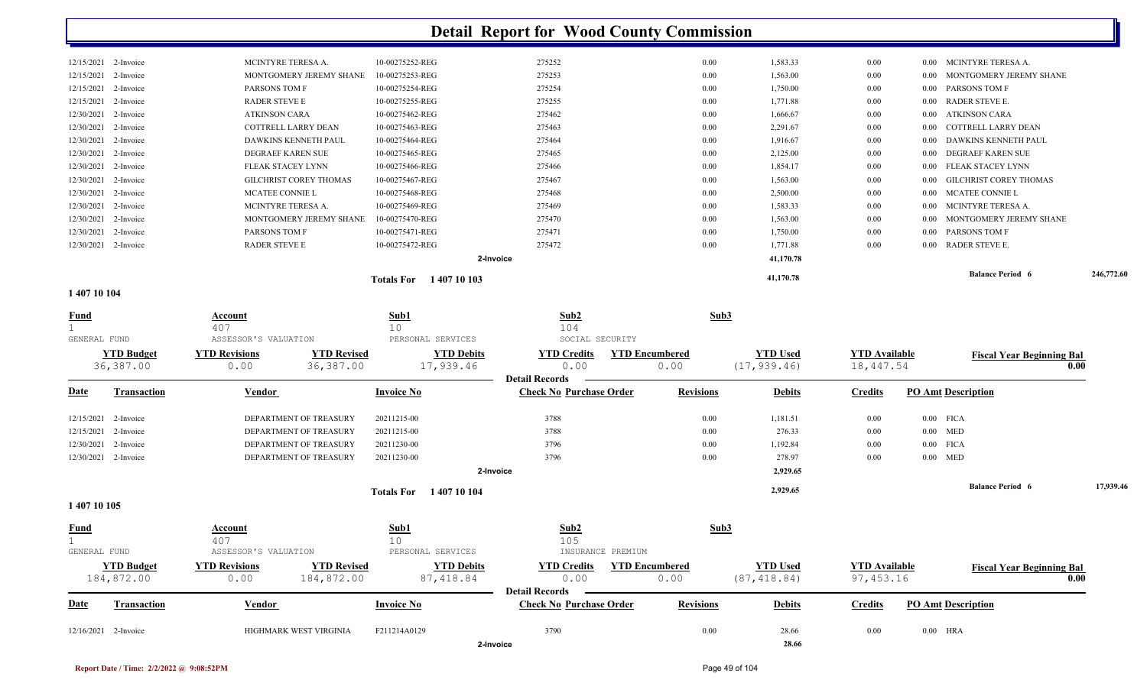|                      |                               | 2-Invoice                                   |        |      | 41,170.78 |          |                                     |  |
|----------------------|-------------------------------|---------------------------------------------|--------|------|-----------|----------|-------------------------------------|--|
|                      |                               |                                             |        |      |           |          |                                     |  |
| 2-Invoice            | <b>RADER STEVE E</b>          | 10-00275472-REG                             | 275472 | 0.00 | 1,771.88  | 0.00     | 0.00 RADER STEVE E.                 |  |
| 2-Invoice            | <b>PARSONS TOM F</b>          | 10-00275471-REG                             | 275471 | 0.00 | 1,750.00  | $0.00\,$ | 0.00 PARSONS TOM F                  |  |
| 2-Invoice            | MONTGOMERY JEREMY SHANE       | 10-00275470-REG                             | 275470 | 0.00 | 1,563.00  | $0.00\,$ | MONTGOMERY JEREMY SHANE<br>0.00     |  |
| 2-Invoice            | MCINTYRE TERESA A.            | 10-00275469-REG                             | 275469 | 0.00 | 1,583.33  | $0.00\,$ | MCINTYRE TERESA A.<br>0.00          |  |
| 2-Invoice            | MCATEE CONNIE L               | 10-00275468-REG                             | 275468 | 0.00 | 2,500.00  | $0.00\,$ | 0.00 MCATEE CONNIE L                |  |
| 2-Invoice            | <b>GILCHRIST COREY THOMAS</b> | 10-00275467-REG                             | 275467 | 0.00 | 1,563.00  | $0.00\,$ | GILCHRIST COREY THOMAS<br>0.00      |  |
| 2-Invoice            | <b>FLEAK STACEY LYNN</b>      | 10-00275466-REG                             | 275466 | 0.00 | 1,854.17  | $0.00\,$ | FLEAK STACEY LYNN<br>0.00           |  |
| 2-Invoice            | DEGRAEF KAREN SUE             | 10-00275465-REG                             | 275465 | 0.00 | 2,125.00  | 0.00     | 0.00 DEGRAEF KAREN SUE              |  |
| 2-Invoice            |                               | 10-00275464-REG                             | 275464 | 0.00 | 1,916.67  | $0.00\,$ | 0.00 DAWKINS KENNETH PAUL           |  |
| 2-Invoice            |                               | 10-00275463-REG                             | 275463 | 0.00 | 2,291.67  | 0.00     | COTTRELL LARRY DEAN<br>0.00         |  |
| 2-Invoice            | <b>ATKINSON CARA</b>          | 10-00275462-REG                             | 275462 | 0.00 | 1,666.67  | 0.00     | 0.00 ATKINSON CARA                  |  |
| 2-Invoice            | <b>RADER STEVE E</b>          | 10-00275255-REG                             | 275255 | 0.00 | 1,771.88  | $0.00\,$ | 0.00 RADER STEVE E.                 |  |
| 2-Invoice            | <b>PARSONS TOM F</b>          | 10-00275254-REG                             | 275254 | 0.00 | 1,750.00  | $0.00\,$ | 0.00 PARSONS TOM F                  |  |
| 2-Invoice            | MONTGOMERY JEREMY SHANE       | 10-00275253-REG                             | 275253 | 0.00 | 1,563.00  | $0.00\,$ | MONTGOMERY JEREMY SHANE<br>$0.00 -$ |  |
| 12/15/2021 2-Invoice | MCINTYRE TERESA A.            | 10-00275252-REG                             | 275252 | 0.00 | 1,583.33  | $0.00\,$ | MCINTYRE TERESA A.<br>0.00          |  |
|                      |                               | COTTRELL LARRY DEAN<br>DAWKINS KENNETH PAUL |        |      |           |          |                                     |  |

#### **1 407 10 104**

| <b>Fund</b>  |                                 | Account<br>407               |                                  | Sub1<br>10                        | Sub2<br>104                                         | Sub3                          |                                 |                                    |                           |                                          |           |
|--------------|---------------------------------|------------------------------|----------------------------------|-----------------------------------|-----------------------------------------------------|-------------------------------|---------------------------------|------------------------------------|---------------------------|------------------------------------------|-----------|
| GENERAL FUND |                                 | ASSESSOR'S VALUATION         |                                  | PERSONAL SERVICES                 | SOCIAL SECURITY                                     |                               |                                 |                                    |                           |                                          |           |
|              | <b>YTD Budget</b><br>36,387.00  | <b>YTD Revisions</b><br>0.00 | <b>YTD Revised</b><br>36,387.00  | <b>YTD Debits</b><br>17,939.46    | <b>YTD Credits</b><br>0.00<br><b>Detail Records</b> | <b>YTD Encumbered</b><br>0.00 | <b>YTD Used</b><br>(17, 939.46) | <b>YTD Available</b><br>18, 447.54 |                           | <b>Fiscal Year Beginning Bal</b><br>0.00 |           |
| <b>Date</b>  | <b>Transaction</b>              | Vendor                       |                                  | <b>Invoice No</b>                 | <b>Check No Purchase Order</b>                      | <b>Revisions</b>              | <b>Debits</b>                   | <b>Credits</b>                     | <b>PO Amt Description</b> |                                          |           |
| 12/15/2021   | 2-Invoice                       |                              | DEPARTMENT OF TREASURY           | 20211215-00                       | 3788                                                | 0.00                          | 1,181.51                        | 0.00                               | $0.00$ FICA               |                                          |           |
| 12/15/2021   | 2-Invoice                       |                              | DEPARTMENT OF TREASURY           | 20211215-00                       | 3788                                                | 0.00                          | 276.33                          | 0.00                               | $0.00$ MED                |                                          |           |
| 12/30/2021   | 2-Invoice                       |                              | DEPARTMENT OF TREASURY           | 20211230-00                       | 3796                                                | 0.00                          | 1,192.84                        | 0.00                               | $0.00$ FICA               |                                          |           |
| 12/30/2021   | 2-Invoice                       |                              | DEPARTMENT OF TREASURY           | 20211230-00                       | 3796                                                | 0.00                          | 278.97                          | 0.00                               | $0.00$ MED                |                                          |           |
|              |                                 |                              |                                  |                                   | 2-Invoice                                           |                               | 2,929.65                        |                                    |                           |                                          |           |
|              |                                 |                              |                                  | 1 407 10 104<br><b>Totals For</b> |                                                     |                               | 2,929.65                        |                                    |                           | <b>Balance Period 6</b>                  | 17,939.46 |
| 140710105    |                                 |                              |                                  |                                   |                                                     |                               |                                 |                                    |                           |                                          |           |
| <b>Fund</b>  |                                 | Account<br>407               |                                  | Sub1<br>10                        | Sub2<br>105                                         | Sub3                          |                                 |                                    |                           |                                          |           |
| GENERAL FUND |                                 | ASSESSOR'S VALUATION         |                                  | PERSONAL SERVICES                 | INSURANCE PREMIUM                                   |                               |                                 |                                    |                           |                                          |           |
|              | <b>YTD Budget</b><br>184,872.00 | <b>YTD Revisions</b><br>0.00 | <b>YTD Revised</b><br>184,872.00 | <b>YTD Debits</b><br>87,418.84    | <b>YTD Credits</b><br>0.00                          | <b>YTD</b> Encumbered<br>0.00 | <b>YTD Used</b><br>(87, 418.84) | <b>YTD Available</b><br>97,453.16  |                           | <b>Fiscal Year Beginning Bal</b><br>0.00 |           |
|              |                                 |                              |                                  |                                   | <b>Detail Records</b>                               |                               |                                 |                                    |                           |                                          |           |
| Date         | <b>Transaction</b>              | Vendor                       |                                  | <b>Invoice No</b>                 | <b>Check No Purchase Order</b>                      | <b>Revisions</b>              | <b>Debits</b>                   | <b>Credits</b>                     | <b>PO Amt Description</b> |                                          |           |
| 12/16/2021   | 2-Invoice                       |                              | HIGHMARK WEST VIRGINIA           | F211214A0129                      | 3790                                                | 0.00                          | 28.66                           | 0.00                               | $0.00$ HRA                |                                          |           |
|              |                                 |                              |                                  |                                   | 2-Invoice                                           |                               | 28.66                           |                                    |                           |                                          |           |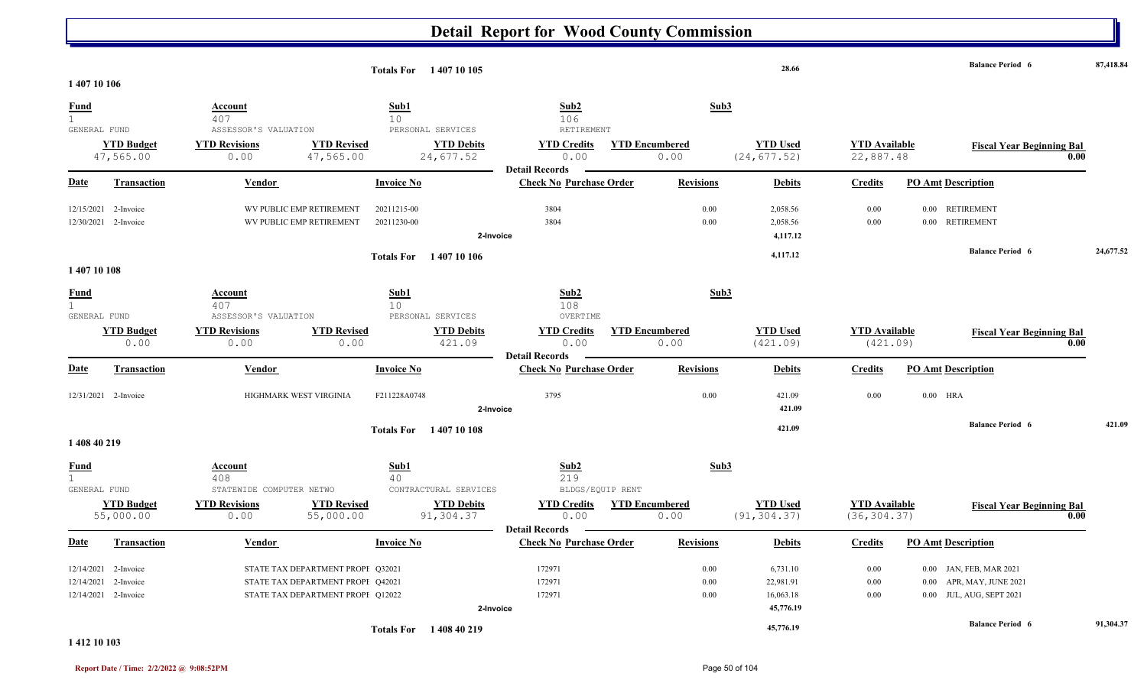|                              |                           |                                 |                                   | Totals For 1407 10 105      |                             |                                |                               | 28.66                       |                                  | <b>Balance Period 6</b>          |      | 87,418.84 |
|------------------------------|---------------------------|---------------------------------|-----------------------------------|-----------------------------|-----------------------------|--------------------------------|-------------------------------|-----------------------------|----------------------------------|----------------------------------|------|-----------|
| 140710106                    |                           |                                 |                                   |                             |                             |                                |                               |                             |                                  |                                  |      |           |
| <b>Fund</b>                  |                           | <b>Account</b>                  |                                   | Sub1                        |                             | Sub2                           |                               | Sub3                        |                                  |                                  |      |           |
| $\mathbf{1}$<br>GENERAL FUND |                           | 407<br>ASSESSOR'S VALUATION     |                                   | 10<br>PERSONAL SERVICES     |                             | 106<br>RETIREMENT              |                               |                             |                                  |                                  |      |           |
|                              | <b>YTD Budget</b>         | <b>YTD Revisions</b>            | <b>YTD Revised</b>                |                             | <b>YTD Debits</b>           | <b>YTD Credits</b>             | <b>YTD Encumbered</b>         | <b>YTD Used</b>             | <b>YTD</b> Available             |                                  |      |           |
|                              | 47,565.00                 | 0.00                            | 47,565.00                         | 24,677.52                   |                             | 0.00                           | 0.00                          | (24, 677.52)                | 22,887.48                        | <b>Fiscal Year Beginning Bal</b> | 0.00 |           |
|                              |                           |                                 |                                   |                             |                             | <b>Detail Records</b>          |                               |                             |                                  |                                  |      |           |
| <b>Date</b>                  | <b>Transaction</b>        | Vendor                          |                                   | <b>Invoice No</b>           |                             | <b>Check No Purchase Order</b> | <b>Revisions</b>              | <b>Debits</b>               | <b>Credits</b>                   | <b>PO Amt Description</b>        |      |           |
|                              | 12/15/2021 2-Invoice      |                                 | WV PUBLIC EMP RETIREMENT          | 20211215-00                 |                             | 3804                           | 0.00                          | 2,058.56                    | 0.00                             | 0.00 RETIREMENT                  |      |           |
|                              | 12/30/2021 2-Invoice      |                                 | WV PUBLIC EMP RETIREMENT          | 20211230-00                 |                             | 3804                           | 0.00                          | 2,058.56                    | 0.00                             | 0.00 RETIREMENT                  |      |           |
|                              |                           |                                 |                                   |                             | 2-Invoice                   |                                |                               | 4,117.12                    |                                  |                                  |      |           |
|                              |                           |                                 |                                   | <b>Totals For</b> 140710106 |                             |                                |                               | 4,117.12                    |                                  | <b>Balance Period 6</b>          |      | 24,677.52 |
| 140710108                    |                           |                                 |                                   |                             |                             |                                |                               |                             |                                  |                                  |      |           |
| <b>Fund</b>                  |                           | Account                         |                                   | Sub1                        |                             | Sub2                           |                               | Sub3                        |                                  |                                  |      |           |
| $\mathbf{1}$                 |                           | 407                             |                                   | 10 <sup>°</sup>             |                             | 108                            |                               |                             |                                  |                                  |      |           |
| GENERAL FUND                 |                           | ASSESSOR'S VALUATION            |                                   | PERSONAL SERVICES           |                             | OVERTIME                       |                               |                             |                                  |                                  |      |           |
|                              | <b>YTD Budget</b><br>0.00 | <b>YTD Revisions</b><br>0.00    | <b>YTD Revised</b><br>0.00        |                             | <b>YTD Debits</b><br>421.09 | <b>YTD Credits</b><br>0.00     | <b>YTD</b> Encumbered<br>0.00 | <b>YTD Used</b><br>(421.09) | <b>YTD Available</b><br>(421.09) | <b>Fiscal Year Beginning Bal</b> | 0.00 |           |
|                              |                           |                                 |                                   |                             |                             | <b>Detail Records</b>          |                               |                             |                                  |                                  |      |           |
| Date                         | <b>Transaction</b>        | Vendor                          |                                   | <b>Invoice No</b>           |                             | <b>Check No Purchase Order</b> | <b>Revisions</b>              | <b>Debits</b>               | <b>Credits</b>                   | <b>PO Amt Description</b>        |      |           |
|                              | 12/31/2021 2-Invoice      |                                 | HIGHMARK WEST VIRGINIA            | F211228A0748                |                             | 3795                           | 0.00                          | 421.09                      | 0.00                             | $0.00$ HRA                       |      |           |
|                              |                           |                                 |                                   |                             | 2-Invoice                   |                                |                               | 421.09                      |                                  |                                  |      |           |
|                              |                           |                                 |                                   | <b>Totals For</b> 140710108 |                             |                                |                               | 421.09                      |                                  | <b>Balance Period 6</b>          |      | 421.09    |
| 1 408 40 219                 |                           |                                 |                                   |                             |                             |                                |                               |                             |                                  |                                  |      |           |
| <b>Fund</b>                  |                           | Account                         |                                   | Sub1                        |                             | Sub2                           |                               | Sub3                        |                                  |                                  |      |           |
| $\mathbf{1}$<br>GENERAL FUND |                           | 408<br>STATEWIDE COMPUTER NETWO |                                   | 40<br>CONTRACTURAL SERVICES |                             | 219<br>BLDGS/EQUIP RENT        |                               |                             |                                  |                                  |      |           |
|                              | <b>YTD Budget</b>         | <b>YTD Revisions</b>            | <b>YTD Revised</b>                |                             | <b>YTD Debits</b>           | <b>YTD Credits</b>             | <b>YTD Encumbered</b>         | <b>YTD Used</b>             | <b>YTD Available</b>             | <b>Fiscal Year Beginning Bal</b> |      |           |
|                              | 55,000.00                 | 0.00                            | 55,000.00                         |                             | 91,304.37                   | 0.00                           | 0.00                          | (91, 304.37)                | (36, 304.37)                     |                                  | 0.00 |           |
|                              |                           |                                 |                                   |                             |                             | <b>Detail Records</b>          |                               |                             |                                  |                                  |      |           |
| <u>Date</u>                  | Transaction               | Vendor                          |                                   | <b>Invoice No</b>           |                             | <b>Check No Purchase Order</b> | <b>Revisions</b>              | <b>Debits</b>               | <b>Credits</b>                   | <b>PO Amt Description</b>        |      |           |
| 12/14/2021                   | 2-Invoice                 |                                 | STATE TAX DEPARTMENT PROPE Q32021 |                             |                             | 172971                         | 0.00                          | 6,731.10                    | 0.00                             | 0.00 JAN, FEB, MAR 2021          |      |           |
| 12/14/2021                   | 2-Invoice                 |                                 | STATE TAX DEPARTMENT PROPE Q42021 |                             |                             | 172971                         | 0.00                          | 22,981.91                   | $0.00\,$                         | APR, MAY, JUNE 2021<br>$0.00\,$  |      |           |
|                              | 12/14/2021 2-Invoice      |                                 | STATE TAX DEPARTMENT PROPI Q12022 |                             |                             | 172971                         | 0.00                          | 16,063.18                   | 0.00                             | 0.00 JUL, AUG, SEPT 2021         |      |           |
|                              |                           |                                 |                                   |                             | 2-Invoice                   |                                |                               | 45,776.19                   |                                  |                                  |      |           |
|                              |                           |                                 |                                   | <b>Totals For</b>           | 140840219                   |                                |                               | 45,776.19                   |                                  | <b>Balance Period 6</b>          |      | 91,304.37 |

**1 412 10 103**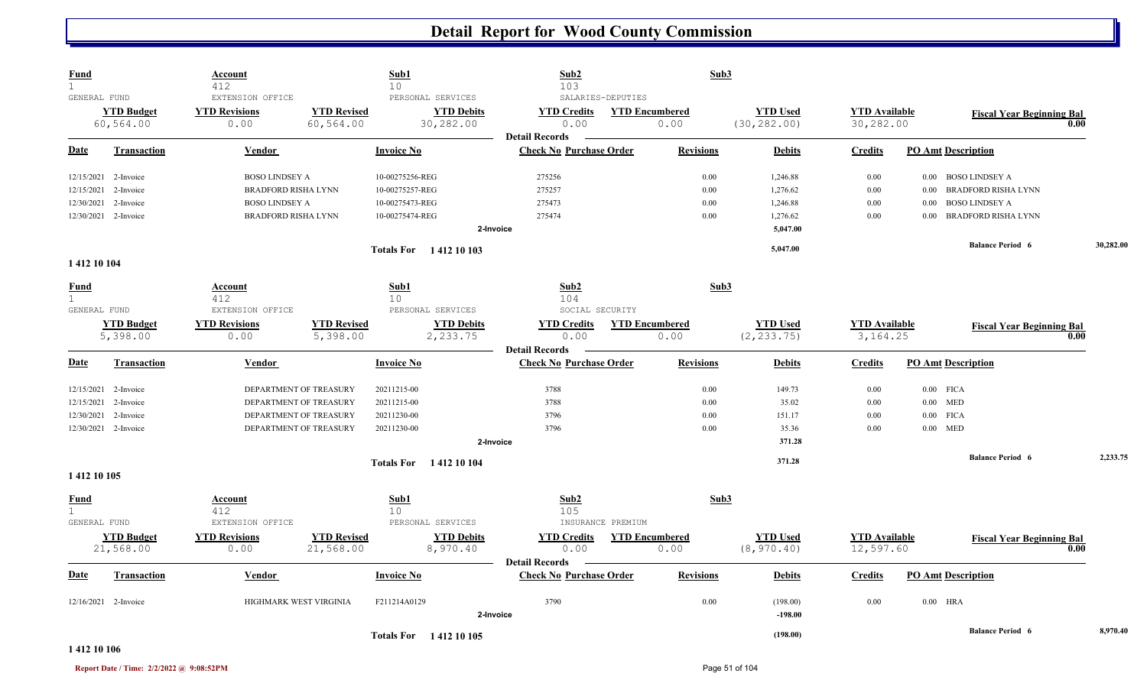| <b>Fund</b><br>$\mathbf{1}$ |                      | Account<br>412             |                        | Sub1<br>10        |                               | Sub2<br>103                    |                   | Sub3                  |                       |                      |                           |                                  |      |           |
|-----------------------------|----------------------|----------------------------|------------------------|-------------------|-------------------------------|--------------------------------|-------------------|-----------------------|-----------------------|----------------------|---------------------------|----------------------------------|------|-----------|
| GENERAL FUND                |                      | EXTENSION OFFICE           |                        |                   | PERSONAL SERVICES             |                                | SALARIES-DEPUTIES |                       |                       |                      |                           |                                  |      |           |
|                             | <b>YTD Budget</b>    | <b>YTD Revisions</b>       | <b>YTD Revised</b>     |                   | <b>YTD Debits</b>             | <b>YTD Credits</b>             |                   | <b>YTD Encumbered</b> | <b>YTD Used</b>       | <b>YTD</b> Available |                           | <b>Fiscal Year Beginning Bal</b> |      |           |
|                             | 60,564.00            | 0.00                       | 60,564.00              |                   | 30,282.00                     | 0.00                           |                   | 0.00                  | (30, 282.00)          | 30,282.00            |                           |                                  | 0.00 |           |
|                             |                      |                            |                        |                   |                               | <b>Detail Records</b>          |                   |                       |                       |                      |                           |                                  |      |           |
| Date                        | <b>Transaction</b>   | Vendor                     |                        | <b>Invoice No</b> |                               | <b>Check No Purchase Order</b> |                   | <b>Revisions</b>      | <b>Debits</b>         | <b>Credits</b>       | <b>PO Amt Description</b> |                                  |      |           |
|                             | 12/15/2021 2-Invoice | <b>BOSO LINDSEY A</b>      |                        | 10-00275256-REG   |                               | 275256                         |                   | 0.00                  | 1,246.88              | 0.00                 |                           | 0.00 BOSO LINDSEY A              |      |           |
| 12/15/2021                  | 2-Invoice            | <b>BRADFORD RISHA LYNN</b> |                        | 10-00275257-REG   |                               | 275257                         |                   | 0.00                  | 1,276.62              | $0.00\,$             | 0.00                      | <b>BRADFORD RISHA LYNN</b>       |      |           |
| 12/30/2021                  | 2-Invoice            | <b>BOSO LINDSEY A</b>      |                        | 10-00275473-REG   |                               | 275473                         |                   | 0.00                  | 1,246.88              | 0.00                 | 0.00                      | <b>BOSO LINDSEY A</b>            |      |           |
|                             | 12/30/2021 2-Invoice | <b>BRADFORD RISHA LYNN</b> |                        | 10-00275474-REG   |                               | 275474                         |                   | 0.00                  | 1,276.62              | 0.00                 | 0.00                      | <b>BRADFORD RISHA LYNN</b>       |      |           |
|                             |                      |                            |                        |                   | 2-Invoice                     |                                |                   |                       | 5,047.00              |                      |                           |                                  |      |           |
|                             |                      |                            |                        |                   | <b>Totals For</b> 1412 10 103 |                                |                   |                       | 5,047.00              |                      |                           | <b>Balance Period 6</b>          |      | 30,282.00 |
| 1412 10 104                 |                      |                            |                        |                   |                               |                                |                   |                       |                       |                      |                           |                                  |      |           |
| <b>Fund</b>                 |                      | <b>Account</b>             |                        | Sub1              |                               | Sub2                           |                   | Sub3                  |                       |                      |                           |                                  |      |           |
| $\mathbf{1}$                |                      | 412                        |                        | 10                |                               | 104                            |                   |                       |                       |                      |                           |                                  |      |           |
| GENERAL FUND                |                      | EXTENSION OFFICE           |                        |                   | PERSONAL SERVICES             | SOCIAL SECURITY                |                   |                       |                       |                      |                           |                                  |      |           |
|                             | <b>YTD Budget</b>    | <b>YTD Revisions</b>       | <b>YTD Revised</b>     |                   | <b>YTD Debits</b>             | <b>YTD Credits</b>             |                   | <b>YTD Encumbered</b> | <b>YTD Used</b>       | <b>YTD Available</b> |                           | <b>Fiscal Year Beginning Bal</b> |      |           |
|                             | 5,398.00             | 0.00                       | 5,398.00               |                   | 2,233.75                      | 0.00<br><b>Detail Records</b>  |                   | 0.00                  | (2, 233.75)           | 3, 164. 25           |                           |                                  | 0.00 |           |
| Date                        | <b>Transaction</b>   | Vendor                     |                        | <b>Invoice No</b> |                               | <b>Check No Purchase Order</b> |                   | <b>Revisions</b>      | <b>Debits</b>         | <b>Credits</b>       | <b>PO Amt Description</b> |                                  |      |           |
| 12/15/2021                  | 2-Invoice            |                            | DEPARTMENT OF TREASURY | 20211215-00       |                               | 3788                           |                   | 0.00                  | 149.73                | 0.00                 | $0.00$ FICA               |                                  |      |           |
| 12/15/2021                  | 2-Invoice            |                            | DEPARTMENT OF TREASURY | 20211215-00       |                               | 3788                           |                   | 0.00                  | 35.02                 | 0.00                 | $0.00$ MED                |                                  |      |           |
| 12/30/2021                  | 2-Invoice            |                            | DEPARTMENT OF TREASURY | 20211230-00       |                               | 3796                           |                   | 0.00                  | 151.17                | 0.00                 | $0.00$ FICA               |                                  |      |           |
|                             | 12/30/2021 2-Invoice |                            | DEPARTMENT OF TREASURY | 20211230-00       |                               | 3796                           |                   | 0.00                  | 35.36                 | 0.00                 | $0.00$ MED                |                                  |      |           |
|                             |                      |                            |                        |                   | 2-Invoice                     |                                |                   |                       | 371.28                |                      |                           |                                  |      |           |
|                             |                      |                            |                        |                   | <b>Totals For</b> 1412 10 104 |                                |                   |                       | 371.28                |                      |                           | <b>Balance Period 6</b>          |      | 2,233.75  |
| 1 412 10 105                |                      |                            |                        |                   |                               |                                |                   |                       |                       |                      |                           |                                  |      |           |
| <b>Fund</b>                 |                      | Account                    |                        | Sub1              |                               | Sub2                           |                   | Sub3                  |                       |                      |                           |                                  |      |           |
| $\mathbf{1}$                |                      | 412                        |                        | 10 <sup>°</sup>   |                               | 105                            |                   |                       |                       |                      |                           |                                  |      |           |
| GENERAL FUND                |                      | EXTENSION OFFICE           |                        |                   | PERSONAL SERVICES             |                                | INSURANCE PREMIUM |                       |                       |                      |                           |                                  |      |           |
|                             | <b>YTD Budget</b>    | <b>YTD Revisions</b>       | <b>YTD Revised</b>     |                   | <b>YTD Debits</b>             | <b>YTD Credits</b>             |                   | <b>YTD Encumbered</b> | <b>YTD Used</b>       | <b>YTD</b> Available |                           | <b>Fiscal Year Beginning Bal</b> | 0.00 |           |
|                             | 21,568.00            | 0.00                       | 21,568.00              |                   | 8,970.40                      | 0.00<br><b>Detail Records</b>  |                   | 0.00                  | (8, 970.40)           | 12,597.60            |                           |                                  |      |           |
| <b>Date</b>                 | Transaction          | Vendor                     |                        | <b>Invoice No</b> |                               | <b>Check No Purchase Order</b> |                   | <b>Revisions</b>      | <b>Debits</b>         | <b>Credits</b>       | <b>PO Amt Description</b> |                                  |      |           |
|                             |                      |                            |                        |                   |                               |                                |                   |                       |                       |                      |                           |                                  |      |           |
|                             | 12/16/2021 2-Invoice |                            | HIGHMARK WEST VIRGINIA | F211214A0129      | 2-Invoice                     | 3790                           |                   | 0.00                  | (198.00)<br>$-198.00$ | 0.00                 | $0.00$ HRA                |                                  |      |           |
|                             |                      |                            |                        |                   |                               |                                |                   |                       |                       |                      |                           | <b>Balance Period 6</b>          |      | 8,970.40  |
|                             |                      |                            |                        |                   | Totals For 1412 10 105        |                                |                   |                       | (198.00)              |                      |                           |                                  |      |           |

#### **1 412 10 106**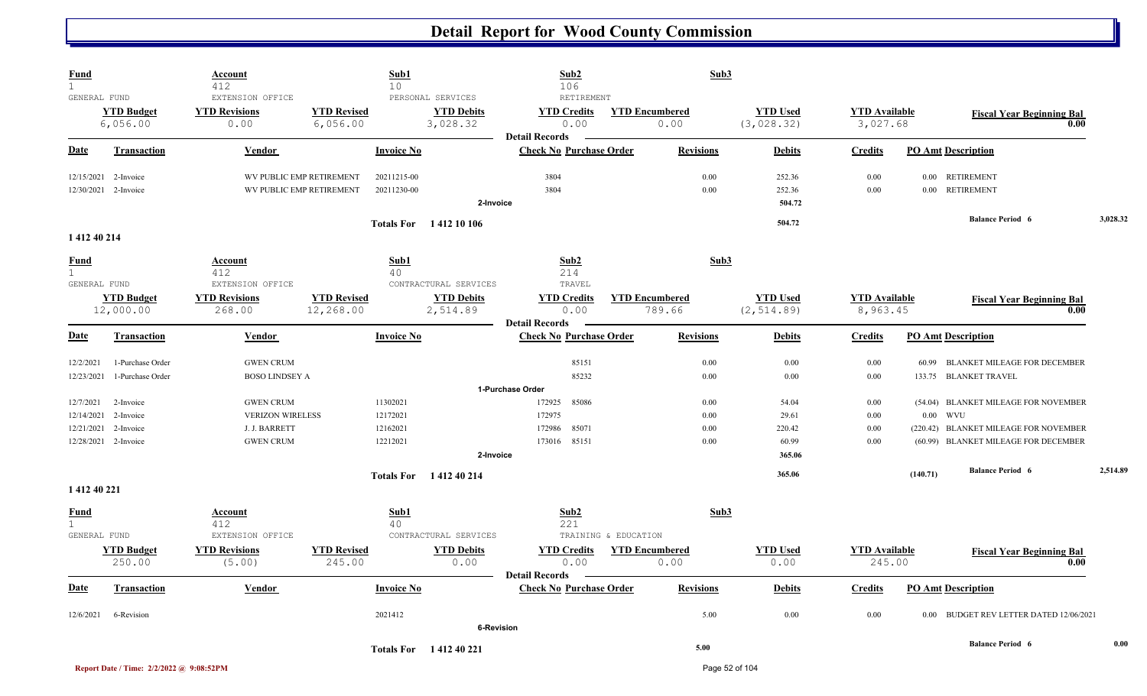| <b>Fund</b><br>$\mathbf{1}$                 |                                          | <b>Account</b><br>412                            |                                                      | Sub1<br>10                                         | Sub2<br>106                                             |                                 | Sub3                                       |                                  |                                                                         |          |
|---------------------------------------------|------------------------------------------|--------------------------------------------------|------------------------------------------------------|----------------------------------------------------|---------------------------------------------------------|---------------------------------|--------------------------------------------|----------------------------------|-------------------------------------------------------------------------|----------|
| GENERAL FUND                                | <b>YTD Budget</b><br>6,056.00            | EXTENSION OFFICE<br><b>YTD Revisions</b><br>0.00 | <b>YTD Revised</b><br>6,056.00                       | PERSONAL SERVICES<br><b>YTD Debits</b><br>3,028.32 | RETIREMENT<br><b>YTD Credits</b><br>0.00                | <b>YTD Encumbered</b><br>0.00   | <b>YTD Used</b><br>(3,028.32)              | <b>YTD</b> Available<br>3,027.68 | <b>Fiscal Year Beginning Bal</b>                                        | 0.00     |
| <u>Date</u>                                 | <b>Transaction</b>                       | Vendor                                           |                                                      | <b>Invoice No</b>                                  | <b>Detail Records</b><br><b>Check No Purchase Order</b> | <b>Revisions</b>                | <b>Debits</b>                              | <b>Credits</b>                   | <b>PO Amt Description</b>                                               |          |
| 12/15/2021<br>12/30/2021                    | 2-Invoice<br>2-Invoice                   |                                                  | WV PUBLIC EMP RETIREMENT<br>WV PUBLIC EMP RETIREMENT | 20211215-00<br>20211230-00                         | 3804<br>3804<br>2-Invoice                               |                                 | 0.00<br>252.36<br>0.00<br>252.36<br>504.72 | 0.00<br>0.00                     | <b>RETIREMENT</b><br>0.00<br>0.00 RETIREMENT<br><b>Balance Period 6</b> | 3,028.32 |
| 1 412 40 214                                |                                          |                                                  |                                                      | Totals For 1412 10 106                             |                                                         |                                 | 504.72                                     |                                  |                                                                         |          |
| <b>Fund</b><br>$\mathbf{1}$<br>GENERAL FUND |                                          | Account<br>412<br>EXTENSION OFFICE               |                                                      | Sub1<br>40<br>CONTRACTURAL SERVICES                | Sub2<br>214<br>TRAVEL                                   |                                 | Sub3                                       |                                  |                                                                         |          |
|                                             | <b>YTD Budget</b><br>12,000.00           | <b>YTD Revisions</b><br>268.00                   | <b>YTD Revised</b><br>12,268.00                      | <b>YTD Debits</b><br>2,514.89                      | <b>YTD Credits</b><br>0.00<br><b>Detail Records</b>     | <b>YTD Encumbered</b><br>789.66 | <b>YTD Used</b><br>(2, 514.89)             | <b>YTD</b> Available<br>8,963.45 | <b>Fiscal Year Beginning Bal</b>                                        | 0.00     |
| Date                                        | <b>Transaction</b>                       | <b>Vendor</b>                                    |                                                      | <b>Invoice No</b>                                  | <b>Check No Purchase Order</b>                          | <b>Revisions</b>                | <b>Debits</b>                              | <b>Credits</b>                   | <b>PO Amt Description</b>                                               |          |
| 12/2/2021<br>12/23/2021                     | 1-Purchase Order<br>1-Purchase Order     | <b>GWEN CRUM</b><br><b>BOSO LINDSEY A</b>        |                                                      |                                                    | 85151<br>85232                                          |                                 | 0.00<br>0.00<br>0.00<br>0.00               | 0.00<br>$0.00\,$                 | BLANKET MILEAGE FOR DECEMBER<br>60.99<br>133.75 BLANKET TRAVEL          |          |
|                                             |                                          |                                                  |                                                      |                                                    | 1-Purchase Order                                        |                                 |                                            |                                  |                                                                         |          |
| 12/7/2021                                   | 2-Invoice                                | <b>GWEN CRUM</b>                                 |                                                      | 11302021                                           | 172925<br>85086                                         |                                 | 0.00<br>54.04                              | $0.00\,$                         | (54.04) BLANKET MILEAGE FOR NOVEMBER                                    |          |
| 12/14/2021                                  | 2-Invoice                                | <b>VERIZON WIRELESS</b>                          |                                                      | 12172021                                           | 172975                                                  |                                 | 0.00<br>29.61                              | $0.00\,$                         | WVU<br>$0.00\,$                                                         |          |
| 12/21/2021                                  | 2-Invoice                                | J. J. BARRETT                                    |                                                      | 12162021                                           | 172986<br>85071                                         |                                 | 0.00<br>220.42                             | 0.00                             | (220.42) BLANKET MILEAGE FOR NOVEMBER                                   |          |
|                                             | 12/28/2021 2-Invoice                     | <b>GWEN CRUM</b>                                 |                                                      | 12212021                                           | 85151<br>173016                                         |                                 | 60.99<br>0.00                              | 0.00                             | (60.99) BLANKET MILEAGE FOR DECEMBER                                    |          |
|                                             |                                          |                                                  |                                                      |                                                    | 2-Invoice                                               |                                 | 365.06                                     |                                  |                                                                         |          |
|                                             |                                          |                                                  |                                                      | Totals For 1412 40 214                             |                                                         |                                 | 365.06                                     |                                  | <b>Balance Period 6</b><br>(140.71)                                     | 2,514.89 |
| 1 412 40 221                                |                                          |                                                  |                                                      |                                                    |                                                         |                                 |                                            |                                  |                                                                         |          |
| <b>Fund</b><br>$\mathbf 1$<br>GENERAL FUND  |                                          | <b>Account</b><br>412<br>EXTENSION OFFICE        |                                                      | Sub1<br>40<br>CONTRACTURAL SERVICES                | Sub2<br>221                                             | TRAINING & EDUCATION            | Sub3                                       |                                  |                                                                         |          |
|                                             | <b>YTD Budget</b><br>250.00              | <b>YTD Revisions</b><br>(5.00)                   | <b>YTD Revised</b><br>245.00                         | <b>YTD Debits</b><br>0.00                          | <b>YTD Credits</b><br>0.00<br>Detail Records -          | <b>YTD Encumbered</b><br>0.00   | <b>YTD Used</b><br>0.00                    | <b>YTD</b> Available<br>245.00   | <b>Fiscal Year Beginning Bal</b>                                        | 0.00     |
| <u>Date</u>                                 | <b>Transaction</b>                       | Vendor                                           |                                                      | <b>Invoice No</b>                                  | <b>Check No Purchase Order</b>                          | <b>Revisions</b>                | <b>Debits</b>                              | <b>Credits</b>                   | <b>PO Amt Description</b>                                               |          |
| 12/6/2021                                   | 6-Revision                               |                                                  |                                                      | 2021412                                            | <b>6-Revision</b>                                       |                                 | 5.00<br>0.00                               | 0.00                             | 0.00 BUDGET REV LETTER DATED 12/06/2021                                 |          |
|                                             |                                          |                                                  |                                                      | Totals For 1412 40 221                             |                                                         |                                 | 5.00                                       |                                  | <b>Balance Period 6</b>                                                 | 0.00     |
|                                             | Report Date / Time: 2/2/2022 @ 9:08:52PM |                                                  |                                                      |                                                    |                                                         |                                 | Page 52 of 104                             |                                  |                                                                         |          |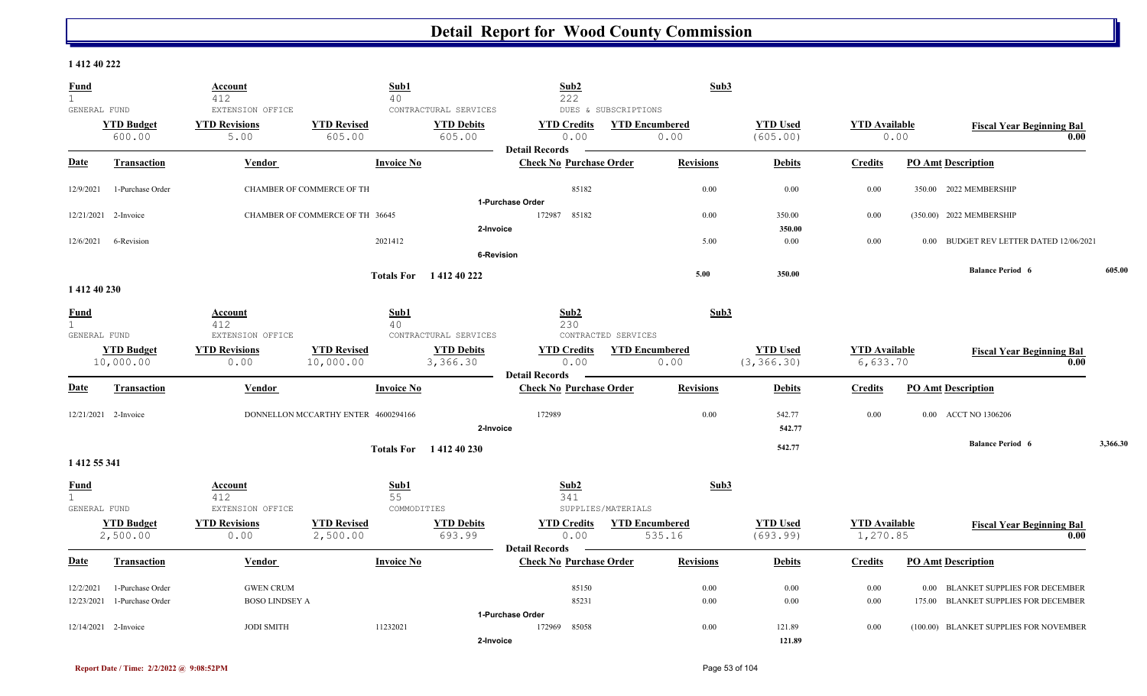#### **1 412 40 222**

| <b>Fund</b><br>$\mathbf{1}$ |                                | <b>Account</b><br>412        | Sub1<br>40                          |                               | Sub2<br>222                    |                       | Sub3             |                                |                                  |      |                                          |          |
|-----------------------------|--------------------------------|------------------------------|-------------------------------------|-------------------------------|--------------------------------|-----------------------|------------------|--------------------------------|----------------------------------|------|------------------------------------------|----------|
| GENERAL FUND                |                                | EXTENSION OFFICE             |                                     | CONTRACTURAL SERVICES         |                                | DUES & SUBSCRIPTIONS  |                  |                                |                                  |      |                                          |          |
|                             | <b>YTD Budget</b><br>600.00    | <b>YTD Revisions</b><br>5.00 | <b>YTD Revised</b><br>605.00        | <b>YTD Debits</b><br>605.00   | <b>YTD Credits</b><br>0.00     | <b>YTD Encumbered</b> | 0.00             | <b>YTD Used</b><br>(605.00)    | <b>YTD</b> Available             | 0.00 | <b>Fiscal Year Beginning Bal</b><br>0.00 |          |
|                             |                                |                              |                                     |                               | <b>Detail Records</b>          |                       |                  |                                |                                  |      |                                          |          |
| <b>Date</b>                 | <b>Transaction</b>             | Vendor                       | <b>Invoice No</b>                   |                               | <b>Check No Purchase Order</b> |                       | <b>Revisions</b> | <b>Debits</b>                  | <b>Credits</b>                   |      | <b>PO Amt Description</b>                |          |
| 12/9/2021                   | 1-Purchase Order               |                              | CHAMBER OF COMMERCE OF TH           |                               | 85182                          |                       | 0.00             | 0.00                           | 0.00                             |      | 350.00 2022 MEMBERSHIP                   |          |
|                             |                                |                              |                                     |                               | 1-Purchase Order               |                       |                  |                                |                                  |      |                                          |          |
|                             | 12/21/2021 2-Invoice           |                              | CHAMBER OF COMMERCE OF TH 36645     |                               | 85182<br>172987                |                       | 0.00             | 350.00                         | 0.00                             |      | (350.00) 2022 MEMBERSHIP                 |          |
|                             |                                |                              |                                     | 2-Invoice                     |                                |                       |                  | 350.00                         |                                  |      |                                          |          |
| 12/6/2021                   | 6-Revision                     |                              | 2021412                             |                               |                                |                       | 5.00             | 0.00                           | 0.00                             |      | 0.00 BUDGET REV LETTER DATED 12/06/2021  |          |
|                             |                                |                              |                                     | <b>6-Revision</b>             |                                |                       |                  |                                |                                  |      |                                          |          |
|                             |                                |                              |                                     | Totals For 141240222          |                                |                       | 5.00             | 350.00                         |                                  |      | <b>Balance Period 6</b>                  | 605.00   |
| 1 412 40 230                |                                |                              |                                     |                               |                                |                       |                  |                                |                                  |      |                                          |          |
| <b>Fund</b>                 |                                | Account                      | Sub1                                |                               | Sub2                           |                       | Sub3             |                                |                                  |      |                                          |          |
| $\mathbf{1}$                |                                | 412                          | 40                                  |                               | 230                            |                       |                  |                                |                                  |      |                                          |          |
| GENERAL FUND                |                                | EXTENSION OFFICE             |                                     | CONTRACTURAL SERVICES         |                                | CONTRACTED SERVICES   |                  |                                |                                  |      |                                          |          |
|                             | <b>YTD Budget</b><br>10,000.00 | <b>YTD Revisions</b><br>0.00 | <b>YTD Revised</b><br>10,000.00     | <b>YTD Debits</b><br>3,366.30 | <b>YTD Credits</b><br>0.00     | <b>YTD Encumbered</b> | 0.00             | <b>YTD Used</b><br>(3, 366.30) | <b>YTD Available</b><br>6,633.70 |      | <b>Fiscal Year Beginning Bal</b><br>0.00 |          |
|                             |                                |                              |                                     |                               | <b>Detail Records</b>          |                       |                  |                                |                                  |      |                                          |          |
| Date                        | <b>Transaction</b>             | <b>Vendor</b>                | <b>Invoice No</b>                   |                               | <b>Check No Purchase Order</b> |                       | <b>Revisions</b> | <b>Debits</b>                  | <b>Credits</b>                   |      | <b>PO Amt Description</b>                |          |
|                             | 12/21/2021 2-Invoice           |                              | DONNELLON MCCARTHY ENTER 4600294166 |                               | 172989                         |                       | 0.00             | 542.77                         | 0.00                             |      | 0.00 ACCT NO 1306206                     |          |
|                             |                                |                              |                                     | 2-Invoice                     |                                |                       |                  | 542.77                         |                                  |      |                                          |          |
|                             |                                |                              |                                     |                               |                                |                       |                  | 542.77                         |                                  |      | <b>Balance Period 6</b>                  | 3,366.30 |
| 1 412 55 341                |                                |                              |                                     | Totals For 141240230          |                                |                       |                  |                                |                                  |      |                                          |          |
|                             |                                |                              |                                     |                               |                                |                       |                  |                                |                                  |      |                                          |          |
| <b>Fund</b><br>$\mathbf{1}$ |                                | <b>Account</b><br>412        | Sub1<br>55                          |                               | Sub2<br>341                    |                       | Sub3             |                                |                                  |      |                                          |          |
| GENERAL FUND                |                                | EXTENSION OFFICE             | COMMODITIES                         |                               |                                | SUPPLIES/MATERIALS    |                  |                                |                                  |      |                                          |          |
|                             | <b>YTD Budget</b>              | <b>YTD Revisions</b>         | <b>YTD Revised</b>                  | <b>YTD Debits</b>             | <b>YTD Credits</b>             | <b>YTD Encumbered</b> |                  | <b>YTD Used</b>                | <b>YTD Available</b>             |      | <b>Fiscal Year Beginning Bal</b>         |          |
|                             | 2,500.00                       | 0.00                         | 2,500.00                            | 693.99                        | 0.00                           | 535.16                |                  | (693.99)                       | 1,270.85                         |      | 0.00                                     |          |
|                             |                                |                              |                                     |                               | <b>Detail Records</b>          |                       |                  |                                |                                  |      |                                          |          |
| Date                        | <b>Transaction</b>             | Vendor                       | <b>Invoice No</b>                   |                               | <b>Check No Purchase Order</b> |                       | <b>Revisions</b> | <b>Debits</b>                  | <b>Credits</b>                   |      | <b>PO Amt Description</b>                |          |
| 12/2/2021                   | 1-Purchase Order               | <b>GWEN CRUM</b>             |                                     |                               | 85150                          |                       | 0.00             | 0.00                           | 0.00                             |      | 0.00 BLANKET SUPPLIES FOR DECEMBER       |          |
| 12/23/2021                  | 1-Purchase Order               | <b>BOSO LINDSEY A</b>        |                                     |                               | 85231                          |                       | 0.00             | 0.00                           | 0.00                             |      | 175.00 BLANKET SUPPLIES FOR DECEMBER     |          |
|                             |                                |                              |                                     |                               | 1-Purchase Order               |                       |                  |                                |                                  |      |                                          |          |
|                             | 12/14/2021 2-Invoice           | <b>JODI SMITH</b>            | 11232021                            |                               | 85058<br>172969                |                       | 0.00             | 121.89                         | 0.00                             |      | (100.00) BLANKET SUPPLIES FOR NOVEMBER   |          |
|                             |                                |                              |                                     | 2-Invoice                     |                                |                       |                  | 121.89                         |                                  |      |                                          |          |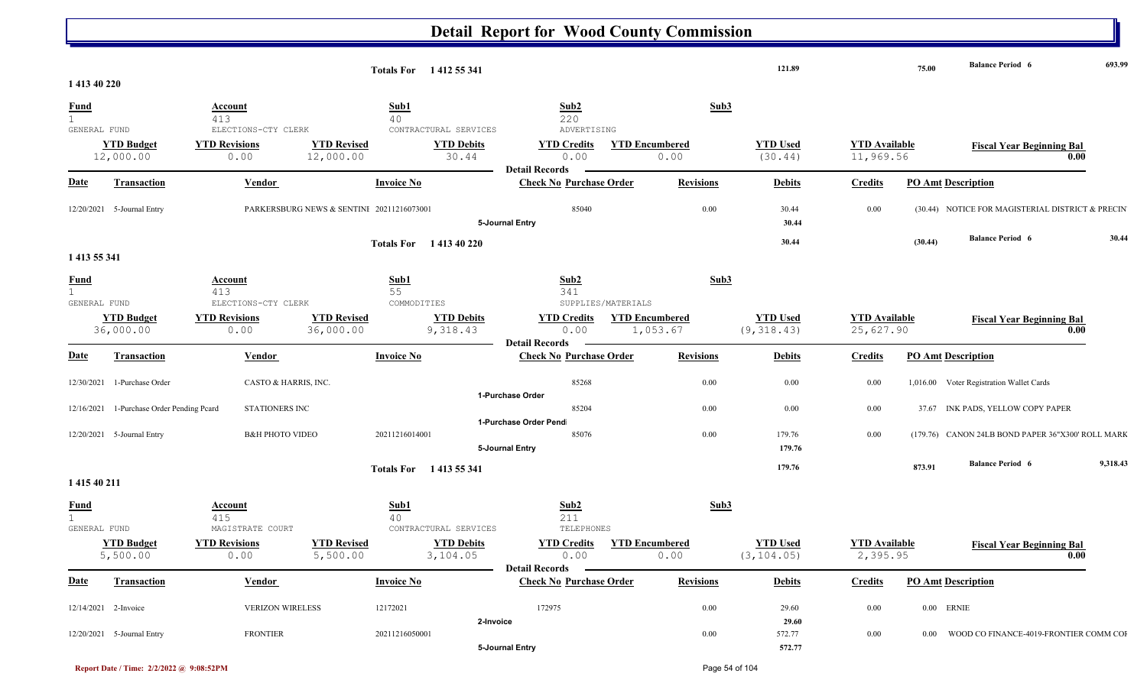|                                  |                                           |                                                  |                                           | Totals For 1412 55 341                                 |                                                              |                                   | 121.89                         |                                   | 75.00   | <b>Balance Period 6</b>                           | 693.99   |
|----------------------------------|-------------------------------------------|--------------------------------------------------|-------------------------------------------|--------------------------------------------------------|--------------------------------------------------------------|-----------------------------------|--------------------------------|-----------------------------------|---------|---------------------------------------------------|----------|
| 1 413 40 220                     |                                           |                                                  |                                           |                                                        |                                                              |                                   |                                |                                   |         |                                                   |          |
| <b>Fund</b><br>1<br>GENERAL FUND |                                           | <b>Account</b><br>413<br>ELECTIONS-CTY CLERK     |                                           | Sub1<br>40<br>CONTRACTURAL SERVICES                    | Sub2<br>220<br>ADVERTISING                                   | Sub3                              |                                |                                   |         |                                                   |          |
|                                  | <b>YTD Budget</b><br>12,000.00            | <b>YTD Revisions</b><br>0.00                     | <b>YTD Revised</b><br>12,000.00           | <b>YTD Debits</b><br>30.44                             | <b>YTD Credits</b><br>0.00<br><b>Detail Records</b>          | <b>YTD Encumbered</b><br>0.00     | <b>YTD Used</b><br>(30.44)     | <b>YTD</b> Available<br>11,969.56 |         | <b>Fiscal Year Beginning Bal</b>                  | 0.00     |
| <u>Date</u>                      | Transaction                               | <b>Vendor</b>                                    |                                           | <b>Invoice No</b>                                      | <b>Check No Purchase Order</b>                               | <b>Revisions</b>                  | <b>Debits</b>                  | <b>Credits</b>                    |         | <b>PO Amt Description</b>                         |          |
|                                  | 12/20/2021 5-Journal Entry                |                                                  | PARKERSBURG NEWS & SENTINI 20211216073001 |                                                        | 85040<br>5-Journal Entry                                     | $0.00\,$                          | 30.44<br>30.44                 | 0.00                              |         | (30.44) NOTICE FOR MAGISTERIAL DISTRICT & PRECIN  |          |
| 1 4 1 3 5 5 3 4 1                |                                           |                                                  |                                           | Totals For 1413 40 220                                 |                                                              |                                   | 30.44                          |                                   | (30.44) | <b>Balance Period 6</b>                           | 30.44    |
| <b>Fund</b><br>GENERAL FUND      |                                           | Account<br>413<br>ELECTIONS-CTY CLERK            |                                           | Sub1<br>55<br>COMMODITIES                              | Sub2<br>341<br>SUPPLIES/MATERIALS                            | Sub3                              |                                |                                   |         |                                                   |          |
|                                  | <b>YTD Budget</b><br>36,000.00            | <b>YTD Revisions</b><br>0.00                     | <b>YTD Revised</b><br>36,000.00           | <b>YTD Debits</b><br>9,318.43                          | <b>YTD Credits</b><br>0.00<br><b>Detail Records</b>          | <b>YTD Encumbered</b><br>1,053.67 | <b>YTD Used</b><br>(9, 318.43) | <b>YTD</b> Available<br>25,627.90 |         | <b>Fiscal Year Beginning Bal</b>                  | 0.00     |
| <b>Date</b>                      | Transaction                               | <b>Vendor</b>                                    |                                           | <b>Invoice No</b>                                      | <b>Check No Purchase Order</b>                               | <b>Revisions</b>                  | <b>Debits</b>                  | <b>Credits</b>                    |         | <b>PO Amt Description</b>                         |          |
|                                  | 12/30/2021 1-Purchase Order               | CASTO & HARRIS, INC.                             |                                           |                                                        | 85268<br>1-Purchase Order                                    | $0.00\,$                          | 0.00                           | 0.00                              |         | 1,016.00 Voter Registration Wallet Cards          |          |
|                                  | 12/16/2021 1-Purchase Order Pending Pcard | STATIONERS INC                                   |                                           |                                                        | 85204                                                        | $0.00\,$                          | 0.00                           | 0.00                              |         | 37.67 INK PADS, YELLOW COPY PAPER                 |          |
|                                  | 12/20/2021 5-Journal Entry                | <b>B&amp;H PHOTO VIDEO</b>                       |                                           | 20211216014001                                         | 1-Purchase Order Pend<br>85076<br>5-Journal Entry            | $0.00\,$                          | 179.76<br>179.76               | 0.00                              |         | (179.76) CANON 24LB BOND PAPER 36"X300' ROLL MARK |          |
| 1 415 40 211                     |                                           |                                                  |                                           | Totals For 1413 55 341                                 |                                                              |                                   | 179.76                         |                                   | 873.91  | <b>Balance Period 6</b>                           | 9,318.43 |
| <b>Fund</b><br>1                 |                                           | Account<br>415                                   |                                           | Sub1<br>40                                             | Sub2<br>211                                                  | Sub3                              |                                |                                   |         |                                                   |          |
| GENERAL FUND                     | <b>YTD Budget</b><br>5,500.00             | MAGISTRATE COURT<br><b>YTD Revisions</b><br>0.00 | <b>YTD Revised</b><br>5,500.00            | CONTRACTURAL SERVICES<br><b>YTD Debits</b><br>3,104.05 | TELEPHONES<br><b>YTD Credits</b><br>0.00<br>Detail Records – | <b>YTD Encumbered</b><br>0.00     | <b>YTD Used</b><br>(3, 104.05) | <b>YTD Available</b><br>2,395.95  |         | <b>Fiscal Year Beginning Bal</b>                  | 0.00     |
| <b>Date</b>                      | Transaction                               | <b>Vendor</b>                                    |                                           | <b>Invoice No</b>                                      | <b>Check No Purchase Order</b>                               | <b>Revisions</b>                  | <b>Debits</b>                  | <b>Credits</b>                    |         | <b>PO Amt Description</b>                         |          |
|                                  | 12/14/2021 2-Invoice                      | <b>VERIZON WIRELESS</b>                          |                                           | 12172021<br>2-Invoice                                  | 172975                                                       | $0.00\,$                          | 29.60<br>29.60                 | 0.00                              |         | $0.00$ ERNIE                                      |          |
|                                  | 12/20/2021 5-Journal Entry                | <b>FRONTIER</b>                                  |                                           | 20211216050001                                         | 5-Journal Entry                                              | $0.00\,$                          | 572.77<br>572.77               | 0.00                              |         | 0.00 WOOD CO FINANCE-4019-FRONTIER COMM COI       |          |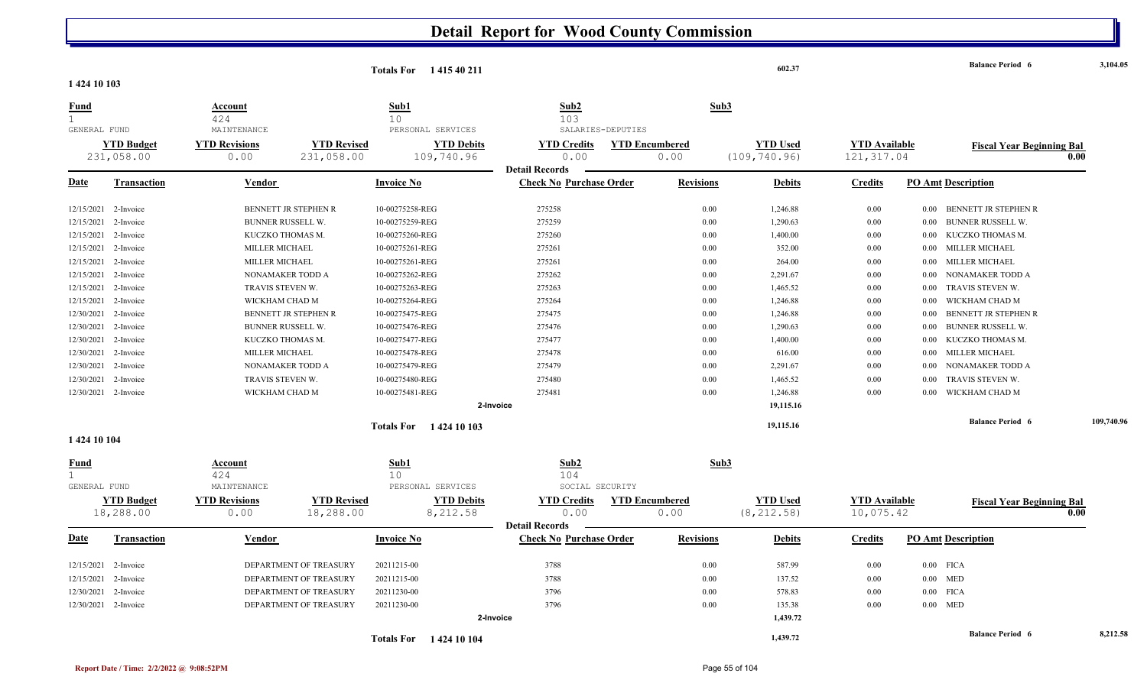|                                             |                                 |                                      |                                  | <b>Totals For</b> 141540211     |                                                         |                               | 602.37                           |                                     | <b>Balance Period 6</b>          | 3,104.05                                 |
|---------------------------------------------|---------------------------------|--------------------------------------|----------------------------------|---------------------------------|---------------------------------------------------------|-------------------------------|----------------------------------|-------------------------------------|----------------------------------|------------------------------------------|
| 1 424 10 103                                |                                 |                                      |                                  |                                 |                                                         |                               |                                  |                                     |                                  |                                          |
| <u>Fund</u><br>$\mathbf{1}$                 |                                 | Account<br>424                       | Sub1<br>10                       |                                 | Sub2<br>103                                             |                               | Sub3                             |                                     |                                  |                                          |
| GENERAL FUND                                |                                 | MAINTENANCE                          |                                  | PERSONAL SERVICES               | SALARIES-DEPUTIES                                       |                               |                                  |                                     |                                  |                                          |
|                                             | <b>YTD Budget</b><br>231,058.00 | <b>YTD Revisions</b><br>0.00         | <b>YTD Revised</b><br>231,058.00 | <b>YTD Debits</b><br>109,740.96 | <b>YTD Credits</b><br>0.00                              | <b>YTD Encumbered</b><br>0.00 | <b>YTD Used</b><br>(109, 740.96) | <b>YTD Available</b><br>121, 317.04 |                                  | <b>Fiscal Year Beginning Bal</b><br>0.00 |
|                                             |                                 |                                      |                                  |                                 | <b>Detail Records</b>                                   |                               |                                  |                                     |                                  |                                          |
| <u>Date</u>                                 | <b>Transaction</b>              | Vendor                               | <b>Invoice No</b>                |                                 | <b>Check No Purchase Order</b>                          | <b>Revisions</b>              | <b>Debits</b>                    | <b>Credits</b>                      | <b>PO Amt Description</b>        |                                          |
|                                             | 12/15/2021 2-Invoice            | BENNETT JR STEPHEN R                 | 10-00275258-REG                  |                                 | 275258                                                  |                               | 0.00<br>1,246.88                 | 0.00                                | 0.00 BENNETT JR STEPHEN R        |                                          |
| 12/15/2021                                  | 2-Invoice                       | BUNNER RUSSELL W.                    | 10-00275259-REG                  |                                 | 275259                                                  |                               | 0.00<br>1,290.63                 | 0.00                                | BUNNER RUSSELL W.<br>0.00        |                                          |
| 12/15/2021                                  | 2-Invoice                       | KUCZKO THOMAS M.                     | 10-00275260-REG                  |                                 | 275260                                                  |                               | 0.00<br>1,400.00                 | 0.00                                | KUCZKO THOMAS M.<br>$0.00\,$     |                                          |
| 12/15/2021                                  | 2-Invoice                       | MILLER MICHAEL                       | 10-00275261-REG                  |                                 | 275261                                                  |                               | 352.00<br>$0.00\,$               | 0.00                                | MILLER MICHAEL<br>$0.00\,$       |                                          |
| 12/15/2021                                  | 2-Invoice                       | MILLER MICHAEL                       | 10-00275261-REG                  |                                 | 275261                                                  |                               | 264.00<br>$0.00\,$               | 0.00                                | MILLER MICHAEL<br>$0.00\,$       |                                          |
| 12/15/2021                                  | 2-Invoice                       | NONAMAKER TODD A                     | 10-00275262-REG                  |                                 | 275262                                                  |                               | 0.00<br>2,291.67                 | 0.00                                | NONAMAKER TODD A<br>0.00         |                                          |
| 12/15/2021                                  | 2-Invoice                       | TRAVIS STEVEN W.                     | 10-00275263-REG                  |                                 | 275263                                                  |                               | 1,465.52<br>0.00                 | 0.00                                | TRAVIS STEVEN W.<br>0.00         |                                          |
| 12/15/2021                                  | 2-Invoice                       | WICKHAM CHAD M                       | 10-00275264-REG                  |                                 | 275264                                                  |                               | 0.00<br>1,246.88                 | 0.00                                | WICKHAM CHAD M<br>0.00           |                                          |
| 12/30/2021                                  | 2-Invoice                       | BENNETT JR STEPHEN R                 | 10-00275475-REG                  |                                 | 275475                                                  |                               | 0.00<br>1,246.88                 | 0.00                                | BENNETT JR STEPHEN R<br>0.00     |                                          |
| 12/30/2021                                  | 2-Invoice                       | BUNNER RUSSELL W.                    | 10-00275476-REG                  |                                 | 275476                                                  |                               | 0.00<br>1,290.63                 | 0.00                                | <b>BUNNER RUSSELL W.</b><br>0.00 |                                          |
| 12/30/2021                                  | 2-Invoice                       | KUCZKO THOMAS M.                     | 10-00275477-REG                  |                                 | 275477                                                  |                               | 0.00<br>1,400.00                 | 0.00                                | KUCZKO THOMAS M.<br>0.00         |                                          |
| 12/30/2021                                  | 2-Invoice                       | MILLER MICHAEL                       | 10-00275478-REG                  |                                 | 275478                                                  |                               | 0.00<br>616.00                   | 0.00                                | MILLER MICHAEL<br>0.00           |                                          |
| 12/30/2021                                  | 2-Invoice                       | NONAMAKER TODD A                     | 10-00275479-REG                  |                                 | 275479                                                  |                               | 0.00<br>2,291.67                 | 0.00                                | NONAMAKER TODD A<br>0.00         |                                          |
| 12/30/2021                                  | 2-Invoice                       | TRAVIS STEVEN W.                     | 10-00275480-REG                  |                                 | 275480                                                  |                               | 1,465.52<br>0.00                 | 0.00                                | TRAVIS STEVEN W.<br>0.00         |                                          |
| 12/30/2021                                  | 2-Invoice                       | WICKHAM CHAD M                       | 10-00275481-REG                  |                                 | 275481                                                  |                               | 0.00<br>1,246.88                 | 0.00                                | WICKHAM CHAD M<br>0.00           |                                          |
|                                             |                                 |                                      |                                  | 2-Invoice                       |                                                         |                               | 19,115.16                        |                                     |                                  |                                          |
|                                             |                                 |                                      |                                  | <b>Totals For</b> 1424 10 103   |                                                         |                               | 19,115.16                        |                                     | <b>Balance Period 6</b>          | 109,740.96                               |
| 1 424 10 104                                |                                 |                                      |                                  |                                 |                                                         |                               |                                  |                                     |                                  |                                          |
| <u>Fund</u><br>$\mathbf{1}$<br>GENERAL FUND |                                 | <b>Account</b><br>424<br>MAINTENANCE | Sub1<br>10                       | PERSONAL SERVICES               | Sub2<br>104<br>SOCIAL SECURITY                          |                               | Sub3                             |                                     |                                  |                                          |
|                                             | <b>YTD Budget</b><br>18,288.00  | <b>YTD Revisions</b><br>0.00         | <b>YTD Revised</b><br>18,288.00  | <b>YTD Debits</b><br>8,212.58   | <b>YTD Credits</b><br>0.00                              | <b>YTD Encumbered</b><br>0.00 | <b>YTD Used</b><br>(8, 212.58)   | <b>YTD</b> Available<br>10,075.42   |                                  | <b>Fiscal Year Beginning Bal</b><br>0.00 |
| Date                                        | <b>Transaction</b>              | Vendor                               | <b>Invoice No</b>                |                                 | <b>Detail Records</b><br><b>Check No Purchase Order</b> | <b>Revisions</b>              | <b>Debits</b>                    | <b>Credits</b>                      | <b>PO Amt Description</b>        |                                          |
|                                             |                                 |                                      |                                  |                                 |                                                         |                               |                                  |                                     |                                  |                                          |
| 12/15/2021                                  | 2-Invoice                       | DEPARTMENT OF TREASURY               | 20211215-00                      |                                 | 3788                                                    |                               | 0.00<br>587.99                   | 0.00                                | $0.00$ FICA                      |                                          |
| 12/15/2021                                  | 2-Invoice                       | DEPARTMENT OF TREASURY               | 20211215-00                      |                                 | 3788                                                    |                               | 0.00<br>137.52                   | 0.00                                | $0.00$ MED                       |                                          |
| 12/30/2021                                  | 2-Invoice                       | DEPARTMENT OF TREASURY               | 20211230-00                      |                                 | 3796                                                    |                               | 578.83<br>0.00                   | 0.00                                | $0.00$ FICA                      |                                          |
|                                             | 12/30/2021 2-Invoice            | DEPARTMENT OF TREASURY               | 20211230-00                      |                                 | 3796                                                    |                               | 0.00<br>135.38                   | 0.00                                | $0.00$ MED                       |                                          |
|                                             |                                 |                                      |                                  | 2-Invoice                       |                                                         |                               | 1,439.72                         |                                     |                                  |                                          |
|                                             |                                 |                                      |                                  | <b>Totals For</b> 1424 10 104   |                                                         |                               | 1,439.72                         |                                     | <b>Balance Period 6</b>          | 8,212.58                                 |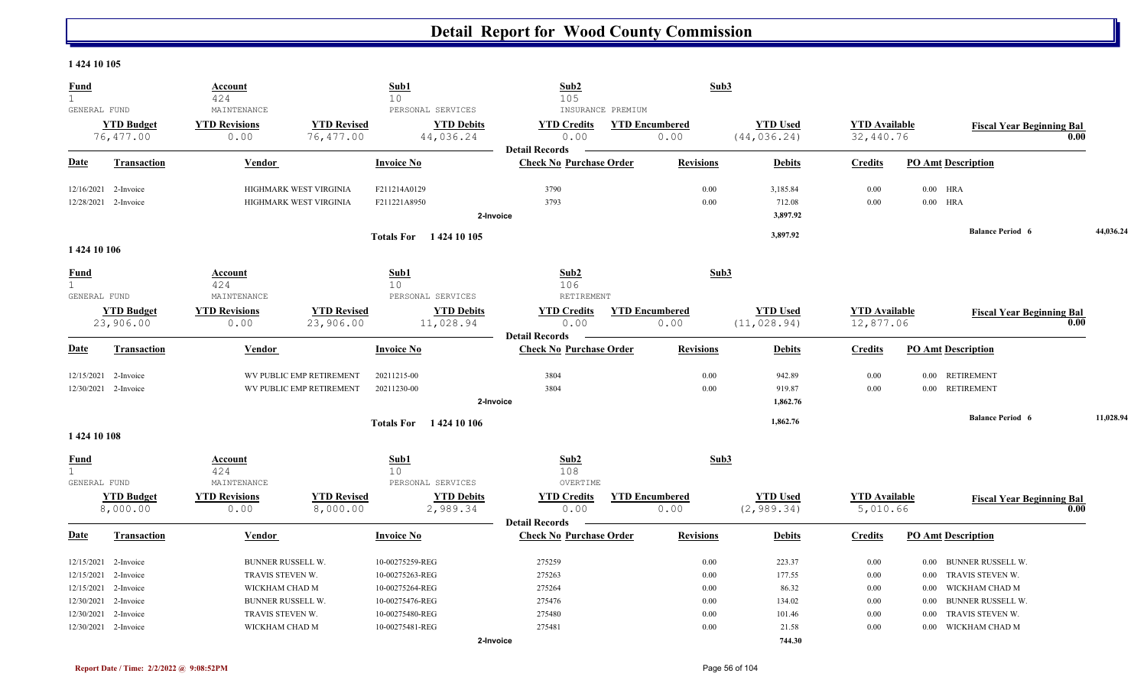#### **1 424 10 105**

| <b>Fund</b><br>$\mathbf 1$ |                                | <b>Account</b><br>424        |                                 | Sub1<br>10                     | Sub2<br>105                    | Sub3                          |                                 |                                   |                               |                                  |           |
|----------------------------|--------------------------------|------------------------------|---------------------------------|--------------------------------|--------------------------------|-------------------------------|---------------------------------|-----------------------------------|-------------------------------|----------------------------------|-----------|
| GENERAL FUND               |                                | MAINTENANCE                  |                                 | PERSONAL SERVICES              | INSURANCE PREMIUM              |                               |                                 |                                   |                               |                                  |           |
|                            | <b>YTD Budget</b>              | <b>YTD Revisions</b>         | <b>YTD Revised</b>              | <b>YTD Debits</b>              | <b>YTD Credits</b>             | <b>YTD Encumbered</b>         | <b>YTD Used</b>                 | <b>YTD Available</b>              |                               | <b>Fiscal Year Beginning Bal</b> |           |
|                            | 76,477.00                      | 0.00                         | 76,477.00                       | 44,036.24                      | 0.00                           | 0.00                          | (44, 036.24)                    | 32,440.76                         |                               |                                  | 0.00      |
|                            |                                |                              |                                 |                                | <b>Detail Records</b>          |                               |                                 |                                   |                               |                                  |           |
| <b>Date</b>                | <b>Transaction</b>             | Vendor                       |                                 | <b>Invoice No</b>              | <b>Check No Purchase Order</b> | <b>Revisions</b>              | <b>Debits</b>                   | <b>Credits</b>                    | <b>PO Amt Description</b>     |                                  |           |
| 12/16/2021                 | 2-Invoice                      |                              | HIGHMARK WEST VIRGINIA          | F211214A0129                   | 3790                           | 0.00                          | 3,185.84                        | 0.00                              | $0.00$ HRA                    |                                  |           |
|                            | 12/28/2021 2-Invoice           |                              | HIGHMARK WEST VIRGINIA          | F211221A8950                   | 3793                           | 0.00                          | 712.08                          | 0.00                              | $0.00$ HRA                    |                                  |           |
|                            |                                |                              |                                 |                                | 2-Invoice                      |                               | 3,897.92                        |                                   |                               |                                  |           |
|                            |                                |                              |                                 | Totals For 1424 10 105         |                                |                               | 3,897.92                        |                                   |                               | <b>Balance Period 6</b>          | 44,036.24 |
| 1424 10 106                |                                |                              |                                 |                                |                                |                               |                                 |                                   |                               |                                  |           |
| <b>Fund</b>                |                                | Account                      |                                 | Sub1                           | Sub2                           | Sub3                          |                                 |                                   |                               |                                  |           |
| $\mathbf{1}$               |                                | 424                          |                                 | 10 <sup>°</sup>                | 106                            |                               |                                 |                                   |                               |                                  |           |
| GENERAL FUND               |                                | MAINTENANCE                  |                                 | PERSONAL SERVICES              | RETIREMENT                     |                               |                                 |                                   |                               |                                  |           |
|                            | <b>YTD Budget</b><br>23,906.00 | <b>YTD Revisions</b><br>0.00 | <b>YTD Revised</b><br>23,906.00 | <b>YTD Debits</b><br>11,028.94 | <b>YTD Credits</b><br>0.00     | <b>YTD Encumbered</b><br>0.00 | <b>YTD Used</b><br>(11, 028.94) | <b>YTD Available</b><br>12,877.06 |                               | <b>Fiscal Year Beginning Bal</b> | 0.00      |
|                            |                                |                              |                                 |                                | <b>Detail Records</b>          |                               |                                 |                                   |                               |                                  |           |
| <b>Date</b>                | <b>Transaction</b>             | <b>Vendor</b>                |                                 | <b>Invoice No</b>              | <b>Check No Purchase Order</b> | <b>Revisions</b>              | <b>Debits</b>                   | <b>Credits</b>                    | <b>PO Amt Description</b>     |                                  |           |
|                            | 12/15/2021 2-Invoice           |                              | WV PUBLIC EMP RETIREMENT        | 20211215-00                    | 3804                           | 0.00                          | 942.89                          | 0.00                              | <b>RETIREMENT</b><br>$0.00\,$ |                                  |           |
|                            | 12/30/2021 2-Invoice           |                              | WV PUBLIC EMP RETIREMENT        | 20211230-00                    | 3804                           | 0.00                          | 919.87                          | 0.00                              | 0.00 RETIREMENT               |                                  |           |
|                            |                                |                              |                                 |                                | 2-Invoice                      |                               | 1,862.76                        |                                   |                               |                                  |           |
|                            |                                |                              |                                 | Totals For 1424 10 106         |                                |                               | 1,862.76                        |                                   |                               | <b>Balance Period 6</b>          | 11,028.94 |
| 1424 10 108                |                                |                              |                                 |                                |                                |                               |                                 |                                   |                               |                                  |           |
| <b>Fund</b>                |                                | <b>Account</b>               |                                 | Sub1                           | Sub2                           | Sub3                          |                                 |                                   |                               |                                  |           |
| $\mathbf{1}$               |                                | 424                          |                                 | 10                             | 108                            |                               |                                 |                                   |                               |                                  |           |
| GENERAL FUND               |                                | MAINTENANCE                  |                                 | PERSONAL SERVICES              | OVERTIME                       |                               |                                 |                                   |                               |                                  |           |
|                            | <b>YTD Budget</b><br>8,000.00  | <b>YTD Revisions</b><br>0.00 | <b>YTD Revised</b><br>8,000.00  | <b>YTD Debits</b><br>2,989.34  | <b>YTD Credits</b><br>0.00     | <b>YTD Encumbered</b><br>0.00 | <b>YTD Used</b><br>(2, 989.34)  | <b>YTD Available</b><br>5,010.66  |                               | <b>Fiscal Year Beginning Bal</b> | 0.00      |
|                            |                                |                              |                                 |                                | <b>Detail Records</b>          |                               |                                 |                                   |                               |                                  |           |
| Date                       | <b>Transaction</b>             | <b>Vendor</b>                |                                 | <b>Invoice No</b>              | <b>Check No Purchase Order</b> | <b>Revisions</b>              | <b>Debits</b>                   | <b>Credits</b>                    | <b>PO Amt Description</b>     |                                  |           |
| 12/15/2021                 | 2-Invoice                      | BUNNER RUSSELL W.            |                                 | 10-00275259-REG                | 275259                         | 0.00                          | 223.37                          | 0.00                              | 0.00                          | BUNNER RUSSELL W.                |           |
| 12/15/2021                 | 2-Invoice                      | TRAVIS STEVEN W.             |                                 | 10-00275263-REG                | 275263                         | 0.00                          | 177.55                          | 0.00                              | $0.00\,$                      | TRAVIS STEVEN W.                 |           |
| 12/15/2021                 | 2-Invoice                      | WICKHAM CHAD M               |                                 | 10-00275264-REG                | 275264                         | 0.00                          | 86.32                           | $0.00\,$                          | 0.00                          | WICKHAM CHAD M                   |           |
| 12/30/2021                 | 2-Invoice                      | BUNNER RUSSELL W.            |                                 | 10-00275476-REG                | 275476                         | 0.00                          | 134.02                          | 0.00                              | 0.00                          | BUNNER RUSSELL W.                |           |
| 12/30/2021                 | 2-Invoice                      | TRAVIS STEVEN W.             |                                 | 10-00275480-REG                | 275480                         | 0.00                          | 101.46                          | 0.00                              | 0.00                          | TRAVIS STEVEN W.                 |           |
|                            | 12/30/2021 2-Invoice           | WICKHAM CHAD M               |                                 | 10-00275481-REG                | 275481                         | 0.00                          | 21.58                           | 0.00                              | 0.00                          | WICKHAM CHAD M                   |           |
|                            |                                |                              |                                 |                                | 2-Invoice                      |                               | 744.30                          |                                   |                               |                                  |           |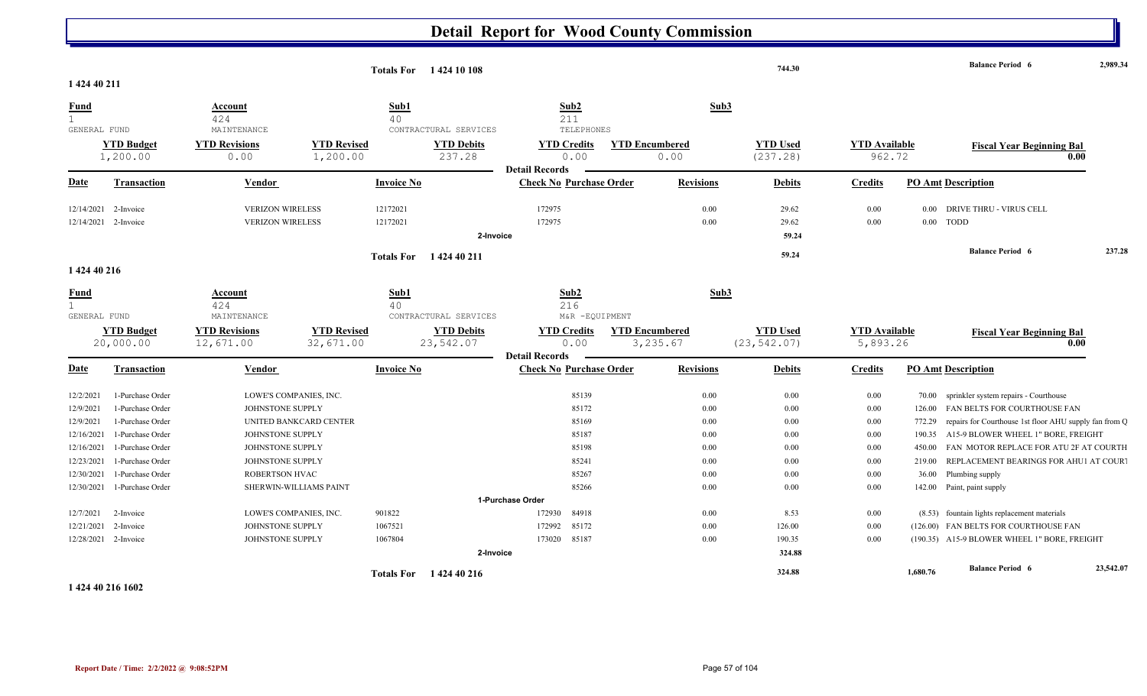|                                                                                                           |                                                                                                                                                              |                                                                                                                                 |                                                  | Totals For 1424 10 108 |                                                         |                                                                                          |                                   |                                                                  | 744.30                                                       |                                                                      |                                               | <b>Balance Period 6</b>                                                                                                                                                                                                                                                                                                  |        |
|-----------------------------------------------------------------------------------------------------------|--------------------------------------------------------------------------------------------------------------------------------------------------------------|---------------------------------------------------------------------------------------------------------------------------------|--------------------------------------------------|------------------------|---------------------------------------------------------|------------------------------------------------------------------------------------------|-----------------------------------|------------------------------------------------------------------|--------------------------------------------------------------|----------------------------------------------------------------------|-----------------------------------------------|--------------------------------------------------------------------------------------------------------------------------------------------------------------------------------------------------------------------------------------------------------------------------------------------------------------------------|--------|
| 1 424 40 211                                                                                              |                                                                                                                                                              |                                                                                                                                 |                                                  |                        |                                                         |                                                                                          |                                   |                                                                  |                                                              |                                                                      |                                               |                                                                                                                                                                                                                                                                                                                          |        |
| <b>Fund</b><br>$\mathbf{1}$<br>GENERAL FUND                                                               |                                                                                                                                                              | Account<br>424<br>MAINTENANCE                                                                                                   |                                                  | Sub1<br>40             | CONTRACTURAL SERVICES                                   | Sub2<br>211<br>TELEPHONES                                                                |                                   | Sub3                                                             |                                                              |                                                                      |                                               |                                                                                                                                                                                                                                                                                                                          |        |
|                                                                                                           | <b>YTD Budget</b><br>1,200.00                                                                                                                                | <b>YTD Revisions</b><br>0.00                                                                                                    | <b>YTD Revised</b><br>1,200.00                   |                        | <b>YTD Debits</b><br>237.28                             | <b>YTD Credits</b><br>0.00<br><b>Detail Records</b>                                      | <b>YTD Encumbered</b><br>0.00     |                                                                  | <b>YTD Used</b><br>(237.28)                                  | <b>YTD Available</b><br>962.72                                       |                                               | <b>Fiscal Year Beginning Bal</b>                                                                                                                                                                                                                                                                                         | 0.00   |
| <u>Date</u>                                                                                               | <b>Transaction</b>                                                                                                                                           | Vendor                                                                                                                          |                                                  | <b>Invoice No</b>      |                                                         | <b>Check No Purchase Order</b>                                                           | <b>Revisions</b>                  |                                                                  | <b>Debits</b>                                                | <b>Credits</b>                                                       |                                               | <b>PO Amt Description</b>                                                                                                                                                                                                                                                                                                |        |
| 12/14/2021<br>12/14/2021                                                                                  | 2-Invoice<br>2-Invoice                                                                                                                                       | <b>VERIZON WIRELESS</b><br><b>VERIZON WIRELESS</b>                                                                              |                                                  | 12172021<br>12172021   | 2-Invoice                                               | 172975<br>172975                                                                         |                                   | 0.00<br>0.00                                                     | 29.62<br>29.62<br>59.24                                      | 0.00<br>0.00                                                         | 0.00<br>0.00                                  | <b>DRIVE THRU - VIRUS CELL</b><br><b>TODD</b>                                                                                                                                                                                                                                                                            |        |
| 1 424 40 216                                                                                              |                                                                                                                                                              |                                                                                                                                 |                                                  | <b>Totals For</b>      | 1 424 40 211                                            |                                                                                          |                                   |                                                                  | 59.24                                                        |                                                                      |                                               | <b>Balance Period 6</b>                                                                                                                                                                                                                                                                                                  | 237.28 |
|                                                                                                           |                                                                                                                                                              |                                                                                                                                 |                                                  |                        |                                                         |                                                                                          |                                   |                                                                  |                                                              |                                                                      |                                               |                                                                                                                                                                                                                                                                                                                          |        |
| <u>Fund</u><br>$\mathbf{1}$<br>GENERAL FUND                                                               | <b>YTD Budget</b><br>20,000.00                                                                                                                               | Account<br>424<br>MAINTENANCE<br><b>YTD Revisions</b><br>12,671.00                                                              | <b>YTD Revised</b><br>32,671.00                  | Sub1<br>40             | CONTRACTURAL SERVICES<br><b>YTD Debits</b><br>23,542.07 | Sub2<br>216<br>M&R -EQUIPMENT<br><b>YTD Credits</b><br>0.00                              | <b>YTD Encumbered</b><br>3,235.67 | Sub3                                                             | <b>YTD Used</b><br>(23, 542.07)                              | <b>YTD Available</b><br>5,893.26                                     |                                               | <b>Fiscal Year Beginning Bal</b>                                                                                                                                                                                                                                                                                         | 0.00   |
| <b>Date</b>                                                                                               | <b>Transaction</b>                                                                                                                                           | <b>Vendor</b>                                                                                                                   |                                                  | <b>Invoice No</b>      |                                                         | <b>Detail Records</b><br><b>Check No Purchase Order</b>                                  | <b>Revisions</b>                  |                                                                  | <b>Debits</b>                                                | <b>Credits</b>                                                       |                                               | <b>PO Amt Description</b>                                                                                                                                                                                                                                                                                                |        |
| 12/2/2021<br>12/9/2021<br>12/9/2021<br>12/16/2021<br>12/16/2021<br>12/23/2021<br>12/30/2021<br>12/30/2021 | 1-Purchase Order<br>1-Purchase Order<br>1-Purchase Order<br>1-Purchase Order<br>1-Purchase Order<br>1-Purchase Order<br>1-Purchase Order<br>1-Purchase Order | LOWE'S COMPANIES, INC.<br>JOHNSTONE SUPPLY<br>JOHNSTONE SUPPLY<br>JOHNSTONE SUPPLY<br>JOHNSTONE SUPPLY<br><b>ROBERTSON HVAC</b> | UNITED BANKCARD CENTER<br>SHERWIN-WILLIAMS PAINT |                        |                                                         | 85139<br>85172<br>85169<br>85187<br>85198<br>85241<br>85267<br>85266<br>1-Purchase Order |                                   | 0.00<br>0.00<br>0.00<br>0.00<br>$0.00\,$<br>0.00<br>0.00<br>0.00 | 0.00<br>0.00<br>0.00<br>0.00<br>0.00<br>0.00<br>0.00<br>0.00 | 0.00<br>0.00<br>$0.00\,$<br>$0.00\,$<br>0.00<br>0.00<br>0.00<br>0.00 | 70.00<br>772.29<br>190.35<br>450.00<br>219.00 | sprinkler system repairs - Courthouse<br>126.00 FAN BELTS FOR COURTHOUSE FAN<br>repairs for Courthouse 1st floor AHU supply fan from Q<br>A15-9 BLOWER WHEEL 1" BORE, FREIGHT<br>FAN MOTOR REPLACE FOR ATU 2F AT COURTH<br>REPLACEMENT BEARINGS FOR AHU1 AT COURT<br>36.00 Plumbing supply<br>142.00 Paint, paint supply |        |

**1 424 40 216 1602**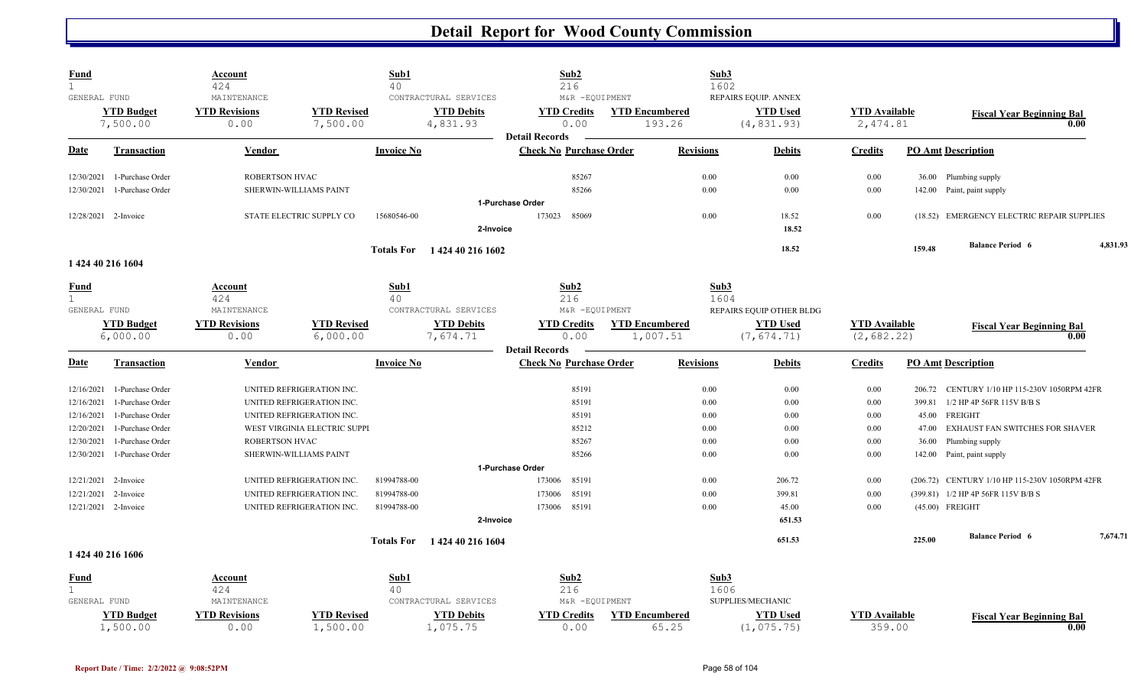| <b>Fund</b><br>$\mathbf{1}$ |                                      | <u>Account</u><br>424                       |                                                        | Sub1<br>40        |                                                        | Sub2<br>216                                             |                                 | Sub3<br>1602     |                                                        |                                  |                 |                                                     |          |
|-----------------------------|--------------------------------------|---------------------------------------------|--------------------------------------------------------|-------------------|--------------------------------------------------------|---------------------------------------------------------|---------------------------------|------------------|--------------------------------------------------------|----------------------------------|-----------------|-----------------------------------------------------|----------|
| GENERAL FUND                | <b>YTD Budget</b><br>7,500.00        | MAINTENANCE<br><b>YTD Revisions</b><br>0.00 | <b>YTD Revised</b><br>7,500.00                         |                   | CONTRACTURAL SERVICES<br><b>YTD Debits</b><br>4,831.93 | M&R -EQUIPMENT<br><b>YTD Credits</b><br>0.00            | <b>YTD Encumbered</b><br>193.26 |                  | REPAIRS EQUIP. ANNEX<br><b>YTD Used</b><br>(4, 831.93) | <b>YTD Available</b><br>2,474.81 |                 | <b>Fiscal Year Beginning Bal</b><br>0.00            |          |
| Date                        | <b>Transaction</b>                   | <b>Vendor</b>                               |                                                        | <b>Invoice No</b> |                                                        | <b>Detail Records</b><br><b>Check No Purchase Order</b> |                                 | <b>Revisions</b> | <b>Debits</b>                                          | <b>Credits</b>                   |                 | <b>PO Amt Description</b>                           |          |
|                             |                                      | ROBERTSON HVAC                              |                                                        |                   |                                                        | 85267                                                   |                                 | 0.00             | 0.00                                                   | 0.00                             |                 |                                                     |          |
| 12/30/2021<br>12/30/2021    | 1-Purchase Order<br>1-Purchase Order |                                             | SHERWIN-WILLIAMS PAINT                                 |                   |                                                        | 85266                                                   |                                 | 0.00             | 0.00                                                   | 0.00                             |                 | 36.00 Plumbing supply<br>142.00 Paint, paint supply |          |
|                             |                                      |                                             |                                                        |                   |                                                        | 1-Purchase Order                                        |                                 |                  |                                                        |                                  |                 |                                                     |          |
|                             | 12/28/2021 2-Invoice                 |                                             | STATE ELECTRIC SUPPLY CO                               | 15680546-00       |                                                        | 173023<br>85069                                         |                                 | 0.00             | 18.52                                                  | 0.00                             |                 | (18.52) EMERGENCY ELECTRIC REPAIR SUPPLIES          |          |
|                             |                                      |                                             |                                                        |                   | 2-Invoice                                              |                                                         |                                 |                  | 18.52                                                  |                                  |                 |                                                     |          |
|                             |                                      |                                             |                                                        |                   | Totals For 1424 40 216 1602                            |                                                         |                                 |                  | 18.52                                                  |                                  | 159.48          | <b>Balance Period 6</b>                             | 4,831.93 |
|                             | 1 424 40 216 1604                    |                                             |                                                        |                   |                                                        |                                                         |                                 |                  |                                                        |                                  |                 |                                                     |          |
| <u>Fund</u><br>$\mathbf{1}$ |                                      | <b>Account</b><br>424                       |                                                        | Sub1<br>40        |                                                        | Sub2<br>216                                             |                                 | Sub3<br>1604     |                                                        |                                  |                 |                                                     |          |
| GENERAL FUND                |                                      | MAINTENANCE                                 |                                                        |                   | CONTRACTURAL SERVICES                                  | M&R -EQUIPMENT                                          |                                 |                  | REPAIRS EQUIP OTHER BLDG                               |                                  |                 |                                                     |          |
|                             | <b>YTD Budget</b>                    | <b>YTD Revisions</b>                        | <b>YTD Revised</b>                                     |                   | <b>YTD Debits</b>                                      | <b>YTD Credits</b>                                      | <b>YTD Encumbered</b>           |                  | <b>YTD Used</b>                                        | <b>YTD Available</b>             |                 | <b>Fiscal Year Beginning Bal</b>                    |          |
|                             | 6,000.00                             | 0.00                                        | 6,000.00                                               |                   | 7,674.71                                               | 0.00<br><b>Detail Records</b>                           | 1,007.51                        |                  | (7, 674.71)                                            | (2, 682.22)                      |                 | 0.00                                                |          |
| Date                        | <b>Transaction</b>                   | <b>Vendor</b>                               |                                                        | <b>Invoice No</b> |                                                        | <b>Check No Purchase Order</b>                          |                                 | <b>Revisions</b> | <b>Debits</b>                                          | <b>Credits</b>                   |                 | <b>PO Amt Description</b>                           |          |
|                             |                                      |                                             |                                                        |                   |                                                        |                                                         |                                 |                  |                                                        |                                  |                 |                                                     |          |
| 12/16/2021                  | 1-Purchase Order                     |                                             | UNITED REFRIGERATION INC.                              |                   |                                                        | 85191                                                   |                                 | 0.00             | 0.00                                                   | 0.00                             | 206.72          | CENTURY 1/10 HP 115-230V 1050RPM 42FR               |          |
| 12/16/2021<br>12/16/2021    | 1-Purchase Order<br>1-Purchase Order |                                             | UNITED REFRIGERATION INC.<br>UNITED REFRIGERATION INC. |                   |                                                        | 85191<br>85191                                          |                                 | 0.00<br>0.00     | 0.00<br>0.00                                           | 0.00<br>0.00                     | 399.81<br>45.00 | 1/2 HP 4P 56FR 115V B/B S<br>FREIGHT                |          |
| 12/20/2021                  | 1-Purchase Order                     |                                             | WEST VIRGINIA ELECTRIC SUPPI                           |                   |                                                        | 85212                                                   |                                 | 0.00             | 0.00                                                   | 0.00                             | 47.00           | EXHAUST FAN SWITCHES FOR SHAVER                     |          |
| 12/30/2021                  | 1-Purchase Order                     | ROBERTSON HVAC                              |                                                        |                   |                                                        | 85267                                                   |                                 | 0.00             | 0.00                                                   | 0.00                             | 36.00           | Plumbing supply                                     |          |
| 12/30/2021                  | 1-Purchase Order                     |                                             | SHERWIN-WILLIAMS PAINT                                 |                   |                                                        | 85266                                                   |                                 | 0.00             | 0.00                                                   | $0.00\,$                         |                 | 142.00 Paint, paint supply                          |          |
|                             |                                      |                                             |                                                        |                   |                                                        | 1-Purchase Order                                        |                                 |                  |                                                        |                                  |                 |                                                     |          |
| 12/21/2021                  | 2-Invoice                            |                                             | UNITED REFRIGERATION INC.                              | 81994788-00       |                                                        | 85191<br>173006                                         |                                 | 0.00             | 206.72                                                 | 0.00                             |                 | (206.72) CENTURY 1/10 HP 115-230V 1050RPM 42FR      |          |
| 12/21/2021                  | 2-Invoice                            |                                             | UNITED REFRIGERATION INC.                              | 81994788-00       |                                                        | 85191<br>173006                                         |                                 | 0.00             | 399.81                                                 | 0.00                             |                 | (399.81) 1/2 HP 4P 56FR 115V B/B S                  |          |
|                             | 12/21/2021 2-Invoice                 |                                             | UNITED REFRIGERATION INC.                              | 81994788-00       |                                                        | 85191<br>173006                                         |                                 | 0.00             | 45.00                                                  | $0.00\,$                         |                 | (45.00) FREIGHT                                     |          |
|                             |                                      |                                             |                                                        |                   | 2-Invoice                                              |                                                         |                                 |                  | 651.53                                                 |                                  |                 |                                                     |          |
|                             | 1 424 40 216 1606                    |                                             |                                                        | <b>Totals For</b> | 1424 40 216 1604                                       |                                                         |                                 |                  | 651.53                                                 |                                  | 225.00          | <b>Balance Period 6</b>                             | 7,674.71 |
| <u>Fund</u>                 |                                      | <u>Account</u>                              |                                                        | Sub1              |                                                        | Sub2                                                    |                                 | Sub3             |                                                        |                                  |                 |                                                     |          |
| $\mathbf{1}$                |                                      | 424                                         |                                                        | 40                |                                                        | 216                                                     |                                 | 1606             |                                                        |                                  |                 |                                                     |          |
| GENERAL FUND                |                                      | MAINTENANCE                                 |                                                        |                   | CONTRACTURAL SERVICES                                  | M&R -EQUIPMENT                                          |                                 |                  | SUPPLIES/MECHANIC                                      |                                  |                 |                                                     |          |
|                             | <b>YTD Budget</b><br>1,500.00        | <b>YTD Revisions</b><br>0.00                | <b>YTD Revised</b><br>1,500.00                         |                   | <b>YTD Debits</b><br>1,075.75                          | <b>YTD Credits</b><br>0.00                              | <b>YTD Encumbered</b><br>65.25  |                  | <b>YTD Used</b><br>(1, 075.75)                         | <b>YTD Available</b><br>359.00   |                 | <b>Fiscal Year Beginning Bal</b><br>0.00            |          |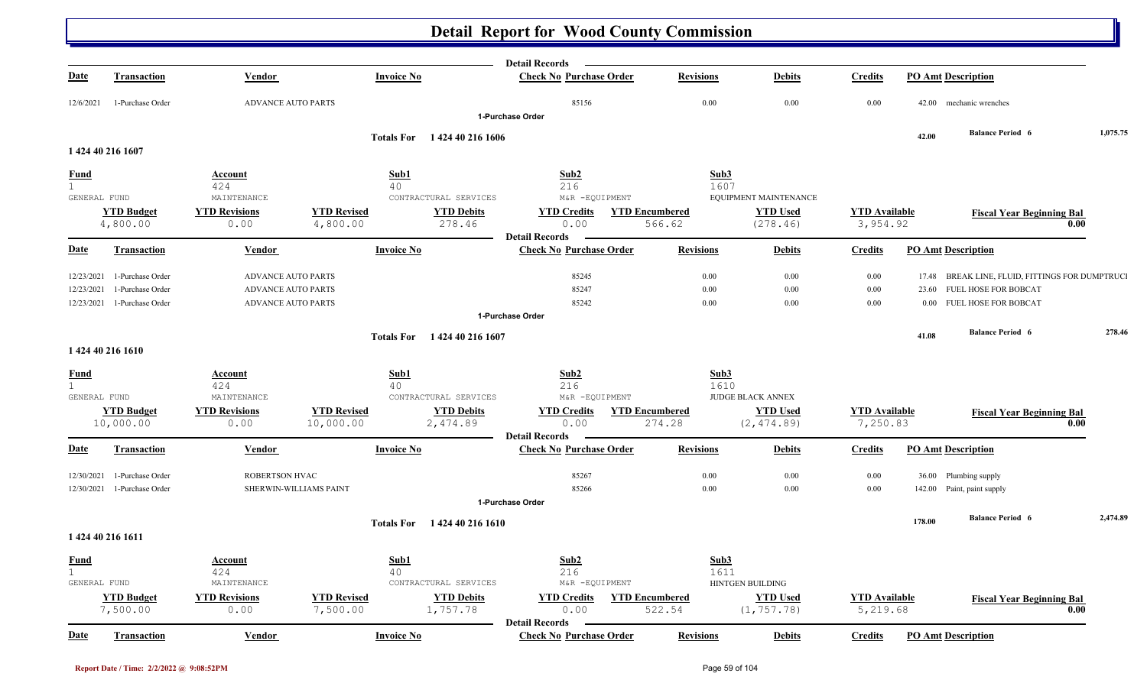| <b>Check No Purchase Order</b><br><b>Date</b><br><b>Invoice No</b><br><b>Revisions</b><br><b>Debits</b><br><b>Credits</b><br><b>PO Amt Description</b><br><b>Transaction</b><br>Vendor<br>85156<br>0.00<br>0.00<br><b>ADVANCE AUTO PARTS</b><br>0.00<br>42.00 mechanic wrenches<br>12/6/2021<br>1-Purchase Order<br>1-Purchase Order<br><b>Balance Period 6</b><br>42.00<br><b>Totals For</b><br>1 424 40 216 1606<br>1 424 40 216 1607<br>Sub1<br>Sub2<br>Sub3<br><u>Fund</u><br><b>Account</b><br>1<br>216<br>424<br>40<br>1607<br>GENERAL FUND<br>MAINTENANCE<br>CONTRACTURAL SERVICES<br>M&R -EQUIPMENT<br>EQUIPMENT MAINTENANCE<br><b>YTD Revised</b><br><b>YTD Budget</b><br><b>YTD Revisions</b><br><b>YTD Debits</b><br><b>YTD Credits</b><br><b>YTD Encumbered</b><br><b>YTD Used</b><br><b>YTD</b> Available<br><b>Fiscal Year Beginning Bal</b><br>4,800.00<br>0.00<br>4,800.00<br>278.46<br>0.00<br>566.62<br>(278.46)<br>3,954.92<br>0.00<br><b>Detail Records</b><br><b>Invoice No</b><br><b>Check No Purchase Order</b><br><b>Revisions</b><br><b>PO Amt Description</b><br><b>Date</b><br><b>Debits</b><br><b>Credits</b><br><b>Transaction</b><br>Vendor |          |
|---------------------------------------------------------------------------------------------------------------------------------------------------------------------------------------------------------------------------------------------------------------------------------------------------------------------------------------------------------------------------------------------------------------------------------------------------------------------------------------------------------------------------------------------------------------------------------------------------------------------------------------------------------------------------------------------------------------------------------------------------------------------------------------------------------------------------------------------------------------------------------------------------------------------------------------------------------------------------------------------------------------------------------------------------------------------------------------------------------------------------------------------------------------------------|----------|
|                                                                                                                                                                                                                                                                                                                                                                                                                                                                                                                                                                                                                                                                                                                                                                                                                                                                                                                                                                                                                                                                                                                                                                           |          |
|                                                                                                                                                                                                                                                                                                                                                                                                                                                                                                                                                                                                                                                                                                                                                                                                                                                                                                                                                                                                                                                                                                                                                                           |          |
|                                                                                                                                                                                                                                                                                                                                                                                                                                                                                                                                                                                                                                                                                                                                                                                                                                                                                                                                                                                                                                                                                                                                                                           | 1,075.75 |
|                                                                                                                                                                                                                                                                                                                                                                                                                                                                                                                                                                                                                                                                                                                                                                                                                                                                                                                                                                                                                                                                                                                                                                           |          |
|                                                                                                                                                                                                                                                                                                                                                                                                                                                                                                                                                                                                                                                                                                                                                                                                                                                                                                                                                                                                                                                                                                                                                                           |          |
|                                                                                                                                                                                                                                                                                                                                                                                                                                                                                                                                                                                                                                                                                                                                                                                                                                                                                                                                                                                                                                                                                                                                                                           |          |
|                                                                                                                                                                                                                                                                                                                                                                                                                                                                                                                                                                                                                                                                                                                                                                                                                                                                                                                                                                                                                                                                                                                                                                           |          |
|                                                                                                                                                                                                                                                                                                                                                                                                                                                                                                                                                                                                                                                                                                                                                                                                                                                                                                                                                                                                                                                                                                                                                                           |          |
|                                                                                                                                                                                                                                                                                                                                                                                                                                                                                                                                                                                                                                                                                                                                                                                                                                                                                                                                                                                                                                                                                                                                                                           |          |
|                                                                                                                                                                                                                                                                                                                                                                                                                                                                                                                                                                                                                                                                                                                                                                                                                                                                                                                                                                                                                                                                                                                                                                           |          |
|                                                                                                                                                                                                                                                                                                                                                                                                                                                                                                                                                                                                                                                                                                                                                                                                                                                                                                                                                                                                                                                                                                                                                                           |          |
| 85245<br>$0.00\,$<br>0.00<br>0.00<br>17.48 BREAK LINE, FLUID, FITTINGS FOR DUMPTRUCI<br>12/23/2021<br>1-Purchase Order<br><b>ADVANCE AUTO PARTS</b>                                                                                                                                                                                                                                                                                                                                                                                                                                                                                                                                                                                                                                                                                                                                                                                                                                                                                                                                                                                                                       |          |
| 85247<br>$0.00\,$<br>0.00<br>0.00<br>1-Purchase Order<br><b>ADVANCE AUTO PARTS</b><br>FUEL HOSE FOR BOBCAT<br>12/23/2021<br>23.60                                                                                                                                                                                                                                                                                                                                                                                                                                                                                                                                                                                                                                                                                                                                                                                                                                                                                                                                                                                                                                         |          |
| 0.00<br><b>ADVANCE AUTO PARTS</b><br>85242<br>0.00<br>0.00<br>FUEL HOSE FOR BOBCAT<br>12/23/2021 1-Purchase Order<br>0.00<br>1-Purchase Order                                                                                                                                                                                                                                                                                                                                                                                                                                                                                                                                                                                                                                                                                                                                                                                                                                                                                                                                                                                                                             |          |
| <b>Balance Period 6</b><br>41.08<br>Totals For 1424 40 216 1607                                                                                                                                                                                                                                                                                                                                                                                                                                                                                                                                                                                                                                                                                                                                                                                                                                                                                                                                                                                                                                                                                                           | 278.46   |
| 1 424 40 216 1610                                                                                                                                                                                                                                                                                                                                                                                                                                                                                                                                                                                                                                                                                                                                                                                                                                                                                                                                                                                                                                                                                                                                                         |          |
| Sub1<br>Sub2<br>Sub3<br><b>Fund</b><br>Account                                                                                                                                                                                                                                                                                                                                                                                                                                                                                                                                                                                                                                                                                                                                                                                                                                                                                                                                                                                                                                                                                                                            |          |
| $\mathbf 1$<br>424<br>216<br>1610<br>40                                                                                                                                                                                                                                                                                                                                                                                                                                                                                                                                                                                                                                                                                                                                                                                                                                                                                                                                                                                                                                                                                                                                   |          |
| GENERAL FUND<br>MAINTENANCE<br>CONTRACTURAL SERVICES<br>M&R -EQUIPMENT<br><b>JUDGE BLACK ANNEX</b>                                                                                                                                                                                                                                                                                                                                                                                                                                                                                                                                                                                                                                                                                                                                                                                                                                                                                                                                                                                                                                                                        |          |
| <b>YTD Revised</b><br><b>YTD Budget</b><br><b>YTD Revisions</b><br><b>YTD Debits</b><br><b>YTD Credits</b><br><b>YTD Encumbered</b><br><b>YTD Used</b><br><b>YTD Available</b><br><b>Fiscal Year Beginning Bal</b><br>7,250.83<br>10,000.00<br>2,474.89<br>274.28<br>10,000.00<br>0.00<br>0.00<br>(2, 474.89)<br>0.00                                                                                                                                                                                                                                                                                                                                                                                                                                                                                                                                                                                                                                                                                                                                                                                                                                                     |          |
| <b>Detail Records</b>                                                                                                                                                                                                                                                                                                                                                                                                                                                                                                                                                                                                                                                                                                                                                                                                                                                                                                                                                                                                                                                                                                                                                     |          |
| <b>Invoice No</b><br><b>Check No Purchase Order</b><br><b>Revisions</b><br><b>PO Amt Description</b><br>Date<br>Transaction<br><b>Vendor</b><br><b>Debits</b><br><b>Credits</b>                                                                                                                                                                                                                                                                                                                                                                                                                                                                                                                                                                                                                                                                                                                                                                                                                                                                                                                                                                                           |          |
| 85267<br>ROBERTSON HVAC<br>$0.00\,$<br>0.00<br>0.00<br>36.00 Plumbing supply<br>12/30/2021<br>1-Purchase Order                                                                                                                                                                                                                                                                                                                                                                                                                                                                                                                                                                                                                                                                                                                                                                                                                                                                                                                                                                                                                                                            |          |
| 85266<br>$0.00\,$<br>0.00<br>SHERWIN-WILLIAMS PAINT<br>0.00<br>142.00 Paint, paint supply<br>12/30/2021 1-Purchase Order                                                                                                                                                                                                                                                                                                                                                                                                                                                                                                                                                                                                                                                                                                                                                                                                                                                                                                                                                                                                                                                  |          |
| 1-Purchase Order                                                                                                                                                                                                                                                                                                                                                                                                                                                                                                                                                                                                                                                                                                                                                                                                                                                                                                                                                                                                                                                                                                                                                          |          |
| <b>Balance Period 6</b><br>178.00<br><b>Totals For</b><br>1 424 40 216 1610                                                                                                                                                                                                                                                                                                                                                                                                                                                                                                                                                                                                                                                                                                                                                                                                                                                                                                                                                                                                                                                                                               | 2,474.89 |
| 1 424 40 216 1611                                                                                                                                                                                                                                                                                                                                                                                                                                                                                                                                                                                                                                                                                                                                                                                                                                                                                                                                                                                                                                                                                                                                                         |          |
| Sub1<br>Sub2<br>Sub3<br><b>Fund</b><br>Account                                                                                                                                                                                                                                                                                                                                                                                                                                                                                                                                                                                                                                                                                                                                                                                                                                                                                                                                                                                                                                                                                                                            |          |
| $\mathbf 1$<br>424<br>40<br>216<br>1611                                                                                                                                                                                                                                                                                                                                                                                                                                                                                                                                                                                                                                                                                                                                                                                                                                                                                                                                                                                                                                                                                                                                   |          |
| M&R -EQUIPMENT<br>GENERAL FUND<br>MAINTENANCE<br>CONTRACTURAL SERVICES<br>HINTGEN BUILDING                                                                                                                                                                                                                                                                                                                                                                                                                                                                                                                                                                                                                                                                                                                                                                                                                                                                                                                                                                                                                                                                                |          |
| <b>YTD Budget</b><br><b>YTD Revisions</b><br><b>YTD Revised</b><br><b>YTD Debits</b><br><b>YTD Used</b><br><b>YTD Credits</b><br><b>YTD Encumbered</b><br><b>YTD</b> Available<br><b>Fiscal Year Beginning Bal</b><br>(1, 757.78)<br>7,500.00<br>7,500.00<br>1,757.78<br>5,219.68<br>0.00<br>0.00<br>522.54<br>0.00                                                                                                                                                                                                                                                                                                                                                                                                                                                                                                                                                                                                                                                                                                                                                                                                                                                       |          |
| <b>Detail Records</b><br><b>Date</b><br><b>Invoice No</b><br><b>Check No Purchase Order</b><br><b>PO Amt Description</b><br><b>Transaction</b><br>Vendor<br><b>Revisions</b><br><b>Debits</b><br><b>Credits</b>                                                                                                                                                                                                                                                                                                                                                                                                                                                                                                                                                                                                                                                                                                                                                                                                                                                                                                                                                           |          |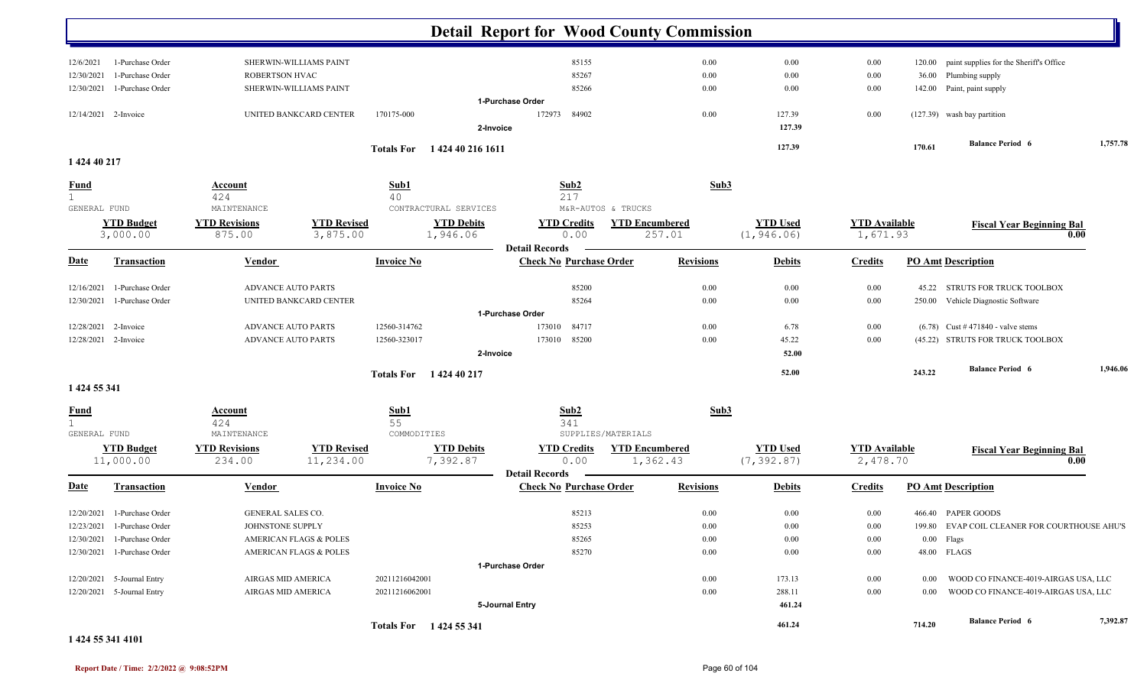|                             |                                |                                |                                   |                   |                               | <b>Detail Report for Wood County Commission</b>     |                                   |                  |                                |                                  |          |                                               |          |
|-----------------------------|--------------------------------|--------------------------------|-----------------------------------|-------------------|-------------------------------|-----------------------------------------------------|-----------------------------------|------------------|--------------------------------|----------------------------------|----------|-----------------------------------------------|----------|
| 12/6/2021                   | 1-Purchase Order               |                                | SHERWIN-WILLIAMS PAINT            |                   |                               | 85155                                               |                                   | 0.00             | 0.00                           | 0.00                             | 120.00   | paint supplies for the Sheriff's Office       |          |
| 12/30/2021                  | 1-Purchase Order               | ROBERTSON HVAC                 |                                   |                   |                               | 85267                                               |                                   | 0.00             | 0.00                           | 0.00                             | 36.00    | Plumbing supply                               |          |
| 12/30/2021                  | 1-Purchase Order               |                                | SHERWIN-WILLIAMS PAINT            |                   |                               | 85266                                               |                                   | 0.00             | 0.00                           | 0.00                             |          | 142.00 Paint, paint supply                    |          |
|                             |                                |                                |                                   |                   |                               | 1-Purchase Order                                    |                                   |                  |                                |                                  |          |                                               |          |
|                             | 12/14/2021 2-Invoice           |                                | UNITED BANKCARD CENTER            | 170175-000        |                               | 84902<br>172973                                     |                                   | 0.00             | 127.39                         | 0.00                             |          | (127.39) wash bay partition                   |          |
|                             |                                |                                |                                   |                   | 2-Invoice                     |                                                     |                                   |                  | 127.39                         |                                  |          |                                               |          |
| 1 424 40 217                |                                |                                |                                   | <b>Totals For</b> | 1 424 40 216 1611             |                                                     |                                   |                  | 127.39                         |                                  | 170.61   | <b>Balance Period 6</b>                       | 1,757.78 |
| <u>Fund</u><br>1            |                                | <b>Account</b><br>424          |                                   | Sub1<br>40        |                               | Sub <sub>2</sub><br>217                             |                                   | Sub3             |                                |                                  |          |                                               |          |
| GENERAL FUND                |                                | MAINTENANCE                    |                                   |                   | CONTRACTURAL SERVICES         |                                                     | M&R-AUTOS & TRUCKS                |                  |                                |                                  |          |                                               |          |
|                             | <b>YTD Budget</b>              | <b>YTD Revisions</b>           | <b>YTD Revised</b>                |                   | <b>YTD Debits</b>             | <b>YTD Credits</b>                                  | <b>YTD Encumbered</b>             |                  | <b>YTD Used</b>                | <b>YTD Available</b>             |          | <b>Fiscal Year Beginning Bal</b>              |          |
|                             | 3,000.00                       | 875.00                         | 3,875.00                          |                   | 1,946.06                      | 0.00                                                | 257.01                            |                  | (1, 946.06)                    | 1,671.93                         |          | 0.00                                          |          |
|                             |                                |                                |                                   |                   |                               | <b>Detail Records</b>                               |                                   |                  |                                |                                  |          |                                               |          |
| <u>Date</u>                 | <b>Transaction</b>             | Vendor                         |                                   | <b>Invoice No</b> |                               | <b>Check No Purchase Order</b>                      |                                   | <b>Revisions</b> | <b>Debits</b>                  | <b>Credits</b>                   |          | <b>PO Amt Description</b>                     |          |
| 12/16/2021                  | 1-Purchase Order               |                                | ADVANCE AUTO PARTS                |                   |                               | 85200                                               |                                   | 0.00             | 0.00                           | 0.00                             |          | 45.22 STRUTS FOR TRUCK TOOLBOX                |          |
| 12/30/2021                  | 1-Purchase Order               |                                | UNITED BANKCARD CENTER            |                   |                               | 85264                                               |                                   | 0.00             | 0.00                           | 0.00                             |          | 250.00 Vehicle Diagnostic Software            |          |
|                             |                                |                                |                                   |                   |                               | 1-Purchase Order                                    |                                   |                  |                                |                                  |          |                                               |          |
| 12/28/2021                  | 2-Invoice                      |                                | <b>ADVANCE AUTO PARTS</b>         | 12560-314762      |                               | 84717<br>173010                                     |                                   | 0.00             | 6.78                           | $0.00\,$                         |          | $(6.78)$ Cust #471840 - valve stems           |          |
| 12/28/2021                  | 2-Invoice                      |                                | <b>ADVANCE AUTO PARTS</b>         | 12560-323017      |                               | 85200<br>173010                                     |                                   | 0.00             | 45.22                          | 0.00                             |          | (45.22) STRUTS FOR TRUCK TOOLBOX              |          |
|                             |                                |                                |                                   |                   | 2-Invoice                     |                                                     |                                   |                  | 52.00                          |                                  |          |                                               |          |
|                             |                                |                                |                                   |                   | Totals For 1424 40 217        |                                                     |                                   |                  | 52.00                          |                                  | 243.22   | <b>Balance Period 6</b>                       | 1,946.06 |
| 1 424 55 341                |                                |                                |                                   |                   |                               |                                                     |                                   |                  |                                |                                  |          |                                               |          |
| <b>Fund</b><br>$\mathbf{1}$ |                                | <b>Account</b><br>424          |                                   | Sub1<br>55        |                               | Sub2<br>341                                         |                                   | Sub3             |                                |                                  |          |                                               |          |
| GENERAL FUND                |                                | MAINTENANCE                    |                                   | COMMODITIES       |                               |                                                     | SUPPLIES/MATERIALS                |                  |                                |                                  |          |                                               |          |
|                             | <b>YTD Budget</b><br>11,000.00 | <b>YTD Revisions</b><br>234.00 | <b>YTD Revised</b><br>11,234.00   |                   | <b>YTD Debits</b><br>7,392.87 | <b>YTD Credits</b><br>0.00<br><b>Detail Records</b> | <b>YTD Encumbered</b><br>1,362.43 |                  | <b>YTD Used</b><br>(7, 392.87) | <b>YTD Available</b><br>2,478.70 |          | <b>Fiscal Year Beginning Bal</b><br>0.00      |          |
| <b>Date</b>                 | <b>Transaction</b>             | Vendor                         |                                   | <b>Invoice No</b> |                               | <b>Check No Purchase Order</b>                      |                                   | <b>Revisions</b> | <b>Debits</b>                  | <b>Credits</b>                   |          | <b>PO Amt Description</b>                     |          |
| 12/20/2021                  | 1-Purchase Order               | GENERAL SALES CO.              |                                   |                   |                               | 85213                                               |                                   | 0.00             | 0.00                           | 0.00                             |          | 466.40 PAPER GOODS                            |          |
|                             | 12/23/2021 1-Purchase Order    | JOHNSTONE SUPPLY               |                                   |                   |                               | 85253                                               |                                   | 0.00             | 0.00                           | 0.00                             |          | 199.80 EVAP COIL CLEANER FOR COURTHOUSE AHU'S |          |
|                             | 12/30/2021 1-Purchase Order    |                                | AMERICAN FLAGS & POLES            |                   |                               | 85265                                               |                                   | $0.00\,$         | 0.00                           | 0.00                             |          | $0.00\quad$ Flags                             |          |
|                             | 12/30/2021 1-Purchase Order    |                                | <b>AMERICAN FLAGS &amp; POLES</b> |                   |                               | 85270                                               |                                   | 0.00             | 0.00                           | 0.00                             |          | 48.00 FLAGS                                   |          |
|                             |                                |                                |                                   |                   |                               | 1-Purchase Order                                    |                                   |                  |                                |                                  |          |                                               |          |
|                             | 12/20/2021 5-Journal Entry     | AIRGAS MID AMERICA             |                                   | 20211216042001    |                               |                                                     |                                   | $0.00\,$         | 173.13                         | $0.00\,$                         | 0.00     | WOOD CO FINANCE-4019-AIRGAS USA, LLC          |          |
|                             | 12/20/2021 5-Journal Entry     | AIRGAS MID AMERICA             |                                   | 20211216062001    |                               |                                                     |                                   | 0.00             | 288.11                         | $0.00\,$                         | $0.00\,$ | WOOD CO FINANCE-4019-AIRGAS USA, LLC          |          |
|                             |                                |                                |                                   |                   | 5-Journal Entry               |                                                     |                                   |                  | 461.24                         |                                  |          |                                               |          |
|                             |                                |                                |                                   |                   | Totals For 1424 55 341        |                                                     |                                   |                  | 461.24                         |                                  | 714.20   | <b>Balance Period 6</b>                       | 7,392.87 |

#### **1 424 55 341 4101**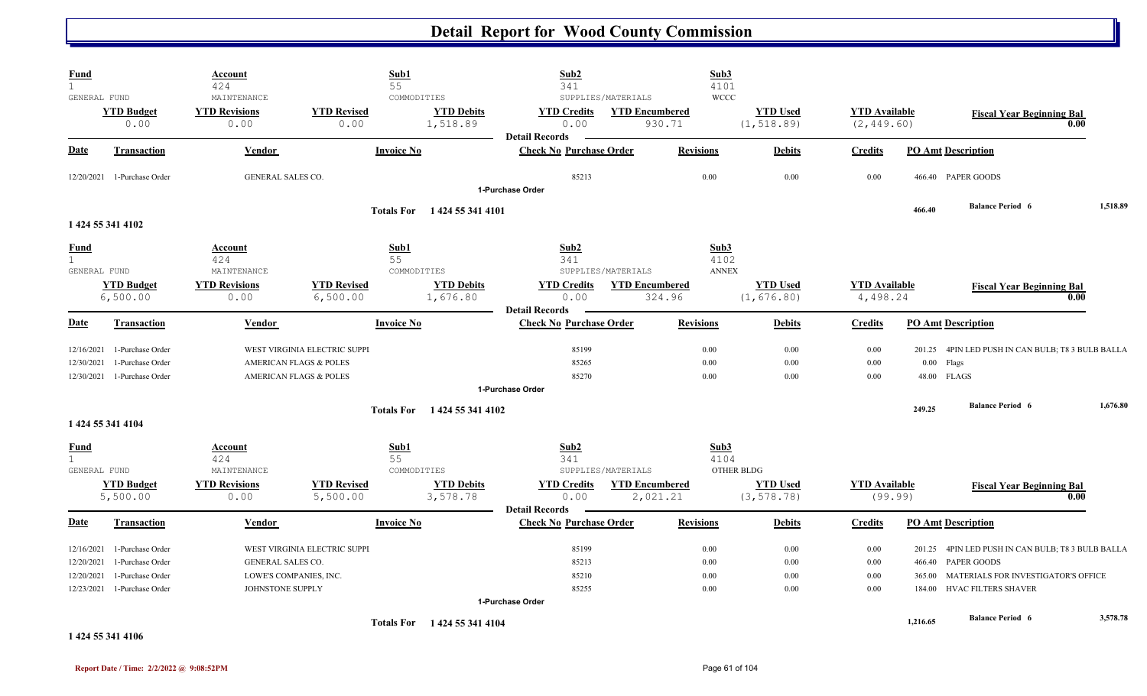| <b>Fund</b>                                                      |                                                                              | Account<br>424                                                  | Sub1<br>55                                                                                  |                                              | Sub2<br>341                                             |                                                       | Sub3<br>4101                 |                                |                                     |                                      |                                                                                                                         |          |
|------------------------------------------------------------------|------------------------------------------------------------------------------|-----------------------------------------------------------------|---------------------------------------------------------------------------------------------|----------------------------------------------|---------------------------------------------------------|-------------------------------------------------------|------------------------------|--------------------------------|-------------------------------------|--------------------------------------|-------------------------------------------------------------------------------------------------------------------------|----------|
| GENERAL FUND<br><b>YTD Budget</b><br>0.00                        |                                                                              | MAINTENANCE<br><b>YTD Revisions</b><br>0.00                     | <b>YTD Revised</b><br>0.00                                                                  | COMMODITIES<br><b>YTD Debits</b><br>1,518.89 | <b>YTD Credits</b><br>0.00                              | SUPPLIES/MATERIALS<br><b>YTD Encumbered</b><br>930.71 | <b>WCCC</b>                  | <b>YTD Used</b><br>(1, 518.89) | <b>YTD</b> Available<br>(2, 449.60) |                                      | <b>Fiscal Year Beginning Bal</b><br>0.00                                                                                |          |
| <b>Date</b>                                                      | <b>Transaction</b>                                                           | <b>Vendor</b>                                                   | <b>Invoice No</b>                                                                           |                                              | <b>Detail Records</b><br><b>Check No Purchase Order</b> |                                                       | <b>Revisions</b>             | <b>Debits</b>                  | <b>Credits</b>                      |                                      | <b>PO Amt Description</b>                                                                                               |          |
| 12/20/2021 1-Purchase Order                                      |                                                                              | GENERAL SALES CO.                                               |                                                                                             |                                              | 85213<br>1-Purchase Order                               |                                                       | 0.00                         | 0.00                           | 0.00                                |                                      | 466.40 PAPER GOODS                                                                                                      |          |
| 1 424 55 341 4102                                                |                                                                              |                                                                 |                                                                                             | Totals For 1424 55 341 4101                  |                                                         |                                                       |                              |                                |                                     | 466.40                               | <b>Balance Period 6</b>                                                                                                 | 1,518.89 |
| <b>Fund</b><br>$\mathbf{1}$<br>GENERAL FUND                      |                                                                              | <b>Account</b><br>424<br>MAINTENANCE                            | Sub1<br>55                                                                                  | COMMODITIES                                  | Sub2<br>341                                             | SUPPLIES/MATERIALS                                    | Sub3<br>4102<br><b>ANNEX</b> |                                |                                     |                                      |                                                                                                                         |          |
| <b>YTD Budget</b><br>6,500.00                                    |                                                                              | <b>YTD Revisions</b><br>0.00                                    | <b>YTD Revised</b><br>6,500.00                                                              | <b>YTD Debits</b><br>1,676.80                | <b>YTD Credits</b><br>0.00<br><b>Detail Records</b>     | <b>YTD Encumbered</b><br>324.96                       |                              | <b>YTD Used</b><br>(1, 676.80) | <b>YTD</b> Available<br>4,498.24    |                                      | <b>Fiscal Year Beginning Bal</b><br>0.00                                                                                |          |
| <b>Date</b>                                                      | <b>Transaction</b>                                                           | Vendor                                                          | <b>Invoice No</b>                                                                           |                                              | <b>Check No Purchase Order</b>                          |                                                       | <b>Revisions</b>             | <b>Debits</b>                  | <b>Credits</b>                      |                                      | <b>PO Amt Description</b>                                                                                               |          |
| 12/16/2021<br>12/30/2021<br>12/30/2021                           | 1-Purchase Order<br>1-Purchase Order<br>1-Purchase Order                     |                                                                 | WEST VIRGINIA ELECTRIC SUPPI<br>AMERICAN FLAGS & POLES<br><b>AMERICAN FLAGS &amp; POLES</b> |                                              | 85199<br>85265<br>85270                                 |                                                       | 0.00<br>0.00<br>0.00         | 0.00<br>0.00<br>0.00           | 0.00<br>0.00<br>0.00                | $0.00\,$                             | 201.25 4PIN LED PUSH IN CAN BULB; T8 3 BULB BALLA<br>Flags<br>48.00 FLAGS                                               |          |
|                                                                  |                                                                              |                                                                 |                                                                                             |                                              | 1-Purchase Order                                        |                                                       |                              |                                |                                     |                                      | <b>Balance Period 6</b>                                                                                                 | 1,676.80 |
| 1 424 55 341 4104                                                |                                                                              |                                                                 |                                                                                             | Totals For 1424 55 341 4102                  |                                                         |                                                       |                              |                                |                                     | 249.25                               |                                                                                                                         |          |
| <b>Fund</b><br>$\mathbf{1}$<br>GENERAL FUND<br><b>YTD Budget</b> |                                                                              | <b>Account</b><br>424<br>MAINTENANCE<br><b>YTD Revisions</b>    | Sub1<br>55<br><b>YTD Revised</b>                                                            | COMMODITIES<br><b>YTD Debits</b>             | Sub2<br>341<br><b>YTD Credits</b>                       | SUPPLIES/MATERIALS<br><b>YTD Encumbered</b>           | Sub3<br>4104                 | OTHER BLDG<br><b>YTD Used</b>  | <b>YTD</b> Available                |                                      | <b>Fiscal Year Beginning Bal</b>                                                                                        |          |
| 5,500.00                                                         |                                                                              | 0.00                                                            | 5,500.00                                                                                    | 3,578.78                                     | 0.00<br><b>Detail Records</b>                           | 2,021.21                                              |                              | (3, 578.78)                    | (99.99)                             |                                      | 0.00                                                                                                                    |          |
| <b>Date</b>                                                      | <b>Transaction</b>                                                           | <b>Vendor</b>                                                   | <b>Invoice No</b>                                                                           |                                              | <b>Check No Purchase Order</b>                          |                                                       | <b>Revisions</b>             | <b>Debits</b>                  | <b>Credits</b>                      |                                      | <b>PO Amt Description</b>                                                                                               |          |
| 12/16/2021<br>12/20/2021<br>12/20/2021<br>12/23/2021             | 1-Purchase Order<br>1-Purchase Order<br>1-Purchase Order<br>1-Purchase Order | GENERAL SALES CO.<br>LOWE'S COMPANIES, INC.<br>JOHNSTONE SUPPLY | WEST VIRGINIA ELECTRIC SUPPI                                                                |                                              | 85199<br>85213<br>85210<br>85255<br>1-Purchase Order    |                                                       | 0.00<br>0.00<br>0.00<br>0.00 | 0.00<br>0.00<br>0.00<br>0.00   | 0.00<br>0.00<br>0.00<br>0.00        | 201.25<br>466.40<br>365.00<br>184.00 | 4PIN LED PUSH IN CAN BULB; T8 3 BULB BALLA<br>PAPER GOODS<br>MATERIALS FOR INVESTIGATOR'S OFFICE<br>HVAC FILTERS SHAVER |          |
|                                                                  |                                                                              |                                                                 |                                                                                             | Totals For 1424 55 341 4104                  |                                                         |                                                       |                              |                                |                                     | 1,216.65                             | <b>Balance Period 6</b>                                                                                                 | 3,578.78 |
| 1 424 55 341 4106                                                |                                                                              |                                                                 |                                                                                             |                                              |                                                         |                                                       |                              |                                |                                     |                                      |                                                                                                                         |          |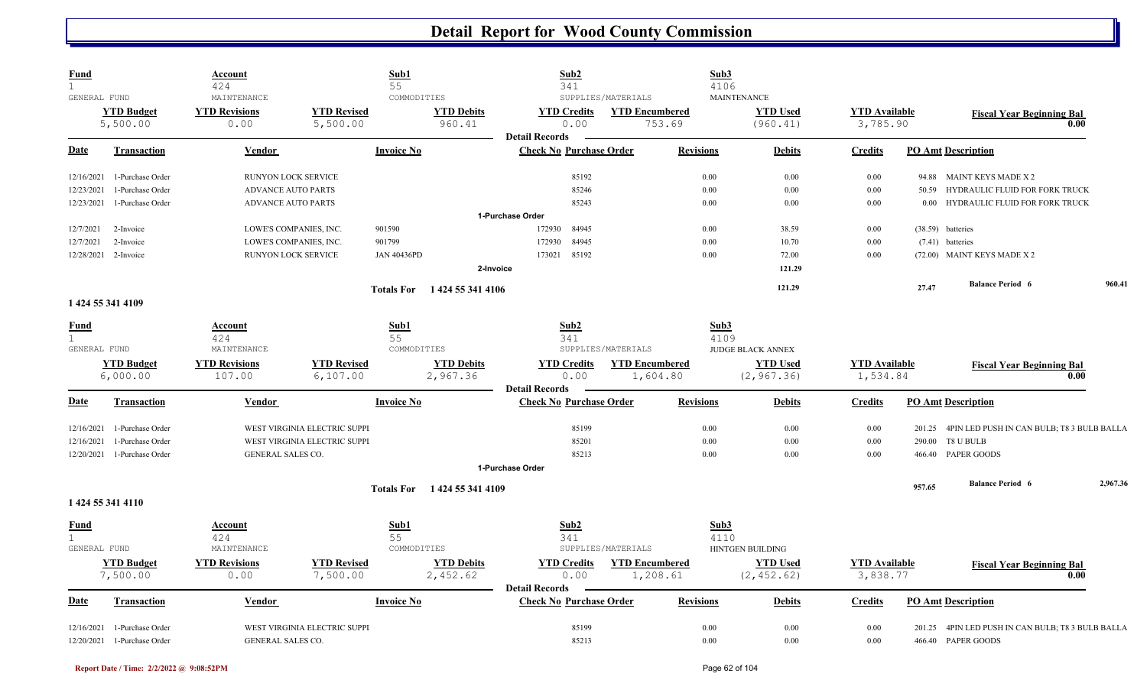| <b>Fund</b><br>$\mathbf{1}$ |                                                 | Account<br>424               |                                | Sub1<br>55         |                               | Sub2<br>341                                             |                                   | Sub3<br>4106       |                                |                                  |        |                                                                  |          |
|-----------------------------|-------------------------------------------------|------------------------------|--------------------------------|--------------------|-------------------------------|---------------------------------------------------------|-----------------------------------|--------------------|--------------------------------|----------------------------------|--------|------------------------------------------------------------------|----------|
| GENERAL FUND                |                                                 | MAINTENANCE                  |                                | COMMODITIES        |                               |                                                         | SUPPLIES/MATERIALS                | <b>MAINTENANCE</b> |                                |                                  |        |                                                                  |          |
|                             | <b>YTD Budget</b>                               | <b>YTD Revisions</b>         | <b>YTD Revised</b>             |                    | <b>YTD Debits</b>             | <b>YTD Credits</b>                                      | <b>YTD Encumbered</b>             |                    | <b>YTD Used</b>                | <b>YTD</b> Available             |        | <b>Fiscal Year Beginning Bal</b>                                 |          |
|                             | 5,500.00                                        | 0.00                         | 5,500.00                       |                    | 960.41                        | 0.00<br><b>Detail Records</b>                           | 753.69                            |                    | (960.41)                       | 3,785.90                         |        | 0.00                                                             |          |
| Date                        | <b>Transaction</b>                              | Vendor                       |                                | <b>Invoice No</b>  |                               | <b>Check No Purchase Order</b>                          |                                   | <b>Revisions</b>   | <b>Debits</b>                  | <b>Credits</b>                   |        | <b>PO Amt Description</b>                                        |          |
| 12/16/2021                  | 1-Purchase Order                                | RUNYON LOCK SERVICE          |                                |                    |                               | 85192                                                   |                                   | 0.00               | 0.00                           | 0.00                             |        | 94.88 MAINT KEYS MADE X 2                                        |          |
| 12/23/2021                  | 1-Purchase Order                                | <b>ADVANCE AUTO PARTS</b>    |                                |                    |                               | 85246                                                   |                                   | 0.00               | 0.00                           | 0.00                             | 50.59  | HYDRAULIC FLUID FOR FORK TRUCK                                   |          |
| 12/23/2021                  | 1-Purchase Order                                | <b>ADVANCE AUTO PARTS</b>    |                                |                    |                               | 85243                                                   |                                   | 0.00               | 0.00                           | $0.00\,$                         |        | 0.00 HYDRAULIC FLUID FOR FORK TRUCK                              |          |
|                             |                                                 |                              |                                |                    |                               | 1-Purchase Order                                        |                                   |                    |                                |                                  |        |                                                                  |          |
| 12/7/2021                   | 2-Invoice                                       | LOWE'S COMPANIES, INC.       |                                | 901590             |                               | 172930<br>84945                                         |                                   | 0.00               | 38.59                          | 0.00                             |        | (38.59) batteries                                                |          |
| 12/7/2021                   | 2-Invoice                                       | LOWE'S COMPANIES, INC.       |                                | 901799             |                               | 172930<br>84945                                         |                                   | 0.00               | 10.70                          | 0.00                             |        | (7.41) batteries                                                 |          |
|                             | 12/28/2021 2-Invoice                            | RUNYON LOCK SERVICE          |                                | <b>JAN 40436PD</b> |                               | 85192<br>173021                                         |                                   | 0.00               | 72.00                          | 0.00                             |        | (72.00) MAINT KEYS MADE X 2                                      |          |
|                             |                                                 |                              |                                |                    | 2-Invoice                     |                                                         |                                   |                    | 121.29                         |                                  |        |                                                                  |          |
|                             |                                                 |                              |                                | <b>Totals For</b>  | 1 424 55 341 4106             |                                                         |                                   |                    | 121.29                         |                                  | 27,47  | <b>Balance Period 6</b>                                          | 960.41   |
|                             | 1 424 55 341 4109                               |                              |                                |                    |                               |                                                         |                                   |                    |                                |                                  |        |                                                                  |          |
| <u>Fund</u><br>$\mathbf{1}$ |                                                 | Account<br>424               |                                | Sub1<br>55         |                               | Sub2<br>341                                             |                                   | Sub3<br>4109       |                                |                                  |        |                                                                  |          |
| GENERAL FUND                |                                                 | MAINTENANCE                  |                                | COMMODITIES        |                               |                                                         | SUPPLIES/MATERIALS                |                    | <b>JUDGE BLACK ANNEX</b>       |                                  |        |                                                                  |          |
|                             | <b>YTD Budget</b>                               | <b>YTD Revisions</b>         | <b>YTD Revised</b>             |                    | <b>YTD Debits</b>             | <b>YTD Credits</b>                                      | <b>YTD Encumbered</b>             |                    | <b>YTD Used</b>                | <b>YTD</b> Available             |        | <b>Fiscal Year Beginning Bal</b>                                 |          |
|                             | 6,000.00                                        | 107.00                       | 6,107.00                       |                    | 2,967.36                      | 0.00                                                    | 1,604.80                          |                    | (2, 967.36)                    | 1,534.84                         |        | 0.00                                                             |          |
|                             |                                                 |                              |                                |                    |                               |                                                         |                                   |                    |                                |                                  |        |                                                                  |          |
| <b>Date</b>                 | Transaction                                     | Vendor                       |                                | <b>Invoice No</b>  |                               | <b>Detail Records</b><br><b>Check No Purchase Order</b> |                                   | <b>Revisions</b>   | <b>Debits</b>                  | <b>Credits</b>                   |        | <b>PO Amt Description</b>                                        |          |
| 12/16/2021                  | 1-Purchase Order                                |                              | WEST VIRGINIA ELECTRIC SUPPI   |                    |                               | 85199                                                   |                                   | 0.00               | 0.00                           | 0.00                             |        | 201.25 4PIN LED PUSH IN CAN BULB; T8 3 BULB BALLA                |          |
| 12/16/2021                  | 1-Purchase Order                                |                              | WEST VIRGINIA ELECTRIC SUPPI   |                    |                               | 85201                                                   |                                   | 0.00               | 0.00                           | 0.00                             |        | 290.00 T8 U BULB                                                 |          |
| 12/20/2021                  | 1-Purchase Order                                | GENERAL SALES CO.            |                                |                    |                               | 85213                                                   |                                   | 0.00               | 0.00                           | 0.00                             |        | 466.40 PAPER GOODS                                               |          |
|                             |                                                 |                              |                                |                    |                               | 1-Purchase Order                                        |                                   |                    |                                |                                  |        |                                                                  |          |
|                             |                                                 |                              |                                |                    | Totals For 1424 55 341 4109   |                                                         |                                   |                    |                                |                                  | 957.65 | <b>Balance Period 6</b>                                          | 2,967.36 |
|                             | 1 424 55 341 4110                               |                              |                                |                    |                               |                                                         |                                   |                    |                                |                                  |        |                                                                  |          |
| <u>Fund</u>                 |                                                 | Account                      |                                | Sub1               |                               | Sub2                                                    |                                   | Sub3               |                                |                                  |        |                                                                  |          |
| $\mathbf{1}$                |                                                 | 424                          |                                | 55                 |                               | 341                                                     |                                   | 4110               |                                |                                  |        |                                                                  |          |
| GENERAL FUND                |                                                 | MAINTENANCE                  |                                | COMMODITIES        |                               |                                                         | SUPPLIES/MATERIALS                |                    | HINTGEN BUILDING               |                                  |        |                                                                  |          |
|                             | <b>YTD Budget</b><br>7,500.00                   | <b>YTD Revisions</b><br>0.00 | <b>YTD Revised</b><br>7,500.00 |                    | <b>YTD Debits</b><br>2,452.62 | <b>YTD Credits</b><br>0.00                              | <b>YTD Encumbered</b><br>1,208.61 |                    | <b>YTD Used</b><br>(2, 452.62) | <b>YTD</b> Available<br>3,838.77 |        | <b>Fiscal Year Beginning Bal</b><br>0.00                         |          |
| Date                        | <b>Transaction</b>                              | Vendor                       |                                | <b>Invoice No</b>  |                               | <b>Detail Records</b><br><b>Check No Purchase Order</b> |                                   | <b>Revisions</b>   | <b>Debits</b>                  | <b>Credits</b>                   |        | <b>PO Amt Description</b>                                        |          |
|                             |                                                 |                              |                                |                    |                               |                                                         |                                   |                    |                                |                                  |        |                                                                  |          |
| 12/16/2021                  | 1-Purchase Order<br>12/20/2021 1-Purchase Order | GENERAL SALES CO.            | WEST VIRGINIA ELECTRIC SUPPI   |                    |                               | 85199<br>85213                                          |                                   | 0.00<br>0.00       | 0.00<br>0.00                   | 0.00<br>0.00                     | 201.25 | 4PIN LED PUSH IN CAN BULB; T8 3 BULB BALLA<br>466.40 PAPER GOODS |          |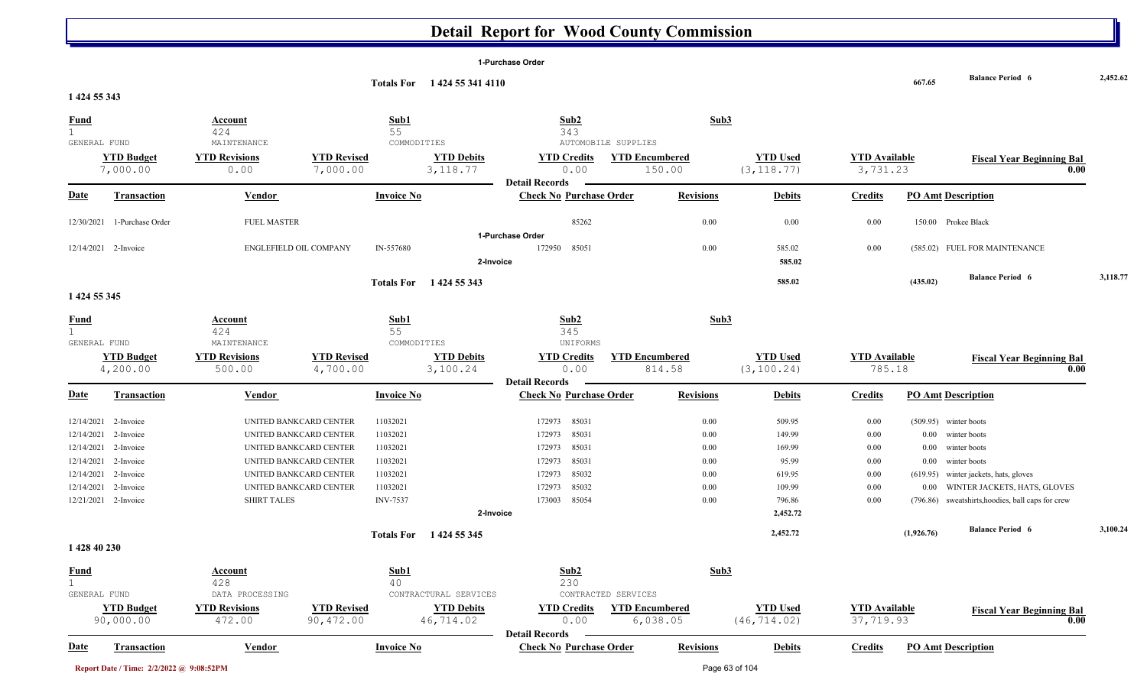**1-Purchase Order**

|                              |                               |                                                  |                                | Totals For 1424 55 341 4110   |                                |                                 |                                  |                                | 667.65     | <b>Balance Period 6</b>                  | 2,452.62 |
|------------------------------|-------------------------------|--------------------------------------------------|--------------------------------|-------------------------------|--------------------------------|---------------------------------|----------------------------------|--------------------------------|------------|------------------------------------------|----------|
| 1 424 55 343                 |                               |                                                  |                                |                               |                                |                                 |                                  |                                |            |                                          |          |
| <b>Fund</b>                  |                               | Account                                          | Sub1                           |                               | Sub2                           |                                 | Sub3                             |                                |            |                                          |          |
| $\mathbf{1}$<br>GENERAL FUND |                               | 424<br>MAINTENANCE                               | 55<br>COMMODITIES              |                               | 343                            | AUTOMOBILE SUPPLIES             |                                  |                                |            |                                          |          |
|                              | <b>YTD Budget</b>             | <b>YTD Revisions</b>                             | <b>YTD Revised</b>             | <b>YTD Debits</b>             | <b>YTD Credits</b>             | <b>YTD Encumbered</b>           | <b>YTD Used</b>                  | <b>YTD Available</b>           |            |                                          |          |
|                              | 7,000.00                      | 0.00                                             | 7,000.00                       | 3, 118.77                     | 0.00                           | 150.00                          | (3, 118.77)                      | 3,731.23                       |            | <b>Fiscal Year Beginning Bal</b><br>0.00 |          |
|                              |                               |                                                  |                                |                               | <b>Detail Records</b>          |                                 |                                  |                                |            |                                          |          |
| Date                         | <b>Transaction</b>            | <b>Vendor</b>                                    | <b>Invoice No</b>              |                               | <b>Check No Purchase Order</b> | <b>Revisions</b>                | <b>Debits</b>                    | <b>Credits</b>                 |            | <b>PO Amt Description</b>                |          |
| 12/30/2021                   | 1-Purchase Order              | <b>FUEL MASTER</b>                               |                                |                               | 85262                          |                                 | 0.00<br>0.00                     | 0.00                           |            | 150.00 Prokee Black                      |          |
|                              |                               |                                                  |                                |                               | 1-Purchase Order               |                                 |                                  |                                |            |                                          |          |
|                              | 12/14/2021 2-Invoice          | ENGLEFIELD OIL COMPANY                           | IN-557680                      |                               | 172950<br>85051                |                                 | 0.00<br>585.02                   | 0.00                           |            | (585.02) FUEL FOR MAINTENANCE            |          |
|                              |                               |                                                  |                                | 2-Invoice                     |                                |                                 | 585.02                           |                                |            |                                          |          |
|                              |                               |                                                  |                                | Totals For 1424 55 343        |                                |                                 | 585.02                           |                                | (435.02)   | <b>Balance Period 6</b>                  | 3,118.77 |
| 1 424 55 345                 |                               |                                                  |                                |                               |                                |                                 |                                  |                                |            |                                          |          |
| <b>Fund</b>                  |                               | Account                                          | Sub1                           |                               | Sub2                           |                                 | Sub3                             |                                |            |                                          |          |
| $\overline{1}$               |                               | 424                                              | 55                             |                               | 345                            |                                 |                                  |                                |            |                                          |          |
| GENERAL FUND                 |                               | MAINTENANCE                                      | COMMODITIES                    |                               | UNIFORMS                       |                                 |                                  |                                |            |                                          |          |
|                              | <b>YTD Budget</b><br>4,200.00 | <b>YTD Revisions</b><br>500.00                   | <b>YTD Revised</b><br>4,700.00 | <b>YTD Debits</b><br>3,100.24 | <b>YTD Credits</b><br>0.00     | <b>YTD Encumbered</b><br>814.58 | <b>YTD Used</b><br>(3, 100.24)   | <b>YTD</b> Available<br>785.18 |            | <b>Fiscal Year Beginning Bal</b><br>0.00 |          |
|                              |                               |                                                  |                                |                               | <b>Detail Records</b>          |                                 |                                  |                                |            |                                          |          |
| <u>Date</u>                  | Transaction                   | Vendor                                           | <b>Invoice No</b>              |                               | <b>Check No Purchase Order</b> | <b>Revisions</b>                | <b>Debits</b>                    | <b>Credits</b>                 |            | <b>PO Amt Description</b>                |          |
|                              |                               |                                                  |                                |                               | 85031                          |                                 |                                  |                                |            |                                          |          |
| 12/14/2021<br>12/14/2021     | 2-Invoice<br>2-Invoice        | UNITED BANKCARD CENTER<br>UNITED BANKCARD CENTER | 11032021<br>11032021           |                               | 172973<br>85031<br>172973      |                                 | 0.00<br>509.95<br>149.99<br>0.00 | 0.00<br>0.00                   | $0.00\,$   | (509.95) winter boots<br>winter boots    |          |
| 12/14/2021                   | 2-Invoice                     | UNITED BANKCARD CENTER                           | 11032021                       |                               | 85031<br>172973                |                                 | 0.00<br>169.99                   | 0.00                           | 0.00       | winter boots                             |          |
| 12/14/2021                   | 2-Invoice                     | UNITED BANKCARD CENTER                           | 11032021                       |                               | 85031<br>172973                |                                 | 0.00<br>95.99                    | 0.00                           | 0.00       | winter boots                             |          |
| 12/14/2021                   | 2-Invoice                     | UNITED BANKCARD CENTER                           | 11032021                       |                               | 85032<br>172973                |                                 | 0.00<br>619.95                   | 0.00                           | (619.95)   | winter jackets, hats, gloves             |          |
| 12/14/2021                   | 2-Invoice                     | UNITED BANKCARD CENTER                           | 11032021                       |                               | 85032<br>172973                |                                 | 0.00<br>109.99                   | 0.00                           | $0.00\,$   | WINTER JACKETS, HATS, GLOVES             |          |
| 12/21/2021                   | 2-Invoice                     | <b>SHIRT TALES</b>                               | <b>INV-7537</b>                |                               | 85054<br>173003                |                                 | 0.00<br>796.86                   | 0.00                           | (796.86)   | sweatshirts, hoodies, ball caps for crew |          |
|                              |                               |                                                  |                                | 2-Invoice                     |                                |                                 | 2,452.72                         |                                |            |                                          |          |
|                              |                               |                                                  |                                | Totals For 1424 55 345        |                                |                                 | 2,452.72                         |                                | (1,926.76) | <b>Balance Period 6</b>                  | 3,100.24 |
| 1 428 40 230                 |                               |                                                  |                                |                               |                                |                                 |                                  |                                |            |                                          |          |
| Fund                         |                               | Account                                          | Sub1                           |                               | Sub2                           |                                 | Sub3                             |                                |            |                                          |          |
| $\mathbf{1}$<br>GENERAL FUND |                               | 428<br>DATA PROCESSING                           | 40                             | CONTRACTURAL SERVICES         | 230                            | CONTRACTED SERVICES             |                                  |                                |            |                                          |          |
|                              | <b>YTD Budget</b>             | <b>YTD Revisions</b>                             | <b>YTD Revised</b>             | <b>YTD Debits</b>             | <b>YTD Credits</b>             | <b>YTD Encumbered</b>           | <b>YTD Used</b>                  | <b>YTD Available</b>           |            | <b>Fiscal Year Beginning Bal</b>         |          |
|                              | 90,000.00                     | 472.00                                           | 90,472.00                      | 46,714.02                     | 0.00                           | 6,038.05                        | (46, 714.02)                     | 37,719.93                      |            | 0.00                                     |          |
|                              |                               |                                                  |                                |                               | <b>Detail Records</b>          |                                 |                                  |                                |            |                                          |          |
| <u>Date</u>                  | <b>Transaction</b>            | <b>Vendor</b>                                    | <b>Invoice No</b>              |                               | <b>Check No Purchase Order</b> | <b>Revisions</b>                | <b>Debits</b>                    | <b>Credits</b>                 |            | <b>PO Amt Description</b>                |          |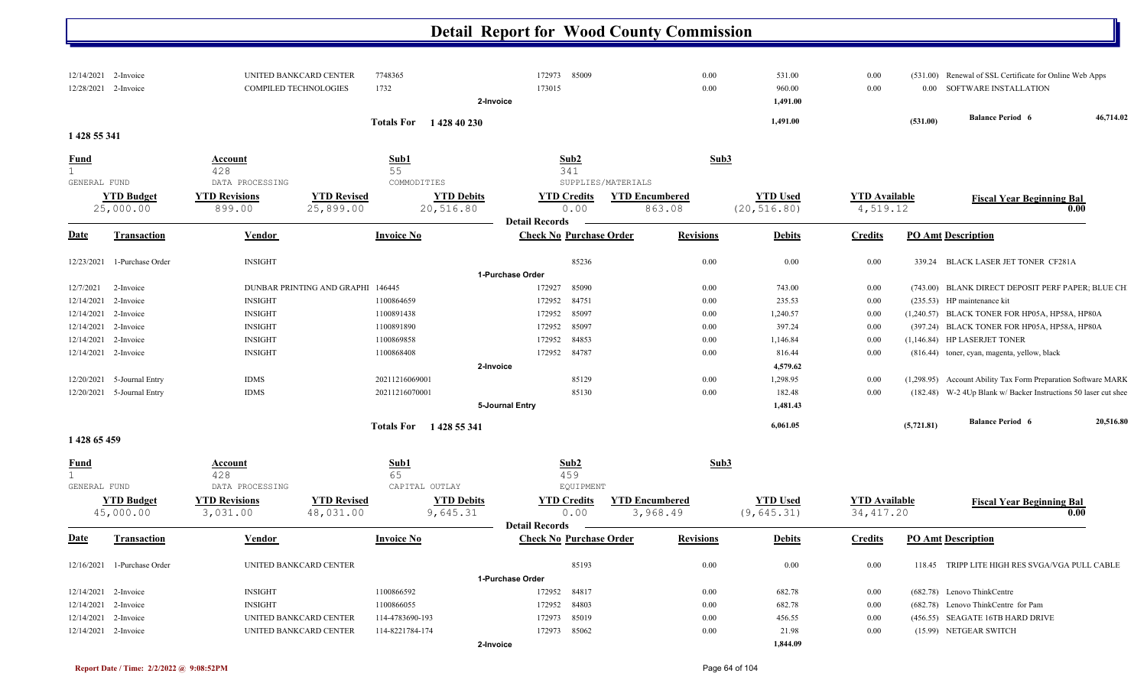|              | 12/14/2021 2-Invoice           |                                  | UNITED BANKCARD CENTER            | 7748365                        | 172973 85009                   |                                   | 0.00             | 531.00                          | 0.00                               |            | (531.00) Renewal of SSL Certificate for Online Web Apps         |           |
|--------------|--------------------------------|----------------------------------|-----------------------------------|--------------------------------|--------------------------------|-----------------------------------|------------------|---------------------------------|------------------------------------|------------|-----------------------------------------------------------------|-----------|
|              | 12/28/2021 2-Invoice           | COMPILED TECHNOLOGIES            |                                   | 1732                           | 173015                         |                                   | 0.00             | 960.00                          | 0.00                               | $0.00\,$   | SOFTWARE INSTALLATION                                           |           |
|              |                                |                                  |                                   | 2-Invoice                      |                                |                                   |                  | 1,491.00                        |                                    |            |                                                                 |           |
|              |                                |                                  |                                   | Totals For 1428 40 230         |                                |                                   |                  | 1,491.00                        |                                    | (531.00)   | <b>Balance Period 6</b>                                         | 46,714.02 |
| 1 428 55 341 |                                |                                  |                                   |                                |                                |                                   |                  |                                 |                                    |            |                                                                 |           |
| <b>Fund</b>  |                                | Account                          |                                   | Sub1                           | Sub2                           |                                   | Sub3             |                                 |                                    |            |                                                                 |           |
| $\mathbf{1}$ |                                | 428                              |                                   | 55                             | 341                            |                                   |                  |                                 |                                    |            |                                                                 |           |
| GENERAL FUND |                                | DATA PROCESSING                  |                                   | COMMODITIES                    |                                | SUPPLIES/MATERIALS                |                  |                                 |                                    |            |                                                                 |           |
|              | <b>YTD Budget</b><br>25,000.00 | <b>YTD Revisions</b><br>899.00   | <b>YTD Revised</b><br>25,899.00   | <b>YTD Debits</b><br>20,516.80 | <b>YTD Credits</b><br>0.00     | <b>YTD Encumbered</b><br>863.08   |                  | <b>YTD</b> Used<br>(20, 516.80) | <b>YTD Available</b><br>4,519.12   |            | <b>Fiscal Year Beginning Bal</b><br>0.00                        |           |
|              |                                |                                  |                                   |                                | <b>Detail Records</b>          |                                   |                  |                                 |                                    |            |                                                                 |           |
| <b>Date</b>  | <b>Transaction</b>             | Vendor                           |                                   | <b>Invoice No</b>              | <b>Check No Purchase Order</b> |                                   | <b>Revisions</b> | <b>Debits</b>                   | <b>Credits</b>                     |            | <b>PO Amt Description</b>                                       |           |
| 12/23/2021   | 1-Purchase Order               | <b>INSIGHT</b>                   |                                   |                                | 85236                          |                                   | 0.00             | 0.00                            | 0.00                               |            | 339.24 BLACK LASER JET TONER CF281A                             |           |
|              |                                |                                  |                                   |                                | 1-Purchase Order               |                                   |                  |                                 |                                    |            |                                                                 |           |
| 12/7/2021    | 2-Invoice                      |                                  | DUNBAR PRINTING AND GRAPHI 146445 |                                | 85090<br>172927                |                                   | 0.00             | 743.00                          | 0.00                               |            | (743.00) BLANK DIRECT DEPOSIT PERF PAPER; BLUE CH               |           |
| 12/14/2021   | 2-Invoice                      | <b>INSIGHT</b>                   |                                   | 1100864659                     | 172952<br>84751                |                                   | 0.00             | 235.53                          | 0.00                               |            | (235.53) HP maintenance kit                                     |           |
| 12/14/2021   | 2-Invoice                      | <b>INSIGHT</b>                   |                                   | 1100891438                     | 172952<br>85097                |                                   | 0.00             | 1,240.57                        | 0.00                               |            | (1,240.57) BLACK TONER FOR HP05A, HP58A, HP80A                  |           |
| 12/14/2021   | 2-Invoice                      | <b>INSIGHT</b>                   |                                   | 1100891890                     | 85097<br>172952                |                                   | 0.00             | 397.24                          | 0.00                               |            | (397.24) BLACK TONER FOR HP05A, HP58A, HP80A                    |           |
| 12/14/2021   | 2-Invoice                      | <b>INSIGHT</b>                   |                                   | 1100869858                     | 84853<br>172952                |                                   | 0.00             | 1,146.84                        | 0.00                               |            | (1,146.84) HP LASERJET TONER                                    |           |
|              | 12/14/2021 2-Invoice           | <b>INSIGHT</b>                   |                                   | 1100868408                     | 172952 84787                   |                                   | 0.00             | 816.44                          | 0.00                               |            | (816.44) toner, cyan, magenta, yellow, black                    |           |
|              |                                |                                  |                                   | 2-Invoice                      |                                |                                   |                  | 4,579.62                        |                                    |            |                                                                 |           |
|              | 12/20/2021 5-Journal Entry     | <b>IDMS</b>                      |                                   | 20211216069001                 | 85129                          |                                   | 0.00             | 1,298.95                        | 0.00                               |            | (1,298.95) Account Ability Tax Form Preparation Software MARK   |           |
|              | 12/20/2021 5-Journal Entry     | <b>IDMS</b>                      |                                   | 20211216070001                 | 85130                          |                                   | 0.00             | 182.48                          | 0.00                               |            | (182.48) W-2 4Up Blank w/ Backer Instructions 50 laser cut shee |           |
|              |                                |                                  |                                   |                                | 5-Journal Entry                |                                   |                  | 1,481.43                        |                                    |            |                                                                 |           |
|              |                                |                                  |                                   | Totals For 1428 55 341         |                                |                                   |                  | 6,061.05                        |                                    | (5,721.81) | <b>Balance Period 6</b>                                         | 20,516.80 |
| 1 428 65 459 |                                |                                  |                                   |                                |                                |                                   |                  |                                 |                                    |            |                                                                 |           |
| <b>Fund</b>  |                                | <b>Account</b>                   |                                   | Sub1                           | Sub2                           |                                   | Sub3             |                                 |                                    |            |                                                                 |           |
| $\mathbf{1}$ |                                | 428                              |                                   | 65                             | 459                            |                                   |                  |                                 |                                    |            |                                                                 |           |
| GENERAL FUND |                                | DATA PROCESSING                  |                                   | CAPITAL OUTLAY                 | EQUIPMENT                      |                                   |                  |                                 |                                    |            |                                                                 |           |
|              | <b>YTD Budget</b><br>45,000.00 | <b>YTD Revisions</b><br>3,031.00 | <b>YTD Revised</b><br>48,031.00   | <b>YTD Debits</b><br>9,645.31  | <b>YTD Credits</b><br>0.00     | <b>YTD Encumbered</b><br>3,968.49 |                  | <b>YTD Used</b><br>(9, 645.31)  | <b>YTD Available</b><br>34, 417.20 |            | <b>Fiscal Year Beginning Bal</b><br>0.00                        |           |
|              |                                |                                  |                                   |                                | <b>Detail Records</b>          |                                   |                  |                                 |                                    |            |                                                                 |           |
| Date         | <b>Transaction</b>             | Vendor                           |                                   | <b>Invoice No</b>              | <b>Check No Purchase Order</b> |                                   | <b>Revisions</b> | <b>Debits</b>                   | <b>Credits</b>                     |            | <b>PO Amt Description</b>                                       |           |
| 12/16/2021   | 1-Purchase Order               |                                  | UNITED BANKCARD CENTER            |                                | 85193                          |                                   | 0.00             | 0.00                            | 0.00                               |            | 118.45 TRIPP LITE HIGH RES SVGA/VGA PULL CABLE                  |           |
|              |                                |                                  |                                   |                                | 1-Purchase Order               |                                   |                  |                                 |                                    |            |                                                                 |           |
| 12/14/2021   | 2-Invoice                      | <b>INSIGHT</b>                   |                                   | 1100866592                     | 172952<br>84817                |                                   | 0.00             | 682.78                          | 0.00                               |            | (682.78) Lenovo ThinkCentre                                     |           |
| 12/14/2021   | 2-Invoice                      | <b>INSIGHT</b>                   |                                   | 1100866055                     | 172952<br>84803                |                                   | 0.00             | 682.78                          | 0.00                               |            | (682.78) Lenovo ThinkCentre for Pam                             |           |
| 12/14/2021   | 2-Invoice                      |                                  | UNITED BANKCARD CENTER            | 114-4783690-193                | 172973<br>85019                |                                   | 0.00             | 456.55                          | 0.00                               |            | (456.55) SEAGATE 16TB HARD DRIVE                                |           |
|              | 12/14/2021 2-Invoice           |                                  | UNITED BANKCARD CENTER            | 114-8221784-174                | 172973 85062                   |                                   | 0.00             | 21.98                           | 0.00                               |            | (15.99) NETGEAR SWITCH                                          |           |
|              |                                |                                  |                                   | 2-Invoice                      |                                |                                   |                  | 1,844.09                        |                                    |            |                                                                 |           |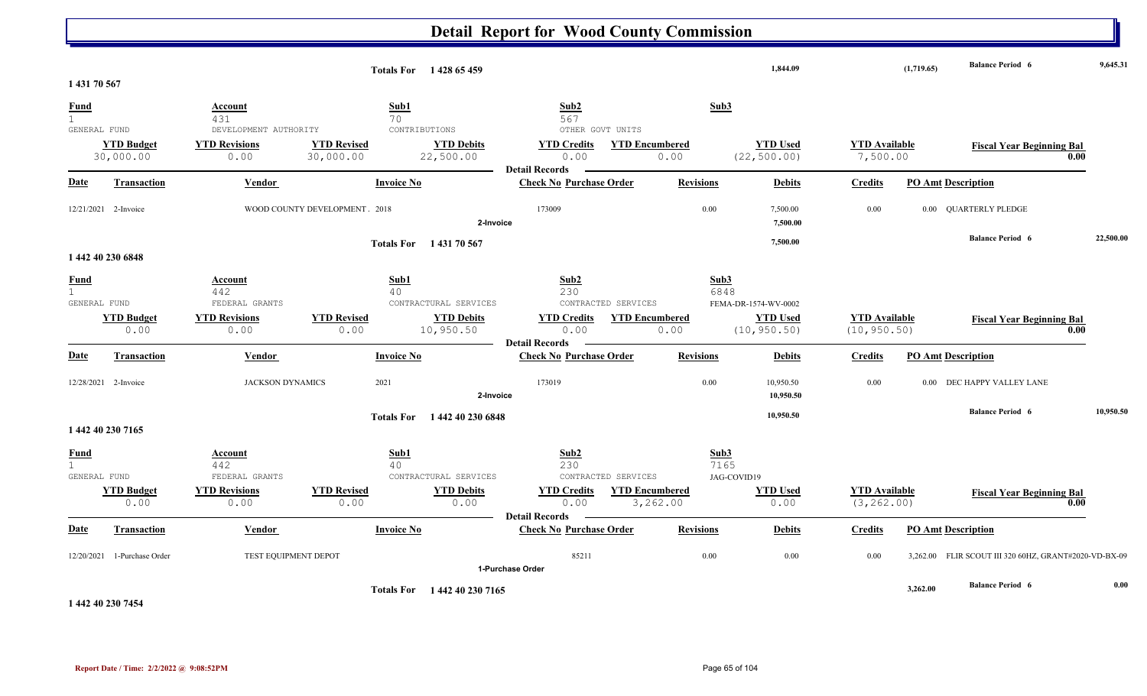|                                             |                                |                                         |                                 | Totals For 1428 65 459         |                                                     |                                   |                             | 1.844.09                        |                                      | (1,719.65) | <b>Balance Period 6</b>                      | 9,645.31  |
|---------------------------------------------|--------------------------------|-----------------------------------------|---------------------------------|--------------------------------|-----------------------------------------------------|-----------------------------------|-----------------------------|---------------------------------|--------------------------------------|------------|----------------------------------------------|-----------|
| 1 431 70 567                                |                                |                                         |                                 |                                |                                                     |                                   |                             |                                 |                                      |            |                                              |           |
| <b>Fund</b><br>$\mathbf{1}$<br>GENERAL FUND |                                | Account<br>431<br>DEVELOPMENT AUTHORITY | Sub1<br>70<br>CONTRIBUTIONS     |                                | Sub <sub>2</sub><br>567<br>OTHER GOVT UNITS         |                                   | Sub3                        |                                 |                                      |            |                                              |           |
|                                             | <b>YTD Budget</b><br>30,000.00 | <b>YTD Revisions</b><br>0.00            | <b>YTD Revised</b><br>30,000.00 | <b>YTD Debits</b><br>22,500.00 | <b>YTD Credits</b><br>0.00<br><b>Detail Records</b> | <b>YTD Encumbered</b><br>0.00     |                             | <b>YTD Used</b><br>(22, 500.00) | <b>YTD</b> Available<br>7,500.00     |            | <b>Fiscal Year Beginning Bal</b><br>0.00     |           |
| Date                                        | <b>Transaction</b>             | Vendor                                  | <b>Invoice No</b>               |                                | <b>Check No Purchase Order</b>                      |                                   | <b>Revisions</b>            | <b>Debits</b>                   | <b>Credits</b>                       |            | <b>PO Amt Description</b>                    |           |
|                                             | 12/21/2021 2-Invoice           |                                         | WOOD COUNTY DEVELOPMENT 2018    | 2-Invoice                      | 173009                                              |                                   | 0.00                        | 7,500.00<br>7,500.00            | 0.00                                 |            | 0.00 QUARTERLY PLEDGE                        |           |
|                                             |                                |                                         |                                 | Totals For 143170 567          |                                                     |                                   |                             | 7,500.00                        |                                      |            | <b>Balance Period 6</b>                      | 22,500.00 |
|                                             | 1 442 40 230 6848              |                                         |                                 |                                |                                                     |                                   |                             |                                 |                                      |            |                                              |           |
| <b>Fund</b><br>$\mathbf{1}$<br>GENERAL FUND |                                | Account<br>442<br>FEDERAL GRANTS        | Sub1<br>40                      | CONTRACTURAL SERVICES          | Sub2<br>230                                         | CONTRACTED SERVICES               | Sub3<br>6848                | FEMA-DR-1574-WV-0002            |                                      |            |                                              |           |
|                                             | <b>YTD Budget</b><br>0.00      | <b>YTD Revisions</b><br>0.00            | <b>YTD Revised</b><br>0.00      | <b>YTD Debits</b><br>10,950.50 | <b>YTD Credits</b><br>0.00<br><b>Detail Records</b> | <b>YTD Encumbered</b><br>0.00     |                             | <b>YTD Used</b><br>(10, 950.50) | <b>YTD</b> Available<br>(10, 950.50) |            | <b>Fiscal Year Beginning Bal</b><br>0.00     |           |
| Date                                        | <b>Transaction</b>             | Vendor                                  | <b>Invoice No</b>               |                                | <b>Check No Purchase Order</b>                      |                                   | <b>Revisions</b>            | <b>Debits</b>                   | <b>Credits</b>                       |            | <b>PO Amt Description</b>                    |           |
|                                             | 12/28/2021 2-Invoice           | <b>JACKSON DYNAMICS</b>                 | 2021                            | 2-Invoice                      | 173019                                              |                                   | 0.00                        | 10,950.50<br>10,950.50          | 0.00                                 | 0.00       | DEC HAPPY VALLEY LANE                        |           |
|                                             | 1 442 40 230 7165              |                                         | <b>Totals For</b>               | 1 442 40 230 6848              |                                                     |                                   |                             | 10,950.50                       |                                      |            | <b>Balance Period 6</b>                      | 10,950.50 |
| <b>Fund</b><br>1<br>GENERAL FUND            |                                | <b>Account</b><br>442<br>FEDERAL GRANTS | Sub1<br>40                      | CONTRACTURAL SERVICES          | Sub <sub>2</sub><br>230                             | CONTRACTED SERVICES               | Sub3<br>7165<br>JAG-COVID19 |                                 |                                      |            |                                              |           |
|                                             | <b>YTD Budget</b><br>0.00      | <b>YTD Revisions</b><br>0.00            | <b>YTD Revised</b><br>0.00      | <b>YTD Debits</b><br>0.00      | <b>YTD Credits</b><br>0.00<br><b>Detail Records</b> | <b>YTD</b> Encumbered<br>3,262.00 |                             | <b>YTD Used</b><br>0.00         | <b>YTD</b> Available<br>(3, 262.00)  |            | <b>Fiscal Year Beginning Bal</b><br>0.00     |           |
| Date                                        | <b>Transaction</b>             | Vendor                                  | <b>Invoice No</b>               |                                | <b>Check No Purchase Order</b>                      |                                   | <b>Revisions</b>            | <b>Debits</b>                   | <b>Credits</b>                       |            | <b>PO Amt Description</b>                    |           |
|                                             | 12/20/2021 1-Purchase Order    | TEST EQUIPMENT DEPOT                    |                                 |                                | 85211<br>1-Purchase Order                           |                                   | 0.00                        | 0.00                            | 0.00                                 | 3,262.00   | FLIR SCOUT III 320 60HZ, GRANT#2020-VD-BX-09 |           |
|                                             |                                |                                         |                                 | Totals For 1442 40 230 7165    |                                                     |                                   |                             |                                 |                                      | 3,262.00   | <b>Balance Period 6</b>                      | 0.00      |

**1 442 40 230 7454**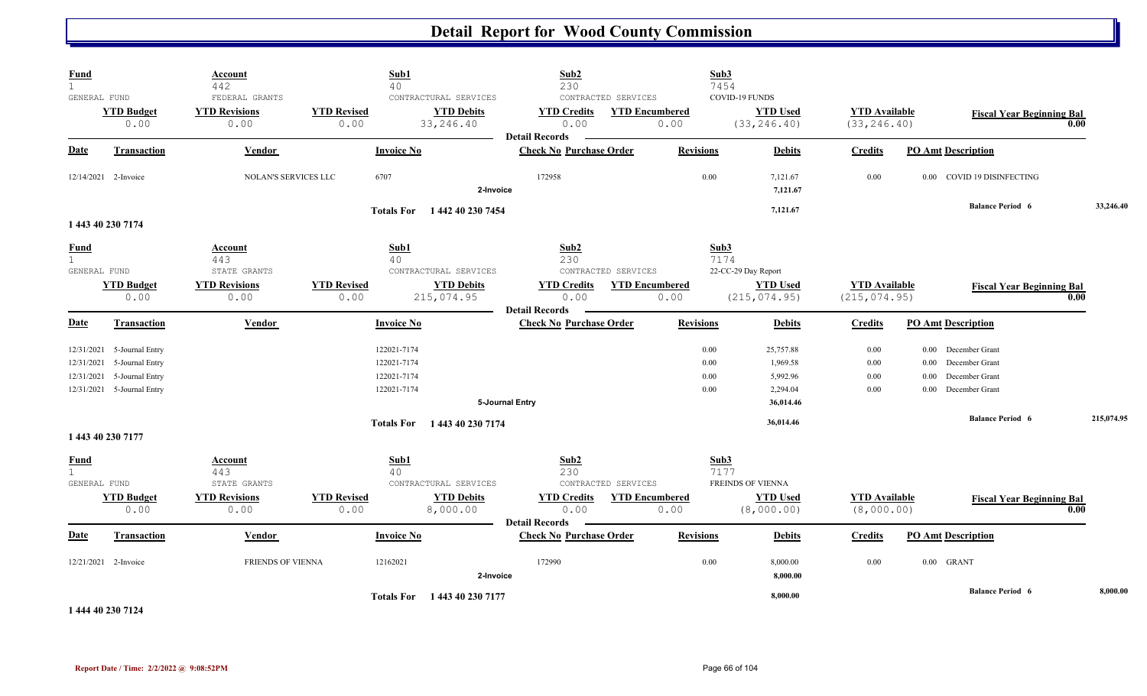| <b>Fund</b><br>$\mathbf{1}$                 |                                                                                                | <b>Account</b><br>442                          | Sub1<br>40                                               |                                                          | Sub2<br>230                                         |                                                      | Sub3<br>7454                                                                               |                                       |                                                                                                   |                                          |            |
|---------------------------------------------|------------------------------------------------------------------------------------------------|------------------------------------------------|----------------------------------------------------------|----------------------------------------------------------|-----------------------------------------------------|------------------------------------------------------|--------------------------------------------------------------------------------------------|---------------------------------------|---------------------------------------------------------------------------------------------------|------------------------------------------|------------|
| GENERAL FUND                                | <b>YTD Budget</b><br>0.00                                                                      | FEDERAL GRANTS<br><b>YTD Revisions</b><br>0.00 | <b>YTD Revised</b><br>0.00                               | CONTRACTURAL SERVICES<br><b>YTD Debits</b><br>33, 246.40 | <b>YTD Credits</b><br>0.00<br><b>Detail Records</b> | CONTRACTED SERVICES<br><b>YTD Encumbered</b><br>0.00 | COVID-19 FUNDS<br><b>YTD Used</b><br>(33, 246.40)                                          | <b>YTD</b> Available<br>(33, 246.40)  |                                                                                                   | <b>Fiscal Year Beginning Bal</b><br>0.00 |            |
| Date                                        | <b>Transaction</b>                                                                             | Vendor                                         | <b>Invoice No</b>                                        |                                                          | <b>Check No Purchase Order</b>                      | <b>Revisions</b>                                     | <b>Debits</b>                                                                              | <b>Credits</b>                        | <b>PO Amt Description</b>                                                                         |                                          |            |
|                                             | 12/14/2021 2-Invoice                                                                           | <b>NOLAN'S SERVICES LLC</b>                    | 6707                                                     | 2-Invoice                                                | 172958                                              |                                                      | 0.00<br>7,121.67<br>7,121.67                                                               | 0.00                                  | 0.00 COVID 19 DISINFECTING                                                                        |                                          |            |
|                                             | 1 443 40 230 7174                                                                              |                                                | <b>Totals For</b>                                        | 1 442 40 230 7454                                        |                                                     |                                                      | 7,121.67                                                                                   |                                       |                                                                                                   | <b>Balance Period 6</b>                  | 33,246.40  |
| <b>Fund</b><br>$\mathbf{1}$<br>GENERAL FUND |                                                                                                | Account<br>443<br>STATE GRANTS                 | Sub1<br>40                                               | CONTRACTURAL SERVICES                                    | Sub2<br>230                                         | CONTRACTED SERVICES                                  | Sub3<br>7174<br>22-CC-29 Day Report                                                        |                                       |                                                                                                   |                                          |            |
|                                             | <b>YTD Budget</b><br>0.00                                                                      | <b>YTD Revisions</b><br>0.00                   | <b>YTD Revised</b><br>0.00                               | <b>YTD Debits</b><br>215,074.95                          | <b>YTD Credits</b><br>0.00<br><b>Detail Records</b> | <b>YTD Encumbered</b><br>0.00                        | <b>YTD Used</b><br>(215, 074.95)                                                           | <b>YTD Available</b><br>(215, 074.95) |                                                                                                   | <b>Fiscal Year Beginning Bal</b><br>0.00 |            |
| Date                                        | <b>Transaction</b>                                                                             | Vendor                                         | <b>Invoice No</b>                                        |                                                          | <b>Check No Purchase Order</b>                      | <b>Revisions</b>                                     | <b>Debits</b>                                                                              | <b>Credits</b>                        | <b>PO Amt Description</b>                                                                         |                                          |            |
| 12/31/2021<br>12/31/2021                    | 12/31/2021 5-Journal Entry<br>5-Journal Entry<br>5-Journal Entry<br>12/31/2021 5-Journal Entry |                                                | 122021-7174<br>122021-7174<br>122021-7174<br>122021-7174 |                                                          | 5-Journal Entry                                     |                                                      | 0.00<br>25,757.88<br>0.00<br>1,969.58<br>0.00<br>5,992.96<br>0.00<br>2,294.04<br>36,014.46 | 0.00<br>$0.00\,$<br>0.00<br>0.00      | 0.00 December Grant<br>December Grant<br>0.00<br>December Grant<br>0.00<br>December Grant<br>0.00 |                                          |            |
|                                             | 1 443 40 230 7177                                                                              |                                                |                                                          | Totals For 1443 40 230 7174                              |                                                     |                                                      | 36,014.46                                                                                  |                                       |                                                                                                   | <b>Balance Period 6</b>                  | 215,074.95 |
| <b>Fund</b><br>$\mathbf{1}$<br>GENERAL FUND |                                                                                                | Account<br>443<br>STATE GRANTS                 | Sub1<br>40                                               | CONTRACTURAL SERVICES                                    | Sub2<br>230                                         | CONTRACTED SERVICES                                  | Sub3<br>7177<br>FREINDS OF VIENNA                                                          |                                       |                                                                                                   |                                          |            |
|                                             | <b>YTD Budget</b><br>0.00                                                                      | <b>YTD Revisions</b><br>0.00                   | <b>YTD Revised</b><br>0.00                               | <b>YTD Debits</b><br>8,000.00                            | <b>YTD Credits</b><br>0.00<br><b>Detail Records</b> | <b>YTD</b> Encumbered<br>0.00                        | <b>YTD Used</b><br>(8,000.00)                                                              | <b>YTD</b> Available<br>(8,000.00)    |                                                                                                   | <b>Fiscal Year Beginning Bal</b><br>0.00 |            |
| Date                                        | Transaction                                                                                    | <b>Vendor</b>                                  | <b>Invoice No</b>                                        |                                                          | <b>Check No Purchase Order</b>                      | <b>Revisions</b>                                     | <b>Debits</b>                                                                              | <b>Credits</b>                        | <b>PO Amt Description</b>                                                                         |                                          |            |
|                                             | 12/21/2021 2-Invoice                                                                           | <b>FRIENDS OF VIENNA</b>                       | 12162021                                                 | 2-Invoice                                                | 172990                                              |                                                      | 0.00<br>8,000.00<br>8,000.00                                                               | 0.00                                  | 0.00 GRANT                                                                                        |                                          |            |
|                                             |                                                                                                |                                                |                                                          | Totals For 1443 40 230 7177                              |                                                     |                                                      | 8,000.00                                                                                   |                                       |                                                                                                   | <b>Balance Period 6</b>                  | 8,000.00   |

**1 444 40 230 7124**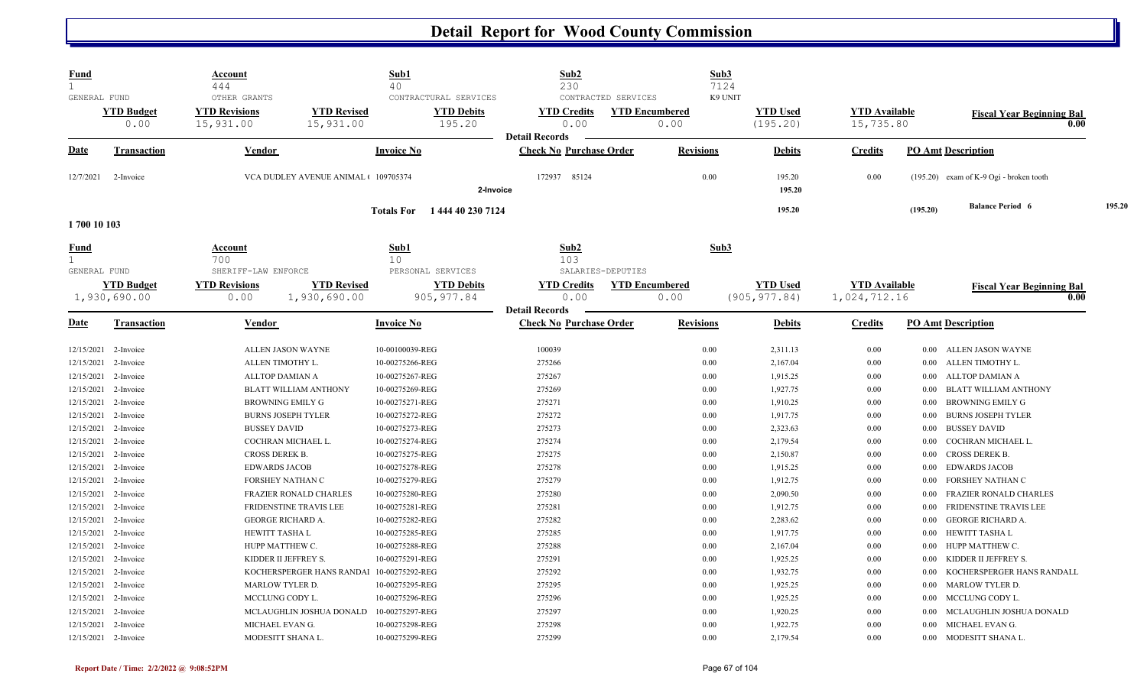| <b>Fund</b><br>$\mathbf{1}$                 |                    | <b>Account</b>                             | Sub1                                   | Sub2                             | Sub3                  |                  |                      |                                         |        |
|---------------------------------------------|--------------------|--------------------------------------------|----------------------------------------|----------------------------------|-----------------------|------------------|----------------------|-----------------------------------------|--------|
| GENERAL FUND                                |                    | 444<br>OTHER GRANTS                        | 40<br>CONTRACTURAL SERVICES            | 230<br>CONTRACTED SERVICES       | 7124<br>K9 UNIT       |                  |                      |                                         |        |
|                                             | <b>YTD Budget</b>  | <b>YTD Revisions</b><br><b>YTD Revised</b> | <b>YTD Debits</b>                      | <b>YTD Credits</b>               | <b>YTD Encumbered</b> | <b>YTD Used</b>  | <b>YTD</b> Available | <b>Fiscal Year Beginning Bal</b>        |        |
|                                             | 0.00               | 15,931.00<br>15,931.00                     | 195.20                                 | 0.00                             | 0.00                  | (195.20)         | 15,735.80            |                                         | 0.00   |
|                                             |                    |                                            |                                        | <b>Detail Records</b>            |                       |                  |                      |                                         |        |
| Date                                        | <b>Transaction</b> | Vendor                                     | <b>Invoice No</b>                      | <b>Check No Purchase Order</b>   | <b>Revisions</b>      | <b>Debits</b>    | <b>Credits</b>       | <b>PO Amt Description</b>               |        |
| 12/7/2021                                   | 2-Invoice          | VCA DUDLEY AVENUE ANIMAL ( 109705374       |                                        | 172937 85124                     | 0.00                  | 195.20<br>195.20 | 0.00                 | (195.20) exam of K-9 Ogi - broken tooth |        |
|                                             |                    |                                            | 2-Invoice                              |                                  |                       |                  |                      |                                         |        |
| 1700 10 103                                 |                    |                                            | 1 444 40 230 7124<br><b>Totals For</b> |                                  |                       | 195.20           |                      | <b>Balance Period 6</b><br>(195.20)     | 195.20 |
| <u>Fund</u><br>$\mathbf{1}$<br>GENERAL FUND |                    | Account<br>700<br>SHERIFF-LAW ENFORCE      | Sub1<br>10<br>PERSONAL SERVICES        | Sub2<br>103<br>SALARIES-DEPUTIES | Sub3                  |                  |                      |                                         |        |
|                                             | <b>YTD Budget</b>  | <b>YTD Revised</b><br><b>YTD Revisions</b> | <b>YTD Debits</b>                      | <b>YTD Credits</b>               | <b>YTD Encumbered</b> | <b>YTD Used</b>  | <b>YTD</b> Available | <b>Fiscal Year Beginning Bal</b>        |        |
|                                             | 1,930,690.00       | 1,930,690.00<br>0.00                       | 905, 977.84                            | 0.00<br><b>Detail Records</b>    | 0.00                  | (905, 977.84)    | 1,024,712.16         |                                         | 0.00   |
| <b>Date</b>                                 | Transaction        | Vendor                                     | <b>Invoice No</b>                      | <b>Check No Purchase Order</b>   | <b>Revisions</b>      | <b>Debits</b>    | <b>Credits</b>       | <b>PO Amt Description</b>               |        |
| 12/15/2021                                  | 2-Invoice          | ALLEN JASON WAYNE                          | 10-00100039-REG                        | 100039                           | 0.00                  | 2,311.13         | 0.00                 | ALLEN JASON WAYNE<br>0.00               |        |
| 12/15/2021                                  | 2-Invoice          | ALLEN TIMOTHY L.                           | 10-00275266-REG                        | 275266                           | 0.00                  | 2,167.04         | $0.00\,$             | ALLEN TIMOTHY L.<br>0.00                |        |
| 12/15/2021                                  | 2-Invoice          | ALLTOP DAMIAN A                            | 10-00275267-REG                        | 275267                           | 0.00                  | 1,915.25         | $0.00\,$             | ALLTOP DAMIAN A<br>0.00                 |        |
| 12/15/2021                                  | 2-Invoice          | <b>BLATT WILLIAM ANTHONY</b>               | 10-00275269-REG                        | 275269                           | 0.00                  | 1,927.75         | $0.00\,$             | <b>BLATT WILLIAM ANTHONY</b><br>0.00    |        |
| 12/15/2021                                  | 2-Invoice          | <b>BROWNING EMILY G</b>                    | 10-00275271-REG                        | 275271                           | 0.00                  | 1,910.25         | 0.00                 | <b>BROWNING EMILY G</b><br>0.00         |        |
| 12/15/2021                                  | 2-Invoice          | <b>BURNS JOSEPH TYLER</b>                  | 10-00275272-REG                        | 275272                           | 0.00                  | 1,917.75         | $0.00\,$             | <b>BURNS JOSEPH TYLER</b><br>0.00       |        |
| 12/15/2021                                  | 2-Invoice          | <b>BUSSEY DAVID</b>                        | 10-00275273-REG                        | 275273                           | 0.00                  | 2,323.63         | $0.00\,$             | <b>BUSSEY DAVID</b><br>0.00             |        |
| 12/15/2021                                  | 2-Invoice          | COCHRAN MICHAEL L.                         | 10-00275274-REG                        | 275274                           | 0.00                  | 2,179.54         | $0.00\,$             | COCHRAN MICHAEL L.<br>0.00              |        |
| 12/15/2021                                  | 2-Invoice          | CROSS DEREK B.                             | 10-00275275-REG                        | 275275                           | 0.00                  | 2,150.87         | $0.00\,$             | <b>CROSS DEREK B.</b><br>0.00           |        |
| 12/15/2021                                  | 2-Invoice          | <b>EDWARDS JACOB</b>                       | 10-00275278-REG                        | 275278                           | 0.00                  | 1,915.25         | 0.00                 | <b>EDWARDS JACOB</b><br>0.00            |        |
| 12/15/2021                                  | 2-Invoice          | FORSHEY NATHAN C                           | 10-00275279-REG                        | 275279                           | 0.00                  | 1,912.75         | 0.00                 | FORSHEY NATHAN C<br>0.00                |        |
| 12/15/2021                                  | 2-Invoice          | <b>FRAZIER RONALD CHARLES</b>              | 10-00275280-REG                        | 275280                           | 0.00                  | 2,090.50         | $0.00\,$             | <b>FRAZIER RONALD CHARLES</b><br>0.00   |        |
| 12/15/2021                                  | 2-Invoice          | FRIDENSTINE TRAVIS LEE                     | 10-00275281-REG                        | 275281                           | 0.00                  | 1,912.75         | $0.00\,$             | <b>FRIDENSTINE TRAVIS LEE</b><br>0.00   |        |
| 12/15/2021                                  | 2-Invoice          | <b>GEORGE RICHARD A.</b>                   | 10-00275282-REG                        | 275282                           | 0.00                  | 2,283.62         | $0.00\,$             | <b>GEORGE RICHARD A.</b><br>0.00        |        |
| 12/15/2021                                  | 2-Invoice          | HEWITT TASHA L                             | 10-00275285-REG                        | 275285                           | 0.00                  | 1,917.75         | $0.00\,$             | HEWITT TASHA L<br>0.00                  |        |
| 12/15/2021                                  | 2-Invoice          | HUPP MATTHEW C.                            | 10-00275288-REG                        | 275288                           | 0.00                  | 2,167.04         | $0.00\,$             | HUPP MATTHEW C.<br>0.00                 |        |
| 12/15/2021                                  | 2-Invoice          | KIDDER II JEFFREY S.                       | 10-00275291-REG                        | 275291                           | 0.00                  | 1,925.25         | $0.00\,$             | KIDDER II JEFFREY S.<br>0.00            |        |
| 12/15/2021                                  | 2-Invoice          | KOCHERSPERGER HANS RANDAl 10-00275292-REG  |                                        | 275292                           | 0.00                  | 1,932.75         | $0.00\,$             | KOCHERSPERGER HANS RANDALL<br>0.00      |        |
| 12/15/2021                                  | 2-Invoice          | MARLOW TYLER D.                            | 10-00275295-REG                        | 275295                           | 0.00                  | 1,925.25         | $0.00\,$             | <b>MARLOW TYLER D.</b><br>0.00          |        |
| 12/15/2021                                  | 2-Invoice          | MCCLUNG CODY L.                            | 10-00275296-REG                        | 275296                           | 0.00                  | 1,925.25         | $0.00\,$             | MCCLUNG CODY L.<br>0.00                 |        |
| 12/15/2021                                  | 2-Invoice          | MCLAUGHLIN JOSHUA DONALD                   | 10-00275297-REG                        | 275297                           | 0.00                  | 1,920.25         | 0.00                 | MCLAUGHLIN JOSHUA DONALD<br>0.00        |        |
| 12/15/2021                                  | 2-Invoice          | MICHAEL EVAN G.                            | 10-00275298-REG                        | 275298                           | 0.00                  | 1,922.75         | $0.00\,$             | MICHAEL EVAN G.<br>0.00                 |        |
| 12/15/2021 2-Invoice                        |                    | MODESITT SHANA L.                          | 10-00275299-REG                        | 275299                           | 0.00                  | 2,179.54         | 0.00                 | MODESITT SHANA L.<br>0.00               |        |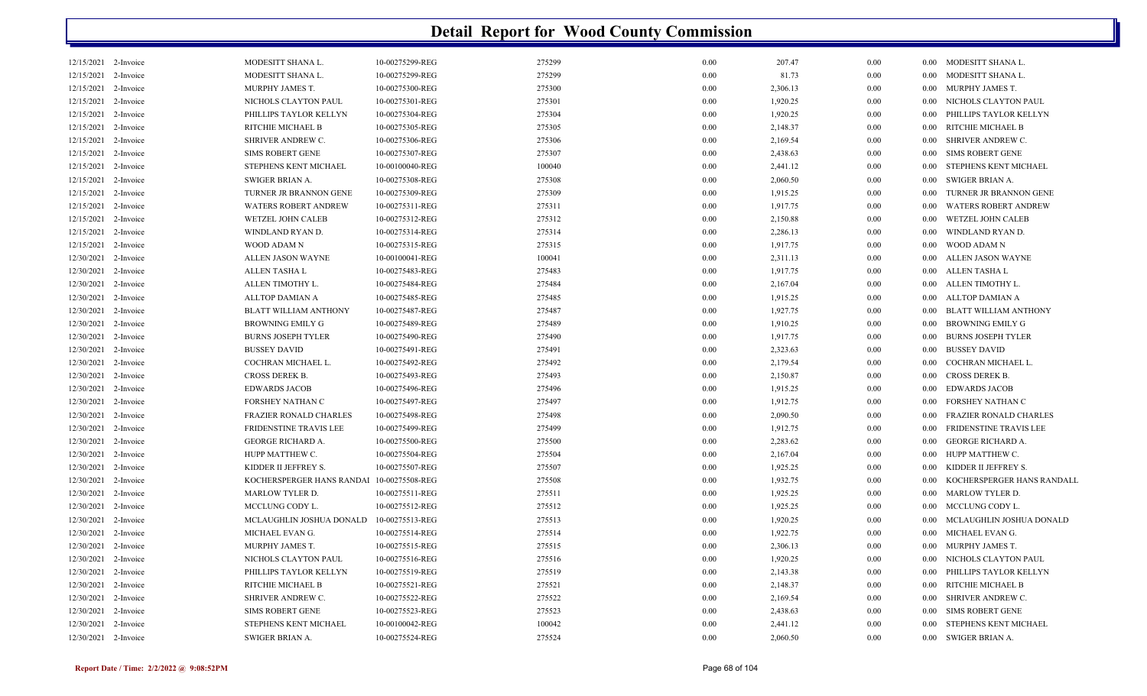| 12/15/2021 2-Invoice |           | MODESITT SHANA L.                            | 10-00275299-REG | 275299 | 0.00 | 207.47   | 0.00 | $0.00\,$ | MODESITT SHANA L.             |
|----------------------|-----------|----------------------------------------------|-----------------|--------|------|----------|------|----------|-------------------------------|
| 12/15/2021 2-Invoice |           | MODESITT SHANA L.                            | 10-00275299-REG | 275299 | 0.00 | 81.73    | 0.00 | 0.00     | MODESITT SHANA L.             |
| 12/15/2021           | 2-Invoice | MURPHY JAMES T.                              | 10-00275300-REG | 275300 | 0.00 | 2,306.13 | 0.00 | 0.00     | MURPHY JAMES T.               |
| 12/15/2021           | 2-Invoice | NICHOLS CLAYTON PAUL                         | 10-00275301-REG | 275301 | 0.00 | 1,920.25 | 0.00 | 0.00     | NICHOLS CLAYTON PAUL          |
| 12/15/2021           | 2-Invoice | PHILLIPS TAYLOR KELLYN                       | 10-00275304-REG | 275304 | 0.00 | 1,920.25 | 0.00 | 0.00     | PHILLIPS TAYLOR KELLYN        |
| 12/15/2021           | 2-Invoice | RITCHIE MICHAEL B                            | 10-00275305-REG | 275305 | 0.00 | 2,148.37 | 0.00 | 0.00     | RITCHIE MICHAEL B             |
| 12/15/2021           | 2-Invoice | SHRIVER ANDREW C.                            | 10-00275306-REG | 275306 | 0.00 | 2,169.54 | 0.00 | $0.00\,$ | SHRIVER ANDREW C.             |
| 12/15/2021           | 2-Invoice | <b>SIMS ROBERT GENE</b>                      | 10-00275307-REG | 275307 | 0.00 | 2,438.63 | 0.00 | 0.00     | <b>SIMS ROBERT GENE</b>       |
| 12/15/2021           | 2-Invoice | STEPHENS KENT MICHAEL                        | 10-00100040-REG | 100040 | 0.00 | 2,441.12 | 0.00 | 0.00     | STEPHENS KENT MICHAEL         |
| 12/15/2021           | 2-Invoice | <b>SWIGER BRIAN A.</b>                       | 10-00275308-REG | 275308 | 0.00 | 2,060.50 | 0.00 | 0.00     | SWIGER BRIAN A.               |
| 12/15/2021           | 2-Invoice | TURNER JR BRANNON GENE                       | 10-00275309-REG | 275309 | 0.00 | 1,915.25 | 0.00 | 0.00     | TURNER JR BRANNON GENE        |
| 12/15/2021           | 2-Invoice | <b>WATERS ROBERT ANDREW</b>                  | 10-00275311-REG | 275311 | 0.00 | 1,917.75 | 0.00 | 0.00     | <b>WATERS ROBERT ANDREW</b>   |
| 12/15/2021           | 2-Invoice | <b>WETZEL JOHN CALEB</b>                     | 10-00275312-REG | 275312 | 0.00 | 2,150.88 | 0.00 | 0.00     | <b>WETZEL JOHN CALEB</b>      |
| 12/15/2021           | 2-Invoice | WINDLAND RYAN D.                             | 10-00275314-REG | 275314 | 0.00 | 2,286.13 | 0.00 | 0.00     | WINDLAND RYAN D.              |
| 12/15/2021           | 2-Invoice | WOOD ADAM N                                  | 10-00275315-REG | 275315 | 0.00 | 1,917.75 | 0.00 | 0.00     | WOOD ADAM N                   |
| 12/30/2021           | 2-Invoice | ALLEN JASON WAYNE                            | 10-00100041-REG | 100041 | 0.00 | 2,311.13 | 0.00 | $0.00\,$ | ALLEN JASON WAYNE             |
| 12/30/2021           | 2-Invoice | ALLEN TASHA L                                | 10-00275483-REG | 275483 | 0.00 | 1,917.75 | 0.00 | 0.00     | ALLEN TASHA L                 |
| 12/30/2021           | 2-Invoice | ALLEN TIMOTHY L.                             | 10-00275484-REG | 275484 | 0.00 | 2,167.04 | 0.00 | 0.00     | ALLEN TIMOTHY L.              |
| 12/30/2021           | 2-Invoice | <b>ALLTOP DAMIAN A</b>                       | 10-00275485-REG | 275485 | 0.00 | 1,915.25 | 0.00 | 0.00     | ALLTOP DAMIAN A               |
| 12/30/2021           | 2-Invoice | BLATT WILLIAM ANTHONY                        | 10-00275487-REG | 275487 | 0.00 | 1,927.75 | 0.00 | $0.00\,$ | <b>BLATT WILLIAM ANTHONY</b>  |
| 12/30/2021           | 2-Invoice | <b>BROWNING EMILY G</b>                      | 10-00275489-REG | 275489 | 0.00 | 1,910.25 | 0.00 | 0.00     | <b>BROWNING EMILY G</b>       |
| 12/30/2021           | 2-Invoice | <b>BURNS JOSEPH TYLER</b>                    | 10-00275490-REG | 275490 | 0.00 | 1,917.75 | 0.00 | 0.00     | <b>BURNS JOSEPH TYLER</b>     |
| 12/30/2021           | 2-Invoice | <b>BUSSEY DAVID</b>                          | 10-00275491-REG | 275491 | 0.00 | 2,323.63 | 0.00 | 0.00     | <b>BUSSEY DAVID</b>           |
| 12/30/2021           | 2-Invoice | COCHRAN MICHAEL L.                           | 10-00275492-REG | 275492 | 0.00 | 2,179.54 | 0.00 | $0.00\,$ | COCHRAN MICHAEL L.            |
| 12/30/2021           | 2-Invoice | CROSS DEREK B.                               | 10-00275493-REG | 275493 | 0.00 | 2,150.87 | 0.00 | 0.00     | <b>CROSS DEREK B.</b>         |
| 12/30/2021           | 2-Invoice | <b>EDWARDS JACOB</b>                         | 10-00275496-REG | 275496 | 0.00 | 1,915.25 | 0.00 | 0.00     | <b>EDWARDS JACOB</b>          |
| 12/30/2021           | 2-Invoice | FORSHEY NATHAN C                             | 10-00275497-REG | 275497 | 0.00 | 1,912.75 | 0.00 | 0.00     | FORSHEY NATHAN C              |
| 12/30/2021           | 2-Invoice | FRAZIER RONALD CHARLES                       | 10-00275498-REG | 275498 | 0.00 | 2,090.50 | 0.00 | 0.00     | FRAZIER RONALD CHARLES        |
| 12/30/2021           | 2-Invoice | FRIDENSTINE TRAVIS LEE                       | 10-00275499-REG | 275499 | 0.00 | 1,912.75 | 0.00 | 0.00     | <b>FRIDENSTINE TRAVIS LEE</b> |
| 12/30/2021           | 2-Invoice | <b>GEORGE RICHARD A.</b>                     | 10-00275500-REG | 275500 | 0.00 | 2,283.62 | 0.00 | 0.00     | <b>GEORGE RICHARD A.</b>      |
| 12/30/2021           | 2-Invoice | HUPP MATTHEW C.                              | 10-00275504-REG | 275504 | 0.00 | 2,167.04 | 0.00 | 0.00     | HUPP MATTHEW C.               |
| 12/30/2021           | 2-Invoice | KIDDER II JEFFREY S.                         | 10-00275507-REG | 275507 | 0.00 | 1,925.25 | 0.00 | 0.00     | KIDDER II JEFFREY S.          |
| 12/30/2021           | 2-Invoice | KOCHERSPERGER HANS RANDAI                    | 10-00275508-REG | 275508 | 0.00 | 1,932.75 | 0.00 | $0.00\,$ | KOCHERSPERGER HANS RANDALL    |
| 12/30/2021           | 2-Invoice | <b>MARLOW TYLER D.</b>                       | 10-00275511-REG | 275511 | 0.00 | 1,925.25 | 0.00 | 0.00     | <b>MARLOW TYLER D.</b>        |
| 12/30/2021 2-Invoice |           | MCCLUNG CODY L.                              | 10-00275512-REG | 275512 | 0.00 | 1,925.25 | 0.00 | 0.00     | MCCLUNG CODY L.               |
| 12/30/2021           | 2-Invoice | MCLAUGHLIN JOSHUA DONALD                     | 10-00275513-REG | 275513 | 0.00 | 1,920.25 | 0.00 | 0.00     | MCLAUGHLIN JOSHUA DONALD      |
| 12/30/2021           | 2-Invoice | MICHAEL EVAN G.                              | 10-00275514-REG | 275514 | 0.00 | 1,922.75 | 0.00 | 0.00     | MICHAEL EVAN G.               |
| 12/30/2021 2-Invoice |           | MURPHY JAMES T.                              | 10-00275515-REG | 275515 | 0.00 | 2,306.13 | 0.00 | $0.00\,$ | MURPHY JAMES T.               |
| 12/30/2021           | 2-Invoice | NICHOLS CLAYTON PAUL                         | 10-00275516-REG | 275516 | 0.00 | 1,920.25 | 0.00 | 0.00     | NICHOLS CLAYTON PAUL          |
| 12/30/2021           | 2-Invoice | PHILLIPS TAYLOR KELLYN                       | 10-00275519-REG | 275519 | 0.00 | 2,143.38 | 0.00 | 0.00     | PHILLIPS TAYLOR KELLYN        |
| 12/30/2021 2-Invoice |           | RITCHIE MICHAEL B                            | 10-00275521-REG | 275521 | 0.00 | 2,148.37 | 0.00 | 0.00     | RITCHIE MICHAEL B             |
|                      |           |                                              | 10-00275522-REG | 275522 | 0.00 | 2,169.54 | 0.00 | $0.00\,$ | <b>SHRIVER ANDREW C.</b>      |
| 12/30/2021           | 2-Invoice | SHRIVER ANDREW C.<br><b>SIMS ROBERT GENE</b> | 10-00275523-REG | 275523 | 0.00 |          | 0.00 | 0.00     | <b>SIMS ROBERT GENE</b>       |
| 12/30/2021           | 2-Invoice |                                              |                 |        |      | 2,438.63 |      |          |                               |
| 12/30/2021 2-Invoice |           | STEPHENS KENT MICHAEL                        | 10-00100042-REG | 100042 | 0.00 | 2,441.12 | 0.00 | 0.00     | STEPHENS KENT MICHAEL         |
| 12/30/2021 2-Invoice |           | SWIGER BRIAN A.                              | 10-00275524-REG | 275524 | 0.00 | 2,060.50 | 0.00 |          | 0.00 SWIGER BRIAN A.          |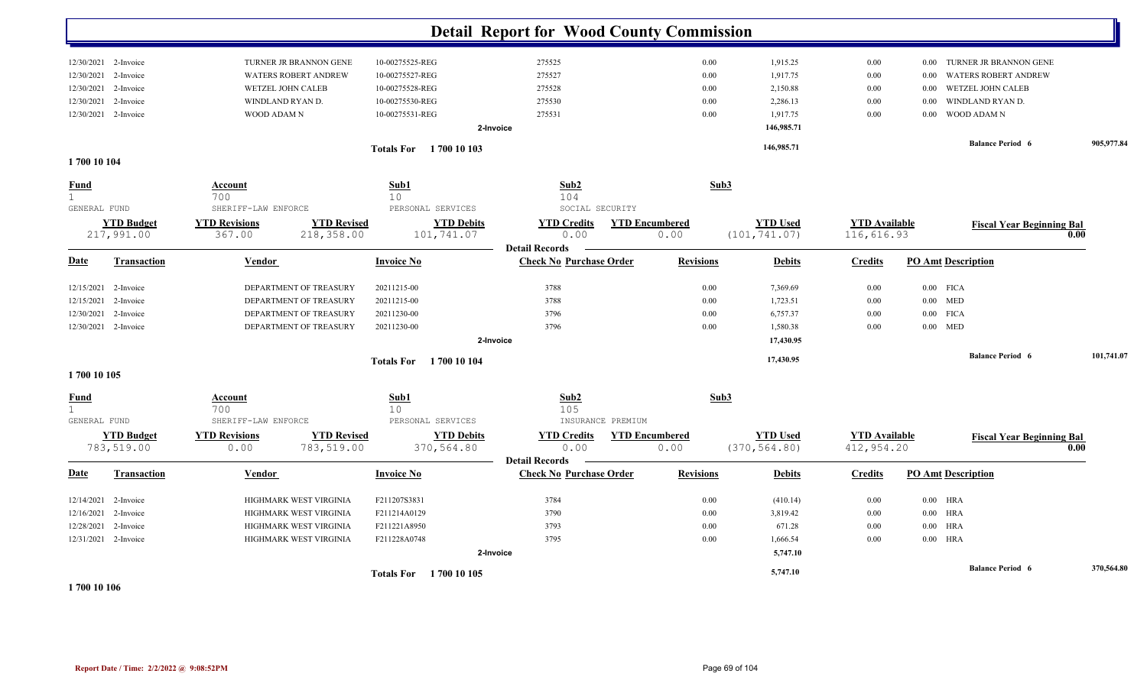|                                             |                                 |                                                                  |                                 | <b>Detail Report for Wood County Commission</b>     |                               |                                  |                                    |                                     |            |
|---------------------------------------------|---------------------------------|------------------------------------------------------------------|---------------------------------|-----------------------------------------------------|-------------------------------|----------------------------------|------------------------------------|-------------------------------------|------------|
|                                             | 12/30/2021 2-Invoice            | TURNER JR BRANNON GENE                                           | 10-00275525-REG                 | 275525                                              | 0.00                          | 1,915.25                         | $0.00\,$                           | TURNER JR BRANNON GENE<br>0.00      |            |
| 12/30/2021                                  | 2-Invoice                       | <b>WATERS ROBERT ANDREW</b>                                      | 10-00275527-REG                 | 275527                                              | 0.00                          | 1,917.75                         | $0.00\,$                           | <b>WATERS ROBERT ANDREW</b><br>0.00 |            |
| 12/30/2021                                  | 2-Invoice                       | <b>WETZEL JOHN CALEB</b>                                         | 10-00275528-REG                 | 275528                                              | 0.00                          | 2,150.88                         | $0.00\,$                           | WETZEL JOHN CALEB<br>0.00           |            |
| 12/30/2021                                  | 2-Invoice                       | WINDLAND RYAN D.                                                 | 10-00275530-REG                 | 275530                                              | 0.00                          | 2,286.13                         | 0.00                               | WINDLAND RYAN D.<br>0.00            |            |
|                                             | 12/30/2021 2-Invoice            | WOOD ADAM N                                                      | 10-00275531-REG                 | 275531                                              | 0.00                          | 1,917.75                         | 0.00                               | <b>WOOD ADAMN</b><br>0.00           |            |
|                                             |                                 |                                                                  |                                 | 2-Invoice                                           |                               | 146,985.71                       |                                    |                                     |            |
|                                             |                                 |                                                                  | <b>Totals For</b> 1700 10 103   |                                                     |                               | 146,985.71                       |                                    | <b>Balance Period 6</b>             | 905,977.84 |
| 1700 10 104                                 |                                 |                                                                  |                                 |                                                     |                               |                                  |                                    |                                     |            |
| <u>Fund</u><br>$\mathbf{1}$<br>GENERAL FUND |                                 | <b>Account</b><br>700<br>SHERIFF-LAW ENFORCE                     | Sub1<br>10<br>PERSONAL SERVICES | Sub2<br>104<br>SOCIAL SECURITY                      | Sub3                          |                                  |                                    |                                     |            |
|                                             | <b>YTD Budget</b>               | <b>YTD Revisions</b><br><b>YTD Revised</b>                       | <b>YTD Debits</b>               | <b>YTD Credits</b>                                  | <b>YTD Encumbered</b>         | <b>YTD Used</b>                  | <b>YTD Available</b>               | <b>Fiscal Year Beginning Bal</b>    |            |
|                                             | 217,991.00                      | 367.00<br>218,358.00                                             | 101,741.07                      | 0.00<br><b>Detail Records</b>                       | 0.00                          | (101, 741.07)                    | 116,616.93                         |                                     | 0.00       |
| <b>Date</b>                                 | Transaction                     | Vendor                                                           | <b>Invoice No</b>               | <b>Check No Purchase Order</b>                      | <b>Revisions</b>              | <b>Debits</b>                    | <b>Credits</b>                     | <b>PO Amt Description</b>           |            |
| 12/15/2021                                  | 2-Invoice                       | DEPARTMENT OF TREASURY                                           | 20211215-00                     | 3788                                                | 0.00                          | 7,369.69                         | 0.00                               | $0.00$ FICA                         |            |
| 12/15/2021                                  | 2-Invoice                       | DEPARTMENT OF TREASURY                                           | 20211215-00                     | 3788                                                | 0.00                          | 1,723.51                         | 0.00                               | $0.00$ MED                          |            |
| 12/30/2021                                  | 2-Invoice                       | DEPARTMENT OF TREASURY                                           | 20211230-00                     | 3796                                                | 0.00                          | 6,757.37                         | $0.00\,$                           | $0.00$ FICA                         |            |
|                                             | 12/30/2021 2-Invoice            | DEPARTMENT OF TREASURY                                           | 20211230-00                     | 3796                                                | 0.00                          | 1,580.38                         | 0.00                               | $0.00$ MED                          |            |
|                                             |                                 |                                                                  |                                 | 2-Invoice                                           |                               | 17,430.95                        |                                    |                                     |            |
|                                             |                                 |                                                                  | <b>Totals For</b> 1700 10 104   |                                                     |                               | 17,430.95                        |                                    | <b>Balance Period 6</b>             | 101,741.07 |
| 1700 10 105                                 |                                 |                                                                  |                                 |                                                     |                               |                                  |                                    |                                     |            |
| <b>Fund</b><br>$\mathbf{1}$<br>GENERAL FUND |                                 | Account<br>700<br>SHERIFF-LAW ENFORCE                            | Sub1<br>10<br>PERSONAL SERVICES | Sub2<br>105<br>INSURANCE PREMIUM                    | Sub3                          |                                  |                                    |                                     |            |
|                                             | <b>YTD Budget</b><br>783,519.00 | <b>YTD Revisions</b><br><b>YTD Revised</b><br>0.00<br>783,519.00 | <b>YTD Debits</b><br>370,564.80 | <b>YTD Credits</b><br>0.00<br><b>Detail Records</b> | <b>YTD Encumbered</b><br>0.00 | <b>YTD Used</b><br>(370, 564.80) | <b>YTD</b> Available<br>412,954.20 | <b>Fiscal Year Beginning Bal</b>    | 0.00       |
| <b>Date</b>                                 | <b>Transaction</b>              | Vendor                                                           | <b>Invoice No</b>               | <b>Check No Purchase Order</b>                      | <b>Revisions</b>              | <b>Debits</b>                    | <b>Credits</b>                     | <b>PO Amt Description</b>           |            |
| 12/14/2021                                  | 2-Invoice                       | HIGHMARK WEST VIRGINIA                                           | F211207S3831                    | 3784                                                | 0.00                          | (410.14)                         | 0.00                               | $0.00$ HRA                          |            |
| 12/16/2021                                  | 2-Invoice                       | HIGHMARK WEST VIRGINIA                                           | F211214A0129                    | 3790                                                | 0.00                          | 3,819.42                         | 0.00                               | $0.00$ HRA                          |            |
| 12/28/2021                                  | 2-Invoice                       | HIGHMARK WEST VIRGINIA                                           | F211221A8950                    | 3793                                                | 0.00                          | 671.28                           | 0.00                               | $0.00$ HRA                          |            |
|                                             | 12/31/2021 2-Invoice            | HIGHMARK WEST VIRGINIA                                           | F211228A0748                    | 3795                                                | 0.00                          | 1,666.54                         | 0.00                               | $0.00$ HRA                          |            |
|                                             |                                 |                                                                  |                                 | 2-Invoice                                           |                               | 5,747.10                         |                                    |                                     |            |
|                                             |                                 |                                                                  | Totals For 1700 10 105          |                                                     |                               | 5,747.10                         |                                    | <b>Balance Period 6</b>             | 370,564.80 |

**1 700 10 106**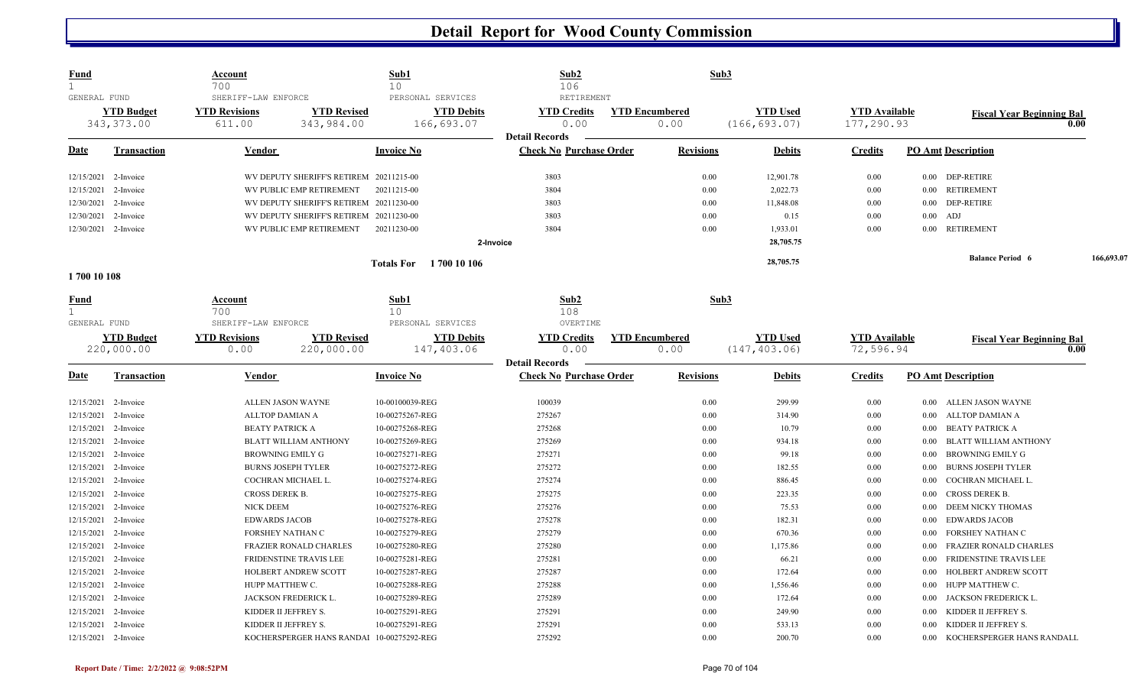| <b>Fund</b>                  |                      | Account                    |                                           | Sub1                                 | Sub2                                                    |                       | Sub3            |                      |                                       |            |
|------------------------------|----------------------|----------------------------|-------------------------------------------|--------------------------------------|---------------------------------------------------------|-----------------------|-----------------|----------------------|---------------------------------------|------------|
| $\mathbf{1}$<br>GENERAL FUND |                      | 700<br>SHERIFF-LAW ENFORCE |                                           | 10 <sup>°</sup><br>PERSONAL SERVICES | 106<br>RETIREMENT                                       |                       |                 |                      |                                       |            |
|                              | <b>YTD Budget</b>    | <b>YTD Revisions</b>       | <b>YTD Revised</b>                        | <b>YTD Debits</b>                    | <b>YTD Credits</b>                                      | <b>YTD Encumbered</b> | <b>YTD Used</b> | <b>YTD</b> Available | <b>Fiscal Year Beginning Bal</b>      |            |
|                              | 343, 373.00          | 611.00                     | 343,984.00                                | 166,693.07                           | 0.00                                                    | 0.00                  | (166, 693.07)   | 177,290.93           |                                       | 0.00       |
|                              |                      |                            |                                           |                                      | <b>Detail Records</b>                                   |                       |                 |                      |                                       |            |
| Date                         | <b>Transaction</b>   | Vendor                     |                                           | <b>Invoice No</b>                    | <b>Check No Purchase Order</b>                          | <b>Revisions</b>      | <b>Debits</b>   | <b>Credits</b>       | <b>PO Amt Description</b>             |            |
| 12/15/2021                   | 2-Invoice            |                            | WV DEPUTY SHERIFF'S RETIREM 20211215-00   |                                      | 3803                                                    | 0.00                  | 12,901.78       | $0.00\,$             | 0.00 DEP-RETIRE                       |            |
| 12/15/2021                   | 2-Invoice            |                            | WV PUBLIC EMP RETIREMENT                  | 20211215-00                          | 3804                                                    | 0.00                  | 2,022.73        | 0.00                 | <b>RETIREMENT</b><br>0.00             |            |
| 12/30/2021                   | 2-Invoice            |                            | WV DEPUTY SHERIFF'S RETIREM 20211230-00   |                                      | 3803                                                    | 0.00                  | 11,848.08       | $0.00\,$             | <b>DEP-RETIRE</b><br>0.00             |            |
| 12/30/2021                   | 2-Invoice            |                            | WV DEPUTY SHERIFF'S RETIREM 20211230-00   |                                      | 3803                                                    | 0.00                  | 0.15            | 0.00                 | $0.00$ ADJ                            |            |
|                              | 12/30/2021 2-Invoice |                            | WV PUBLIC EMP RETIREMENT                  | 20211230-00                          | 3804                                                    | 0.00                  | 1,933.01        | 0.00                 | RETIREMENT<br>$0.00\,$                |            |
|                              |                      |                            |                                           | 2-Invoice                            |                                                         |                       | 28,705.75       |                      |                                       |            |
|                              |                      |                            |                                           | <b>Totals For</b> 1700 10 106        |                                                         |                       | 28,705.75       |                      | <b>Balance Period 6</b>               | 166,693.07 |
| 1700 10 108                  |                      |                            |                                           |                                      |                                                         |                       |                 |                      |                                       |            |
| <u>Fund</u>                  |                      | <b>Account</b>             |                                           | Sub1                                 | $\mathbf{Sub2}$                                         |                       | Sub3            |                      |                                       |            |
| $\mathbf{1}$                 |                      | 700                        |                                           | 10                                   | 108                                                     |                       |                 |                      |                                       |            |
| GENERAL FUND                 |                      | SHERIFF-LAW ENFORCE        |                                           | PERSONAL SERVICES                    | OVERTIME                                                |                       |                 |                      |                                       |            |
|                              | <b>YTD Budget</b>    | <b>YTD Revisions</b>       | <b>YTD Revised</b>                        | <b>YTD Debits</b>                    | <b>YTD Credits</b>                                      | <b>YTD Encumbered</b> | <b>YTD Used</b> | <b>YTD</b> Available | <b>Fiscal Year Beginning Bal</b>      |            |
|                              | 220,000.00           | 0.00                       | 220,000.00                                | 147,403.06                           | 0.00                                                    | 0.00                  | (147, 403.06)   | 72,596.94            |                                       | 0.00       |
| <u>Date</u>                  | <b>Transaction</b>   | Vendor                     |                                           | <b>Invoice No</b>                    | <b>Detail Records</b><br><b>Check No Purchase Order</b> | <b>Revisions</b>      | <b>Debits</b>   | <b>Credits</b>       | <b>PO Amt Description</b>             |            |
|                              | 12/15/2021 2-Invoice |                            | ALLEN JASON WAYNE                         | 10-00100039-REG                      | 100039                                                  | 0.00                  | 299.99          | $0.00\,$             | 0.00 ALLEN JASON WAYNE                |            |
| 12/15/2021                   | 2-Invoice            |                            | ALLTOP DAMIAN A                           | 10-00275267-REG                      | 275267                                                  | 0.00                  | 314.90          | $0.00\,$             | ALLTOP DAMIAN A<br>0.00               |            |
| 12/15/2021                   | 2-Invoice            | <b>BEATY PATRICK A</b>     |                                           | 10-00275268-REG                      | 275268                                                  | 0.00                  | 10.79           | 0.00                 | <b>BEATY PATRICK A</b><br>0.00        |            |
| 12/15/2021                   | 2-Invoice            |                            | <b>BLATT WILLIAM ANTHONY</b>              | 10-00275269-REG                      | 275269                                                  | 0.00                  | 934.18          | $0.00\,$             | <b>BLATT WILLIAM ANTHONY</b><br>0.00  |            |
| 12/15/2021                   | 2-Invoice            |                            | BROWNING EMILY G                          | 10-00275271-REG                      | 275271                                                  | 0.00                  | 99.18           | $0.00\,$             | <b>BROWNING EMILY G</b><br>0.00       |            |
| 12/15/2021                   | 2-Invoice            |                            | <b>BURNS JOSEPH TYLER</b>                 | 10-00275272-REG                      | 275272                                                  | 0.00                  | 182.55          | 0.00                 | <b>BURNS JOSEPH TYLER</b><br>0.00     |            |
| 12/15/2021                   | 2-Invoice            |                            | COCHRAN MICHAEL L.                        | 10-00275274-REG                      | 275274                                                  | 0.00                  | 886.45          | 0.00                 | COCHRAN MICHAEL L.<br>0.00            |            |
| 12/15/2021                   | 2-Invoice            | CROSS DEREK B.             |                                           | 10-00275275-REG                      | 275275                                                  | 0.00                  | 223.35          | $0.00\,$             | <b>CROSS DEREK B.</b><br>0.00         |            |
| 12/15/2021                   | 2-Invoice            | NICK DEEM                  |                                           | 10-00275276-REG                      | 275276                                                  | 0.00                  | 75.53           | $0.00\,$             | <b>DEEM NICKY THOMAS</b><br>0.00      |            |
| 12/15/2021                   | 2-Invoice            | <b>EDWARDS JACOB</b>       |                                           | 10-00275278-REG                      | 275278                                                  | 0.00                  | 182.31          | $0.00\,$             | <b>EDWARDS JACOB</b><br>0.00          |            |
| 12/15/2021                   | 2-Invoice            |                            | FORSHEY NATHAN C                          | 10-00275279-REG                      | 275279                                                  | 0.00                  | 670.36          | $0.00\,$             | FORSHEY NATHAN C<br>0.00              |            |
| 12/15/2021                   | 2-Invoice            |                            | FRAZIER RONALD CHARLES                    | 10-00275280-REG                      | 275280                                                  | 0.00                  | 1,175.86        | $0.00\,$             | FRAZIER RONALD CHARLES<br>0.00        |            |
| 12/15/2021                   | 2-Invoice            |                            | FRIDENSTINE TRAVIS LEE                    | 10-00275281-REG                      | 275281                                                  | 0.00                  | 66.21           | $0.00\,$             | <b>FRIDENSTINE TRAVIS LEE</b><br>0.00 |            |
| 12/15/2021                   | 2-Invoice            |                            | HOLBERT ANDREW SCOTT                      | 10-00275287-REG                      | 275287                                                  | 0.00                  | 172.64          | $0.00\,$             | HOLBERT ANDREW SCOTT<br>0.00          |            |
| 12/15/2021                   | 2-Invoice            |                            | HUPP MATTHEW C.                           | 10-00275288-REG                      | 275288                                                  | 0.00                  | 1,556.46        | $0.00\,$             | HUPP MATTHEW C.<br>0.00               |            |
| 12/15/2021                   | 2-Invoice            |                            | JACKSON FREDERICK L                       | 10-00275289-REG                      | 275289                                                  | 0.00                  | 172.64          | $0.00\,$             | JACKSON FREDERICK L<br>0.00           |            |
| 12/15/2021                   | 2-Invoice            |                            | KIDDER II JEFFREY S.                      | 10-00275291-REG                      | 275291                                                  | 0.00                  | 249.90          | $0.00\,$             | KIDDER II JEFFREY S.<br>0.00          |            |
| 12/15/2021                   | 2-Invoice            |                            | KIDDER II JEFFREY S.                      | 10-00275291-REG                      | 275291                                                  | 0.00                  | 533.13          | $0.00\,$             | KIDDER II JEFFREY S.<br>0.00          |            |
|                              | 12/15/2021 2-Invoice |                            | KOCHERSPERGER HANS RANDAl 10-00275292-REG |                                      | 275292                                                  | 0.00                  | 200.70          | 0.00                 | KOCHERSPERGER HANS RANDALL<br>0.00    |            |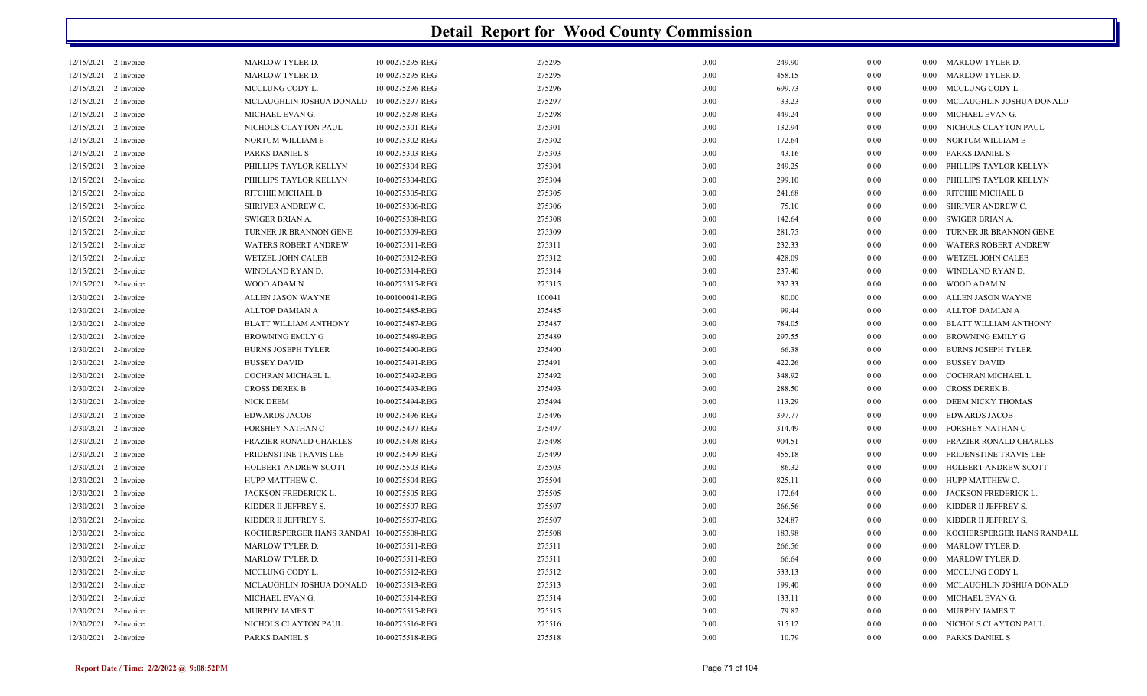| 12/15/2021 2-Invoice |           | <b>MARLOW TYLER D.</b>        | 10-00275295-REG | 275295 | 0.00 | 249.90 | 0.00 | $0.00\,$ | MARLOW TYLER D.               |
|----------------------|-----------|-------------------------------|-----------------|--------|------|--------|------|----------|-------------------------------|
| 12/15/2021           | 2-Invoice | <b>MARLOW TYLER D.</b>        | 10-00275295-REG | 275295 | 0.00 | 458.15 | 0.00 | 0.00     | <b>MARLOW TYLER D.</b>        |
| 12/15/2021           | 2-Invoice | MCCLUNG CODY L.               | 10-00275296-REG | 275296 | 0.00 | 699.73 | 0.00 | 0.00     | MCCLUNG CODY L.               |
| 12/15/2021           | 2-Invoice | MCLAUGHLIN JOSHUA DONALD      | 10-00275297-REG | 275297 | 0.00 | 33.23  | 0.00 | 0.00     | MCLAUGHLIN JOSHUA DONALD      |
| 12/15/2021           | 2-Invoice | MICHAEL EVAN G.               | 10-00275298-REG | 275298 | 0.00 | 449.24 | 0.00 | 0.00     | MICHAEL EVAN G.               |
| 12/15/2021 2-Invoice |           | NICHOLS CLAYTON PAUL          | 10-00275301-REG | 275301 | 0.00 | 132.94 | 0.00 | $0.00\,$ | NICHOLS CLAYTON PAUL          |
| 12/15/2021           | 2-Invoice | NORTUM WILLIAM E              | 10-00275302-REG | 275302 | 0.00 | 172.64 | 0.00 | 0.00     | NORTUM WILLIAM E              |
| 12/15/2021           | 2-Invoice | PARKS DANIEL S                | 10-00275303-REG | 275303 | 0.00 | 43.16  | 0.00 | 0.00     | PARKS DANIEL S                |
| 12/15/2021 2-Invoice |           | PHILLIPS TAYLOR KELLYN        | 10-00275304-REG | 275304 | 0.00 | 249.25 | 0.00 | 0.00     | PHILLIPS TAYLOR KELLYN        |
| 12/15/2021           | 2-Invoice | PHILLIPS TAYLOR KELLYN        | 10-00275304-REG | 275304 | 0.00 | 299.10 | 0.00 | 0.00     | PHILLIPS TAYLOR KELLYN        |
| 12/15/2021           | 2-Invoice | RITCHIE MICHAEL B             | 10-00275305-REG | 275305 | 0.00 | 241.68 | 0.00 | 0.00     | RITCHIE MICHAEL B             |
| 12/15/2021 2-Invoice |           | SHRIVER ANDREW C.             | 10-00275306-REG | 275306 | 0.00 | 75.10  | 0.00 | $0.00\,$ | SHRIVER ANDREW C.             |
| 12/15/2021           | 2-Invoice | SWIGER BRIAN A.               | 10-00275308-REG | 275308 | 0.00 | 142.64 | 0.00 | $0.00\,$ | SWIGER BRIAN A.               |
| 12/15/2021           | 2-Invoice | TURNER JR BRANNON GENE        | 10-00275309-REG | 275309 | 0.00 | 281.75 | 0.00 | 0.00     | TURNER JR BRANNON GENE        |
| 12/15/2021 2-Invoice |           | <b>WATERS ROBERT ANDREW</b>   | 10-00275311-REG | 275311 | 0.00 | 232.33 | 0.00 | 0.00     | <b>WATERS ROBERT ANDREW</b>   |
| 12/15/2021           | 2-Invoice | WETZEL JOHN CALEB             | 10-00275312-REG | 275312 | 0.00 | 428.09 | 0.00 | 0.00     | WETZEL JOHN CALEB             |
| 12/15/2021           | 2-Invoice | WINDLAND RYAN D.              | 10-00275314-REG | 275314 | 0.00 | 237.40 | 0.00 | 0.00     | WINDLAND RYAN D.              |
| 12/15/2021 2-Invoice |           | WOOD ADAM N                   | 10-00275315-REG | 275315 | 0.00 | 232.33 | 0.00 | $0.00\,$ | WOOD ADAM N                   |
| 12/30/2021           | 2-Invoice | ALLEN JASON WAYNE             | 10-00100041-REG | 100041 | 0.00 | 80.00  | 0.00 | $0.00\,$ | ALLEN JASON WAYNE             |
| 12/30/2021           | 2-Invoice | ALLTOP DAMIAN A               | 10-00275485-REG | 275485 | 0.00 | 99.44  | 0.00 | $0.00\,$ | ALLTOP DAMIAN A               |
| 12/30/2021 2-Invoice |           | <b>BLATT WILLIAM ANTHONY</b>  | 10-00275487-REG | 275487 | 0.00 | 784.05 | 0.00 | 0.00     | <b>BLATT WILLIAM ANTHONY</b>  |
| 12/30/2021 2-Invoice |           | <b>BROWNING EMILY G</b>       | 10-00275489-REG | 275489 | 0.00 | 297.55 | 0.00 | 0.00     | <b>BROWNING EMILY G</b>       |
| 12/30/2021           | 2-Invoice | <b>BURNS JOSEPH TYLER</b>     | 10-00275490-REG | 275490 | 0.00 | 66.38  | 0.00 | 0.00     | <b>BURNS JOSEPH TYLER</b>     |
| 12/30/2021 2-Invoice |           | <b>BUSSEY DAVID</b>           | 10-00275491-REG | 275491 | 0.00 | 422.26 | 0.00 | 0.00     | <b>BUSSEY DAVID</b>           |
| 12/30/2021 2-Invoice |           | COCHRAN MICHAEL L.            | 10-00275492-REG | 275492 | 0.00 | 348.92 | 0.00 | $0.00\,$ | COCHRAN MICHAEL L.            |
| 12/30/2021           | 2-Invoice | <b>CROSS DEREK B.</b>         | 10-00275493-REG | 275493 | 0.00 | 288.50 | 0.00 | 0.00     | <b>CROSS DEREK B.</b>         |
| 12/30/2021           | 2-Invoice | <b>NICK DEEM</b>              | 10-00275494-REG | 275494 | 0.00 | 113.29 | 0.00 | 0.00     | DEEM NICKY THOMAS             |
| 12/30/2021           | 2-Invoice | <b>EDWARDS JACOB</b>          | 10-00275496-REG | 275496 | 0.00 | 397.77 | 0.00 | $0.00\,$ | <b>EDWARDS JACOB</b>          |
| 12/30/2021           | 2-Invoice | <b>FORSHEY NATHAN C</b>       | 10-00275497-REG | 275497 | 0.00 | 314.49 | 0.00 | 0.00     | <b>FORSHEY NATHAN C</b>       |
| 12/30/2021           | 2-Invoice | FRAZIER RONALD CHARLES        | 10-00275498-REG | 275498 | 0.00 | 904.51 | 0.00 | 0.00     | <b>FRAZIER RONALD CHARLES</b> |
| 12/30/2021           | 2-Invoice | <b>FRIDENSTINE TRAVIS LEE</b> | 10-00275499-REG | 275499 | 0.00 | 455.18 | 0.00 | 0.00     | <b>FRIDENSTINE TRAVIS LEE</b> |
| 12/30/2021           | 2-Invoice | HOLBERT ANDREW SCOTT          | 10-00275503-REG | 275503 | 0.00 | 86.32  | 0.00 | 0.00     | HOLBERT ANDREW SCOTT          |
| 12/30/2021           | 2-Invoice | HUPP MATTHEW C.               | 10-00275504-REG | 275504 | 0.00 | 825.11 | 0.00 | 0.00     | HUPP MATTHEW C.               |
| 12/30/2021           | 2-Invoice | JACKSON FREDERICK L.          | 10-00275505-REG | 275505 | 0.00 | 172.64 | 0.00 | 0.00     | JACKSON FREDERICK L.          |
| 12/30/2021           | 2-Invoice | KIDDER II JEFFREY S.          | 10-00275507-REG | 275507 | 0.00 | 266.56 | 0.00 | 0.00     | KIDDER II JEFFREY S.          |
| 12/30/2021           | 2-Invoice | KIDDER II JEFFREY S.          | 10-00275507-REG | 275507 | 0.00 | 324.87 | 0.00 | 0.00     | KIDDER II JEFFREY S.          |
| 12/30/2021           | 2-Invoice | KOCHERSPERGER HANS RANDAI     | 10-00275508-REG | 275508 | 0.00 | 183.98 | 0.00 | 0.00     | KOCHERSPERGER HANS RANDALL    |
| 12/30/2021 2-Invoice |           | <b>MARLOW TYLER D.</b>        | 10-00275511-REG | 275511 | 0.00 | 266.56 | 0.00 | $0.00\,$ | <b>MARLOW TYLER D.</b>        |
| 12/30/2021           | 2-Invoice | <b>MARLOW TYLER D.</b>        | 10-00275511-REG | 275511 | 0.00 | 66.64  | 0.00 | $0.00\,$ | <b>MARLOW TYLER D.</b>        |
| 12/30/2021           | 2-Invoice | MCCLUNG CODY L.               | 10-00275512-REG | 275512 | 0.00 | 533.13 | 0.00 | 0.00     | MCCLUNG CODY L.               |
| 12/30/2021 2-Invoice |           | MCLAUGHLIN JOSHUA DONALD      | 10-00275513-REG | 275513 | 0.00 | 199.40 | 0.00 | 0.00     | MCLAUGHLIN JOSHUA DONALD      |
| 12/30/2021           | 2-Invoice | MICHAEL EVAN G.               | 10-00275514-REG | 275514 | 0.00 | 133.11 | 0.00 | 0.00     | MICHAEL EVAN G.               |
| 12/30/2021           | 2-Invoice | MURPHY JAMES T.               | 10-00275515-REG | 275515 | 0.00 | 79.82  | 0.00 | 0.00     | MURPHY JAMES T.               |
| 12/30/2021 2-Invoice |           | NICHOLS CLAYTON PAUL          | 10-00275516-REG | 275516 | 0.00 | 515.12 | 0.00 | 0.00     | NICHOLS CLAYTON PAUL          |
| 12/30/2021 2-Invoice |           | PARKS DANIEL S                | 10-00275518-REG | 275518 | 0.00 | 10.79  | 0.00 |          | 0.00 PARKS DANIEL S           |
|                      |           |                               |                 |        |      |        |      |          |                               |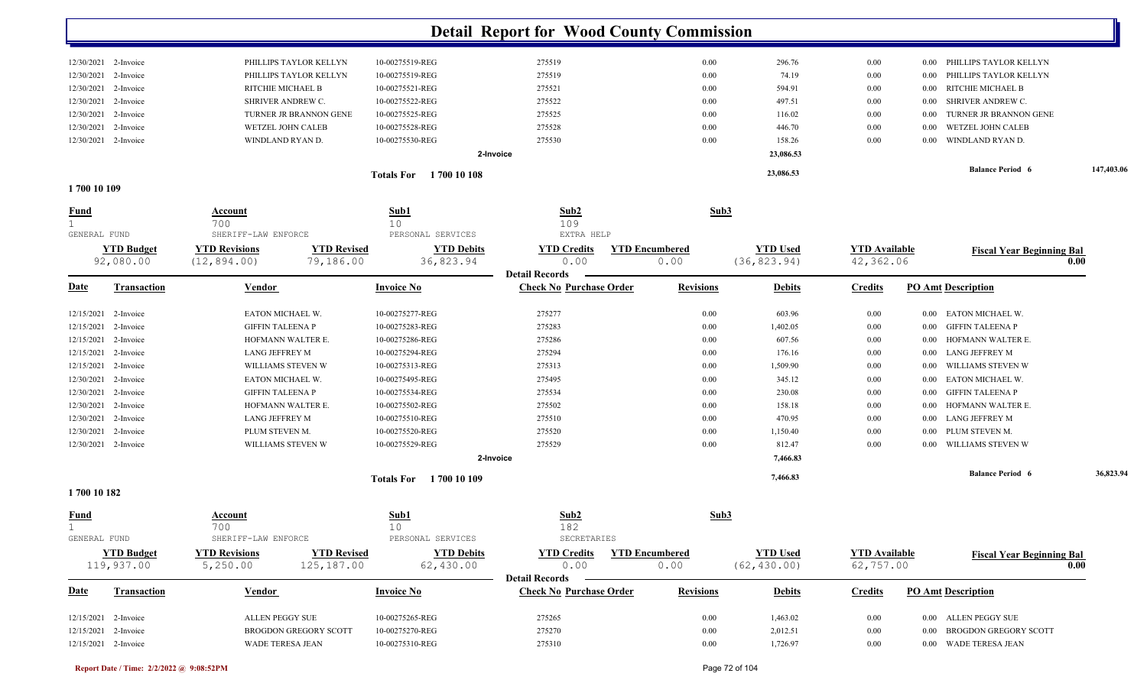|                                              |                                |                                                                      |                        |                                | <b>Detail Report for Wood County Commission</b>         |                                          |                                 |                                   |                       |                                          |            |
|----------------------------------------------|--------------------------------|----------------------------------------------------------------------|------------------------|--------------------------------|---------------------------------------------------------|------------------------------------------|---------------------------------|-----------------------------------|-----------------------|------------------------------------------|------------|
| 12/30/2021 2-Invoice                         |                                |                                                                      | PHILLIPS TAYLOR KELLYN | 10-00275519-REG                | 275519                                                  | 0.00                                     | 296.76                          | $0.00\,$                          |                       | 0.00 PHILLIPS TAYLOR KELLYN              |            |
| 12/30/2021                                   | 2-Invoice                      |                                                                      | PHILLIPS TAYLOR KELLYN | 10-00275519-REG                | 275519                                                  | 0.00                                     | 74.19                           | $0.00\,$                          | 0.00                  | PHILLIPS TAYLOR KELLYN                   |            |
| 12/30/2021                                   | 2-Invoice<br>RITCHIE MICHAEL B |                                                                      | 10-00275521-REG        | 275521                         | 0.00                                                    | 594.91                                   | 0.00                            | 0.00                              | RITCHIE MICHAEL B     |                                          |            |
| 12/30/2021                                   | 2-Invoice<br>SHRIVER ANDREW C. |                                                                      |                        | 10-00275522-REG                | 275522                                                  | 0.00                                     | 497.51                          | $0.00\,$                          | 0.00                  | SHRIVER ANDREW C.                        |            |
| 12/30/2021<br>2-Invoice                      |                                | TURNER JR BRANNON GENE                                               |                        | 10-00275525-REG                | 275525                                                  | 0.00                                     | 116.02                          | $0.00\,$                          | 0.00                  | TURNER JR BRANNON GENE                   |            |
| 12/30/2021                                   | 2-Invoice                      | WETZEL JOHN CALEB                                                    |                        | 10-00275528-REG                | 275528                                                  | 0.00                                     | 446.70                          | $0.00\,$                          | 0.00                  | WETZEL JOHN CALEB                        |            |
| 12/30/2021 2-Invoice                         |                                | WINDLAND RYAN D.                                                     |                        | 10-00275530-REG                | 275530                                                  | 0.00                                     | 158.26                          | $0.00\,$                          | $0.00\,$              | WINDLAND RYAN D.                         |            |
|                                              |                                | 2-Invoice                                                            |                        |                                |                                                         |                                          | 23,086.53                       |                                   |                       |                                          |            |
| <b>Totals For</b> 1700 10 108<br>1700 10 109 |                                |                                                                      |                        |                                |                                                         |                                          | 23,086.53                       |                                   |                       | <b>Balance Period 6</b>                  | 147,403.06 |
|                                              |                                |                                                                      |                        |                                |                                                         |                                          |                                 |                                   |                       |                                          |            |
| <u>Fund</u><br>$\mathbf{1}$                  |                                | Account<br>700                                                       |                        | Sub2<br>Sub1<br>10<br>109      |                                                         | Sub3                                     |                                 |                                   |                       |                                          |            |
| GENERAL FUND                                 |                                | SHERIFF-LAW ENFORCE                                                  |                        | PERSONAL SERVICES              | EXTRA HELP                                              |                                          |                                 |                                   |                       |                                          |            |
| <b>YTD Budget</b><br>92,080.00               |                                | <b>YTD Revised</b><br><b>YTD Revisions</b>                           |                        | <b>YTD Debits</b>              | <b>YTD Credits</b><br>0.00                              | <b>YTD Used</b><br><b>YTD Encumbered</b> |                                 | <b>YTD Available</b><br>42,362.06 |                       | <b>Fiscal Year Beginning Bal</b><br>0.00 |            |
|                                              |                                | (12, 894.00)                                                         | 79,186.00              | 36,823.94                      | <b>Detail Records</b>                                   | 0.00                                     | (36, 823.94)                    |                                   |                       |                                          |            |
| <u>Date</u>                                  | Transaction                    | Vendor                                                               |                        | <b>Invoice No</b>              | <b>Check No Purchase Order</b>                          | <b>Revisions</b>                         | <b>Debits</b>                   | <b>Credits</b>                    |                       | <b>PO Amt Description</b>                |            |
| 12/15/2021                                   | 2-Invoice                      | EATON MICHAEL W.                                                     |                        | 10-00275277-REG                | 275277                                                  | 0.00                                     | 603.96                          | $0.00\,$                          | $0.00\,$              | EATON MICHAEL W.                         |            |
| 12/15/2021                                   | 2-Invoice                      | <b>GIFFIN TALEENA P</b>                                              |                        | 10-00275283-REG                | 275283                                                  | 0.00                                     | 1,402.05                        | $0.00\,$                          | $0.00\,$              | <b>GIFFIN TALEENA P</b>                  |            |
| 12/15/2021                                   | 2-Invoice                      |                                                                      | HOFMANN WALTER E.      | 10-00275286-REG                | 275286                                                  | 0.00                                     | 607.56                          | $0.00\,$                          | 0.00                  | HOFMANN WALTER E.                        |            |
| 12/15/2021                                   | 2-Invoice<br>LANG JEFFREY M    |                                                                      | 10-00275294-REG        | 275294                         | 0.00                                                    | 176.16                                   | $0.00\,$                        | $0.00\,$                          | <b>LANG JEFFREY M</b> |                                          |            |
| 12/15/2021                                   | 2-Invoice                      | WILLIAMS STEVEN W                                                    |                        | 10-00275313-REG                | 275313                                                  | 0.00                                     | 1,509.90                        | $0.00\,$                          | $0.00\,$              | WILLIAMS STEVEN W                        |            |
| 12/30/2021                                   | 2-Invoice                      | EATON MICHAEL W.                                                     |                        | 10-00275495-REG                | 275495                                                  | 0.00                                     | 345.12                          | $0.00\,$                          | $0.00\,$              | EATON MICHAEL W.                         |            |
| 12/30/2021                                   | 2-Invoice                      | <b>GIFFIN TALEENA P</b>                                              |                        | 10-00275534-REG                | 275534                                                  | 0.00                                     | 230.08                          | $0.00\,$                          | 0.00                  | <b>GIFFIN TALEENA P</b>                  |            |
| 12/30/2021                                   | 2-Invoice                      | HOFMANN WALTER E.                                                    |                        | 10-00275502-REG                | 275502                                                  | 0.00                                     | 158.18                          | $0.00\,$                          | 0.00                  | HOFMANN WALTER E.                        |            |
| 12/30/2021                                   | 2-Invoice                      | <b>LANG JEFFREY M</b>                                                |                        | 10-00275510-REG                | 275510                                                  | 0.00                                     | 470.95                          | $0.00\,$                          | $0.00\,$              | LANG JEFFREY M                           |            |
| 12/30/2021                                   | 2-Invoice                      | PLUM STEVEN M.                                                       |                        | 10-00275520-REG                | 275520                                                  | 0.00                                     | 1,150.40                        | $0.00\,$                          | 0.00                  | PLUM STEVEN M.                           |            |
| 12/30/2021                                   | 2-Invoice                      | WILLIAMS STEVEN W                                                    |                        | 10-00275529-REG                | 275529                                                  | 0.00                                     | 812.47                          | 0.00                              | $0.00\,$              | WILLIAMS STEVEN W                        |            |
|                                              |                                |                                                                      |                        | 2-Invoice                      |                                                         |                                          | 7,466.83                        |                                   |                       |                                          |            |
| 1700 10 182                                  |                                |                                                                      |                        |                                | 7,466.83                                                |                                          |                                 | <b>Balance Period 6</b>           | 36,823.94             |                                          |            |
| <u>Fund</u>                                  |                                | Account                                                              |                        | Sub2<br>Sub1                   |                                                         | Sub3                                     |                                 |                                   |                       |                                          |            |
| $\mathbf{1}$                                 |                                | 700                                                                  |                        | 10                             | 182                                                     |                                          |                                 |                                   |                       |                                          |            |
| GENERAL FUND                                 |                                | SHERIFF-LAW ENFORCE                                                  |                        | PERSONAL SERVICES              | SECRETARIES                                             |                                          |                                 | <b>YTD Available</b>              |                       |                                          |            |
| <b>YTD Budget</b><br>119,937.00              |                                | <b>YTD Revisions</b><br><b>YTD Revised</b><br>5,250.00<br>125,187.00 |                        | <b>YTD Debits</b><br>62,430.00 | <b>YTD Credits</b><br>0.00                              | <b>YTD Encumbered</b><br>0.00            | <b>YTD Used</b><br>(62, 430.00) | 62,757.00                         |                       | <b>Fiscal Year Beginning Bal</b>         | 0.00       |
| <b>Date</b>                                  | <b>Transaction</b>             | <b>Vendor</b>                                                        |                        | <b>Invoice No</b>              | <b>Detail Records</b><br><b>Check No Purchase Order</b> | <b>Revisions</b>                         | <b>Debits</b>                   | <b>Credits</b>                    |                       | <b>PO Amt Description</b>                |            |
|                                              | 12/15/2021 2-Invoice           |                                                                      |                        | 10-00275265-REG                | 275265                                                  | 0.00                                     | 1,463.02                        | $0.00\,$                          |                       | 0.00 ALLEN PEGGY SUE                     |            |
| 12/15/2021 2-Invoice                         |                                | ALLEN PEGGY SUE<br><b>BROGDON GREGORY SCOTT</b>                      |                        | 10-00275270-REG                | 275270                                                  | 0.00                                     | 2,012.51                        | $0.00\,$                          |                       | 0.00 BROGDON GREGORY SCOTT               |            |
| 12/15/2021 2-Invoice                         |                                | WADE TERESA JEAN                                                     |                        | 10-00275310-REG                | 275310                                                  | 0.00                                     | 1,726.97                        | $0.00\,$                          |                       | 0.00 WADE TERESA JEAN                    |            |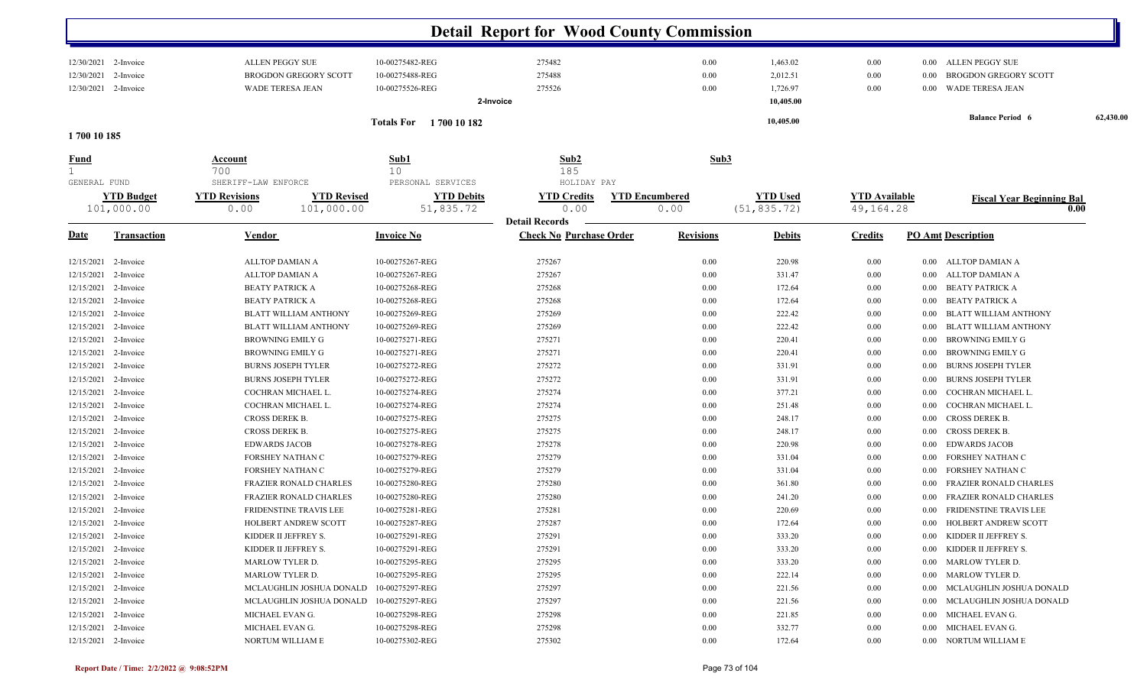|                                                            |                                 |                                                                            |                                                       | <b>Detail Report for Wood County Commission</b>         |                               |                                               |                                   |              |                                                                          |           |
|------------------------------------------------------------|---------------------------------|----------------------------------------------------------------------------|-------------------------------------------------------|---------------------------------------------------------|-------------------------------|-----------------------------------------------|-----------------------------------|--------------|--------------------------------------------------------------------------|-----------|
| 12/30/2021 2-Invoice<br>12/30/2021<br>12/30/2021 2-Invoice | 2-Invoice                       | ALLEN PEGGY SUE<br><b>BROGDON GREGORY SCOTT</b><br><b>WADE TERESA JEAN</b> | 10-00275482-REG<br>10-00275488-REG<br>10-00275526-REG | 275482<br>275488<br>275526<br>2-Invoice                 | 0.00<br>0.00<br>0.00          | 1,463.02<br>2,012.51<br>1,726.97<br>10,405.00 | 0.00<br>0.00<br>0.00              | 0.00<br>0.00 | 0.00 ALLEN PEGGY SUE<br><b>BROGDON GREGORY SCOTT</b><br>WADE TERESA JEAN |           |
| 1700 10 185                                                |                                 |                                                                            | Totals For 1700 10 182                                |                                                         |                               | 10,405.00                                     |                                   |              | <b>Balance Period 6</b>                                                  | 62,430.00 |
| <u>Fund</u>                                                |                                 | <u>Account</u>                                                             | Sub1                                                  | Sub2                                                    | Sub3                          |                                               |                                   |              |                                                                          |           |
| GENERAL FUND                                               |                                 | 700<br>SHERIFF-LAW ENFORCE                                                 | 10 <sub>o</sub><br>PERSONAL SERVICES                  | 185<br>HOLIDAY PAY                                      |                               |                                               |                                   |              |                                                                          |           |
|                                                            | <b>YTD Budget</b><br>101,000.00 | <b>YTD Revisions</b><br><b>YTD Revised</b><br>101,000.00<br>0.00           | <b>YTD Debits</b><br>51,835.72                        | <b>YTD Credits</b><br>0.00                              | <b>YTD Encumbered</b><br>0.00 | <b>YTD Used</b><br>(51, 835.72)               | <b>YTD</b> Available<br>49,164.28 |              | <b>Fiscal Year Beginning Bal</b><br>0.00                                 |           |
| <u>Date</u>                                                | <b>Transaction</b>              | <b>Vendor</b>                                                              | <b>Invoice No</b>                                     | <b>Detail Records</b><br><b>Check No Purchase Order</b> | <b>Revisions</b>              | <b>Debits</b>                                 | <b>Credits</b>                    |              | <b>PO Amt Description</b>                                                |           |
| 12/15/2021                                                 | 2-Invoice                       | ALLTOP DAMIAN A                                                            | 10-00275267-REG                                       | 275267                                                  | 0.00                          | 220.98                                        | 0.00                              | 0.00         | ALLTOP DAMIAN A                                                          |           |
| 12/15/2021                                                 | 2-Invoice                       | ALLTOP DAMIAN A                                                            | 10-00275267-REG                                       | 275267                                                  | 0.00                          | 331.47                                        | 0.00                              | 0.00         | ALLTOP DAMIAN A                                                          |           |
| 12/15/2021                                                 | 2-Invoice                       | <b>BEATY PATRICK A</b>                                                     | 10-00275268-REG                                       | 275268                                                  | 0.00                          | 172.64                                        | 0.00                              | 0.00         | <b>BEATY PATRICK A</b>                                                   |           |
| 12/15/2021                                                 | 2-Invoice                       | <b>BEATY PATRICK A</b>                                                     | 10-00275268-REG                                       | 275268                                                  | 0.00                          | 172.64                                        | 0.00                              | 0.00         | <b>BEATY PATRICK A</b>                                                   |           |
| 12/15/2021                                                 | 2-Invoice                       | BLATT WILLIAM ANTHONY                                                      | 10-00275269-REG                                       | 275269                                                  | 0.00                          | 222.42                                        | 0.00                              | 0.00         | <b>BLATT WILLIAM ANTHONY</b>                                             |           |
| 12/15/2021 2-Invoice                                       |                                 | BLATT WILLIAM ANTHONY                                                      | 10-00275269-REG                                       | 275269                                                  | 0.00                          | 222.42                                        | 0.00                              | 0.00         | <b>BLATT WILLIAM ANTHONY</b>                                             |           |
| 12/15/2021 2-Invoice                                       |                                 | <b>BROWNING EMILY G</b>                                                    | 10-00275271-REG                                       | 275271                                                  | 0.00                          | 220.41                                        | 0.00                              | 0.00         | <b>BROWNING EMILY G</b>                                                  |           |
| 12/15/2021                                                 | 2-Invoice                       | BROWNING EMILY G                                                           | 10-00275271-REG                                       | 275271                                                  | 0.00                          | 220.41                                        | $0.00\,$                          | 0.00         | <b>BROWNING EMILY G</b>                                                  |           |
| 12/15/2021                                                 | 2-Invoice                       | <b>BURNS JOSEPH TYLER</b>                                                  | 10-00275272-REG                                       | 275272                                                  | 0.00                          | 331.91                                        | $0.00\,$                          | 0.00         | <b>BURNS JOSEPH TYLER</b>                                                |           |
| 12/15/2021                                                 | 2-Invoice                       | <b>BURNS JOSEPH TYLER</b>                                                  | 10-00275272-REG                                       | 275272                                                  | 0.00                          | 331.91                                        | $0.00\,$                          | 0.00         | <b>BURNS JOSEPH TYLER</b>                                                |           |
| 12/15/2021                                                 | 2-Invoice                       | COCHRAN MICHAEL L.                                                         | 10-00275274-REG                                       | 275274                                                  | 0.00                          | 377.21                                        | 0.00                              | 0.00         | COCHRAN MICHAEL L.                                                       |           |
| 12/15/2021                                                 | 2-Invoice                       | COCHRAN MICHAEL L.                                                         | 10-00275274-REG                                       | 275274                                                  | 0.00                          | 251.48                                        | 0.00                              | 0.00         | COCHRAN MICHAEL L.                                                       |           |
| 12/15/2021                                                 | 2-Invoice                       | CROSS DEREK B.                                                             | 10-00275275-REG                                       | 275275                                                  | 0.00                          | 248.17                                        | 0.00                              | 0.00         | <b>CROSS DEREK B.</b>                                                    |           |
| 12/15/2021                                                 | 2-Invoice                       | CROSS DEREK B.                                                             | 10-00275275-REG                                       | 275275                                                  | 0.00                          | 248.17                                        | 0.00                              | 0.00         | <b>CROSS DEREK B.</b>                                                    |           |
| 12/15/2021                                                 | 2-Invoice                       | <b>EDWARDS JACOB</b>                                                       | 10-00275278-REG                                       | 275278                                                  | 0.00                          | 220.98                                        | 0.00                              | 0.00         | <b>EDWARDS JACOB</b>                                                     |           |
| 12/15/2021                                                 | 2-Invoice                       | FORSHEY NATHAN C                                                           | 10-00275279-REG                                       | 275279                                                  | 0.00                          | 331.04                                        | 0.00                              | 0.00         | FORSHEY NATHAN C                                                         |           |
| 12/15/2021                                                 | 2-Invoice                       | FORSHEY NATHAN C                                                           | 10-00275279-REG                                       | 275279                                                  | 0.00                          | 331.04                                        | 0.00                              | 0.00         | FORSHEY NATHAN C                                                         |           |
| 12/15/2021                                                 | 2-Invoice                       | <b>FRAZIER RONALD CHARLES</b>                                              | 10-00275280-REG                                       | 275280                                                  | 0.00                          | 361.80                                        | 0.00                              | 0.00         | FRAZIER RONALD CHARLES                                                   |           |
| 12/15/2021 2-Invoice                                       |                                 | <b>FRAZIER RONALD CHARLES</b>                                              | 10-00275280-REG                                       | 275280                                                  | 0.00                          | 241.20                                        | 0.00                              | 0.00         | FRAZIER RONALD CHARLES                                                   |           |
| 12/15/2021 2-Invoice                                       |                                 | FRIDENSTINE TRAVIS LEE                                                     | 10-00275281-REG                                       | 275281                                                  | 0.00                          | 220.69                                        | 0.00                              | 0.00         | FRIDENSTINE TRAVIS LEE                                                   |           |
| 12/15/2021 2-Invoice                                       |                                 | HOLBERT ANDREW SCOTT                                                       | 10-00275287-REG                                       | 275287                                                  | 0.00                          | 172.64                                        | 0.00                              | $0.00\,$     | HOLBERT ANDREW SCOTT                                                     |           |
| 12/15/2021 2-Invoice                                       |                                 | KIDDER II JEFFREY S.                                                       | 10-00275291-REG                                       | 275291                                                  | 0.00                          | 333.20                                        | $0.00\,$                          |              | 0.00 KIDDER II JEFFREY S.                                                |           |
| 12/15/2021 2-Invoice                                       |                                 | KIDDER II JEFFREY S.                                                       | 10-00275291-REG                                       | 275291                                                  | 0.00                          | 333.20                                        | 0.00                              |              | 0.00 KIDDER II JEFFREY S.                                                |           |
| 12/15/2021 2-Invoice                                       |                                 | MARLOW TYLER D.                                                            | 10-00275295-REG                                       | 275295                                                  | 0.00                          | 333.20                                        | $0.00\,$                          |              | 0.00 MARLOW TYLER D.                                                     |           |
| 12/15/2021 2-Invoice                                       |                                 | MARLOW TYLER D.                                                            | 10-00275295-REG                                       | 275295                                                  | 0.00                          | 222.14                                        | $0.00\,$                          |              | 0.00 MARLOW TYLER D.                                                     |           |
| 12/15/2021 2-Invoice                                       |                                 | MCLAUGHLIN JOSHUA DONALD                                                   | 10-00275297-REG                                       | 275297                                                  | 0.00                          | 221.56                                        | $0.00\,$                          | $0.00\,$     | MCLAUGHLIN JOSHUA DONALD                                                 |           |
| 12/15/2021 2-Invoice                                       |                                 | MCLAUGHLIN JOSHUA DONALD                                                   | 10-00275297-REG                                       | 275297                                                  | 0.00                          | 221.56                                        | $0.00\,$                          | $0.00\,$     | MCLAUGHLIN JOSHUA DONALD                                                 |           |
| 12/15/2021 2-Invoice                                       |                                 | MICHAEL EVAN G.                                                            | 10-00275298-REG                                       | 275298                                                  | 0.00                          | 221.85                                        | $0.00\,$                          |              | 0.00 MICHAEL EVAN G.                                                     |           |
| 12/15/2021 2-Invoice                                       |                                 | MICHAEL EVAN G.                                                            | 10-00275298-REG                                       | 275298                                                  | 0.00                          | 332.77                                        | 0.00                              |              | 0.00 MICHAEL EVAN G.                                                     |           |
| 12/15/2021 2-Invoice                                       |                                 | NORTUM WILLIAM E                                                           | 10-00275302-REG                                       | 275302                                                  | 0.00                          | 172.64                                        | $0.00\,$                          |              | 0.00 NORTUM WILLIAM E                                                    |           |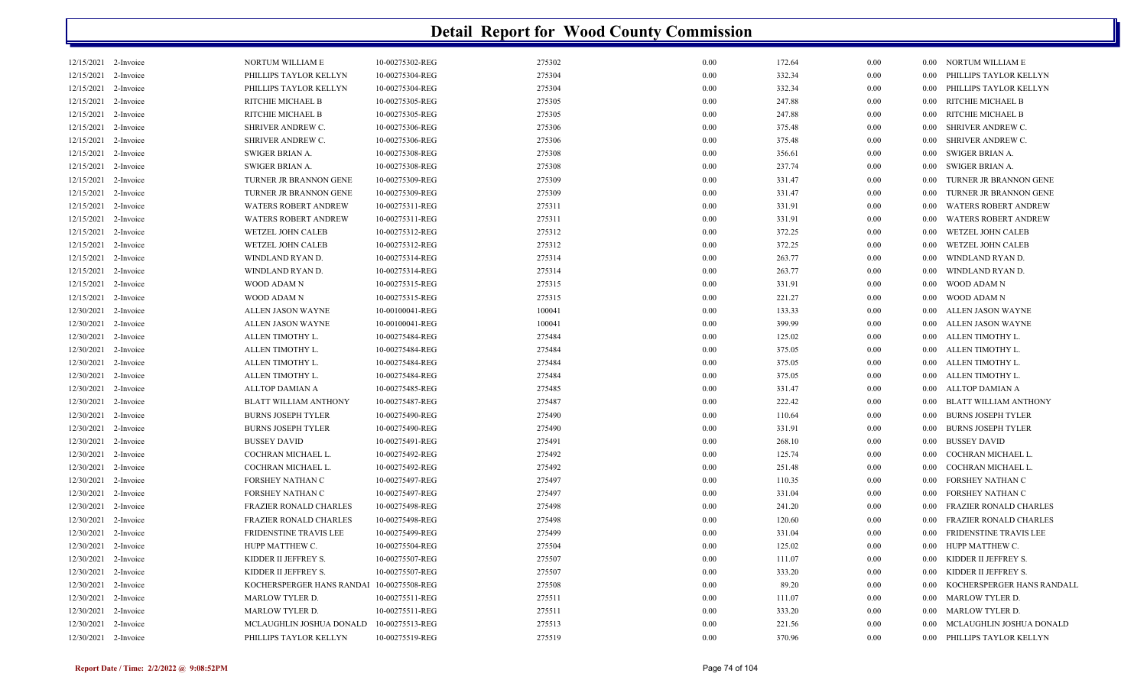| 12/15/2021 2-Invoice |           | NORTUM WILLIAM E              | 10-00275302-REG | 275302 | 0.00 | 172.64 | 0.00 |      | 0.00 NORTUM WILLIAM E         |
|----------------------|-----------|-------------------------------|-----------------|--------|------|--------|------|------|-------------------------------|
| 12/15/2021 2-Invoice |           | PHILLIPS TAYLOR KELLYN        | 10-00275304-REG | 275304 | 0.00 | 332.34 | 0.00 | 0.00 | PHILLIPS TAYLOR KELLYN        |
| 12/15/2021           | 2-Invoice | PHILLIPS TAYLOR KELLYN        | 10-00275304-REG | 275304 | 0.00 | 332.34 | 0.00 | 0.00 | PHILLIPS TAYLOR KELLYN        |
| 12/15/2021           | 2-Invoice | RITCHIE MICHAEL B             | 10-00275305-REG | 275305 | 0.00 | 247.88 | 0.00 | 0.00 | RITCHIE MICHAEL B             |
| 12/15/2021           | 2-Invoice | RITCHIE MICHAEL B             | 10-00275305-REG | 275305 | 0.00 | 247.88 | 0.00 | 0.00 | RITCHIE MICHAEL B             |
| 12/15/2021           | 2-Invoice | SHRIVER ANDREW C.             | 10-00275306-REG | 275306 | 0.00 | 375.48 | 0.00 | 0.00 | SHRIVER ANDREW C.             |
| 12/15/2021           | 2-Invoice | SHRIVER ANDREW C.             | 10-00275306-REG | 275306 | 0.00 | 375.48 | 0.00 | 0.00 | SHRIVER ANDREW C.             |
| 12/15/2021           | 2-Invoice | SWIGER BRIAN A.               | 10-00275308-REG | 275308 | 0.00 | 356.61 | 0.00 | 0.00 | SWIGER BRIAN A.               |
| 12/15/2021           | 2-Invoice | <b>SWIGER BRIAN A.</b>        | 10-00275308-REG | 275308 | 0.00 | 237.74 | 0.00 | 0.00 | SWIGER BRIAN A.               |
| 12/15/2021           | 2-Invoice | TURNER JR BRANNON GENE        | 10-00275309-REG | 275309 | 0.00 | 331.47 | 0.00 | 0.00 | TURNER JR BRANNON GENE        |
| 12/15/2021           | 2-Invoice | TURNER JR BRANNON GENE        | 10-00275309-REG | 275309 | 0.00 | 331.47 | 0.00 | 0.00 | TURNER JR BRANNON GENE        |
| 12/15/2021           | 2-Invoice | <b>WATERS ROBERT ANDREW</b>   | 10-00275311-REG | 275311 | 0.00 | 331.91 | 0.00 | 0.00 | <b>WATERS ROBERT ANDREW</b>   |
| 12/15/2021           | 2-Invoice | WATERS ROBERT ANDREW          | 10-00275311-REG | 275311 | 0.00 | 331.91 | 0.00 | 0.00 | <b>WATERS ROBERT ANDREW</b>   |
| 12/15/2021           | 2-Invoice | WETZEL JOHN CALEB             | 10-00275312-REG | 275312 | 0.00 | 372.25 | 0.00 | 0.00 | WETZEL JOHN CALEB             |
| 12/15/2021 2-Invoice |           | <b>WETZEL JOHN CALEB</b>      | 10-00275312-REG | 275312 | 0.00 | 372.25 | 0.00 | 0.00 | <b>WETZEL JOHN CALEB</b>      |
| 12/15/2021           | 2-Invoice | WINDLAND RYAN D.              | 10-00275314-REG | 275314 | 0.00 | 263.77 | 0.00 | 0.00 | WINDLAND RYAN D.              |
| 12/15/2021           | 2-Invoice | WINDLAND RYAN D.              | 10-00275314-REG | 275314 | 0.00 | 263.77 | 0.00 | 0.00 | WINDLAND RYAN D.              |
| 12/15/2021 2-Invoice |           | WOOD ADAM N                   | 10-00275315-REG | 275315 | 0.00 | 331.91 | 0.00 | 0.00 | WOOD ADAM N                   |
| 12/15/2021           | 2-Invoice | WOOD ADAM N                   | 10-00275315-REG | 275315 | 0.00 | 221.27 | 0.00 | 0.00 | WOOD ADAM N                   |
| 12/30/2021           | 2-Invoice | ALLEN JASON WAYNE             | 10-00100041-REG | 100041 | 0.00 | 133.33 | 0.00 | 0.00 | ALLEN JASON WAYNE             |
| 12/30/2021           | 2-Invoice | ALLEN JASON WAYNE             | 10-00100041-REG | 100041 | 0.00 | 399.99 | 0.00 | 0.00 | ALLEN JASON WAYNE             |
| 12/30/2021           | 2-Invoice | ALLEN TIMOTHY L.              | 10-00275484-REG | 275484 | 0.00 | 125.02 | 0.00 | 0.00 | ALLEN TIMOTHY L               |
| 12/30/2021           | 2-Invoice | ALLEN TIMOTHY L.              | 10-00275484-REG | 275484 | 0.00 | 375.05 | 0.00 | 0.00 | ALLEN TIMOTHY L.              |
| 12/30/2021 2-Invoice |           | ALLEN TIMOTHY L.              | 10-00275484-REG | 275484 | 0.00 | 375.05 | 0.00 | 0.00 | ALLEN TIMOTHY L.              |
| 12/30/2021           | 2-Invoice | ALLEN TIMOTHY L.              | 10-00275484-REG | 275484 | 0.00 | 375.05 | 0.00 | 0.00 | ALLEN TIMOTHY L.              |
| 12/30/2021           | 2-Invoice | ALLTOP DAMIAN A               | 10-00275485-REG | 275485 | 0.00 | 331.47 | 0.00 | 0.00 | ALLTOP DAMIAN A               |
| 12/30/2021           | 2-Invoice | <b>BLATT WILLIAM ANTHONY</b>  | 10-00275487-REG | 275487 | 0.00 | 222.42 | 0.00 | 0.00 | <b>BLATT WILLIAM ANTHONY</b>  |
| 12/30/2021 2-Invoice |           | <b>BURNS JOSEPH TYLER</b>     | 10-00275490-REG | 275490 | 0.00 | 110.64 | 0.00 | 0.00 | <b>BURNS JOSEPH TYLER</b>     |
| 12/30/2021           | 2-Invoice | <b>BURNS JOSEPH TYLER</b>     | 10-00275490-REG | 275490 | 0.00 | 331.91 | 0.00 | 0.00 | <b>BURNS JOSEPH TYLER</b>     |
| 12/30/2021           | 2-Invoice | <b>BUSSEY DAVID</b>           | 10-00275491-REG | 275491 | 0.00 | 268.10 | 0.00 | 0.00 | <b>BUSSEY DAVID</b>           |
| 12/30/2021           | 2-Invoice | COCHRAN MICHAEL L.            | 10-00275492-REG | 275492 | 0.00 | 125.74 | 0.00 | 0.00 | COCHRAN MICHAEL L.            |
| 12/30/2021           | 2-Invoice | COCHRAN MICHAEL L.            | 10-00275492-REG | 275492 | 0.00 | 251.48 | 0.00 | 0.00 | COCHRAN MICHAEL L.            |
| 12/30/2021           | 2-Invoice | FORSHEY NATHAN C              | 10-00275497-REG | 275497 | 0.00 | 110.35 | 0.00 | 0.00 | FORSHEY NATHAN C              |
| 12/30/2021           | 2-Invoice | FORSHEY NATHAN C              | 10-00275497-REG | 275497 | 0.00 | 331.04 | 0.00 | 0.00 | FORSHEY NATHAN C              |
| 12/30/2021           | 2-Invoice | <b>FRAZIER RONALD CHARLES</b> | 10-00275498-REG | 275498 | 0.00 | 241.20 | 0.00 | 0.00 | <b>FRAZIER RONALD CHARLES</b> |
| 12/30/2021           | 2-Invoice | FRAZIER RONALD CHARLES        | 10-00275498-REG | 275498 | 0.00 | 120.60 | 0.00 | 0.00 | FRAZIER RONALD CHARLES        |
| 12/30/2021           | 2-Invoice | FRIDENSTINE TRAVIS LEE        | 10-00275499-REG | 275499 | 0.00 | 331.04 | 0.00 | 0.00 | <b>FRIDENSTINE TRAVIS LEE</b> |
| 12/30/2021           | 2-Invoice | HUPP MATTHEW C.               | 10-00275504-REG | 275504 | 0.00 | 125.02 | 0.00 | 0.00 | HUPP MATTHEW C.               |
| 12/30/2021           | 2-Invoice | KIDDER II JEFFREY S.          | 10-00275507-REG | 275507 | 0.00 | 111.07 | 0.00 | 0.00 | KIDDER II JEFFREY S.          |
| 12/30/2021           | 2-Invoice | KIDDER II JEFFREY S.          | 10-00275507-REG | 275507 | 0.00 | 333.20 | 0.00 | 0.00 | KIDDER II JEFFREY S.          |
| 12/30/2021 2-Invoice |           | KOCHERSPERGER HANS RANDAI     | 10-00275508-REG | 275508 | 0.00 | 89.20  | 0.00 | 0.00 | KOCHERSPERGER HANS RANDALL    |
| 12/30/2021           | 2-Invoice | <b>MARLOW TYLER D.</b>        | 10-00275511-REG | 275511 | 0.00 | 111.07 | 0.00 | 0.00 | MARLOW TYLER D.               |
| 12/30/2021           | 2-Invoice | <b>MARLOW TYLER D.</b>        | 10-00275511-REG | 275511 | 0.00 | 333.20 | 0.00 | 0.00 | <b>MARLOW TYLER D</b>         |
| 12/30/2021 2-Invoice |           | MCLAUGHLIN JOSHUA DONALD      | 10-00275513-REG | 275513 | 0.00 | 221.56 | 0.00 | 0.00 | MCLAUGHLIN JOSHUA DONALD      |
| 12/30/2021 2-Invoice |           | PHILLIPS TAYLOR KELLYN        | 10-00275519-REG | 275519 | 0.00 | 370.96 | 0.00 | 0.00 | PHILLIPS TAYLOR KELLYN        |
|                      |           |                               |                 |        |      |        |      |      |                               |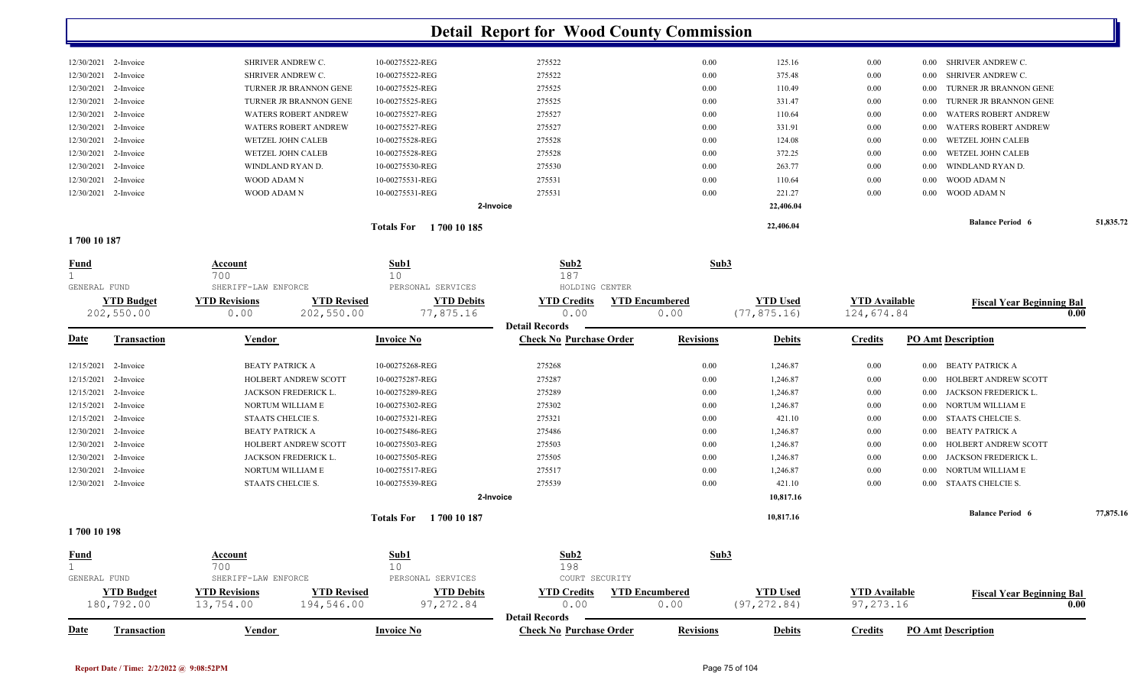|                        |                             | 1700 10 185<br>Totals For |        |      | 22,406.04 |          |          | <b>Balance Period 6</b> | 51,835.72 |
|------------------------|-----------------------------|---------------------------|--------|------|-----------|----------|----------|-------------------------|-----------|
|                        |                             | 2-Invoice                 |        |      | 22,406.04 |          |          |                         |           |
| $12/30/2021$ 2-Invoice | WOOD ADAM N                 | 10-00275531-REG           | 275531 | 0.00 | 221.27    | 0.00     |          | 0.00 WOOD ADAM N        |           |
| $12/30/2021$ 2-Invoice | WOOD ADAM N                 | 10-00275531-REG           | 275531 | 0.00 | 110.64    | 0.00     | 0.00     | WOOD ADAM N             |           |
| $12/30/2021$ 2-Invoice | WINDLAND RYAN D.            | 10-00275530-REG           | 275530 | 0.00 | 263.77    | $0.00\,$ | 0.00     | WINDLAND RYAN D.        |           |
| 12/30/2021 2-Invoice   | WETZEL JOHN CALEB           | 10-00275528-REG           | 275528 | 0.00 | 372.25    | $0.00\,$ |          | 0.00 WETZEL JOHN CALEB  |           |
| 12/30/2021 2-Invoice   | WETZEL JOHN CALEB           | 10-00275528-REG           | 275528 | 0.00 | 124.08    | $0.00\,$ |          | 0.00 WETZEL JOHN CALEB  |           |
| 12/30/2021 2-Invoice   | <b>WATERS ROBERT ANDREW</b> | 10-00275527-REG           | 275527 | 0.00 | 331.91    | $0.00\,$ | 0.00     | WATERS ROBERT ANDREW    |           |
| $12/30/2021$ 2-Invoice | <b>WATERS ROBERT ANDREW</b> | 10-00275527-REG           | 275527 | 0.00 | 110.64    | $0.00\,$ | 0.00     | WATERS ROBERT ANDREW    |           |
| $12/30/2021$ 2-Invoice | TURNER JR BRANNON GENE      | 10-00275525-REG           | 275525 | 0.00 | 331.47    | $0.00\,$ | 0.00     | TURNER JR BRANNON GENE  |           |
| 12/30/2021 2-Invoice   | TURNER JR BRANNON GENE      | 10-00275525-REG           | 275525 | 0.00 | 110.49    | 0.00     | 0.00     | TURNER JR BRANNON GENE  |           |
| 12/30/2021 2-Invoice   | SHRIVER ANDREW C.           | 10-00275522-REG           | 275522 | 0.00 | 375.48    | $0.00\,$ | $0.00\,$ | SHRIVER ANDREW C.       |           |
| 12/30/2021 2-Invoice   | <b>SHRIVER ANDREW C.</b>    | 10-00275522-REG           | 275522 | 0.00 | 125.16    | 0.00     | 0.00     | SHRIVER ANDREW C.       |           |
|                        |                             |                           |        |      |           |          |          |                         |           |

**1 700 10 187** 

| <b>Fund</b><br>GENERAL FUND |                                 | Account<br>700<br>SHERIFF-LAW ENFORCE |                                  | Sub1<br>10<br>PERSONAL SERVICES  | Sub2<br>187<br>HOLDING CENTER                       | Sub3                          |                                 |                                    |                                     |           |
|-----------------------------|---------------------------------|---------------------------------------|----------------------------------|----------------------------------|-----------------------------------------------------|-------------------------------|---------------------------------|------------------------------------|-------------------------------------|-----------|
|                             | <b>YTD Budget</b><br>202,550.00 | <b>YTD Revisions</b><br>0.00          | <b>YTD Revised</b><br>202,550.00 | <b>YTD Debits</b><br>77,875.16   | <b>YTD Credits</b><br>0.00<br><b>Detail Records</b> | <b>YTD Encumbered</b><br>0.00 | <b>YTD Used</b><br>(77, 875.16) | <b>YTD Available</b><br>124,674.84 | <b>Fiscal Year Beginning Bal</b>    | 0.00      |
| <b>Date</b>                 | <b>Transaction</b>              | Vendor                                |                                  | <b>Invoice No</b>                | <b>Check No Purchase Order</b>                      | <b>Revisions</b>              | <b>Debits</b>                   | <b>Credits</b>                     | <b>PO Amt Description</b>           |           |
| 12/15/2021                  | 2-Invoice                       | <b>BEATY PATRICK A</b>                |                                  | 10-00275268-REG                  | 275268                                              | 0.00                          | 1,246.87                        | $0.00\,$                           | <b>BEATY PATRICK A</b><br>0.00      |           |
| 12/15/2021                  | 2-Invoice                       |                                       | <b>HOLBERT ANDREW SCOTT</b>      | 10-00275287-REG                  | 275287                                              | 0.00                          | 1,246.87                        | 0.00                               | HOLBERT ANDREW SCOTT<br>0.00        |           |
| 12/15/2021                  | 2-Invoice                       |                                       | JACKSON FREDERICK L.             | 10-00275289-REG                  | 275289                                              | 0.00                          | 1,246.87                        | 0.00                               | JACKSON FREDERICK L.<br>0.00        |           |
| 12/15/2021                  | 2-Invoice                       |                                       | NORTUM WILLIAM E                 | 10-00275302-REG                  | 275302                                              | 0.00                          | 1,246.87                        | $0.00\,$                           | NORTUM WILLIAM E<br>0.00            |           |
| 12/15/2021                  | 2-Invoice                       | STAATS CHELCIE S.                     |                                  | 10-00275321-REG                  | 275321                                              | 0.00                          | 421.10                          | 0.00                               | STAATS CHELCIE S.<br>0.00           |           |
| 12/30/2021                  | 2-Invoice                       | <b>BEATY PATRICK A</b>                |                                  | 10-00275486-REG                  | 275486                                              | 0.00                          | 1,246.87                        | $0.00\,$                           | <b>BEATY PATRICK A</b><br>0.00      |           |
| 12/30/2021                  | 2-Invoice                       |                                       | HOLBERT ANDREW SCOTT             | 10-00275503-REG                  | 275503                                              | 0.00                          | 1,246.87                        | 0.00                               | <b>HOLBERT ANDREW SCOTT</b><br>0.00 |           |
| 12/30/2021                  | 2-Invoice                       |                                       | JACKSON FREDERICK L.             | 10-00275505-REG                  | 275505                                              | 0.00                          | 1,246.87                        | $0.00\,$                           | JACKSON FREDERICK L.<br>0.00        |           |
| 12/30/2021                  | 2-Invoice                       |                                       | NORTUM WILLIAM E                 | 10-00275517-REG                  | 275517                                              | 0.00                          | 1,246.87                        | 0.00                               | NORTUM WILLIAM E<br>0.00            |           |
|                             | 12/30/2021 2-Invoice            | STAATS CHELCIE S.                     |                                  | 10-00275539-REG                  | 275539                                              | 0.00                          | 421.10                          | 0.00                               | 0.00 STAATS CHELCIE S.              |           |
|                             |                                 |                                       |                                  |                                  | 2-Invoice                                           |                               | 10,817.16                       |                                    |                                     |           |
|                             |                                 |                                       |                                  | <b>Totals For</b><br>1700 10 187 |                                                     |                               | 10,817.16                       |                                    | <b>Balance Period 6</b>             | 77,875.16 |
| 1 700 10 108                |                                 |                                       |                                  |                                  |                                                     |                               |                                 |                                    |                                     |           |

**1 700 10 198** 

| <b>Fund</b>         | <u>Account</u>       |             | Sub1              | Sub2                           |                       | Sub3            |                      |                                  |
|---------------------|----------------------|-------------|-------------------|--------------------------------|-----------------------|-----------------|----------------------|----------------------------------|
|                     | 700                  |             | 10                | 198                            |                       |                 |                      |                                  |
| GENERAL FUND        | SHERIFF-LAW ENFORCE  |             | PERSONAL SERVICES | COURT SECURITY                 |                       |                 |                      |                                  |
| <b>YTD Budget</b>   | <b>YTD Revisions</b> | 7TD Revised | <b>YTD Debits</b> | <b>YTD Credits</b>             | <b>YTD Encumbered</b> | <b>YTD Used</b> | <b>YTD Available</b> | <b>Fiscal Year Beginning Bal</b> |
| 180,792.00          | 13,754.00            | 194,546.00  | 97,272.84         | 0.00                           | 0.00                  | (97, 272, 84)   | 97,273.16            | 0.00                             |
|                     |                      |             |                   | <b>Detail Records</b>          |                       |                 |                      |                                  |
| Date<br>Transaction | <u>Vendor</u>        |             | <b>Invoice No</b> | <b>Check No Purchase Order</b> | <b>Revisions</b>      | <b>Debits</b>   | <u>Credits</u>       | <b>PO Amt Description</b>        |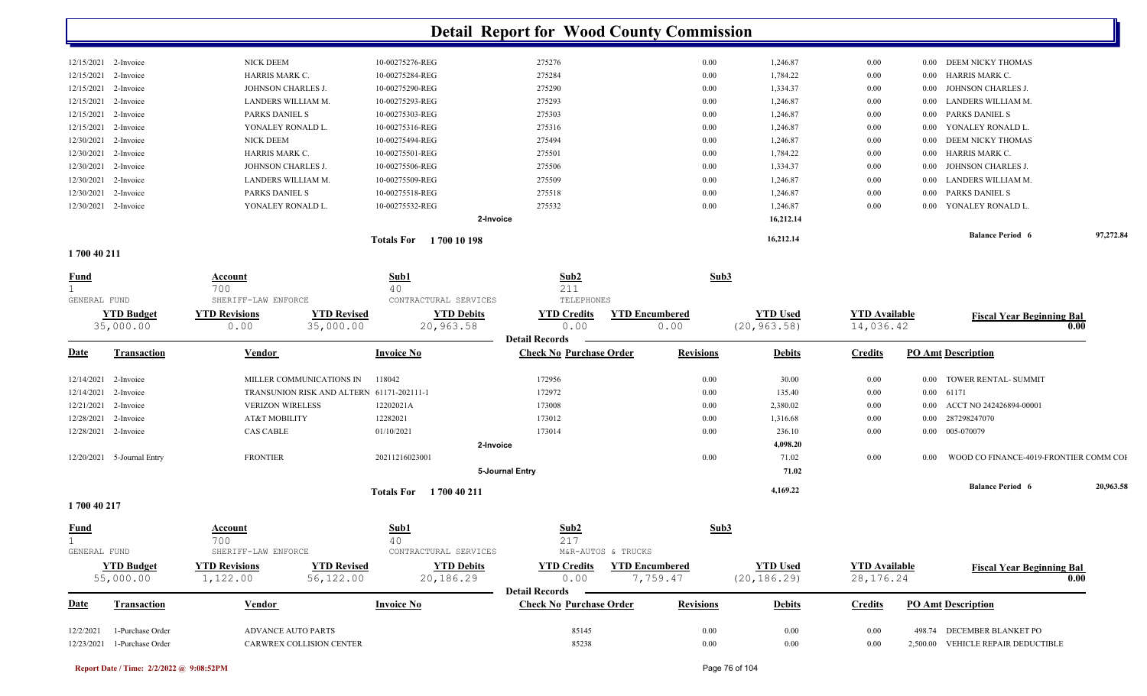|              |                             |                          |                                           |                               | <b>Detail Report for Wood County Commission</b>         |                       |                  |                 |                      |          |                                        |           |
|--------------|-----------------------------|--------------------------|-------------------------------------------|-------------------------------|---------------------------------------------------------|-----------------------|------------------|-----------------|----------------------|----------|----------------------------------------|-----------|
|              | 12/15/2021 2-Invoice        | NICK DEEM                |                                           | 10-00275276-REG               | 275276                                                  |                       | $0.00\,$         | 1,246.87        | 0.00                 | $0.00\,$ | DEEM NICKY THOMAS                      |           |
| 12/15/2021   | 2-Invoice                   | HARRIS MARK C.           |                                           | 10-00275284-REG               | 275284                                                  |                       | 0.00             | 1,784.22        | 0.00                 | $0.00\,$ | HARRIS MARK C.                         |           |
| 12/15/2021   | 2-Invoice                   | JOHNSON CHARLES J.       |                                           | 10-00275290-REG               | 275290                                                  |                       | $0.00\,$         | 1,334.37        | 0.00                 | $0.00\,$ | JOHNSON CHARLES J.                     |           |
| 12/15/2021   | 2-Invoice                   | LANDERS WILLIAM M.       |                                           | 10-00275293-REG               | 275293                                                  |                       | $0.00\,$         | 1,246.87        | 0.00                 | 0.00     | LANDERS WILLIAM M.                     |           |
| 12/15/2021   | 2-Invoice                   | PARKS DANIEL S           |                                           | 10-00275303-REG               | 275303                                                  |                       | $0.00\,$         | 1,246.87        | 0.00                 | 0.00     | PARKS DANIEL S                         |           |
| 12/15/2021   | 2-Invoice                   | YONALEY RONALD L.        |                                           | 10-00275316-REG               | 275316                                                  |                       | $0.00\,$         | 1,246.87        | 0.00                 | 0.00     | YONALEY RONALD L.                      |           |
| 12/30/2021   | 2-Invoice                   | NICK DEEM                |                                           | 10-00275494-REG               | 275494                                                  |                       | $0.00\,$         | 1,246.87        | 0.00                 | 0.00     | DEEM NICKY THOMAS                      |           |
| 12/30/2021   | 2-Invoice                   | HARRIS MARK C.           |                                           | 10-00275501-REG               | 275501                                                  |                       | $0.00\,$         | 1,784.22        | 0.00                 | 0.00     | HARRIS MARK C.                         |           |
| 12/30/2021   | 2-Invoice                   | JOHNSON CHARLES J.       |                                           | 10-00275506-REG               | 275506                                                  |                       | 0.00             | 1,334.37        | 0.00                 | 0.00     | JOHNSON CHARLES J.                     |           |
| 12/30/2021   | 2-Invoice                   | LANDERS WILLIAM M.       |                                           | 10-00275509-REG               | 275509                                                  |                       | $0.00\,$         | 1,246.87        | 0.00                 | 0.00     | LANDERS WILLIAM M.                     |           |
| 12/30/2021   | 2-Invoice                   | PARKS DANIEL S           |                                           | 10-00275518-REG               | 275518                                                  |                       | $0.00\,$         | 1,246.87        | 0.00                 | 0.00     | PARKS DANIEL S                         |           |
| 12/30/2021   | 2-Invoice                   | YONALEY RONALD L.        |                                           | 10-00275532-REG               | 275532                                                  |                       | $0.00\,$         | 1,246.87        | 0.00                 | 0.00     | YONALEY RONALD L.                      |           |
|              |                             |                          |                                           |                               |                                                         |                       |                  |                 |                      |          |                                        |           |
|              |                             |                          |                                           |                               | 2-Invoice                                               |                       |                  | 16,212.14       |                      |          |                                        |           |
|              |                             |                          |                                           | Totals For 1700 10 198        |                                                         |                       |                  | 16,212.14       |                      |          | <b>Balance Period 6</b>                | 97,272.84 |
| 1700 40 211  |                             |                          |                                           |                               |                                                         |                       |                  |                 |                      |          |                                        |           |
| <u>Fund</u>  |                             | Account                  |                                           | Sub1                          | Sub2                                                    |                       | Sub3             |                 |                      |          |                                        |           |
|              |                             | 700                      |                                           | 40                            | 211                                                     |                       |                  |                 |                      |          |                                        |           |
| GENERAL FUND |                             | SHERIFF-LAW ENFORCE      |                                           | CONTRACTURAL SERVICES         | TELEPHONES                                              |                       |                  |                 |                      |          |                                        |           |
|              | <b>YTD Budget</b>           | <b>YTD Revisions</b>     | <b>YTD Revised</b>                        | <b>YTD Debits</b>             | <b>YTD Credits</b>                                      | <b>YTD Encumbered</b> |                  | <b>YTD Used</b> | <b>YTD Available</b> |          | <b>Fiscal Year Beginning Bal</b>       |           |
|              | 35,000.00                   | 0.00                     | 35,000.00                                 | 20,963.58                     | 0.00                                                    | 0.00                  |                  | (20, 963.58)    | 14,036.42            |          |                                        | 0.00      |
|              |                             |                          |                                           |                               | <b>Detail Records</b>                                   |                       |                  |                 |                      |          |                                        |           |
| <u>Date</u>  | Transaction                 | Vendor                   |                                           | <b>Invoice No</b>             | <b>Check No Purchase Order</b>                          |                       | <b>Revisions</b> | <b>Debits</b>   | <b>Credits</b>       |          | <b>PO Amt Description</b>              |           |
| 12/14/2021   | 2-Invoice                   | MILLER COMMUNICATIONS IN |                                           | 118042                        | 172956                                                  |                       | $0.00\,$         | 30.00           | 0.00                 | 0.00     | TOWER RENTAL- SUMMIT                   |           |
| 12/14/2021   | 2-Invoice                   |                          | TRANSUNION RISK AND ALTERN 61171-202111-1 |                               | 172972                                                  |                       | 0.00             | 135.40          | 0.00                 | 0.00     | 61171                                  |           |
| 12/21/2021   | 2-Invoice                   | <b>VERIZON WIRELESS</b>  |                                           | 12202021A                     | 173008                                                  |                       | $0.00\,$         | 2,380.02        | 0.00                 | 0.00     | ACCT NO 242426894-00001                |           |
| 12/28/2021   | 2-Invoice                   | AT&T MOBILITY            |                                           | 12282021                      | 173012                                                  |                       | $0.00\,$         | 1,316.68        | 0.00                 | $0.00\,$ | 287298247070                           |           |
| 12/28/2021   | 2-Invoice                   | <b>CAS CABLE</b>         |                                           | 01/10/2021                    | 173014                                                  |                       | $0.00\,$         | 236.10          | 0.00                 | $0.00\,$ | 005-070079                             |           |
|              |                             |                          |                                           |                               | 2-Invoice                                               |                       |                  | 4,098.20        |                      |          |                                        |           |
|              | 12/20/2021 5-Journal Entry  | <b>FRONTIER</b>          |                                           | 20211216023001                |                                                         |                       | $0.00\,$         | 71.02           | 0.00                 | 0.00     | WOOD CO FINANCE-4019-FRONTIER COMM COI |           |
|              |                             |                          |                                           |                               | 5-Journal Entry                                         |                       |                  | 71.02           |                      |          |                                        |           |
|              |                             |                          |                                           | <b>Totals For</b> 1700 40 211 |                                                         |                       |                  | 4,169.22        |                      |          | <b>Balance Period 6</b>                | 20,963.58 |
| 1700 40 217  |                             |                          |                                           |                               |                                                         |                       |                  |                 |                      |          |                                        |           |
| <b>Fund</b>  |                             | <b>Account</b>           |                                           | Sub1                          | Sub2                                                    |                       | Sub3             |                 |                      |          |                                        |           |
|              |                             | 700                      |                                           | 40                            | 217                                                     |                       |                  |                 |                      |          |                                        |           |
| GENERAL FUND |                             | SHERIFF-LAW ENFORCE      |                                           | CONTRACTURAL SERVICES         | M&R-AUTOS & TRUCKS                                      |                       |                  |                 |                      |          |                                        |           |
|              | <b>YTD Budget</b>           | <b>YTD Revisions</b>     | <b>YTD Revised</b>                        | <b>YTD Debits</b>             | <b>YTD Credits</b>                                      | <b>YTD Encumbered</b> |                  | <b>YTD Used</b> | <b>YTD</b> Available |          | <b>Fiscal Year Beginning Bal</b>       |           |
|              | 55,000.00                   | 1,122.00                 | 56,122.00                                 | 20,186.29                     | 0.00                                                    | 7,759.47              |                  | (20, 186.29)    | 28, 176. 24          |          |                                        | 0.00      |
| <b>Date</b>  | <b>Transaction</b>          | <b>Vendor</b>            |                                           | <b>Invoice No</b>             | <b>Detail Records</b><br><b>Check No Purchase Order</b> |                       | <b>Revisions</b> | <b>Debits</b>   | <b>Credits</b>       |          | <b>PO Amt Description</b>              |           |
|              |                             |                          |                                           |                               |                                                         |                       |                  |                 |                      |          |                                        |           |
| 12/2/2021    | 1-Purchase Order            | ADVANCE AUTO PARTS       |                                           |                               | 85145                                                   |                       | 0.00             | 0.00            | 0.00                 |          | 498.74 DECEMBER BLANKET PO             |           |
|              | 12/23/2021 1-Purchase Order | CARWREX COLLISION CENTER |                                           |                               | 85238                                                   |                       | 0.00             | $0.00\,$        | 0.00                 |          | 2,500.00 VEHICLE REPAIR DEDUCTIBLE     |           |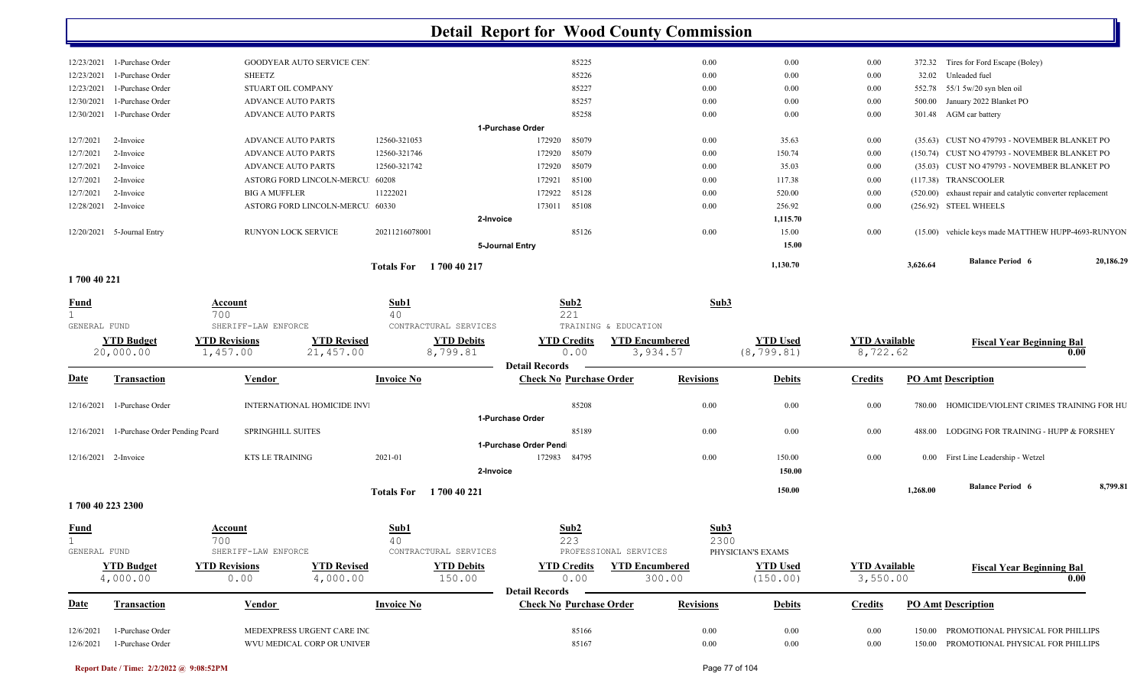|           |                             |                                   | <b>Totals For</b> | 1700 40 217      |              |      | 1,130.70 |          | 3,626.64 | <b>Balance Period 6</b>                                     | 20,186.29 |
|-----------|-----------------------------|-----------------------------------|-------------------|------------------|--------------|------|----------|----------|----------|-------------------------------------------------------------|-----------|
|           |                             |                                   |                   | 5-Journal Entry  |              |      | 15.00    |          |          |                                                             |           |
|           | 12/20/2021 5-Journal Entry  | RUNYON LOCK SERVICE               | 20211216078001    |                  | 85126        | 0.00 | 15.00    | 0.00     |          | (15.00) vehicle keys made MATTHEW HUPP-4693-RUNYON          |           |
|           |                             |                                   |                   | 2-Invoice        |              |      | 1,115.70 |          |          |                                                             |           |
|           | 12/28/2021 2-Invoice        | ASTORG FORD LINCOLN-MERCU 60330   |                   | 173011           | 85108        | 0.00 | 256.92   | 0.00     |          | (256.92) STEEL WHEELS                                       |           |
| 12/7/2021 | 2-Invoice                   | <b>BIG A MUFFLER</b>              | 11222021          |                  | 172922 85128 | 0.00 | 520.00   | $0.00\,$ |          | (520.00) exhaust repair and catalytic converter replacement |           |
| 12/7/2021 | 2-Invoice                   | ASTORG FORD LINCOLN-MERCU 60208   |                   | 172921           | 85100        | 0.00 | 117.38   | $0.00\,$ |          | (117.38) TRANSCOOLER                                        |           |
| 12/7/2021 | 2-Invoice                   | <b>ADVANCE AUTO PARTS</b>         | 12560-321742      | 172920           | 85079        | 0.00 | 35.03    | $0.00\,$ |          | (35.03) CUST NO 479793 - NOVEMBER BLANKET PO                |           |
| 12/7/2021 | 2-Invoice                   | <b>ADVANCE AUTO PARTS</b>         | 12560-321746      |                  | 172920 85079 | 0.00 | 150.74   | $0.00\,$ |          | (150.74) CUST NO 479793 - NOVEMBER BLANKET PO               |           |
| 12/7/2021 | 2-Invoice                   | <b>ADVANCE AUTO PARTS</b>         | 12560-321053      | 172920           | 85079        | 0.00 | 35.63    | 0.00     |          | (35.63) CUST NO 479793 - NOVEMBER BLANKET PO                |           |
|           |                             |                                   |                   | 1-Purchase Order |              |      |          |          |          |                                                             |           |
|           | 12/30/2021 1-Purchase Order | <b>ADVANCE AUTO PARTS</b>         |                   |                  | 85258        | 0.00 | $0.00\,$ | 0.00     |          | 301.48 AGM car battery                                      |           |
|           | 12/30/2021 1-Purchase Order | <b>ADVANCE AUTO PARTS</b>         |                   |                  | 85257        | 0.00 | $0.00\,$ | 0.00     | 500.00   | January 2022 Blanket PO                                     |           |
|           | 12/23/2021 1-Purchase Order | STUART OIL COMPANY                |                   |                  | 85227        | 0.00 | $0.00\,$ | $0.00\,$ |          | 552.78 55/1 5w/20 syn blen oil                              |           |
|           | 12/23/2021 1-Purchase Order | SHEETZ                            |                   |                  | 85226        | 0.00 | $0.00\,$ | $0.00\,$ |          | 32.02 Unleaded fuel                                         |           |
|           | 12/23/2021 1-Purchase Order | <b>GOODYEAR AUTO SERVICE CEN'</b> |                   |                  | 85225        | 0.00 | $0.00\,$ | $0.00\,$ |          | 372.32 Tires for Ford Escape (Boley)                        |           |

**1 700 40 221** 

| <b>Fund</b>                 |                                | Account                               |                                    | Sub1                                          | Sub2                                                    |                                   | Sub3                              |                                |                                  |                           |                                          |          |
|-----------------------------|--------------------------------|---------------------------------------|------------------------------------|-----------------------------------------------|---------------------------------------------------------|-----------------------------------|-----------------------------------|--------------------------------|----------------------------------|---------------------------|------------------------------------------|----------|
| GENERAL FUND                |                                | 700<br>SHERIFF-LAW ENFORCE            |                                    | 40<br>CONTRACTURAL SERVICES                   | 221                                                     | TRAINING & EDUCATION              |                                   |                                |                                  |                           |                                          |          |
|                             | <b>YTD Budget</b><br>20,000.00 | <b>YTD Revisions</b><br>1,457.00      | <b>YTD Revised</b><br>21,457.00    | <b>YTD Debits</b><br>8,799.81                 | <b>YTD Credits</b><br>0.00<br><b>Detail Records</b>     | <b>YTD Encumbered</b><br>3,934.57 |                                   | <b>YTD Used</b><br>(8, 799.81) | <b>YTD Available</b><br>8,722.62 |                           | <b>Fiscal Year Beginning Bal</b><br>0.00 |          |
| <b>Date</b>                 | <b>Transaction</b>             | <b>Vendor</b>                         |                                    | <b>Invoice No</b>                             | <b>Check No Purchase Order</b>                          |                                   | <b>Revisions</b>                  | <b>Debits</b>                  | <b>Credits</b>                   | <b>PO Amt Description</b> |                                          |          |
| 12/16/2021                  | 1-Purchase Order               |                                       | <b>INTERNATIONAL HOMICIDE INV.</b> |                                               | 85208                                                   |                                   | 0.00                              | 0.00                           | 0.00                             | 780.00                    | HOMICIDE/VIOLENT CRIMES TRAINING FOR HU  |          |
| 12/16/2021                  | 1-Purchase Order Pending Pcard | <b>SPRINGHILL SUITES</b>              |                                    |                                               | 1-Purchase Order<br>85189                               |                                   | 0.00                              | 0.00                           | 0.00                             | 488.00                    | LODGING FOR TRAINING - HUPP & FORSHEY    |          |
|                             | 12/16/2021 2-Invoice           | <b>KTS LE TRAINING</b>                | 2021-01                            |                                               | 1-Purchase Order Pend<br>172983 84795                   |                                   | 0.00                              | 150.00                         | 0.00                             |                           | 0.00 First Line Leadership - Wetzel      |          |
|                             |                                |                                       |                                    | 2-Invoice<br>1700 40 221<br><b>Totals For</b> |                                                         |                                   |                                   | 150.00<br>150.00               |                                  | 1.268.00                  | <b>Balance Period 6</b>                  | 8,799.81 |
|                             | 1700 40 223 2300               |                                       |                                    |                                               |                                                         |                                   |                                   |                                |                                  |                           |                                          |          |
| <b>Fund</b><br>GENERAL FUND |                                | Account<br>700<br>SHERIFF-LAW ENFORCE |                                    | Sub1<br>40<br>CONTRACTURAL SERVICES           | $\frac{\text{Sub2}}{223}$                               | PROFESSIONAL SERVICES             | Sub3<br>2300<br>PHYSICIAN'S EXAMS |                                |                                  |                           |                                          |          |
|                             | <b>YTD Budget</b><br>4,000.00  | <b>YTD Revisions</b><br>0.00          | <b>YTD Revised</b><br>4,000.00     | <b>YTD Debits</b><br>150.00                   | <b>YTD Credits</b><br>0.00                              | <b>YTD Encumbered</b><br>300.00   |                                   | <b>YTD Used</b><br>(150.00)    | <b>YTD</b> Available<br>3,550.00 |                           | <b>Fiscal Year Beginning Bal</b><br>0.00 |          |
| <b>Date</b>                 | <b>Transaction</b>             | <b>Vendor</b>                         |                                    | <b>Invoice No</b>                             | <b>Detail Records</b><br><b>Check No Purchase Order</b> |                                   | <b>Revisions</b>                  | <b>Debits</b>                  | <b>Credits</b>                   | <b>PO Amt Description</b> |                                          |          |
| 12/6/2021                   | 1-Purchase Order               |                                       | MEDEXPRESS URGENT CARE INC         |                                               | 85166                                                   |                                   | 0.00                              | 0.00                           | 0.00                             | 150.00                    | PROMOTIONAL PHYSICAL FOR PHILLIPS        |          |
| 12/6/2021                   | 1-Purchase Order               |                                       | WVU MEDICAL CORP OR UNIVER         |                                               | 85167                                                   |                                   | 0.00                              | 0.00                           | 0.00                             | 150.00                    | PROMOTIONAL PHYSICAL FOR PHILLIPS        |          |

**Report Date / Time: 2/2/2022 @ 9:08:52PM** Page 77 of 104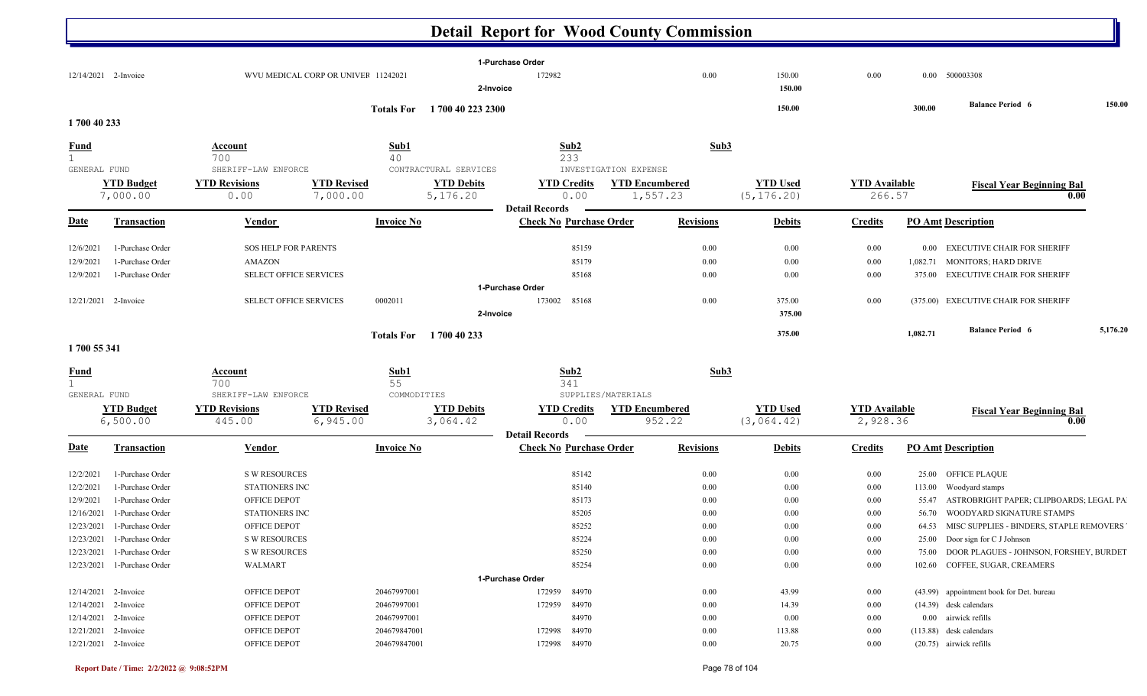|                      |                               |                                             |                                     |                   |                                            | 1-Purchase Order      |                                |                                 |              |                                |                                  |          |                                          |          |
|----------------------|-------------------------------|---------------------------------------------|-------------------------------------|-------------------|--------------------------------------------|-----------------------|--------------------------------|---------------------------------|--------------|--------------------------------|----------------------------------|----------|------------------------------------------|----------|
| 12/14/2021 2-Invoice |                               |                                             | WVU MEDICAL CORP OR UNIVEF 11242021 |                   |                                            | 172982                |                                |                                 | 0.00         | 150.00                         | 0.00                             |          | 0.00 500003308                           |          |
|                      |                               |                                             |                                     |                   | 2-Invoice                                  |                       |                                |                                 |              | 150.00                         |                                  |          |                                          |          |
|                      |                               |                                             |                                     | <b>Totals For</b> | 1700 40 223 2300                           |                       |                                |                                 |              | 150.00                         |                                  | 300.00   | <b>Balance Period 6</b>                  | 150.00   |
| 1700 40 233          |                               |                                             |                                     |                   |                                            |                       |                                |                                 |              |                                |                                  |          |                                          |          |
| <b>Fund</b>          |                               | <b>Account</b>                              |                                     | Sub1              |                                            | Sub2                  |                                |                                 | Sub3         |                                |                                  |          |                                          |          |
| $\mathbf{1}$         |                               | 700                                         |                                     | 40                |                                            | 233                   |                                |                                 |              |                                |                                  |          |                                          |          |
| GENERAL FUND         | <b>YTD Budget</b>             | SHERIFF-LAW ENFORCE<br><b>YTD Revisions</b> | <b>YTD Revised</b>                  |                   | CONTRACTURAL SERVICES<br><b>YTD Debits</b> | <b>YTD Credits</b>    | INVESTIGATION EXPENSE          | <b>YTD Encumbered</b>           |              | <b>YTD Used</b>                | <b>YTD Available</b>             |          |                                          |          |
|                      | 7,000.00                      | 0.00                                        | 7,000.00                            |                   | 5,176.20                                   |                       | 0.00                           | 1,557.23                        |              | (5, 176.20)                    | 266.57                           |          | <b>Fiscal Year Beginning Bal</b><br>0.00 |          |
|                      |                               |                                             |                                     |                   |                                            | <b>Detail Records</b> |                                |                                 |              |                                |                                  |          |                                          |          |
| <b>Date</b>          | <b>Transaction</b>            | Vendor                                      |                                     | <b>Invoice No</b> |                                            |                       | <b>Check No Purchase Order</b> | <b>Revisions</b>                |              | <b>Debits</b>                  | <b>Credits</b>                   |          | <b>PO Amt Description</b>                |          |
| 12/6/2021            | 1-Purchase Order              | <b>SOS HELP FOR PARENTS</b>                 |                                     |                   |                                            |                       | 85159                          |                                 | 0.00         | 0.00                           | 0.00                             |          | 0.00 EXECUTIVE CHAIR FOR SHERIFF         |          |
| 12/9/2021            | 1-Purchase Order              | AMAZON                                      |                                     |                   |                                            |                       | 85179                          |                                 | 0.00         | 0.00                           | 0.00                             | 1,082.71 | MONITORS; HARD DRIVE                     |          |
| 12/9/2021            | 1-Purchase Order              | SELECT OFFICE SERVICES                      |                                     |                   |                                            |                       | 85168                          |                                 | 0.00         | 0.00                           | 0.00                             | 375.00   | <b>EXECUTIVE CHAIR FOR SHERIFF</b>       |          |
|                      |                               |                                             |                                     |                   |                                            | 1-Purchase Order      |                                |                                 |              |                                |                                  |          |                                          |          |
| 12/21/2021 2-Invoice |                               | <b>SELECT OFFICE SERVICES</b>               |                                     | 0002011           |                                            | 173002 85168          |                                |                                 | 0.00         | 375.00                         | 0.00                             |          | (375.00) EXECUTIVE CHAIR FOR SHERIFF     |          |
|                      |                               |                                             |                                     |                   | 2-Invoice                                  |                       |                                |                                 |              | 375.00                         |                                  |          |                                          |          |
|                      |                               |                                             |                                     | <b>Totals For</b> | 1700 40 233                                |                       |                                |                                 |              | 375.00                         |                                  | 1.082.71 | <b>Balance Period 6</b>                  | 5,176.20 |
| 1700 55 341          |                               |                                             |                                     |                   |                                            |                       |                                |                                 |              |                                |                                  |          |                                          |          |
| <b>Fund</b>          |                               | Account                                     |                                     | Sub1              |                                            | Sub2                  |                                |                                 | Sub3         |                                |                                  |          |                                          |          |
| $\mathbf{1}$         |                               | 700                                         |                                     | 55                |                                            | 341                   |                                |                                 |              |                                |                                  |          |                                          |          |
| GENERAL FUND         |                               | SHERIFF-LAW ENFORCE                         |                                     | COMMODITIES       |                                            |                       | SUPPLIES/MATERIALS             |                                 |              |                                |                                  |          |                                          |          |
|                      | <b>YTD Budget</b><br>6,500.00 | <b>YTD Revisions</b><br>445.00              | <b>YTD Revised</b><br>6,945.00      |                   | <b>YTD Debits</b><br>3,064.42              | <b>YTD Credits</b>    | 0.00                           | <b>YTD Encumbered</b><br>952.22 |              | <b>YTD Used</b><br>(3, 064.42) | <b>YTD Available</b><br>2,928.36 |          | <b>Fiscal Year Beginning Bal</b><br>0.00 |          |
|                      |                               |                                             |                                     |                   |                                            | <b>Detail Records</b> |                                |                                 |              |                                |                                  |          |                                          |          |
| <b>Date</b>          | <b>Transaction</b>            | Vendor                                      |                                     | <b>Invoice No</b> |                                            |                       | <b>Check No Purchase Order</b> | <b>Revisions</b>                |              | <b>Debits</b>                  | <b>Credits</b>                   |          | <b>PO Amt Description</b>                |          |
| 12/2/2021            | 1-Purchase Order              | <b>S W RESOURCES</b>                        |                                     |                   |                                            |                       | 85142                          |                                 | 0.00         | 0.00                           | 0.00                             | 25.00    | <b>OFFICE PLAQUE</b>                     |          |
| 12/2/2021            | 1-Purchase Order              | STATIONERS INC                              |                                     |                   |                                            |                       | 85140                          |                                 | 0.00         | $0.00\,$                       | 0.00                             | 113.00   | Woodyard stamps                          |          |
| 12/9/2021            | 1-Purchase Order              | OFFICE DEPOT                                |                                     |                   |                                            |                       | 85173                          |                                 | 0.00         | $0.00\,$                       | 0.00                             | 55.47    | ASTROBRIGHT PAPER; CLIPBOARDS; LEGAL PA  |          |
| 12/16/2021           | 1-Purchase Order              | <b>STATIONERS INC</b>                       |                                     |                   |                                            |                       | 85205                          |                                 | 0.00         | 0.00                           | 0.00                             | 56.70    | WOODYARD SIGNATURE STAMPS                |          |
| 12/23/2021           | 1-Purchase Order              | OFFICE DEPOT                                |                                     |                   |                                            |                       | 85252                          |                                 | 0.00         | 0.00                           | 0.00                             | 64.53    | MISC SUPPLIES - BINDERS, STAPLE REMOVERS |          |
| 12/23/2021           | 1-Purchase Order              | <b>S W RESOURCES</b>                        |                                     |                   |                                            |                       | 85224                          |                                 | 0.00         | 0.00                           | 0.00                             | 25.00    | Door sign for C J Johnson                |          |
| 12/23/2021           | 1-Purchase Order              | <b>S W RESOURCES</b>                        |                                     |                   |                                            |                       | 85250                          |                                 | 0.00         | 0.00                           | 0.00                             | 75.00    | DOOR PLAGUES - JOHNSON, FORSHEY, BURDET  |          |
| 12/23/2021           | 1-Purchase Order              | <b>WALMART</b>                              |                                     |                   |                                            |                       | 85254                          |                                 | 0.00         | $0.00\,$                       | 0.00                             | 102.60   | COFFEE, SUGAR, CREAMERS                  |          |
|                      |                               |                                             |                                     |                   |                                            | 1-Purchase Order      |                                |                                 |              |                                |                                  |          |                                          |          |
| 12/14/2021           | 2-Invoice                     | <b>OFFICE DEPOT</b>                         |                                     | 20467997001       |                                            | 172959                | 84970                          |                                 | 0.00         | 43.99                          | 0.00                             |          | (43.99) appointment book for Det. bureau |          |
| 12/14/2021           | 2-Invoice                     | OFFICE DEPOT                                |                                     | 20467997001       |                                            | 172959                | 84970                          |                                 | 0.00         | 14.39                          | 0.00                             |          | $(14.39)$ desk calendars                 |          |
| 12/14/2021 2-Invoice |                               | OFFICE DEPOT                                |                                     | 20467997001       |                                            |                       | 84970<br>84970                 |                                 | 0.00<br>0.00 | 0.00<br>113.88                 | 0.00<br>0.00                     |          | 0.00 airwick refills                     |          |
| 12/21/2021 2-Invoice |                               | OFFICE DEPOT                                |                                     | 204679847001      |                                            | 172998                |                                |                                 |              |                                |                                  |          | $(113.88)$ desk calendars                |          |

12/21/2021 2-Invoice **OFFICE DEPOT** 204679847001 2020-172998 84970 20.00 20.75 0.00 (20.75) airwick refills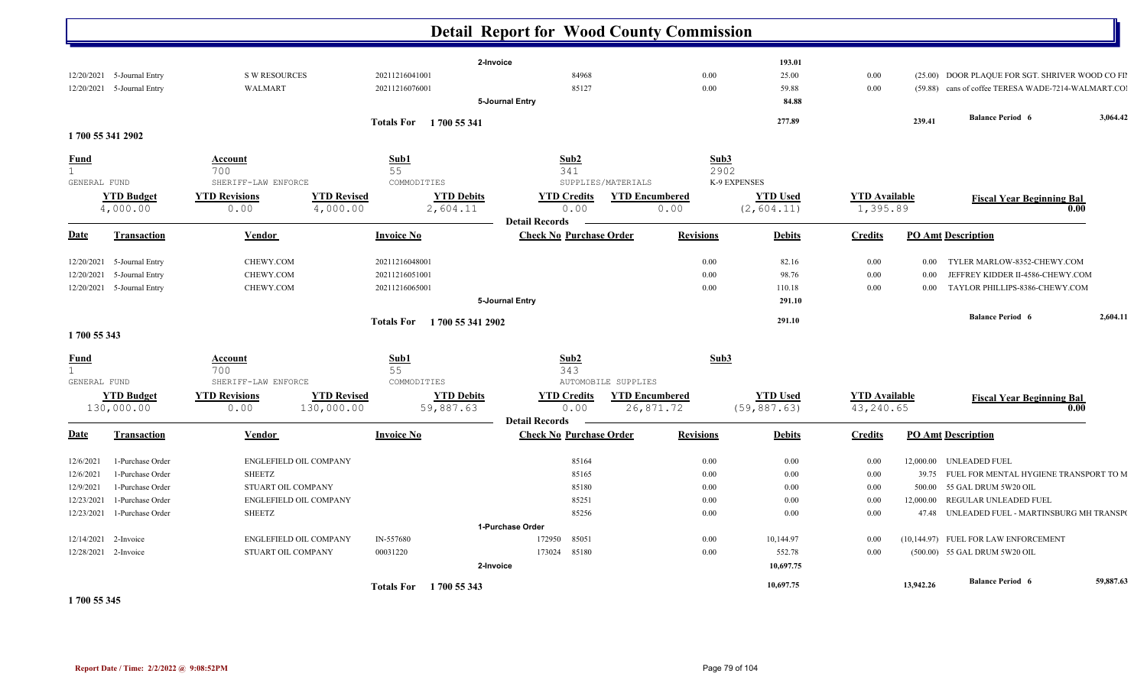|              |                               |                                            |                                                                 | <b>Detail Report for Wood County Commission</b>         |                                              |              |                                |                                   |           |                                                    |           |
|--------------|-------------------------------|--------------------------------------------|-----------------------------------------------------------------|---------------------------------------------------------|----------------------------------------------|--------------|--------------------------------|-----------------------------------|-----------|----------------------------------------------------|-----------|
|              |                               |                                            |                                                                 | 2-Invoice                                               |                                              |              | 193.01                         |                                   |           |                                                    |           |
|              | 12/20/2021 5-Journal Entry    | <b>S W RESOURCES</b>                       | 20211216041001                                                  | 84968                                                   |                                              | 0.00         | 25.00                          | 0.00                              |           | (25.00) DOOR PLAQUE FOR SGT. SHRIVER WOOD CO FII   |           |
|              | 12/20/2021 5-Journal Entry    | <b>WALMART</b>                             | 20211216076001                                                  | 85127                                                   |                                              | 0.00         | 59.88                          | 0.00                              |           | (59.88) cans of coffee TERESA WADE-7214-WALMART.CO |           |
|              |                               |                                            |                                                                 | 5-Journal Entry                                         |                                              |              | 84.88                          |                                   |           |                                                    |           |
|              |                               |                                            | Totals For 1700 55 341                                          |                                                         |                                              |              | 277.89                         |                                   | 239.41    | <b>Balance Period 6</b>                            | 3,064.42  |
|              | 1700 55 341 2902              |                                            |                                                                 |                                                         |                                              |              |                                |                                   |           |                                                    |           |
| <b>Fund</b>  |                               | <b>Account</b>                             | Sub1                                                            | Sub2                                                    |                                              | Sub3         |                                |                                   |           |                                                    |           |
| $\mathbf{1}$ |                               | 700                                        | 55                                                              | 341                                                     |                                              | 2902         |                                |                                   |           |                                                    |           |
| GENERAL FUND |                               | SHERIFF-LAW ENFORCE                        | COMMODITIES                                                     | SUPPLIES/MATERIALS                                      |                                              | K-9 EXPENSES |                                |                                   |           |                                                    |           |
|              | <b>YTD Budget</b><br>4,000.00 | <b>YTD Revisions</b><br>0.00               | <b>YTD Revised</b><br><b>YTD Debits</b><br>4,000.00<br>2,604.11 | <b>YTD Credits</b><br>0.00                              | <b>YTD Encumbered</b><br>0.00                |              | <b>YTD Used</b><br>(2, 604.11) | <b>YTD</b> Available<br>1,395.89  |           | <b>Fiscal Year Beginning Bal</b><br>0.00           |           |
|              |                               |                                            |                                                                 | <b>Detail Records</b>                                   |                                              |              |                                |                                   |           |                                                    |           |
| Date         | <b>Transaction</b>            | Vendor                                     | <b>Invoice No</b>                                               | <b>Check No Purchase Order</b>                          | <b>Revisions</b>                             |              | <b>Debits</b>                  | <b>Credits</b>                    |           | <b>PO Amt Description</b>                          |           |
| 12/20/2021   | 5-Journal Entry               | CHEWY.COM                                  | 20211216048001                                                  |                                                         |                                              | 0.00         | 82.16                          | 0.00                              | 0.00      | TYLER MARLOW-8352-CHEWY.COM                        |           |
| 12/20/2021   | 5-Journal Entry               | CHEWY.COM                                  | 20211216051001                                                  |                                                         |                                              | 0.00         | 98.76                          | 0.00                              | 0.00      | JEFFREY KIDDER II-4586-CHEWY.COM                   |           |
|              | 12/20/2021 5-Journal Entry    | CHEWY.COM                                  | 20211216065001                                                  |                                                         |                                              | 0.00         | 110.18                         | $0.00\,$                          | $0.00\,$  | TAYLOR PHILLIPS-8386-CHEWY.COM                     |           |
|              |                               |                                            |                                                                 | 5-Journal Entry                                         |                                              |              | 291.10                         |                                   |           |                                                    |           |
|              |                               |                                            | Totals For 1700 55 341 2902                                     |                                                         |                                              |              | 291.10                         |                                   |           | <b>Balance Period 6</b>                            | 2,604.11  |
| 1700 55 343  |                               |                                            |                                                                 |                                                         |                                              |              |                                |                                   |           |                                                    |           |
| Fund         |                               | Account                                    | Sub1                                                            | Sub2                                                    |                                              | Sub3         |                                |                                   |           |                                                    |           |
| $\mathbf{1}$ |                               | 700                                        | 55                                                              | 343                                                     |                                              |              |                                |                                   |           |                                                    |           |
| GENERAL FUND | <b>YTD Budget</b>             | SHERIFF-LAW ENFORCE                        | COMMODITIES<br><b>YTD Revised</b>                               | <b>YTD Credits</b>                                      | AUTOMOBILE SUPPLIES<br><b>YTD</b> Encumbered |              | <b>YTD Used</b>                |                                   |           |                                                    |           |
|              | 130,000.00                    | <b>YTD Revisions</b><br>0.00<br>130,000.00 | <b>YTD Debits</b><br>59,887.63                                  | 0.00                                                    | 26,871.72                                    |              | (59, 887.63)                   | <b>YTD Available</b><br>43,240.65 |           | <b>Fiscal Year Beginning Bal</b><br>0.00           |           |
| <u>Date</u>  | <b>Transaction</b>            | Vendor                                     | <b>Invoice No</b>                                               | <b>Detail Records</b><br><b>Check No Purchase Order</b> | <b>Revisions</b>                             |              | <b>Debits</b>                  | <b>Credits</b>                    |           | <b>PO Amt Description</b>                          |           |
|              |                               |                                            |                                                                 |                                                         |                                              |              |                                |                                   |           |                                                    |           |
| 12/6/2021    | 1-Purchase Order              | ENGLEFIELD OIL COMPANY                     |                                                                 | 85164                                                   |                                              | 0.00         | 0.00                           | 0.00                              |           | 12,000.00 UNLEADED FUEL                            |           |
| 12/6/2021    | 1-Purchase Order              | <b>SHEETZ</b>                              |                                                                 | 85165                                                   |                                              | 0.00         | 0.00                           | 0.00                              | 39.75     | FUEL FOR MENTAL HYGIENE TRANSPORT TO M             |           |
| 12/9/2021    | 1-Purchase Order              | STUART OIL COMPANY                         |                                                                 | 85180                                                   |                                              | 0.00         | 0.00                           | 0.00                              | 500.00    | 55 GAL DRUM 5W20 OIL                               |           |
| 12/23/2021   | 1-Purchase Order              | ENGLEFIELD OIL COMPANY                     |                                                                 | 85251                                                   |                                              | 0.00         | 0.00                           | 0.00                              | 12,000.00 | REGULAR UNLEADED FUEL                              |           |
| 12/23/2021   | 1-Purchase Order              | <b>SHEETZ</b>                              |                                                                 | 85256                                                   |                                              | 0.00         | 0.00                           | 0.00                              |           | 47.48 UNLEADED FUEL - MARTINSBURG MH TRANSPO       |           |
|              |                               |                                            |                                                                 | 1-Purchase Order                                        |                                              |              |                                |                                   |           |                                                    |           |
|              | 12/14/2021 2-Invoice          | ENGLEFIELD OIL COMPANY                     | IN-557680                                                       | 172950 85051                                            |                                              | 0.00         | 10,144.97                      | 0.00                              |           | (10,144.97) FUEL FOR LAW ENFORCEMENT               |           |
|              | 12/28/2021 2-Invoice          | STUART OIL COMPANY                         | 00031220                                                        | 173024 85180                                            |                                              | 0.00         | 552.78                         | 0.00                              |           | (500.00) 55 GAL DRUM 5W20 OIL                      |           |
|              |                               |                                            |                                                                 | 2-Invoice                                               |                                              |              | 10,697.75                      |                                   |           |                                                    |           |
|              |                               |                                            | Totals For 1700 55 343                                          |                                                         |                                              |              | 10,697.75                      |                                   | 13,942.26 | <b>Balance Period 6</b>                            | 59,887.63 |

**1 700 55 345**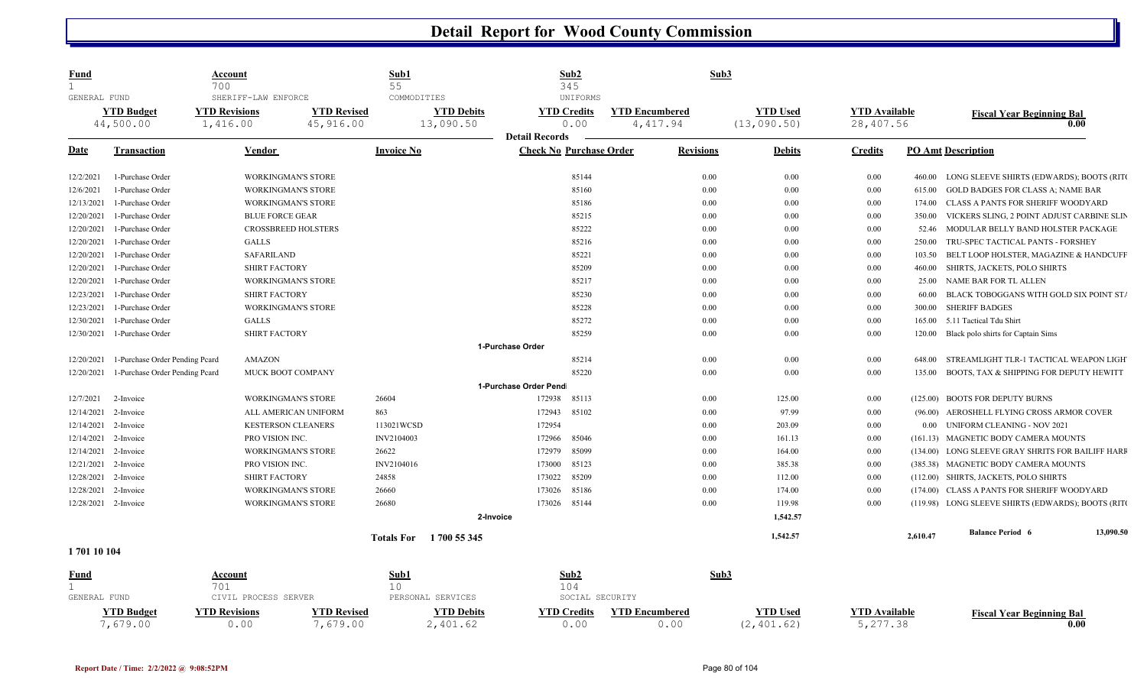| <u>Fund</u>  |                                | Account<br>700                                          |                                 | Sub1<br>55                                    | Sub2<br>345                                                     |                                    | Sub3             |                                |                                   |          |                                                    |           |
|--------------|--------------------------------|---------------------------------------------------------|---------------------------------|-----------------------------------------------|-----------------------------------------------------------------|------------------------------------|------------------|--------------------------------|-----------------------------------|----------|----------------------------------------------------|-----------|
| GENERAL FUND | <b>YTD Budget</b><br>44,500.00 | SHERIFF-LAW ENFORCE<br><b>YTD Revisions</b><br>1,416.00 | <b>YTD Revised</b><br>45,916.00 | COMMODITIES<br><b>YTD Debits</b><br>13,090.50 | UNIFORMS<br><b>YTD Credits</b><br>0.00<br><b>Detail Records</b> | <b>YTD Encumbered</b><br>4, 417.94 |                  | <b>YTD</b> Used<br>(13,090.50) | <b>YTD Available</b><br>28,407.56 |          | <b>Fiscal Year Beginning Bal</b>                   | 0.00      |
| Date         | Transaction                    | Vendor                                                  |                                 | <b>Invoice No</b>                             | <b>Check No Purchase Order</b>                                  |                                    | <b>Revisions</b> | <b>Debits</b>                  | <b>Credits</b>                    |          | <b>PO Amt Description</b>                          |           |
| 12/2/2021    | 1-Purchase Order               |                                                         | WORKINGMAN'S STORE              |                                               | 85144                                                           |                                    | 0.00             | 0.00                           | $0.00\,$                          | 460.00   | LONG SLEEVE SHIRTS (EDWARDS); BOOTS (RITO          |           |
| 12/6/2021    | 1-Purchase Order               |                                                         | WORKINGMAN'S STORE              |                                               | 85160                                                           |                                    | 0.00             | 0.00                           | 0.00                              | 615.00   | <b>GOLD BADGES FOR CLASS A; NAME BAR</b>           |           |
| 12/13/2021   | 1-Purchase Order               |                                                         | <b>WORKINGMAN'S STORE</b>       |                                               | 85186                                                           |                                    | 0.00             | 0.00                           | 0.00                              | 174.00   | <b>CLASS A PANTS FOR SHERIFF WOODYARD</b>          |           |
| 12/20/2021   | 1-Purchase Order               |                                                         | <b>BLUE FORCE GEAR</b>          |                                               | 85215                                                           |                                    | 0.00             | 0.00                           | 0.00                              | 350.00   | VICKERS SLING, 2 POINT ADJUST CARBINE SLIN         |           |
| 12/20/2021   | 1-Purchase Order               |                                                         | <b>CROSSBREED HOLSTERS</b>      |                                               | 85222                                                           |                                    | 0.00             | 0.00                           | 0.00                              | 52.46    | MODULAR BELLY BAND HOLSTER PACKAGE                 |           |
| 12/20/2021   | 1-Purchase Order               | <b>GALLS</b>                                            |                                 |                                               | 85216                                                           |                                    | 0.00             | 0.00                           | 0.00                              | 250.00   | TRU-SPEC TACTICAL PANTS - FORSHEY                  |           |
| 12/20/2021   | 1-Purchase Order               | <b>SAFARILAND</b>                                       |                                 |                                               | 85221                                                           |                                    | 0.00             | 0.00                           | $0.00\,$                          | 103.50   | BELT LOOP HOLSTER, MAGAZINE & HANDCUFF             |           |
| 12/20/2021   | 1-Purchase Order               |                                                         | <b>SHIRT FACTORY</b>            |                                               | 85209                                                           |                                    | 0.00             | 0.00                           | 0.00                              | 460.00   | SHIRTS, JACKETS, POLO SHIRTS                       |           |
| 12/20/2021   | 1-Purchase Order               |                                                         | <b>WORKINGMAN'S STORE</b>       |                                               | 85217                                                           |                                    | 0.00             | 0.00                           | 0.00                              | 25.00    | NAME BAR FOR TL ALLEN                              |           |
| 12/23/2021   | 1-Purchase Order               |                                                         | <b>SHIRT FACTORY</b>            |                                               | 85230                                                           |                                    | 0.00             | 0.00                           | $0.00\,$                          | 60.00    | BLACK TOBOGGANS WITH GOLD SIX POINT ST/            |           |
| 12/23/2021   | 1-Purchase Order               |                                                         | <b>WORKINGMAN'S STORE</b>       |                                               | 85228                                                           |                                    | 0.00             | 0.00                           | 0.00                              | 300.00   | <b>SHERIFF BADGES</b>                              |           |
| 12/30/2021   | 1-Purchase Order               | <b>GALLS</b>                                            |                                 |                                               | 85272                                                           |                                    | 0.00             | 0.00                           | 0.00                              | 165.00   | 5.11 Tactical Tdu Shirt                            |           |
| 12/30/2021   | 1-Purchase Order               |                                                         | <b>SHIRT FACTORY</b>            |                                               | 85259                                                           |                                    | 0.00             | 0.00                           | 0.00                              | 120.00   | Black polo shirts for Captain Sims                 |           |
|              |                                |                                                         |                                 |                                               | 1-Purchase Order                                                |                                    |                  |                                |                                   |          |                                                    |           |
| 12/20/2021   | 1-Purchase Order Pending Pcard | <b>AMAZON</b>                                           |                                 |                                               | 85214                                                           |                                    | 0.00             | 0.00                           | 0.00                              | 648.00   | STREAMLIGHT TLR-1 TACTICAL WEAPON LIGH             |           |
| 12/20/2021   | 1-Purchase Order Pending Pcard |                                                         | MUCK BOOT COMPANY               |                                               | 85220                                                           |                                    | 0.00             | 0.00                           | 0.00                              | 135.00   | BOOTS, TAX & SHIPPING FOR DEPUTY HEWITT            |           |
|              |                                |                                                         |                                 |                                               | 1-Purchase Order Pend                                           |                                    |                  |                                |                                   |          |                                                    |           |
| 12/7/2021    | 2-Invoice                      |                                                         | <b>WORKINGMAN'S STORE</b>       | 26604                                         | 172938<br>85113                                                 |                                    | 0.00             | 125.00                         | 0.00                              |          | (125.00) BOOTS FOR DEPUTY BURNS                    |           |
| 12/14/2021   | 2-Invoice                      |                                                         | ALL AMERICAN UNIFORM            | 863                                           | 172943<br>85102                                                 |                                    | 0.00             | 97.99                          | $0.00\,$                          |          | (96.00) AEROSHELL FLYING CROSS ARMOR COVER         |           |
| 12/14/2021   | 2-Invoice                      |                                                         | <b>KESTERSON CLEANERS</b>       | 113021WCSD                                    | 172954                                                          |                                    | 0.00             | 203.09                         | $0.00\,$                          | 0.00     | UNIFORM CLEANING - NOV 2021                        |           |
| 12/14/2021   | 2-Invoice                      |                                                         | PRO VISION INC.                 | INV2104003                                    | 85046<br>172966                                                 |                                    | 0.00             | 161.13                         | 0.00                              |          | (161.13) MAGNETIC BODY CAMERA MOUNTS               |           |
| 12/14/2021   | 2-Invoice                      |                                                         | <b>WORKINGMAN'S STORE</b>       | 26622                                         | 85099<br>172979                                                 |                                    | 0.00             | 164.00                         | $0.00\,$                          |          | (134.00) LONG SLEEVE GRAY SHRITS FOR BAILIFF HARF  |           |
| 12/21/2021   | 2-Invoice                      |                                                         | PRO VISION INC.                 | INV2104016                                    | 85123<br>173000                                                 |                                    | 0.00             | 385.38                         | 0.00                              |          | (385.38) MAGNETIC BODY CAMERA MOUNTS               |           |
| 12/28/2021   | 2-Invoice                      |                                                         | <b>SHIRT FACTORY</b>            | 24858                                         | 85209<br>173022                                                 |                                    | 0.00             | 112.00                         | 0.00                              |          | (112.00) SHIRTS, JACKETS, POLO SHIRTS              |           |
| 12/28/2021   | 2-Invoice                      |                                                         | <b>WORKINGMAN'S STORE</b>       | 26660                                         | 85186<br>173026                                                 |                                    | 0.00             | 174.00                         | 0.00                              |          | (174.00) CLASS A PANTS FOR SHERIFF WOODYARD        |           |
| 12/28/2021   | 2-Invoice                      |                                                         | <b>WORKINGMAN'S STORE</b>       | 26680                                         | 85144<br>173026                                                 |                                    | 0.00             | 119.98                         | 0.00                              |          | (119.98) LONG SLEEVE SHIRTS (EDWARDS); BOOTS (RITO |           |
|              |                                |                                                         |                                 |                                               | 2-Invoice                                                       |                                    |                  | 1,542.57                       |                                   |          |                                                    |           |
|              |                                |                                                         |                                 |                                               |                                                                 |                                    |                  |                                |                                   |          | <b>Balance Period 6</b>                            | 13,090.50 |
| 170110104    |                                |                                                         |                                 | 1700 55 345<br><b>Totals For</b>              |                                                                 |                                    |                  | 1,542.57                       |                                   | 2,610.47 |                                                    |           |
| Fund         |                                | Account                                                 |                                 | <u>Sub1</u>                                   | Sub2                                                            |                                    | Sub3             |                                |                                   |          |                                                    |           |
|              |                                | 701                                                     |                                 | 10                                            | 104                                                             |                                    |                  |                                |                                   |          |                                                    |           |
| GENERAL FUND |                                | CIVIL PROCESS SERVER                                    |                                 | PERSONAL SERVICES                             |                                                                 | SOCIAL SECURITY                    |                  |                                |                                   |          |                                                    |           |
|              | <b>YTD Budget</b>              | <b>YTD Revisions</b>                                    | <b>YTD Revised</b>              | <b>YTD Debits</b>                             | <b>YTD Credits</b>                                              | <b>YTD Encumbered</b>              |                  | <b>YTD Used</b>                | <b>YTD Available</b>              |          | <b>Fiscal Year Beginning Bal</b>                   |           |
|              | 7,679.00                       | 0.00                                                    | 7,679.00                        | 2,401.62                                      | 0.00                                                            | 0.00                               |                  | (2, 401.62)                    | 5,277.38                          |          |                                                    | 0.00      |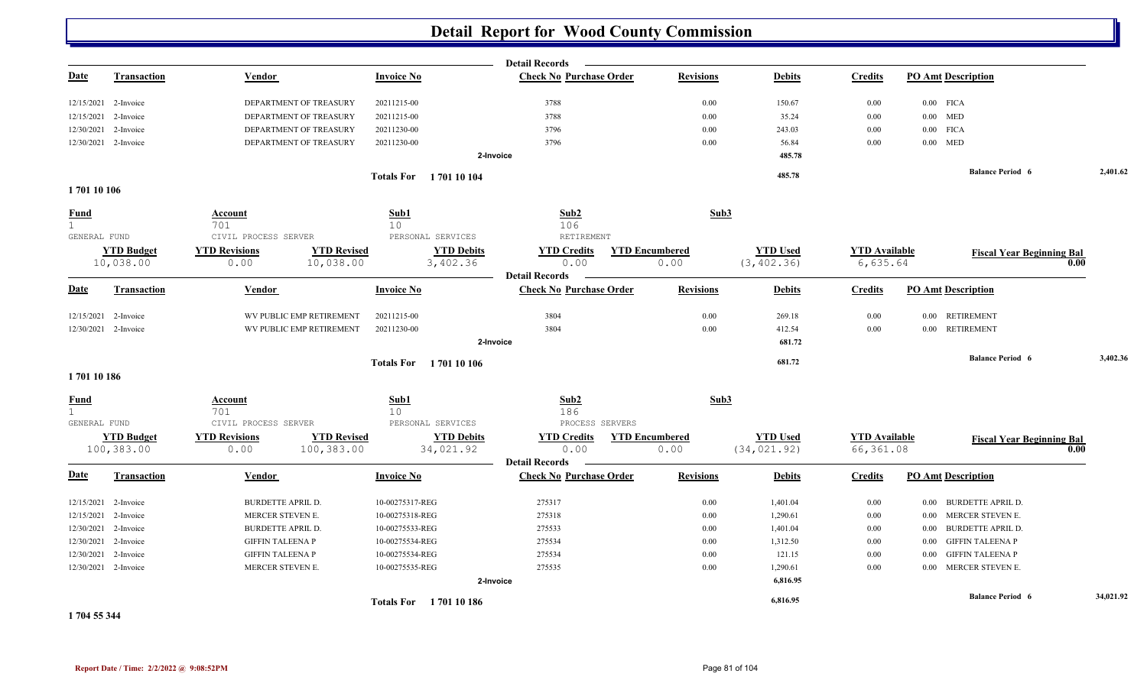|                   |                                 |                              |                                      | <b>Detail Records</b>                                        |                               |                                 |                                   |                                      |           |
|-------------------|---------------------------------|------------------------------|--------------------------------------|--------------------------------------------------------------|-------------------------------|---------------------------------|-----------------------------------|--------------------------------------|-----------|
| <b>Date</b>       | <b>Transaction</b>              | Vendor                       | <b>Invoice No</b>                    | <b>Check No Purchase Order</b>                               | <b>Revisions</b>              | <b>Debits</b>                   | <b>Credits</b>                    | <b>PO Amt Description</b>            |           |
| 12/15/2021        | 2-Invoice                       | DEPARTMENT OF TREASURY       | 20211215-00                          | 3788                                                         | 0.00                          | 150.67                          | 0.00                              | $0.00$ FICA                          |           |
| 12/15/2021        | 2-Invoice                       | DEPARTMENT OF TREASURY       | 20211215-00                          | 3788                                                         | $0.00\,$                      | 35.24                           | 0.00                              | $0.00$ MED                           |           |
| 12/30/2021        | 2-Invoice                       | DEPARTMENT OF TREASURY       | 20211230-00                          | 3796                                                         | 0.00                          | 243.03                          | 0.00                              | $0.00$ FICA                          |           |
|                   | 12/30/2021 2-Invoice            | DEPARTMENT OF TREASURY       | 20211230-00                          | 3796                                                         | 0.00                          | 56.84                           | 0.00                              | $0.00$ MED                           |           |
|                   |                                 |                              |                                      | 2-Invoice                                                    |                               | 485.78                          |                                   |                                      |           |
|                   |                                 |                              | <b>Totals For</b> 1701 10 104        |                                                              |                               | 485.78                          |                                   | <b>Balance Period 6</b>              | 2,401.62  |
| 170110106         |                                 |                              |                                      |                                                              |                               |                                 |                                   |                                      |           |
| <b>Fund</b>       |                                 | Account                      | Sub1                                 | Sub2                                                         | Sub3                          |                                 |                                   |                                      |           |
| 1<br>GENERAL FUND |                                 | 701<br>CIVIL PROCESS SERVER  | 10 <sup>°</sup><br>PERSONAL SERVICES | 106<br>RETIREMENT                                            |                               |                                 |                                   |                                      |           |
|                   | <b>YTD Budget</b>               | <b>YTD Revisions</b>         | <b>YTD Revised</b>                   | <b>YTD Debits</b><br><b>YTD Credits</b>                      | <b>YTD Encumbered</b>         | <b>YTD Used</b>                 | <b>YTD</b> Available              | <b>Fiscal Year Beginning Bal</b>     |           |
|                   | 10,038.00                       | 0.00                         | 10,038.00                            | 3,402.36<br>0.00                                             | 0.00                          | (3, 402.36)                     | 6,635.64                          |                                      | 0.00      |
| <u>Date</u>       | <b>Transaction</b>              | Vendor                       | <b>Invoice No</b>                    | <b>Detail Records</b><br><b>Check No Purchase Order</b>      | <b>Revisions</b>              | <b>Debits</b>                   | <b>Credits</b>                    | <b>PO Amt Description</b>            |           |
| 12/15/2021        | 2-Invoice                       | WV PUBLIC EMP RETIREMENT     | 20211215-00                          | 3804                                                         | 0.00                          | 269.18                          | 0.00                              | 0.00 RETIREMENT                      |           |
|                   | 12/30/2021 2-Invoice            | WV PUBLIC EMP RETIREMENT     | 20211230-00                          | 3804                                                         | 0.00                          | 412.54                          | 0.00                              | 0.00 RETIREMENT                      |           |
|                   |                                 |                              |                                      | 2-Invoice                                                    |                               | 681.72                          |                                   |                                      |           |
|                   |                                 |                              | <b>Totals For</b> 170110106          |                                                              |                               | 681.72                          |                                   | <b>Balance Period 6</b>              | 3,402.36  |
| 170110186         |                                 |                              |                                      |                                                              |                               |                                 |                                   |                                      |           |
| <b>Fund</b><br>1  |                                 | <b>Account</b><br>701        | Sub1<br>10 <sup>°</sup>              | Sub2<br>186                                                  | Sub3                          |                                 |                                   |                                      |           |
| GENERAL FUND      |                                 | CIVIL PROCESS SERVER         | PERSONAL SERVICES                    | PROCESS SERVERS                                              |                               |                                 |                                   |                                      |           |
|                   | <b>YTD Budget</b><br>100,383.00 | <b>YTD Revisions</b><br>0.00 | <b>YTD Revised</b><br>100,383.00     | <b>YTD Debits</b><br><b>YTD Credits</b><br>34,021.92<br>0.00 | <b>YTD Encumbered</b><br>0.00 | <b>YTD Used</b><br>(34, 021.92) | <b>YTD</b> Available<br>66,361.08 | <b>Fiscal Year Beginning Bal</b>     | 0.00      |
|                   |                                 |                              |                                      | <b>Detail Records</b>                                        |                               |                                 |                                   |                                      |           |
| <b>Date</b>       | <b>Transaction</b>              | Vendor                       | <b>Invoice No</b>                    | <b>Check No Purchase Order</b>                               | <b>Revisions</b>              | <b>Debits</b>                   | <b>Credits</b>                    | <b>PO Amt Description</b>            |           |
| 12/15/2021        | 2-Invoice                       | <b>BURDETTE APRIL D.</b>     | 10-00275317-REG                      | 275317                                                       | 0.00                          | 1,401.04                        | 0.00                              | <b>BURDETTE APRIL D.</b><br>$0.00\,$ |           |
| 12/15/2021        | 2-Invoice                       | MERCER STEVEN E.             | 10-00275318-REG                      | 275318                                                       | 0.00                          | 1,290.61                        | 0.00                              | 0.00 MERCER STEVEN E.                |           |
| 12/30/2021        | 2-Invoice                       | <b>BURDETTE APRIL D.</b>     | 10-00275533-REG                      | 275533                                                       | 0.00                          | 1,401.04                        | 0.00                              | <b>BURDETTE APRIL D.</b><br>0.00     |           |
|                   | 12/30/2021 2-Invoice            | <b>GIFFIN TALEENA P</b>      | 10-00275534-REG                      | 275534                                                       | 0.00                          | 1,312.50                        | 0.00                              | <b>GIFFIN TALEENA P</b><br>$0.00\,$  |           |
|                   | 12/30/2021 2-Invoice            | <b>GIFFIN TALEENA P</b>      | 10-00275534-REG                      | 275534                                                       | 0.00                          | 121.15                          | 0.00                              | <b>GIFFIN TALEENA P</b><br>$0.00\,$  |           |
|                   | 12/30/2021 2-Invoice            | MERCER STEVEN E.             | 10-00275535-REG                      | 275535                                                       | 0.00                          | 1,290.61                        | 0.00                              | 0.00 MERCER STEVEN E.                |           |
|                   |                                 |                              |                                      | 2-Invoice                                                    |                               | 6,816.95                        |                                   |                                      |           |
|                   |                                 |                              | Totals For 1701 10 186               |                                                              |                               | 6,816.95                        |                                   | <b>Balance Period 6</b>              | 34,021.92 |

**1 704 55 344**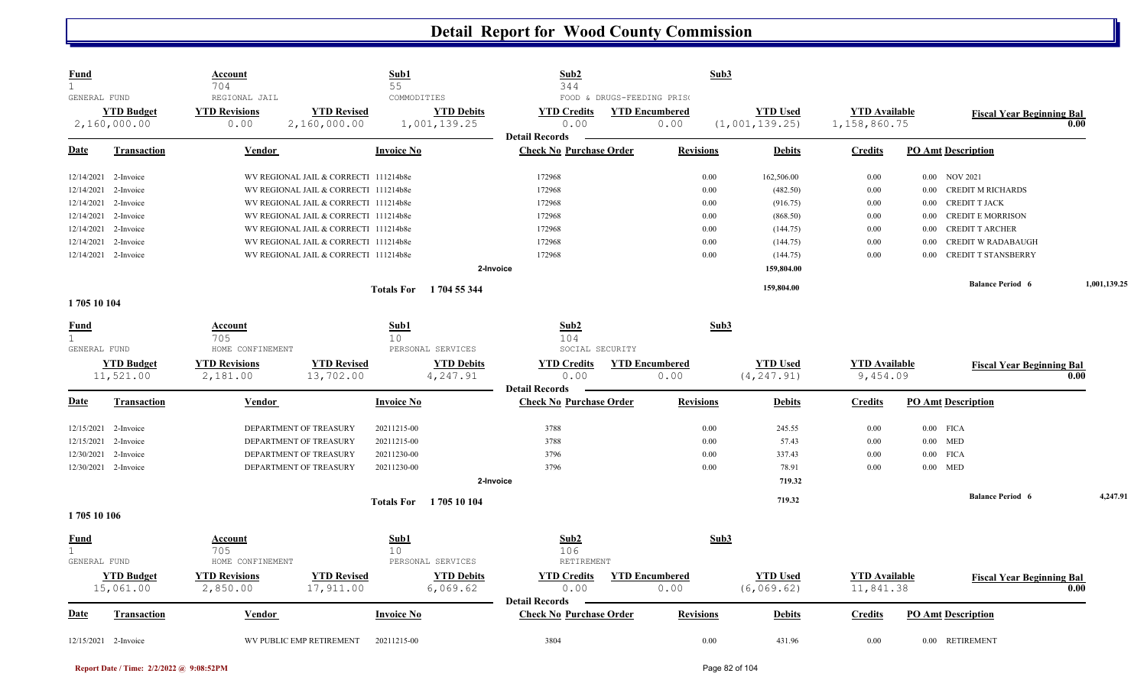| <b>Fund</b><br>1             |                                   | <b>Account</b><br>704                         | Sub1<br>55                              |                                                  | Sub2<br>344                                              | Sub3                          |                                   |                                      |                                      |              |
|------------------------------|-----------------------------------|-----------------------------------------------|-----------------------------------------|--------------------------------------------------|----------------------------------------------------------|-------------------------------|-----------------------------------|--------------------------------------|--------------------------------------|--------------|
| GENERAL FUND                 | <b>YTD Budget</b><br>2,160,000.00 | REGIONAL JAIL<br><b>YTD Revisions</b><br>0.00 | <b>YTD Revised</b><br>2,160,000.00      | COMMODITIES<br><b>YTD Debits</b><br>1,001,139.25 | FOOD & DRUGS-FEEDING PRISO<br><b>YTD Credits</b><br>0.00 | <b>YTD Encumbered</b><br>0.00 | <b>YTD Used</b><br>(1,001,139.25) | <b>YTD</b> Available<br>1,158,860.75 | <b>Fiscal Year Beginning Bal</b>     | 0.00         |
| Date                         | <b>Transaction</b>                | Vendor                                        | <b>Invoice No</b>                       |                                                  | <b>Detail Records</b><br><b>Check No Purchase Order</b>  | <b>Revisions</b>              | <b>Debits</b>                     | <b>Credits</b>                       | <b>PO Amt Description</b>            |              |
|                              | 12/14/2021 2-Invoice              |                                               | WV REGIONAL JAIL & CORRECTI 111214b8e   |                                                  | 172968                                                   | 0.00                          | 162,506.00                        | 0.00                                 | 0.00 NOV 2021                        |              |
| 12/14/2021                   | 2-Invoice                         |                                               | WV REGIONAL JAIL & CORRECTI 111214b8e   |                                                  | 172968                                                   | 0.00                          | (482.50)                          | 0.00                                 | <b>CREDIT M RICHARDS</b><br>$0.00\,$ |              |
| 12/14/2021                   | 2-Invoice                         |                                               | WV REGIONAL JAIL & CORRECTI 111214b8e   |                                                  | 172968                                                   | 0.00                          | (916.75)                          | 0.00                                 | <b>CREDIT T JACK</b><br>0.00         |              |
| 12/14/2021                   | 2-Invoice                         |                                               | WV REGIONAL JAIL & CORRECTI 111214b8e   |                                                  | 172968                                                   | 0.00                          | (868.50)                          | 0.00                                 | <b>CREDIT E MORRISON</b><br>$0.00\,$ |              |
| 12/14/2021                   | 2-Invoice                         |                                               | WV REGIONAL JAIL & CORRECTI 111214b8e   |                                                  | 172968                                                   | 0.00                          | (144.75)                          | 0.00                                 | <b>CREDIT T ARCHER</b><br>0.00       |              |
| 12/14/2021                   | 2-Invoice                         |                                               | WV REGIONAL JAIL & CORRECTI 111214b8e   |                                                  | 172968                                                   | 0.00                          | (144.75)                          | 0.00                                 | <b>CREDIT W RADABAUGH</b><br>0.00    |              |
|                              | 12/14/2021 2-Invoice              |                                               | WV REGIONAL JAIL & CORRECTI 111214b8e   |                                                  | 172968                                                   | $0.00\,$                      | (144.75)                          | 0.00                                 | <b>CREDIT T STANSBERRY</b><br>0.00   |              |
|                              |                                   |                                               |                                         |                                                  | 2-Invoice                                                |                               | 159,804.00                        |                                      |                                      |              |
|                              |                                   |                                               | <b>Totals For</b>                       | 1 704 55 344                                     |                                                          |                               | 159,804.00                        |                                      | <b>Balance Period 6</b>              | 1,001,139.25 |
| 1705 10 104                  |                                   |                                               |                                         |                                                  |                                                          |                               |                                   |                                      |                                      |              |
| <b>Fund</b>                  |                                   | <b>Account</b>                                | Sub1                                    |                                                  | Sub2                                                     | Sub3                          |                                   |                                      |                                      |              |
| $\mathbf{1}$<br>GENERAL FUND |                                   | 705<br>HOME CONFINEMENT                       | 10                                      | PERSONAL SERVICES                                | 104<br>SOCIAL SECURITY                                   |                               |                                   |                                      |                                      |              |
|                              |                                   |                                               |                                         |                                                  |                                                          |                               |                                   |                                      |                                      |              |
|                              | <b>YTD Budget</b>                 | <b>YTD Revisions</b>                          | <b>YTD Revised</b>                      | <b>YTD Debits</b>                                | <b>YTD Credits</b>                                       | <b>YTD Encumbered</b>         | <b>YTD Used</b>                   | <b>YTD Available</b>                 | <b>Fiscal Year Beginning Bal</b>     |              |
|                              | 11,521.00                         | 2,181.00                                      | 13,702.00                               | 4,247.91                                         | 0.00<br><b>Detail Records</b>                            | 0.00                          | (4, 247.91)                       | 9,454.09                             |                                      | 0.00         |
| <u>Date</u>                  | <b>Transaction</b>                | Vendor                                        | <b>Invoice No</b>                       |                                                  | <b>Check No Purchase Order</b>                           | <b>Revisions</b>              | <b>Debits</b>                     | <b>Credits</b>                       | <b>PO Amt Description</b>            |              |
|                              | 12/15/2021 2-Invoice              |                                               | DEPARTMENT OF TREASURY<br>20211215-00   |                                                  | 3788                                                     | 0.00                          | 245.55                            | 0.00                                 | $0.00$ FICA                          |              |
| 12/15/2021                   | 2-Invoice                         |                                               | DEPARTMENT OF TREASURY<br>20211215-00   |                                                  | 3788                                                     | 0.00                          | 57.43                             | 0.00                                 | $0.00$ MED                           |              |
| 12/30/2021                   | 2-Invoice                         |                                               | DEPARTMENT OF TREASURY<br>20211230-00   |                                                  | 3796                                                     | 0.00                          | 337.43                            | 0.00                                 | $0.00$ FICA                          |              |
|                              | 12/30/2021 2-Invoice              |                                               | DEPARTMENT OF TREASURY<br>20211230-00   |                                                  | 3796                                                     | 0.00                          | 78.91                             | 0.00                                 | $0.00$ MED                           |              |
|                              |                                   |                                               |                                         |                                                  | 2-Invoice                                                |                               | 719.32                            |                                      |                                      |              |
|                              |                                   |                                               |                                         | <b>Totals For</b> 1705 10 104                    |                                                          |                               | 719.32                            |                                      | <b>Balance Period 6</b>              | 4,247.91     |
| 1705 10 106                  |                                   |                                               |                                         |                                                  |                                                          |                               |                                   |                                      |                                      |              |
| <u>Fund</u><br>$\mathbf{1}$  |                                   | <b>Account</b><br>705                         | Sub1<br>10 <sup>°</sup>                 |                                                  | Sub2<br>106                                              | Sub3                          |                                   |                                      |                                      |              |
| GENERAL FUND                 |                                   | HOME CONFINEMENT                              |                                         | PERSONAL SERVICES                                | RETIREMENT                                               |                               |                                   |                                      |                                      |              |
|                              | <b>YTD Budget</b>                 | <b>YTD Revisions</b>                          | <b>YTD Revised</b>                      | <b>YTD Debits</b>                                | <b>YTD Credits</b>                                       | <b>YTD Encumbered</b>         | <b>YTD Used</b>                   | <b>YTD Available</b>                 | <b>Fiscal Year Beginning Bal</b>     |              |
|                              | 15,061.00                         | 2,850.00                                      | 17,911.00                               | 6,069.62                                         | 0.00<br><b>Detail Records</b>                            | 0.00                          | (6, 069.62)                       | 11,841.38                            |                                      | 0.00         |
| <b>Date</b>                  | <b>Transaction</b>                | <b>Vendor</b>                                 | <b>Invoice No</b>                       |                                                  | <b>Check No Purchase Order</b>                           | <b>Revisions</b>              | <b>Debits</b>                     | <b>Credits</b>                       | <b>PO Amt Description</b>            |              |
|                              | 12/15/2021 2-Invoice              |                                               | WV PUBLIC EMP RETIREMENT<br>20211215-00 |                                                  | 3804                                                     | $0.00\,$                      | 431.96                            | 0.00                                 | 0.00 RETIREMENT                      |              |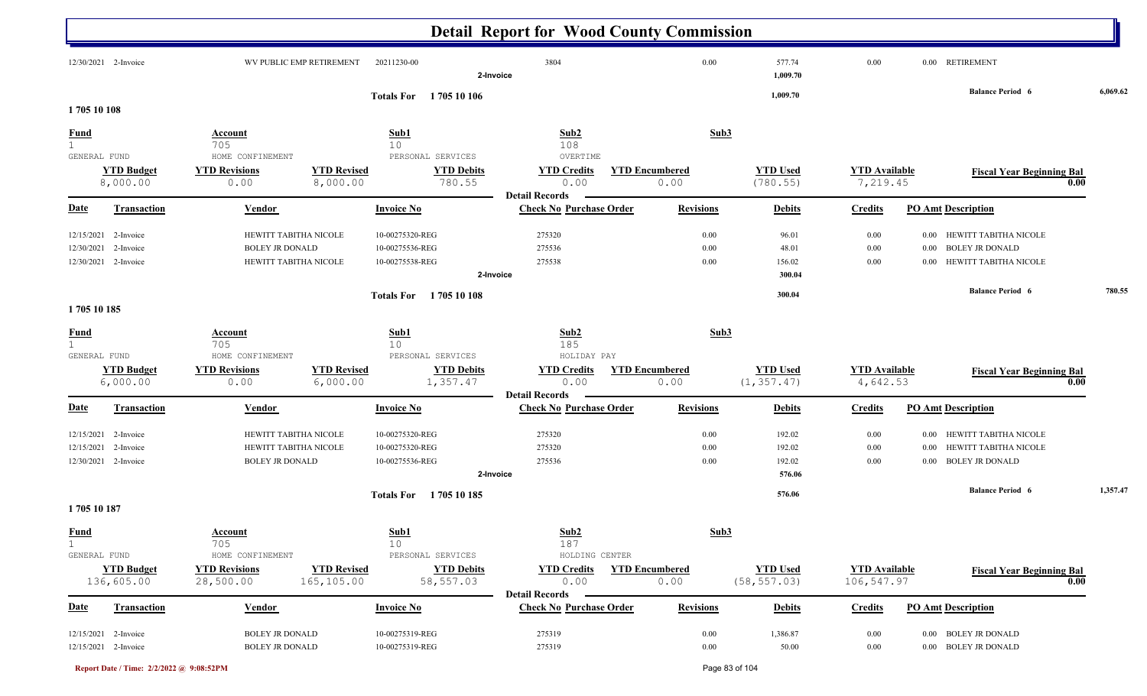|                                             |                                                |                                                  |                                                |                                                       | <b>Detail Report for Wood County Commission</b>     |                               |                                      |                                    |                                                                                                      |          |
|---------------------------------------------|------------------------------------------------|--------------------------------------------------|------------------------------------------------|-------------------------------------------------------|-----------------------------------------------------|-------------------------------|--------------------------------------|------------------------------------|------------------------------------------------------------------------------------------------------|----------|
|                                             | 12/30/2021 2-Invoice                           |                                                  | WV PUBLIC EMP RETIREMENT                       | 20211230-00                                           | 3804<br>2-Invoice                                   | 0.00                          | 577.74<br>1,009.70                   | 0.00                               | 0.00 RETIREMENT                                                                                      |          |
|                                             |                                                |                                                  |                                                | Totals For 1705 10 106                                |                                                     |                               | 1,009.70                             |                                    | <b>Balance Period 6</b>                                                                              | 6,069.62 |
| 1705 10 108                                 |                                                |                                                  |                                                |                                                       |                                                     |                               |                                      |                                    |                                                                                                      |          |
| <b>Fund</b><br>$\mathbf{1}$<br>GENERAL FUND |                                                | Account<br>705<br>HOME CONFINEMENT               |                                                | Sub1<br>10<br>PERSONAL SERVICES                       | Sub2<br>108<br>OVERTIME                             | Sub3                          |                                      |                                    |                                                                                                      |          |
|                                             | <b>YTD Budget</b><br>8,000.00                  | <b>YTD Revisions</b><br>0.00                     | <b>YTD Revised</b><br>8,000.00                 | <b>YTD Debits</b><br>780.55                           | <b>YTD Credits</b><br>0.00<br><b>Detail Records</b> | <b>YTD Encumbered</b><br>0.00 | <b>YTD</b> Used<br>(780.55)          | <b>YTD Available</b><br>7,219.45   | <b>Fiscal Year Beginning Bal</b><br>0.00                                                             |          |
| Date                                        | <b>Transaction</b>                             | <b>Vendor</b>                                    |                                                | <b>Invoice No</b>                                     | <b>Check No Purchase Order</b>                      | <b>Revisions</b>              | <b>Debits</b>                        | <b>Credits</b>                     | <b>PO Amt Description</b>                                                                            |          |
| 12/15/2021<br>12/30/2021<br>12/30/2021      | 2-Invoice<br>2-Invoice<br>2-Invoice            | <b>BOLEY JR DONALD</b>                           | HEWITT TABITHA NICOLE<br>HEWITT TABITHA NICOLE | 10-00275320-REG<br>10-00275536-REG<br>10-00275538-REG | 275320<br>275536<br>275538<br>2-Invoice             | 0.00<br>0.00<br>0.00          | 96.01<br>48.01<br>156.02<br>300.04   | $0.00\,$<br>$0.00\,$<br>$0.00\,$   | HEWITT TABITHA NICOLE<br>0.00<br><b>BOLEY JR DONALD</b><br>0.00<br>HEWITT TABITHA NICOLE<br>$0.00\,$ |          |
| 1705 10 185                                 |                                                |                                                  |                                                | Totals For 1705 10 108                                |                                                     |                               | 300.04                               |                                    | <b>Balance Period 6</b>                                                                              | 780.55   |
| <b>Fund</b><br>$\mathbf{1}$<br>GENERAL FUND |                                                | <b>Account</b><br>705<br>HOME CONFINEMENT        |                                                | Sub1<br>10<br>PERSONAL SERVICES                       | Sub <sub>2</sub><br>185<br>HOLIDAY PAY              | Sub3                          |                                      |                                    |                                                                                                      |          |
|                                             | <b>YTD Budget</b><br>6,000.00                  | <b>YTD Revisions</b><br>0.00                     | <b>YTD Revised</b><br>6,000.00                 | <b>YTD Debits</b><br>1,357.47                         | <b>YTD Credits</b><br>0.00<br><b>Detail Records</b> | <b>YTD Encumbered</b><br>0.00 | <b>YTD</b> Used<br>(1, 357.47)       | <b>YTD</b> Available<br>4,642.53   | <b>Fiscal Year Beginning Bal</b><br>0.00                                                             |          |
| <u>Date</u>                                 | <b>Transaction</b>                             | Vendor                                           |                                                | <b>Invoice No</b>                                     | <b>Check No Purchase Order</b>                      | <b>Revisions</b>              | <b>Debits</b>                        | <b>Credits</b>                     | <b>PO Amt Description</b>                                                                            |          |
| 12/15/2021<br>12/15/2021                    | 2-Invoice<br>2-Invoice<br>12/30/2021 2-Invoice | <b>BOLEY JR DONALD</b>                           | HEWITT TABITHA NICOLE<br>HEWITT TABITHA NICOLE | 10-00275320-REG<br>10-00275320-REG<br>10-00275536-REG | 275320<br>275320<br>275536<br>2-Invoice             | 0.00<br>0.00<br>0.00          | 192.02<br>192.02<br>192.02<br>576.06 | $0.00\,$<br>$0.00\,$<br>$0.00\,$   | HEWITT TABITHA NICOLE<br>$0.00\,$<br>HEWITT TABITHA NICOLE<br>0.00<br>0.00 BOLEY JR DONALD           |          |
| 1705 10 187                                 |                                                |                                                  |                                                | <b>Totals For</b><br>1705 10 185                      |                                                     |                               | 576.06                               |                                    | <b>Balance Period 6</b>                                                                              | 1,357.47 |
| <b>Fund</b><br>$\mathbf{1}$<br>GENERAL FUND |                                                | <b>Account</b><br>705<br>HOME CONFINEMENT        |                                                | <u>Sub1</u><br>10<br>PERSONAL SERVICES                | Sub2<br>187<br>HOLDING CENTER                       | Sub3                          |                                      |                                    |                                                                                                      |          |
|                                             | <b>YTD Budget</b><br>136,605.00                | <b>YTD Revisions</b><br>28,500.00                | <b>YTD Revised</b><br>165,105.00               | <b>YTD Debits</b><br>58,557.03                        | <b>YTD Credits</b><br>0.00<br><b>Detail Records</b> | <b>YTD Encumbered</b><br>0.00 | <b>YTD Used</b><br>(58, 557.03)      | <b>YTD</b> Available<br>106,547.97 | <b>Fiscal Year Beginning Bal</b><br>0.00                                                             |          |
| Date                                        | <b>Transaction</b>                             | <b>Vendor</b>                                    |                                                | <b>Invoice No</b>                                     | <b>Check No Purchase Order</b>                      | <b>Revisions</b>              | <b>Debits</b>                        | <b>Credits</b>                     | <b>PO Amt Description</b>                                                                            |          |
|                                             | 12/15/2021 2-Invoice<br>12/15/2021 2-Invoice   | <b>BOLEY JR DONALD</b><br><b>BOLEY JR DONALD</b> |                                                | 10-00275319-REG<br>10-00275319-REG                    | 275319<br>275319                                    | 0.00<br>0.00                  | 1,386.87<br>50.00                    | 0.00<br>$0.00\,$                   | 0.00 BOLEY JR DONALD<br>0.00 BOLEY JR DONALD                                                         |          |

**Report Date / Time: 2/2/2022 @ 9:08:52PM** Page 83 of 104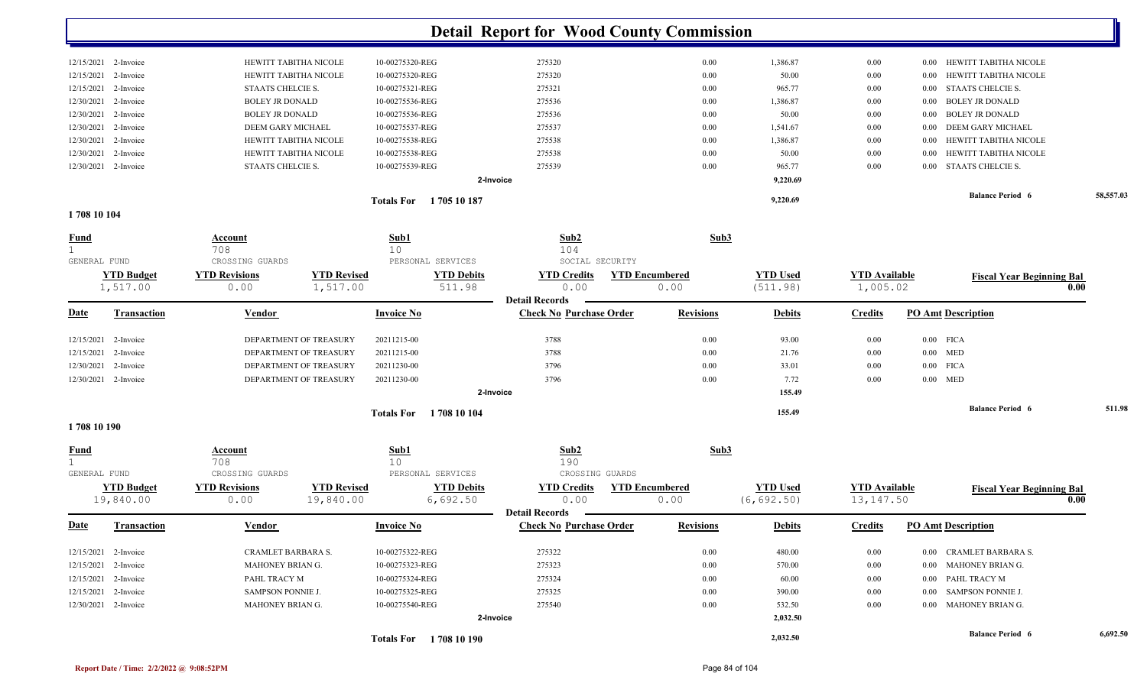|                             | 12/15/2021 2-Invoice | HEWITT TABITHA NICOLE  | 10-00275320-REG               | 275320                                  | 0.00                  | 1,386.87        | $0.00\,$             | HEWITT TABITHA NICOLE<br>0.00        |           |
|-----------------------------|----------------------|------------------------|-------------------------------|-----------------------------------------|-----------------------|-----------------|----------------------|--------------------------------------|-----------|
|                             | 12/15/2021 2-Invoice | HEWITT TABITHA NICOLE  | 10-00275320-REG               | 275320                                  | 0.00                  | 50.00           | $0.00\,$             | HEWITT TABITHA NICOLE<br>0.00        |           |
| 12/15/2021                  | 2-Invoice            | STAATS CHELCIE S.      | 10-00275321-REG               | 275321                                  | 0.00                  | 965.77          | $0.00\,$             | STAATS CHELCIE S.<br>0.00            |           |
| 12/30/2021                  | 2-Invoice            | <b>BOLEY JR DONALD</b> | 10-00275536-REG               | 275536                                  | 0.00                  | 1,386.87        | $0.00\,$             | <b>BOLEY JR DONALD</b><br>0.00       |           |
| 12/30/2021                  | 2-Invoice            | <b>BOLEY JR DONALD</b> | 10-00275536-REG               | 275536                                  | 0.00                  | 50.00           | $0.00\,$             | <b>BOLEY JR DONALD</b><br>0.00       |           |
| 12/30/2021                  | 2-Invoice            | DEEM GARY MICHAEL      | 10-00275537-REG               | 275537                                  | 0.00                  | 1,541.67        | $0.00\,$             | DEEM GARY MICHAEL<br>0.00            |           |
|                             | 12/30/2021 2-Invoice | HEWITT TABITHA NICOLE  | 10-00275538-REG               | 275538                                  | 0.00                  | 1,386.87        | $0.00\,$             | HEWITT TABITHA NICOLE<br>0.00        |           |
| 12/30/2021                  | 2-Invoice            | HEWITT TABITHA NICOLE  | 10-00275538-REG               | 275538                                  | 0.00                  | 50.00           | $0.00\,$             | HEWITT TABITHA NICOLE<br>0.00        |           |
|                             | 12/30/2021 2-Invoice | STAATS CHELCIE S.      | 10-00275539-REG               | 275539                                  | 0.00                  | 965.77          | $0.00\,$             | <b>STAATS CHELCIE S.</b><br>$0.00\,$ |           |
|                             |                      |                        |                               | 2-Invoice                               |                       | 9,220.69        |                      |                                      |           |
|                             |                      |                        |                               |                                         |                       |                 |                      | <b>Balance Period 6</b>              | 58,557.03 |
| 1708 10 104                 |                      |                        | <b>Totals For</b> 1705 10 187 |                                         |                       | 9,220.69        |                      |                                      |           |
|                             |                      |                        |                               |                                         |                       |                 |                      |                                      |           |
| <u>Fund</u><br>$\mathbf{1}$ |                      | Account<br>708         | Sub1<br>10                    | Sub2<br>104                             | Sub3                  |                 |                      |                                      |           |
| GENERAL FUND                |                      | CROSSING GUARDS        | PERSONAL SERVICES             | SOCIAL SECURITY                         |                       |                 |                      |                                      |           |
|                             | <b>YTD Budget</b>    | <b>YTD Revisions</b>   | <b>YTD Revised</b>            | <b>YTD Debits</b><br><b>YTD Credits</b> | <b>YTD Encumbered</b> | <b>YTD Used</b> | <b>YTD</b> Available | <b>Fiscal Year Beginning Bal</b>     |           |
|                             | 1,517.00             | 0.00                   | 1,517.00                      | 511.98<br>0.00                          | 0.00                  | (511.98)        | 1,005.02             |                                      | 0.00      |
|                             |                      |                        |                               | <b>Detail Records</b>                   |                       |                 |                      |                                      |           |
| <b>Date</b>                 | <b>Transaction</b>   | Vendor                 | <b>Invoice No</b>             | <b>Check No Purchase Order</b>          | <b>Revisions</b>      | <b>Debits</b>   | <b>Credits</b>       | <b>PO Amt Description</b>            |           |
| 12/15/2021                  | 2-Invoice            | DEPARTMENT OF TREASURY | 20211215-00                   | 3788                                    | 0.00                  | 93.00           | $0.00\,$             | $0.00$ FICA                          |           |
| 12/15/2021                  | 2-Invoice            | DEPARTMENT OF TREASURY | 20211215-00                   | 3788                                    | 0.00                  | 21.76           | $0.00\,$             | $0.00$ MED                           |           |
| 12/30/2021                  | 2-Invoice            | DEPARTMENT OF TREASURY | 20211230-00                   | 3796                                    | 0.00                  | 33.01           | 0.00                 | $0.00$ FICA                          |           |
|                             | 12/30/2021 2-Invoice | DEPARTMENT OF TREASURY | 20211230-00                   | 3796                                    | 0.00                  | 7.72            | 0.00                 | $0.00$ MED                           |           |
|                             |                      |                        |                               | 2-Invoice                               |                       | 155.49          |                      |                                      |           |
|                             |                      |                        | <b>Totals For</b>             | 1708 10 104                             |                       | 155.49          |                      | <b>Balance Period 6</b>              | 511.98    |
| 1708 10 190                 |                      |                        |                               |                                         |                       |                 |                      |                                      |           |
| <b>Fund</b>                 |                      | Account                | Sub1                          | Sub2                                    | Sub3                  |                 |                      |                                      |           |
| $\mathbf 1$<br>GENERAL FUND |                      | 708<br>CROSSING GUARDS | 10<br>PERSONAL SERVICES       | 190<br>CROSSING GUARDS                  |                       |                 |                      |                                      |           |
|                             | <b>YTD Budget</b>    | <b>YTD Revisions</b>   | <b>YTD Revised</b>            | <b>YTD Debits</b><br><b>YTD Credits</b> | <b>YTD Encumbered</b> | <b>YTD Used</b> | <b>YTD Available</b> | <b>Fiscal Year Beginning Bal</b>     |           |
|                             | 19,840.00            | 0.00                   | 19,840.00                     | 6,692.50<br>0.00                        | 0.00                  | (6, 692.50)     | 13, 147.50           |                                      | 0.00      |
|                             |                      |                        |                               | <b>Detail Records</b>                   |                       |                 |                      |                                      |           |
| <u>Date</u>                 | <b>Transaction</b>   | <b>Vendor</b>          | <b>Invoice No</b>             | <b>Check No Purchase Order</b>          | <b>Revisions</b>      | <b>Debits</b>   | <b>Credits</b>       | <b>PO Amt Description</b>            |           |
|                             | 12/15/2021 2-Invoice | CRAMLET BARBARA S.     | 10-00275322-REG               | 275322                                  | $0.00\,$              | 480.00          | 0.00                 | 0.00 CRAMLET BARBARA S.              |           |
|                             | 12/15/2021 2-Invoice | MAHONEY BRIAN G.       | 10-00275323-REG               | 275323                                  | 0.00                  | 570.00          | $0.00\,$             | 0.00 MAHONEY BRIAN G.                |           |
|                             | 12/15/2021 2-Invoice | PAHL TRACY M           | 10-00275324-REG               | 275324                                  | 0.00                  | 60.00           | $0.00\,$             | 0.00 PAHL TRACY M                    |           |
|                             | 12/15/2021 2-Invoice | SAMPSON PONNIE J.      | 10-00275325-REG               | 275325                                  | 0.00                  | 390.00          | $0.00\,$             | 0.00 SAMPSON PONNIE J.               |           |
|                             | 12/30/2021 2-Invoice | MAHONEY BRIAN G.       | 10-00275540-REG               | 275540                                  | 0.00                  | 532.50          | $0.00\,$             | 0.00 MAHONEY BRIAN G.                |           |
|                             |                      |                        |                               | 2-Invoice                               |                       | 2,032.50        |                      |                                      |           |
|                             |                      |                        |                               |                                         |                       |                 |                      | <b>Balance Period 6</b>              | 6,692.50  |
|                             |                      |                        | Totals For 1708 10 190        |                                         |                       | 2,032.50        |                      |                                      |           |

Ш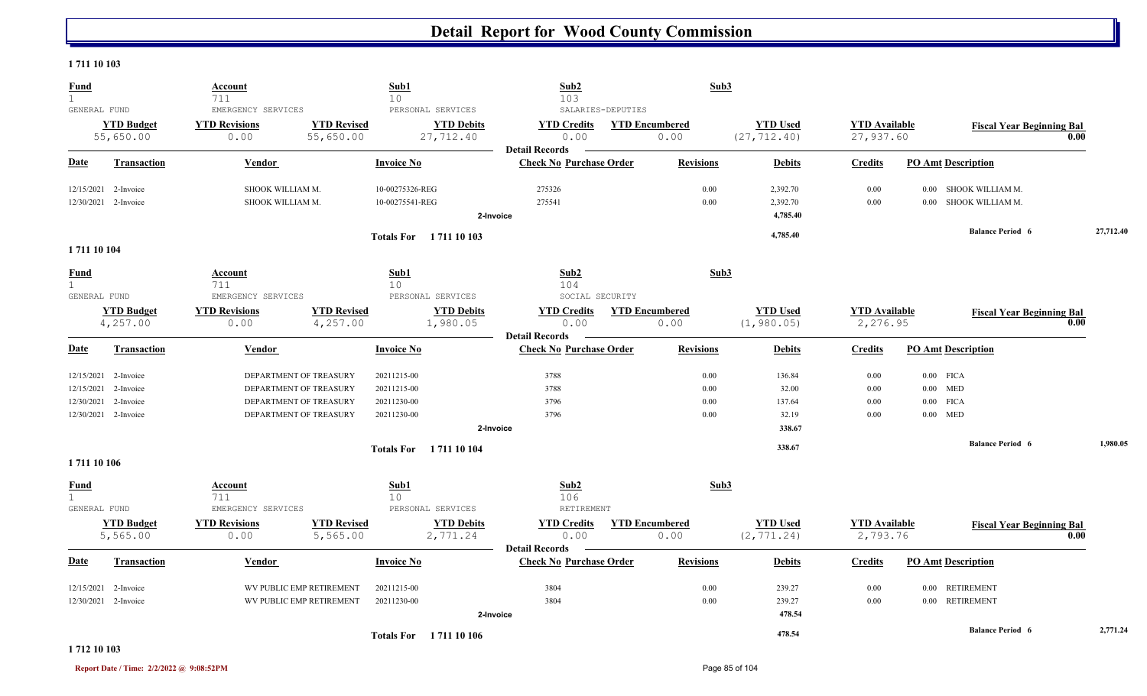#### **1 711 10 103**

| <b>Fund</b><br>$\mathbf{1}$                 |                                              | Account<br>711                                     |                                                  | Sub1<br>10                         |                                                     | Sub2<br>103                                             |                   | Sub3                          |                                  |                                   |                           |                                           |           |
|---------------------------------------------|----------------------------------------------|----------------------------------------------------|--------------------------------------------------|------------------------------------|-----------------------------------------------------|---------------------------------------------------------|-------------------|-------------------------------|----------------------------------|-----------------------------------|---------------------------|-------------------------------------------|-----------|
| GENERAL FUND                                | <b>YTD Budget</b><br>55,650.00               | EMERGENCY SERVICES<br><b>YTD Revisions</b><br>0.00 | <b>YTD Revised</b><br>55,650.00                  |                                    | PERSONAL SERVICES<br><b>YTD Debits</b><br>27,712.40 | <b>YTD Credits</b><br>0.00                              | SALARIES-DEPUTIES | <b>YTD Encumbered</b><br>0.00 | <b>YTD Used</b><br>(27, 712.40)  | <b>YTD</b> Available<br>27,937.60 |                           | <b>Fiscal Year Beginning Bal</b>          | 0.00      |
| <b>Date</b>                                 | <b>Transaction</b>                           | Vendor                                             |                                                  | <b>Invoice No</b>                  |                                                     | <b>Detail Records</b><br><b>Check No Purchase Order</b> |                   | <b>Revisions</b>              | <b>Debits</b>                    | <b>Credits</b>                    | <b>PO Amt Description</b> |                                           |           |
|                                             | 12/15/2021 2-Invoice<br>12/30/2021 2-Invoice | SHOOK WILLIAM M.<br>SHOOK WILLIAM M.               |                                                  | 10-00275326-REG<br>10-00275541-REG |                                                     | 275326<br>275541<br>2-Invoice                           |                   | 0.00<br>0.00                  | 2,392.70<br>2,392.70<br>4,785.40 | 0.00<br>0.00                      | $0.00\,$                  | SHOOK WILLIAM M.<br>0.00 SHOOK WILLIAM M. |           |
|                                             |                                              |                                                    |                                                  |                                    | Totals For 1711 10 103                              |                                                         |                   |                               | 4,785.40                         |                                   |                           | <b>Balance Period 6</b>                   | 27,712.40 |
| 1711 10 104                                 |                                              |                                                    |                                                  |                                    |                                                     |                                                         |                   |                               |                                  |                                   |                           |                                           |           |
| <u>Fund</u><br>$\mathbf{1}$<br>GENERAL FUND |                                              | Account<br>711<br>EMERGENCY SERVICES               |                                                  | Sub1<br>10                         | PERSONAL SERVICES                                   | Sub2<br>104<br>SOCIAL SECURITY                          |                   | Sub3                          |                                  |                                   |                           |                                           |           |
|                                             | <b>YTD Budget</b><br>4,257.00                | <b>YTD Revisions</b><br>0.00                       | <b>YTD Revised</b><br>4,257.00                   |                                    | <b>YTD Debits</b><br>1,980.05                       | <b>YTD Credits</b><br>0.00                              |                   | <b>YTD Encumbered</b><br>0.00 | <b>YTD Used</b><br>(1, 980.05)   | <b>YTD</b> Available<br>2,276.95  |                           | <b>Fiscal Year Beginning Bal</b>          | 0.00      |
| <u>Date</u>                                 | <b>Transaction</b>                           | Vendor                                             |                                                  | <b>Invoice No</b>                  |                                                     | <b>Detail Records</b><br><b>Check No Purchase Order</b> |                   | <b>Revisions</b>              | <b>Debits</b>                    | <b>Credits</b>                    | <b>PO Amt Description</b> |                                           |           |
|                                             | 12/15/2021 2-Invoice<br>12/15/2021 2-Invoice |                                                    | DEPARTMENT OF TREASURY<br>DEPARTMENT OF TREASURY | 20211215-00<br>20211215-00         |                                                     | 3788<br>3788                                            |                   | 0.00<br>0.00                  | 136.84<br>32.00                  | $0.00\,$<br>0.00                  | $0.00$ FICA<br>$0.00$ MED |                                           |           |
|                                             | 12/30/2021 2-Invoice                         |                                                    | DEPARTMENT OF TREASURY                           | 20211230-00                        |                                                     | 3796                                                    |                   | 0.00                          | 137.64                           | 0.00                              | $0.00$ FICA               |                                           |           |
|                                             | 12/30/2021 2-Invoice                         |                                                    | DEPARTMENT OF TREASURY                           | 20211230-00                        |                                                     | 3796<br>2-Invoice                                       |                   | 0.00                          | 32.19<br>338.67                  | 0.00                              | $0.00$ MED                |                                           |           |
|                                             |                                              |                                                    |                                                  |                                    | <b>Totals For</b> 1711 10 104                       |                                                         |                   |                               | 338.67                           |                                   |                           | <b>Balance Period 6</b>                   | 1,980.05  |
| 1711 10 106                                 |                                              |                                                    |                                                  |                                    |                                                     |                                                         |                   |                               |                                  |                                   |                           |                                           |           |
| <b>Fund</b><br>1                            |                                              | Account<br>711                                     |                                                  | Sub1<br>10 <sup>°</sup>            |                                                     | Sub2<br>106                                             |                   | Sub3                          |                                  |                                   |                           |                                           |           |
| GENERAL FUND                                | <b>YTD Budget</b><br>5,565.00                | EMERGENCY SERVICES<br><b>YTD Revisions</b><br>0.00 | <b>YTD Revised</b><br>5,565.00                   |                                    | PERSONAL SERVICES<br><b>YTD Debits</b><br>2,771.24  | RETIREMENT<br><b>YTD Credits</b><br>0.00                |                   | <b>YTD Encumbered</b><br>0.00 | <b>YTD Used</b><br>(2, 771.24)   | <b>YTD</b> Available<br>2,793.76  |                           | <b>Fiscal Year Beginning Bal</b>          | 0.00      |
| <b>Date</b>                                 | <b>Transaction</b>                           | Vendor                                             |                                                  | <b>Invoice No</b>                  |                                                     | <b>Detail Records</b><br><b>Check No Purchase Order</b> |                   | <b>Revisions</b>              | <b>Debits</b>                    | <b>Credits</b>                    | <b>PO Amt Description</b> |                                           |           |
| 12/15/2021                                  | 2-Invoice                                    |                                                    | WV PUBLIC EMP RETIREMENT                         | 20211215-00                        |                                                     | 3804                                                    |                   | 0.00                          | 239.27                           | 0.00                              | 0.00 RETIREMENT           |                                           |           |
|                                             | 12/30/2021 2-Invoice                         |                                                    | WV PUBLIC EMP RETIREMENT                         | 20211230-00                        |                                                     | 3804                                                    |                   | 0.00                          | 239.27                           | 0.00                              | 0.00 RETIREMENT           |                                           |           |
|                                             |                                              |                                                    |                                                  |                                    |                                                     | 2-Invoice                                               |                   |                               | 478.54                           |                                   |                           |                                           |           |
|                                             |                                              |                                                    |                                                  |                                    | Totals For 1711 10 106                              |                                                         |                   |                               | 478.54                           |                                   |                           | <b>Balance Period 6</b>                   | 2,771.24  |

#### **1 712 10 103**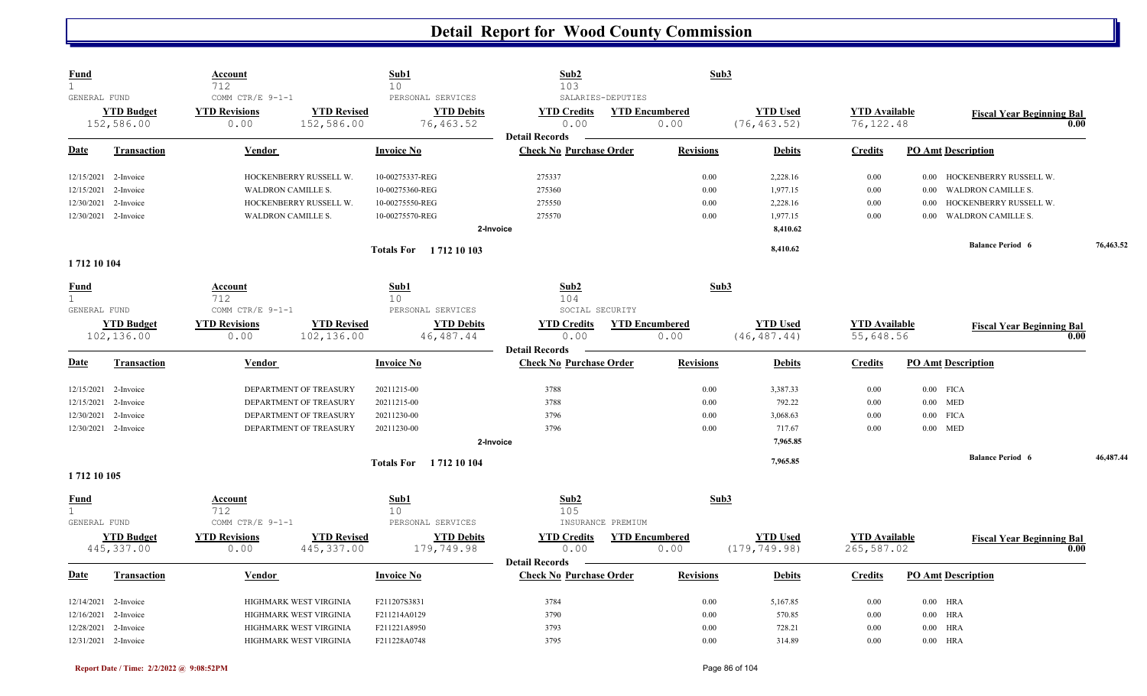| <b>Fund</b><br>$\mathbf{1}$ |                                 | <b>Account</b><br>712                                                                | Sub1<br>10                                          | Sub2<br>103                                             | Sub3                          |                                 |                                    |                           |                                          |           |
|-----------------------------|---------------------------------|--------------------------------------------------------------------------------------|-----------------------------------------------------|---------------------------------------------------------|-------------------------------|---------------------------------|------------------------------------|---------------------------|------------------------------------------|-----------|
| GENERAL FUND                | <b>YTD Budget</b><br>152,586.00 | COMM CTR/E 9-1-1<br><b>YTD Revised</b><br><b>YTD Revisions</b><br>0.00<br>152,586.00 | PERSONAL SERVICES<br><b>YTD Debits</b><br>76,463.52 | SALARIES-DEPUTIES<br><b>YTD Credits</b><br>0.00         | <b>YTD Encumbered</b><br>0.00 | <b>YTD</b> Used<br>(76, 463.52) | <b>YTD Available</b><br>76, 122.48 |                           | <b>Fiscal Year Beginning Bal</b><br>0.00 |           |
| Date                        | <b>Transaction</b>              | Vendor                                                                               | <b>Invoice No</b>                                   | <b>Detail Records</b><br><b>Check No Purchase Order</b> | <b>Revisions</b>              | <b>Debits</b>                   | <b>Credits</b>                     | <b>PO Amt Description</b> |                                          |           |
|                             |                                 |                                                                                      |                                                     |                                                         |                               |                                 |                                    |                           |                                          |           |
|                             | 12/15/2021 2-Invoice            | HOCKENBERRY RUSSELL W.                                                               | 10-00275337-REG                                     | 275337                                                  | 0.00                          | 2,228.16                        | 0.00                               |                           | 0.00 HOCKENBERRY RUSSELL W.              |           |
| 12/15/2021                  | 2-Invoice                       | WALDRON CAMILLE S.                                                                   | 10-00275360-REG                                     | 275360                                                  | 0.00                          | 1,977.15                        | $0.00\,$                           | 0.00                      | <b>WALDRON CAMILLE S.</b>                |           |
| 12/30/2021                  | 2-Invoice                       | HOCKENBERRY RUSSELL W.                                                               | 10-00275550-REG                                     | 275550                                                  | 0.00                          | 2,228.16                        | $0.00\,$                           | 0.00                      | HOCKENBERRY RUSSELL W.                   |           |
|                             | 12/30/2021 2-Invoice            | <b>WALDRON CAMILLE S.</b>                                                            | 10-00275570-REG                                     | 275570                                                  | 0.00                          | 1,977.15                        | 0.00                               | 0.00                      | <b>WALDRON CAMILLE S.</b>                |           |
|                             |                                 |                                                                                      |                                                     | 2-Invoice                                               |                               | 8,410.62                        |                                    |                           |                                          |           |
|                             |                                 |                                                                                      | <b>Totals For</b> 1712 10 103                       |                                                         |                               | 8,410.62                        |                                    |                           | <b>Balance Period 6</b>                  | 76,463.52 |
| 1712 10 104                 |                                 |                                                                                      |                                                     |                                                         |                               |                                 |                                    |                           |                                          |           |
| <b>Fund</b><br>$\mathbf 1$  |                                 | <b>Account</b><br>712                                                                | Sub1<br>10                                          | Sub2<br>104                                             | Sub3                          |                                 |                                    |                           |                                          |           |
| GENERAL FUND                |                                 | COMM CTR/E 9-1-1                                                                     | PERSONAL SERVICES                                   | SOCIAL SECURITY                                         |                               |                                 |                                    |                           |                                          |           |
|                             | <b>YTD Budget</b>               | <b>YTD Revisions</b><br><b>YTD Revised</b>                                           | <b>YTD Debits</b>                                   | <b>YTD Credits</b>                                      | <b>YTD Encumbered</b>         | <b>YTD Used</b>                 | <b>YTD</b> Available               |                           | <b>Fiscal Year Beginning Bal</b>         |           |
|                             | 102,136.00                      | 0.00<br>102,136.00                                                                   | 46, 487. 44                                         | 0.00                                                    | 0.00                          | (46, 487, 44)                   | 55,648.56                          |                           | 0.00                                     |           |
|                             |                                 |                                                                                      |                                                     | <b>Detail Records</b>                                   |                               |                                 |                                    |                           |                                          |           |
| <u>Date</u>                 | <b>Transaction</b>              | <b>Vendor</b>                                                                        | <b>Invoice No</b>                                   | <b>Check No Purchase Order</b>                          | <b>Revisions</b>              | <b>Debits</b>                   | <b>Credits</b>                     | <b>PO Amt Description</b> |                                          |           |
|                             | 12/15/2021 2-Invoice            | DEPARTMENT OF TREASURY                                                               | 20211215-00                                         | 3788                                                    | 0.00                          | 3,387.33                        | $0.00\,$                           | $0.00$ FICA               |                                          |           |
| 12/15/2021                  | 2-Invoice                       | DEPARTMENT OF TREASURY                                                               | 20211215-00                                         | 3788                                                    | 0.00                          | 792.22                          | 0.00                               | $0.00$ MED                |                                          |           |
| 12/30/2021                  | 2-Invoice                       | DEPARTMENT OF TREASURY                                                               | 20211230-00                                         | 3796                                                    | 0.00                          | 3,068.63                        | 0.00                               | $0.00$ FICA               |                                          |           |
|                             | 12/30/2021 2-Invoice            | DEPARTMENT OF TREASURY                                                               | 20211230-00                                         | 3796                                                    | 0.00                          | 717.67                          | 0.00                               | $0.00$ MED                |                                          |           |
|                             |                                 |                                                                                      |                                                     | 2-Invoice                                               |                               | 7,965.85                        |                                    |                           |                                          |           |
|                             |                                 |                                                                                      | <b>Totals For</b> 1712 10 104                       |                                                         |                               | 7,965.85                        |                                    |                           | <b>Balance Period 6</b>                  | 46,487.44 |
| 1712 10 105                 |                                 |                                                                                      |                                                     |                                                         |                               |                                 |                                    |                           |                                          |           |
| <b>Fund</b>                 |                                 | Account                                                                              | Sub1                                                | Sub2                                                    | Sub3                          |                                 |                                    |                           |                                          |           |
| $\mathbf{1}$                |                                 | 712                                                                                  | 10                                                  | 105                                                     |                               |                                 |                                    |                           |                                          |           |
| GENERAL FUND                |                                 | COMM CTR/E 9-1-1                                                                     | PERSONAL SERVICES                                   | INSURANCE PREMIUM                                       |                               |                                 |                                    |                           |                                          |           |
|                             | <b>YTD Budget</b>               | <b>YTD Revisions</b><br><b>YTD Revised</b>                                           | <b>YTD Debits</b>                                   | <b>YTD Credits</b>                                      | <b>YTD Encumbered</b>         | <b>YTD Used</b>                 | <b>YTD Available</b>               |                           | <b>Fiscal Year Beginning Bal</b>         |           |
|                             | 445, 337.00                     | 445, 337.00<br>0.00                                                                  | 179,749.98                                          | 0.00                                                    | 0.00                          | (179, 749.98)                   | 265,587.02                         |                           | 0.00                                     |           |
| <b>Date</b>                 | <b>Transaction</b>              | Vendor                                                                               | <b>Invoice No</b>                                   | <b>Detail Records</b><br><b>Check No Purchase Order</b> | <b>Revisions</b>              | <b>Debits</b>                   | <b>Credits</b>                     | <b>PO Amt Description</b> |                                          |           |
|                             |                                 |                                                                                      |                                                     |                                                         |                               |                                 |                                    |                           |                                          |           |
|                             | 12/14/2021 2-Invoice            | HIGHMARK WEST VIRGINIA                                                               | F211207S3831                                        | 3784                                                    | 0.00                          | 5,167.85                        | 0.00                               | $0.00$ HRA                |                                          |           |
|                             | 12/16/2021 2-Invoice            | HIGHMARK WEST VIRGINIA                                                               | F211214A0129                                        | 3790                                                    | 0.00                          | 570.85                          | 0.00                               | $0.00$ HRA                |                                          |           |
| 12/28/2021                  | 2-Invoice                       | HIGHMARK WEST VIRGINIA                                                               | F211221A8950                                        | 3793                                                    | 0.00                          | 728.21                          | 0.00                               | $0.00$ HRA                |                                          |           |
|                             | 12/31/2021 2-Invoice            | HIGHMARK WEST VIRGINIA                                                               | F211228A0748                                        | 3795                                                    | 0.00                          | 314.89                          | 0.00                               | $0.00$ HRA                |                                          |           |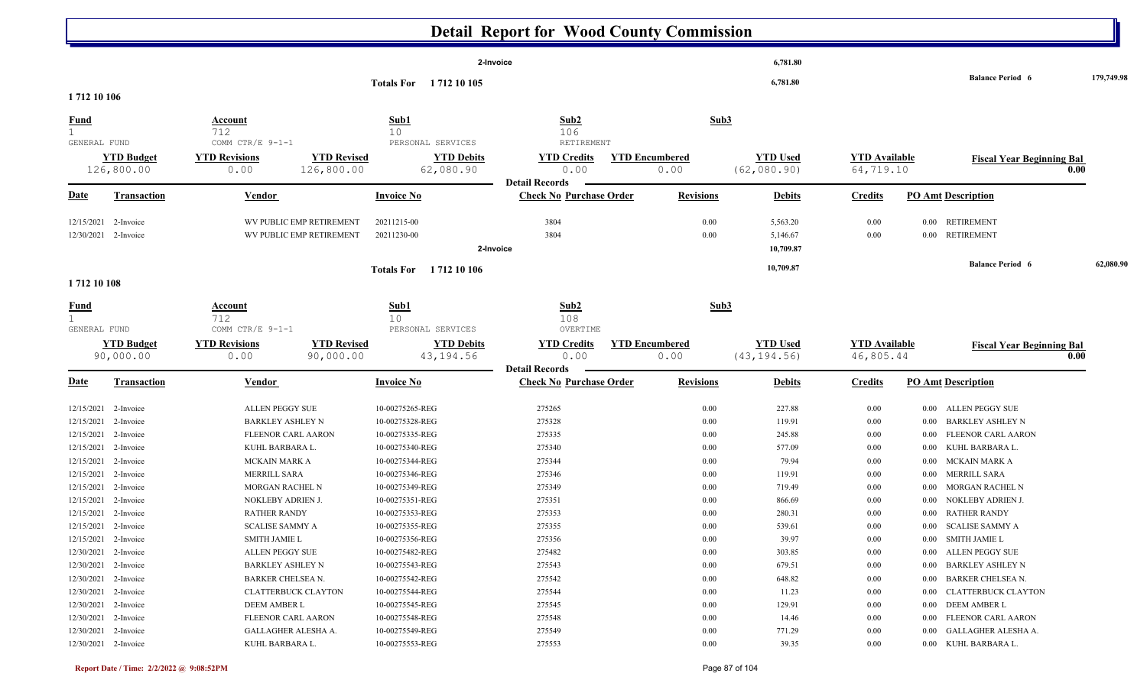|                                                                      |                                     |                                                                       |                                                      |                                                       | <b>Detail Report for Wood County Commission</b>         |                               |                                   |                                   |                                                                                           |            |
|----------------------------------------------------------------------|-------------------------------------|-----------------------------------------------------------------------|------------------------------------------------------|-------------------------------------------------------|---------------------------------------------------------|-------------------------------|-----------------------------------|-----------------------------------|-------------------------------------------------------------------------------------------|------------|
|                                                                      |                                     |                                                                       |                                                      |                                                       | 2-Invoice                                               |                               | 6,781.80                          |                                   | <b>Balance Period 6</b>                                                                   | 179,749.98 |
| 1712 10 106                                                          |                                     |                                                                       |                                                      | Totals For 1712 10 105                                |                                                         |                               | 6,781.80                          |                                   |                                                                                           |            |
| <u>Fund</u><br>$\mathbf{1}$<br>GENERAL FUND                          |                                     | Account<br>712<br>COMM CTR/E 9-1-1                                    |                                                      | Sub1<br>10 <sub>o</sub><br>PERSONAL SERVICES          | Sub2<br>106<br>RETIREMENT                               | Sub3                          |                                   |                                   |                                                                                           |            |
|                                                                      | <b>YTD Budget</b><br>126,800.00     | <b>YTD Revisions</b><br>0.00                                          | <b>YTD Revised</b><br>126,800.00                     | <b>YTD Debits</b><br>62,080.90                        | <b>YTD Credits</b><br>0.00<br><b>Detail Records</b>     | <b>YTD Encumbered</b><br>0.00 | <b>YTD Used</b><br>(62, 080.90)   | <b>YTD Available</b><br>64,719.10 | <b>Fiscal Year Beginning Bal</b>                                                          | 0.00       |
| <u>Date</u>                                                          | <b>Transaction</b>                  | <b>Vendor</b>                                                         |                                                      | <b>Invoice No</b>                                     | <b>Check No Purchase Order</b>                          | <b>Revisions</b>              | <b>Debits</b>                     | <b>Credits</b>                    | <b>PO Amt Description</b>                                                                 |            |
| 12/15/2021<br>12/30/2021 2-Invoice                                   | 2-Invoice                           |                                                                       | WV PUBLIC EMP RETIREMENT<br>WV PUBLIC EMP RETIREMENT | 20211215-00<br>20211230-00                            | 3804<br>3804<br>2-Invoice                               | 0.00<br>0.00                  | 5,563.20<br>5,146.67<br>10,709.87 | 0.00<br>0.00                      | <b>RETIREMENT</b><br>$0.00\,$<br><b>RETIREMENT</b><br>$0.00\,$                            |            |
| 1712 10 108                                                          |                                     |                                                                       |                                                      | Totals For 1712 10 106                                |                                                         |                               | 10,709.87                         |                                   | <b>Balance Period 6</b>                                                                   | 62,080.90  |
| <b>Fund</b>                                                          |                                     | <b>Account</b><br>712                                                 |                                                      | Sub1<br>10 <sup>°</sup>                               | Sub2<br>108                                             | Sub3                          |                                   |                                   |                                                                                           |            |
| GENERAL FUND                                                         | <b>YTD Budget</b><br>90,000.00      | COMM CTR/E 9-1-1<br><b>YTD Revisions</b><br>0.00                      | <b>YTD Revised</b><br>90,000.00                      | PERSONAL SERVICES<br><b>YTD Debits</b><br>43,194.56   | <b>OVERTIME</b><br><b>YTD Credits</b><br>0.00           | <b>YTD Encumbered</b><br>0.00 | <b>YTD Used</b><br>(43, 194.56)   | <b>YTD Available</b><br>46,805.44 | <b>Fiscal Year Beginning Bal</b>                                                          | 0.00       |
| Date                                                                 | <b>Transaction</b>                  | Vendor                                                                |                                                      | <b>Invoice No</b>                                     | <b>Detail Records</b><br><b>Check No Purchase Order</b> | <b>Revisions</b>              | <b>Debits</b>                     | <b>Credits</b>                    | <b>PO Amt Description</b>                                                                 |            |
| 12/15/2021<br>12/15/2021<br>12/15/2021                               | 2-Invoice<br>2-Invoice<br>2-Invoice | ALLEN PEGGY SUE<br><b>BARKLEY ASHLEY N</b><br>FLEENOR CARL AARON      |                                                      | 10-00275265-REG<br>10-00275328-REG<br>10-00275335-REG | 275265<br>275328<br>275335                              | 0.00<br>0.00<br>0.00          | 227.88<br>119.91<br>245.88        | $0.00\,$<br>0.00<br>0.00          | 0.00 ALLEN PEGGY SUE<br><b>BARKLEY ASHLEY N</b><br>$0.00\,$<br>FLEENOR CARL AARON<br>0.00 |            |
| 12/15/2021<br>12/15/2021<br>12/15/2021                               | 2-Invoice<br>2-Invoice<br>2-Invoice | KUHL BARBARA L.<br>MCKAIN MARK A<br>MERRILL SARA                      |                                                      | 10-00275340-REG<br>10-00275344-REG<br>10-00275346-REG | 275340<br>275344<br>275346                              | 0.00<br>0.00<br>0.00          | 577.09<br>79.94<br>119.91         | 0.00<br>0.00<br>0.00              | KUHL BARBARA L.<br>0.00<br><b>MCKAIN MARK A</b><br>0.00<br>MERRILL SARA<br>0.00           |            |
| 12/15/2021<br>12/15/2021                                             | 2-Invoice<br>2-Invoice              | MORGAN RACHEL N<br>NOKLEBY ADRIEN J.                                  |                                                      | 10-00275349-REG<br>10-00275351-REG                    | 275349<br>275351                                        | 0.00<br>0.00                  | 719.49<br>866.69                  | 0.00<br>0.00                      | MORGAN RACHEL N<br>$0.00\,$<br>NOKLEBY ADRIEN J.<br>$0.00\,$                              |            |
| 12/15/2021 2-Invoice<br>12/15/2021 2-Invoice<br>12/15/2021 2-Invoice |                                     | <b>RATHER RANDY</b><br><b>SCALISE SAMMY A</b><br><b>SMITH JAMIE L</b> |                                                      | 10-00275353-REG<br>10-00275355-REG<br>10-00275356-REG | 275353<br>275355<br>275356                              | 0.00<br>0.00<br>0.00          | 280.31<br>539.61<br>39.97         | 0.00<br>0.00<br>$0.00\,$          | 0.00 RATHER RANDY<br>0.00 SCALISE SAMMY A<br>0.00 SMITH JAMIE L                           |            |
| 12/30/2021 2-Invoice<br>12/30/2021 2-Invoice<br>12/30/2021 2-Invoice |                                     | ALLEN PEGGY SUE<br>BARKLEY ASHLEY N<br>BARKER CHELSEA N.              |                                                      | 10-00275482-REG<br>10-00275543-REG<br>10-00275542-REG | 275482<br>275543<br>275542                              | 0.00<br>0.00<br>0.00          | 303.85<br>679.51<br>648.82        | 0.00<br>$0.00\,$<br>$0.00\,$      | 0.00 ALLEN PEGGY SUE<br>0.00 BARKLEY ASHLEY N<br>0.00 BARKER CHELSEA N.                   |            |
| 12/30/2021 2-Invoice<br>12/30/2021 2-Invoice<br>12/30/2021 2-Invoice |                                     | <b>CLATTERBUCK CLAYTON</b><br>DEEM AMBER L<br>FLEENOR CARL AARON      |                                                      | 10-00275544-REG<br>10-00275545-REG<br>10-00275548-REG | 275544<br>275545<br>275548                              | 0.00<br>0.00<br>0.00          | 11.23<br>129.91<br>14.46          | $0.00\,$<br>$0.00\,$<br>$0.00\,$  | 0.00 CLATTERBUCK CLAYTON<br>0.00 DEEM AMBER L<br>0.00 FLEENOR CARL AARON                  |            |
| 12/30/2021 2-Invoice<br>12/30/2021 2-Invoice                         |                                     | GALLAGHER ALESHA A.<br>KUHL BARBARA L.                                |                                                      | 10-00275549-REG<br>10-00275553-REG                    | 275549<br>275553                                        | 0.00<br>0.00                  | 771.29<br>39.35                   | $0.00\,$<br>$0.00\,$              | 0.00 GALLAGHER ALESHA A.<br>0.00 KUHL BARBARA L.                                          |            |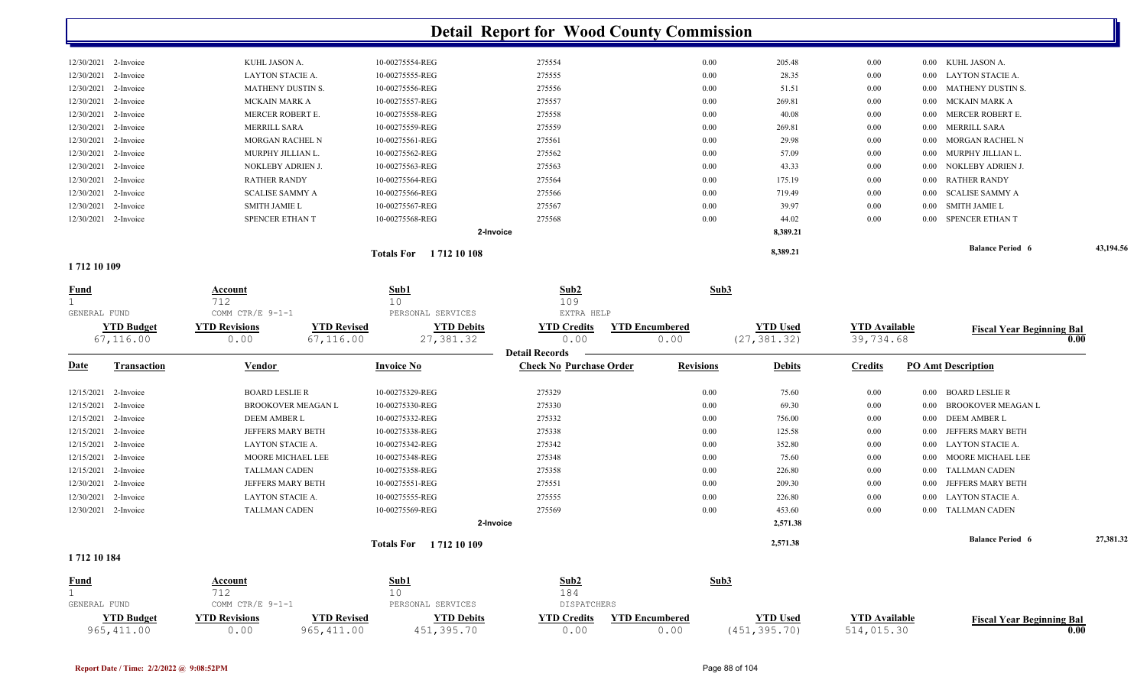| 12/30/2021 2-Invoice<br>12/30/2021 2-Invoice<br>12/30/2021 2-Invoice | <b>SCALISE SAMMY A</b><br><b>SMITH JAMIE L</b><br>SPENCER ETHAN T | 10-00275566-REG<br>10-00275567-REG<br>10-00275568-REG<br>2-Invoice                                                                                                               | 275566<br>275567<br>275568 | 0.00<br>0.00<br>0.00 | 719.49<br>39.97<br>44.02<br>8,389.21 | 0.00<br>$0.00\,$<br>0.00 | 0.00 SCALISE SAMMY A<br>SMITH JAMIE L<br>0.00<br>SPENCER ETHAN T<br>0.00 |
|----------------------------------------------------------------------|-------------------------------------------------------------------|----------------------------------------------------------------------------------------------------------------------------------------------------------------------------------|----------------------------|----------------------|--------------------------------------|--------------------------|--------------------------------------------------------------------------|
|                                                                      |                                                                   |                                                                                                                                                                                  |                            |                      |                                      |                          |                                                                          |
|                                                                      |                                                                   |                                                                                                                                                                                  |                            |                      |                                      |                          |                                                                          |
|                                                                      |                                                                   |                                                                                                                                                                                  |                            |                      |                                      |                          |                                                                          |
|                                                                      |                                                                   |                                                                                                                                                                                  |                            |                      |                                      |                          |                                                                          |
| 12/30/2021 2-Invoice                                                 | <b>RATHER RANDY</b>                                               | 10-00275564-REG                                                                                                                                                                  |                            |                      | 175.19                               |                          | 0.00 RATHER RANDY                                                        |
| 12/30/2021 2-Invoice                                                 |                                                                   | 10-00275563-REG                                                                                                                                                                  | 275563                     | 0.00                 | 43.33                                | $0.00\,$                 | 0.00 NOKLEBY ADRIEN J.                                                   |
| 12/30/2021 2-Invoice                                                 |                                                                   | 10-00275562-REG                                                                                                                                                                  | 275562                     | 0.00                 | 57.09                                | $0.00\,$                 | 0.00 MURPHY JILLIAN L.                                                   |
| 12/30/2021 2-Invoice                                                 |                                                                   | 10-00275561-REG                                                                                                                                                                  | 275561                     | 0.00                 | 29.98                                | $0.00\,$                 | 0.00 MORGAN RACHEL N                                                     |
| 12/30/2021 2-Invoice                                                 |                                                                   | 10-00275559-REG                                                                                                                                                                  | 275559                     | 0.00                 | 269.81                               | $0.00\,$                 | 0.00 MERRILL SARA                                                        |
| 12/30/2021 2-Invoice                                                 |                                                                   | 10-00275558-REG                                                                                                                                                                  | 275558                     | 0.00                 | 40.08                                | $0.00\,$                 | MERCER ROBERT E.<br>0.00                                                 |
| 12/30/2021 2-Invoice                                                 |                                                                   | 10-00275557-REG                                                                                                                                                                  | 275557                     | 0.00                 | 269.81                               | $0.00\,$                 | 0.00 MCKAIN MARK A                                                       |
| 12/30/2021 2-Invoice                                                 |                                                                   | 10-00275556-REG                                                                                                                                                                  | 275556                     | 0.00                 | 51.51                                | $0.00\,$                 | 0.00 MATHENY DUSTIN S.                                                   |
| 12/30/2021 2-Invoice                                                 | LAYTON STACIE A.                                                  | 10-00275555-REG                                                                                                                                                                  | 275555                     | 0.00                 | 28.35                                | $0.00\,$                 | 0.00 LAYTON STACIE A.                                                    |
| 12/30/2021 2-Invoice                                                 |                                                                   | 10-00275554-REG                                                                                                                                                                  | 275554                     | 0.00                 | 205.48                               | $0.00\,$                 | 0.00 KUHL JASON A.                                                       |
|                                                                      |                                                                   | KUHL JASON A.<br><b>MATHENY DUSTIN S.</b><br><b>MCKAIN MARK A</b><br>MERCER ROBERT E.<br><b>MERRILL SARA</b><br><b>MORGAN RACHEL N</b><br>MURPHY JILLIAN L.<br>NOKLEBY ADRIEN J. |                            |                      | 275564<br>0.00                       |                          | 0.00                                                                     |

**1 712 10 109** 

| <b>Fund</b><br>GENERAL FUND |                                | Account<br>712<br>COMM CTR/E 9-1-1 |                                 | Sub1<br>10<br>PERSONAL SERVICES  | Sub2<br>109<br>EXTRA HELP                           | Sub3                          |                                 |                                   |                                   |           |
|-----------------------------|--------------------------------|------------------------------------|---------------------------------|----------------------------------|-----------------------------------------------------|-------------------------------|---------------------------------|-----------------------------------|-----------------------------------|-----------|
|                             | <b>YTD Budget</b><br>67,116.00 | <b>YTD Revisions</b><br>0.00       | <b>YTD Revised</b><br>67,116.00 | <b>YTD Debits</b><br>27,381.32   | <b>YTD Credits</b><br>0.00<br><b>Detail Records</b> | <b>YTD Encumbered</b><br>0.00 | <b>YTD Used</b><br>(27, 381.32) | <b>YTD</b> Available<br>39,734.68 | <b>Fiscal Year Beginning Bal</b>  | 0.00      |
| <b>Date</b>                 | <b>Transaction</b>             | <b>Vendor</b>                      |                                 | <b>Invoice No</b>                | <b>Check No Purchase Order</b>                      | <b>Revisions</b>              | <b>Debits</b>                   | <b>Credits</b>                    | <b>PO Amt Description</b>         |           |
| 12/15/2021                  | 2-Invoice                      | <b>BOARD LESLIE R</b>              |                                 | 10-00275329-REG                  | 275329                                              | 0.00                          | 75.60                           | 0.00                              | <b>BOARD LESLIE R</b><br>0.00     |           |
| 12/15/2021                  | 2-Invoice                      |                                    | <b>BROOKOVER MEAGAN L</b>       | 10-00275330-REG                  | 275330                                              | 0.00                          | 69.30                           | 0.00                              | <b>BROOKOVER MEAGAN L</b><br>0.00 |           |
|                             | 12/15/2021 2-Invoice           | <b>DEEM AMBER L</b>                |                                 | 10-00275332-REG                  | 275332                                              | 0.00                          | 756.00                          | 0.00                              | 0.00 DEEM AMBER L                 |           |
| 12/15/2021                  | 2-Invoice                      | <b>JEFFERS MARY BETH</b>           |                                 | 10-00275338-REG                  | 275338                                              | 0.00                          | 125.58                          | 0.00                              | JEFFERS MARY BETH<br>0.00         |           |
| 12/15/2021                  | 2-Invoice                      | LAYTON STACIE A.                   |                                 | 10-00275342-REG                  | 275342                                              | 0.00                          | 352.80                          | $0.00\,$                          | <b>LAYTON STACIE A.</b><br>0.00   |           |
| 12/15/2021                  | 2-Invoice                      | MOORE MICHAEL LEE                  |                                 | 10-00275348-REG                  | 275348                                              | 0.00                          | 75.60                           | 0.00                              | MOORE MICHAEL LEE<br>0.00         |           |
| 12/15/2021                  | 2-Invoice                      | <b>TALLMAN CADEN</b>               |                                 | 10-00275358-REG                  | 275358                                              | 0.00                          | 226.80                          | $0.00\,$                          | <b>TALLMAN CADEN</b><br>0.00      |           |
| 12/30/2021                  | 2-Invoice                      | JEFFERS MARY BETH                  |                                 | 10-00275551-REG                  | 275551                                              | 0.00                          | 209.30                          | $0.00\,$                          | JEFFERS MARY BETH<br>0.00         |           |
| 12/30/2021                  | 2-Invoice                      | LAYTON STACIE A.                   |                                 | 10-00275555-REG                  | 275555                                              | 0.00                          | 226.80                          | $0.00\,$                          | <b>LAYTON STACIE A.</b><br>0.00   |           |
| 12/30/2021                  | 2-Invoice                      | <b>TALLMAN CADEN</b>               |                                 | 10-00275569-REG                  | 275569                                              | 0.00                          | 453.60                          | 0.00                              | 0.00 TALLMAN CADEN                |           |
|                             |                                |                                    |                                 |                                  | 2-Invoice                                           |                               | 2,571.38                        |                                   |                                   |           |
|                             |                                |                                    |                                 | 1712 10 109<br><b>Totals For</b> |                                                     |                               | 2,571.38                        |                                   | <b>Balance Period 6</b>           | 27,381.32 |
| 1712 10 184                 |                                |                                    |                                 |                                  |                                                     |                               |                                 |                                   |                                   |           |
| <b>Fund</b>                 |                                | <b>Account</b><br>712              |                                 | Sub1<br>10                       | Sub2<br>184                                         | Sub3                          |                                 |                                   |                                   |           |
| GENERAL FUND                |                                | COMM CTR/F $9-1-1$                 |                                 | PERSONAL SERVICES                | <b>DISPATCHERS</b>                                  |                               |                                 |                                   |                                   |           |

|                                  |                           |          |                       | <b>DISPATCHERS</b> | SERVICES<br>PERSONAL              |             | $\cap$ TR $/\mathbb{R}$ . | GENERAL FUND |
|----------------------------------|---------------------------|----------|-----------------------|--------------------|-----------------------------------|-------------|---------------------------|--------------|
| Fiscal<br>al Year Beginning Bal: | <sup>V</sup> TD Available | 'TD Used | <b>YTD Encumbered</b> | <b>YTD Credits</b> | $^{\mathrm{v}}\mathrm{TD}$ Debits | 'TD Revised | <b>YTD Revisions</b>      | TD Budget    |
| 0.00                             |                           | 395 70   | ,.or                  | J . U . 1          |                                   |             |                           | 965,411.00   |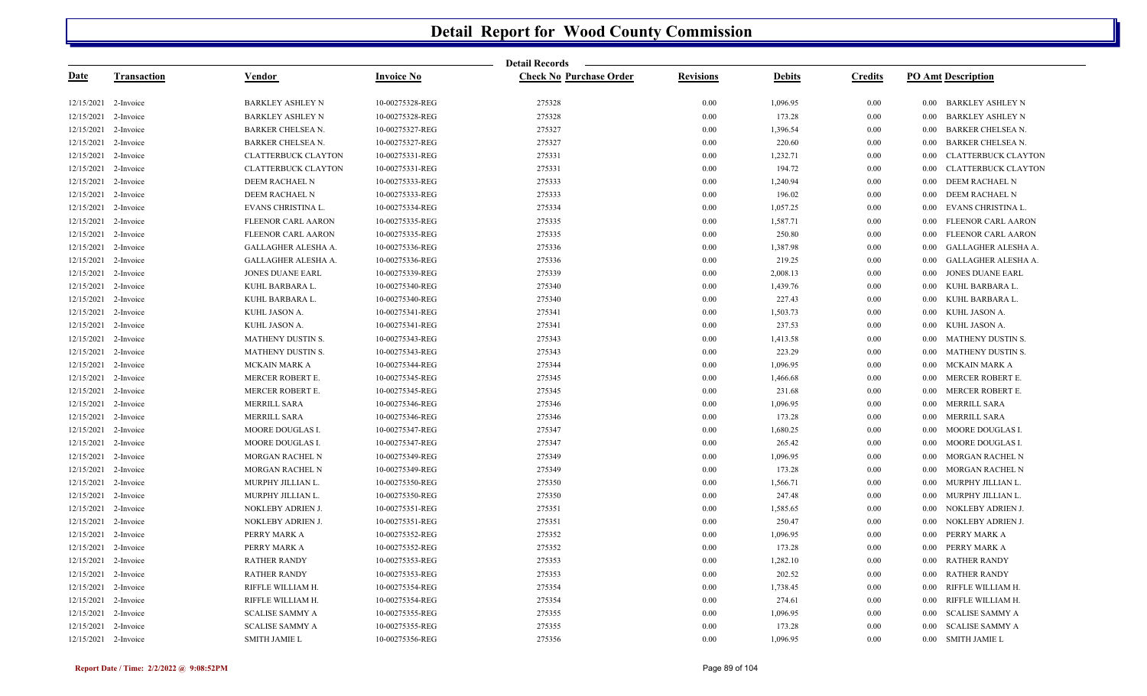|                      |                    |                            |                   | <b>Detail Records</b>          |                  |               |                |                                      |
|----------------------|--------------------|----------------------------|-------------------|--------------------------------|------------------|---------------|----------------|--------------------------------------|
| Date                 | <b>Transaction</b> | Vendor                     | <b>Invoice No</b> | <b>Check No Purchase Order</b> | <b>Revisions</b> | <b>Debits</b> | <b>Credits</b> | <b>PO Amt Description</b>            |
| 12/15/2021 2-Invoice |                    | <b>BARKLEY ASHLEY N</b>    | 10-00275328-REG   | 275328                         | 0.00             | 1,096.95      | 0.00           | 0.00 BARKLEY ASHLEY N                |
| 12/15/2021           | 2-Invoice          | <b>BARKLEY ASHLEY N</b>    | 10-00275328-REG   | 275328                         | 0.00             | 173.28        | 0.00           | 0.00<br><b>BARKLEY ASHLEY N</b>      |
| 12/15/2021           | 2-Invoice          | BARKER CHELSEA N.          | 10-00275327-REG   | 275327                         | 0.00             | 1,396.54      | 0.00           | <b>BARKER CHELSEA N.</b><br>$0.00\,$ |
| 12/15/2021           | 2-Invoice          | BARKER CHELSEA N.          | 10-00275327-REG   | 275327                         | 0.00             | 220.60        | 0.00           | <b>BARKER CHELSEA N.</b><br>0.00     |
| 12/15/2021           | 2-Invoice          | <b>CLATTERBUCK CLAYTON</b> | 10-00275331-REG   | 275331                         | 0.00             | 1,232.71      | 0.00           | <b>CLATTERBUCK CLAYTON</b><br>0.00   |
| 12/15/2021           | 2-Invoice          | <b>CLATTERBUCK CLAYTON</b> | 10-00275331-REG   | 275331                         | 0.00             | 194.72        | 0.00           | <b>CLATTERBUCK CLAYTON</b><br>0.00   |
| 12/15/2021           | 2-Invoice          | DEEM RACHAEL N             | 10-00275333-REG   | 275333                         | 0.00             | 1,240.94      | 0.00           | <b>DEEM RACHAEL N</b><br>0.00        |
| 12/15/2021           | 2-Invoice          | DEEM RACHAEL N             | 10-00275333-REG   | 275333                         | 0.00             | 196.02        | 0.00           | DEEM RACHAEL N<br>$0.00\,$           |
| 12/15/2021           | 2-Invoice          | EVANS CHRISTINA L.         | 10-00275334-REG   | 275334                         | 0.00             | 1,057.25      | 0.00           | EVANS CHRISTINA L.<br>0.00           |
| 12/15/2021           | 2-Invoice          | <b>FLEENOR CARL AARON</b>  | 10-00275335-REG   | 275335                         | 0.00             | 1,587.71      | 0.00           | FLEENOR CARL AARON<br>0.00           |
| 12/15/2021           | 2-Invoice          | FLEENOR CARL AARON         | 10-00275335-REG   | 275335                         | 0.00             | 250.80        | 0.00           | FLEENOR CARL AARON<br>0.00           |
| 12/15/2021           | 2-Invoice          | GALLAGHER ALESHA A.        | 10-00275336-REG   | 275336                         | 0.00             | 1,387.98      | 0.00           | 0.00<br>GALLAGHER ALESHA A.          |
| 12/15/2021           | 2-Invoice          | GALLAGHER ALESHA A.        | 10-00275336-REG   | 275336                         | 0.00             | 219.25        | 0.00           | GALLAGHER ALESHA A.<br>0.00          |
| 12/15/2021           | 2-Invoice          | JONES DUANE EARL           | 10-00275339-REG   | 275339                         | 0.00             | 2,008.13      | 0.00           | <b>JONES DUANE EARL</b><br>0.00      |
| 12/15/2021           | 2-Invoice          | KUHL BARBARA L.            | 10-00275340-REG   | 275340                         | 0.00             | 1,439.76      | 0.00           | 0.00<br>KUHL BARBARA L.              |
| 12/15/2021           | 2-Invoice          | KUHL BARBARA L.            | 10-00275340-REG   | 275340                         | 0.00             | 227.43        | 0.00           | KUHL BARBARA L.<br>0.00              |
| 12/15/2021           | 2-Invoice          | KUHL JASON A.              | 10-00275341-REG   | 275341                         | 0.00             | 1,503.73      | 0.00           | $0.00\,$<br>KUHL JASON A.            |
| 12/15/2021           | 2-Invoice          | KUHL JASON A.              | 10-00275341-REG   | 275341                         | $0.00\,$         | 237.53        | 0.00           | 0.00<br>KUHL JASON A.                |
| 12/15/2021           | 2-Invoice          | <b>MATHENY DUSTIN S.</b>   | 10-00275343-REG   | 275343                         | $0.00\,$         | 1,413.58      | 0.00           | <b>MATHENY DUSTIN S.</b><br>0.00     |
| 12/15/2021           | 2-Invoice          | <b>MATHENY DUSTIN S.</b>   | 10-00275343-REG   | 275343                         | 0.00             | 223.29        | 0.00           | <b>MATHENY DUSTIN S.</b><br>0.00     |
| 12/15/2021           | 2-Invoice          | MCKAIN MARK A              | 10-00275344-REG   | 275344                         | 0.00             | 1,096.95      | 0.00           | MCKAIN MARK A<br>0.00                |
| 12/15/2021           | 2-Invoice          | MERCER ROBERT E.           | 10-00275345-REG   | 275345                         | 0.00             | 1,466.68      | 0.00           | MERCER ROBERT E.<br>0.00             |
| 12/15/2021           | 2-Invoice          | MERCER ROBERT E.           | 10-00275345-REG   | 275345                         | 0.00             | 231.68        | 0.00           | MERCER ROBERT E.<br>0.00             |
| 12/15/2021           | 2-Invoice          | MERRILL SARA               | 10-00275346-REG   | 275346                         | 0.00             | 1,096.95      | 0.00           | <b>MERRILL SARA</b><br>0.00          |
| 12/15/2021           | 2-Invoice          | MERRILL SARA               | 10-00275346-REG   | 275346                         | 0.00             | 173.28        | 0.00           | MERRILL SARA<br>0.00                 |
| 12/15/2021           | 2-Invoice          | MOORE DOUGLAS I.           | 10-00275347-REG   | 275347                         | 0.00             | 1,680.25      | 0.00           | MOORE DOUGLAS I.<br>$0.00\,$         |
| 12/15/2021           | 2-Invoice          | MOORE DOUGLAS I.           | 10-00275347-REG   | 275347                         | 0.00             | 265.42        | 0.00           | MOORE DOUGLAS I.<br>0.00             |
| 12/15/2021           | 2-Invoice          | MORGAN RACHEL N            | 10-00275349-REG   | 275349                         | 0.00             | 1,096.95      | 0.00           | 0.00<br>MORGAN RACHEL N              |
| 12/15/2021           | 2-Invoice          | MORGAN RACHEL N            | 10-00275349-REG   | 275349                         | 0.00             | 173.28        | 0.00           | MORGAN RACHEL N<br>$0.00\,$          |
| 12/15/2021           | 2-Invoice          | MURPHY JILLIAN L.          | 10-00275350-REG   | 275350                         | 0.00             | 1,566.71      | 0.00           | MURPHY JILLIAN L.<br>0.00            |
| 12/15/2021           | 2-Invoice          | MURPHY JILLIAN L.          | 10-00275350-REG   | 275350                         | 0.00             | 247.48        | 0.00           | MURPHY JILLIAN L.<br>0.00            |
| 12/15/2021           | 2-Invoice          | NOKLEBY ADRIEN J.          | 10-00275351-REG   | 275351                         | 0.00             | 1,585.65      | 0.00           | NOKLEBY ADRIEN J.<br>0.00            |
| 12/15/2021           | 2-Invoice          | NOKLEBY ADRIEN J.          | 10-00275351-REG   | 275351                         | 0.00             | 250.47        | 0.00           | NOKLEBY ADRIEN J.<br>0.00            |
| 12/15/2021           | 2-Invoice          | PERRY MARK A               | 10-00275352-REG   | 275352                         | 0.00             | 1,096.95      | 0.00           | PERRY MARK A<br>0.00                 |
| 12/15/2021           | 2-Invoice          | PERRY MARK A               | 10-00275352-REG   | 275352                         | 0.00             | 173.28        | 0.00           | PERRY MARK A<br>0.00                 |
| 12/15/2021           | 2-Invoice          | <b>RATHER RANDY</b>        | 10-00275353-REG   | 275353                         | 0.00             | 1,282.10      | 0.00           | <b>RATHER RANDY</b><br>0.00          |
| 12/15/2021           | 2-Invoice          | <b>RATHER RANDY</b>        | 10-00275353-REG   | 275353                         | 0.00             | 202.52        | 0.00           | <b>RATHER RANDY</b><br>0.00          |
| 12/15/2021           | 2-Invoice          | RIFFLE WILLIAM H.          | 10-00275354-REG   | 275354                         | 0.00             | 1,738.45      | 0.00           | RIFFLE WILLIAM H.<br>0.00            |
| 12/15/2021           | 2-Invoice          | RIFFLE WILLIAM H.          | 10-00275354-REG   | 275354                         | 0.00             | 274.61        | 0.00           | RIFFLE WILLIAM H.<br>0.00            |
| 12/15/2021           | 2-Invoice          | <b>SCALISE SAMMY A</b>     | 10-00275355-REG   | 275355                         | 0.00             | 1,096.95      | 0.00           | <b>SCALISE SAMMY A</b><br>0.00       |
| 12/15/2021 2-Invoice |                    | <b>SCALISE SAMMY A</b>     | 10-00275355-REG   | 275355                         | 0.00             | 173.28        | 0.00           | <b>SCALISE SAMMY A</b><br>0.00       |
| 12/15/2021 2-Invoice |                    | SMITH JAMIE L              | 10-00275356-REG   | 275356                         | 0.00             | 1,096.95      | 0.00           | <b>SMITH JAMIE L</b><br>0.00         |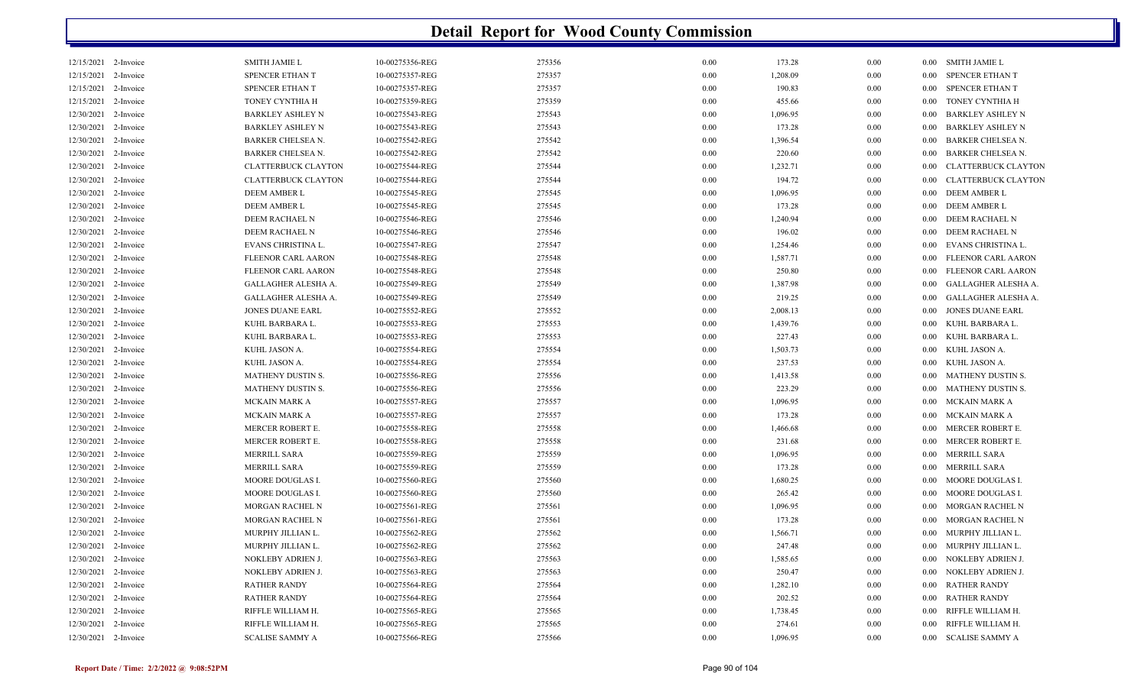| 12/15/2021 2-Invoice |           | <b>SMITH JAMIE L</b>       | 10-00275356-REG | 275356 | 0.00 | 173.28   | 0.00 |      | 0.00 SMITH JAMIE L         |
|----------------------|-----------|----------------------------|-----------------|--------|------|----------|------|------|----------------------------|
| 12/15/2021           | 2-Invoice | <b>SPENCER ETHAN T</b>     | 10-00275357-REG | 275357 | 0.00 | 1,208.09 | 0.00 | 0.00 | <b>SPENCER ETHAN T</b>     |
| 12/15/2021 2-Invoice |           | <b>SPENCER ETHAN T</b>     | 10-00275357-REG | 275357 | 0.00 | 190.83   | 0.00 | 0.00 | SPENCER ETHAN T            |
| 12/15/2021           | 2-Invoice | TONEY CYNTHIA H            | 10-00275359-REG | 275359 | 0.00 | 455.66   | 0.00 | 0.00 | TONEY CYNTHIA H            |
| 12/30/2021           | 2-Invoice | <b>BARKLEY ASHLEY N</b>    | 10-00275543-REG | 275543 | 0.00 | 1,096.95 | 0.00 | 0.00 | <b>BARKLEY ASHLEY N</b>    |
| 12/30/2021 2-Invoice |           | <b>BARKLEY ASHLEY N</b>    | 10-00275543-REG | 275543 | 0.00 | 173.28   | 0.00 | 0.00 | <b>BARKLEY ASHLEY N</b>    |
| 12/30/2021           | 2-Invoice | BARKER CHELSEA N.          | 10-00275542-REG | 275542 | 0.00 | 1,396.54 | 0.00 | 0.00 | <b>BARKER CHELSEA N.</b>   |
| 12/30/2021           | 2-Invoice | <b>BARKER CHELSEA N.</b>   | 10-00275542-REG | 275542 | 0.00 | 220.60   | 0.00 | 0.00 | <b>BARKER CHELSEA N.</b>   |
| 12/30/2021           | 2-Invoice | <b>CLATTERBUCK CLAYTON</b> | 10-00275544-REG | 275544 | 0.00 | 1,232.71 | 0.00 | 0.00 | <b>CLATTERBUCK CLAYTON</b> |
| 12/30/2021           | 2-Invoice | <b>CLATTERBUCK CLAYTON</b> | 10-00275544-REG | 275544 | 0.00 | 194.72   | 0.00 | 0.00 | <b>CLATTERBUCK CLAYTON</b> |
| 12/30/2021           | 2-Invoice | DEEM AMBER L               | 10-00275545-REG | 275545 | 0.00 | 1,096.95 | 0.00 | 0.00 | DEEM AMBER L               |
| 12/30/2021           | 2-Invoice | <b>DEEM AMBER L</b>        | 10-00275545-REG | 275545 | 0.00 | 173.28   | 0.00 | 0.00 | <b>DEEM AMBER L</b>        |
| 12/30/2021           | 2-Invoice | DEEM RACHAEL N             | 10-00275546-REG | 275546 | 0.00 | 1,240.94 | 0.00 | 0.00 | DEEM RACHAEL N             |
| 12/30/2021           | 2-Invoice | DEEM RACHAEL N             | 10-00275546-REG | 275546 | 0.00 | 196.02   | 0.00 | 0.00 | DEEM RACHAEL N             |
| 12/30/2021           | 2-Invoice | EVANS CHRISTINA L.         | 10-00275547-REG | 275547 | 0.00 | 1,254.46 | 0.00 | 0.00 | EVANS CHRISTINA L.         |
| 12/30/2021           | 2-Invoice | FLEENOR CARL AARON         | 10-00275548-REG | 275548 | 0.00 | 1,587.71 | 0.00 | 0.00 | FLEENOR CARL AARON         |
| 12/30/2021           | 2-Invoice | FLEENOR CARL AARON         | 10-00275548-REG | 275548 | 0.00 | 250.80   | 0.00 | 0.00 | FLEENOR CARL AARON         |
| 12/30/2021           | 2-Invoice | GALLAGHER ALESHA A.        | 10-00275549-REG | 275549 | 0.00 | 1,387.98 | 0.00 | 0.00 | GALLAGHER ALESHA A.        |
| 12/30/2021           | 2-Invoice | GALLAGHER ALESHA A.        | 10-00275549-REG | 275549 | 0.00 | 219.25   | 0.00 | 0.00 | GALLAGHER ALESHA A.        |
| 12/30/2021           | 2-Invoice | <b>JONES DUANE EARL</b>    | 10-00275552-REG | 275552 | 0.00 | 2,008.13 | 0.00 | 0.00 | <b>JONES DUANE EARL</b>    |
| 12/30/2021           | 2-Invoice | KUHL BARBARA L.            | 10-00275553-REG | 275553 | 0.00 | 1,439.76 | 0.00 | 0.00 | KUHL BARBARA L.            |
| 12/30/2021           | 2-Invoice | KUHL BARBARA L.            | 10-00275553-REG | 275553 | 0.00 | 227.43   | 0.00 | 0.00 | KUHL BARBARA L.            |
| 12/30/2021           | 2-Invoice | KUHL JASON A.              | 10-00275554-REG | 275554 | 0.00 | 1,503.73 | 0.00 | 0.00 | KUHL JASON A.              |
| 12/30/2021           | 2-Invoice | KUHL JASON A.              | 10-00275554-REG | 275554 | 0.00 | 237.53   | 0.00 | 0.00 | KUHL JASON A.              |
| 12/30/2021           | 2-Invoice | <b>MATHENY DUSTIN S.</b>   | 10-00275556-REG | 275556 | 0.00 | 1,413.58 | 0.00 | 0.00 | <b>MATHENY DUSTIN S.</b>   |
| 12/30/2021 2-Invoice |           | MATHENY DUSTIN S.          | 10-00275556-REG | 275556 | 0.00 | 223.29   | 0.00 | 0.00 | MATHENY DUSTIN S.          |
| 12/30/2021           | 2-Invoice | MCKAIN MARK A              | 10-00275557-REG | 275557 | 0.00 | 1,096.95 | 0.00 | 0.00 | MCKAIN MARK A              |
| 12/30/2021           | 2-Invoice | <b>MCKAIN MARK A</b>       | 10-00275557-REG | 275557 | 0.00 | 173.28   | 0.00 | 0.00 | MCKAIN MARK A              |
| 12/30/2021 2-Invoice |           | MERCER ROBERT E.           | 10-00275558-REG | 275558 | 0.00 | 1,466.68 | 0.00 | 0.00 | MERCER ROBERT E.           |
| 12/30/2021           | 2-Invoice | MERCER ROBERT E.           | 10-00275558-REG | 275558 | 0.00 | 231.68   | 0.00 | 0.00 | MERCER ROBERT E.           |
| 12/30/2021           | 2-Invoice | MERRILL SARA               | 10-00275559-REG | 275559 | 0.00 | 1,096.95 | 0.00 | 0.00 | MERRILL SARA               |
| 12/30/2021 2-Invoice |           | MERRILL SARA               | 10-00275559-REG | 275559 | 0.00 | 173.28   | 0.00 | 0.00 | MERRILL SARA               |
| 12/30/2021           | 2-Invoice | MOORE DOUGLAS I.           | 10-00275560-REG | 275560 | 0.00 | 1,680.25 | 0.00 | 0.00 | MOORE DOUGLAS I.           |
| 12/30/2021           | 2-Invoice | MOORE DOUGLAS I.           | 10-00275560-REG | 275560 | 0.00 | 265.42   | 0.00 | 0.00 | MOORE DOUGLAS I.           |
| 12/30/2021 2-Invoice |           | MORGAN RACHEL N            | 10-00275561-REG | 275561 | 0.00 | 1,096.95 | 0.00 | 0.00 | MORGAN RACHEL N            |
| 12/30/2021           | 2-Invoice | <b>MORGAN RACHEL N</b>     | 10-00275561-REG | 275561 | 0.00 | 173.28   | 0.00 | 0.00 | MORGAN RACHEL N            |
| 12/30/2021           | 2-Invoice | MURPHY JILLIAN L.          | 10-00275562-REG | 275562 | 0.00 | 1,566.71 | 0.00 | 0.00 | MURPHY JILLIAN L.          |
| 12/30/2021           | 2-Invoice | MURPHY JILLIAN L.          | 10-00275562-REG | 275562 | 0.00 | 247.48   | 0.00 | 0.00 | MURPHY JILLIAN L.          |
| 12/30/2021           | 2-Invoice | NOKLEBY ADRIEN J.          | 10-00275563-REG | 275563 | 0.00 | 1,585.65 | 0.00 | 0.00 | NOKLEBY ADRIEN J.          |
| 12/30/2021           | 2-Invoice | NOKLEBY ADRIEN J.          | 10-00275563-REG | 275563 | 0.00 | 250.47   | 0.00 | 0.00 | NOKLEBY ADRIEN J.          |
| 12/30/2021 2-Invoice |           | <b>RATHER RANDY</b>        | 10-00275564-REG | 275564 | 0.00 | 1,282.10 | 0.00 | 0.00 | <b>RATHER RANDY</b>        |
| 12/30/2021 2-Invoice |           | <b>RATHER RANDY</b>        | 10-00275564-REG | 275564 | 0.00 | 202.52   | 0.00 | 0.00 | <b>RATHER RANDY</b>        |
| 12/30/2021           | 2-Invoice | RIFFLE WILLIAM H.          | 10-00275565-REG | 275565 | 0.00 | 1,738.45 | 0.00 | 0.00 | RIFFLE WILLIAM H.          |
| 12/30/2021 2-Invoice |           | RIFFLE WILLIAM H.          | 10-00275565-REG | 275565 | 0.00 | 274.61   | 0.00 | 0.00 | RIFFLE WILLIAM H.          |
| 12/30/2021 2-Invoice |           | <b>SCALISE SAMMY A</b>     | 10-00275566-REG | 275566 | 0.00 | 1,096.95 | 0.00 | 0.00 | <b>SCALISE SAMMY A</b>     |
|                      |           |                            |                 |        |      |          |      |      |                            |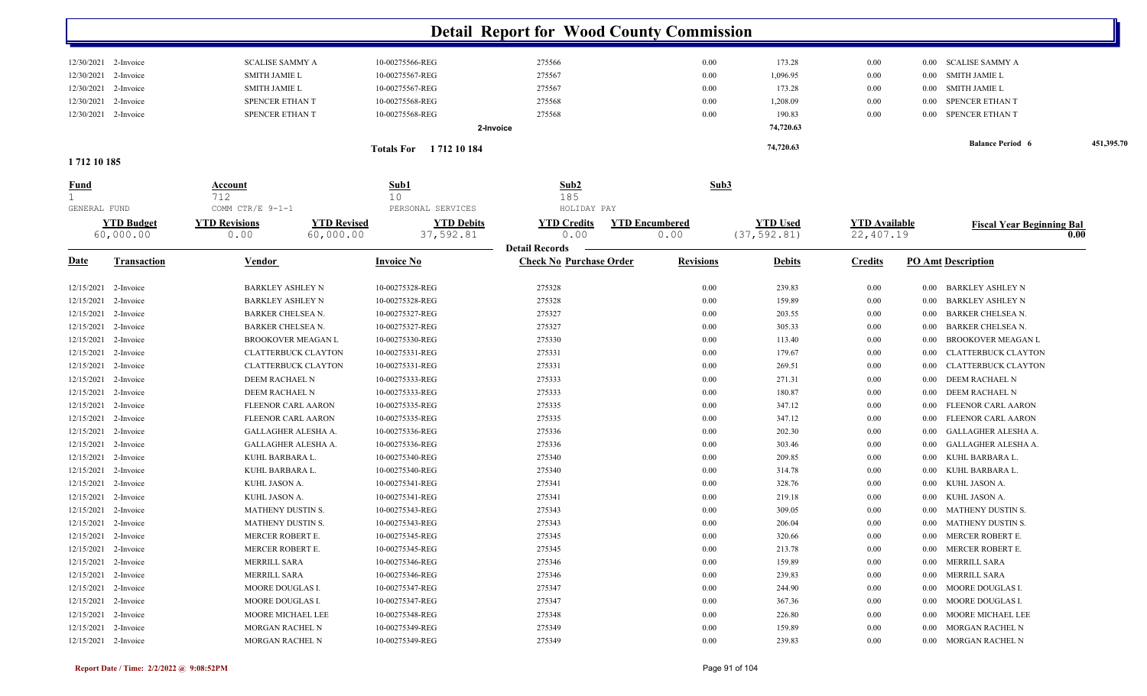|              |                                |                                                                 |                                | <b>Detail Report for Wood County Commission</b> |                               |                                 |                                   |                                    |            |
|--------------|--------------------------------|-----------------------------------------------------------------|--------------------------------|-------------------------------------------------|-------------------------------|---------------------------------|-----------------------------------|------------------------------------|------------|
|              | 12/30/2021 2-Invoice           | <b>SCALISE SAMMY A</b>                                          | 10-00275566-REG                | 275566                                          | 0.00                          | 173.28                          | 0.00                              | <b>SCALISE SAMMY A</b><br>$0.00\,$ |            |
| 12/30/2021   | 2-Invoice                      | <b>SMITH JAMIE L</b>                                            | 10-00275567-REG                | 275567                                          | 0.00                          | 1,096.95                        | 0.00                              | <b>SMITH JAMIE L</b><br>$0.00\,$   |            |
| 12/30/2021   | 2-Invoice                      | <b>SMITH JAMIE L</b>                                            | 10-00275567-REG                | 275567                                          | 0.00                          | 173.28                          | 0.00                              | SMITH JAMIE L<br>$0.00\,$          |            |
| 12/30/2021   | 2-Invoice                      | SPENCER ETHAN T                                                 | 10-00275568-REG                | 275568                                          | 0.00                          | 1,208.09                        | $0.00\,$                          | SPENCER ETHAN T<br>$0.00\,$        |            |
| 12/30/2021   | 2-Invoice                      | SPENCER ETHAN T                                                 | 10-00275568-REG                | 275568                                          | 0.00                          | 190.83                          | $0.00\,$                          | 0.00 SPENCER ETHAN T               |            |
|              |                                |                                                                 | 2-Invoice                      |                                                 |                               | 74,720.63                       |                                   |                                    |            |
|              |                                |                                                                 | <b>Totals For</b> 1712 10 184  |                                                 |                               | 74,720.63                       |                                   | <b>Balance Period 6</b>            | 451,395.70 |
| 1712 10 185  |                                |                                                                 |                                |                                                 |                               |                                 |                                   |                                    |            |
| <u>Fund</u>  |                                | <b>Account</b>                                                  | Sub1                           | Sub <sub>2</sub>                                | Sub3                          |                                 |                                   |                                    |            |
| 1            |                                | 712                                                             | 10                             | 185                                             |                               |                                 |                                   |                                    |            |
| GENERAL FUND |                                | COMM CTR/E 9-1-1                                                | PERSONAL SERVICES              | HOLIDAY PAY                                     |                               |                                 |                                   |                                    |            |
|              | <b>YTD Budget</b><br>60,000.00 | <b>YTD Revised</b><br><b>YTD Revisions</b><br>60,000.00<br>0.00 | <b>YTD Debits</b><br>37,592.81 | <b>YTD Credits</b><br>0.00                      | <b>YTD Encumbered</b><br>0.00 | <b>YTD Used</b><br>(37, 592.81) | <b>YTD Available</b><br>22,407.19 | <b>Fiscal Year Beginning Bal</b>   | 0.00       |
|              |                                |                                                                 |                                | <b>Detail Records</b>                           |                               |                                 |                                   |                                    |            |
| <u>Date</u>  | Transaction                    | Vendor                                                          | <b>Invoice No</b>              | <b>Check No Purchase Order</b>                  | <b>Revisions</b>              | <b>Debits</b>                   | <b>Credits</b>                    | <b>PO Amt Description</b>          |            |
| 12/15/2021   | 2-Invoice                      | <b>BARKLEY ASHLEY N</b>                                         | 10-00275328-REG                | 275328                                          | 0.00                          | 239.83                          | 0.00                              | BARKLEY ASHLEY N<br>$0.00\,$       |            |
| 12/15/2021   | 2-Invoice                      | <b>BARKLEY ASHLEY N</b>                                         | 10-00275328-REG                | 275328                                          | 0.00                          | 159.89                          | 0.00                              | BARKLEY ASHLEY N<br>0.00           |            |
| 12/15/2021   | 2-Invoice                      | BARKER CHELSEA N.                                               | 10-00275327-REG                | 275327                                          | 0.00                          | 203.55                          | 0.00                              | <b>BARKER CHELSEA N.</b><br>0.00   |            |
| 12/15/2021   | 2-Invoice                      | BARKER CHELSEA N.                                               | 10-00275327-REG                | 275327                                          | 0.00                          | 305.33                          | 0.00                              | <b>BARKER CHELSEA N.</b><br>0.00   |            |
| 12/15/2021   | 2-Invoice                      | BROOKOVER MEAGAN L                                              | 10-00275330-REG                | 275330                                          | 0.00                          | 113.40                          | $0.00\,$                          | <b>BROOKOVER MEAGAN L</b><br>0.00  |            |
| 12/15/2021   | 2-Invoice                      | <b>CLATTERBUCK CLAYTON</b>                                      | 10-00275331-REG                | 275331                                          | 0.00                          | 179.67                          | $0.00\,$                          | CLATTERBUCK CLAYTON<br>0.00        |            |
| 12/15/2021   | 2-Invoice                      | <b>CLATTERBUCK CLAYTON</b>                                      | 10-00275331-REG                | 275331                                          | 0.00                          | 269.51                          | 0.00                              | CLATTERBUCK CLAYTON<br>0.00        |            |
| 12/15/2021   | 2-Invoice                      | DEEM RACHAEL N                                                  | 10-00275333-REG                | 275333                                          | 0.00                          | 271.31                          | $0.00\,$                          | DEEM RACHAEL N<br>$0.00\,$         |            |
| 12/15/2021   | 2-Invoice                      | DEEM RACHAEL N                                                  | 10-00275333-REG                | 275333                                          | 0.00                          | 180.87                          | 0.00                              | DEEM RACHAEL N<br>0.00             |            |
| 12/15/2021   | 2-Invoice                      | FLEENOR CARL AARON                                              | 10-00275335-REG                | 275335                                          | 0.00                          | 347.12                          | 0.00                              | FLEENOR CARL AARON<br>0.00         |            |
| 12/15/2021   | 2-Invoice                      | FLEENOR CARL AARON                                              | 10-00275335-REG                | 275335                                          | 0.00                          | 347.12                          | 0.00                              | FLEENOR CARL AARON<br>0.00         |            |
| 12/15/2021   | 2-Invoice                      | GALLAGHER ALESHA A.                                             | 10-00275336-REG                | 275336                                          | 0.00                          | 202.30                          | 0.00                              | GALLAGHER ALESHA A.<br>0.00        |            |
| 12/15/2021   | 2-Invoice                      | GALLAGHER ALESHA A.                                             | 10-00275336-REG                | 275336                                          | 0.00                          | 303.46                          | 0.00                              | GALLAGHER ALESHA A.<br>0.00        |            |
| 12/15/2021   | 2-Invoice                      | KUHL BARBARA L.                                                 | 10-00275340-REG                | 275340                                          | 0.00                          | 209.85                          | 0.00                              | KUHL BARBARA L<br>0.00             |            |
| 12/15/2021   | 2-Invoice                      | KUHL BARBARA L.                                                 | 10-00275340-REG                | 275340                                          | 0.00                          | 314.78                          | 0.00                              | KUHL BARBARA L<br>0.00             |            |
| 12/15/2021   | 2-Invoice                      | KUHL JASON A.                                                   | 10-00275341-REG                | 275341                                          | 0.00                          | 328.76                          | 0.00                              | KUHL JASON A.<br>0.00              |            |
| 12/15/2021   | 2-Invoice                      | KUHL JASON A.                                                   | 10-00275341-REG                | 275341                                          | 0.00                          | 219.18                          | $0.00\,$                          | KUHL JASON A.<br>$0.00\,$          |            |
| 12/15/2021   | 2-Invoice                      | MATHENY DUSTIN S.                                               | 10-00275343-REG                | 275343                                          | 0.00                          | 309.05                          | 0.00                              | MATHENY DUSTIN S.<br>$0.00\,$      |            |
|              | 12/15/2021 2-Invoice           | <b>MATHENY DUSTIN S.</b>                                        | 10-00275343-REG                | 275343                                          | 0.00                          | 206.04                          | 0.00                              | 0.00 MATHENY DUSTIN S.             |            |
|              | 12/15/2021 2-Invoice           | MERCER ROBERT E.                                                | 10-00275345-REG                | 275345                                          | 0.00                          | 320.66                          | 0.00                              | 0.00 MERCER ROBERT E.              |            |
|              | 12/15/2021 2-Invoice           | MERCER ROBERT E.                                                | 10-00275345-REG                | 275345                                          | 0.00                          | 213.78                          | 0.00                              | MERCER ROBERT E.<br>$0.00\,$       |            |
|              | 12/15/2021 2-Invoice           | MERRILL SARA                                                    | 10-00275346-REG                | 275346                                          | 0.00                          | 159.89                          | 0.00                              | MERRILL SARA<br>$0.00\,$           |            |
|              | 12/15/2021 2-Invoice           | MERRILL SARA                                                    | 10-00275346-REG                | 275346                                          | 0.00                          | 239.83                          | 0.00                              | 0.00 MERRILL SARA                  |            |
|              | 12/15/2021 2-Invoice           | MOORE DOUGLAS I.                                                | 10-00275347-REG                | 275347                                          | 0.00                          | 244.90                          | $0.00\,$                          | MOORE DOUGLAS I.<br>$0.00\,$       |            |
|              | 12/15/2021 2-Invoice           | MOORE DOUGLAS I.                                                | 10-00275347-REG                | 275347                                          | 0.00                          | 367.36                          | 0.00                              | 0.00 MOORE DOUGLAS I.              |            |
|              | 12/15/2021 2-Invoice           | MOORE MICHAEL LEE                                               | 10-00275348-REG                | 275348                                          | 0.00                          | 226.80                          | 0.00                              | MOORE MICHAEL LEE<br>$0.00\,$      |            |
|              | 12/15/2021 2-Invoice           | MORGAN RACHEL N                                                 | 10-00275349-REG                | 275349                                          | 0.00                          | 159.89                          | 0.00                              | 0.00 MORGAN RACHEL N               |            |
|              | 12/15/2021 2-Invoice           | MORGAN RACHEL N                                                 | 10-00275349-REG                | 275349                                          | 0.00                          | 239.83                          | $0.00\,$                          | 0.00 MORGAN RACHEL N               |            |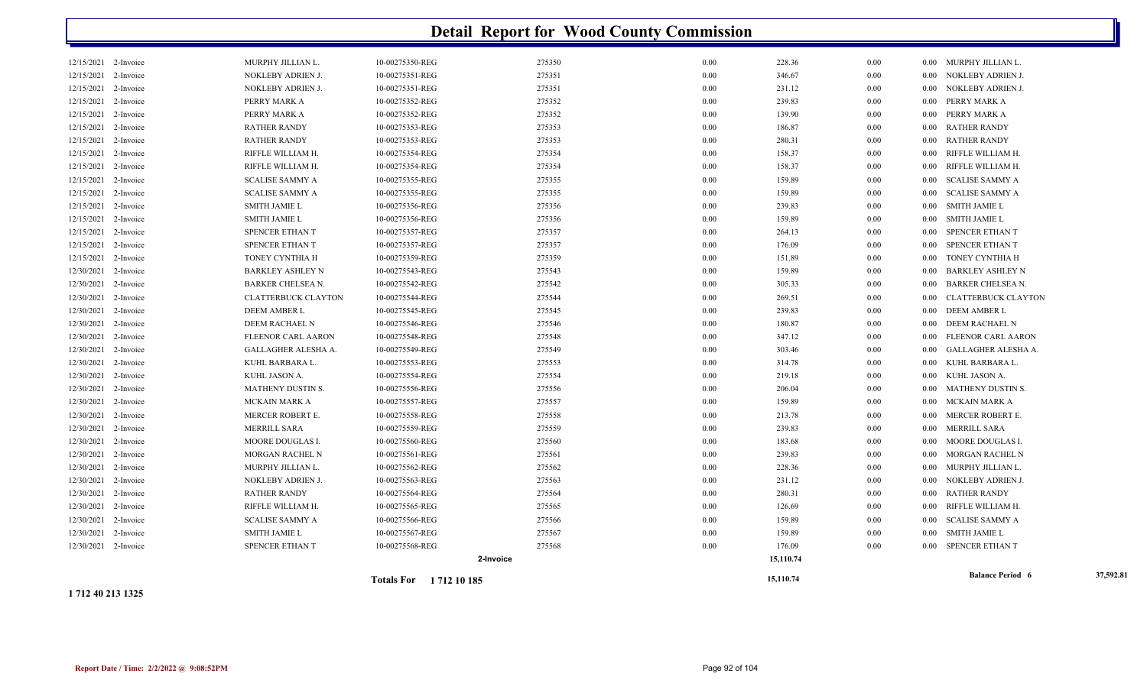|                      |           |                            | <b>Totals For</b> 1712 10 185 |        |      | 15,110.74 |          | <b>Balance Period 6</b>             | 37,592.81 |
|----------------------|-----------|----------------------------|-------------------------------|--------|------|-----------|----------|-------------------------------------|-----------|
|                      |           |                            | 2-Invoice                     |        |      | 15,110.74 |          |                                     |           |
| 12/30/2021 2-Invoice |           | SPENCER ETHAN T            | 10-00275568-REG               | 275568 | 0.00 | 176.09    | 0.00     | 0.00 SPENCER ETHAN T                |           |
| 12/30/2021           | 2-Invoice | <b>SMITH JAMIE L</b>       | 10-00275567-REG               | 275567 | 0.00 | 159.89    | 0.00     | 0.00 SMITH JAMIE L                  |           |
| 12/30/2021           | 2-Invoice | <b>SCALISE SAMMY A</b>     | 10-00275566-REG               | 275566 | 0.00 | 159.89    | 0.00     | 0.00 SCALISE SAMMY A                |           |
| 12/30/2021 2-Invoice |           | RIFFLE WILLIAM H.          | 10-00275565-REG               | 275565 | 0.00 | 126.69    | 0.00     | RIFFLE WILLIAM H.<br>$0.00\,$       |           |
| 12/30/2021           | 2-Invoice | RATHER RANDY               | 10-00275564-REG               | 275564 | 0.00 | 280.31    | 0.00     | 0.00 RATHER RANDY                   |           |
| 12/30/2021           | 2-Invoice | NOKLEBY ADRIEN J.          | 10-00275563-REG               | 275563 | 0.00 | 231.12    | 0.00     | NOKLEBY ADRIEN J.<br>$0.00\,$       |           |
| 12/30/2021           | 2-Invoice | MURPHY JILLIAN L.          | 10-00275562-REG               | 275562 | 0.00 | 228.36    | 0.00     | MURPHY JILLIAN L.<br>$0.00\,$       |           |
| 12/30/2021           | 2-Invoice | MORGAN RACHEL N            | 10-00275561-REG               | 275561 | 0.00 | 239.83    | $0.00\,$ | MORGAN RACHEL N<br>$0.00\,$         |           |
| 12/30/2021 2-Invoice |           | MOORE DOUGLAS I.           | 10-00275560-REG               | 275560 | 0.00 | 183.68    | 0.00     | 0.00 MOORE DOUGLAS I.               |           |
| 12/30/2021 2-Invoice |           | MERRILL SARA               | 10-00275559-REG               | 275559 | 0.00 | 239.83    | 0.00     | 0.00 MERRILL SARA                   |           |
| 12/30/2021           | 2-Invoice | MERCER ROBERT E.           | 10-00275558-REG               | 275558 | 0.00 | 213.78    | 0.00     | 0.00 MERCER ROBERT E.               |           |
| 12/30/2021           | 2-Invoice | MCKAIN MARK A              | 10-00275557-REG               | 275557 | 0.00 | 159.89    | 0.00     | MCKAIN MARK A<br>$0.00\,$           |           |
| 12/30/2021           | 2-Invoice | MATHENY DUSTIN S.          | 10-00275556-REG               | 275556 | 0.00 | 206.04    | 0.00     | MATHENY DUSTIN S.<br>$0.00\,$       |           |
| 12/30/2021           | 2-Invoice | KUHL JASON A.              | 10-00275554-REG               | 275554 | 0.00 | 219.18    | $0.00\,$ | 0.00 KUHL JASON A.                  |           |
| 12/30/2021 2-Invoice |           | KUHL BARBARA L.            | 10-00275553-REG               | 275553 | 0.00 | 314.78    | 0.00     | 0.00 KUHL BARBARA L.                |           |
| 12/30/2021           | 2-Invoice | GALLAGHER ALESHA A.        | 10-00275549-REG               | 275549 | 0.00 | 303.46    | 0.00     | GALLAGHER ALESHA A.<br>0.00         |           |
| 12/30/2021           | 2-Invoice | FLEENOR CARL AARON         | 10-00275548-REG               | 275548 | 0.00 | 347.12    | 0.00     | 0.00 FLEENOR CARL AARON             |           |
| 12/30/2021           | 2-Invoice | DEEM RACHAEL N             | 10-00275546-REG               | 275546 | 0.00 | 180.87    | 0.00     | 0.00 DEEM RACHAEL N                 |           |
| 12/30/2021           | 2-Invoice | DEEM AMBER L               | 10-00275545-REG               | 275545 | 0.00 | 239.83    | 0.00     | 0.00 DEEM AMBER L                   |           |
| 12/30/2021           | 2-Invoice | <b>CLATTERBUCK CLAYTON</b> | 10-00275544-REG               | 275544 | 0.00 | 269.51    | $0.00\,$ | 0.00 CLATTERBUCK CLAYTON            |           |
| 12/30/2021           | 2-Invoice | <b>BARKER CHELSEA N.</b>   | 10-00275542-REG               | 275542 | 0.00 | 305.33    | $0.00\,$ | 0.00 BARKER CHELSEA N.              |           |
| 12/30/2021           | 2-Invoice | <b>BARKLEY ASHLEY N</b>    | 10-00275543-REG               | 275543 | 0.00 | 159.89    | 0.00     | <b>BARKLEY ASHLEY N</b><br>$0.00\,$ |           |
| 12/15/2021           | 2-Invoice | TONEY CYNTHIA H            | 10-00275359-REG               | 275359 | 0.00 | 151.89    | 0.00     | 0.00 TONEY CYNTHIA H                |           |
| 12/15/2021           | 2-Invoice | SPENCER ETHAN T            | 10-00275357-REG               | 275357 | 0.00 | 176.09    | 0.00     | SPENCER ETHAN T<br>$0.00\,$         |           |
| 12/15/2021           | 2-Invoice | SPENCER ETHAN T            | 10-00275357-REG               | 275357 | 0.00 | 264.13    | 0.00     | SPENCER ETHAN T<br>$0.00\,$         |           |
| 12/15/2021           | 2-Invoice | <b>SMITH JAMIE L</b>       | 10-00275356-REG               | 275356 | 0.00 | 159.89    | $0.00\,$ | 0.00 SMITH JAMIE L                  |           |
| 12/15/2021 2-Invoice |           | SMITH JAMIE L              | 10-00275356-REG               | 275356 | 0.00 | 239.83    | $0.00\,$ | 0.00 SMITH JAMIE L                  |           |
| 12/15/2021           | 2-Invoice | <b>SCALISE SAMMY A</b>     | 10-00275355-REG               | 275355 | 0.00 | 159.89    | 0.00     | SCALISE SAMMY A<br>$0.00\,$         |           |
| 12/15/2021           | 2-Invoice | <b>SCALISE SAMMY A</b>     | 10-00275355-REG               | 275355 | 0.00 | 159.89    | 0.00     | 0.00 SCALISE SAMMY A                |           |
| 12/15/2021           | 2-Invoice | RIFFLE WILLIAM H.          | 10-00275354-REG               | 275354 | 0.00 | 158.37    | 0.00     | RIFFLE WILLIAM H.<br>0.00           |           |
| 12/15/2021           | 2-Invoice | RIFFLE WILLIAM H.          | 10-00275354-REG               | 275354 | 0.00 | 158.37    | 0.00     | RIFFLE WILLIAM H.<br>$0.00\,$       |           |
| 12/15/2021           | 2-Invoice | <b>RATHER RANDY</b>        | 10-00275353-REG               | 275353 | 0.00 | 280.31    | $0.00\,$ | 0.00 RATHER RANDY                   |           |
| 12/15/2021           | 2-Invoice | <b>RATHER RANDY</b>        | 10-00275353-REG               | 275353 | 0.00 | 186.87    | 0.00     | 0.00 RATHER RANDY                   |           |
| 12/15/2021           | 2-Invoice | PERRY MARK A               | 10-00275352-REG               | 275352 | 0.00 | 139.90    | 0.00     | 0.00 PERRY MARK A                   |           |
| 12/15/2021           | 2-Invoice | PERRY MARK A               | 10-00275352-REG               | 275352 | 0.00 | 239.83    | 0.00     | 0.00 PERRY MARK A                   |           |
| 12/15/2021           | 2-Invoice | NOKLEBY ADRIEN J.          | 10-00275351-REG               | 275351 | 0.00 | 231.12    | 0.00     | 0.00 NOKLEBY ADRIEN J.              |           |
| 12/15/2021           | 2-Invoice | NOKLEBY ADRIEN J.          | 10-00275351-REG               | 275351 | 0.00 | 346.67    | 0.00     | 0.00 NOKLEBY ADRIEN J.              |           |
| 12/15/2021 2-Invoice |           | MURPHY JILLIAN L.          | 10-00275350-REG               | 275350 | 0.00 | 228.36    | 0.00     | 0.00 MURPHY JILLIAN L.              |           |
|                      |           |                            |                               |        |      |           |          |                                     |           |

**1 712 40 213 1325**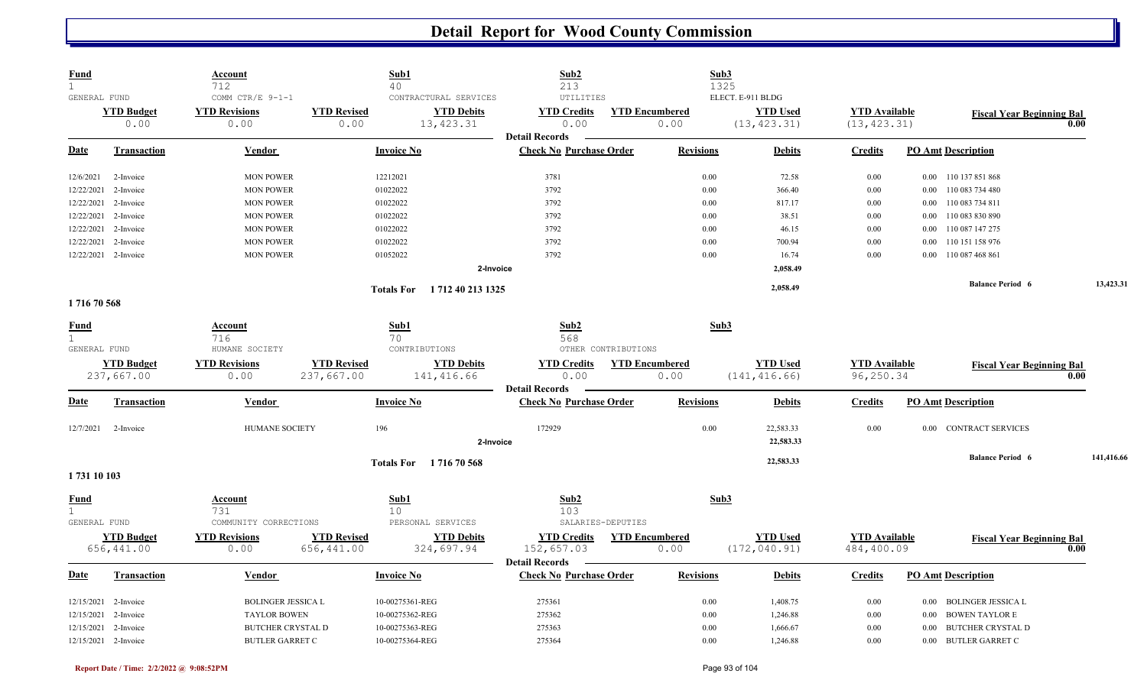| <b>Fund</b><br>$\mathbf{1}$ |                      | <u>Account</u><br>712     | Sub1<br>40                              | Sub2<br>213                    | Sub3                  |                   |                      |                                   |            |
|-----------------------------|----------------------|---------------------------|-----------------------------------------|--------------------------------|-----------------------|-------------------|----------------------|-----------------------------------|------------|
| GENERAL FUND                |                      | COMM CTR/E 9-1-1          | CONTRACTURAL SERVICES                   | UTILITIES                      | 1325                  | ELECT. E-911 BLDG |                      |                                   |            |
|                             | <b>YTD Budget</b>    | <b>YTD Revisions</b>      | <b>YTD Revised</b><br><b>YTD Debits</b> | <b>YTD Credits</b>             | <b>YTD Encumbered</b> | <b>YTD Used</b>   | <b>YTD</b> Available | <b>Fiscal Year Beginning Bal</b>  |            |
|                             | 0.00                 | 0.00                      | 13, 423.31<br>0.00                      | 0.00                           | 0.00                  | (13, 423.31)      | (13, 423.31)         |                                   | 0.00       |
|                             |                      |                           |                                         | <b>Detail Records</b>          |                       |                   |                      |                                   |            |
| Date                        | Transaction          | Vendor                    | <b>Invoice No</b>                       | <b>Check No Purchase Order</b> | <b>Revisions</b>      | <b>Debits</b>     | <b>Credits</b>       | <b>PO Amt Description</b>         |            |
| 12/6/2021                   | 2-Invoice            | <b>MON POWER</b>          | 12212021                                | 3781                           | 0.00                  | 72.58             | $0.00\,$             | $0.00$ 110 137 851 868            |            |
| 12/22/2021                  | 2-Invoice            | <b>MON POWER</b>          | 01022022                                | 3792                           | 0.00                  | 366.40            | 0.00                 | 0.00 110 083 734 480              |            |
| 12/22/2021                  | 2-Invoice            | <b>MON POWER</b>          | 01022022                                | 3792                           | 0.00                  | 817.17            | 0.00                 | 110 083 734 811<br>$0.00\,$       |            |
| 12/22/2021                  | 2-Invoice            | <b>MON POWER</b>          | 01022022                                | 3792                           | 0.00                  | 38.51             | 0.00                 | 110 083 830 890<br>$0.00\,$       |            |
| 12/22/2021                  | 2-Invoice            | <b>MON POWER</b>          | 01022022                                | 3792                           | 0.00                  | 46.15             | 0.00                 | 110 087 147 275<br>$0.00\,$       |            |
| 12/22/2021                  | 2-Invoice            | <b>MON POWER</b>          | 01022022                                | 3792                           | 0.00                  | 700.94            | 0.00                 | 110 151 158 976<br>0.00           |            |
|                             | 12/22/2021 2-Invoice | <b>MON POWER</b>          | 01052022                                | 3792                           | 0.00                  | 16.74             | 0.00                 | 0.00 110 087 468 861              |            |
|                             |                      |                           |                                         | 2-Invoice                      |                       | 2,058.49          |                      |                                   |            |
|                             |                      |                           | 1 712 40 213 1325<br><b>Totals For</b>  |                                |                       | 2,058.49          |                      | <b>Balance Period 6</b>           | 13,423.31  |
| 171670568                   |                      |                           |                                         |                                |                       |                   |                      |                                   |            |
|                             |                      |                           |                                         |                                |                       |                   |                      |                                   |            |
| <b>Fund</b>                 |                      | Account                   | Sub1                                    | Sub2                           | Sub3                  |                   |                      |                                   |            |
| $\mathbf{1}$                |                      | 716                       | 70                                      | 568<br>OTHER CONTRIBUTIONS     |                       |                   |                      |                                   |            |
| GENERAL FUND                |                      | HUMANE SOCIETY            | CONTRIBUTIONS                           |                                |                       |                   |                      |                                   |            |
|                             | <b>YTD Budget</b>    | <b>YTD Revisions</b>      | <b>YTD Revised</b><br><b>YTD Debits</b> | <b>YTD Credits</b>             | <b>YTD Encumbered</b> | <b>YTD Used</b>   | <b>YTD</b> Available | <b>Fiscal Year Beginning Bal</b>  |            |
|                             | 237,667.00           | 0.00                      | 237,667.00<br>141,416.66                | 0.00<br><b>Detail Records</b>  | 0.00                  | (141, 416.66)     | 96,250.34            |                                   | 0.00       |
| <u>Date</u>                 | <b>Transaction</b>   | Vendor                    | <b>Invoice No</b>                       | <b>Check No Purchase Order</b> | <b>Revisions</b>      | <b>Debits</b>     | <b>Credits</b>       | <b>PO Amt Description</b>         |            |
|                             |                      |                           |                                         |                                |                       |                   |                      |                                   |            |
| 12/7/2021                   | 2-Invoice            | HUMANE SOCIETY            | 196                                     | 172929                         | $0.00\,$              | 22,583.33         | 0.00                 | 0.00 CONTRACT SERVICES            |            |
|                             |                      |                           |                                         | 2-Invoice                      |                       | 22,583.33         |                      |                                   |            |
|                             |                      |                           | Totals For 171670568                    |                                |                       | 22,583.33         |                      | <b>Balance Period 6</b>           | 141,416.66 |
| 1731 10 103                 |                      |                           |                                         |                                |                       |                   |                      |                                   |            |
| <b>Fund</b>                 |                      | <u>Account</u>            | Sub1                                    | Sub2                           | Sub3                  |                   |                      |                                   |            |
| $\mathbf{1}$                |                      | 731                       | 10 <sup>°</sup>                         | 103                            |                       |                   |                      |                                   |            |
| GENERAL FUND                |                      | COMMUNITY CORRECTIONS     | PERSONAL SERVICES                       | SALARIES-DEPUTIES              |                       |                   |                      |                                   |            |
|                             | <b>YTD Budget</b>    | <b>YTD Revisions</b>      | <b>YTD Revised</b><br><b>YTD Debits</b> | <b>YTD Credits</b>             | <b>YTD Encumbered</b> | <b>YTD Used</b>   | <b>YTD Available</b> | <b>Fiscal Year Beginning Bal</b>  |            |
|                             | 656,441.00           | 0.00                      | 656,441.00<br>324,697.94                | 152,657.03                     | 0.00                  | (172, 040.91)     | 484,400.09           |                                   | 0.00       |
|                             |                      |                           |                                         | <b>Detail Records</b>          |                       |                   |                      |                                   |            |
| <b>Date</b>                 | <b>Transaction</b>   | <b>Vendor</b>             | <b>Invoice No</b>                       | <b>Check No Purchase Order</b> | <b>Revisions</b>      | <b>Debits</b>     | <b>Credits</b>       | <b>PO Amt Description</b>         |            |
|                             |                      |                           |                                         |                                |                       |                   |                      |                                   |            |
|                             | 12/15/2021 2-Invoice | <b>BOLINGER JESSICA L</b> | 10-00275361-REG                         | 275361                         | 0.00                  | 1,408.75          | 0.00                 | 0.00 BOLINGER JESSICA L           |            |
| 12/15/2021                  | 2-Invoice            | <b>TAYLOR BOWEN</b>       | 10-00275362-REG                         | 275362                         | 0.00                  | 1,246.88          | $0.00\,$             | <b>BOWEN TAYLOR E</b><br>$0.00\,$ |            |
| 12/15/2021                  | 2-Invoice            | <b>BUTCHER CRYSTAL D</b>  | 10-00275363-REG                         | 275363                         | 0.00                  | 1,666.67          | 0.00                 | <b>BUTCHER CRYSTAL D</b><br>0.00  |            |
|                             | 12/15/2021 2-Invoice | <b>BUTLER GARRET C</b>    | 10-00275364-REG                         | 275364                         | 0.00                  | 1,246.88          | 0.00                 | 0.00 BUTLER GARRET C              |            |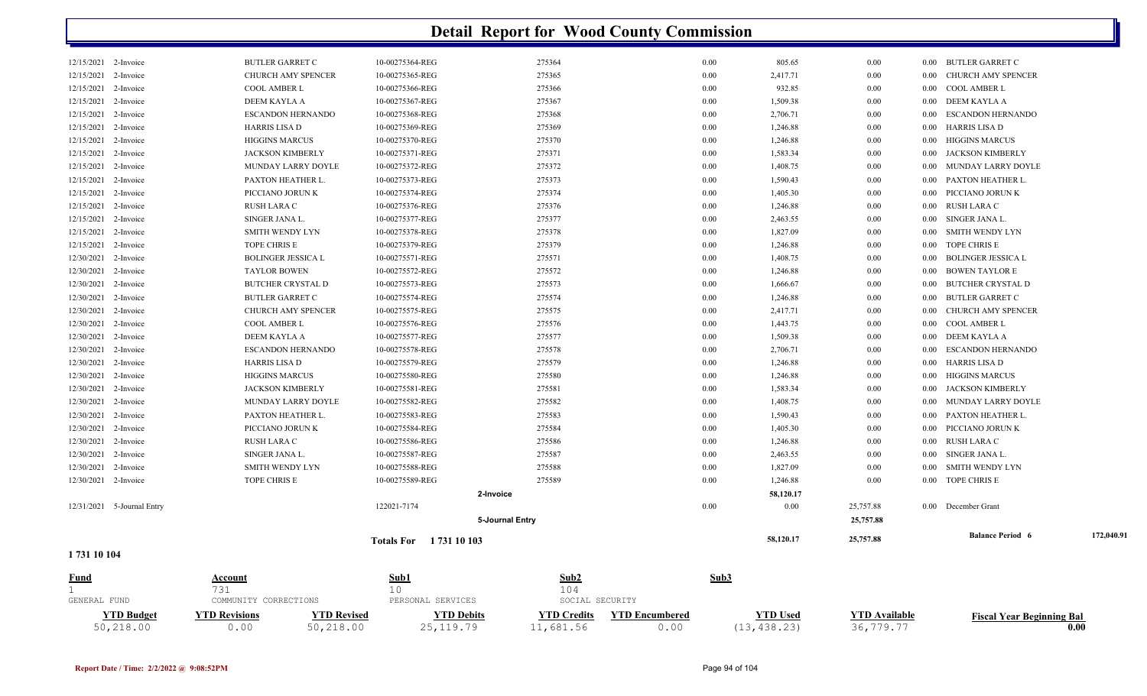| GENERAL FUND         |                            | 731<br>COMMUNITY CORRECTIONS | 10<br>PERSONAL SERVICES | 104<br>SOCIAL SECURITY |      |           |           |          |                                                 |            |
|----------------------|----------------------------|------------------------------|-------------------------|------------------------|------|-----------|-----------|----------|-------------------------------------------------|------------|
| Fund                 |                            | Account                      | Sub1                    | Sub2                   | Sub3 |           |           |          |                                                 |            |
| 1731 10 104          |                            |                              | Totals For 1731 10 103  |                        |      | 58,120.17 | 25,757.88 |          |                                                 |            |
|                      |                            |                              |                         | 5-Journal Entry        |      |           | 25,757.88 |          | <b>Balance Period 6</b>                         | 172,040.91 |
|                      | 12/31/2021 5-Journal Entry |                              | 122021-7174             |                        | 0.00 | 0.00      | 25,757.88 |          | 0.00 December Grant                             |            |
|                      |                            |                              | 2-Invoice               |                        |      | 58,120.17 |           |          |                                                 |            |
|                      | 12/30/2021 2-Invoice       | TOPE CHRIS E                 | 10-00275589-REG         | 275589                 | 0.00 | 1,246.88  | 0.00      |          | 0.00 TOPE CHRIS E                               |            |
|                      | 12/30/2021 2-Invoice       | SMITH WENDY LYN              | 10-00275588-REG         | 275588                 | 0.00 | 1,827.09  | 0.00      | $0.00\,$ | SMITH WENDY LYN                                 |            |
|                      | 12/30/2021 2-Invoice       | SINGER JANA L.               | 10-00275587-REG         | 275587                 | 0.00 | 2,463.55  | 0.00      |          | 0.00 SINGER JANA L.                             |            |
| 12/30/2021           | 2-Invoice                  | RUSH LARA C                  | 10-00275586-REG         | 275586                 | 0.00 | 1,246.88  | 0.00      |          | 0.00 RUSH LARA C                                |            |
|                      | 12/30/2021 2-Invoice       | PICCIANO JORUN K             | 10-00275584-REG         | 275584                 | 0.00 | 1,405.30  | 0.00      |          | 0.00 PICCIANO JORUN K                           |            |
|                      | 12/30/2021 2-Invoice       | PAXTON HEATHER L.            | 10-00275583-REG         | 275583                 | 0.00 | 1,590.43  | $0.00\,$  | $0.00\,$ | PAXTON HEATHER L.                               |            |
|                      | 12/30/2021 2-Invoice       | MUNDAY LARRY DOYLE           | 10-00275582-REG         | 275582                 | 0.00 | 1,408.75  | $0.00\,$  |          | 0.00 MUNDAY LARRY DOYLE                         |            |
|                      | 12/30/2021 2-Invoice       | <b>JACKSON KIMBERLY</b>      | 10-00275581-REG         | 275581                 | 0.00 | 1,583.34  | 0.00      | $0.00\,$ | JACKSON KIMBERLY                                |            |
| 12/30/2021           | 2-Invoice                  | <b>HIGGINS MARCUS</b>        | 10-00275580-REG         | 275580                 | 0.00 | 1,246.88  | 0.00      | $0.00\,$ | <b>HIGGINS MARCUS</b>                           |            |
| 12/30/2021           | 2-Invoice                  | HARRIS LISA D                | 10-00275579-REG         | 275579                 | 0.00 | 1,246.88  | $0.00\,$  |          | 0.00 HARRIS LISA D                              |            |
|                      | 12/30/2021 2-Invoice       | <b>ESCANDON HERNANDO</b>     | 10-00275578-REG         | 275578                 | 0.00 | 2,706.71  | 0.00      |          | 0.00 ESCANDON HERNANDO                          |            |
|                      | 12/30/2021 2-Invoice       | DEEM KAYLA A                 | 10-00275577-REG         | 275577                 | 0.00 | 1,509.38  | 0.00      |          | 0.00 DEEM KAYLA A                               |            |
| 12/30/2021           | 2-Invoice                  | COOL AMBER L                 | 10-00275576-REG         | 275576                 | 0.00 | 1,443.75  | 0.00      | 0.00     | COOL AMBER L                                    |            |
|                      | 12/30/2021 2-Invoice       | CHURCH AMY SPENCER           | 10-00275575-REG         | 275575                 | 0.00 | 2,417.71  | $0.00\,$  | $0.00\,$ | CHURCH AMY SPENCER                              |            |
|                      | 12/30/2021 2-Invoice       | <b>BUTLER GARRET C</b>       | 10-00275574-REG         | 275574                 | 0.00 | 1,246.88  | 0.00      |          | 0.00 BUTLER GARRET C                            |            |
|                      | 12/30/2021 2-Invoice       | <b>BUTCHER CRYSTAL D</b>     | 10-00275573-REG         | 275573                 | 0.00 | 1,666.67  | 0.00      | 0.00     | <b>BUTCHER CRYSTAL D</b>                        |            |
| 12/30/2021           | 2-Invoice                  | <b>TAYLOR BOWEN</b>          | 10-00275572-REG         | 275572                 | 0.00 | 1,246.88  | 0.00      | $0.00\,$ | <b>BOWEN TAYLOR E</b>                           |            |
|                      | 12/30/2021 2-Invoice       | <b>BOLINGER JESSICA L</b>    | 10-00275571-REG         | 275571                 | 0.00 | 1,408.75  | $0.00\,$  | $0.00\,$ | <b>BOLINGER JESSICA L</b>                       |            |
| 12/15/2021           | 2-Invoice                  | TOPE CHRIS E                 | 10-00275379-REG         | 275379                 | 0.00 | 1,246.88  | 0.00      |          | 0.00 TOPE CHRIS E                               |            |
|                      | 12/15/2021 2-Invoice       | SMITH WENDY LYN              | 10-00275378-REG         | 275378                 | 0.00 | 1,827.09  | 0.00      | $0.00\,$ | SMITH WENDY LYN                                 |            |
| 12/15/2021           | 2-Invoice                  | SINGER JANA L.               | 10-00275377-REG         | 275377                 | 0.00 | 2,463.55  | 0.00      |          | 0.00 SINGER JANA L.                             |            |
| 12/15/2021           | 2-Invoice                  | RUSH LARA C                  | 10-00275376-REG         | 275376                 | 0.00 | 1,246.88  | $0.00\,$  | $0.00\,$ | RUSH LARA C                                     |            |
|                      | 12/15/2021 2-Invoice       | PICCIANO JORUN K             | 10-00275374-REG         | 275374                 | 0.00 | 1,405.30  | 0.00      |          | 0.00 PICCIANO JORUN K                           |            |
|                      | 12/15/2021 2-Invoice       | PAXTON HEATHER L.            | 10-00275373-REG         | 275373                 | 0.00 | 1,590.43  | 0.00      | $0.00\,$ | PAXTON HEATHER L                                |            |
| 12/15/2021           | 2-Invoice                  | MUNDAY LARRY DOYLE           | 10-00275372-REG         | 275372                 | 0.00 | 1,408.75  | 0.00      | 0.00     | MUNDAY LARRY DOYLE                              |            |
| 12/15/2021           | 2-Invoice                  | <b>JACKSON KIMBERLY</b>      | 10-00275371-REG         | 275371                 | 0.00 | 1,583.34  | 0.00      | $0.00\,$ | JACKSON KIMBERLY                                |            |
|                      | 12/15/2021 2-Invoice       | <b>HIGGINS MARCUS</b>        | 10-00275370-REG         | 275370                 | 0.00 | 1,246.88  | $0.00\,$  | $0.00\,$ | <b>HIGGINS MARCUS</b>                           |            |
|                      | 12/15/2021 2-Invoice       | <b>HARRIS LISA D</b>         | 10-00275369-REG         | 275369                 | 0.00 | 1,246.88  | 0.00      |          | 0.00 HARRIS LISA D                              |            |
| 12/15/2021           | 2-Invoice                  | ESCANDON HERNANDO            | 10-00275368-REG         | 275368                 | 0.00 | 2,706.71  | 0.00      | 0.00     | <b>ESCANDON HERNANDO</b>                        |            |
| 12/15/2021           | 2-Invoice                  | DEEM KAYLA A                 | 10-00275367-REG         | 275367                 | 0.00 | 1,509.38  | 0.00      |          | 0.00 DEEM KAYLA A                               |            |
|                      | 12/15/2021 2-Invoice       | COOL AMBER L                 | 10-00275366-REG         | 275366                 | 0.00 | 932.85    | $0.00\,$  |          | 0.00 COOL AMBER L                               |            |
|                      | 12/15/2021 2-Invoice       | <b>CHURCH AMY SPENCER</b>    | 10-00275365-REG         | 275365                 | 0.00 | 2,417.71  | 0.00      |          | 0.00 BUTLER GARRET C<br>0.00 CHURCH AMY SPENCER |            |
| 12/15/2021 2-Invoice |                            | <b>BUTLER GARRET C</b>       | 10-00275364-REG         | 275364                 | 0.00 | 805.65    | 0.00      |          |                                                 |            |

| <b>VTD Budget</b> | <b>VTD Revisions</b> | 'TD Revised | TD Debits | 7TD Credits | YTD Encumbered | <b>YTD Used</b> | TD Available | Fiscal Year Beginning Bal |
|-------------------|----------------------|-------------|-----------|-------------|----------------|-----------------|--------------|---------------------------|
| 50,218.00         | (0.00)               | 50,218.00   |           | --,681.56   |                | 4 K X           | 36,          | 0.00                      |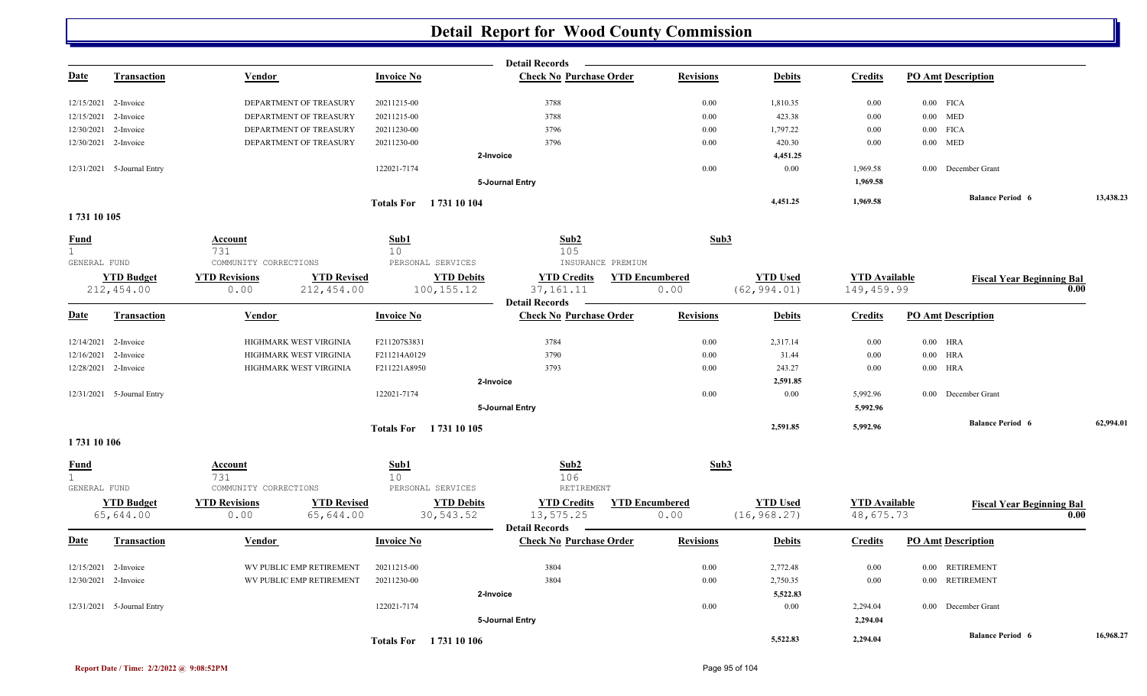|              |                                 |                              |                                   | <b>Detail Records</b>                                                                           |                               |                                 |                                    |                                  |           |
|--------------|---------------------------------|------------------------------|-----------------------------------|-------------------------------------------------------------------------------------------------|-------------------------------|---------------------------------|------------------------------------|----------------------------------|-----------|
| <b>Date</b>  | Transaction                     | Vendor                       | <b>Invoice No</b>                 | <b>Check No Purchase Order</b>                                                                  | <b>Revisions</b>              | <b>Debits</b>                   | <b>Credits</b>                     | <b>PO Amt Description</b>        |           |
|              | 12/15/2021 2-Invoice            | DEPARTMENT OF TREASURY       | 20211215-00                       | 3788                                                                                            | $0.00\,$                      | 1,810.35                        | 0.00                               | $0.00$ FICA                      |           |
|              | 12/15/2021 2-Invoice            | DEPARTMENT OF TREASURY       | 20211215-00                       | 3788                                                                                            | $0.00\,$                      | 423.38                          | 0.00                               | $0.00$ MED                       |           |
|              | 12/30/2021 2-Invoice            | DEPARTMENT OF TREASURY       | 20211230-00                       | 3796                                                                                            | $0.00\,$                      | 1,797.22                        | 0.00                               | $0.00$ FICA                      |           |
|              | 12/30/2021 2-Invoice            | DEPARTMENT OF TREASURY       | 20211230-00                       | 3796                                                                                            | 0.00                          | 420.30                          | 0.00                               | $0.00$ MED                       |           |
|              |                                 |                              |                                   | 2-Invoice                                                                                       |                               | 4,451.25                        |                                    |                                  |           |
|              | 12/31/2021 5-Journal Entry      |                              | 122021-7174                       |                                                                                                 | 0.00                          | 0.00                            | 1,969.58                           | 0.00 December Grant              |           |
|              |                                 |                              |                                   | 5-Journal Entry                                                                                 |                               |                                 | 1,969.58                           |                                  |           |
|              |                                 |                              | Totals For 1731 10 104            |                                                                                                 |                               | 4,451.25                        | 1,969.58                           | <b>Balance Period 6</b>          | 13,438.23 |
| 1731 10 105  |                                 |                              |                                   |                                                                                                 |                               |                                 |                                    |                                  |           |
| Fund<br>1    |                                 | Account<br>731               | Sub1<br>10                        | Sub2<br>105                                                                                     | Sub3                          |                                 |                                    |                                  |           |
| GENERAL FUND |                                 | COMMUNITY CORRECTIONS        |                                   | PERSONAL SERVICES                                                                               | INSURANCE PREMIUM             |                                 |                                    |                                  |           |
|              | <b>YTD Budget</b><br>212,454.00 | <b>YTD Revisions</b><br>0.00 | <b>YTD Revised</b><br>212, 454.00 | <b>YTD Debits</b><br><b>YTD Credits</b><br>100, 155. 12<br>37, 161. 11<br><b>Detail Records</b> | <b>YTD Encumbered</b><br>0.00 | <b>YTD Used</b><br>(62, 994.01) | <b>YTD Available</b><br>149,459.99 | <b>Fiscal Year Beginning Bal</b> | 0.00      |
| <b>Date</b>  | Transaction                     | Vendor                       | <b>Invoice No</b>                 | <b>Check No Purchase Order</b>                                                                  | <b>Revisions</b>              | <b>Debits</b>                   | <b>Credits</b>                     | <b>PO Amt Description</b>        |           |
|              | 12/14/2021 2-Invoice            | HIGHMARK WEST VIRGINIA       | F211207S3831                      | 3784                                                                                            | 0.00                          | 2,317.14                        | 0.00                               | $0.00$ HRA                       |           |
| 12/16/2021   | 2-Invoice                       | HIGHMARK WEST VIRGINIA       | F211214A0129                      | 3790                                                                                            | 0.00                          | 31.44                           | 0.00                               | $0.00$ HRA                       |           |
|              | 12/28/2021 2-Invoice            | HIGHMARK WEST VIRGINIA       | F211221A8950                      | 3793                                                                                            | 0.00                          | 243.27                          | 0.00                               | $0.00$ HRA                       |           |
|              |                                 |                              |                                   | 2-Invoice                                                                                       |                               | 2,591.85                        |                                    |                                  |           |
|              | 12/31/2021 5-Journal Entry      |                              | 122021-7174                       |                                                                                                 | 0.00                          | 0.00                            | 5,992.96                           | 0.00 December Grant              |           |
|              |                                 |                              |                                   | 5-Journal Entry                                                                                 |                               |                                 | 5,992.96                           |                                  |           |
|              |                                 |                              | Totals For 1731 10 105            |                                                                                                 |                               | 2,591.85                        | 5,992.96                           | <b>Balance Period 6</b>          | 62,994.01 |
| 1731 10 106  |                                 |                              |                                   |                                                                                                 |                               |                                 |                                    |                                  |           |
| Fund<br>1    |                                 | Account<br>731               | Sub1<br>10                        | Sub2<br>106                                                                                     | Sub3                          |                                 |                                    |                                  |           |
| GENERAL FUND |                                 | COMMUNITY CORRECTIONS        |                                   | PERSONAL SERVICES<br>RETIREMENT                                                                 |                               |                                 |                                    |                                  |           |
|              | <b>YTD Budget</b><br>65,644.00  | <b>YTD Revisions</b><br>0.00 | <b>YTD Revised</b><br>65,644.00   | <b>YTD Debits</b><br><b>YTD Credits</b><br>30,543.52<br>13,575.25                               | <b>YTD Encumbered</b><br>0.00 | <b>YTD Used</b><br>(16, 968.27) | <b>YTD Available</b><br>48,675.73  | <b>Fiscal Year Beginning Bal</b> | 0.00      |
|              |                                 |                              |                                   | <b>Detail Records</b>                                                                           |                               |                                 |                                    |                                  |           |
| <b>Date</b>  | <b>Transaction</b>              | Vendor                       | <b>Invoice No</b>                 | <b>Check No Purchase Order</b>                                                                  | <b>Revisions</b>              | <b>Debits</b>                   | <b>Credits</b>                     | <b>PO Amt Description</b>        |           |
|              | 12/15/2021 2-Invoice            | WV PUBLIC EMP RETIREMENT     | 20211215-00                       | 3804                                                                                            | 0.00                          | 2,772.48                        | 0.00                               | 0.00 RETIREMENT                  |           |
|              | 12/30/2021 2-Invoice            | WV PUBLIC EMP RETIREMENT     | 20211230-00                       | 3804                                                                                            | 0.00                          | 2,750.35                        | 0.00                               | 0.00 RETIREMENT                  |           |
|              |                                 |                              |                                   | 2-Invoice                                                                                       |                               | 5,522.83                        |                                    |                                  |           |
|              | 12/31/2021 5-Journal Entry      |                              | 122021-7174                       |                                                                                                 | 0.00                          | 0.00                            | 2,294.04                           | 0.00 December Grant              |           |
|              |                                 |                              |                                   | 5-Journal Entry                                                                                 |                               |                                 | 2,294.04                           |                                  |           |
|              |                                 |                              | Totals For 1731 10 106            |                                                                                                 |                               | 5,522.83                        | 2,294.04                           | <b>Balance Period 6</b>          | 16,968.27 |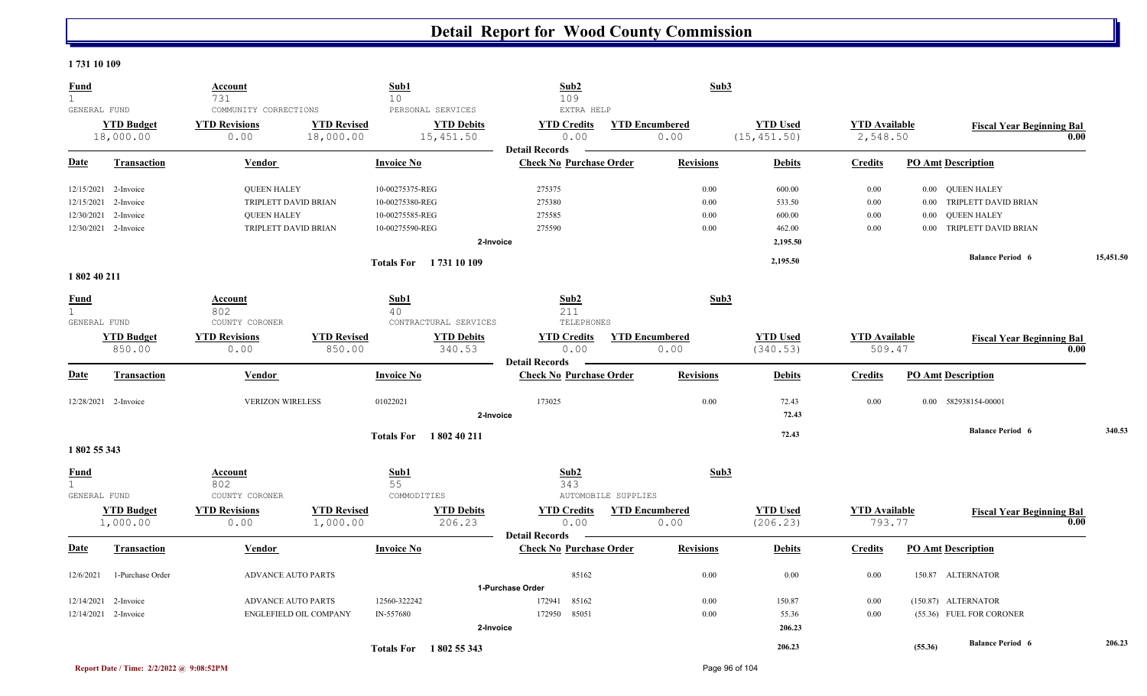#### **1 731 10 109**

| <b>Fund</b><br>$\mathbf{1}$                 |                                | Account<br>731                                        |                                 | Sub1<br>10                |                                                     | Sub2<br>109                                             | Sub3                          |                                 |                                  |          |                                  |           |
|---------------------------------------------|--------------------------------|-------------------------------------------------------|---------------------------------|---------------------------|-----------------------------------------------------|---------------------------------------------------------|-------------------------------|---------------------------------|----------------------------------|----------|----------------------------------|-----------|
| GENERAL FUND                                | <b>YTD Budget</b><br>18,000.00 | COMMUNITY CORRECTIONS<br><b>YTD Revisions</b><br>0.00 | <b>YTD Revised</b><br>18,000.00 |                           | PERSONAL SERVICES<br><b>YTD Debits</b><br>15,451.50 | EXTRA HELP<br><b>YTD Credits</b><br>0.00                | <b>YTD Encumbered</b><br>0.00 | <b>YTD Used</b><br>(15, 451.50) | <b>YTD</b> Available<br>2,548.50 |          | <b>Fiscal Year Beginning Bal</b> | 0.00      |
| <b>Date</b>                                 | <b>Transaction</b>             | Vendor                                                |                                 | <b>Invoice No</b>         |                                                     | <b>Detail Records</b><br><b>Check No Purchase Order</b> | <b>Revisions</b>              | <b>Debits</b>                   | <b>Credits</b>                   |          | <b>PO Amt Description</b>        |           |
| 12/15/2021                                  | 2-Invoice                      | <b>QUEEN HALEY</b>                                    |                                 | 10-00275375-REG           |                                                     | 275375                                                  | 0.00                          | 600.00                          | 0.00                             |          | 0.00 QUEEN HALEY                 |           |
| 12/15/2021                                  | 2-Invoice                      | TRIPLETT DAVID BRIAN                                  |                                 | 10-00275380-REG           |                                                     | 275380                                                  | 0.00                          | 533.50                          | 0.00                             |          | 0.00 TRIPLETT DAVID BRIAN        |           |
| 12/30/2021                                  | 2-Invoice                      | <b>QUEEN HALEY</b>                                    |                                 | 10-00275585-REG           |                                                     | 275585                                                  | 0.00                          | 600.00                          | 0.00                             | $0.00\,$ | <b>QUEEN HALEY</b>               |           |
|                                             | 12/30/2021 2-Invoice           | TRIPLETT DAVID BRIAN                                  |                                 | 10-00275590-REG           | 2-Invoice                                           | 275590                                                  | 0.00                          | 462.00<br>2,195.50              | 0.00                             |          | 0.00 TRIPLETT DAVID BRIAN        |           |
|                                             |                                |                                                       |                                 |                           | Totals For 1731 10 109                              |                                                         |                               | 2,195.50                        |                                  |          | <b>Balance Period 6</b>          | 15,451.50 |
| 1802 40 211                                 |                                |                                                       |                                 |                           |                                                     |                                                         |                               |                                 |                                  |          |                                  |           |
| Fund<br>$\mathbf{1}$                        |                                | Account<br>802                                        |                                 | Sub1<br>40                |                                                     | Sub2<br>211                                             | Sub3                          |                                 |                                  |          |                                  |           |
| GENERAL FUND                                |                                | COUNTY CORONER                                        |                                 |                           | CONTRACTURAL SERVICES                               | TELEPHONES                                              |                               |                                 |                                  |          |                                  |           |
|                                             | <b>YTD Budget</b><br>850.00    | <b>YTD Revisions</b><br>0.00                          | <b>YTD Revised</b><br>850.00    |                           | <b>YTD Debits</b><br>340.53                         | <b>YTD Credits</b><br>0.00<br><b>Detail Records</b>     | <b>YTD Encumbered</b><br>0.00 | <b>YTD Used</b><br>(340.53)     | <b>YTD</b> Available<br>509.47   |          | <b>Fiscal Year Beginning Bal</b> | 0.00      |
| Date                                        | <b>Transaction</b>             | Vendor                                                |                                 | <b>Invoice No</b>         |                                                     | <b>Check No Purchase Order</b>                          | <b>Revisions</b>              | <b>Debits</b>                   | <b>Credits</b>                   |          | <b>PO Amt Description</b>        |           |
|                                             | 12/28/2021 2-Invoice           | <b>VERIZON WIRELESS</b>                               |                                 | 01022021                  | 2-Invoice                                           | 173025                                                  | 0.00                          | 72.43<br>72.43                  | 0.00                             |          | 0.00 582938154-00001             |           |
|                                             |                                |                                                       |                                 |                           | Totals For 1802 40 211                              |                                                         |                               | 72.43                           |                                  |          | <b>Balance Period 6</b>          | 340.53    |
| 1802 55 343                                 |                                |                                                       |                                 |                           |                                                     |                                                         |                               |                                 |                                  |          |                                  |           |
| <b>Fund</b><br>$\mathbf{1}$<br>GENERAL FUND |                                | Account<br>802<br>COUNTY CORONER                      |                                 | Sub1<br>55<br>COMMODITIES |                                                     | Sub2<br>343<br>AUTOMOBILE SUPPLIES                      | Sub3                          |                                 |                                  |          |                                  |           |
|                                             | <b>YTD Budget</b><br>1,000.00  | <b>YTD Revisions</b><br>0.00                          | <b>YTD Revised</b><br>1,000.00  |                           | <b>YTD Debits</b><br>206.23                         | <b>YTD Credits</b><br>0.00                              | <b>YTD Encumbered</b><br>0.00 | <b>YTD Used</b><br>(206.23)     | <b>YTD</b> Available<br>793.77   |          | <b>Fiscal Year Beginning Bal</b> | 0.00      |
| Date                                        | <b>Transaction</b>             | Vendor                                                |                                 | <b>Invoice No</b>         |                                                     | <b>Detail Records</b><br><b>Check No Purchase Order</b> | <b>Revisions</b>              | <b>Debits</b>                   | <b>Credits</b>                   |          | <b>PO Amt Description</b>        |           |
| 12/6/2021                                   | 1-Purchase Order               | <b>ADVANCE AUTO PARTS</b>                             |                                 |                           |                                                     | 85162                                                   | 0.00                          | 0.00                            | 0.00                             |          | 150.87 ALTERNATOR                |           |
|                                             |                                |                                                       |                                 |                           |                                                     | 1-Purchase Order                                        |                               |                                 |                                  |          |                                  |           |
| 12/14/2021                                  | 2-Invoice                      | <b>ADVANCE AUTO PARTS</b>                             |                                 | 12560-322242              |                                                     | 85162<br>172941                                         | 0.00                          | 150.87                          | 0.00                             |          | (150.87) ALTERNATOR              |           |
|                                             | 12/14/2021 2-Invoice           |                                                       | <b>ENGLEFIELD OIL COMPANY</b>   | IN-557680                 |                                                     | 172950<br>85051                                         | 0.00                          | 55.36                           | 0.00                             |          | (55.36) FUEL FOR CORONER         |           |
|                                             |                                |                                                       |                                 |                           | 2-Invoice                                           |                                                         |                               | 206.23                          |                                  |          |                                  |           |
|                                             |                                |                                                       |                                 |                           | Totals For 1802 55 343                              |                                                         |                               | 206.23                          |                                  | (55.36)  | <b>Balance Period 6</b>          | 206.23    |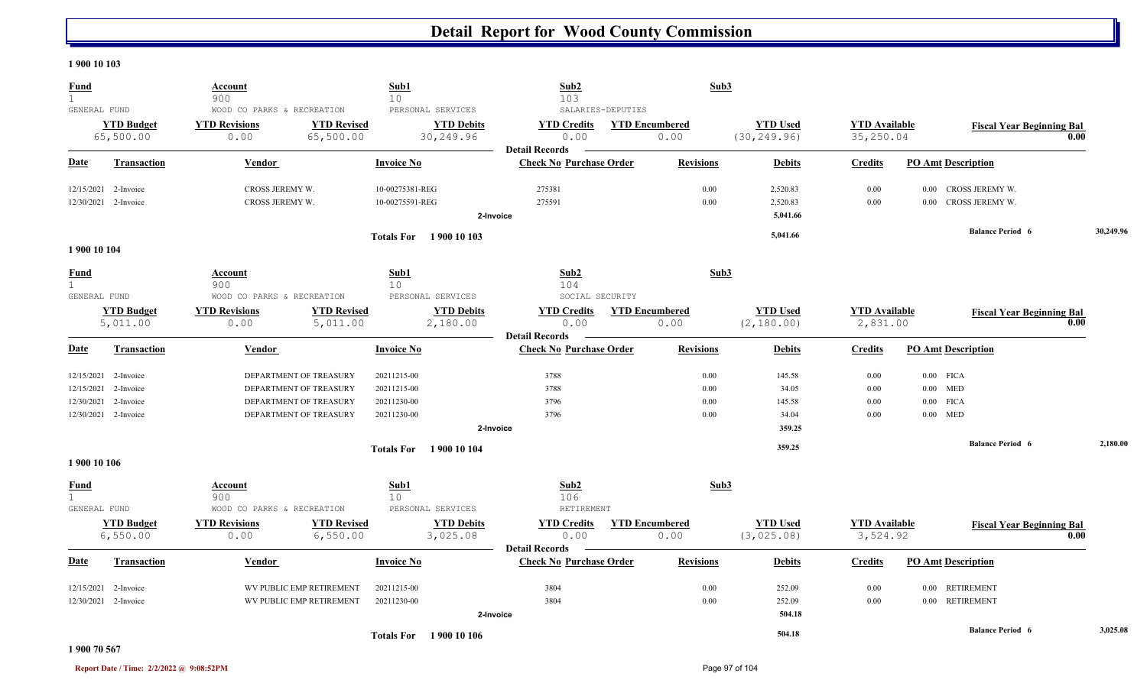#### **1 900 10 103**

| <b>Fund</b><br>$\mathbf{1}$                 |                                   | Account<br>900                                             |                                 | Sub1<br>10                         |                                                     | Sub2<br>103                                             |                   | Sub3                          |                                  |                                   |                           |                                         |      |           |
|---------------------------------------------|-----------------------------------|------------------------------------------------------------|---------------------------------|------------------------------------|-----------------------------------------------------|---------------------------------------------------------|-------------------|-------------------------------|----------------------------------|-----------------------------------|---------------------------|-----------------------------------------|------|-----------|
| GENERAL FUND                                | <b>YTD Budget</b><br>65,500.00    | WOOD CO PARKS & RECREATION<br><b>YTD Revisions</b><br>0.00 | <b>YTD Revised</b><br>65,500.00 |                                    | PERSONAL SERVICES<br><b>YTD Debits</b><br>30,249.96 | <b>YTD Credits</b><br>0.00                              | SALARIES-DEPUTIES | <b>YTD Encumbered</b><br>0.00 | <b>YTD Used</b><br>(30, 249.96)  | <b>YTD Available</b><br>35,250.04 |                           | <b>Fiscal Year Beginning Bal</b>        | 0.00 |           |
| <b>Date</b>                                 | <b>Transaction</b>                | <b>Vendor</b>                                              |                                 | <b>Invoice No</b>                  |                                                     | <b>Detail Records</b><br><b>Check No Purchase Order</b> |                   | <b>Revisions</b>              | <b>Debits</b>                    | <b>Credits</b>                    | <b>PO Amt Description</b> |                                         |      |           |
| 12/15/2021                                  | 2-Invoice<br>12/30/2021 2-Invoice | CROSS JEREMY W.<br>CROSS JEREMY W.                         |                                 | 10-00275381-REG<br>10-00275591-REG |                                                     | 275381<br>275591<br>2-Invoice                           |                   | 0.00<br>0.00                  | 2,520.83<br>2,520.83<br>5,041.66 | 0.00<br>0.00                      | $0.00\,$                  | CROSS JEREMY W.<br>0.00 CROSS JEREMY W. |      |           |
|                                             |                                   |                                                            |                                 |                                    | <b>Totals For</b> 1900 10 103                       |                                                         |                   |                               | 5,041.66                         |                                   |                           | <b>Balance Period 6</b>                 |      | 30,249.96 |
| 1900 10 104                                 |                                   |                                                            |                                 |                                    |                                                     |                                                         |                   |                               |                                  |                                   |                           |                                         |      |           |
| <u>Fund</u><br>$\mathbf{1}$<br>GENERAL FUND |                                   | <b>Account</b><br>900<br>WOOD CO PARKS & RECREATION        |                                 | Sub1<br>10 <sup>°</sup>            | PERSONAL SERVICES                                   | Sub2<br>104<br>SOCIAL SECURITY                          |                   | Sub3                          |                                  |                                   |                           |                                         |      |           |
|                                             | <b>YTD Budget</b>                 | <b>YTD Revisions</b>                                       | <b>YTD Revised</b>              |                                    | <b>YTD Debits</b>                                   | <b>YTD Credits</b>                                      |                   | <b>YTD Encumbered</b>         | <b>YTD Used</b>                  | <b>YTD</b> Available              |                           | <b>Fiscal Year Beginning Bal</b>        |      |           |
|                                             | 5,011.00                          | 0.00                                                       | 5,011.00                        |                                    | 2,180.00                                            | 0.00<br><b>Detail Records</b>                           |                   | 0.00                          | (2, 180.00)                      | 2,831.00                          |                           |                                         | 0.00 |           |
| <u>Date</u>                                 | <b>Transaction</b>                | <b>Vendor</b>                                              |                                 | <b>Invoice No</b>                  |                                                     | <b>Check No Purchase Order</b>                          |                   | <b>Revisions</b>              | <b>Debits</b>                    | <b>Credits</b>                    | <b>PO Amt Description</b> |                                         |      |           |
|                                             | 12/15/2021 2-Invoice              |                                                            | DEPARTMENT OF TREASURY          | 20211215-00                        |                                                     | 3788                                                    |                   | 0.00                          | 145.58                           | 0.00                              | $0.00$ FICA               |                                         |      |           |
| 12/15/2021                                  | 2-Invoice                         |                                                            | DEPARTMENT OF TREASURY          | 20211215-00                        |                                                     | 3788                                                    |                   | 0.00                          | 34.05                            | 0.00                              | $0.00$ MED                |                                         |      |           |
| 12/30/2021                                  | 2-Invoice                         |                                                            | DEPARTMENT OF TREASURY          | 20211230-00                        |                                                     | 3796                                                    |                   | 0.00                          | 145.58                           | 0.00                              | $0.00$ FICA               |                                         |      |           |
|                                             | 12/30/2021 2-Invoice              |                                                            | DEPARTMENT OF TREASURY          | 20211230-00                        |                                                     | 3796                                                    |                   | 0.00                          | 34.04                            | 0.00                              | $0.00$ MED                |                                         |      |           |
|                                             |                                   |                                                            |                                 |                                    |                                                     | 2-Invoice                                               |                   |                               | 359.25                           |                                   |                           |                                         |      |           |
|                                             |                                   |                                                            |                                 |                                    | <b>Totals For</b> 1900 10 104                       |                                                         |                   |                               | 359.25                           |                                   |                           | <b>Balance Period 6</b>                 |      | 2,180.00  |
| 1900 10 106                                 |                                   |                                                            |                                 |                                    |                                                     |                                                         |                   |                               |                                  |                                   |                           |                                         |      |           |
| <b>Fund</b><br>1                            |                                   | Account<br>900                                             |                                 | Sub1<br>10 <sup>°</sup>            |                                                     | Sub2<br>106                                             |                   | Sub3                          |                                  |                                   |                           |                                         |      |           |
| GENERAL FUND                                |                                   | WOOD CO PARKS & RECREATION                                 |                                 |                                    | PERSONAL SERVICES                                   | RETIREMENT                                              |                   |                               |                                  |                                   |                           |                                         |      |           |
|                                             | <b>YTD Budget</b>                 | <b>YTD Revisions</b>                                       | <b>YTD Revised</b>              |                                    | <b>YTD Debits</b>                                   | <b>YTD Credits</b>                                      |                   | <b>YTD Encumbered</b>         | <b>YTD Used</b>                  | <b>YTD</b> Available              |                           | <b>Fiscal Year Beginning Bal</b>        |      |           |
|                                             | 6,550.00                          | 0.00                                                       | 6,550.00                        |                                    | 3,025.08                                            | 0.00                                                    |                   | 0.00                          | (3,025.08)                       | 3,524.92                          |                           |                                         | 0.00 |           |
| Date                                        | <b>Transaction</b>                | Vendor                                                     |                                 | <b>Invoice No</b>                  |                                                     | <b>Detail Records</b><br><b>Check No Purchase Order</b> |                   | <b>Revisions</b>              | <b>Debits</b>                    | <b>Credits</b>                    | <b>PO Amt Description</b> |                                         |      |           |
| 12/15/2021                                  | 2-Invoice                         |                                                            | WV PUBLIC EMP RETIREMENT        | 20211215-00                        |                                                     | 3804                                                    |                   | 0.00                          | 252.09                           | 0.00                              | 0.00 RETIREMENT           |                                         |      |           |
|                                             | 12/30/2021 2-Invoice              |                                                            | WV PUBLIC EMP RETIREMENT        | 20211230-00                        |                                                     | 3804                                                    |                   | 0.00                          | 252.09                           | 0.00                              | 0.00 RETIREMENT           |                                         |      |           |
|                                             |                                   |                                                            |                                 |                                    |                                                     | 2-Invoice                                               |                   |                               | 504.18                           |                                   |                           |                                         |      |           |
|                                             |                                   |                                                            |                                 |                                    | <b>Totals For</b> 1900 10 106                       |                                                         |                   |                               | 504.18                           |                                   |                           | <b>Balance Period 6</b>                 |      | 3,025.08  |

#### **1 900 70 567**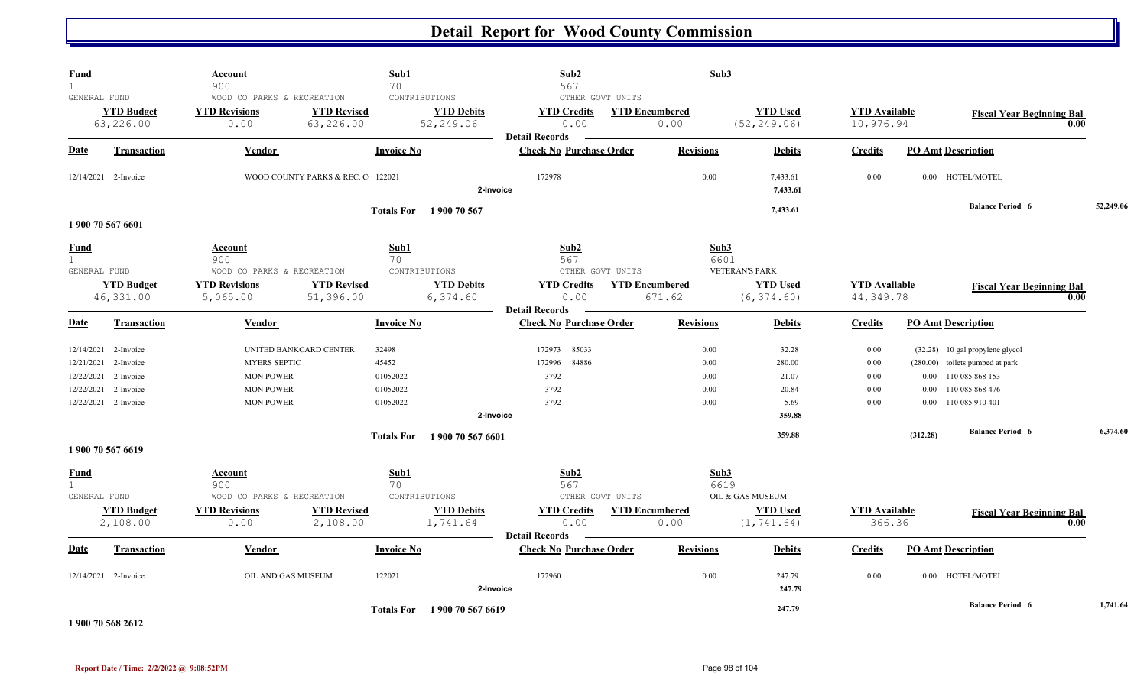| <b>Fund</b><br>$\mathbf{1}$                          |                                                                          | Account<br>900                                                                      |                                   | Sub1<br>70                                                   | Sub2<br>567                                                             | Sub3                                          |                                                     |                                                  |                                                                                                                                                     |      |           |
|------------------------------------------------------|--------------------------------------------------------------------------|-------------------------------------------------------------------------------------|-----------------------------------|--------------------------------------------------------------|-------------------------------------------------------------------------|-----------------------------------------------|-----------------------------------------------------|--------------------------------------------------|-----------------------------------------------------------------------------------------------------------------------------------------------------|------|-----------|
| GENERAL FUND                                         | <b>YTD Budget</b><br>63,226.00                                           | WOOD CO PARKS & RECREATION<br><b>YTD Revisions</b><br>0.00                          | <b>YTD Revised</b><br>63,226.00   | CONTRIBUTIONS<br><b>YTD Debits</b><br>52,249.06              | OTHER GOVT UNITS<br><b>YTD Credits</b><br>0.00<br><b>Detail Records</b> | <b>YTD Encumbered</b><br>0.00                 | <b>YTD Used</b><br>(52, 249.06)                     | <b>YTD Available</b><br>10,976.94                | <b>Fiscal Year Beginning Bal</b>                                                                                                                    | 0.00 |           |
| Date                                                 | Transaction                                                              | Vendor                                                                              |                                   | <b>Invoice No</b>                                            | <b>Check No Purchase Order</b>                                          | <b>Revisions</b>                              | <b>Debits</b>                                       | <b>Credits</b>                                   | <b>PO Amt Description</b>                                                                                                                           |      |           |
|                                                      | 12/14/2021 2-Invoice                                                     |                                                                                     | WOOD COUNTY PARKS & REC. C 122021 |                                                              | 172978<br>2-Invoice                                                     | 0.00                                          | 7,433.61<br>7,433.61                                | 0.00                                             | 0.00 HOTEL/MOTEL                                                                                                                                    |      |           |
|                                                      |                                                                          |                                                                                     |                                   | Totals For 1900 70 567                                       |                                                                         |                                               | 7,433.61                                            |                                                  | <b>Balance Period 6</b>                                                                                                                             |      | 52,249.06 |
| <u>Fund</u><br>$\mathbf{1}$<br>GENERAL FUND          | 1 900 70 567 6601<br><b>YTD Budget</b>                                   | Account<br>900<br>WOOD CO PARKS & RECREATION<br><b>YTD Revisions</b>                | <b>YTD Revised</b>                | Sub1<br>70<br>CONTRIBUTIONS<br><b>YTD Debits</b>             | Sub2<br>567<br>OTHER GOVT UNITS<br><b>YTD Credits</b>                   | Sub3<br>6601<br><b>YTD Encumbered</b>         | <b>VETERAN'S PARK</b><br><b>YTD Used</b>            | <b>YTD</b> Available                             | <b>Fiscal Year Beginning Bal</b>                                                                                                                    |      |           |
|                                                      | 46, 331.00                                                               | 5,065.00                                                                            | 51,396.00                         | 6,374.60                                                     | 0.00<br><b>Detail Records</b>                                           | 671.62                                        | (6, 374.60)                                         | 44, 349.78                                       |                                                                                                                                                     | 0.00 |           |
| <b>Date</b>                                          | <b>Transaction</b>                                                       | Vendor                                                                              |                                   | <b>Invoice No</b>                                            | <b>Check No Purchase Order</b>                                          | <b>Revisions</b>                              | <b>Debits</b>                                       | <b>Credits</b>                                   | <b>PO Amt Description</b>                                                                                                                           |      |           |
| 12/14/2021<br>12/21/2021<br>12/22/2021<br>12/22/2021 | 2-Invoice<br>2-Invoice<br>2-Invoice<br>2-Invoice<br>12/22/2021 2-Invoice | <b>MYERS SEPTIC</b><br><b>MON POWER</b><br><b>MON POWER</b><br><b>MON POWER</b>     | UNITED BANKCARD CENTER            | 32498<br>45452<br>01052022<br>01052022<br>01052022           | 85033<br>172973<br>84886<br>172996<br>3792<br>3792<br>3792<br>2-Invoice | 0.00<br>0.00<br>0.00<br>0.00<br>0.00          | 32.28<br>280.00<br>21.07<br>20.84<br>5.69<br>359.88 | 0.00<br>$0.00\,$<br>$0.00\,$<br>$0.00\,$<br>0.00 | (32.28) 10 gal propylene glycol<br>(280.00) toilets pumped at park<br>110 085 868 153<br>0.00<br>110 085 868 476<br>0.00<br>110 085 910 401<br>0.00 |      |           |
|                                                      |                                                                          |                                                                                     |                                   | <b>Totals For</b><br>1900 70 567 6601                        |                                                                         |                                               | 359.88                                              |                                                  | <b>Balance Period 6</b><br>(312.28)                                                                                                                 |      | 6,374.60  |
|                                                      | 1 900 70 567 6619                                                        |                                                                                     |                                   |                                                              |                                                                         |                                               |                                                     |                                                  |                                                                                                                                                     |      |           |
| <b>Fund</b><br>$\mathbf{1}$<br>GENERAL FUND          | <b>YTD Budget</b><br>2,108.00                                            | <b>Account</b><br>900<br>WOOD CO PARKS & RECREATION<br><b>YTD Revisions</b><br>0.00 | <b>YTD Revised</b><br>2,108.00    | Sub1<br>70<br>CONTRIBUTIONS<br><b>YTD Debits</b><br>1,741.64 | Sub2<br>567<br>OTHER GOVT UNITS<br><b>YTD Credits</b><br>0.00           | Sub3<br>6619<br><b>YTD Encumbered</b><br>0.00 | OIL & GAS MUSEUM<br><b>YTD Used</b><br>(1, 741.64)  | <b>YTD</b> Available<br>366.36                   | <b>Fiscal Year Beginning Bal</b>                                                                                                                    | 0.00 |           |
| <b>Date</b>                                          | <b>Transaction</b>                                                       | Vendor                                                                              |                                   | <b>Invoice No</b>                                            | <b>Detail Records</b><br><b>Check No Purchase Order</b>                 | <b>Revisions</b>                              | <b>Debits</b>                                       | <b>Credits</b>                                   | <b>PO Amt Description</b>                                                                                                                           |      |           |
|                                                      | 12/14/2021 2-Invoice                                                     | OIL AND GAS MUSEUM                                                                  |                                   | 122021                                                       | 172960<br>2-Invoice                                                     | 0.00                                          | 247.79<br>247.79                                    | 0.00                                             | 0.00 HOTEL/MOTEL                                                                                                                                    |      |           |
|                                                      | 1 900 70 568 2612                                                        |                                                                                     |                                   | 1900 70 567 6619<br><b>Totals For</b>                        |                                                                         |                                               | 247.79                                              |                                                  | <b>Balance Period 6</b>                                                                                                                             |      | 1,741.64  |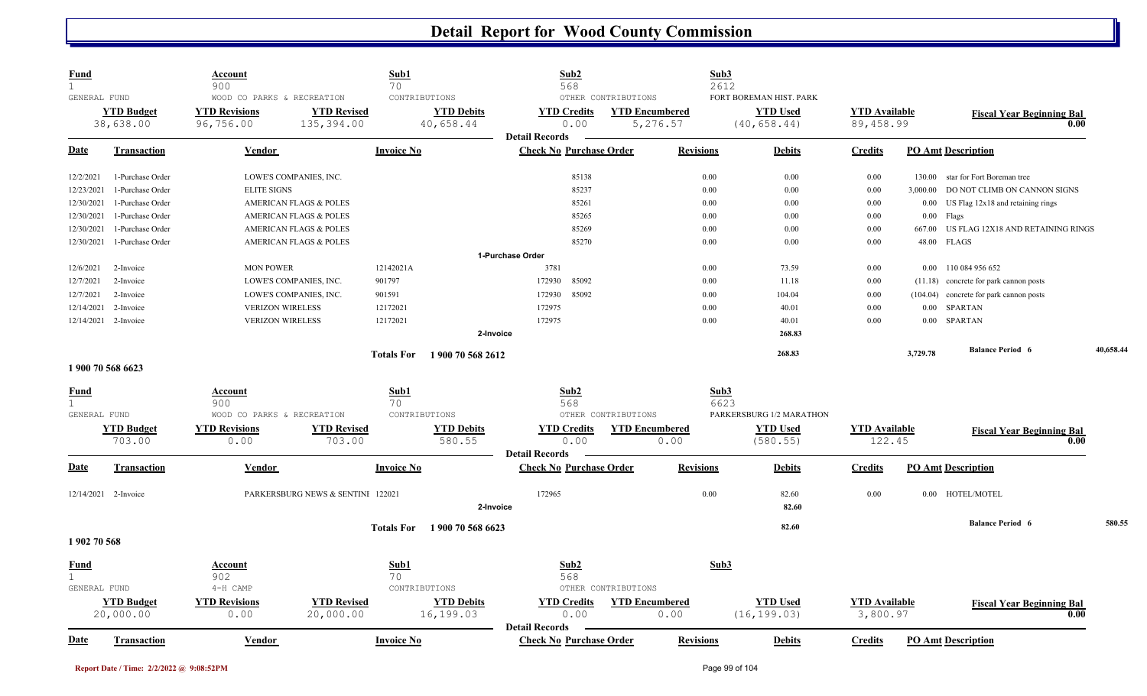| <b>Fund</b><br>$\mathbf{1}$ |                                | <b>Account</b><br>900                                           |                                   | Sub1<br>70                                      | Sub2<br>568                                             |                                                          | Sub3<br>2612     |                                                            |                                   |          |                                          |           |
|-----------------------------|--------------------------------|-----------------------------------------------------------------|-----------------------------------|-------------------------------------------------|---------------------------------------------------------|----------------------------------------------------------|------------------|------------------------------------------------------------|-----------------------------------|----------|------------------------------------------|-----------|
| GENERAL FUND                | <b>YTD Budget</b><br>38,638.00 | WOOD CO PARKS & RECREATION<br><b>YTD Revisions</b><br>96,756.00 | <b>YTD Revised</b><br>135,394.00  | CONTRIBUTIONS<br><b>YTD Debits</b><br>40,658.44 | <b>YTD Credits</b><br>0.00                              | OTHER CONTRIBUTIONS<br><b>YTD Encumbered</b><br>5,276.57 |                  | FORT BOREMAN HIST. PARK<br><b>YTD Used</b><br>(40, 658.44) | <b>YTD</b> Available<br>89,458.99 |          | <b>Fiscal Year Beginning Bal</b><br>0.00 |           |
| Date                        | Transaction                    | Vendor                                                          |                                   | <b>Invoice No</b>                               | <b>Detail Records</b><br><b>Check No Purchase Order</b> |                                                          | <b>Revisions</b> | <b>Debits</b>                                              | <b>Credits</b>                    |          | <b>PO Amt Description</b>                |           |
| 12/2/2021                   | 1-Purchase Order               |                                                                 | LOWE'S COMPANIES, INC.            |                                                 | 85138                                                   |                                                          | 0.00             | 0.00                                                       | 0.00                              | 130.00   | star for Fort Boreman tree               |           |
| 12/23/2021                  | 1-Purchase Order               | <b>ELITE SIGNS</b>                                              |                                   |                                                 | 85237                                                   |                                                          | 0.00             | 0.00                                                       | 0.00                              | 3,000.00 | DO NOT CLIMB ON CANNON SIGNS             |           |
| 12/30/2021                  | 1-Purchase Order               |                                                                 | <b>AMERICAN FLAGS &amp; POLES</b> |                                                 | 85261                                                   |                                                          | 0.00             | 0.00                                                       | 0.00                              | 0.00     | US Flag 12x18 and retaining rings        |           |
| 12/30/2021                  | 1-Purchase Order               |                                                                 | <b>AMERICAN FLAGS &amp; POLES</b> |                                                 | 85265                                                   |                                                          | 0.00             | 0.00                                                       | 0.00                              | 0.00     | Flags                                    |           |
| 12/30/2021                  | 1-Purchase Order               |                                                                 | <b>AMERICAN FLAGS &amp; POLES</b> |                                                 | 85269                                                   |                                                          | 0.00             | 0.00                                                       | 0.00                              | 667.00   | US FLAG 12X18 AND RETAINING RINGS        |           |
| 12/30/2021                  | 1-Purchase Order               |                                                                 | <b>AMERICAN FLAGS &amp; POLES</b> |                                                 | 85270                                                   |                                                          | 0.00             | 0.00                                                       | 0.00                              | 48.00    | <b>FLAGS</b>                             |           |
|                             |                                |                                                                 |                                   |                                                 | 1-Purchase Order                                        |                                                          |                  |                                                            |                                   |          |                                          |           |
| 12/6/2021                   | 2-Invoice                      | <b>MON POWER</b>                                                |                                   | 12142021A                                       | 3781                                                    |                                                          | 0.00             | 73.59                                                      | 0.00                              | 0.00     | 110 084 956 652                          |           |
| 12/7/2021                   | 2-Invoice                      |                                                                 | LOWE'S COMPANIES, INC.            | 901797                                          | 85092<br>172930                                         |                                                          | 0.00             | 11.18                                                      | 0.00                              | (11.18)  | concrete for park cannon posts           |           |
| 12/7/2021                   | 2-Invoice                      |                                                                 | LOWE'S COMPANIES, INC.            | 901591                                          | 172930<br>85092                                         |                                                          | 0.00             | 104.04                                                     | 0.00                              | (104.04) | concrete for park cannon posts           |           |
| 12/14/2021                  | 2-Invoice                      | <b>VERIZON WIRELESS</b>                                         |                                   | 12172021                                        | 172975                                                  |                                                          | 0.00             | 40.01                                                      | 0.00                              | 0.00     | <b>SPARTAN</b>                           |           |
| 12/14/2021                  | 2-Invoice                      | <b>VERIZON WIRELESS</b>                                         |                                   | 12172021                                        | 172975                                                  |                                                          | 0.00             | 40.01                                                      | 0.00                              | 0.00     | <b>SPARTAN</b>                           |           |
|                             |                                |                                                                 |                                   |                                                 | 2-Invoice                                               |                                                          |                  | 268.83                                                     |                                   |          |                                          |           |
|                             |                                |                                                                 |                                   | <b>Totals For</b><br>1 900 70 568 2612          |                                                         |                                                          |                  | 268.83                                                     |                                   | 3,729.78 | <b>Balance Period 6</b>                  | 40,658.44 |
|                             | 1900 70 568 6623               |                                                                 |                                   |                                                 |                                                         |                                                          |                  |                                                            |                                   |          |                                          |           |
| Fund                        |                                | Account                                                         |                                   | Sub1                                            | Sub2                                                    |                                                          | Sub3             |                                                            |                                   |          |                                          |           |
| $\mathbf{1}$                |                                | 900                                                             |                                   | 70                                              | 568                                                     |                                                          | 6623             |                                                            |                                   |          |                                          |           |
| GENERAL FUND                |                                | WOOD CO PARKS & RECREATION                                      |                                   | CONTRIBUTIONS                                   |                                                         | OTHER CONTRIBUTIONS                                      |                  | PARKERSBURG 1/2 MARATHON                                   |                                   |          |                                          |           |
|                             | <b>YTD Budget</b>              | <b>YTD Revisions</b>                                            | <b>YTD Revised</b>                | <b>YTD Debits</b>                               | <b>YTD Credits</b>                                      | <b>YTD Encumbered</b>                                    |                  | <b>YTD Used</b>                                            | <b>YTD Available</b>              |          | <b>Fiscal Year Beginning Bal</b>         |           |
|                             | 703.00                         | 0.00                                                            | 703.00                            | 580.55                                          | 0.00                                                    | 0.00                                                     |                  | (580.55)                                                   | 122.45                            |          | 0.00                                     |           |
| Date                        | <b>Transaction</b>             | Vendor                                                          |                                   | <b>Invoice No</b>                               | <b>Detail Records</b><br><b>Check No Purchase Order</b> |                                                          | <b>Revisions</b> | <b>Debits</b>                                              | <b>Credits</b>                    |          | <b>PO Amt Description</b>                |           |
|                             |                                |                                                                 |                                   |                                                 |                                                         |                                                          | 0.00             |                                                            |                                   |          |                                          |           |
|                             | 12/14/2021 2-Invoice           |                                                                 | PARKERSBURG NEWS & SENTINI 122021 |                                                 | 172965                                                  |                                                          |                  | 82.60                                                      | 0.00                              | 0.00     | HOTEL/MOTEL                              |           |
|                             |                                |                                                                 |                                   |                                                 | 2-Invoice                                               |                                                          |                  | 82.60                                                      |                                   |          |                                          |           |
|                             |                                |                                                                 |                                   | 1 900 70 568 6623<br><b>Totals For</b>          |                                                         |                                                          |                  | 82.60                                                      |                                   |          | <b>Balance Period 6</b>                  | 580.55    |
| 1902 70 568                 |                                |                                                                 |                                   |                                                 |                                                         |                                                          |                  |                                                            |                                   |          |                                          |           |
| <b>Fund</b>                 |                                | Account                                                         |                                   | Sub1                                            | Sub2                                                    |                                                          | Sub3             |                                                            |                                   |          |                                          |           |
| $\mathbf{1}$                |                                | 902                                                             |                                   | 70                                              | 568                                                     |                                                          |                  |                                                            |                                   |          |                                          |           |
| GENERAL FUND                |                                | 4-H CAMP                                                        |                                   | CONTRIBUTIONS                                   |                                                         | OTHER CONTRIBUTIONS                                      |                  |                                                            |                                   |          |                                          |           |
|                             | <b>YTD Budget</b>              | <b>YTD Revisions</b>                                            | <b>YTD Revised</b>                | <b>YTD Debits</b>                               | <b>YTD</b> Credits                                      | <b>YTD Encumbered</b>                                    |                  | <b>YTD Used</b>                                            | <b>YTD</b> Available              |          | <b>Fiscal Year Beginning Bal</b>         |           |
|                             | 20,000.00                      | 0.00                                                            | 20,000.00                         | 16,199.03                                       | 0.00                                                    | 0.00                                                     |                  | (16, 199.03)                                               | 3,800.97                          |          | 0.00                                     |           |
| <b>Date</b>                 | <b>Transaction</b>             | Vendor                                                          |                                   | <b>Invoice No</b>                               | <b>Detail Records</b><br><b>Check No Purchase Order</b> |                                                          | <b>Revisions</b> | <b>Debits</b>                                              | <b>Credits</b>                    |          | <b>PO Amt Description</b>                |           |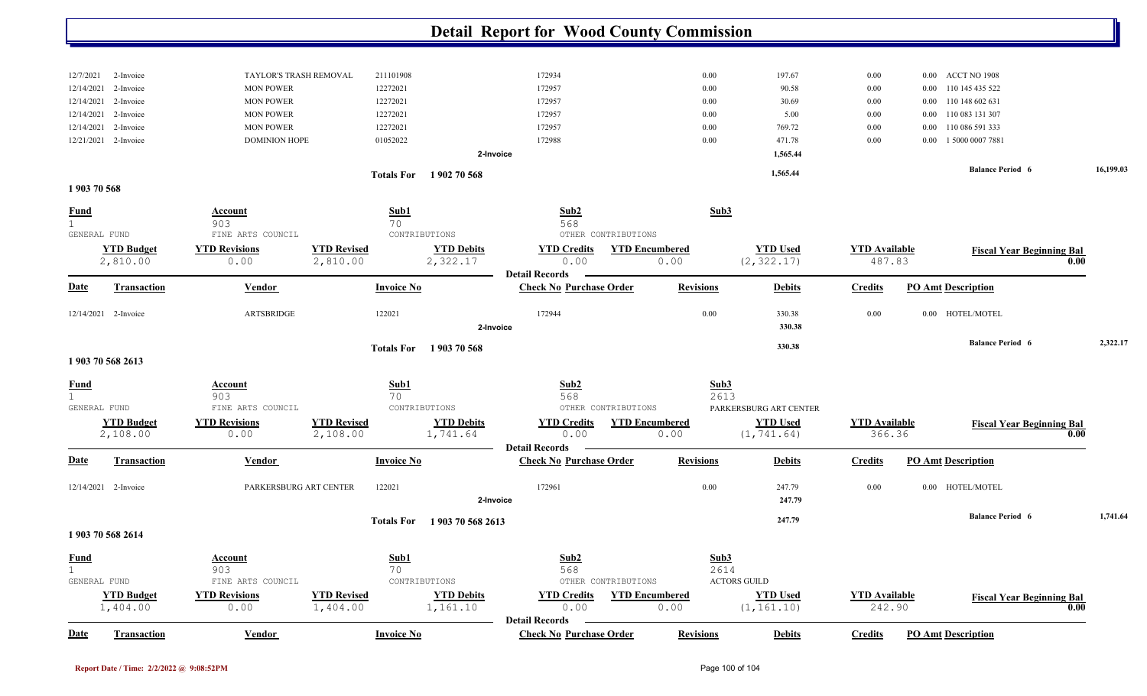|                         |                               |                                            |                                |                               | <b>Detail Report for Wood County Commission</b>         |                               |                                |                                |                      |                                  |      |           |
|-------------------------|-------------------------------|--------------------------------------------|--------------------------------|-------------------------------|---------------------------------------------------------|-------------------------------|--------------------------------|--------------------------------|----------------------|----------------------------------|------|-----------|
|                         |                               |                                            |                                |                               |                                                         |                               |                                |                                |                      |                                  |      |           |
| 12/7/2021<br>12/14/2021 | 2-Invoice<br>2-Invoice        | TAYLOR'S TRASH REMOVAL<br><b>MON POWER</b> | 211101908<br>12272021          |                               | 172934<br>172957                                        | 0.00<br>0.00                  | 197.67<br>90.58                | $0.00\,$<br>0.00               | $0.00\,$<br>$0.00\,$ | ACCT NO 1908<br>110 145 435 522  |      |           |
| 12/14/2021              | 2-Invoice                     | <b>MON POWER</b>                           | 12272021                       |                               | 172957                                                  | 0.00                          | 30.69                          | 0.00                           | $0.00\,$             | 110 148 602 631                  |      |           |
| 12/14/2021              | 2-Invoice                     | <b>MON POWER</b>                           | 12272021                       |                               | 172957                                                  | 0.00                          | 5.00                           | $0.00\,$                       | $0.00\,$             | 110 083 131 307                  |      |           |
| 12/14/2021              | 2-Invoice                     | <b>MON POWER</b>                           | 12272021                       |                               | 172957                                                  | 0.00                          | 769.72                         | 0.00                           | 0.00                 | 110 086 591 333                  |      |           |
| 12/21/2021              | 2-Invoice                     | <b>DOMINION HOPE</b>                       | 01052022                       |                               | 172988                                                  | 0.00                          | 471.78                         | $0.00\,$                       | $0.00\,$             | 1 5000 0007 7881                 |      |           |
|                         |                               |                                            |                                |                               | 2-Invoice                                               |                               | 1,565.44                       |                                |                      |                                  |      |           |
|                         |                               |                                            |                                | Totals For 1902 70 568        |                                                         |                               | 1,565.44                       |                                |                      | <b>Balance Period 6</b>          |      | 16,199.03 |
| 1903 70 568             |                               |                                            |                                |                               |                                                         |                               |                                |                                |                      |                                  |      |           |
| <u>Fund</u><br>1        |                               | <b>Account</b><br>903                      | Sub1<br>70                     |                               | Sub2<br>568                                             | Sub3                          |                                |                                |                      |                                  |      |           |
|                         | GENERAL FUND                  | FINE ARTS COUNCIL                          |                                | CONTRIBUTIONS                 | OTHER CONTRIBUTIONS                                     |                               |                                |                                |                      |                                  |      |           |
|                         | <b>YTD Budget</b><br>2,810.00 | <b>YTD Revisions</b><br>0.00               | <b>YTD Revised</b><br>2,810.00 | <b>YTD Debits</b><br>2,322.17 | <b>YTD Credits</b><br>0.00<br><b>Detail Records</b>     | <b>YTD Encumbered</b><br>0.00 | <b>YTD Used</b><br>(2, 322.17) | <b>YTD</b> Available<br>487.83 |                      | <b>Fiscal Year Beginning Bal</b> | 0.00 |           |
| <u>Date</u>             | <b>Transaction</b>            | Vendor                                     | <b>Invoice No</b>              |                               | <b>Check No Purchase Order</b>                          | <b>Revisions</b>              | <b>Debits</b>                  | <b>Credits</b>                 |                      | <b>PO Amt Description</b>        |      |           |
|                         | 12/14/2021 2-Invoice          | ARTSBRIDGE                                 | 122021                         |                               | 172944                                                  | 0.00                          | 330.38                         | $0.00\,$                       |                      | 0.00 HOTEL/MOTEL                 |      |           |
|                         |                               |                                            |                                |                               | 2-Invoice                                               |                               | 330.38                         |                                |                      |                                  |      |           |
|                         |                               |                                            |                                | Totals For 1903 70 568        |                                                         |                               | 330.38                         |                                |                      | <b>Balance Period 6</b>          |      | 2,322.17  |
|                         | 1903 70 568 2613              |                                            |                                |                               |                                                         |                               |                                |                                |                      |                                  |      |           |
| <u>Fund</u>             |                               | <b>Account</b>                             | Sub1                           |                               | Sub2                                                    | Sub <sub>3</sub>              |                                |                                |                      |                                  |      |           |
| 1                       |                               | 903                                        | 70                             |                               | 568                                                     | 2613                          |                                |                                |                      |                                  |      |           |
|                         | GENERAL FUND                  | FINE ARTS COUNCIL                          |                                | CONTRIBUTIONS                 | OTHER CONTRIBUTIONS                                     |                               | PARKERSBURG ART CENTER         |                                |                      |                                  |      |           |
|                         | <b>YTD Budget</b><br>2,108.00 | <b>YTD Revisions</b>                       | <b>YTD Revised</b><br>2,108.00 | <b>YTD Debits</b><br>1,741.64 | <b>YTD Credits</b><br>0.00                              | <b>YTD Encumbered</b><br>0.00 | <b>YTD Used</b>                | <b>YTD</b> Available<br>366.36 |                      | <b>Fiscal Year Beginning Bal</b> | 0.00 |           |
|                         |                               | 0.00                                       |                                |                               | <b>Detail Records</b>                                   |                               | (1, 741.64)                    |                                |                      |                                  |      |           |
| <b>Date</b>             | <b>Transaction</b>            | <b>Vendor</b>                              | <b>Invoice No</b>              |                               | <b>Check No Purchase Order</b>                          | <b>Revisions</b>              | <b>Debits</b>                  | <b>Credits</b>                 |                      | <b>PO Amt Description</b>        |      |           |
|                         | 12/14/2021 2-Invoice          | PARKERSBURG ART CENTER                     | 122021                         |                               | 172961<br>2-Invoice                                     | 0.00                          | 247.79<br>247.79               | 0.00                           |                      | 0.00 HOTEL/MOTEL                 |      |           |
|                         |                               |                                            |                                |                               |                                                         |                               |                                |                                |                      | <b>Balance Period 6</b>          |      | 1,741.64  |
|                         | 1 903 70 568 2614             |                                            | <b>Totals For</b>              | 1903 70 568 2613              |                                                         |                               | 247.79                         |                                |                      |                                  |      |           |
| <b>Fund</b>             |                               | <b>Account</b>                             | Sub1                           |                               | Sub2                                                    | Sub <sub>3</sub>              |                                |                                |                      |                                  |      |           |
| $\mathbf{1}$            |                               | 903                                        | 70                             |                               | 568                                                     | 2614                          |                                |                                |                      |                                  |      |           |
|                         | GENERAL FUND                  | FINE ARTS COUNCIL                          |                                | CONTRIBUTIONS                 | OTHER CONTRIBUTIONS                                     |                               | <b>ACTORS GUILD</b>            |                                |                      |                                  |      |           |
|                         | <b>YTD Budget</b>             | <b>YTD Revisions</b>                       | <b>YTD Revised</b>             | <b>YTD Debits</b>             | <b>YTD Credits</b>                                      | <b>YTD Encumbered</b>         | <b>YTD Used</b>                | <b>YTD Available</b>           |                      | <b>Fiscal Year Beginning Bal</b> |      |           |
|                         | 1,404.00                      | 0.00                                       | 1,404.00                       | 1,161.10                      | 0.00                                                    | 0.00                          | (1, 161.10)                    | 242.90                         |                      |                                  | 0.00 |           |
| Date                    | <b>Transaction</b>            | <b>Vendor</b>                              | <b>Invoice No</b>              |                               | <b>Detail Records</b><br><b>Check No Purchase Order</b> | <b>Revisions</b>              | <b>Debits</b>                  | <b>Credits</b>                 |                      | <b>PO Amt Description</b>        |      |           |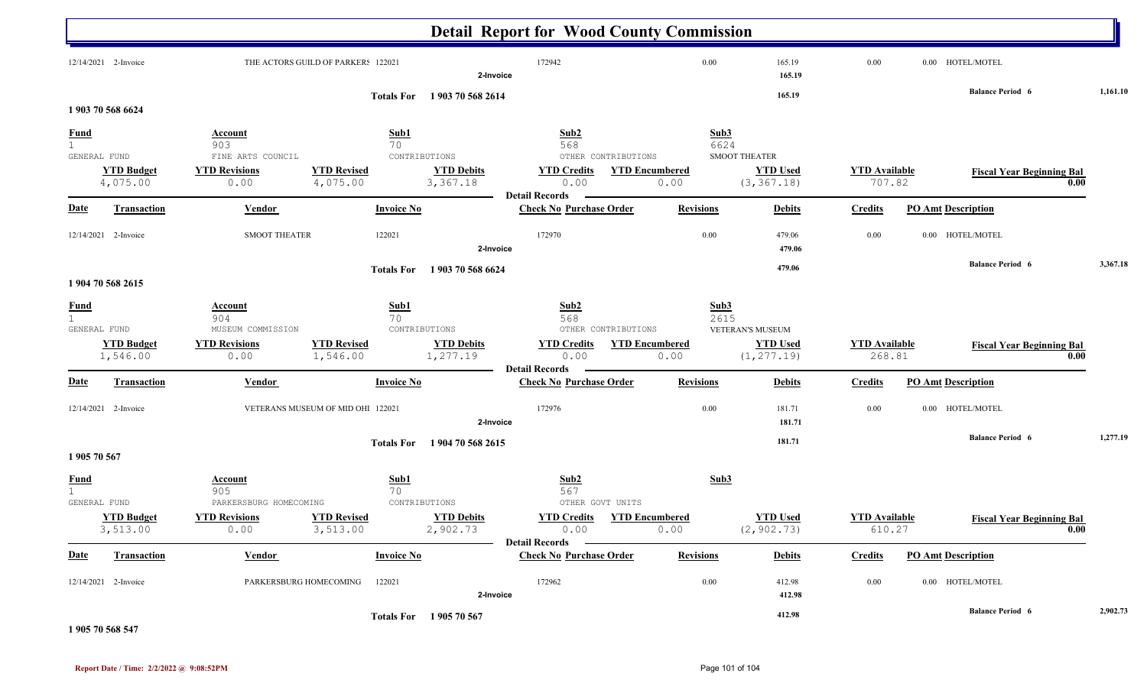|                                       |                               |                                            |                                    |                               | <b>Detail Report for Wood County Commission</b>     |                               |                                              |                  |                                |                                  |          |
|---------------------------------------|-------------------------------|--------------------------------------------|------------------------------------|-------------------------------|-----------------------------------------------------|-------------------------------|----------------------------------------------|------------------|--------------------------------|----------------------------------|----------|
|                                       | 12/14/2021 2-Invoice          |                                            | THE ACTORS GUILD OF PARKERS 122021 | 2-Invoice                     | 172942                                              |                               | 0.00                                         | 165.19<br>165.19 | 0.00                           | 0.00 HOTEL/MOTEL                 |          |
|                                       | 1903 70 568 6624              |                                            | <b>Totals For</b>                  | 1903 70 568 2614              |                                                     |                               |                                              | 165.19           |                                | <b>Balance Period 6</b>          | 1,161.10 |
| $rac{\text{Fund}}{1}$<br>GENERAL FUND |                               | <b>Account</b><br>903<br>FINE ARTS COUNCIL | Sub1<br>70                         | CONTRIBUTIONS                 | Sub2<br>568<br>OTHER CONTRIBUTIONS                  |                               | Sub3<br>6624<br><b>SMOOT THEATER</b>         |                  |                                |                                  |          |
|                                       | <b>YTD Budget</b><br>4,075.00 | <b>YTD Revisions</b><br>0.00               | <b>YTD Revised</b><br>4,075.00     | <b>YTD Debits</b><br>3,367.18 | <b>YTD Credits</b><br>0.00<br><b>Detail Records</b> | <b>YTD Encumbered</b><br>0.00 | <b>YTD Used</b><br>(3, 367.18)               |                  | <b>YTD</b> Available<br>707.82 | <b>Fiscal Year Beginning Bal</b> | 0.00     |
| <b>Date</b>                           | <b>Transaction</b>            | <b>Vendor</b>                              | <b>Invoice No</b>                  |                               | <b>Check No Purchase Order</b>                      | <b>Revisions</b>              |                                              | <b>Debits</b>    | <b>Credits</b>                 | <b>PO Amt Description</b>        |          |
|                                       | 12/14/2021 2-Invoice          | <b>SMOOT THEATER</b>                       | 122021                             | 2-Invoice                     | 172970                                              |                               | $0.00\,$                                     | 479.06<br>479.06 | 0.00                           | 0.00 HOTEL/MOTEL                 |          |
|                                       | 1 904 70 568 2615             |                                            | <b>Totals For</b>                  | 1903 70 568 6624              |                                                     |                               |                                              | 479.06           |                                | <b>Balance Period 6</b>          | 3,367.18 |
| $rac{\text{Fund}}{1}$<br>GENERAL FUND |                               | <b>Account</b><br>904<br>MUSEUM COMMISSION | Sub1<br>70                         | CONTRIBUTIONS                 | Sub2<br>568<br>OTHER CONTRIBUTIONS                  |                               | Sub <sub>3</sub><br>2615<br>VETERAN'S MUSEUM |                  |                                |                                  |          |
|                                       | <b>YTD Budget</b><br>1,546.00 | <b>YTD Revisions</b><br>0.00               | <b>YTD Revised</b><br>1,546.00     | <b>YTD Debits</b><br>1,277.19 | <b>YTD Credits</b><br>0.00<br><b>Detail Records</b> | <b>YTD Encumbered</b><br>0.00 | <b>YTD Used</b><br>(1, 277.19)               |                  | <b>YTD</b> Available<br>268.81 | <b>Fiscal Year Beginning Bal</b> | 0.00     |
| <b>Date</b>                           | <b>Transaction</b>            | <b>Vendor</b>                              | <b>Invoice No</b>                  |                               | <b>Check No Purchase Order</b>                      | <b>Revisions</b>              |                                              | <b>Debits</b>    | <b>Credits</b>                 | <b>PO Amt Description</b>        |          |
|                                       | 12/14/2021 2-Invoice          |                                            | VETERANS MUSEUM OF MID OHI 122021  | 2-Invoice                     | 172976                                              |                               | 0.00                                         | 181.71<br>181.71 | 0.00                           | 0.00 HOTEL/MOTEL                 |          |
| 1905 70 567                           |                               |                                            | <b>Totals For</b>                  | 1904 70 568 2615              |                                                     |                               |                                              | 181.71           |                                | <b>Balance Period 6</b>          | 1,277.19 |
| <b>Fund</b><br>1                      | GENERAL FUND                  | Account<br>905<br>PARKERSBURG HOMECOMING   | Sub1<br>70                         | CONTRIBUTIONS                 | Sub2<br>567<br>OTHER GOVT UNITS                     |                               | Sub3                                         |                  |                                |                                  |          |
|                                       | <b>YTD Budget</b><br>3,513.00 | <b>YTD Revisions</b><br>0.00               | <b>YTD Revised</b><br>3,513.00     | <b>YTD Debits</b><br>2,902.73 | <b>YTD Credits</b><br>0.00<br><b>Detail Records</b> | <b>YTD Encumbered</b><br>0.00 | <b>YTD Used</b><br>(2, 902.73)               |                  | <b>YTD Available</b><br>610.27 | <b>Fiscal Year Beginning Bal</b> | 0.00     |
| <b>Date</b>                           | <b>Transaction</b>            | <b>Vendor</b>                              | <b>Invoice No</b>                  |                               | <b>Check No Purchase Order</b>                      | <b>Revisions</b>              |                                              | <b>Debits</b>    | <b>Credits</b>                 | <b>PO Amt Description</b>        |          |
|                                       | 12/14/2021 2-Invoice          |                                            | PARKERSBURG HOMECOMING<br>122021   | 2-Invoice                     | 172962                                              |                               | 0.00                                         | 412.98<br>412.98 | 0.00                           | 0.00 HOTEL/MOTEL                 |          |
|                                       |                               |                                            |                                    | Totals For 1905 70 567        |                                                     |                               |                                              | 412.98           |                                | <b>Balance Period 6</b>          | 2,902.73 |

#### **1 905 70 568 547**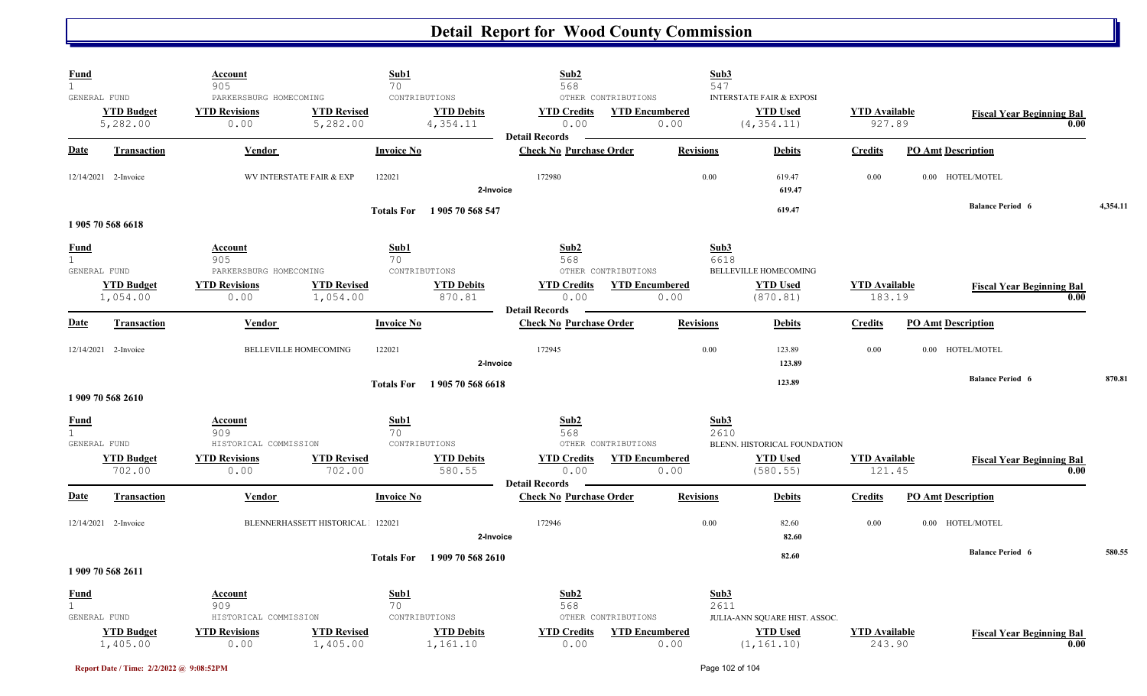| <b>Fund</b><br>$\mathbf{1}$ |                                               | <u>Account</u><br>905                                  | Sub1<br>70                             |                                                | Sub2<br>568                                             |                                                      | Sub3<br>547      |                                                                       |                                |                                  |      |          |
|-----------------------------|-----------------------------------------------|--------------------------------------------------------|----------------------------------------|------------------------------------------------|---------------------------------------------------------|------------------------------------------------------|------------------|-----------------------------------------------------------------------|--------------------------------|----------------------------------|------|----------|
|                             | GENERAL FUND<br><b>YTD Budget</b><br>5,282.00 | PARKERSBURG HOMECOMING<br><b>YTD Revisions</b><br>0.00 | <b>YTD Revised</b><br>5,282.00         | CONTRIBUTIONS<br><b>YTD Debits</b><br>4,354.11 | <b>YTD Credits</b><br>0.00                              | OTHER CONTRIBUTIONS<br><b>YTD Encumbered</b><br>0.00 |                  | <b>INTERSTATE FAIR &amp; EXPOSI</b><br><b>YTD Used</b><br>(4, 354.11) | <b>YTD Available</b><br>927.89 | <b>Fiscal Year Beginning Bal</b> | 0.00 |          |
| Date                        | <b>Transaction</b>                            | Vendor                                                 | <b>Invoice No</b>                      |                                                | <b>Detail Records</b><br><b>Check No Purchase Order</b> |                                                      | <b>Revisions</b> | <b>Debits</b>                                                         | <b>Credits</b>                 | <b>PO Amt Description</b>        |      |          |
|                             | 12/14/2021 2-Invoice                          |                                                        | 122021<br>WV INTERSTATE FAIR & EXP     | 2-Invoice                                      | 172980                                                  |                                                      | 0.00             | 619.47<br>619.47                                                      | 0.00                           | 0.00 HOTEL/MOTEL                 |      |          |
|                             |                                               |                                                        | <b>Totals For</b>                      | 1905 70 568 547                                |                                                         |                                                      |                  | 619.47                                                                |                                | <b>Balance Period 6</b>          |      | 4,354.11 |
|                             | 1905 70 568 6618                              |                                                        |                                        |                                                |                                                         |                                                      |                  |                                                                       |                                |                                  |      |          |
| <u>Fund</u><br>1            | GENERAL FUND                                  | <b>Account</b><br>905<br>PARKERSBURG HOMECOMING        | Sub1<br>70                             | CONTRIBUTIONS                                  | Sub2<br>568                                             | OTHER CONTRIBUTIONS                                  | Sub3<br>6618     | BELLEVILLE HOMECOMING                                                 |                                |                                  |      |          |
|                             | <b>YTD Budget</b><br>1,054.00                 | <b>YTD Revisions</b><br>0.00                           | <b>YTD Revised</b><br>1,054.00         | <b>YTD Debits</b><br>870.81                    | <b>YTD Credits</b><br>0.00<br><b>Detail Records</b>     | <b>YTD Encumbered</b><br>0.00                        |                  | <b>YTD Used</b><br>(870.81)                                           | <b>YTD Available</b><br>183.19 | <b>Fiscal Year Beginning Bal</b> | 0.00 |          |
| Date                        | <b>Transaction</b>                            | Vendor                                                 | <b>Invoice No</b>                      |                                                | <b>Check No Purchase Order</b>                          |                                                      | <b>Revisions</b> | <b>Debits</b>                                                         | <b>Credits</b>                 | <b>PO Amt Description</b>        |      |          |
|                             | 12/14/2021 2-Invoice                          |                                                        | <b>BELLEVILLE HOMECOMING</b><br>122021 | 2-Invoice                                      | 172945                                                  |                                                      | 0.00             | 123.89<br>123.89                                                      | 0.00                           | 0.00 HOTEL/MOTEL                 |      |          |
|                             | 1909 70 568 2610                              |                                                        | <b>Totals For</b>                      | 1905 70 568 6618                               |                                                         |                                                      |                  | 123.89                                                                |                                | <b>Balance Period 6</b>          |      | 870.81   |
| <b>Fund</b><br>$\mathbf{1}$ |                                               | <u>Account</u><br>909                                  | Sub1<br>70                             |                                                | Sub2<br>568                                             |                                                      | Sub3<br>2610     |                                                                       |                                |                                  |      |          |
|                             | GENERAL FUND<br><b>YTD Budget</b><br>702.00   | HISTORICAL COMMISSION<br><b>YTD Revisions</b><br>0.00  | <b>YTD Revised</b><br>702.00           | CONTRIBUTIONS<br><b>YTD Debits</b><br>580.55   | <b>YTD Credits</b><br>0.00                              | OTHER CONTRIBUTIONS<br><b>YTD Encumbered</b><br>0.00 |                  | BLENN. HISTORICAL FOUNDATION<br><b>YTD Used</b><br>(580.55)           | <b>YTD</b> Available<br>121.45 | <b>Fiscal Year Beginning Bal</b> | 0.00 |          |
| Date                        | <b>Transaction</b>                            | Vendor                                                 | <b>Invoice No</b>                      |                                                | <b>Detail Records</b><br><b>Check No Purchase Order</b> |                                                      | <b>Revisions</b> | <b>Debits</b>                                                         | <b>Credits</b>                 | <b>PO Amt Description</b>        |      |          |
|                             | 12/14/2021 2-Invoice                          |                                                        | BLENNERHASSETT HISTORICAL 122021       | 2-Invoice                                      | 172946                                                  |                                                      | 0.00             | 82.60<br>82.60                                                        | 0.00                           | 0.00 HOTEL/MOTEL                 |      |          |
|                             | 1 909 70 568 2611                             |                                                        | <b>Totals For</b>                      | 1 909 70 568 2610                              |                                                         |                                                      |                  | 82.60                                                                 |                                | <b>Balance Period 6</b>          |      | 580.55   |
| <b>Fund</b><br>$\mathbf{1}$ | GENERAL FUND                                  | <b>Account</b><br>909<br>HISTORICAL COMMISSION         | Sub1<br>70                             | CONTRIBUTIONS                                  | Sub2<br>568                                             | OTHER CONTRIBUTIONS                                  | Sub3<br>2611     | JULIA-ANN SQUARE HIST. ASSOC.                                         |                                |                                  |      |          |
|                             | <b>YTD Budget</b><br>1,405.00                 | <b>YTD Revisions</b><br>0.00                           | <b>YTD Revised</b><br>1,405.00         | <b>YTD Debits</b><br>1,161.10                  | <b>YTD Credits</b><br>0.00                              | <b>YTD Encumbered</b><br>0.00                        |                  | <b>YTD</b> Used<br>(1, 161.10)                                        | <b>YTD Available</b><br>243.90 | <b>Fiscal Year Beginning Bal</b> | 0.00 |          |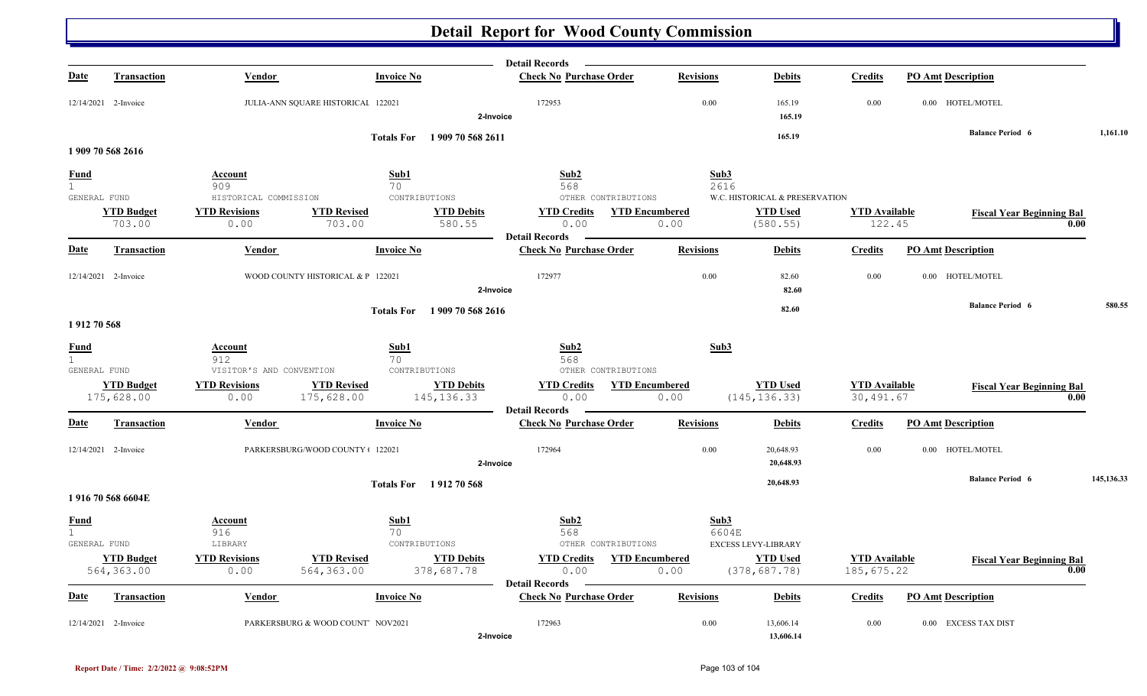|                   |                      |                                                  |                                                          | <b>Detail Records</b>                                              |                  |                                |                      |                                  |            |
|-------------------|----------------------|--------------------------------------------------|----------------------------------------------------------|--------------------------------------------------------------------|------------------|--------------------------------|----------------------|----------------------------------|------------|
| <b>Date</b>       | <b>Transaction</b>   | Vendor                                           | <b>Invoice No</b>                                        | <b>Check No Purchase Order</b>                                     | <b>Revisions</b> | <b>Debits</b>                  | <b>Credits</b>       | <b>PO Amt Description</b>        |            |
|                   | 12/14/2021 2-Invoice | JULIA-ANN SQUARE HISTORICAI 122021               |                                                          | 172953<br>2-Invoice                                                | 0.00             | 165.19<br>165.19               | 0.00                 | 0.00 HOTEL/MOTEL                 |            |
|                   |                      |                                                  | Totals For 1909 70 568 2611                              |                                                                    |                  | 165.19                         |                      | <b>Balance Period 6</b>          | 1,161.10   |
|                   | 1909 70 568 2616     |                                                  |                                                          |                                                                    |                  |                                |                      |                                  |            |
| <b>Fund</b>       |                      | Account                                          | Sub1                                                     | Sub2                                                               | Sub3             |                                |                      |                                  |            |
| 1<br>GENERAL FUND |                      | 909                                              | 70<br>CONTRIBUTIONS                                      | 568<br>OTHER CONTRIBUTIONS                                         | 2616             | W.C. HISTORICAL & PRESERVATION |                      |                                  |            |
|                   | <b>YTD Budget</b>    | HISTORICAL COMMISSION<br><b>YTD Revisions</b>    | <b>YTD Revised</b><br><b>YTD Debits</b>                  | <b>YTD Credits YTD Encumbered</b>                                  |                  | <b>YTD Used</b>                | <b>YTD</b> Available | <b>Fiscal Year Beginning Bal</b> |            |
|                   | 703.00               | 0.00                                             | 703.00<br>580.55                                         | 0.00                                                               | 0.00             | (580.55)                       | 122.45               | 0.00                             |            |
|                   |                      |                                                  |                                                          | <b>Detail Records</b>                                              |                  |                                |                      |                                  |            |
| <b>Date</b>       | <b>Transaction</b>   | Vendor                                           | <b>Invoice No</b>                                        | <b>Check No Purchase Order</b>                                     | <b>Revisions</b> | <b>Debits</b>                  | <b>Credits</b>       | <b>PO Amt Description</b>        |            |
|                   | 12/14/2021 2-Invoice | WOOD COUNTY HISTORICAL & P 122021                |                                                          | 172977                                                             | 0.00             | 82.60                          | 0.00                 | 0.00 HOTEL/MOTEL                 |            |
|                   |                      |                                                  |                                                          | 2-Invoice                                                          |                  | 82.60                          |                      |                                  |            |
|                   |                      |                                                  | 1909 70 568 2616<br><b>Totals For</b>                    |                                                                    |                  | 82.60                          |                      | <b>Balance Period 6</b>          | 580.55     |
| 1912 70 568       |                      |                                                  |                                                          |                                                                    |                  |                                |                      |                                  |            |
| <b>Fund</b>       |                      | Account                                          | Sub1                                                     | Sub2                                                               | Sub3             |                                |                      |                                  |            |
| 1                 |                      | 912                                              | 70                                                       | 568                                                                |                  |                                |                      |                                  |            |
| GENERAL FUND      | <b>YTD Budget</b>    | VISITOR'S AND CONVENTION<br><b>YTD Revisions</b> | CONTRIBUTIONS<br><b>YTD Revised</b><br><b>YTD Debits</b> | OTHER CONTRIBUTIONS<br><b>YTD Credits</b><br><b>YTD Encumbered</b> |                  | <b>YTD Used</b>                | <b>YTD Available</b> | <b>Fiscal Year Beginning Bal</b> |            |
|                   | 175,628.00           | 0.00                                             | 175,628.00<br>145, 136.33                                | 0.00                                                               | 0.00             | (145, 136.33)                  | 30,491.67            | 0.00                             |            |
|                   |                      |                                                  |                                                          | <b>Detail Records</b>                                              |                  |                                |                      |                                  |            |
| <b>Date</b>       | Transaction          | <b>Vendor</b>                                    | <b>Invoice No</b>                                        | <b>Check No Purchase Order</b>                                     | <b>Revisions</b> | <b>Debits</b>                  | <b>Credits</b>       | <b>PO Amt Description</b>        |            |
|                   | 12/14/2021 2-Invoice | PARKERSBURG/WOOD COUNTY + 122021                 |                                                          | 172964                                                             | 0.00             | 20,648.93                      | 0.00                 | 0.00 HOTEL/MOTEL                 |            |
|                   |                      |                                                  |                                                          | 2-Invoice                                                          |                  | 20,648.93                      |                      |                                  |            |
|                   |                      |                                                  | Totals For 1912 70 568                                   |                                                                    |                  | 20,648.93                      |                      | <b>Balance Period 6</b>          | 145,136.33 |
|                   | 1916705686604E       |                                                  |                                                          |                                                                    |                  |                                |                      |                                  |            |
| <b>Fund</b>       |                      | <b>Account</b>                                   | Sub1                                                     | Sub2                                                               | Sub3             |                                |                      |                                  |            |
| 1<br>GENERAL FUND |                      | 916<br>LIBRARY                                   | 70<br>CONTRIBUTIONS                                      | 568<br>OTHER CONTRIBUTIONS                                         | 6604E            | <b>EXCESS LEVY-LIBRARY</b>     |                      |                                  |            |
|                   | <b>YTD Budget</b>    | <b>YTD Revisions</b>                             | <b>YTD Revised</b><br><b>YTD Debits</b>                  | <b>YTD Credits</b><br><b>YTD Encumbered</b>                        |                  | <b>YTD Used</b>                | <b>YTD Available</b> | <b>Fiscal Year Beginning Bal</b> |            |
|                   | 564,363.00           | 0.00                                             | 564,363.00<br>378,687.78                                 | 0.00                                                               | 0.00             | (378, 687.78)                  | 185, 675.22          | 0.00                             |            |
| Date              | Transaction          | Vendor                                           | <b>Invoice No</b>                                        | <b>Detail Records</b><br><b>Check No Purchase Order</b>            | <b>Revisions</b> | <b>Debits</b>                  | <b>Credits</b>       | <b>PO Amt Description</b>        |            |
|                   |                      |                                                  |                                                          |                                                                    |                  |                                |                      |                                  |            |
|                   | 12/14/2021 2-Invoice |                                                  | PARKERSBURG & WOOD COUNT NOV2021                         | 172963                                                             | 0.00             | 13,606.14                      | 0.00                 | 0.00 EXCESS TAX DIST             |            |
|                   |                      |                                                  |                                                          | 2-Invoice                                                          |                  | 13,606.14                      |                      |                                  |            |